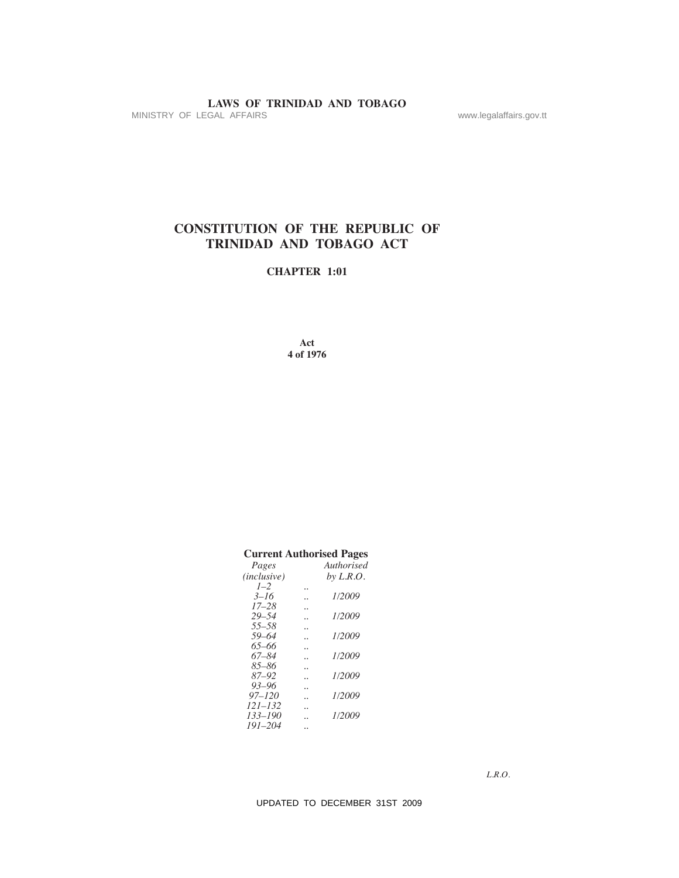# **LAWS OF TRINIDAD AND TOBAGO**<br>MINISTRY OF LEGAL AFFAIRS

# **CONSTITuTION OF The RePuBLIC OF TRINIDAD AND TOBAGO ACT**

# **ChAPTeR 1:01**

# **Current Authorised Pages**

|                                                                              |                                                                   | www.legalaffairs.gov.tt |
|------------------------------------------------------------------------------|-------------------------------------------------------------------|-------------------------|
|                                                                              |                                                                   |                         |
|                                                                              | <b>CONSTITUTION OF THE REPUBLIC OF</b><br>TRINIDAD AND TOBAGO ACT |                         |
| <b>CHAPTER 1:01</b>                                                          |                                                                   |                         |
|                                                                              |                                                                   |                         |
| Act<br>4 of 1976                                                             |                                                                   |                         |
|                                                                              |                                                                   |                         |
|                                                                              |                                                                   |                         |
|                                                                              |                                                                   |                         |
|                                                                              |                                                                   |                         |
|                                                                              | <b>Current Authorised Pages</b>                                   |                         |
| Pages<br>(inclusive)                                                         | Authorised<br>by $L.R.O.$                                         |                         |
| $1 - 2$<br>$\ldots$<br>$3 - 16$                                              | 1/2009                                                            |                         |
| $17 - 28$<br><b>Contractor</b><br>$29 - 54$<br>$\ddotsc$                     | 1/2009                                                            |                         |
|                                                                              |                                                                   |                         |
| $55 - 58$<br>$\ddotsc$<br>$59 - 64$<br>$\ddot{\phantom{0}}$                  | 1/2009                                                            |                         |
| $65 - 66$<br>$\ddotsc$<br>$67 - 84$<br>$\ddot{\phantom{0}}$                  | 1/2009                                                            |                         |
| $85 - 86$<br>$\ddotsc$<br>87-92<br>$\ddot{\phantom{0}}$                      | 1/2009                                                            |                         |
| $93 - 96$<br>$\ddotsc$<br>$97 - 120$<br>$\ddotsc$                            | 1/2009                                                            |                         |
| $121 - 132$<br>$\ddotsc$<br>133-190<br>$\ddotsc$<br>$191 - 204$<br>$\ddotsc$ | 1/2009                                                            |                         |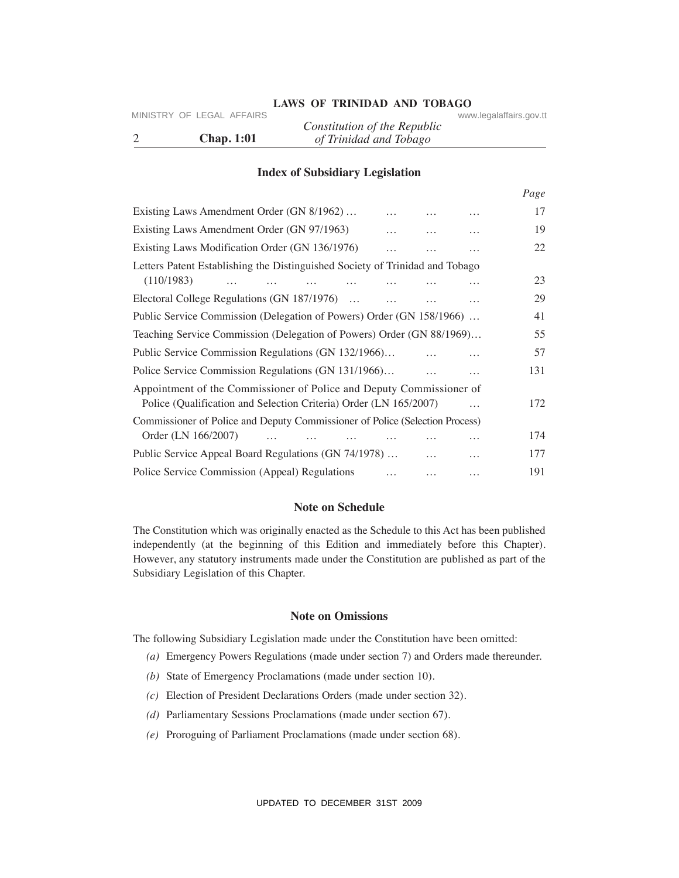# **LAWS OF TRINIDAD AND TOBAGO** www.legalaffairs.gov.tt

|                   | Constitution of the Republic |  |
|-------------------|------------------------------|--|
| <b>Chap. 1:01</b> | of Trinidad and Tobago       |  |

# **Index of Subsidiary Legislation**

| 2          | MINISTRY OF LEGAL AFFAIRS<br><b>Chap. 1:01</b>                                                                                                                                                                                                                                                                                  | Constitution of the Republic<br>of Trinidad and Tobago |          |          | www.legalaffairs.gov.tt |      |
|------------|---------------------------------------------------------------------------------------------------------------------------------------------------------------------------------------------------------------------------------------------------------------------------------------------------------------------------------|--------------------------------------------------------|----------|----------|-------------------------|------|
|            |                                                                                                                                                                                                                                                                                                                                 | <b>Index of Subsidiary Legislation</b>                 |          |          |                         |      |
|            |                                                                                                                                                                                                                                                                                                                                 |                                                        |          |          |                         | Page |
|            | Existing Laws Amendment Order (GN 8/1962)                                                                                                                                                                                                                                                                                       |                                                        |          |          |                         | 17   |
|            | Existing Laws Amendment Order (GN 97/1963)                                                                                                                                                                                                                                                                                      |                                                        |          |          | $\cdots$                | 19   |
|            | Existing Laws Modification Order (GN 136/1976)                                                                                                                                                                                                                                                                                  |                                                        | $\cdots$ |          | $\cdots$                | 22   |
| (110/1983) | Letters Patent Establishing the Distinguished Society of Trinidad and Tobago<br>$\cdots$                                                                                                                                                                                                                                        | $\cdots$<br>$\cdots$                                   | .        | .        |                         | 23   |
|            | Electoral College Regulations (GN 187/1976)                                                                                                                                                                                                                                                                                     |                                                        | $\cdots$ | $\cdots$ | .                       | 29   |
|            | Public Service Commission (Delegation of Powers) Order (GN 158/1966)                                                                                                                                                                                                                                                            |                                                        |          |          |                         | 41   |
|            | Teaching Service Commission (Delegation of Powers) Order (GN 88/1969)                                                                                                                                                                                                                                                           |                                                        |          |          |                         | 55   |
|            | Public Service Commission Regulations (GN 132/1966)                                                                                                                                                                                                                                                                             |                                                        |          |          | .                       | 57   |
|            | Police Service Commission Regulations (GN 131/1966)                                                                                                                                                                                                                                                                             |                                                        |          | $\cdots$ | $\cdots$                | 131  |
|            | Appointment of the Commissioner of Police and Deputy Commissioner of<br>Police (Qualification and Selection Criteria) Order (LN 165/2007)                                                                                                                                                                                       |                                                        |          |          | $\cdots$                | 172  |
|            | Commissioner of Police and Deputy Commissioner of Police (Selection Process)                                                                                                                                                                                                                                                    |                                                        |          |          |                         |      |
|            | Order (LN 166/2007)<br>$\cdots$                                                                                                                                                                                                                                                                                                 |                                                        |          |          | .                       | 174  |
|            | Public Service Appeal Board Regulations (GN 74/1978)                                                                                                                                                                                                                                                                            |                                                        |          |          | .                       | 177  |
|            | Police Service Commission (Appeal) Regulations                                                                                                                                                                                                                                                                                  |                                                        |          | $\cdots$ | .                       | 191  |
|            |                                                                                                                                                                                                                                                                                                                                 | <b>Note on Schedule</b>                                |          |          |                         |      |
|            | The Constitution which was originally enacted as the Schedule to this Act has been published<br>independently (at the beginning of this Edition and immediately before this Chapter).<br>However, any statutory instruments made under the Constitution are published as part of the<br>Subsidiary Legislation of this Chapter. |                                                        |          |          |                         |      |
|            |                                                                                                                                                                                                                                                                                                                                 | <b>Note on Omissions</b>                               |          |          |                         |      |
|            | The following Subsidiary Legislation made under the Constitution have been omitted:<br>(a) Emergency Powers Regulations (made under section 7) and Orders made thereunder.                                                                                                                                                      |                                                        |          |          |                         |      |
|            |                                                                                                                                                                                                                                                                                                                                 |                                                        |          |          |                         |      |
|            | (b) State of Emergency Proclamations (made under section 10).                                                                                                                                                                                                                                                                   |                                                        |          |          |                         |      |
| (c)        | Election of President Declarations Orders (made under section 32).                                                                                                                                                                                                                                                              |                                                        |          |          |                         |      |
| (d)        | Parliamentary Sessions Proclamations (made under section 67).                                                                                                                                                                                                                                                                   |                                                        |          |          |                         |      |
| (e)        | Proroguing of Parliament Proclamations (made under section 68).                                                                                                                                                                                                                                                                 |                                                        |          |          |                         |      |
|            |                                                                                                                                                                                                                                                                                                                                 |                                                        |          |          |                         |      |
|            |                                                                                                                                                                                                                                                                                                                                 | UPDATED TO DECEMBER 31ST 2009                          |          |          |                         |      |

# **Note on Schedule**

# **Note on Omissions**

- *(a)* Emergency Powers Regulations (made under section 7) and Orders made thereunder.
- *(b)* State of Emergency Proclamations (made under section 10).
- *(c)* Election of President Declarations Orders (made under section 32).
- *(d)* Parliamentary Sessions Proclamations (made under section 67).
- *(e)* Proroguing of Parliament Proclamations (made under section 68).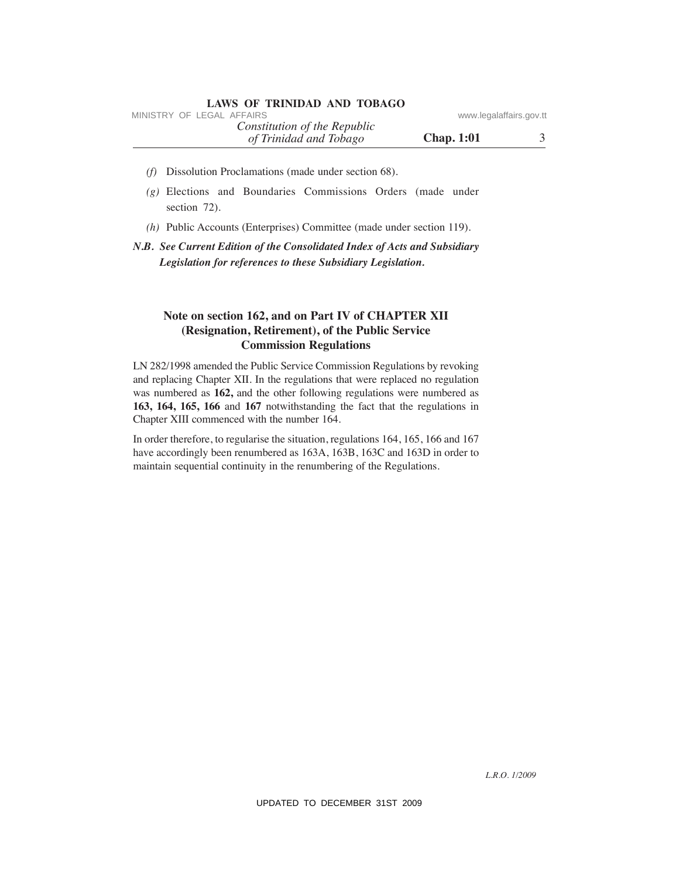| <b>LAWS OF TRINIDAD AND TOBAGO</b>                     |                   |                         |
|--------------------------------------------------------|-------------------|-------------------------|
| MINISTRY OF LEGAL AFFAIRS                              |                   | www.legalaffairs.gov.tt |
| Constitution of the Republic<br>of Trinidad and Tobago | <b>Chap.</b> 1:01 |                         |

- *(f)* Dissolution Proclamations (made under section 68).
- *(g)* Elections and Boundaries Commissions Orders (made under section 72).
- *(h)* Public Accounts (Enterprises) Committee (made under section 119).

*N.B. See Current Edition of the Consolidated Index of Acts and Subsidiary Legislation for references to these Subsidiary Legislation.*

# Note on section 162, and on Part IV of CHAPTER XII **(Resignation, Retirement), of the Public Service Commission Regulations**

LN 282/1998 amended the Public Service Commission Regulations by revoking and replacing Chapter XII. In the regulations that were replaced no regulation was numbered as **162,** and the other following regulations were numbered as **163, 164, 165, 166** and **167** notwithstanding the fact that the regulations in Chapter XIII commenced with the number 164. MINISTRY OF LEGAL AFFAIRS<br> *OF Kentilation of The Republic* www.legalaffairs.gov.tt<br> *OF Dissislation Prochanations* (made used reserved on SS).<br>
(*g*) Elections and Boundaries Commissions Orbes (made under<br>
section 72).<br>

In order therefore, to regularise the situation, regulations 164, 165, 166 and 167 have accordingly been renumbered as 163A, 163B, 163C and 163D in order to maintain sequential continuity in the renumbering of the Regulations.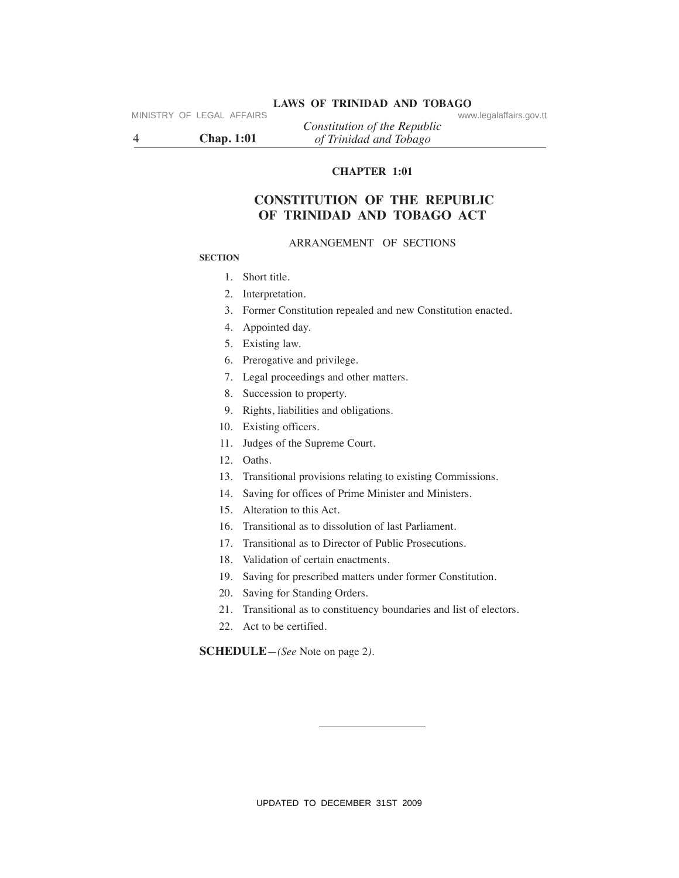# **LAWS OF TRINIDAD AND TOBAGO** www.legalaffairs.gov.tt

4 **Chap. 1:01** *of Trinidad and Tobago*

*Constitution of the Republic*

# **ChAPTeR 1:01**

# **CONSTITuTION OF The RePuBLIC OF TRINIDAD AND TOBAGO ACT** VINISTRY OF LEGAL AFFAIRS Constitution of the Republic CHAPTER 1.01<br>
CHAPTER 1.01<br>
CONSTITUTION OF THE REPUBLIC<br>
OF TRINIDAD AND TOBAGO ACT<br>
SECTION<br>
SECTION ARRANGEMENT OF SECTIONS<br>
SECTION<br>
1. Short title.<br>
2. Interpret

### ARRANGEMENT OF SECTIONS

### **SeCTION**

- 1. Short title.
- 2. Interpretation.
- 3. Former Constitution repealed and new Constitution enacted.
- 4. Appointed day.
- 5. Existing law.
- 6. Prerogative and privilege.
- 7. Legal proceedings and other matters.
- 8. Succession to property.
- 9. Rights, liabilities and obligations.
- 10. Existing officers.
- 11. Judges of the Supreme Court.
- 12. Oaths.
- 13. Transitional provisions relating to existing Commissions.
- 14. Saving for offices of Prime Minister and Ministers.
- 15. Alteration to this Act.
- 16. Transitional as to dissolution of last Parliament.
- 17. Transitional as to Director of Public Prosecutions.
- 18. Validation of certain enactments.
- 19. Saving for prescribed matters under former Constitution.
- 20. Saving for Standing Orders.
- 21. Transitional as to constituency boundaries and list of electors.
- 22. Act to be certified.

**SCheDuLe***—(See* Note on page 2*)*.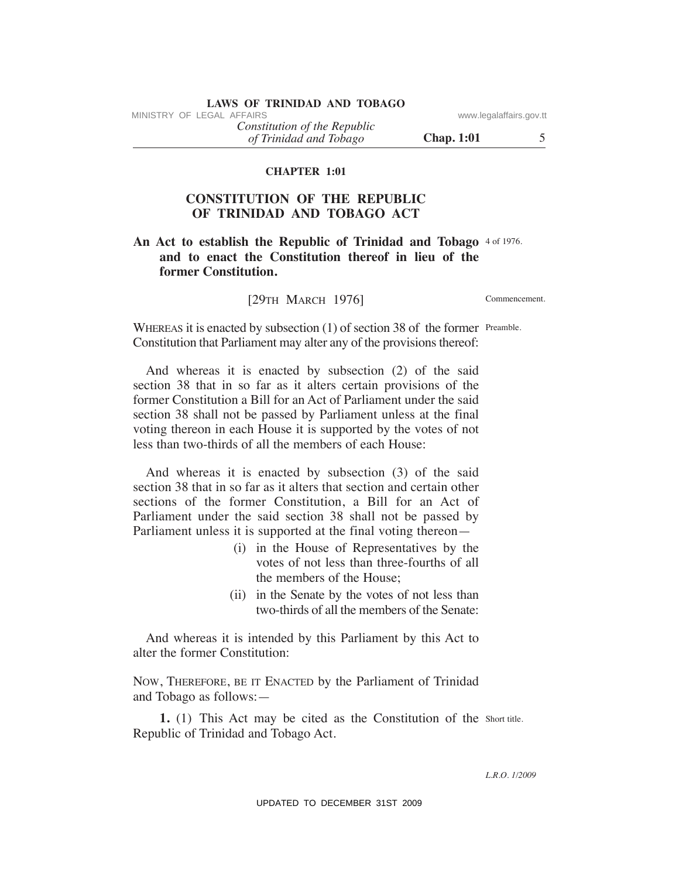# **LAWS OF TRINIDAD AND TOBAGO**<br>MINISTRY OF LEGAL AFFAIRS

*of Trinidad and Tobago Constitution of the Republic*

**Chap. 1:01** 5

# **ChAPTeR 1:01**

# **CONSTITuTION OF The RePuBLIC OF TRINIDAD AND TOBAGO ACT**

# An Act to establish the Republic of Trinidad and Tobago 4 of 1976. **and to enact the Constitution thereof in lieu of the former Constitution.**

[29TH MARCH 1976]

Commencement.

WHEREAS it is enacted by subsection  $(1)$  of section 38 of the former Preamble. Constitution that Parliament may alter any of the provisions thereof:

 And whereas it is enacted by subsection (2) of the said section 38 that in so far as it alters certain provisions of the former Constitution a Bill for an Act of Parliament under the said section 38 shall not be passed by Parliament unless at the final voting thereon in each House it is supported by the votes of not less than two-thirds of all the members of each House: MINISTRY OF LEGAL AFFAIRS:<br>
Constitution of the Republic<br>
of Trinulati and Tobago<br>
of Termidal and Tobago<br>
Chap. 1:01<br>
CONSTITUTION OF THE REPUBLIC<br>
OF TRINIDAD AND TODBAGO ACT<br>
An Act to establish the Republic of Trinida

 And whereas it is enacted by subsection (3) of the said section 38 that in so far as it alters that section and certain other sections of the former Constitution, a Bill for an Act of Parliament under the said section 38 shall not be passed by Parliament unless it is supported at the final voting thereon—

- (i) in the House of Representatives by the votes of not less than three-fourths of all the members of the House;
- (ii) in the Senate by the votes of not less than two-thirds of all the members of the Senate:

 And whereas it is intended by this Parliament by this Act to alter the former Constitution:

NOW, THEREFORE, BE IT ENACTED by the Parliament of Trinidad and Tobago as follows:—

**1.** (1) This Act may be cited as the Constitution of the Short title. Republic of Trinidad and Tobago Act.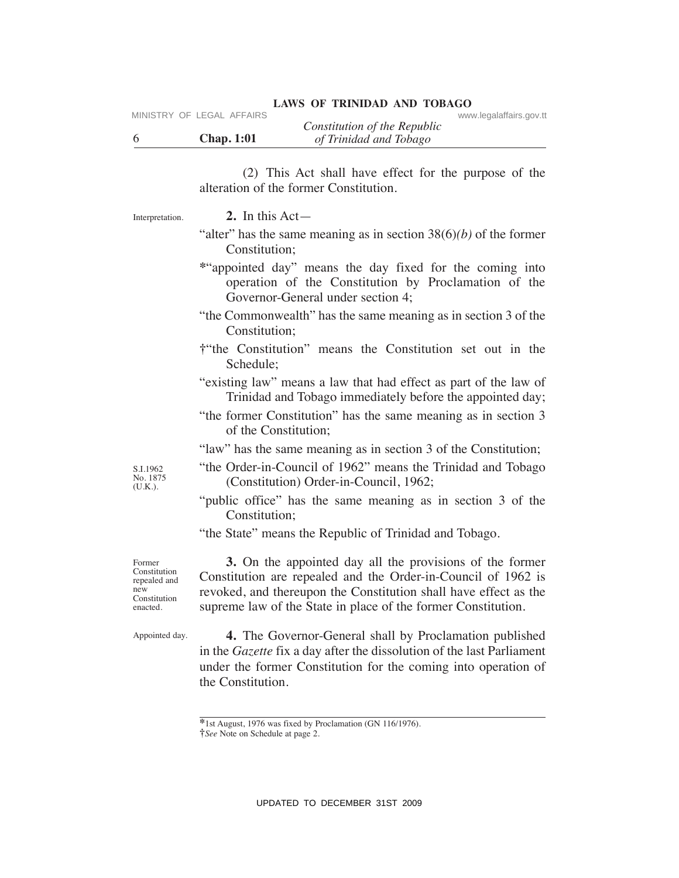# LAWS OF TRINIDAD AND TOBAGO<br>www.legalaffairs.gov.tt

|                   | Constitution of the Republic |  |
|-------------------|------------------------------|--|
| <b>Chap. 1:01</b> | of Trinidad and Tobago       |  |

| 6                                                                         | MINISTRY OF LEGAL AFFAIRS<br>www.legalaffairs.gov.tt<br>Constitution of the Republic<br><b>Chap. 1:01</b><br>of Trinidad and Tobago                                                                                                                            |
|---------------------------------------------------------------------------|----------------------------------------------------------------------------------------------------------------------------------------------------------------------------------------------------------------------------------------------------------------|
|                                                                           | (2) This Act shall have effect for the purpose of the<br>alteration of the former Constitution.                                                                                                                                                                |
| Interpretation.                                                           | 2. In this $Act-$                                                                                                                                                                                                                                              |
|                                                                           | "alter" has the same meaning as in section $38(6)(b)$ of the former<br>Constitution;                                                                                                                                                                           |
|                                                                           | *"appointed day" means the day fixed for the coming into<br>operation of the Constitution by Proclamation of the<br>Governor-General under section 4;                                                                                                          |
|                                                                           | "the Commonwealth" has the same meaning as in section 3 of the<br>Constitution;                                                                                                                                                                                |
|                                                                           | t the Constitution" means the Constitution set out in the<br>Schedule;                                                                                                                                                                                         |
|                                                                           | "existing law" means a law that had effect as part of the law of<br>Trinidad and Tobago immediately before the appointed day;                                                                                                                                  |
|                                                                           | "the former Constitution" has the same meaning as in section 3<br>of the Constitution;                                                                                                                                                                         |
| S.I.1962<br>No. 1875<br>(U.K.).                                           | "law" has the same meaning as in section 3 of the Constitution;<br>"the Order-in-Council of 1962" means the Trinidad and Tobago<br>(Constitution) Order-in-Council, 1962;                                                                                      |
|                                                                           | "public office" has the same meaning as in section 3 of the<br>Constitution;                                                                                                                                                                                   |
|                                                                           | "the State" means the Republic of Trinidad and Tobago.                                                                                                                                                                                                         |
| Former<br>Constitution<br>repealed and<br>new<br>Constitution<br>enacted. | 3. On the appointed day all the provisions of the former<br>Constitution are repealed and the Order-in-Council of 1962 is<br>revoked, and thereupon the Constitution shall have effect as the<br>supreme law of the State in place of the former Constitution. |
| Appointed day.                                                            | 4. The Governor-General shall by Proclamation published<br>in the Gazette fix a day after the dissolution of the last Parliament<br>under the former Constitution for the coming into operation of<br>the Constitution.                                        |
|                                                                           | *1st August, 1976 was fixed by Proclamation (GN 116/1976).<br><i>i</i> See Note on Schedule at page 2.                                                                                                                                                         |
|                                                                           |                                                                                                                                                                                                                                                                |
|                                                                           | UPDATED TO DECEMBER 31ST 2009                                                                                                                                                                                                                                  |

**<sup>\*</sup>**1st August, 1976 was fixed by Proclamation (GN 116/1976).

**<sup>†</sup>***See* Note on Schedule at page 2.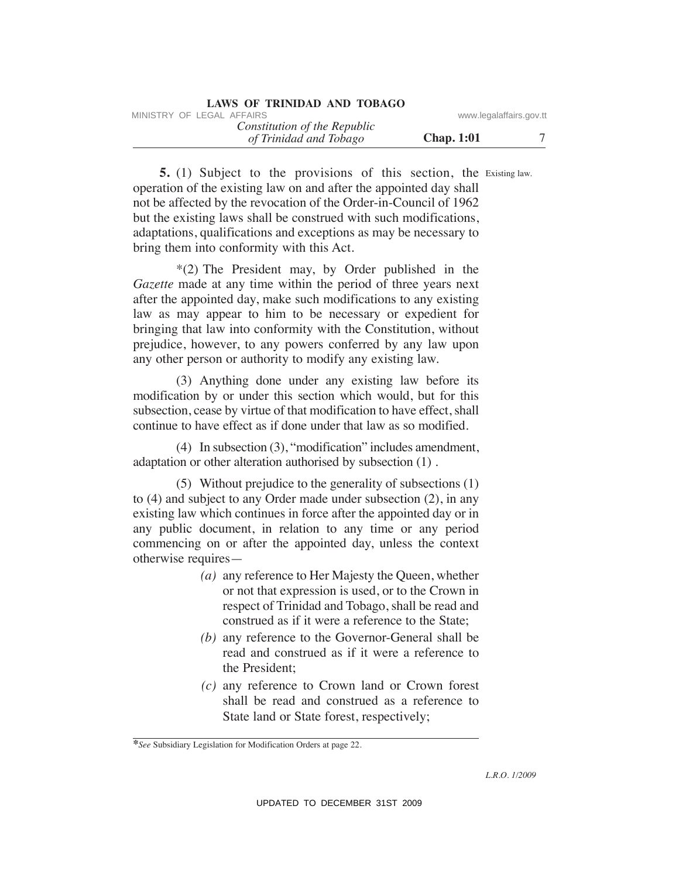|  | LAWS OF TRINIDAD AND TOBAGO |  |  |
|--|-----------------------------|--|--|
|--|-----------------------------|--|--|

| MINISTRY OF LEGAL AFFAIRS    | www.legalaffairs.gov.tt |  |
|------------------------------|-------------------------|--|
| Constitution of the Republic |                         |  |
| of Trinidad and Tobago       | <b>Chap.</b> 1:01       |  |

**5.** (1) Subject to the provisions of this section, the Existing law. operation of the existing law on and after the appointed day shall not be affected by the revocation of the Order-in-Council of 1962 but the existing laws shall be construed with such modifications, adaptations, qualifications and exceptions as may be necessary to bring them into conformity with this Act.

 \*(2) The President may, by Order published in the *Gazette* made at any time within the period of three years next after the appointed day, make such modifications to any existing law as may appear to him to be necessary or expedient for bringing that law into conformity with the Constitution, without prejudice, however, to any powers conferred by any law upon any other person or authority to modify any existing law. WHETENY OF LEGAL AFFAIRS of the Republic www.legalaffairs.gov.tt<br>
(f Trindial and Tabago<br>
of Trindial and Tabago<br>
S. (1) Subject to the provisions of this section, the Existing law<br>
operation of the Costing law on and aft

 (3) Anything done under any existing law before its modification by or under this section which would, but for this subsection, cease by virtue of that modification to have effect, shall continue to have effect as if done under that law as so modified.

 (4) In subsection (3), "modification" includes amendment, adaptation or other alteration authorised by subsection (1) .

 (5) Without prejudice to the generality of subsections (1) to (4) and subject to any Order made under subsection (2), in any existing law which continues in force after the appointed day or in any public document, in relation to any time or any period commencing on or after the appointed day, unless the context otherwise requires—

- *(a)* any reference to Her Majesty the Queen, whether or not that expression is used, or to the Crown in respect of Trinidad and Tobago, shall be read and construed as if it were a reference to the State;
- *(b)* any reference to the Governor-General shall be read and construed as if it were a reference to the President;
- *(c)* any reference to Crown land or Crown forest shall be read and construed as a reference to State land or State forest, respectively;

**<sup>\*</sup>***See* Subsidiary Legislation for Modification Orders at page 22.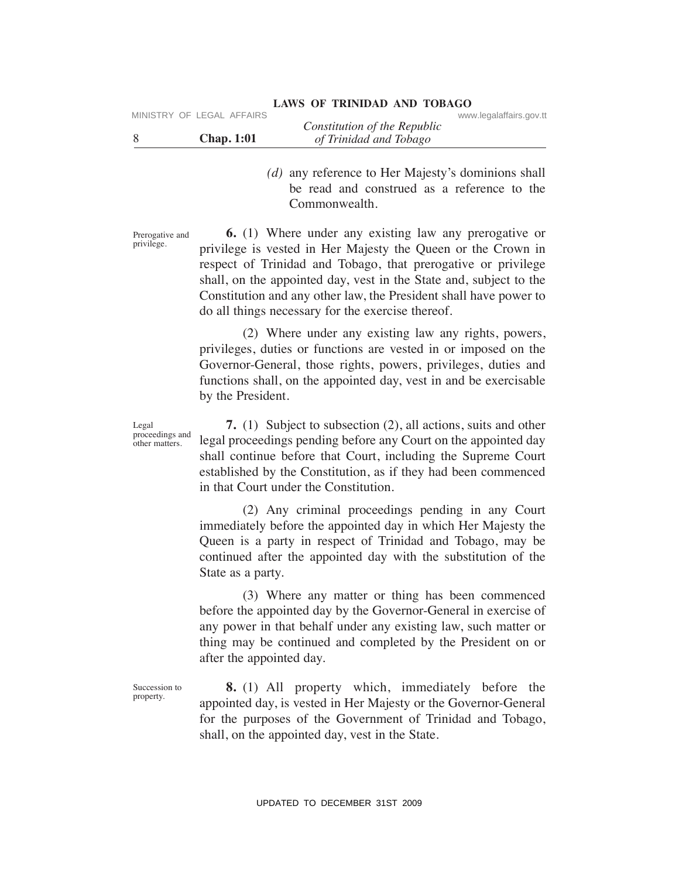| MINISTRY OF LEGAL AFFAIRS | Constitution of the Republic | www.legalaffairs.gov.tt |
|---------------------------|------------------------------|-------------------------|
| <b>Chap.</b> 1:01         | of Trinidad and Tobago       |                         |

 *(d)* any reference to Her Majesty's dominions shall be read and construed as a reference to the Commonwealth.

Prerogative and privilege.

 **6.** (1) Where under any existing law any prerogative or privilege is vested in Her Majesty the Queen or the Crown in respect of Trinidad and Tobago, that prerogative or privilege shall, on the appointed day, vest in the State and, subject to the Constitution and any other law, the President shall have power to do all things necessary for the exercise thereof. VINESTRY OF LEGAL AFFAIRS Constitution of the Republic of the Separation of the Majesty's dominions shall<br>
31 SUP any release to the Majesty's dominions shall<br>
be read and constructe to the Majesty is dominions shall<br>
be

**LAWS OF TRINIDAD AND TOBAGO**

 (2) Where under any existing law any rights, powers, privileges, duties or functions are vested in or imposed on the Governor-General, those rights, powers, privileges, duties and functions shall, on the appointed day, vest in and be exercisable by the President.

 **7.** (1) Subject to subsection (2), all actions, suits and other legal proceedings pending before any Court on the appointed day shall continue before that Court, including the Supreme Court established by the Constitution, as if they had been commenced in that Court under the Constitution.

 (2) Any criminal proceedings pending in any Court immediately before the appointed day in which Her Majesty the Queen is a party in respect of Trinidad and Tobago, may be continued after the appointed day with the substitution of the State as a party.

 (3) Where any matter or thing has been commenced before the appointed day by the Governor-General in exercise of any power in that behalf under any existing law, such matter or thing may be continued and completed by the President on or after the appointed day.

Succession to property.

 **8.** (1) All property which, immediately before the appointed day, is vested in Her Majesty or the Governor-General for the purposes of the Government of Trinidad and Tobago, shall, on the appointed day, vest in the State.

Legal proceedings and

other matters.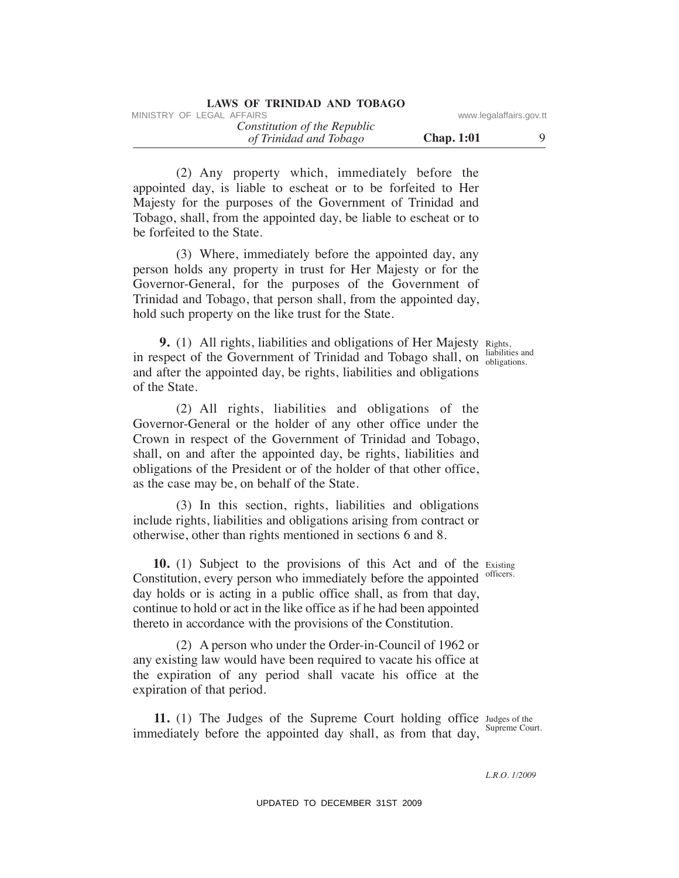| LAWS OF TRINIDAD AND TOBAGO |  |  |  |  |  |
|-----------------------------|--|--|--|--|--|
|-----------------------------|--|--|--|--|--|

| MINISTRY OF LEGAL AFFAIRS |  |                              |                   | www.legalaffairs.gov.tt |  |
|---------------------------|--|------------------------------|-------------------|-------------------------|--|
|                           |  | Constitution of the Republic |                   |                         |  |
|                           |  | of Trinidad and Tobago       | <b>Chap.</b> 1:01 |                         |  |

 (2) Any property which, immediately before the appointed day, is liable to escheat or to be forfeited to Her Majesty for the purposes of the Government of Trinidad and Tobago, shall, from the appointed day, be liable to escheat or to be forfeited to the State.

 (3) Where, immediately before the appointed day, any person holds any property in trust for Her Majesty or for the Governor-General, for the purposes of the Government of Trinidad and Tobago, that person shall, from the appointed day, hold such property on the like trust for the State.

**9.** (1) All rights, liabilities and obligations of Her Majesty Rights, in respect of the Government of Trinidad and Tobago shall, on biliabilities and and after the appointed day, be rights, liabilities and obligations of the State.

 (2) All rights, liabilities and obligations of the Governor-General or the holder of any other office under the Crown in respect of the Government of Trinidad and Tobago, shall, on and after the appointed day, be rights, liabilities and obligations of the President or of the holder of that other office, as the case may be, on behalf of the State. Whether the Look Learning of the Republic sum summation of the Republic summation of Trimidal and Tobago comparison to the continuous control day, is liable to exchant or to be forficied to Her appointed day, is liable to

 (3) In this section, rights, liabilities and obligations include rights, liabilities and obligations arising from contract or otherwise, other than rights mentioned in sections 6 and 8.

**10.** (1) Subject to the provisions of this Act and of the Existing Constitution, every person who immediately before the appointed day holds or is acting in a public office shall, as from that day, continue to hold or act in the like office as if he had been appointed thereto in accordance with the provisions of the Constitution. officers.

 (2) A person who under the Order-in-Council of 1962 or any existing law would have been required to vacate his office at the expiration of any period shall vacate his office at the expiration of that period.

**11.** (1) The Judges of the Supreme Court holding office Judges of the immediately before the appointed day shall, as from that day, Supreme Court.

obligations.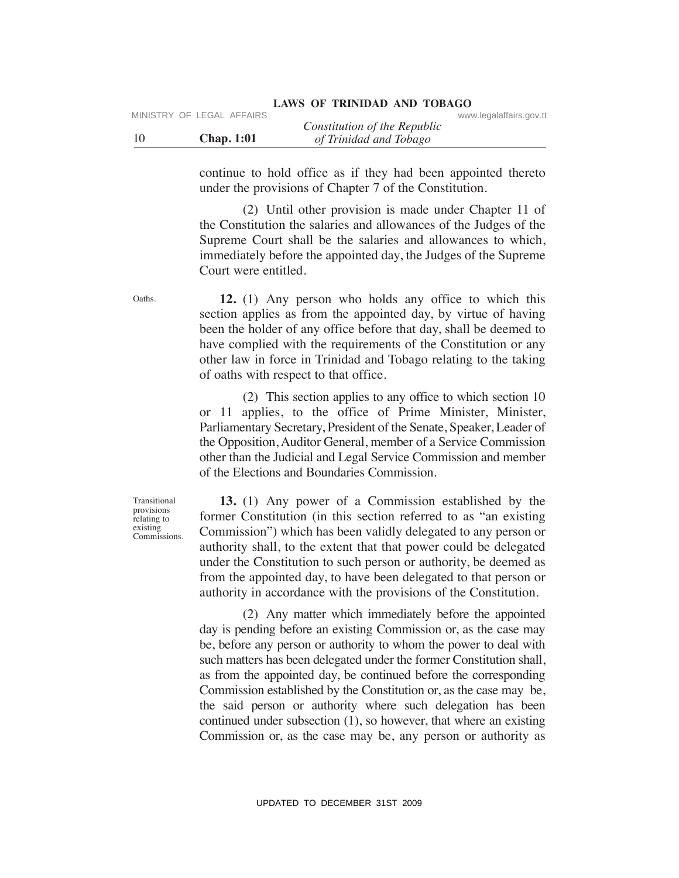|                   |                              | www.iogaianano.gov.u |
|-------------------|------------------------------|----------------------|
|                   | Constitution of the Republic |                      |
| <b>Chap.</b> 1:01 | of Trinidad and Tobago       |                      |

continue to hold office as if they had been appointed thereto under the provisions of Chapter 7 of the Constitution.

 (2) Until other provision is made under Chapter 11 of the Constitution the salaries and allowances of the Judges of the Supreme Court shall be the salaries and allowances to which, immediately before the appointed day, the Judges of the Supreme Court were entitled.

 **12.** (1) Any person who holds any office to which this section applies as from the appointed day, by virtue of having been the holder of any office before that day, shall be deemed to have complied with the requirements of the Constitution or any other law in force in Trinidad and Tobago relating to the taking of oaths with respect to that office.

 (2) This section applies to any office to which section 10 or 11 applies, to the office of Prime Minister, Minister, Parliamentary Secretary, President of the Senate, Speaker, Leader of the Opposition, Auditor General, member of a Service Commission other than the Judicial and Legal Service Commission and member of the Elections and Boundaries Commission.

Transitional provisions relating to existing Commissions.

 **13.** (1) Any power of a Commission established by the former Constitution (in this section referred to as "an existing Commission") which has been validly delegated to any person or authority shall, to the extent that that power could be delegated under the Constitution to such person or authority, be deemed as from the appointed day, to have been delegated to that person or authority in accordance with the provisions of the Constitution.

 (2) Any matter which immediately before the appointed day is pending before an existing Commission or, as the case may be, before any person or authority to whom the power to deal with such matters has been delegated under the former Constitution shall, as from the appointed day, be continued before the corresponding Commission established by the Constitution or, as the case may be, the said person or authority where such delegation has been continued under subsection (1), so however, that where an existing Commission or, as the case may be, any person or authority as MHETHY OF LEGAL AFFAIRS<br>
10 Chap. 1:0<br>
16 Constitution of the Republic<br>
2011 Chap. 2:0<br>
18 Constitution and Thinge in the provision of Chapter 7 of the Constitution.<br>
10 Chapter 7 of the Constitution.<br>
10 Chapter 2:0 Unil

Oaths.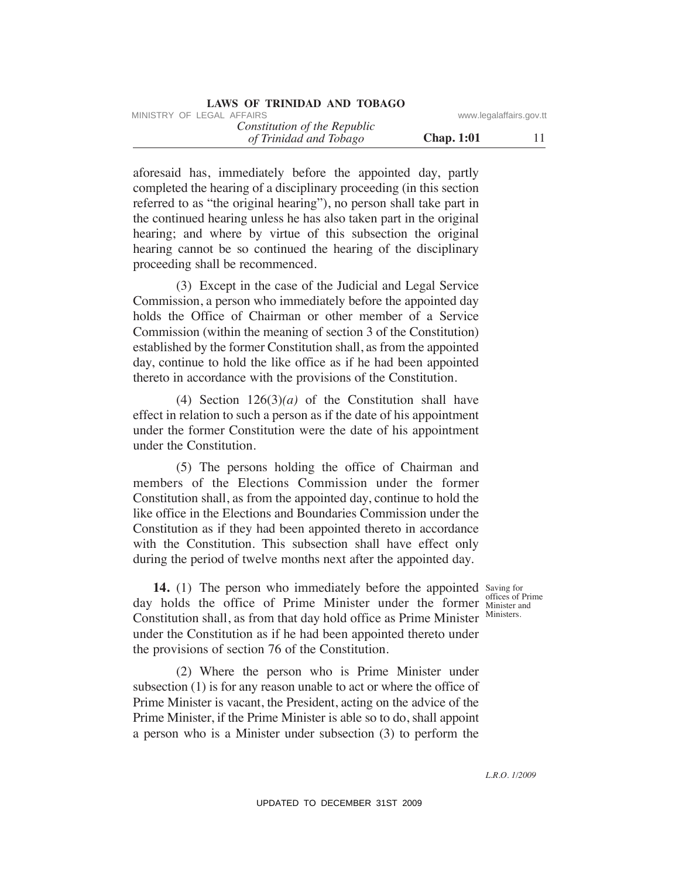| MINISTRY OF LEGAL AFFAIRS    | www.legalaffairs.gov.tt |
|------------------------------|-------------------------|
| Constitution of the Republic |                         |
| of Trinidad and Tobago       | <b>Chap.</b> 1:01       |

aforesaid has, immediately before the appointed day, partly completed the hearing of a disciplinary proceeding (in this section referred to as "the original hearing"), no person shall take part in the continued hearing unless he has also taken part in the original hearing; and where by virtue of this subsection the original hearing cannot be so continued the hearing of the disciplinary proceeding shall be recommenced.

 (3) Except in the case of the Judicial and Legal Service Commission, a person who immediately before the appointed day holds the Office of Chairman or other member of a Service Commission (within the meaning of section 3 of the Constitution) established by the former Constitution shall, as from the appointed day, continue to hold the like office as if he had been appointed thereto in accordance with the provisions of the Constitution. VINESTRY OF LEGAL AFFAIRS:<br> *OF Kentilation of the Republic* **Constitution of the Republic Constitution** (*H* composited the kneaming of a disselpinary proceeding (in this section<br>
adoressid has, immediately before the ap

 (4) Section 126(3)*(a)* of the Constitution shall have effect in relation to such a person as if the date of his appointment under the former Constitution were the date of his appointment under the Constitution.

 (5) The persons holding the office of Chairman and members of the Elections Commission under the former Constitution shall, as from the appointed day, continue to hold the like office in the Elections and Boundaries Commission under the Constitution as if they had been appointed thereto in accordance with the Constitution. This subsection shall have effect only during the period of twelve months next after the appointed day.

**14.** (1) The person who immediately before the appointed Saving for day holds the office of Prime Minister under the former Minister and Constitution shall, as from that day hold office as Prime Minister Ministers. under the Constitution as if he had been appointed thereto under the provisions of section 76 of the Constitution.

 (2) Where the person who is Prime Minister under subsection (1) is for any reason unable to act or where the office of Prime Minister is vacant, the President, acting on the advice of the Prime Minister, if the Prime Minister is able so to do, shall appoint a person who is a Minister under subsection (3) to perform the

offices of Prime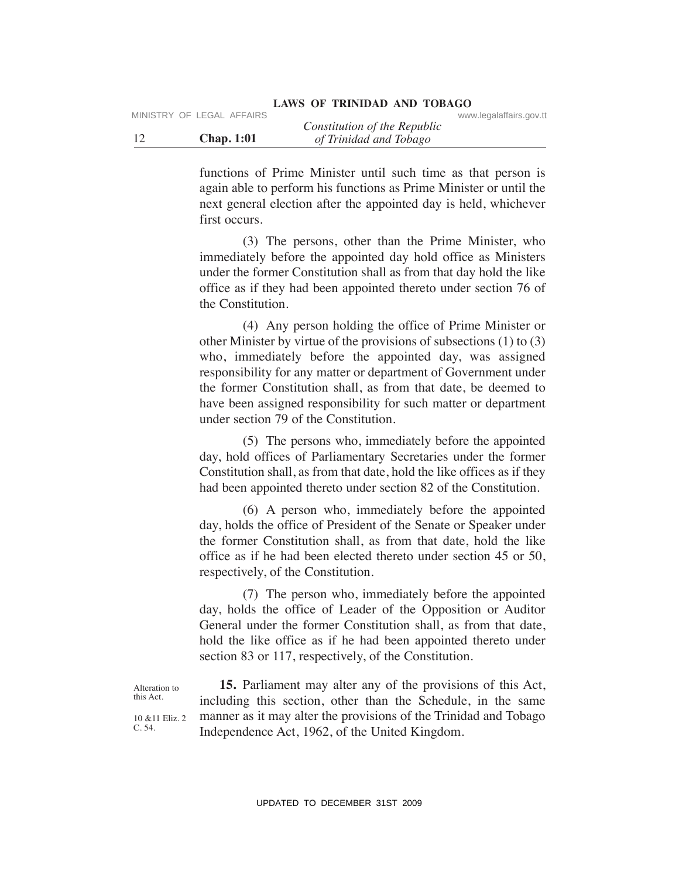|                   | Constitution of the Republic | www.nogalanano.gov.u |
|-------------------|------------------------------|----------------------|
| <b>Chap. 1:01</b> | of Trinidad and Tobago       |                      |

functions of Prime Minister until such time as that person is again able to perform his functions as Prime Minister or until the next general election after the appointed day is held, whichever first occurs.

 (3) The persons, other than the Prime Minister, who immediately before the appointed day hold office as Ministers under the former Constitution shall as from that day hold the like office as if they had been appointed thereto under section 76 of the Constitution.

 (4) Any person holding the office of Prime Minister or other Minister by virtue of the provisions of subsections (1) to (3) who, immediately before the appointed day, was assigned responsibility for any matter or department of Government under the former Constitution shall, as from that date, be deemed to have been assigned responsibility for such matter or department under section 79 of the Constitution. MHETHY OF LEGAL AFFAIRS Constitution of the Republic Constitution of the Republic Constrains and the constrains and the server and increase the person is again able to perform his functions as Prime Minister or until the

 (5) The persons who, immediately before the appointed day, hold offices of Parliamentary Secretaries under the former Constitution shall, as from that date, hold the like offices as if they had been appointed thereto under section 82 of the Constitution.

 (6) A person who, immediately before the appointed day, holds the office of President of the Senate or Speaker under the former Constitution shall, as from that date, hold the like office as if he had been elected thereto under section 45 or 50, respectively, of the Constitution.

 (7) The person who, immediately before the appointed day, holds the office of Leader of the Opposition or Auditor General under the former Constitution shall, as from that date, hold the like office as if he had been appointed thereto under section 83 or 117, respectively, of the Constitution.

Alteration to this Act.

10 &11 Eliz. 2 C. 54.

 **15.** Parliament may alter any of the provisions of this Act, including this section, other than the Schedule, in the same manner as it may alter the provisions of the Trinidad and Tobago Independence Act, 1962, of the United Kingdom.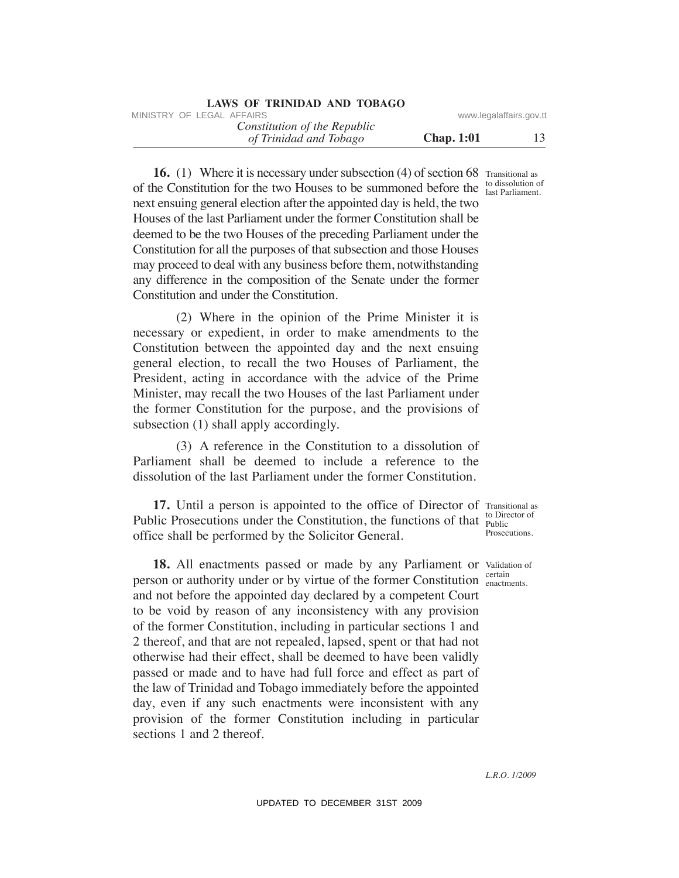| LAWS OF TRINIDAD AND TOBAGO |  |
|-----------------------------|--|
|-----------------------------|--|

| MINISTRY OF LEGAL AFFAIRS    | www.legalaffairs.gov.tt |  |
|------------------------------|-------------------------|--|
| Constitution of the Republic |                         |  |
| of Trinidad and Tobago       | <b>Chap.</b> 1:01       |  |

**16.** (1) Where it is necessary under subsection (4) of section 68 Transitional as of the Constitution for the two Houses to be summoned before the  $\frac{\text{to dissolution of}}{\text{last Parliament}}$ . next ensuing general election after the appointed day is held, the two Houses of the last Parliament under the former Constitution shall be deemed to be the two Houses of the preceding Parliament under the Constitution for all the purposes of that subsection and those Houses may proceed to deal with any business before them, notwithstanding any difference in the composition of the Senate under the former Constitution and under the Constitution.

 (2) Where in the opinion of the Prime Minister it is necessary or expedient, in order to make amendments to the Constitution between the appointed day and the next ensuing general election, to recall the two Houses of Parliament, the President, acting in accordance with the advice of the Prime Minister, may recall the two Houses of the last Parliament under the former Constitution for the purpose, and the provisions of subsection (1) shall apply accordingly.

 (3) A reference in the Constitution to a dissolution of Parliament shall be deemed to include a reference to the dissolution of the last Parliament under the former Constitution.

**17.** Until a person is appointed to the office of Director of Transitional as Public Prosecutions under the Constitution, the functions of that  $_{\text{Public}}^{\text{1D-III}}$ office shall be performed by the Solicitor General. to Director of Prosecutions.

18. All enactments passed or made by any Parliament or Validation of person or authority under or by virtue of the former Constitution enactment and not before the appointed day declared by a competent Court to be void by reason of any inconsistency with any provision of the former Constitution, including in particular sections 1 and 2 thereof, and that are not repealed, lapsed, spent or that had not otherwise had their effect, shall be deemed to have been validly passed or made and to have had full force and effect as part of the law of Trinidad and Tobago immediately before the appointed day, even if any such enactments were inconsistent with any provision of the former Constitution including in particular sections 1 and 2 thereof. MHETHY OF LEGAL AFFAIRS:<br>
UPDATENT of *Constitution of the Republic* (section (4) of section 68 Transical as<br>
16. (1) Where it is necessary under subsection (4) of section 68 Transical as<br>
16. (1) Where it is necessary un

last Parliament.

enactments.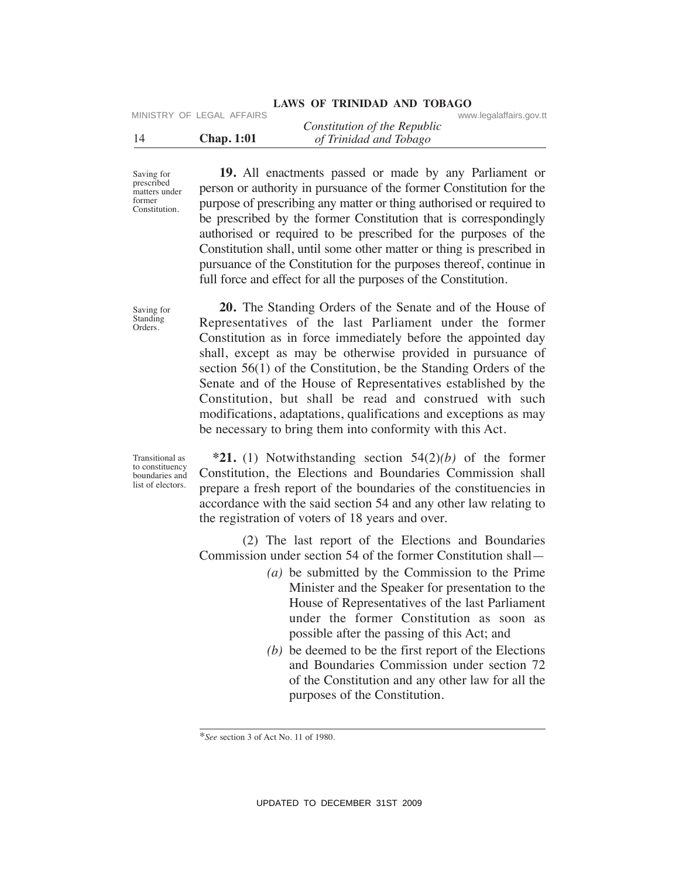# LAWS OF TRINIDAD AND TOBAGO<br>www.legalaffairs.gov.tt

|                   | Constitution of the Republic |  |
|-------------------|------------------------------|--|
| <b>Chap.</b> 1:01 | of Trinidad and Tobago       |  |

Saving for prescribed matters under former **Constitution** 

Saving for Standing Orders.

 **19.** All enactments passed or made by any Parliament or person or authority in pursuance of the former Constitution for the purpose of prescribing any matter or thing authorised or required to be prescribed by the former Constitution that is correspondingly authorised or required to be prescribed for the purposes of the Constitution shall, until some other matter or thing is prescribed in pursuance of the Constitution for the purposes thereof, continue in full force and effect for all the purposes of the Constitution.

 **20.** The Standing Orders of the Senate and of the House of Representatives of the last Parliament under the former Constitution as in force immediately before the appointed day shall, except as may be otherwise provided in pursuance of section 56(1) of the Constitution, be the Standing Orders of the Senate and of the House of Representatives established by the Constitution, but shall be read and construed with such modifications, adaptations, qualifications and exceptions as may be necessary to bring them into conformity with this Act. MHETHY OF LEGAL AFFAIRS<br>
Constitution of the Republic<br>
Chap. 1:01<br>
Chap. 1:01<br>
Chap. 2:01<br>
Samples Chapel Data Tributed and Tribuge<br>
Samples Chapel Data Handelments passed or made by any Parliament of<br>
New Section of auth

Transitional as to constituency boundaries and list of electors.

 **\*21.** (1) Notwithstanding section 54(2)*(b)* of the former Constitution, the Elections and Boundaries Commission shall prepare a fresh report of the boundaries of the constituencies in accordance with the said section 54 and any other law relating to the registration of voters of 18 years and over.

 (2) The last report of the Elections and Boundaries Commission under section 54 of the former Constitution shall—

- *(a)* be submitted by the Commission to the Prime Minister and the Speaker for presentation to the House of Representatives of the last Parliament under the former Constitution as soon as possible after the passing of this Act; and
- *(b)* be deemed to be the first report of the Elections and Boundaries Commission under section 72 of the Constitution and any other law for all the purposes of the Constitution.

<sup>\*</sup>*See* section 3 of Act No. 11 of 1980.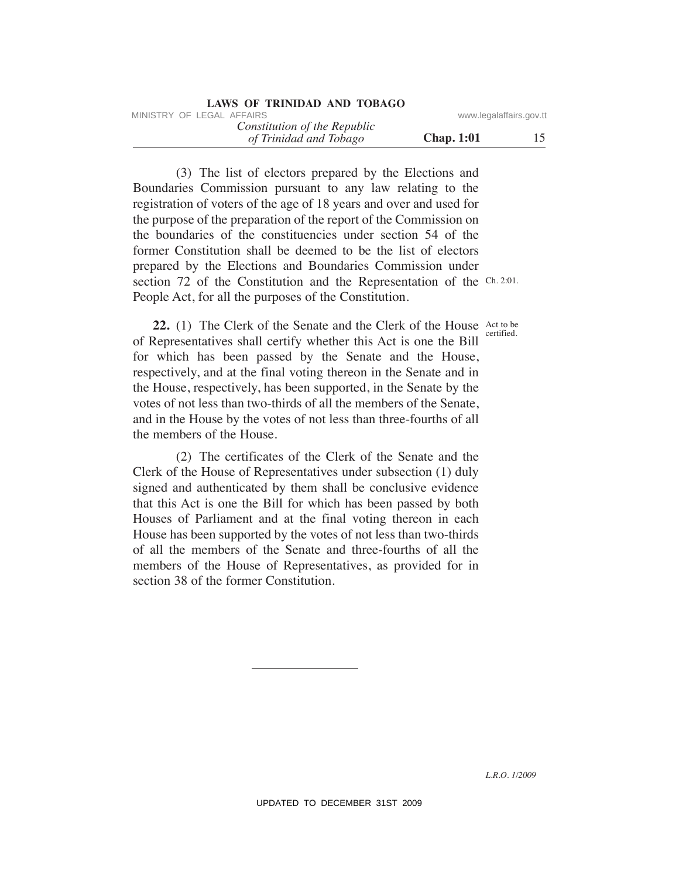| LAWS OF TRINIDAD AND TOBAGO                            |                         |    |
|--------------------------------------------------------|-------------------------|----|
| MINISTRY OF LEGAL AFFAIRS                              | www.legalaffairs.gov.tt |    |
| Constitution of the Republic<br>of Trinidad and Tobago | <b>Chap.</b> 1:01       | 15 |

 (3) The list of electors prepared by the Elections and Boundaries Commission pursuant to any law relating to the registration of voters of the age of 18 years and over and used for the purpose of the preparation of the report of the Commission on the boundaries of the constituencies under section 54 of the former Constitution shall be deemed to be the list of electors prepared by the Elections and Boundaries Commission under section 72 of the Constitution and the Representation of the Ch. 2:01. People Act, for all the purposes of the Constitution. WHETENY OF LEGAL AFFAIRS<br>
(d) Trinulad and Tabago<br>
(d) Trinulad and Tabago<br>
(d) Trinulad and Tabago<br>
(3) The list of electrons properties by the Electrons and<br>
Boundaries Commission pursuant to any law relating to the<br>
Bo

**22.** (1) The Clerk of the Senate and the Clerk of the House Act to be of Representatives shall certify whether this Act is one the Bill for which has been passed by the Senate and the House, respectively, and at the final voting thereon in the Senate and in the House, respectively, has been supported, in the Senate by the votes of not less than two-thirds of all the members of the Senate, and in the House by the votes of not less than three-fourths of all the members of the House. certified.

 (2) The certificates of the Clerk of the Senate and the Clerk of the House of Representatives under subsection (1) duly signed and authenticated by them shall be conclusive evidence that this Act is one the Bill for which has been passed by both Houses of Parliament and at the final voting thereon in each House has been supported by the votes of not less than two-thirds of all the members of the Senate and three-fourths of all the members of the House of Representatives, as provided for in section 38 of the former Constitution.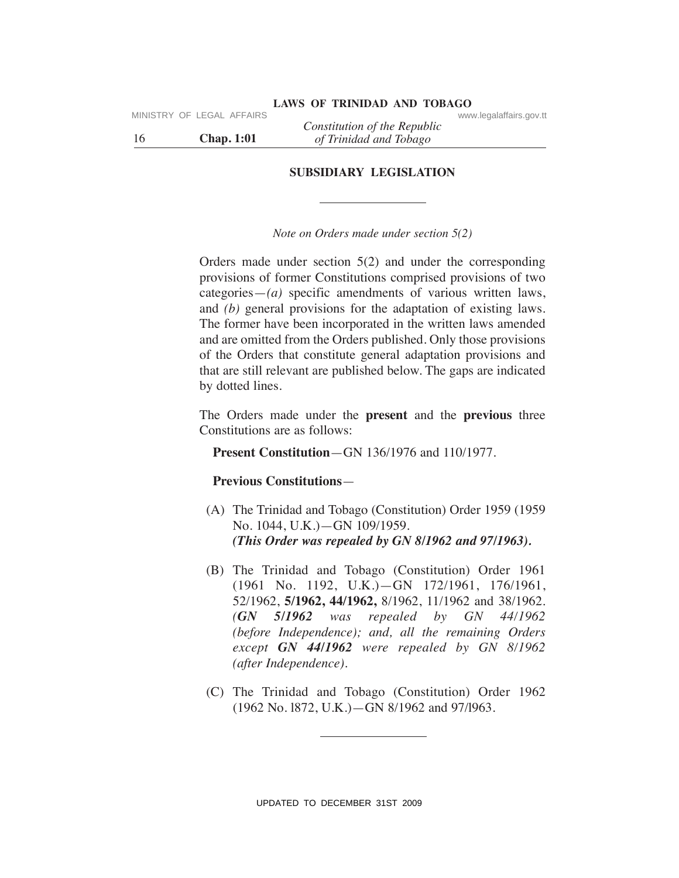16 **Chap. 1:01** *of Trinidad and Tobago Constitution of the Republic*

**SuBSIDIARY LeGISLATION**

# *Note on Orders made under section 5(2)*

Orders made under section 5(2) and under the corresponding provisions of former Constitutions comprised provisions of two categories—*(a)* specific amendments of various written laws, and *(b)* general provisions for the adaptation of existing laws. The former have been incorporated in the written laws amended and are omitted from the Orders published. Only those provisions of the Orders that constitute general adaptation provisions and that are still relevant are published below. The gaps are indicated by dotted lines. MINISTRY OF LEGAL AFFAIRS Constitution of the Republic conversion of the Republic Chap. 1:01 of Trinidad and Tobago SUBSIDIARY LEGISLATION Sole on Orders made under rection 5(2) Orders made under the constrained to the co

The Orders made under the **present** and the **previous** three Constitutions are as follows:

# **Present Constitution**—GN 136/1976 and 110/1977.

# **Previous Constitutions**—

- (A) The Trinidad and Tobago (Constitution) Order 1959 (1959 No. 1044, U.K.)—GN 109/1959. *(This Order was repealed by GN 8/1962 and 97/1963).*
- (B) The Trinidad and Tobago (Constitution) Order 1961 (1961 No. 1192, U.K.)—GN 172/1961, 176/1961, 52/1962, **5/1962, 44/1962,** 8/1962, 11/1962 and 38/1962. *(GN 5/1962 was repealed by GN 44/1962 (before Independence); and, all the remaining Orders except GN 44/1962 were repealed by GN 8/1962 (after Independence).*
- (C) The Trinidad and Tobago (Constitution) Order 1962 (1962 No. l872, U.K.)—GN 8/1962 and 97/l963.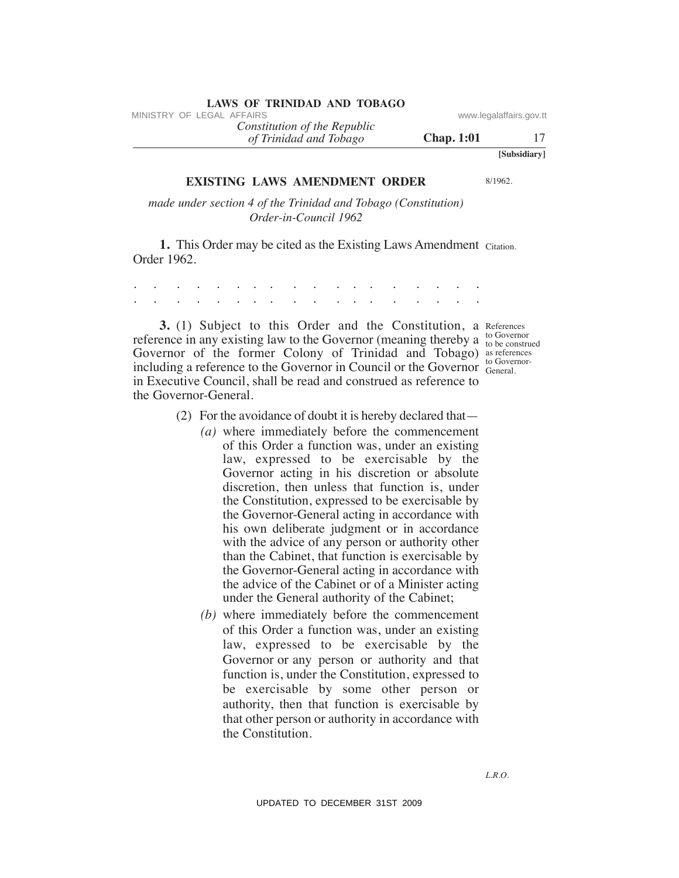# **LAWS OF TRINIDAD AND TOBAGO**<br>MINISTRY OF LEGAL AFFAIRS

*of Trinidad and Tobago Constitution of the Republic*

*L.R.O.*

**eXISTING LAWS AMeNDMeNT ORDeR** 

*made under section 4 of the Trinidad and Tobago (Constitution) Order-in-Council 1962*

**1.** This Order may be cited as the Existing Laws Amendment Citation. Order 1962.

. . . . . . . . . . . . . . . . . . . . . . . . . . . . . . . . . . . .

**3.** (1) Subject to this Order and the Constitution, a References reference in any existing law to the Governor (meaning thereby a  $_{\text{to be constructed}}^{to \text{ Government}}$ Governor of the former Colony of Trinidad and Tobago) as references including a reference to the Governor in Council or the Governor General. in Executive Council, shall be read and construed as reference to the Governor-General.

- (2) For the avoidance of doubt it is hereby declared that—
- *(a)* where immediately before the commencement of this Order a function was, under an existing law, expressed to be exercisable by the Governor acting in his discretion or absolute discretion, then unless that function is, under the Constitution, expressed to be exercisable by the Governor-General acting in accordance with his own deliberate judgment or in accordance with the advice of any person or authority other than the Cabinet, that function is exercisable by the Governor-General acting in accordance with the advice of the Cabinet or of a Minister acting under the General authority of the Cabinet; VINESTRY OF LEGAL AFFAIRS<br>
(*of Trindial and Tabago*<br>
(*of Trindial and Tabago*<br>
(*Of Trindial and Tabago*<br>
ISONIFING LAWS AMENDMENT ORDER 81982.<br>
made under section 4 of the Frindial and Tabago (*Constitution*)<br>
Tabago (
	- *(b)* where immediately before the commencement of this Order a function was, under an existing law, expressed to be exercisable by the Governor or any person or authority and that function is, under the Constitution, expressed to be exercisable by some other person or authority, then that function is exercisable by that other person or authority in accordance with the Constitution.

to Governor to Governor-

**Chap. 1:01** 17

**[Subsidiary]**

8/1962.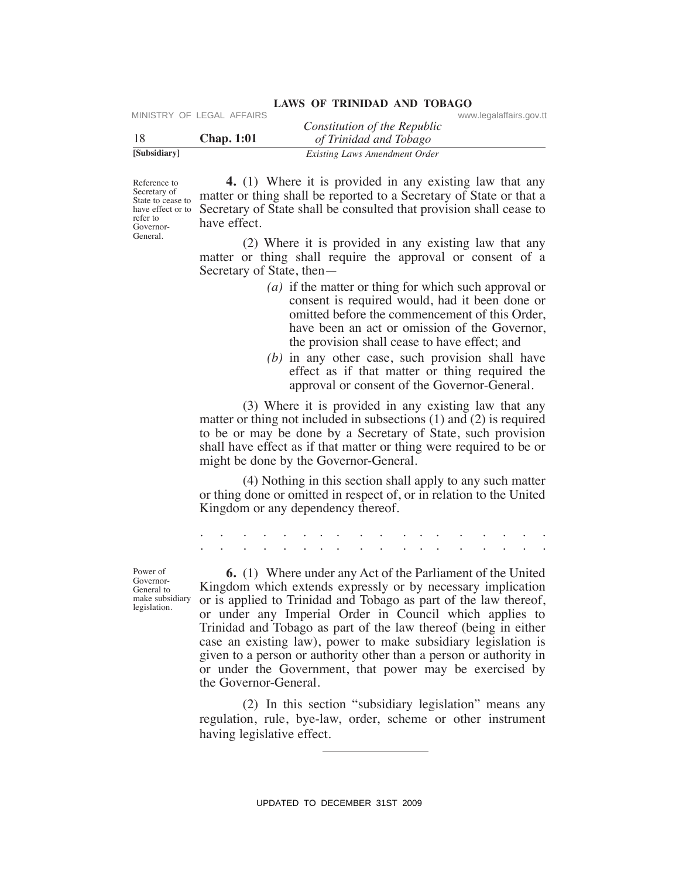| [Subsidiary] |                             | Existing Laws Amendment Order |                         |  |
|--------------|-----------------------------|-------------------------------|-------------------------|--|
|              | <b>Chap.</b> 1:01           | of Trinidad and Tobago        |                         |  |
|              |                             | Constitution of the Republic  |                         |  |
|              | IVIINISTRY UF LEGAL AFFAIRS |                               | www.legalarialrs.gov.tt |  |

Reference to State to cease to refer to Governor-General.

 **4.** (1) Where it is provided in any existing law that any Secretary of matter or thing shall be reported to a Secretary of State or that a have effect or to Secretary of State shall be consulted that provision shall cease to have effect.

**LAWS OF TRINIDAD AND TOBAGO**

 (2) Where it is provided in any existing law that any matter or thing shall require the approval or consent of a Secretary of State, then—

- *(a)* if the matter or thing for which such approval or consent is required would, had it been done or omitted before the commencement of this Order, have been an act or omission of the Governor, the provision shall cease to have effect; and
- *(b)* in any other case, such provision shall have effect as if that matter or thing required the approval or consent of the Governor-General.

 (3) Where it is provided in any existing law that any matter or thing not included in subsections (1) and (2) is required to be or may be done by a Secretary of State, such provision shall have effect as if that matter or thing were required to be or might be done by the Governor-General.

 (4) Nothing in this section shall apply to any such matter or thing done or omitted in respect of, or in relation to the United Kingdom or any dependency thereof.

. . . . . . . . . . . . . . . . . . . . . . . . . . . . . . . . . . . .

Power of Governor-General to make subsidiary legislation.

 **6.** (1) Where under any Act of the Parliament of the United Kingdom which extends expressly or by necessary implication or is applied to Trinidad and Tobago as part of the law thereof, or under any Imperial Order in Council which applies to Trinidad and Tobago as part of the law thereof (being in either case an existing law), power to make subsidiary legislation is given to a person or authority other than a person or authority in or under the Government, that power may be exercised by the Governor-General. VIRENT CONSULTERT CONSULTERT CONSULTERT CONSULTERT CONSULTERT CONSULTED TRIGGAL THE CONSULTERT CONSULTERT CONSULTERT CONSULTERT CONSULTERT CONSULTERT CONSULTERT CONSULTERT CONSULTERT CONSULTERT CONSULTERT CONSULTERT CONSU

 (2) In this section "subsidiary legislation" means any regulation, rule, bye-law, order, scheme or other instrument having legislative effect.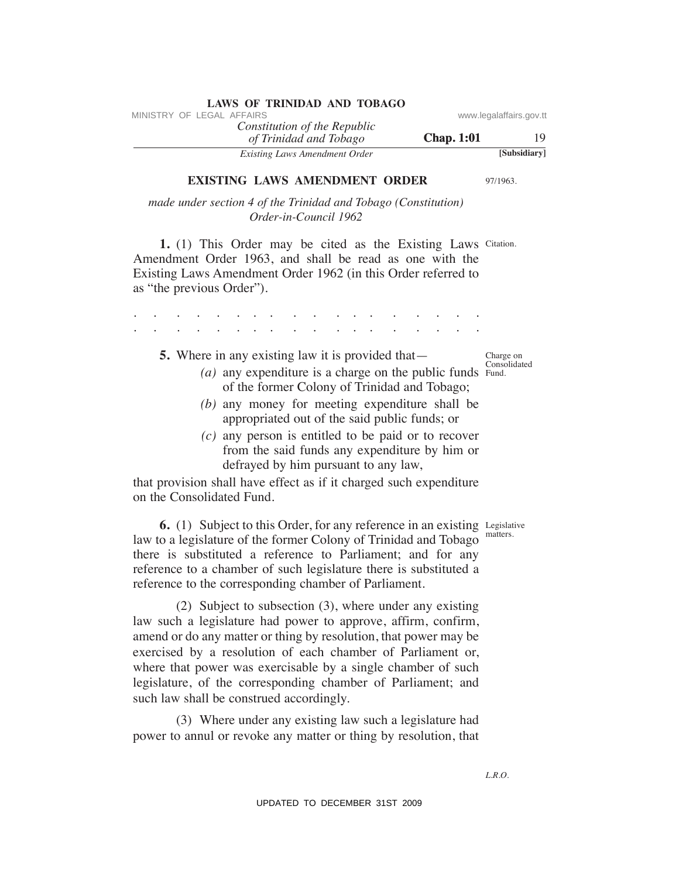|                         |                   | LAND OF TIMINADIAD INTO TODINOO                        |  |                           |
|-------------------------|-------------------|--------------------------------------------------------|--|---------------------------|
| www.legalaffairs.gov.tt |                   |                                                        |  | MINISTRY OF LEGAL AFFAIRS |
| 19                      | <b>Chap.</b> 1:01 | Constitution of the Republic<br>of Trinidad and Tobago |  |                           |
| [Subsidiary]            |                   | Existing Laws Amendment Order                          |  |                           |

**eXISTING LAWS AMeNDMeNT ORDeR** 

97/1963.

*made under section 4 of the Trinidad and Tobago (Constitution) Order-in-Council 1962*

**1.** (1) This Order may be cited as the Existing Laws Citation. Amendment Order 1963, and shall be read as one with the Existing Laws Amendment Order 1962 (in this Order referred to as "the previous Order").

 $(a)$  any expenditure is a charge on the public funds  $Fund$ . . . . . . . . . . . . . . . . . . . . . . . . . . . . . . . . . . . . .  **5.** Where in any existing law it is provided that of the former Colony of Trinidad and Tobago; *(b)* any money for meeting expenditure shall be appropriated out of the said public funds; or *(c)* any person is entitled to be paid or to recover from the said funds any expenditure by him or defrayed by him pursuant to any law, VINESTRY OF LEGAL AFFAIRS:<br>
VERICAL AFFAIRS of the Repubblic constitution of The Region of The Constitution of The Constitution of The Constitution of The Constitution of The Constitution of The Constitution of the Consti

that provision shall have effect as if it charged such expenditure on the Consolidated Fund.

**6.** (1) Subject to this Order, for any reference in an existing Legislative law to a legislature of the former Colony of Trinidad and Tobago there is substituted a reference to Parliament; and for any reference to a chamber of such legislature there is substituted a reference to the corresponding chamber of Parliament.

 (2) Subject to subsection (3), where under any existing law such a legislature had power to approve, affirm, confirm, amend or do any matter or thing by resolution, that power may be exercised by a resolution of each chamber of Parliament or, where that power was exercisable by a single chamber of such legislature, of the corresponding chamber of Parliament; and such law shall be construed accordingly.

 (3) Where under any existing law such a legislature had power to annul or revoke any matter or thing by resolution, that

Charge on Consolidated

matters.

*L.R.O.*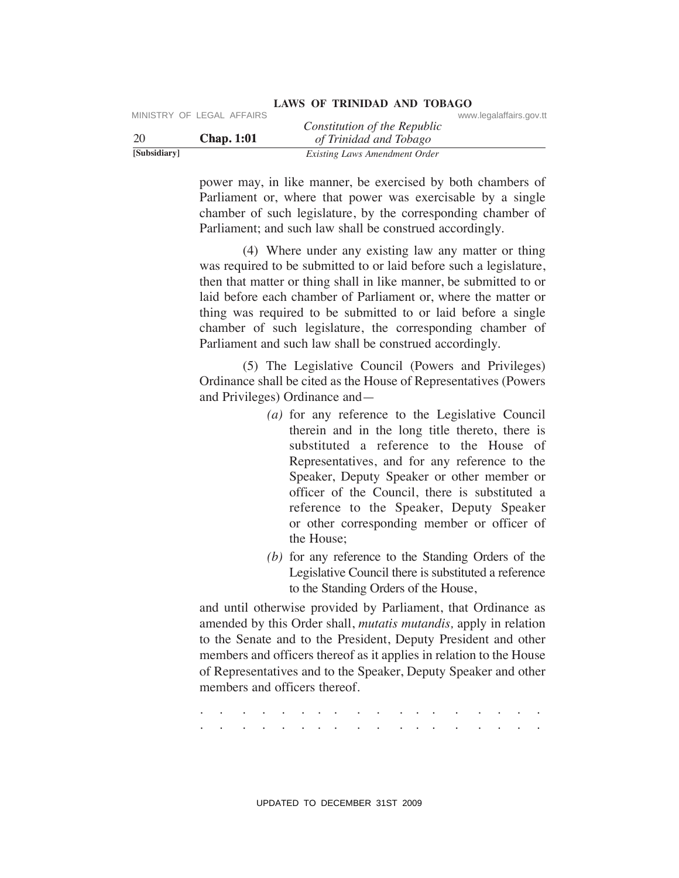|              | MINISTRY OF LEGAL AFFAIRS | Constitution of the Republic  | www.legalaffairs.gov.tt |
|--------------|---------------------------|-------------------------------|-------------------------|
| -20          | <b>Chap.</b> 1:01         | of Trinidad and Tobago        |                         |
| [Subsidiary] |                           | Existing Laws Amendment Order |                         |

power may, in like manner, be exercised by both chambers of Parliament or, where that power was exercisable by a single chamber of such legislature, by the corresponding chamber of Parliament; and such law shall be construed accordingly.

 (4) Where under any existing law any matter or thing was required to be submitted to or laid before such a legislature, then that matter or thing shall in like manner, be submitted to or laid before each chamber of Parliament or, where the matter or thing was required to be submitted to or laid before a single chamber of such legislature, the corresponding chamber of Parliament and such law shall be construed accordingly.

 (5) The Legislative Council (Powers and Privileges) Ordinance shall be cited as the House of Representatives (Powers and Privileges) Ordinance and—

- *(a)* for any reference to the Legislative Council therein and in the long title thereto, there is substituted a reference to the House of Representatives, and for any reference to the Speaker, Deputy Speaker or other member or officer of the Council, there is substituted a reference to the Speaker, Deputy Speaker or other corresponding member or officer of the House; Constitution of the Republic<br>
2009 Chap. 1:01 Christophe Constitution of the Republic<br>
2019 Chap. 1:01 Chings Lore and The exercised by both chambers of<br>
2019 December 2009 Chap and Ching power may, in like manner, be exe
	- *(b)* for any reference to the Standing Orders of the Legislative Council there is substituted a reference to the Standing Orders of the House,

and until otherwise provided by Parliament, that Ordinance as amended by this Order shall, *mutatis mutandis,* apply in relation to the Senate and to the President, Deputy President and other members and officers thereof as it applies in relation to the House of Representatives and to the Speaker, Deputy Speaker and other members and officers thereof.

. . . . . . . . . . . . . . . . . . . . . . . . . . . . . . . . . . . .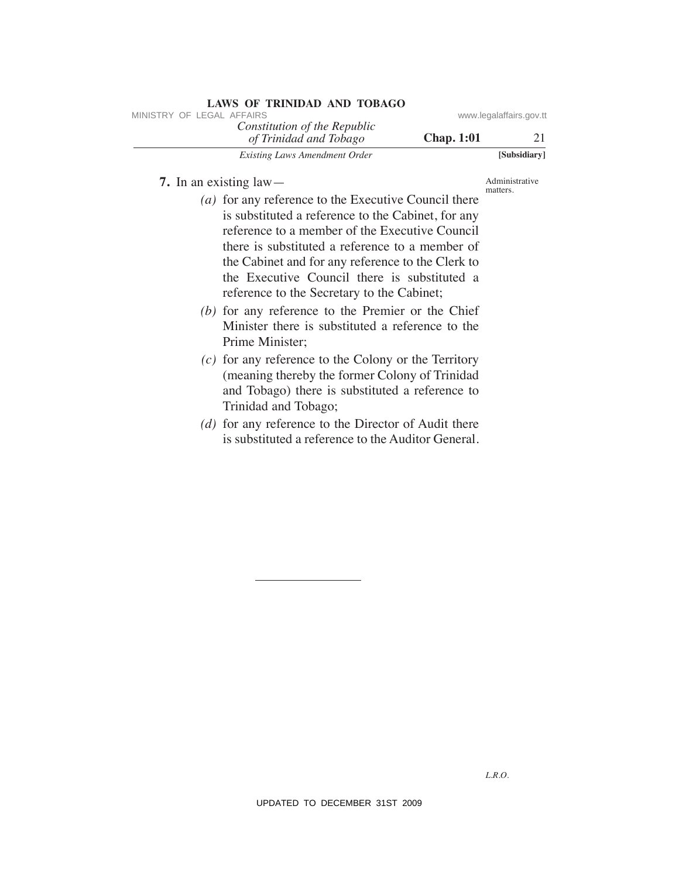| LAWS OF ININIDAD AND TODAGO                            |                   |                         |
|--------------------------------------------------------|-------------------|-------------------------|
| MINISTRY OF LEGAL AFFAIRS                              |                   | www.legalaffairs.gov.tl |
| Constitution of the Republic<br>of Trinidad and Tobago | <b>Chap.</b> 1:01 | 21                      |
| Existing Laws Amendment Order                          |                   | [Subsidiary]            |

 **7.** In an existing law—

Administrative matters.

- *(a)* for any reference to the Executive Council there is substituted a reference to the Cabinet, for any reference to a member of the Executive Council there is substituted a reference to a member of the Cabinet and for any reference to the Clerk to the Executive Council there is substituted a reference to the Secretary to the Cabinet; VINESTRY OF LEGAL AFFAIRS of the Republic constrained and Tablego **Chap. 1:01**<br> *UP Terminala and Tablego* **Chap. 1:01**<br> **Example** *Low***. Anomonic Order**<br>
(*a*) for any reference to the Executive Council there are a hundre
	- *(b)* for any reference to the Premier or the Chief Minister there is substituted a reference to the Prime Minister;
	- *(c)* for any reference to the Colony or the Territory (meaning thereby the former Colony of Trinidad and Tobago) there is substituted a reference to Trinidad and Tobago;
	- *(d)* for any reference to the Director of Audit there is substituted a reference to the Auditor General.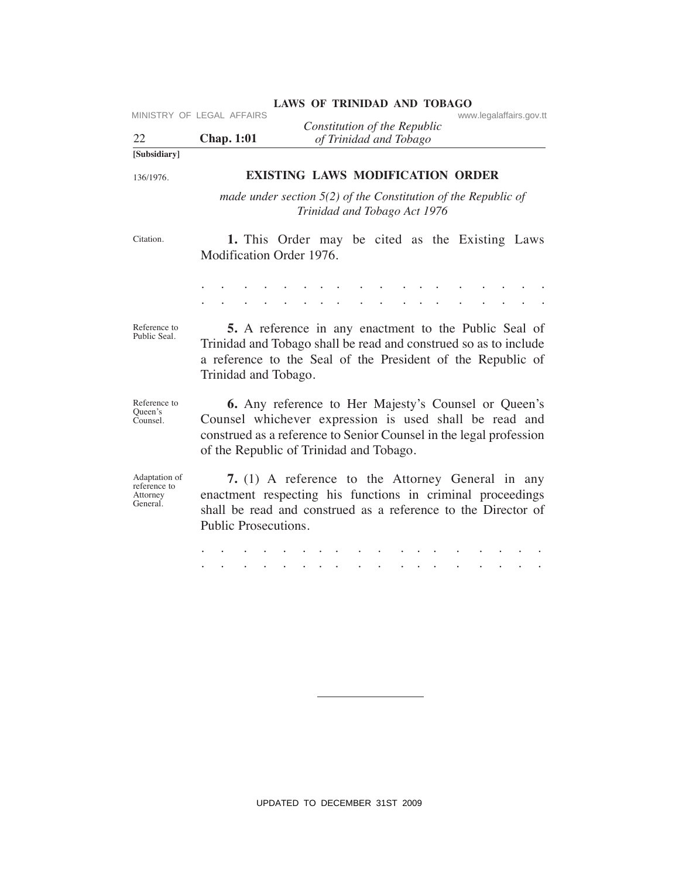| 22                                                    | MINISTRY OF LEGAL AFFAIRS<br><b>Chap. 1:01</b> | www.legalaffairs.gov.tt<br>Constitution of the Republic<br>of Trinidad and Tobago                                                                                                                                                      |
|-------------------------------------------------------|------------------------------------------------|----------------------------------------------------------------------------------------------------------------------------------------------------------------------------------------------------------------------------------------|
| [Subsidiary]                                          |                                                |                                                                                                                                                                                                                                        |
| 136/1976.                                             |                                                | <b>EXISTING LAWS MODIFICATION ORDER</b>                                                                                                                                                                                                |
|                                                       |                                                | made under section $5(2)$ of the Constitution of the Republic of<br>Trinidad and Tobago Act 1976                                                                                                                                       |
| Citation.                                             | Modification Order 1976.                       | 1. This Order may be cited as the Existing Laws                                                                                                                                                                                        |
|                                                       |                                                | and the contract of the contract of<br>$\sim$                                                                                                                                                                                          |
| Reference to<br>Public Seal.                          | Trinidad and Tobago.                           | <b>5.</b> A reference in any enactment to the Public Seal of<br>Trinidad and Tobago shall be read and construed so as to include<br>a reference to the Seal of the President of the Republic of                                        |
| Reference to<br>Queen's<br>Counsel.                   |                                                | <b>6.</b> Any reference to Her Majesty's Counsel or Queen's<br>Counsel whichever expression is used shall be read and<br>construed as a reference to Senior Counsel in the legal profession<br>of the Republic of Trinidad and Tobago. |
| Adaptation of<br>reference to<br>Attorney<br>General. | Public Prosecutions.                           | 7. (1) A reference to the Attorney General in any<br>enactment respecting his functions in criminal proceedings<br>shall be read and construed as a reference to the Director of                                                       |
|                                                       |                                                |                                                                                                                                                                                                                                        |
|                                                       |                                                |                                                                                                                                                                                                                                        |
|                                                       |                                                |                                                                                                                                                                                                                                        |
|                                                       |                                                |                                                                                                                                                                                                                                        |
|                                                       |                                                |                                                                                                                                                                                                                                        |
|                                                       |                                                | UPDATED TO DECEMBER 31ST 2009                                                                                                                                                                                                          |

# LAWS OF TRINIDAD AND TOBAGO<br>www.legalaffairs.gov.tt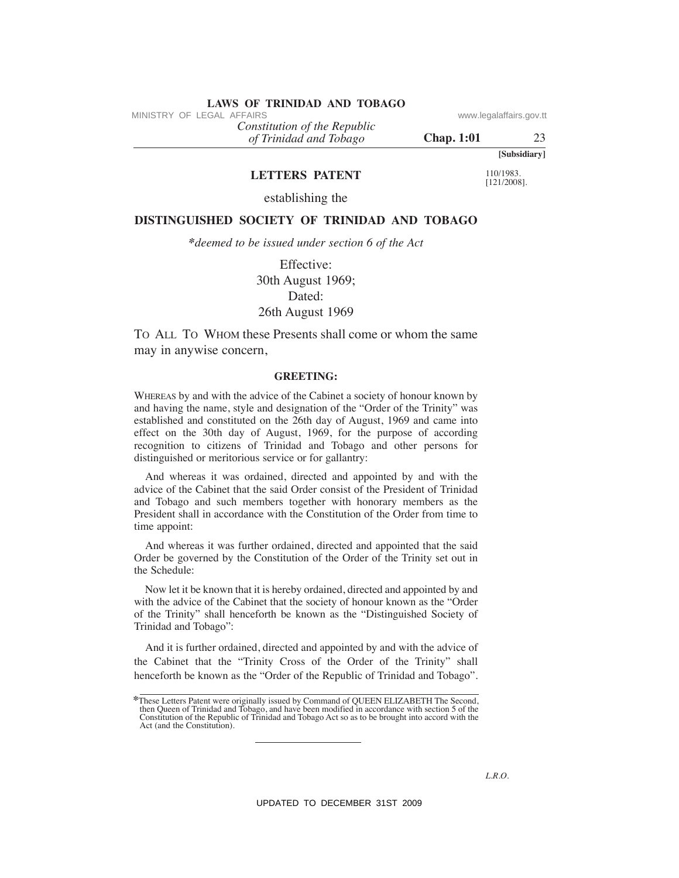# **LAWS OF TRINIDAD AND TOBAGO**<br>MINISTRY OF LEGAL AFFAIRS

*Constitution of the Republic*

*of Trinidad and Tobago*

**Chap. 1:01** 23

**[Subsidiary]**

# **LeTTeRS PATeNT**

110/1983. [121/2008].

establishing the

# **DISTINGuISheD SOCIeTY OF TRINIDAD AND TOBAGO**

*\*deemed to be issued under section 6 of the Act*

Effective: 30th August 1969; Dated: 26th August 1969

TO ALL TO WHOM these Presents shall come or whom the same may in anywise concern,

### **GReeTING:**

WHEREAS by and with the advice of the Cabinet a society of honour known by and having the name, style and designation of the "Order of the Trinity" was established and constituted on the 26th day of August, 1969 and came into effect on the 30th day of August, 1969, for the purpose of according recognition to citizens of Trinidad and Tobago and other persons for distinguished or meritorious service or for gallantry: VINESTRY OF LEGAL AFFAIRS (are also detected on the Repubblic control of Trinidal and Tablego<br>
(d) Trinidal and Tablego<br>
LETTERE PATENTIC 10038.<br>
DISTINGUISHED SOCUETY OF TRINDAD AND TOBAGO<br>
\*decemed to be issued under se

And whereas it was ordained, directed and appointed by and with the advice of the Cabinet that the said Order consist of the President of Trinidad and Tobago and such members together with honorary members as the President shall in accordance with the Constitution of the Order from time to time appoint:

And whereas it was further ordained, directed and appointed that the said Order be governed by the Constitution of the Order of the Trinity set out in the Schedule:

Now let it be known that it is hereby ordained, directed and appointed by and with the advice of the Cabinet that the society of honour known as the "Order of the Trinity" shall henceforth be known as the "Distinguished Society of Trinidad and Tobago":

And it is further ordained, directed and appointed by and with the advice of the Cabinet that the "Trinity Cross of the Order of the Trinity" shall henceforth be known as the "Order of the Republic of Trinidad and Tobago".

**<sup>\*</sup>**These Letters Patent were originally issued by Command of QUEEN ELIZABETH The Second, then Queen of Trinidad and Tobago, and have been modified in accordance with section 5 of the Constitution of the Republic of Trinidad and Tobago Act so as to be brought into accord with the Act (and the Constitution).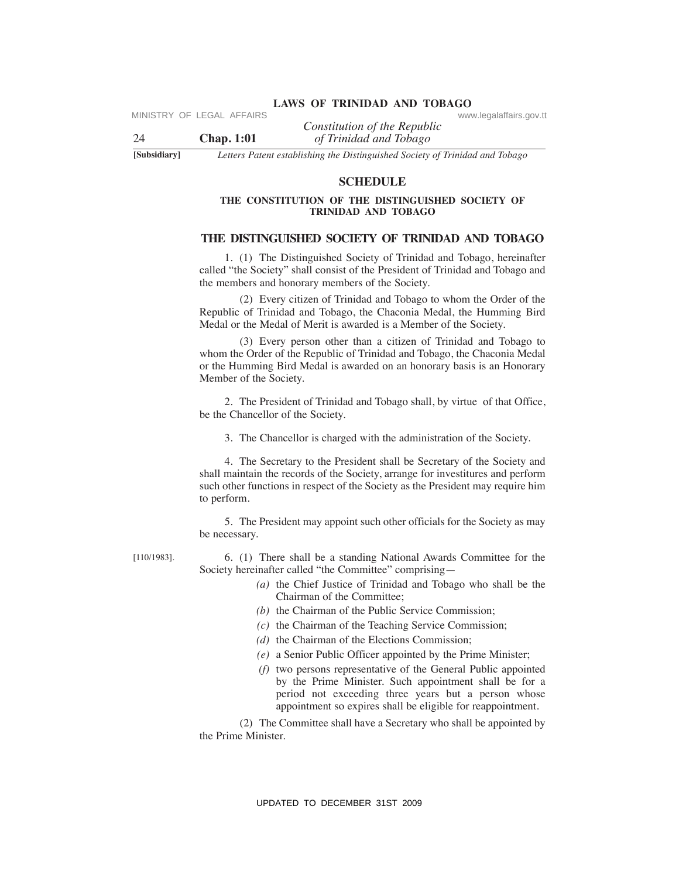*Constitution of the Republic* 

24 **Chap. 1:01** *of Trinidad and Tobago*

**[Subsidiary]** *Letters Patent establishing the Distinguished Society of Trinidad and Tobago*

[110/1983].

### **SCheDuLe**

### **The CONSTITuTION OF The DISTINGuISheD SOCIeTY OF TRINIDAD AND TOBAGO**

# **The DISTINGuISheD SOCIeTY OF TRINIDAD AND TOBAGO**

 1. (1) The Distinguished Society of Trinidad and Tobago, hereinafter called "the Society" shall consist of the President of Trinidad and Tobago and the members and honorary members of the Society.

 (2) Every citizen of Trinidad and Tobago to whom the Order of the Republic of Trinidad and Tobago, the Chaconia Medal, the Humming Bird Medal or the Medal of Merit is awarded is a Member of the Society.

 (3) Every person other than a citizen of Trinidad and Tobago to whom the Order of the Republic of Trinidad and Tobago, the Chaconia Medal or the Humming Bird Medal is awarded on an honorary basis is an Honorary Member of the Society.

 2. The President of Trinidad and Tobago shall, by virtue of that Office, be the Chancellor of the Society.

3.The Chancellor is charged with the administration of the Society.

 4. The Secretary to the President shall be Secretary of the Society and shall maintain the records of the Society, arrange for investitures and perform such other functions in respect of the Society as the President may require him to perform. VERTRIX Constitution of the Republic Constitution of the Republic Constitution (of the Republic Section of *Libriation did Usings* of *Distinguished Section of THEODULE*<br>
THE CONSTITUTION OF THE DISTINGUISHED SOCIETY OF

 5. The President may appoint such other officials for the Society as may be necessary.

 6.(1) There shall be a standing National Awards Committee for the Society hereinafter called "the Committee" comprising—

- *(a)* the Chief Justice of Trinidad and Tobago who shall be the Chairman of the Committee;
- *(b)* the Chairman of the Public Service Commission;
- *(c)* the Chairman of the Teaching Service Commission;
- *(d)* the Chairman of the Elections Commission;
- *(e)* a Senior Public Officer appointed by the Prime Minister;
- *(f)* two persons representative of the General Public appointed by the Prime Minister. Such appointment shall be for a period not exceeding three years but a person whose appointment so expires shall be eligible for reappointment.

 (2) The Committee shall have a Secretary who shall be appointed by the Prime Minister.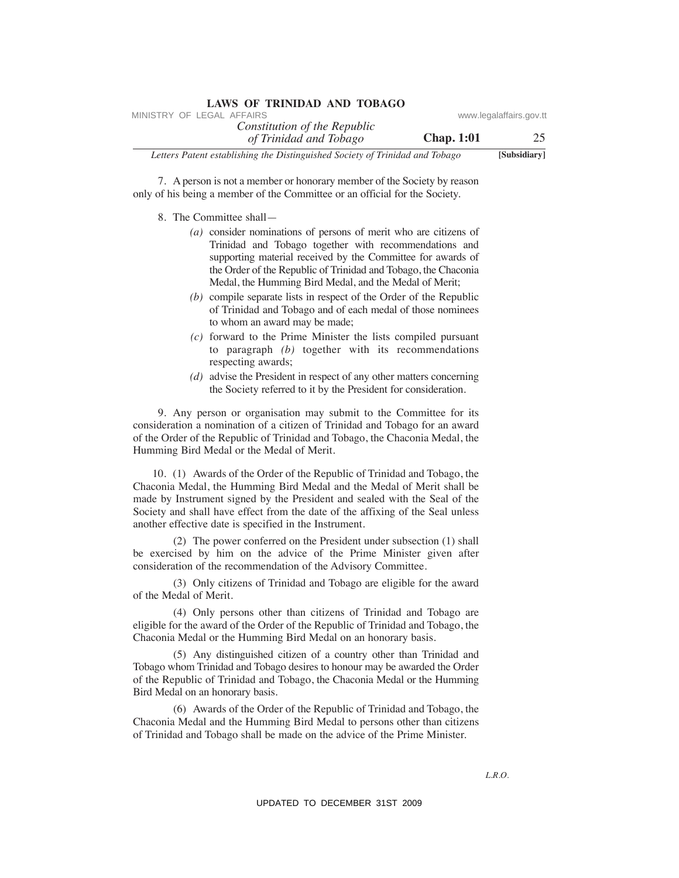| LAWS OF TRINIDAD AND TOBAGO                                                  |                   |                         |
|------------------------------------------------------------------------------|-------------------|-------------------------|
| MINISTRY OF LEGAL AFFAIRS                                                    |                   | www.legalaffairs.gov.tt |
| Constitution of the Republic<br>of Trinidad and Tobago                       | <b>Chap.</b> 1:01 | 25                      |
| Letters Patent establishing the Distinguished Society of Trinidad and Tobago |                   | [Subsidiary]            |

 7.A person is not a member or honorary member of the Society by reason only of his being a member of the Committee or an official for the Society.

- 8. The Committee shall—
	- *(a)* consider nominations of persons of merit who are citizens of Trinidad and Tobago together with recommendations and supporting material received by the Committee for awards of the Order of the Republic of Trinidad and Tobago, the Chaconia Medal, the Humming Bird Medal, and the Medal of Merit;
	- *(b)* compile separate lists in respect of the Order of the Republic of Trinidad and Tobago and of each medal of those nominees to whom an award may be made;
	- *(c)* forward to the Prime Minister the lists compiled pursuant to paragraph *(b)* together with its recommendations respecting awards;
	- *(d)* advise the President in respect of any other matters concerning the Society referred to it by the President for consideration.

9. Any person or organisation may submit to the Committee for its consideration a nomination of a citizen of Trinidad and Tobago for an award of the Order of the Republic of Trinidad and Tobago, the Chaconia Medal, the Humming Bird Medal or the Medal of Merit.

 10. (1) Awards of the Order of the Republic of Trinidad and Tobago, the Chaconia Medal, the Humming Bird Medal and the Medal of Merit shall be made by Instrument signed by the President and sealed with the Seal of the Society and shall have effect from the date of the affixing of the Seal unless another effective date is specified in the Instrument. MHETHY OF LEGAL AFFAIRS of the Republic<br>
Letters Poten entollight and Tobasco Constitution of the Republic Constrains aperture of the Society by reason<br>
17. Aperton entollight and Tobasco Schwarz (Finding The December of

 (2) The power conferred on the President under subsection (1) shall be exercised by him on the advice of the Prime Minister given after consideration of the recommendation of the Advisory Committee.

 (3) Only citizens of Trinidad and Tobago are eligible for the award of the Medal of Merit.

 (4) Only persons other than citizens of Trinidad and Tobago are eligible for the award of the Order of the Republic of Trinidad and Tobago, the Chaconia Medal or the Humming Bird Medal on an honorary basis.

 (5) Any distinguished citizen of a country other than Trinidad and Tobago whom Trinidad and Tobago desires to honour may be awarded the Order of the Republic of Trinidad and Tobago, the Chaconia Medal or the Humming Bird Medal on an honorary basis.

 (6) Awards of the Order of the Republic of Trinidad and Tobago, the Chaconia Medal and the Humming Bird Medal to persons other than citizens of Trinidad and Tobago shall be made on the advice of the Prime Minister.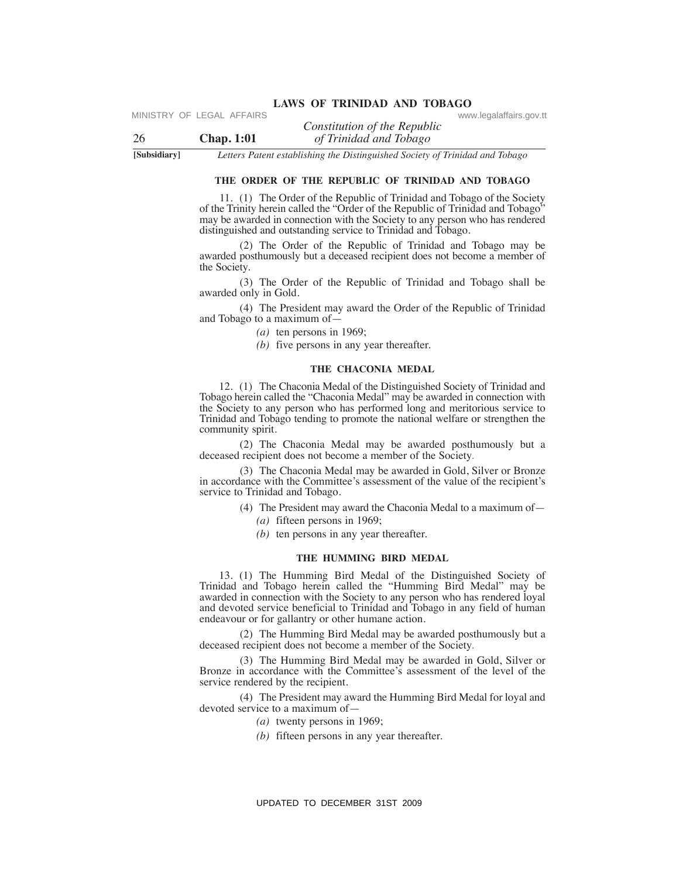*Constitution of the Republic*  26 **Chap. 1:01** *of Trinidad and Tobago*

**[Subsidiary]** *Letters Patent establishing the Distinguished Society of Trinidad and Tobago*

### **The ORDeR OF The RePuBLIC OF TRINIDAD AND TOBAGO**

11.(1) The Order of the Republic of Trinidad and Tobago of the Society of the Trinity herein called the "Order of the Republic of Trinidad and Tobago" may be awarded in connection with the Society to any person who has rendered distinguished and outstanding service to Trinidad and Tobago.

 (2) The Order of the Republic of Trinidad and Tobago may be awarded posthumously but a deceased recipient does not become a member of the Society.

 (3) The Order of the Republic of Trinidad and Tobago shall be awarded only in Gold.

 (4) The President may award the Order of the Republic of Trinidad and Tobago to a maximum of—

- *(a)* ten persons in 1969;
- *(b)* five persons in any year thereafter.

### **The ChACONIA MeDAL**

12.(1) The Chaconia Medal of the Distinguished Society of Trinidad and Tobago herein called the "Chaconia Medal" may be awarded in connection with the Society to any person who has performed long and meritorious service to Trinidad and Tobago tending to promote the national welfare or strengthen the community spirit. VERTRY OF LEGAL AFFAIRS Constitution of the Republic Conversion-fraction  $Q$  (Findatod and Holosgo Change 1.10). Letters Research and Holosgo THE CONSTROL THE CONSTROL (1) The Constrained Event Battler Schein and Holosgo

 (2) The Chaconia Medal may be awarded posthumously but a deceased recipient does not become a member of the Society.

 (3) The Chaconia Medal may be awarded in Gold, Silver or Bronze in accordance with the Committee's assessment of the value of the recipient's service to Trinidad and Tobago.

- (4) The President may award the Chaconia Medal to a maximum of—
	- *(a)* fifteen persons in 1969;
	- *(b)* ten persons in any year thereafter.

### **The huMMING BIRD MeDAL**

13.(1) The Humming Bird Medal of the Distinguished Society of Trinidad and Tobago herein called the "Humming Bird Medal" may be awarded in connection with the Society to any person who has rendered loyal and devoted service beneficial to Trinidad and Tobago in any field of human endeavour or for gallantry or other humane action.

 (2) The Humming Bird Medal may be awarded posthumously but a deceased recipient does not become a member of the Society.

 (3) The Humming Bird Medal may be awarded in Gold, Silver or Bronze in accordance with the Committee's assessment of the level of the service rendered by the recipient.

 (4) The President may award the Humming Bird Medal for loyal and devoted service to a maximum of—

- *(a)* twenty persons in 1969;
- *(b)* fifteen persons in any year thereafter.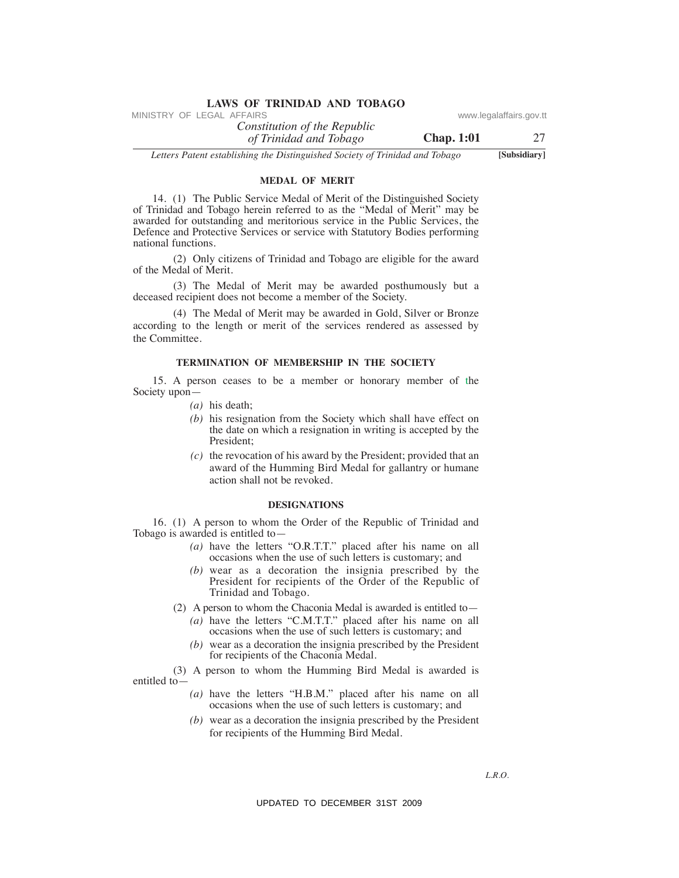# **LAWS OF TRINIDAD AND TOBAGO**<br>MINISTRY OF LEGAL AFFAIRS

*Constitution of the Republic of Trinidad and Tobago*

**Chap. 1:01** 27

*Letters Patent establishing the Distinguished Society of Trinidad and Tobago* **[Subsidiary]**

# **MeDAL OF MeRIT**

 14. (1) The Public Service Medal of Merit of the Distinguished Society of Trinidad and Tobago herein referred to as the "Medal of Merit" may be awarded for outstanding and meritorious service in the Public Services, the Defence and Protective Services or service with Statutory Bodies performing national functions. VINESTRY OF LEGAL AFFAIRS of the Republic<br>
Letters Poten establishing the Republic density of Himidad and Tobago<br>
Letters Poten establishing the Distribution of the Distributional George<br>
14. (1) The Pablic Services Minis

 (2) Only citizens of Trinidad and Tobago are eligible for the award of the Medal of Merit.

 (3) The Medal of Merit may be awarded posthumously but a deceased recipient does not become a member of the Society.

 (4) The Medal of Merit may be awarded in Gold, Silver or Bronze according to the length or merit of the services rendered as assessed by the Committee.

### **TeRMINATION OF MeMBeRShIP IN The SOCIeTY**

 15. A person ceases to be a member or honorary member of the Society upon—

- *(a)* his death;
- *(b)* his resignation from the Society which shall have effect on the date on which a resignation in writing is accepted by the President;
- *(c)* the revocation of his award by the President; provided that an award of the Humming Bird Medal for gallantry or humane action shall not be revoked.

### **DeSIGNATIONS**

16. (1) A person to whom the Order of the Republic of Trinidad and Tobago is awarded is entitled to—

- *(a)* have the letters "O.R.T.T." placed after his name on all occasions when the use of such letters is customary; and
- *(b)* wear as a decoration the insignia prescribed by the President for recipients of the Order of the Republic of Trinidad and Tobago.
- (2) A person to whom the Chaconia Medal is awarded is entitled to—
	- *(a)* have the letters "C.M.T.T." placed after his name on all occasions when the use of such letters is customary; and
	- *(b)* wear as a decoration the insignia prescribed by the President for recipients of the Chaconia Medal.

 (3) A person to whom the Humming Bird Medal is awarded is entitled to—

- *(a)* have the letters "H.B.M." placed after his name on all occasions when the use of such letters is customary; and
- *(b)* wear as a decoration the insignia prescribed by the President for recipients of the Humming Bird Medal.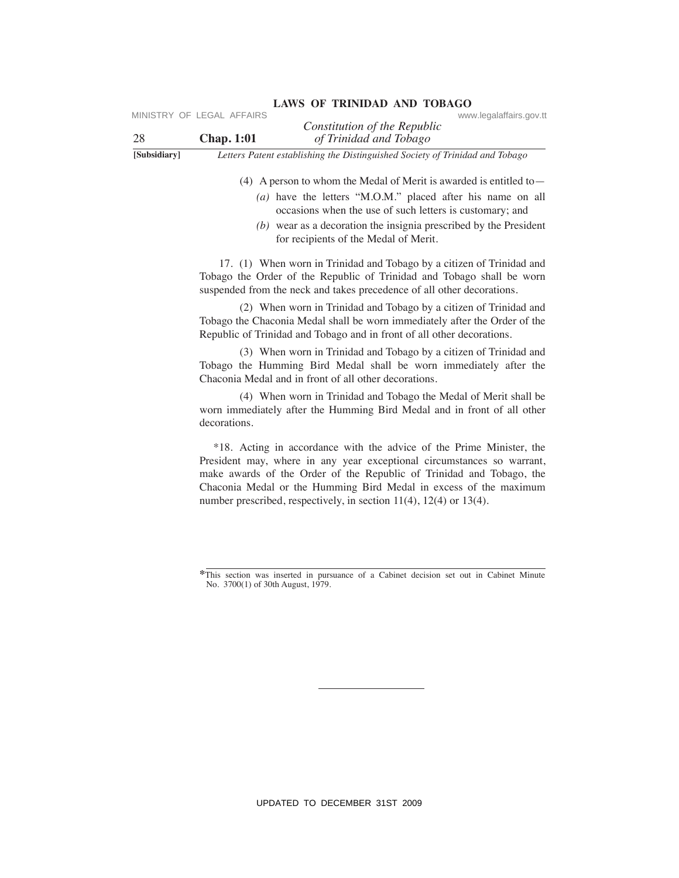|    | MINISTRY OF LEGAL AFFAIRS |                              | www.legalaffairs.gov.tt |
|----|---------------------------|------------------------------|-------------------------|
|    |                           | Constitution of the Republic |                         |
| 28 | <b>Chap.</b> 1:01         | of Trinidad and Tobago       |                         |
|    |                           |                              |                         |

**[Subsidiary]** *Letters Patent establishing the Distinguished Society of Trinidad and Tobago*

(4) A person to whom the Medal of Merit is awarded is entitled to—

- *(a)* have the letters "M.O.M." placed after his name on all occasions when the use of such letters is customary; and
- *(b)* wear as a decoration the insignia prescribed by the President for recipients of the Medal of Merit.

17. (1) When worn in Trinidad and Tobago by a citizen of Trinidad and Tobago the Order of the Republic of Trinidad and Tobago shall be worn suspended from the neck and takes precedence of all other decorations.

 (2) When worn in Trinidad and Tobago by a citizen of Trinidad and Tobago the Chaconia Medal shall be worn immediately after the Order of the Republic of Trinidad and Tobago and in front of all other decorations.

 (3) When worn in Trinidad and Tobago by a citizen of Trinidad and Tobago the Humming Bird Medal shall be worn immediately after the Chaconia Medal and in front of all other decorations.

 (4) When worn in Trinidad and Tobago the Medal of Merit shall be worn immediately after the Humming Bird Medal and in front of all other decorations.

 \*18. Acting in accordance with the advice of the Prime Minister, the President may, where in any year exceptional circumstances so warrant, make awards of the Order of the Republic of Trinidad and Tobago, the Chaconia Medal or the Humming Bird Medal in excess of the maximum number prescribed, respectively, in section 11(4), 12(4) or 13(4). VIRSTRY OF LEGAL AFFAIRS Constitution of the Republic conventions of the Republic State of Thrindolor dard Toblogo (4) A person to whom the Missia of Novel Society of Three Hostels and Hostels and Hostels and Hostels and

**<sup>\*</sup>**This section was inserted in pursuance of a Cabinet decision set out in Cabinet Minute No. 3700(1) of 30th August, 1979.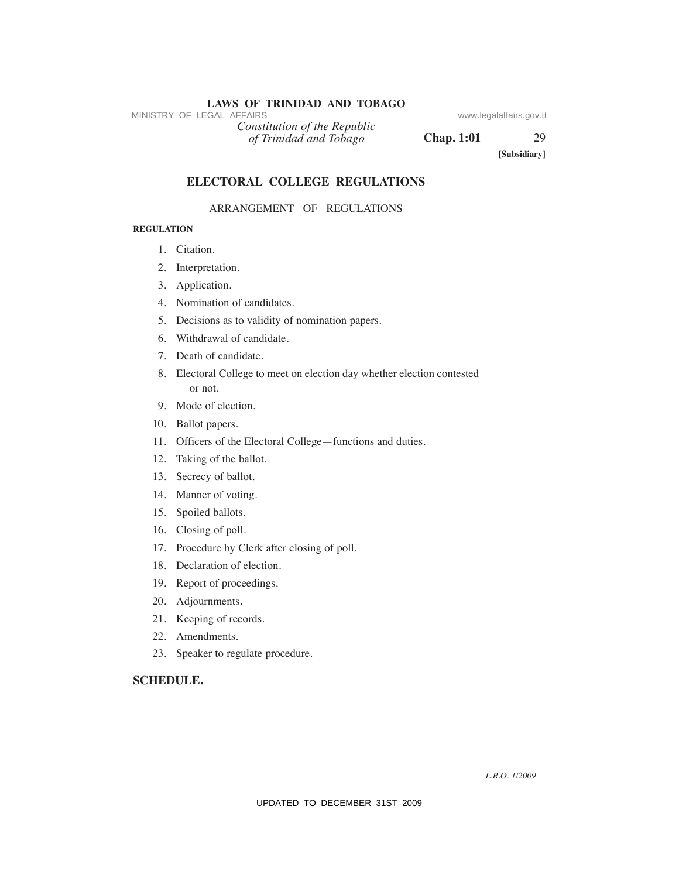# **LAWS OF TRINIDAD AND TOBAGO**<br>MINISTRY OF LEGAL AFFAIRS

*of Trinidad and Tobago Constitution of the Republic*

**Chap. 1:01** 29

**[Subsidiary]**

# **eLeCTORAL COLLeGe ReGuLATIONS**

# ARRANGEMENT OF REGULATIONS

### **ReGuLATION**

- 1. Citation.
- 2. Interpretation.
- 3. Application.
- 4. Nomination of candidates.
- 5. Decisions as to validity of nomination papers.
- 6. Withdrawal of candidate.
- 7. Death of candidate.
- 8. Electoral College to meet on election day whether election contested or not. MINISTRY OF LEGAL AFFAIRS<br>
(a) Trinidad and Tabago<br>
(a) Trinidad and Tabago<br>
(a) Trinidad and Tabago<br>
Chap. 1:01<br>
ELECTORAL COLLEGE REGULATIONS<br>
ARRANGEMENT OF REGULATIONS<br>
REGULATIONS<br>
ARRANGEMENT OF REGULATIONS<br>
REGULAT
	- 9. Mode of election.
	- 10. Ballot papers.
	- 11. Officers of the Electoral College—functions and duties.
	- 12. Taking of the ballot.
	- 13. Secrecy of ballot.
	- 14. Manner of voting.
	- 15. Spoiled ballots.
	- 16. Closing of poll.
	- 17. Procedure by Clerk after closing of poll.
	- 18. Declaration of election.
	- 19. Report of proceedings.
	- 20. Adjournments.
	- 21. Keeping of records.
	- 22. Amendments.
	- 23. Speaker to regulate procedure.

# **SCheDuLe.**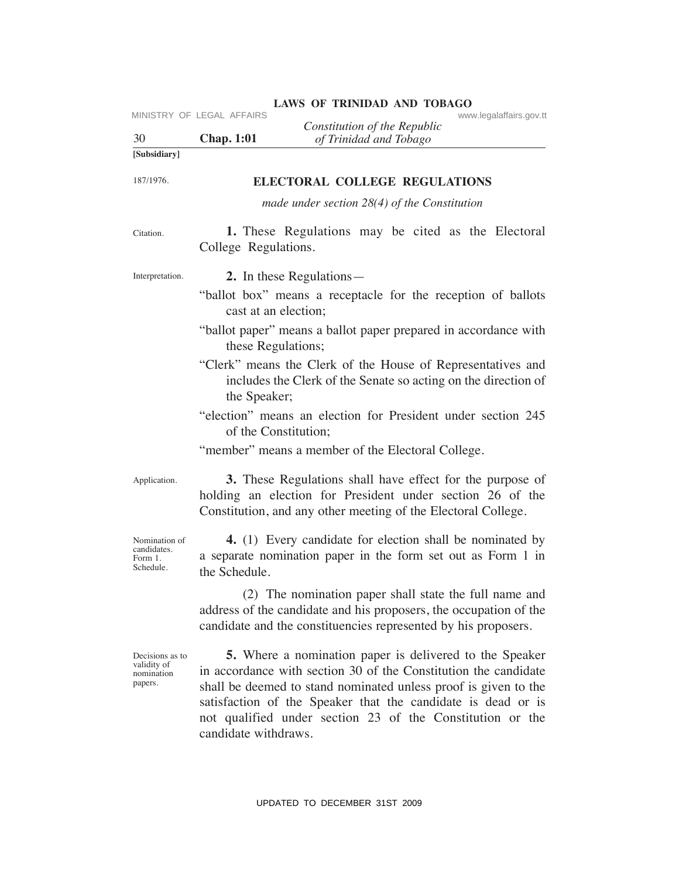| 30                                                      | MINISTRY OF LEGAL AFFAIRS<br><b>Chap. 1:01</b> | Constitution of the Republic<br>of Trinidad and Tobago                                                                                                                                                                                                                                                                            | www.legalaffairs.gov.tt |
|---------------------------------------------------------|------------------------------------------------|-----------------------------------------------------------------------------------------------------------------------------------------------------------------------------------------------------------------------------------------------------------------------------------------------------------------------------------|-------------------------|
| [Subsidiary]                                            |                                                |                                                                                                                                                                                                                                                                                                                                   |                         |
| 187/1976.                                               |                                                | <b>ELECTORAL COLLEGE REGULATIONS</b>                                                                                                                                                                                                                                                                                              |                         |
|                                                         |                                                | made under section $28(4)$ of the Constitution                                                                                                                                                                                                                                                                                    |                         |
| Citation.                                               | College Regulations.                           | 1. These Regulations may be cited as the Electoral                                                                                                                                                                                                                                                                                |                         |
| Interpretation.                                         |                                                | 2. In these Regulations—                                                                                                                                                                                                                                                                                                          |                         |
|                                                         | cast at an election;                           | "ballot box" means a receptacle for the reception of ballots                                                                                                                                                                                                                                                                      |                         |
|                                                         | these Regulations;                             | "ballot paper" means a ballot paper prepared in accordance with                                                                                                                                                                                                                                                                   |                         |
|                                                         | the Speaker;                                   | "Clerk" means the Clerk of the House of Representatives and<br>includes the Clerk of the Senate so acting on the direction of                                                                                                                                                                                                     |                         |
|                                                         | of the Constitution;                           | "election" means an election for President under section 245                                                                                                                                                                                                                                                                      |                         |
|                                                         |                                                | "member" means a member of the Electoral College.                                                                                                                                                                                                                                                                                 |                         |
| Application.                                            |                                                | 3. These Regulations shall have effect for the purpose of<br>holding an election for President under section 26 of the<br>Constitution, and any other meeting of the Electoral College.                                                                                                                                           |                         |
| Nomination of<br>candidates.<br>Form 1.<br>Schedule.    | the Schedule.                                  | 4. (1) Every candidate for election shall be nominated by<br>a separate nomination paper in the form set out as Form 1 in                                                                                                                                                                                                         |                         |
|                                                         |                                                | (2) The nomination paper shall state the full name and<br>address of the candidate and his proposers, the occupation of the<br>candidate and the constituencies represented by his proposers.                                                                                                                                     |                         |
| Decisions as to<br>validity of<br>nomination<br>papers. | candidate withdraws.                           | <b>5.</b> Where a nomination paper is delivered to the Speaker<br>in accordance with section 30 of the Constitution the candidate<br>shall be deemed to stand nominated unless proof is given to the<br>satisfaction of the Speaker that the candidate is dead or is<br>not qualified under section 23 of the Constitution or the |                         |
|                                                         |                                                | UPDATED TO DECEMBER 31ST 2009                                                                                                                                                                                                                                                                                                     |                         |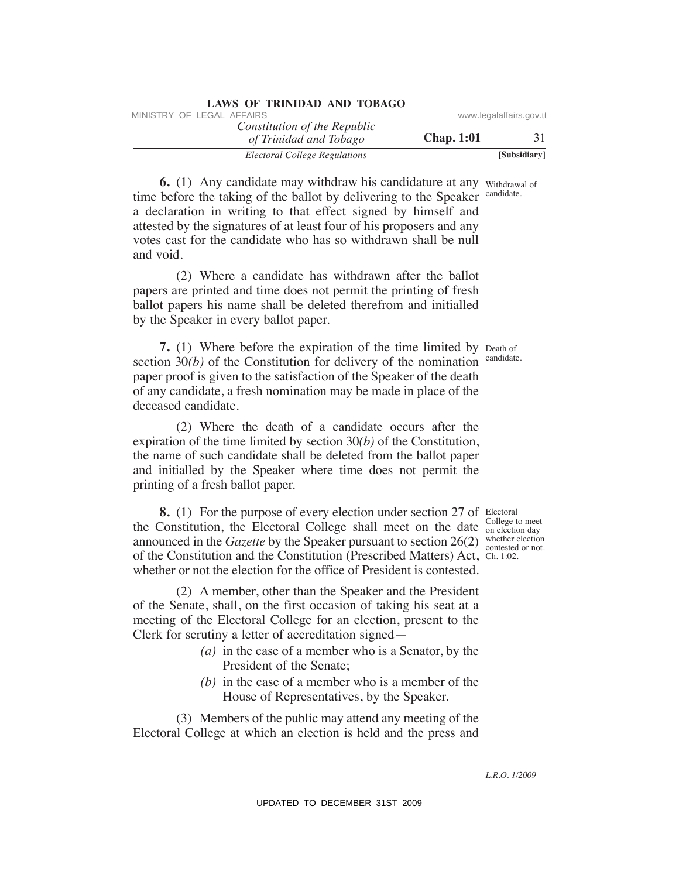| LAND OF TIMINADIAD INTO TODING                         |                   |                         |
|--------------------------------------------------------|-------------------|-------------------------|
| MINISTRY OF LEGAL AFFAIRS                              |                   | www.legalaffairs.gov.tt |
| Constitution of the Republic<br>of Trinidad and Tobago | <b>Chap.</b> 1:01 |                         |
| Electoral College Regulations                          |                   | [Subsidiary]            |

**6.** (1) Any candidate may withdraw his candidature at any withdrawal of time before the taking of the ballot by delivering to the Speaker candidate. a declaration in writing to that effect signed by himself and attested by the signatures of at least four of his proposers and any votes cast for the candidate who has so withdrawn shall be null and void. WHETHY OF LEGAL AFFAIRS of *CONDITION of the Republic* www.legalaffairs.gov.<br>
6. (1) Any candidate and Thrigger<br>
6. (1) Any candidate and Thrigger Chap. The Constitution of the Speaker manage of the ballet by delivering t

**LAWS OF TRINIDAD AND TOBAGO**

 (2) Where a candidate has withdrawn after the ballot papers are printed and time does not permit the printing of fresh ballot papers his name shall be deleted therefrom and initialled by the Speaker in every ballot paper.

**7.** (1) Where before the expiration of the time limited by Death of section  $30(b)$  of the Constitution for delivery of the nomination candidate. paper proof is given to the satisfaction of the Speaker of the death of any candidate, a fresh nomination may be made in place of the deceased candidate.

 (2) Where the death of a candidate occurs after the expiration of the time limited by section 30*(b)* of the Constitution, the name of such candidate shall be deleted from the ballot paper and initialled by the Speaker where time does not permit the printing of a fresh ballot paper.

**8.** (1) For the purpose of every election under section 27 of Electoral the Constitution, the Electoral College shall meet on the date  $\frac{\text{Collecting to meet}}{\text{on electron day}}$ announced in the *Gazette* by the Speaker pursuant to section 26(2) whether election of the Constitution and the Constitution (Prescribed Matters) Act, Ch. 1:02. whether or not the election for the office of President is contested.

 (2) A member, other than the Speaker and the President of the Senate, shall, on the first occasion of taking his seat at a meeting of the Electoral College for an election, present to the Clerk for scrutiny a letter of accreditation signed—

- *(a)* in the case of a member who is a Senator, by the President of the Senate;
- *(b)* in the case of a member who is a member of the House of Representatives, by the Speaker.

 (3) Members of the public may attend any meeting of the Electoral College at which an election is held and the press and

on election day contested or not.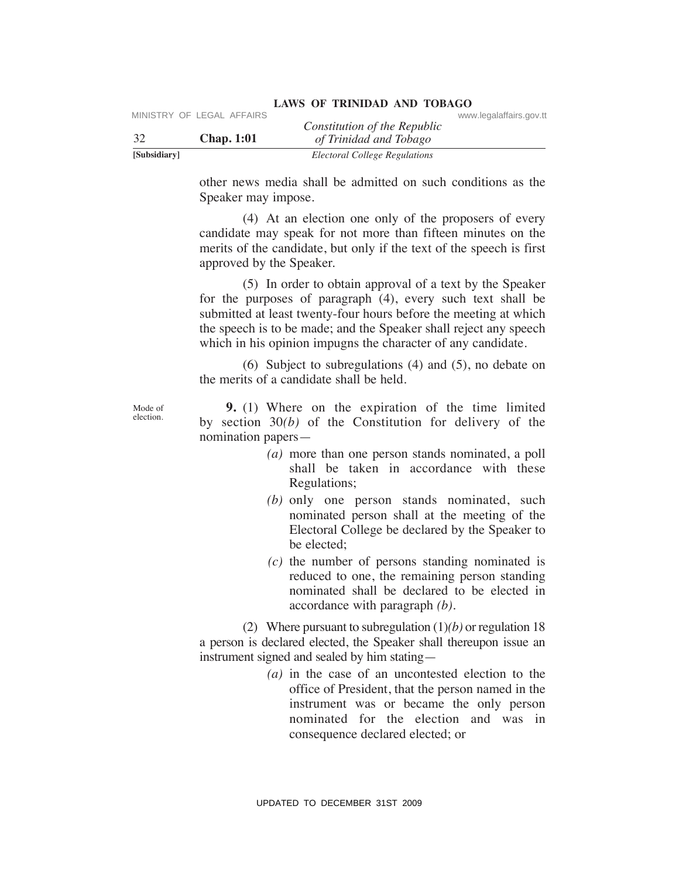| [Subsidiary] |                           | Electoral College Regulations                          |                         |  |
|--------------|---------------------------|--------------------------------------------------------|-------------------------|--|
| -32          | <b>Chap.</b> 1:01         | Constitution of the Republic<br>of Trinidad and Tobago |                         |  |
|              | MINISTRY OF LEGAL AFFAIRS |                                                        | www.legalaffairs.gov.tt |  |

other news media shall be admitted on such conditions as the Speaker may impose.

 (4) At an election one only of the proposers of every candidate may speak for not more than fifteen minutes on the merits of the candidate, but only if the text of the speech is first approved by the Speaker.

 (5) In order to obtain approval of a text by the Speaker for the purposes of paragraph (4), every such text shall be submitted at least twenty-four hours before the meeting at which the speech is to be made; and the Speaker shall reject any speech which in his opinion impugns the character of any candidate. VERTRIX CONSIDENT CONSIDERT CONSIDERT CONSIDERT CONSIDERT CONSIDERT CONSIDERT CONSIDERT TO DECEMBER 2009 MINISTRY OF THE SPACE THAN THE SPACE THAN THE SPACE THAN THE SPACE CONSIDERT CONSIDERT CONSIDERT CONSIDERT CONSIDER

 (6) Subject to subregulations (4) and (5), no debate on the merits of a candidate shall be held.

Mode of election.

 **9.** (1) Where on the expiration of the time limited by section 30*(b)* of the Constitution for delivery of the nomination papers—

- *(a)* more than one person stands nominated, a poll shall be taken in accordance with these Regulations;
- *(b)* only one person stands nominated, such nominated person shall at the meeting of the Electoral College be declared by the Speaker to be elected;
- *(c)* the number of persons standing nominated is reduced to one, the remaining person standing nominated shall be declared to be elected in accordance with paragraph *(b).*

 (2) Where pursuant to subregulation (1)*(b)* or regulation 18 a person is declared elected, the Speaker shall thereupon issue an instrument signed and sealed by him stating—

> *(a)* in the case of an uncontested election to the office of President, that the person named in the instrument was or became the only person nominated for the election and was in consequence declared elected; or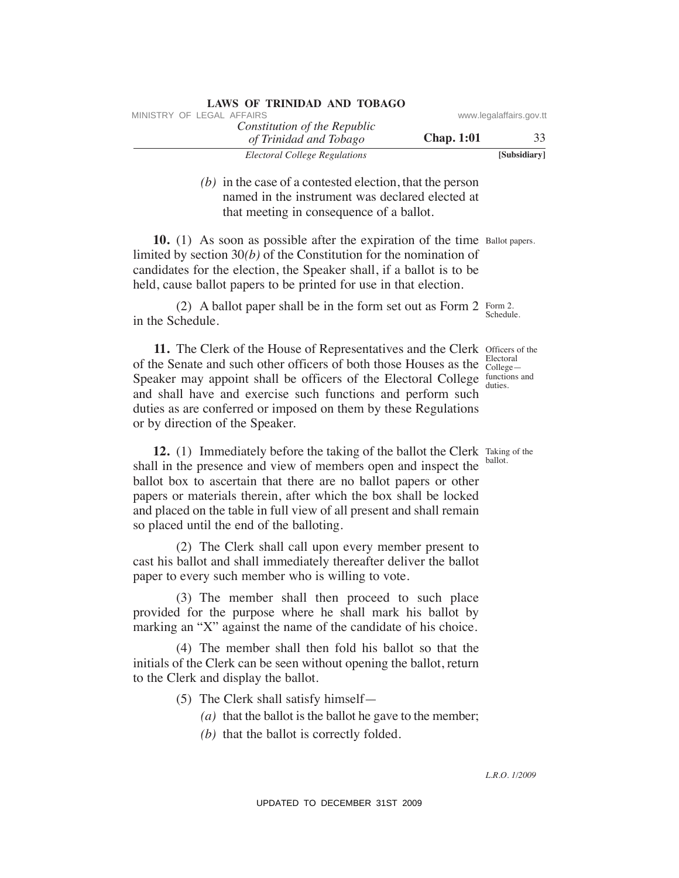| MINISTRY OF LEGAL AFFAIRS                              |                   | www.legalaffairs.gov.tt |
|--------------------------------------------------------|-------------------|-------------------------|
| Constitution of the Republic<br>of Trinidad and Tobago | <b>Chap.</b> 1:01 | 33                      |
| Electoral College Regulations                          |                   | [Subsidiary]            |

 *(b)* in the case of a contested election, that the person named in the instrument was declared elected at that meeting in consequence of a ballot.

**10.** (1) As soon as possible after the expiration of the time Ballot papers. limited by section 30*(b)* of the Constitution for the nomination of candidates for the election, the Speaker shall, if a ballot is to be held, cause ballot papers to be printed for use in that election.

(2) A ballot paper shall be in the form set out as Form 2 Form 2. in the Schedule. Schedule.

**11.** The Clerk of the House of Representatives and the Clerk Officers of the of the Senate and such other officers of both those Houses as the Speaker may appoint shall be officers of the Electoral College and shall have and exercise such functions and perform such duties as are conferred or imposed on them by these Regulations or by direction of the Speaker. duties. VINESTRY OF LEGAL *CRACTERS CONDITED* (SWEEP of *CONDITED CONDITED (CONDITED 25 (Finited and Thingsen* Chap. 1:01 *RM Encerta distanting* (*b*) in the exact of a contested electrion, that the person mannel in the instrume

**12.** (1) Immediately before the taking of the ballot the Clerk Taking of the shall in the presence and view of members open and inspect the ballot box to ascertain that there are no ballot papers or other papers or materials therein, after which the box shall be locked and placed on the table in full view of all present and shall remain so placed until the end of the balloting.

 (2) The Clerk shall call upon every member present to cast his ballot and shall immediately thereafter deliver the ballot paper to every such member who is willing to vote.

 (3) The member shall then proceed to such place provided for the purpose where he shall mark his ballot by marking an "X" against the name of the candidate of his choice.

 (4) The member shall then fold his ballot so that the initials of the Clerk can be seen without opening the ballot, return to the Clerk and display the ballot.

(5) The Clerk shall satisfy himself—

- *(a)* that the ballot is the ballot he gave to the member;
- *(b)* that the ballot is correctly folded.

Electoral College functions and

ballot.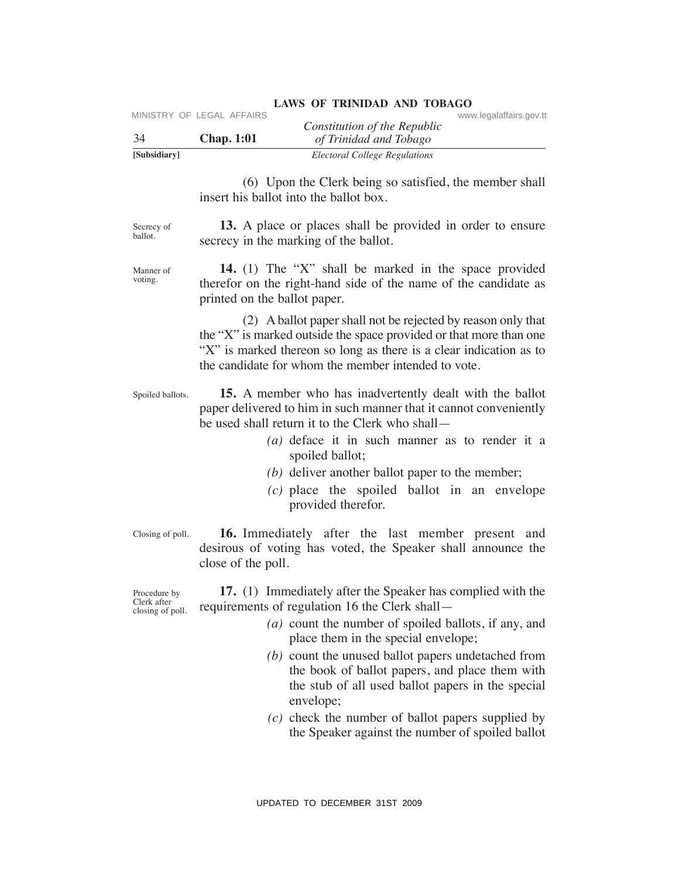| 34                                              | MINISTRY OF LEGAL AFFAIRS<br><b>Chap. 1:01</b> | Constitution of the Republic<br>of Trinidad and Tobago                                                                                                                                                                                                                                                                                                                                                                                                                                                | www.legalaffairs.gov.tt |
|-------------------------------------------------|------------------------------------------------|-------------------------------------------------------------------------------------------------------------------------------------------------------------------------------------------------------------------------------------------------------------------------------------------------------------------------------------------------------------------------------------------------------------------------------------------------------------------------------------------------------|-------------------------|
| [Subsidiary]                                    |                                                | <b>Electoral College Regulations</b>                                                                                                                                                                                                                                                                                                                                                                                                                                                                  |                         |
|                                                 | insert his ballot into the ballot box.         | (6) Upon the Clerk being so satisfied, the member shall                                                                                                                                                                                                                                                                                                                                                                                                                                               |                         |
| Secrecy of<br>ballot.                           |                                                | 13. A place or places shall be provided in order to ensure<br>secrecy in the marking of the ballot.                                                                                                                                                                                                                                                                                                                                                                                                   |                         |
| Manner of<br>voting.                            | printed on the ballot paper.                   | 14. (1) The "X" shall be marked in the space provided<br>therefor on the right-hand side of the name of the candidate as                                                                                                                                                                                                                                                                                                                                                                              |                         |
|                                                 |                                                | (2) A ballot paper shall not be rejected by reason only that<br>the "X" is marked outside the space provided or that more than one<br>"X" is marked thereon so long as there is a clear indication as to<br>the candidate for whom the member intended to vote.                                                                                                                                                                                                                                       |                         |
| Spoiled ballots.                                |                                                | 15. A member who has inadvertently dealt with the ballot<br>paper delivered to him in such manner that it cannot conveniently<br>be used shall return it to the Clerk who shall—<br>$(a)$ deface it in such manner as to render it a<br>spoiled ballot;<br>$(b)$ deliver another ballot paper to the member;<br>$(c)$ place the spoiled ballot in an envelope                                                                                                                                         |                         |
|                                                 |                                                | provided therefor.                                                                                                                                                                                                                                                                                                                                                                                                                                                                                    |                         |
| Closing of poll.                                | close of the poll.                             | 16. Immediately after the last member present and<br>desirous of voting has voted, the Speaker shall announce the                                                                                                                                                                                                                                                                                                                                                                                     |                         |
| Procedure by<br>Clerk after<br>closing of poll. |                                                | 17. (1) Immediately after the Speaker has complied with the<br>requirements of regulation 16 the Clerk shall-<br>$(a)$ count the number of spoiled ballots, if any, and<br>place them in the special envelope;<br>$(b)$ count the unused ballot papers undetached from<br>the book of ballot papers, and place them with<br>the stub of all used ballot papers in the special<br>envelope;<br>$(c)$ check the number of ballot papers supplied by<br>the Speaker against the number of spoiled ballot |                         |
|                                                 |                                                | UPDATED TO DECEMBER 31ST 2009                                                                                                                                                                                                                                                                                                                                                                                                                                                                         |                         |

# LAWS OF TRINIDAD AND TOBAGO **WWW.legalaffairs.gov.tt**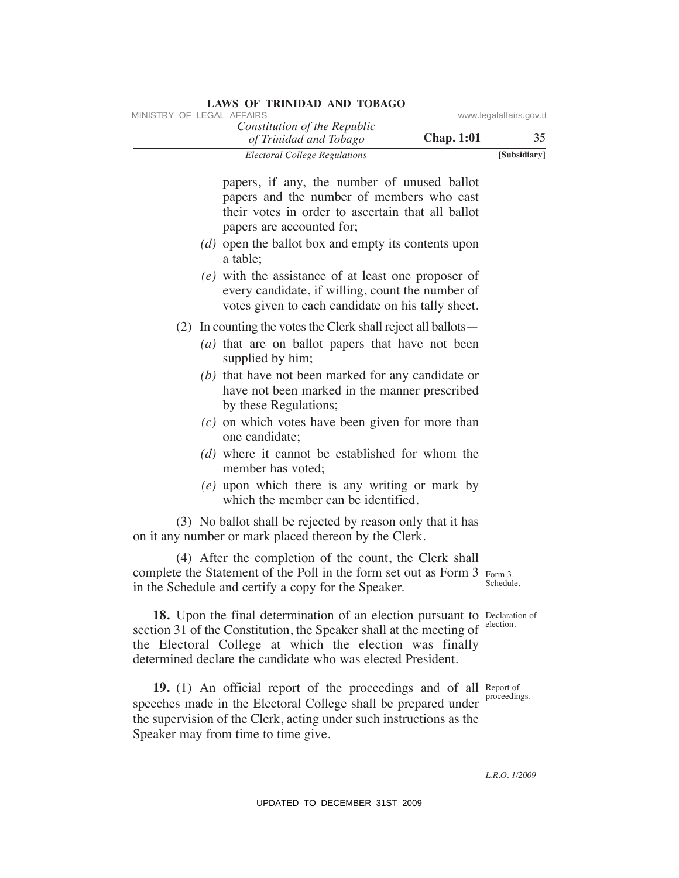| MINISTRY OF LEGAL AFFAIRS                                                                                                                                                                                                                                                                                | www.legalaffairs.gov.tt |
|----------------------------------------------------------------------------------------------------------------------------------------------------------------------------------------------------------------------------------------------------------------------------------------------------------|-------------------------|
| Constitution of the Republic<br><b>Chap. 1:01</b><br>of Trinidad and Tobago                                                                                                                                                                                                                              | 35                      |
| <b>Electoral College Regulations</b>                                                                                                                                                                                                                                                                     | [Subsidiary]            |
| papers, if any, the number of unused ballot<br>papers and the number of members who cast<br>their votes in order to ascertain that all ballot<br>papers are accounted for;<br>$(d)$ open the ballot box and empty its contents upon<br>a table;<br>$(e)$ with the assistance of at least one proposer of |                         |
| every candidate, if willing, count the number of<br>votes given to each candidate on his tally sheet.                                                                                                                                                                                                    |                         |
| (2) In counting the votes the Clerk shall reject all ballots —<br>$(a)$ that are on ballot papers that have not been                                                                                                                                                                                     |                         |
| supplied by him;<br>$(b)$ that have not been marked for any candidate or<br>have not been marked in the manner prescribed<br>by these Regulations;                                                                                                                                                       |                         |
| $(c)$ on which votes have been given for more than<br>one candidate;<br>$(d)$ where it cannot be established for whom the                                                                                                                                                                                |                         |
| member has voted;<br>(e) upon which there is any writing or mark by<br>which the member can be identified.                                                                                                                                                                                               |                         |
| (3) No ballot shall be rejected by reason only that it has<br>on it any number or mark placed thereon by the Clerk.                                                                                                                                                                                      |                         |
| (4) After the completion of the count, the Clerk shall<br>complete the Statement of the Poll in the form set out as Form 3 Form 3.<br>in the Schedule and certify a copy for the Speaker.                                                                                                                | Schedule.               |
| 18. Upon the final determination of an election pursuant to Declaration of<br>section 31 of the Constitution, the Speaker shall at the meeting of<br>the Electoral College at which the election was finally<br>determined declare the candidate who was elected President.                              | election.               |
| 19. (1) An official report of the proceedings and of all Report of<br>speeches made in the Electoral College shall be prepared under<br>the supervision of the Clerk, acting under such instructions as the<br>Speaker may from time to time give.                                                       | proceedings.            |
|                                                                                                                                                                                                                                                                                                          | L.R.O. 1/2009           |
| UPDATED TO DECEMBER 31ST 2009                                                                                                                                                                                                                                                                            |                         |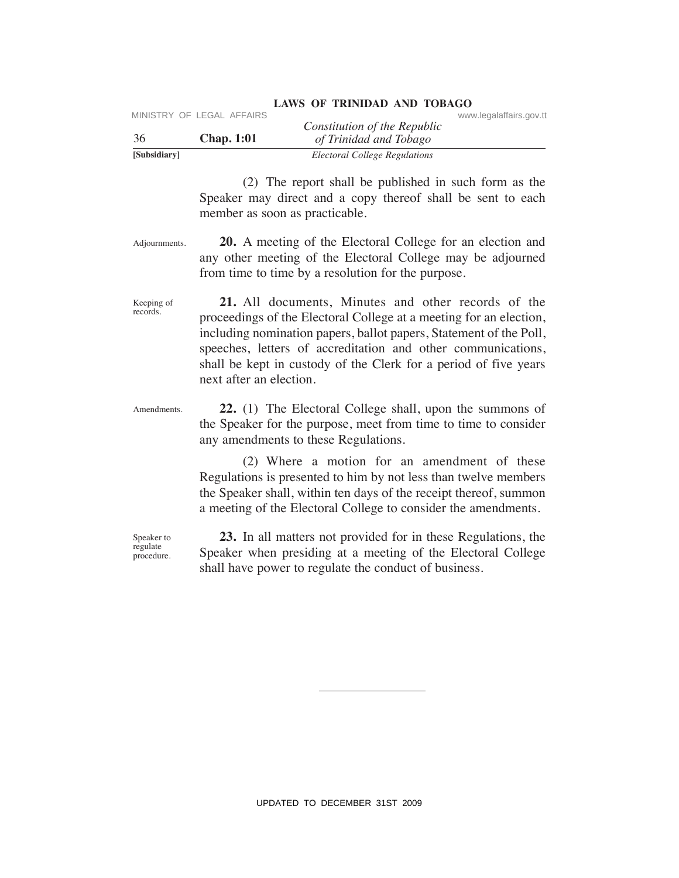|              | MINISTRY OF LEGAL AFFAIRS |                               | www.legalaffairs.gov.tt |
|--------------|---------------------------|-------------------------------|-------------------------|
|              |                           | Constitution of the Republic  |                         |
| -36          | <b>Chap.</b> 1:01         | of Trinidad and Tobago        |                         |
| [Subsidiary] |                           | Electoral College Regulations |                         |

 (2) The report shall be published in such form as the Speaker may direct and a copy thereof shall be sent to each member as soon as practicable.

Adjournments.  **20.** A meeting of the Electoral College for an election and any other meeting of the Electoral College may be adjourned from time to time by a resolution for the purpose.

Keeping of records.  **21.** All documents, Minutes and other records of the proceedings of the Electoral College at a meeting for an election, including nomination papers, ballot papers, Statement of the Poll, speeches, letters of accreditation and other communications, shall be kept in custody of the Clerk for a period of five years next after an election. Concellator of the Regulator of the Regulator of the Regulator of the Regulator of Traintind on Trainting and Toking of Trainting and Toking Spacetor and a convert and a complementation and a complement and a complement a

Amendments.  **22.** (1) The Electoral College shall, upon the summons of the Speaker for the purpose, meet from time to time to consider any amendments to these Regulations.

> (2) Where a motion for an amendment of these Regulations is presented to him by not less than twelve members the Speaker shall, within ten days of the receipt thereof, summon a meeting of the Electoral College to consider the amendments.

Speaker to regulate procedure.

 **23.** In all matters not provided for in these Regulations, the Speaker when presiding at a meeting of the Electoral College shall have power to regulate the conduct of business.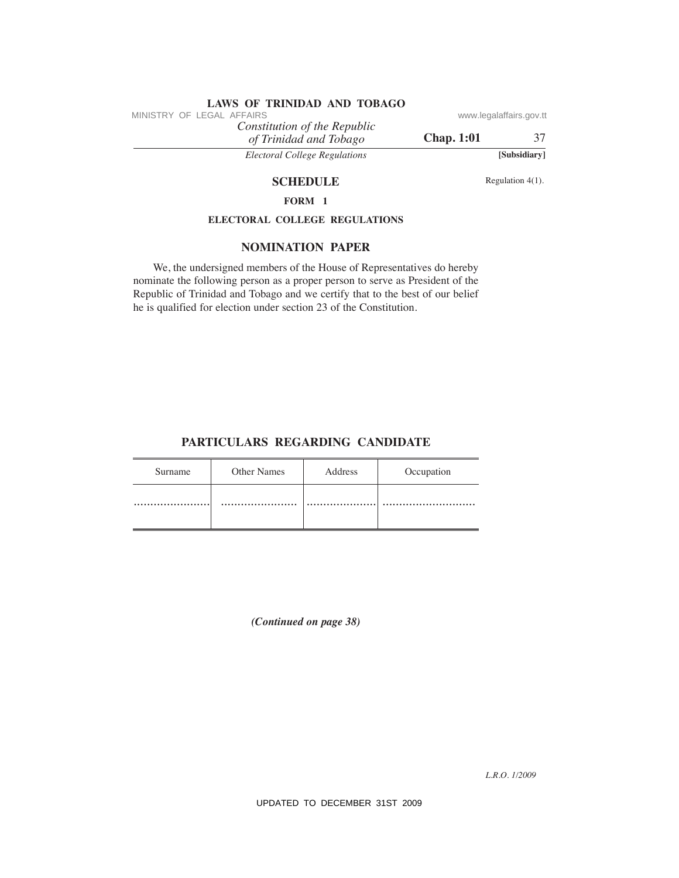## **SCHEDULE** Regulation 4(1).

# **FORM 1**

# **eLeCTORAL COLLeGe ReGuLATIONS**

### **NOMINATION PAPeR**

### **PARTICuLARS ReGARDING CANDIDATe**

| MINISTRY OF LEGAL AFFAIRS |                                                                    | Constitution of the Republic         |                                                                                                                                                                                                                                         | www.legalaffairs.gov.tt |
|---------------------------|--------------------------------------------------------------------|--------------------------------------|-----------------------------------------------------------------------------------------------------------------------------------------------------------------------------------------------------------------------------------------|-------------------------|
|                           |                                                                    | of Trinidad and Tobago               | <b>Chap. 1:01</b>                                                                                                                                                                                                                       | 37                      |
|                           |                                                                    | <b>Electoral College Regulations</b> |                                                                                                                                                                                                                                         | [Subsidiary]            |
|                           |                                                                    | <b>SCHEDULE</b>                      |                                                                                                                                                                                                                                         | Regulation 4(1).        |
|                           |                                                                    | FORM 1                               |                                                                                                                                                                                                                                         |                         |
|                           | ELECTORAL COLLEGE REGULATIONS                                      |                                      |                                                                                                                                                                                                                                         |                         |
|                           |                                                                    | <b>NOMINATION PAPER</b>              |                                                                                                                                                                                                                                         |                         |
|                           | he is qualified for election under section 23 of the Constitution. |                                      | We, the undersigned members of the House of Representatives do hereby<br>nominate the following person as a proper person to serve as President of the<br>Republic of Trinidad and Tobago and we certify that to the best of our belief |                         |
|                           | PARTICULARS REGARDING CANDIDATE                                    |                                      |                                                                                                                                                                                                                                         |                         |
| Surname                   | Other Names                                                        | Address                              | Occupation                                                                                                                                                                                                                              |                         |
|                           |                                                                    |                                      |                                                                                                                                                                                                                                         |                         |
|                           |                                                                    | (Continued on page 38)               |                                                                                                                                                                                                                                         |                         |
|                           |                                                                    | UPDATED TO DECEMBER 31ST 2009        |                                                                                                                                                                                                                                         | L.R.O. 1/2009           |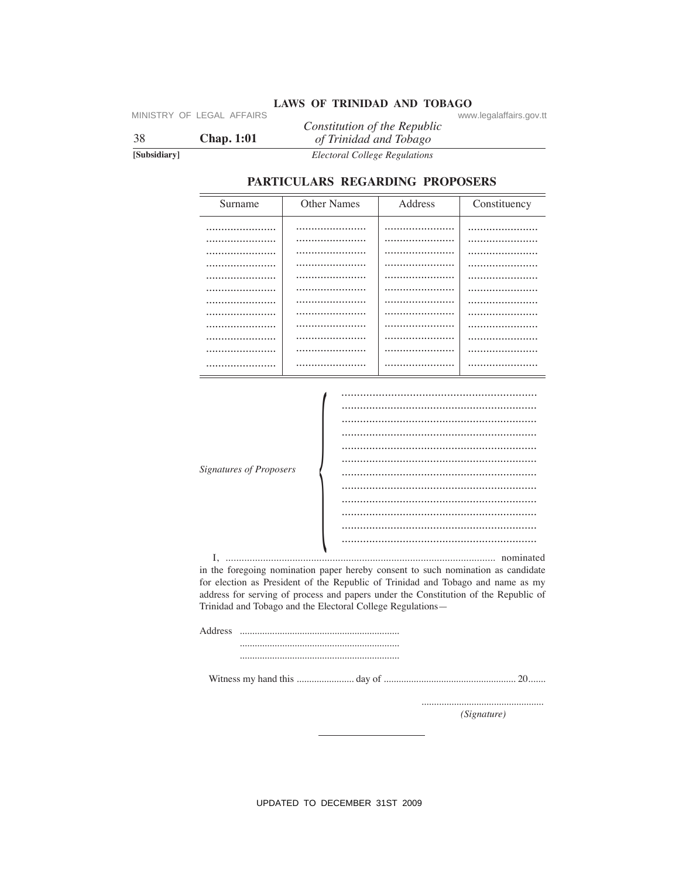MINISTRY OF LEGAL AFFAIRS

38 **Chap. 1:01** 

[Subsidiary]

LAWS OF TRINIDAD AND TOBAGO www.legalaffairs.gov.tt Constitution of the Republic

of Trinidad and Tobago **Electoral College Regulations** 

### PARTICULARS REGARDING PROPOSERS

| Surname | <b>Other Names</b> | Address | Constituency |
|---------|--------------------|---------|--------------|
|         |                    |         |              |
| .       |                    |         |              |
|         |                    |         |              |
|         |                    |         |              |
|         |                    |         |              |
| .       |                    |         |              |
|         |                    |         |              |
|         |                    |         |              |
|         |                    |         |              |
| .       |                    |         |              |
|         |                    |         |              |
|         |                    |         |              |

| <b>Signatures of Proposers</b> |  |
|--------------------------------|--|
|                                |  |
|                                |  |
|                                |  |
|                                |  |
|                                |  |

in the foregoing nomination paper hereby consent to such nomination as candidate for election as President of the Republic of Trinidad and Tobago and name as my address for serving of process and papers under the Constitution of the Republic of Trinidad and Tobago and the Electoral College Regulations-

(Signature)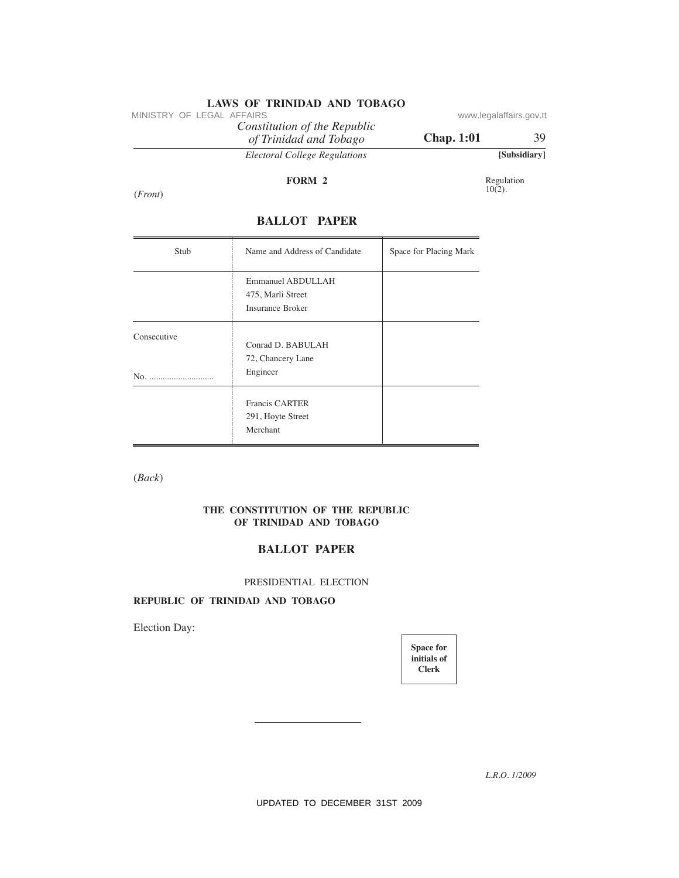*Constitution of the Republic*

# **BALLOT PAPeR**

| MINISTRY OF LEGAL AFFAIRS | Constitution of the Republic                               |                                                 | www.legalaffairs.gov.tt |
|---------------------------|------------------------------------------------------------|-------------------------------------------------|-------------------------|
|                           | of Trinidad and Tobago                                     | <b>Chap. 1:01</b>                               | 39                      |
|                           | <b>Electoral College Regulations</b>                       |                                                 | [Subsidiary]            |
|                           | FORM 2                                                     |                                                 | Regulation<br>$10(2)$ . |
| ( <i>Front</i> )          |                                                            |                                                 |                         |
|                           | <b>BALLOT PAPER</b>                                        |                                                 |                         |
| Stub                      | Name and Address of Candidate                              | Space for Placing Mark                          |                         |
|                           | Emmanuel ABDULLAH                                          |                                                 |                         |
|                           | 475, Marli Street<br>Insurance Broker                      |                                                 |                         |
| Consecutive               | Conrad D. BABULAH                                          |                                                 |                         |
|                           | 72, Chancery Lane                                          |                                                 |                         |
| No.                       | Engineer                                                   |                                                 |                         |
|                           | Francis CARTER<br>291, Hoyte Street                        |                                                 |                         |
|                           | Merchant                                                   |                                                 |                         |
| (Back)                    |                                                            |                                                 |                         |
|                           | THE CONSTITUTION OF THE REPUBLIC<br>OF TRINIDAD AND TOBAGO |                                                 |                         |
|                           | <b>BALLOT PAPER</b>                                        |                                                 |                         |
|                           | PRESIDENTIAL ELECTION                                      |                                                 |                         |
|                           | REPUBLIC OF TRINIDAD AND TOBAGO                            |                                                 |                         |
| Election Day:             |                                                            |                                                 |                         |
|                           |                                                            | <b>Space for</b><br>initials of<br><b>Clerk</b> |                         |
|                           |                                                            |                                                 |                         |
|                           |                                                            |                                                 |                         |
|                           |                                                            |                                                 |                         |
|                           |                                                            |                                                 | L.R.O. 1/2009           |
|                           | UPDATED TO DECEMBER 31ST 2009                              |                                                 |                         |

### **The CONSTITuTION OF The RePuBLIC OF TRINIDAD AND TOBAGO**

# **BALLOT PAPeR**

### PRESIDENTIAL ELECTION

# **RePuBLIC OF TRINIDAD AND TOBAGO**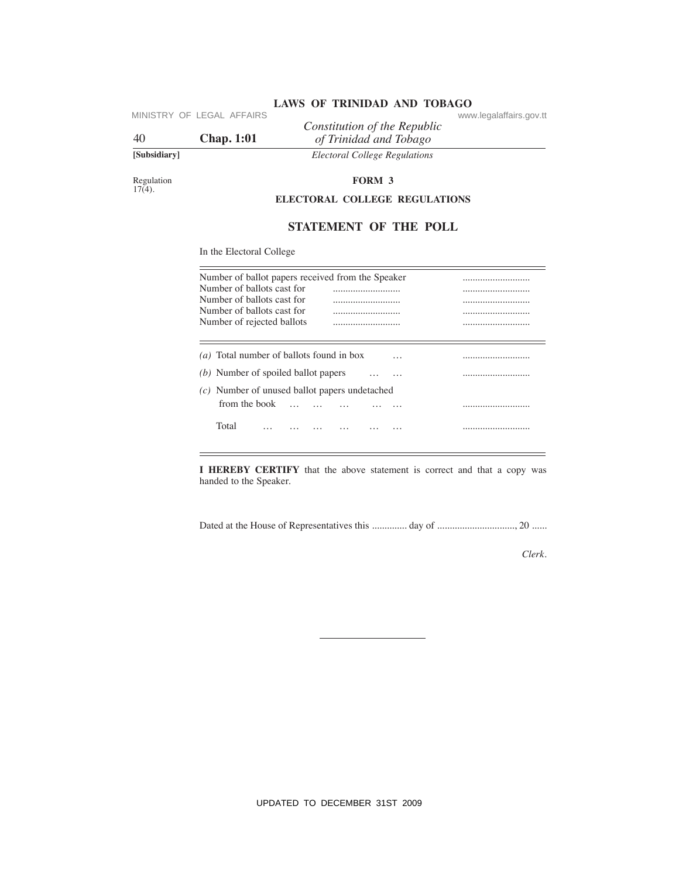|              | IVIIIND IIN U LLUAL AI LAINU | Constitution of the Republic  | www.icyalallallo.yuv. |
|--------------|------------------------------|-------------------------------|-----------------------|
| 40           | <b>Chap.</b> 1:01            | of Trinidad and Tobago        |                       |
| [Subsidiary] |                              | Electoral College Regulations |                       |

# **LAWS OF TRINIDAD AND TOBAGO**<br>
www.legalaffairs.gov.tt

# **STATeMeNT OF The POLL**

| 40                      | MINISTRY OF LEGAL AFFAIRS<br><b>Chap. 1:01</b>                                                                       | Constitution of the Republic<br>of Trinidad and Tobago                   | www.legalaffairs.gov.tt |
|-------------------------|----------------------------------------------------------------------------------------------------------------------|--------------------------------------------------------------------------|-------------------------|
| [Subsidiary]            |                                                                                                                      | <b>Electoral College Regulations</b>                                     |                         |
| Regulation<br>$17(4)$ . |                                                                                                                      | FORM 3<br>ELECTORAL COLLEGE REGULATIONS                                  |                         |
|                         |                                                                                                                      |                                                                          |                         |
|                         |                                                                                                                      | STATEMENT OF THE POLL                                                    |                         |
|                         | In the Electoral College                                                                                             |                                                                          |                         |
|                         | Number of ballots cast for<br>Number of ballots cast for<br>Number of ballots cast for<br>Number of rejected ballots | Number of ballot papers received from the Speaker                        |                         |
|                         |                                                                                                                      | $(a)$ Total number of ballots found in box<br>$\cdot$ $\cdot$            |                         |
|                         | (b) Number of spoiled ballot papers                                                                                  | $\ldots$                                                                 |                         |
|                         | from the book                                                                                                        | $(c)$ Number of unused ballot papers undetached<br>$\ddotsc$<br>$\cdots$ |                         |
|                         | Total<br>$\cdots$                                                                                                    | .<br>.<br>.<br>.                                                         |                         |
|                         | handed to the Speaker.                                                                                               | I HEREBY CERTIFY that the above statement is correct and that a copy was |                         |
|                         |                                                                                                                      |                                                                          |                         |
|                         |                                                                                                                      |                                                                          | Clerk.                  |
|                         |                                                                                                                      |                                                                          |                         |
|                         |                                                                                                                      |                                                                          |                         |
|                         |                                                                                                                      |                                                                          |                         |
|                         |                                                                                                                      |                                                                          |                         |
|                         |                                                                                                                      |                                                                          |                         |
|                         |                                                                                                                      |                                                                          |                         |
|                         |                                                                                                                      |                                                                          |                         |
|                         |                                                                                                                      | UPDATED TO DECEMBER 31ST 2009                                            |                         |

*Clerk.*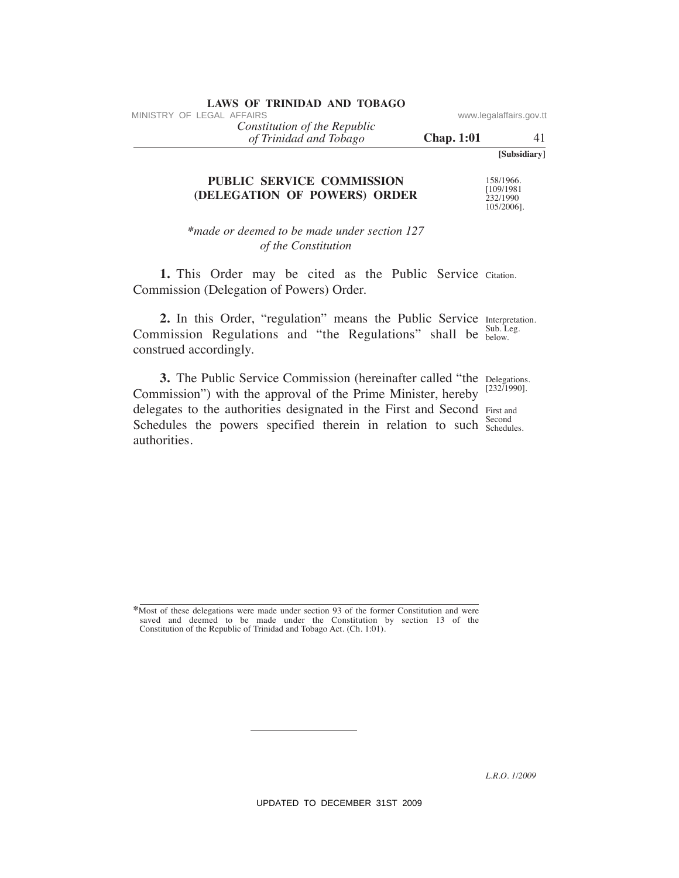*of Trinidad and Tobago Constitution of the Republic*

**Chap. 1:01** 41

**[Subsidiary]**

# **PuBLIC SeRVICe COMMISSION (DeLeGATION OF POWeRS) ORDeR**

158/1966. [109/1981 232/1990 105/2006].

*\*made or deemed to be made under section 127 of the Constitution*

1. This Order may be cited as the Public Service Citation. Commission (Delegation of Powers) Order.

2. In this Order, "regulation" means the Public Service Interpretation. Sub. Leg. Commission Regulations and "the Regulations" shall be  $_{\text{below}}^{\text{SUD}}$ . construed accordingly.

**3.** The Public Service Commission (hereinafter called "the Delegations. [232/1990]. delegates to the authorities designated in the First and Second First and Second Schedules the powers specified therein in relation to such second Commission") with the approval of the Prime Minister, hereby authorities. VINESTRY OF LEGAL AFFAIRS<br>
(*OT Trinidad and Tribngo*<br>
(*Happ.1:01*<br>
(*Happ.1:01*<br>
(*Happ.1:02 Constitution*<br>
(DELEGATION OF POWERS) ORDER<br>
(*Maple or decend to be made ander section 127*<br> *of the Constitution*<br>
1. This O

**<sup>\*</sup>**Most of these delegations were made under section 93 of the former Constitution and were saved and deemed to be made under the Constitution by section 13 of the Constitution of the Republic of Trinidad and Tobago Act. (Ch. 1:01).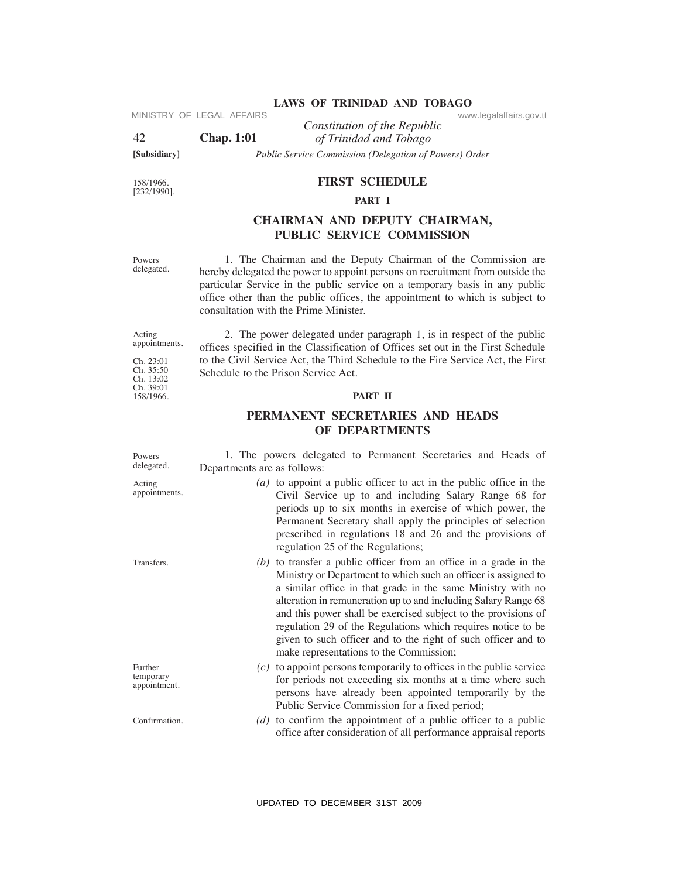### **[Subsidiary]** *Public Service Commission (Delegation of Powers) Order*

### **FIRST SCheDuLe**

### **PART I**

# **ChAIRMAN AND DePuTY ChAIRMAN, PuBLIC SeRVICe COMMISSION**

### **PART II**

# **PeRMANeNT SeCReTARIeS AND heADS OF DePARTMeNTS**

| 42                                                | MINISTRY OF LEGAL AFFAIRS<br><b>Chap. 1:01</b>                                                                                                                                                                                                                                      | www.legalaffairs.gov.tt<br>Constitution of the Republic<br>of Trinidad and Tobago                                                                                                                                                                                                                                                                                                                                                                                                                                    |  |
|---------------------------------------------------|-------------------------------------------------------------------------------------------------------------------------------------------------------------------------------------------------------------------------------------------------------------------------------------|----------------------------------------------------------------------------------------------------------------------------------------------------------------------------------------------------------------------------------------------------------------------------------------------------------------------------------------------------------------------------------------------------------------------------------------------------------------------------------------------------------------------|--|
| [Subsidiary]                                      |                                                                                                                                                                                                                                                                                     | Public Service Commission (Delegation of Powers) Order                                                                                                                                                                                                                                                                                                                                                                                                                                                               |  |
| 158/1966.<br>$[232/1990]$ .                       |                                                                                                                                                                                                                                                                                     | <b>FIRST SCHEDULE</b><br>PART I                                                                                                                                                                                                                                                                                                                                                                                                                                                                                      |  |
|                                                   |                                                                                                                                                                                                                                                                                     | CHAIRMAN AND DEPUTY CHAIRMAN,<br>PUBLIC SERVICE COMMISSION                                                                                                                                                                                                                                                                                                                                                                                                                                                           |  |
| Powers<br>delegated.                              |                                                                                                                                                                                                                                                                                     | 1. The Chairman and the Deputy Chairman of the Commission are<br>hereby delegated the power to appoint persons on recruitment from outside the<br>particular Service in the public service on a temporary basis in any public<br>office other than the public offices, the appointment to which is subject to<br>consultation with the Prime Minister.                                                                                                                                                               |  |
| Acting<br>appointments.<br>Ch. 23:01<br>Ch. 35:50 | 2. The power delegated under paragraph 1, is in respect of the public<br>offices specified in the Classification of Offices set out in the First Schedule<br>to the Civil Service Act, the Third Schedule to the Fire Service Act, the First<br>Schedule to the Prison Service Act. |                                                                                                                                                                                                                                                                                                                                                                                                                                                                                                                      |  |
| Ch. 13:02<br>Ch. 39:01<br>158/1966.               |                                                                                                                                                                                                                                                                                     | PART II                                                                                                                                                                                                                                                                                                                                                                                                                                                                                                              |  |
|                                                   |                                                                                                                                                                                                                                                                                     | PERMANENT SECRETARIES AND HEADS<br>OF DEPARTMENTS                                                                                                                                                                                                                                                                                                                                                                                                                                                                    |  |
| Powers<br>delegated.                              | Departments are as follows:                                                                                                                                                                                                                                                         | 1. The powers delegated to Permanent Secretaries and Heads of                                                                                                                                                                                                                                                                                                                                                                                                                                                        |  |
| Acting<br>appointments.                           |                                                                                                                                                                                                                                                                                     | $(a)$ to appoint a public officer to act in the public office in the<br>Civil Service up to and including Salary Range 68 for<br>periods up to six months in exercise of which power, the<br>Permanent Secretary shall apply the principles of selection<br>prescribed in regulations 18 and 26 and the provisions of<br>regulation 25 of the Regulations;                                                                                                                                                           |  |
| Transfers.                                        |                                                                                                                                                                                                                                                                                     | $(b)$ to transfer a public officer from an office in a grade in the<br>Ministry or Department to which such an officer is assigned to<br>a similar office in that grade in the same Ministry with no<br>alteration in remuneration up to and including Salary Range 68<br>and this power shall be exercised subject to the provisions of<br>regulation 29 of the Regulations which requires notice to be<br>given to such officer and to the right of such officer and to<br>make representations to the Commission; |  |
| Further<br>temporary<br>appointment.              |                                                                                                                                                                                                                                                                                     | $(c)$ to appoint persons temporarily to offices in the public service<br>for periods not exceeding six months at a time where such<br>persons have already been appointed temporarily by the<br>Public Service Commission for a fixed period;                                                                                                                                                                                                                                                                        |  |
| Confirmation.                                     |                                                                                                                                                                                                                                                                                     | $(d)$ to confirm the appointment of a public officer to a public<br>office after consideration of all performance appraisal reports                                                                                                                                                                                                                                                                                                                                                                                  |  |
|                                                   |                                                                                                                                                                                                                                                                                     | UPDATED TO DECEMBER 31ST 2009                                                                                                                                                                                                                                                                                                                                                                                                                                                                                        |  |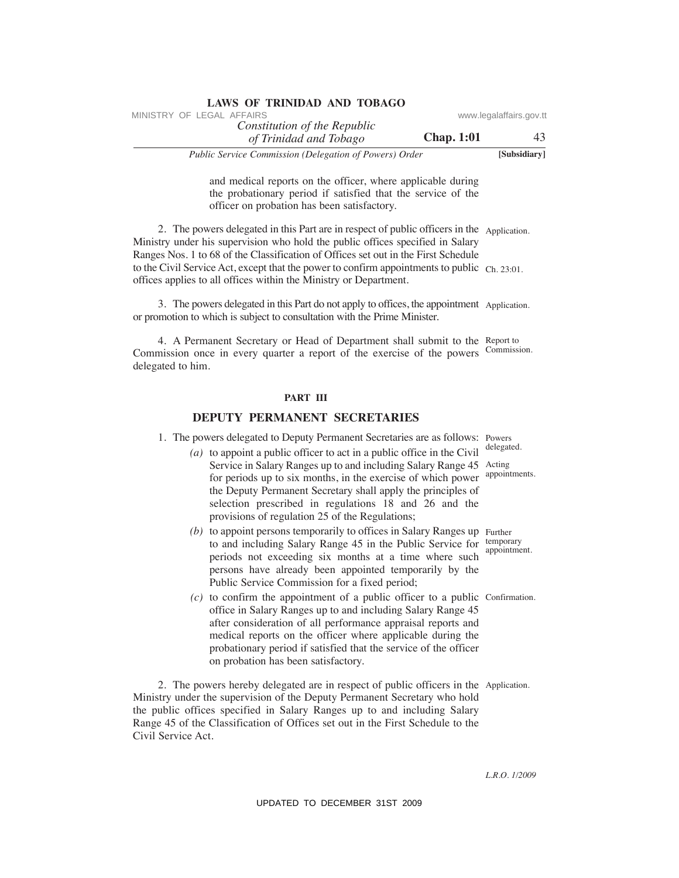| LAWS OF TRINIDAD AND TOBAGO                            |                   |                         |
|--------------------------------------------------------|-------------------|-------------------------|
| MINISTRY OF LEGAL AFFAIRS                              |                   | www.legalaffairs.gov.tt |
| Constitution of the Republic                           |                   |                         |
| of Trinidad and Tobago                                 | <b>Chap.</b> 1:01 | 43                      |
| Public Service Commission (Delegation of Powers) Order |                   | [Subsidiary]            |

and medical reports on the officer, where applicable during the probationary period if satisfied that the service of the officer on probation has been satisfactory.

 2. The powers delegated in this Part are in respect of public officers in the Application. Ministry under his supervision who hold the public offices specified in Salary Ranges Nos. 1 to 68 of the Classification of Offices set out in the First Schedule to the Civil Service Act, except that the power to confirm appointments to public  $\gamma_{\text{ch. 23:01}}$ . offices applies to all offices within the Ministry or Department. VINESTRY OF LEGAL AFFAIRS of the Republic dimension of the Republic Constraines governs and Thrivagon Chap. 1101<br>
Thuble Service Commission (Delegation of Powers) Order<br>
und medical and Thuble Service Commission (Delegati

 3. The powers delegated in this Part do not apply to offices, the appointment Application. or promotion to which is subject to consultation with the Prime Minister.

 4. A Permanent Secretary or Head of Department shall submit to the Report to Commission once in every quarter a report of the exercise of the powers Commission. delegated to him.

### **PART III**

### **DePuTY PeRMANeNT SeCReTARIeS**

1. The powers delegated to Deputy Permanent Secretaries are as follows: Powers

- *(a)* to appoint a public officer to act in a public office in the Civil Service in Salary Ranges up to and including Salary Range 45 Acting for periods up to six months, in the exercise of which power the Deputy Permanent Secretary shall apply the principles of selection prescribed in regulations 18 and 26 and the provisions of regulation 25 of the Regulations;
- (b) to appoint persons temporarily to offices in Salary Ranges up Further to and including Salary Range 45 in the Public Service for temporary periods not exceeding six months at a time where such persons have already been appointed temporarily by the Public Service Commission for a fixed period;
- $(c)$  to confirm the appointment of a public officer to a public Confirmation. office in Salary Ranges up to and including Salary Range 45 after consideration of all performance appraisal reports and medical reports on the officer where applicable during the probationary period if satisfied that the service of the officer on probation has been satisfactory.

 2. The powers hereby delegated are in respect of public officers in the Application. Ministry under the supervision of the Deputy Permanent Secretary who hold the public offices specified in Salary Ranges up to and including Salary Range 45 of the Classification of Offices set out in the First Schedule to the Civil Service Act.

delegated.

appointments.

appointment.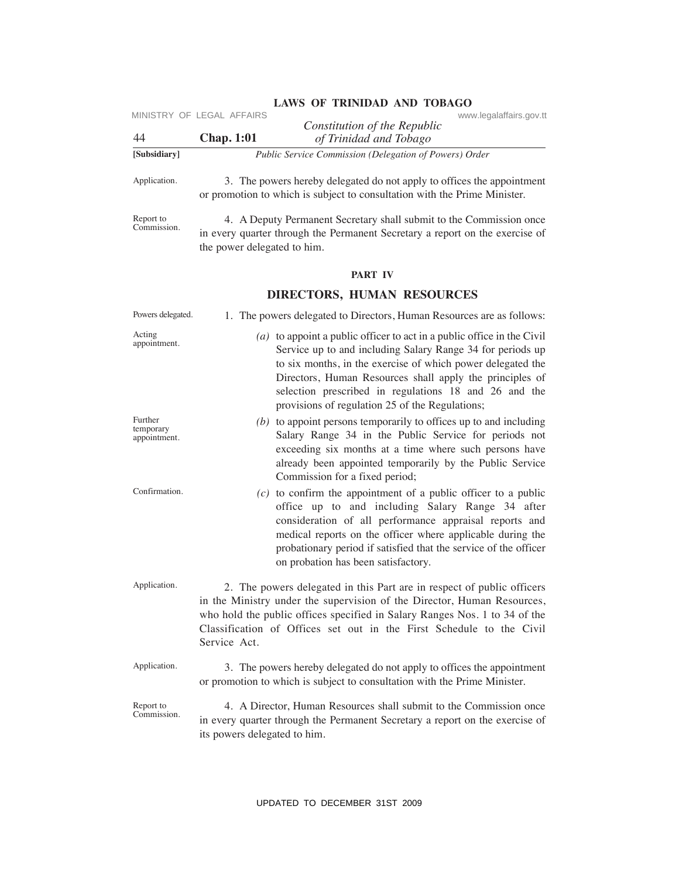|                                      | MINISTRY OF LEGAL AFFAIRS                                                                                                                                                                                                                                                                                               |                                                                                                                                                                                                                                                                                                                                                                               | www.legalaffairs.gov.tt |
|--------------------------------------|-------------------------------------------------------------------------------------------------------------------------------------------------------------------------------------------------------------------------------------------------------------------------------------------------------------------------|-------------------------------------------------------------------------------------------------------------------------------------------------------------------------------------------------------------------------------------------------------------------------------------------------------------------------------------------------------------------------------|-------------------------|
| 44                                   | <b>Chap. 1:01</b>                                                                                                                                                                                                                                                                                                       | Constitution of the Republic<br>of Trinidad and Tobago                                                                                                                                                                                                                                                                                                                        |                         |
| [Subsidiary]                         |                                                                                                                                                                                                                                                                                                                         | Public Service Commission (Delegation of Powers) Order                                                                                                                                                                                                                                                                                                                        |                         |
| Application.                         |                                                                                                                                                                                                                                                                                                                         | 3. The powers hereby delegated do not apply to offices the appointment<br>or promotion to which is subject to consultation with the Prime Minister.                                                                                                                                                                                                                           |                         |
| Report to<br>Commission.             | the power delegated to him.                                                                                                                                                                                                                                                                                             | 4. A Deputy Permanent Secretary shall submit to the Commission once<br>in every quarter through the Permanent Secretary a report on the exercise of                                                                                                                                                                                                                           |                         |
|                                      |                                                                                                                                                                                                                                                                                                                         | PART IV                                                                                                                                                                                                                                                                                                                                                                       |                         |
|                                      |                                                                                                                                                                                                                                                                                                                         | <b>DIRECTORS, HUMAN RESOURCES</b>                                                                                                                                                                                                                                                                                                                                             |                         |
| Powers delegated.                    |                                                                                                                                                                                                                                                                                                                         | 1. The powers delegated to Directors, Human Resources are as follows:                                                                                                                                                                                                                                                                                                         |                         |
| Acting<br>appointment.               |                                                                                                                                                                                                                                                                                                                         | $(a)$ to appoint a public officer to act in a public office in the Civil<br>Service up to and including Salary Range 34 for periods up<br>to six months, in the exercise of which power delegated the<br>Directors, Human Resources shall apply the principles of<br>selection prescribed in regulations 18 and 26 and the<br>provisions of regulation 25 of the Regulations; |                         |
| Further<br>temporary<br>appointment. |                                                                                                                                                                                                                                                                                                                         | $(b)$ to appoint persons temporarily to offices up to and including<br>Salary Range 34 in the Public Service for periods not<br>exceeding six months at a time where such persons have<br>already been appointed temporarily by the Public Service<br>Commission for a fixed period;                                                                                          |                         |
| Confirmation.                        |                                                                                                                                                                                                                                                                                                                         | $(c)$ to confirm the appointment of a public officer to a public<br>office up to and including Salary Range 34 after<br>consideration of all performance appraisal reports and<br>medical reports on the officer where applicable during the<br>probationary period if satisfied that the service of the officer<br>on probation has been satisfactory.                       |                         |
| Application.                         | 2. The powers delegated in this Part are in respect of public officers<br>in the Ministry under the supervision of the Director, Human Resources,<br>who hold the public offices specified in Salary Ranges Nos. 1 to 34 of the<br>Classification of Offices set out in the First Schedule to the Civil<br>Service Act. |                                                                                                                                                                                                                                                                                                                                                                               |                         |
| Application.                         | 3. The powers hereby delegated do not apply to offices the appointment<br>or promotion to which is subject to consultation with the Prime Minister.                                                                                                                                                                     |                                                                                                                                                                                                                                                                                                                                                                               |                         |
| Report to<br>Commission.             | its powers delegated to him.                                                                                                                                                                                                                                                                                            | 4. A Director, Human Resources shall submit to the Commission once<br>in every quarter through the Permanent Secretary a report on the exercise of                                                                                                                                                                                                                            |                         |
|                                      |                                                                                                                                                                                                                                                                                                                         | UPDATED TO DECEMBER 31ST 2009                                                                                                                                                                                                                                                                                                                                                 |                         |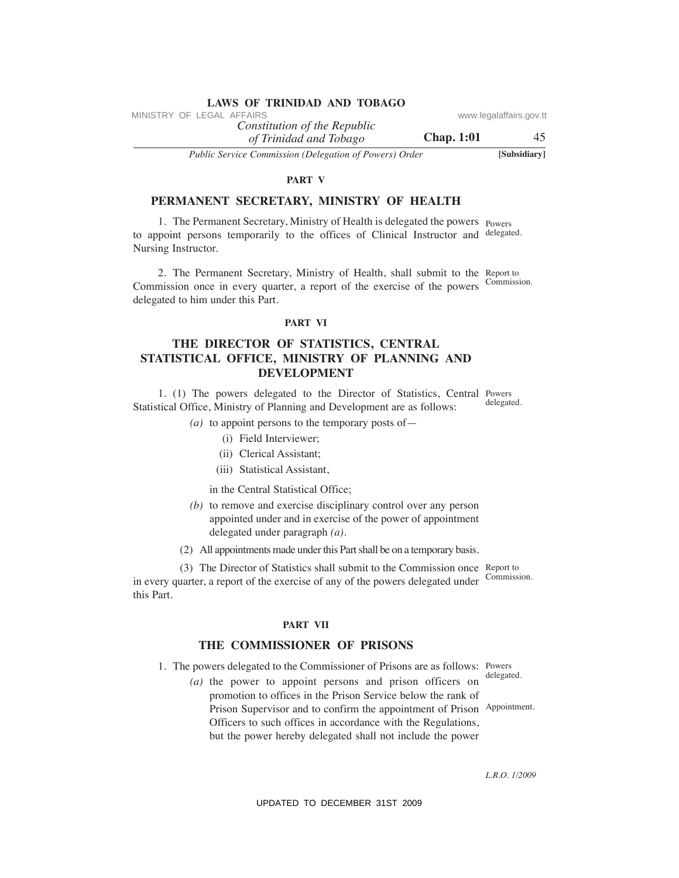*of Trinidad and Tobago Constitution of the Republic*

*Public Service Commission (Delegation of Powers) Order* **[Subsidiary]**

### **PART V**

## **PeRMANeNT SeCReTARY, MINISTRY OF heALTh**

1. The Permanent Secretary, Ministry of Health is delegated the powers Powers to appoint persons temporarily to the offices of Clinical Instructor and delegated. Nursing Instructor.

2. The Permanent Secretary, Ministry of Health, shall submit to the Report to Commission. Commission once in every quarter, a report of the exercise of the powers delegated to him under this Part.

#### **PART VI**

# **The DIReCTOR OF STATISTICS, CeNTRAL STATISTICAL OFFICe, MINISTRY OF PLANNING AND DeVeLOPMeNT**

1. (1) The powers delegated to the Director of Statistics, Central Powers Statistical Office, Ministry of Planning and Development are as follows:

- $(a)$  to appoint persons to the temporary posts of
	- (i) Field Interviewer;
	- (ii) Clerical Assistant;
	- (iii) Statistical Assistant,

in the Central Statistical Office;

- *(b)* to remove and exercise disciplinary control over any person appointed under and in exercise of the power of appointment delegated under paragraph *(a)*.
- (2) All appointments made under this Part shall be on a temporary basis.

(3) The Director of Statistics shall submit to the Commission once Report to Commission. in every quarter, a report of the exercise of any of the powers delegated under this Part.

### **PART VII**

### **The COMMISSIONeR OF PRISONS**

1. The powers delegated to the Commissioner of Prisons are as follows: Powers delegated.

Appointment.  *(a)* the power to appoint persons and prison officers on promotion to offices in the Prison Service below the rank of Prison Supervisor and to confirm the appointment of Prison Officers to such offices in accordance with the Regulations, but the power hereby delegated shall not include the power VINESTRY OF LEGAL AFFAIRS of the Republic convergending of the Republic Conservation of The Republic and Thinggon Chap. 1:01<br>
The Farmer Consension (Delegation of Powers) Order (Subsidium)<br>
PERMANENT SECRETARY, MINISTRY O

*L.R.O. 1/2009*

delegated.

**Chap. 1:01** 45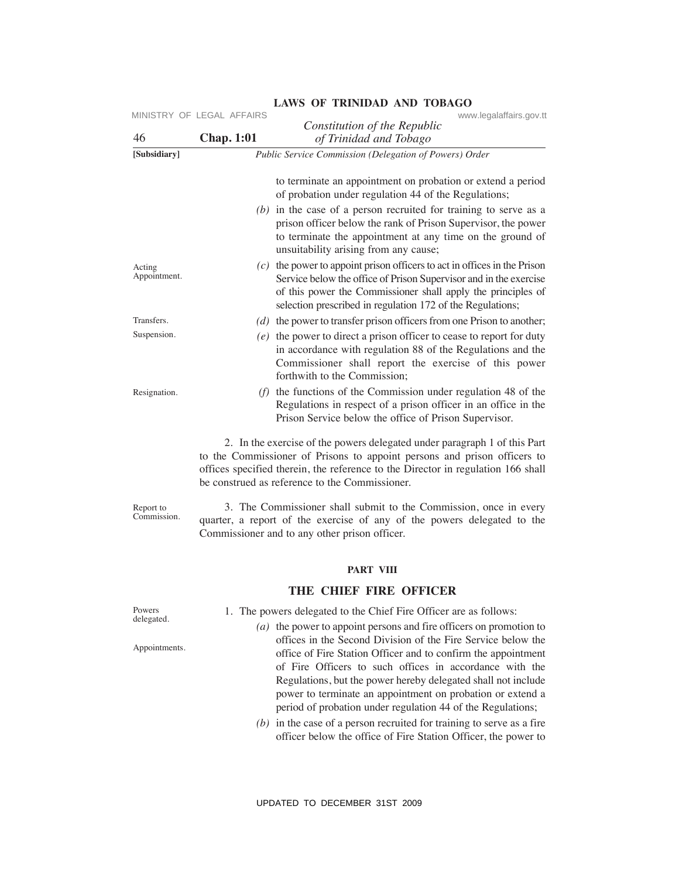|                          | MINISTRY OF LEGAL AFFAIRS | www.legalaffairs.gov.tt<br>Constitution of the Republic                                                                                                                                                                                                                                                                                                                                |
|--------------------------|---------------------------|----------------------------------------------------------------------------------------------------------------------------------------------------------------------------------------------------------------------------------------------------------------------------------------------------------------------------------------------------------------------------------------|
| 46<br>[Subsidiary]       | <b>Chap. 1:01</b>         | of Trinidad and Tobago<br>Public Service Commission (Delegation of Powers) Order                                                                                                                                                                                                                                                                                                       |
|                          |                           | to terminate an appointment on probation or extend a period<br>of probation under regulation 44 of the Regulations;<br>$(b)$ in the case of a person recruited for training to serve as a<br>prison officer below the rank of Prison Supervisor, the power                                                                                                                             |
|                          |                           | to terminate the appointment at any time on the ground of<br>unsuitability arising from any cause;                                                                                                                                                                                                                                                                                     |
| Acting<br>Appointment.   |                           | $(c)$ the power to appoint prison officers to act in offices in the Prison<br>Service below the office of Prison Supervisor and in the exercise<br>of this power the Commissioner shall apply the principles of<br>selection prescribed in regulation 172 of the Regulations;                                                                                                          |
| Transfers.               |                           | $(d)$ the power to transfer prison officers from one Prison to another;                                                                                                                                                                                                                                                                                                                |
| Suspension.              |                           | $(e)$ the power to direct a prison officer to cease to report for duty<br>in accordance with regulation 88 of the Regulations and the<br>Commissioner shall report the exercise of this power<br>forthwith to the Commission;                                                                                                                                                          |
| Resignation.             |                           | $(f)$ the functions of the Commission under regulation 48 of the<br>Regulations in respect of a prison officer in an office in the<br>Prison Service below the office of Prison Supervisor.                                                                                                                                                                                            |
|                          |                           | 2. In the exercise of the powers delegated under paragraph 1 of this Part<br>to the Commissioner of Prisons to appoint persons and prison officers to<br>offices specified therein, the reference to the Director in regulation 166 shall<br>be construed as reference to the Commissioner.                                                                                            |
| Report to<br>Commission. |                           | 3. The Commissioner shall submit to the Commission, once in every<br>quarter, a report of the exercise of any of the powers delegated to the<br>Commissioner and to any other prison officer.                                                                                                                                                                                          |
|                          |                           | <b>PART VIII</b>                                                                                                                                                                                                                                                                                                                                                                       |
|                          |                           | THE CHIEF FIRE OFFICER                                                                                                                                                                                                                                                                                                                                                                 |
| Powers                   |                           | 1. The powers delegated to the Chief Fire Officer are as follows:                                                                                                                                                                                                                                                                                                                      |
| delegated.               |                           | $(a)$ the power to appoint persons and fire officers on promotion to                                                                                                                                                                                                                                                                                                                   |
| Appointments.            |                           | offices in the Second Division of the Fire Service below the<br>office of Fire Station Officer and to confirm the appointment<br>of Fire Officers to such offices in accordance with the<br>Regulations, but the power hereby delegated shall not include<br>power to terminate an appointment on probation or extend a<br>period of probation under regulation 44 of the Regulations; |
|                          |                           | $(b)$ in the case of a person recruited for training to serve as a fire<br>officer below the office of Fire Station Officer, the power to<br>UPDATED TO DECEMBER 31ST 2009                                                                                                                                                                                                             |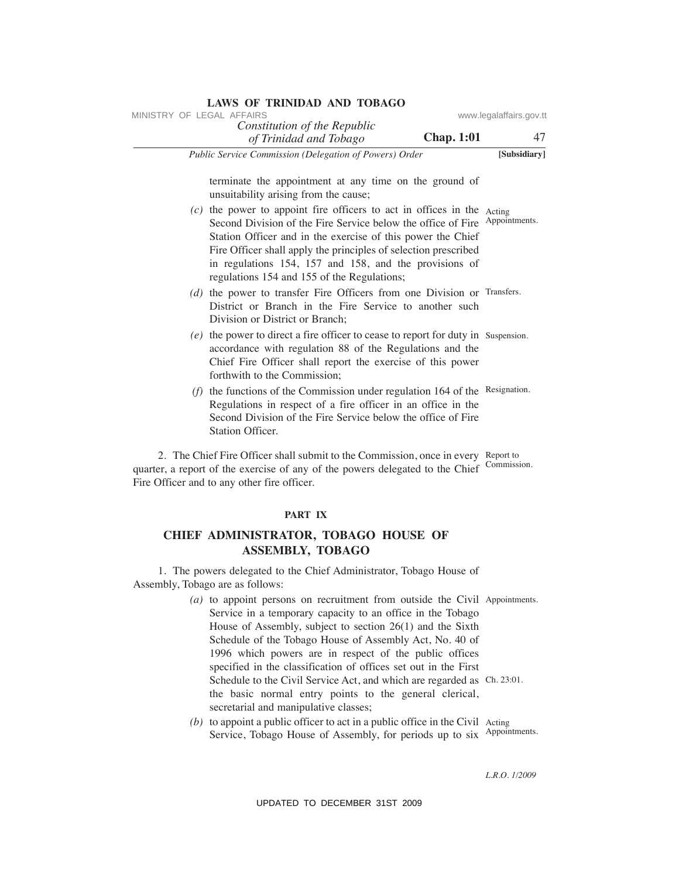| <b>LAWS OF TRINIDAD AND TOBAGO</b><br>MINISTRY OF LEGAL AFFAIRS                                                                                                                                                                                                                                                                                                                                   | www.legalaffairs.gov.tt |
|---------------------------------------------------------------------------------------------------------------------------------------------------------------------------------------------------------------------------------------------------------------------------------------------------------------------------------------------------------------------------------------------------|-------------------------|
| Constitution of the Republic<br><b>Chap. 1:01</b><br>of Trinidad and Tobago                                                                                                                                                                                                                                                                                                                       | 47                      |
| Public Service Commission (Delegation of Powers) Order                                                                                                                                                                                                                                                                                                                                            | [Subsidiary]            |
| terminate the appointment at any time on the ground of<br>unsuitability arising from the cause;                                                                                                                                                                                                                                                                                                   |                         |
| $(c)$ the power to appoint fire officers to act in offices in the Acting<br>Second Division of the Fire Service below the office of Fire Appointments.<br>Station Officer and in the exercise of this power the Chief<br>Fire Officer shall apply the principles of selection prescribed<br>in regulations 154, 157 and 158, and the provisions of<br>regulations 154 and 155 of the Regulations; |                         |
| $(d)$ the power to transfer Fire Officers from one Division or Transfers.<br>District or Branch in the Fire Service to another such<br>Division or District or Branch;                                                                                                                                                                                                                            |                         |
| $(e)$ the power to direct a fire officer to cease to report for duty in Suspension.<br>accordance with regulation 88 of the Regulations and the<br>Chief Fire Officer shall report the exercise of this power<br>forthwith to the Commission:                                                                                                                                                     |                         |
| $(f)$ the functions of the Commission under regulation 164 of the Resignation.<br>Regulations in respect of a fire officer in an office in the<br>Second Division of the Fire Service below the office of Fire<br><b>Station Officer.</b>                                                                                                                                                         |                         |
| 2. The Chief Fire Officer shall submit to the Commission, once in every Report to<br>quarter, a report of the exercise of any of the powers delegated to the Chief Commission.<br>Fire Officer and to any other fire officer.                                                                                                                                                                     |                         |
| PART IX                                                                                                                                                                                                                                                                                                                                                                                           |                         |
| CHIEF ADMINISTRATOR, TOBAGO HOUSE OF<br><b>ASSEMBLY, TOBAGO</b>                                                                                                                                                                                                                                                                                                                                   |                         |
| 1. The powers delegated to the Chief Administrator, Tobago House of<br>Assembly, Tobago are as follows:                                                                                                                                                                                                                                                                                           |                         |
| $(a)$ to appoint persons on recruitment from outside the Civil Appointments.<br>Service in a temporary capacity to an office in the Tobago<br>House of Assembly, subject to section 26(1) and the Sixth<br>Schedule of the Tobago House of Assembly Act, No. 40 of<br>1996 which powers are in respect of the public offices<br>specified in the classification of offices set out in the First   |                         |
| Schedule to the Civil Service Act, and which are regarded as Ch. 23:01.<br>the basic normal entry points to the general clerical,<br>secretarial and manipulative classes;                                                                                                                                                                                                                        |                         |
| $(b)$ to appoint a public officer to act in a public office in the Civil Acting<br>Service, Tobago House of Assembly, for periods up to six Appointments.                                                                                                                                                                                                                                         |                         |
|                                                                                                                                                                                                                                                                                                                                                                                                   | L.R.O. 1/2009           |
| UPDATED TO DECEMBER 31ST 2009                                                                                                                                                                                                                                                                                                                                                                     |                         |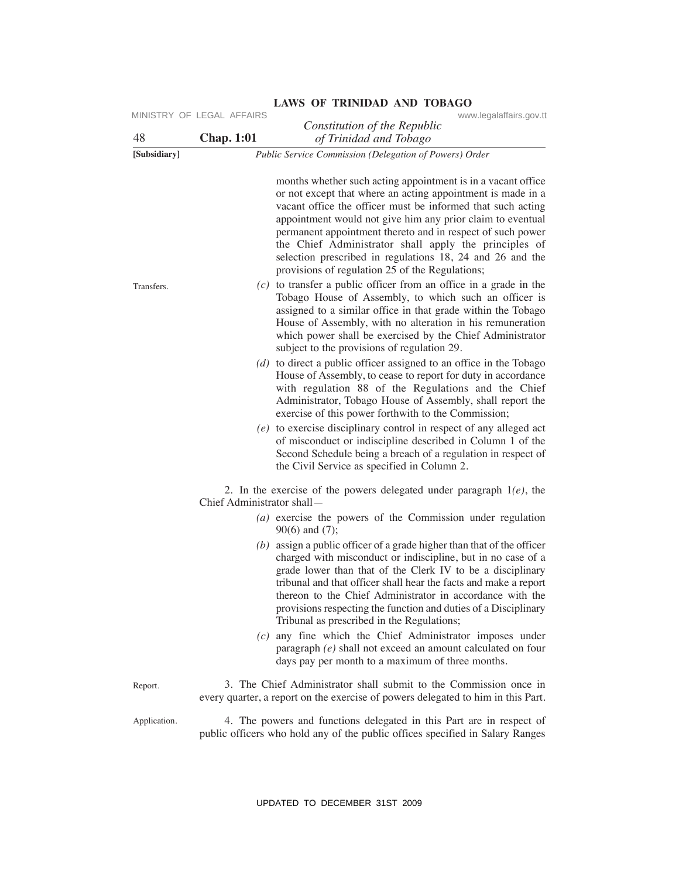| 48           | MINISTRY OF LEGAL AFFAIRS<br><b>Chap. 1:01</b> | www.legalaffairs.gov.tt<br>Constitution of the Republic<br>of Trinidad and Tobago                                                                                                                                                                                                                                                                                                                                                                                                               |
|--------------|------------------------------------------------|-------------------------------------------------------------------------------------------------------------------------------------------------------------------------------------------------------------------------------------------------------------------------------------------------------------------------------------------------------------------------------------------------------------------------------------------------------------------------------------------------|
| [Subsidiary] |                                                | Public Service Commission (Delegation of Powers) Order                                                                                                                                                                                                                                                                                                                                                                                                                                          |
|              |                                                | months whether such acting appointment is in a vacant office<br>or not except that where an acting appointment is made in a<br>vacant office the officer must be informed that such acting<br>appointment would not give him any prior claim to eventual<br>permanent appointment thereto and in respect of such power<br>the Chief Administrator shall apply the principles of<br>selection prescribed in regulations 18, 24 and 26 and the<br>provisions of regulation 25 of the Regulations; |
| Transfers.   |                                                | $(c)$ to transfer a public officer from an office in a grade in the<br>Tobago House of Assembly, to which such an officer is<br>assigned to a similar office in that grade within the Tobago<br>House of Assembly, with no alteration in his remuneration<br>which power shall be exercised by the Chief Administrator<br>subject to the provisions of regulation 29.                                                                                                                           |
|              |                                                | $(d)$ to direct a public officer assigned to an office in the Tobago<br>House of Assembly, to cease to report for duty in accordance<br>with regulation 88 of the Regulations and the Chief<br>Administrator, Tobago House of Assembly, shall report the<br>exercise of this power forthwith to the Commission;                                                                                                                                                                                 |
|              |                                                | $(e)$ to exercise disciplinary control in respect of any alleged act<br>of misconduct or indiscipline described in Column 1 of the<br>Second Schedule being a breach of a regulation in respect of<br>the Civil Service as specified in Column 2.                                                                                                                                                                                                                                               |
|              | Chief Administrator shall—                     | 2. In the exercise of the powers delegated under paragraph $1(e)$ , the                                                                                                                                                                                                                                                                                                                                                                                                                         |
|              |                                                | $(a)$ exercise the powers of the Commission under regulation<br>$90(6)$ and $(7)$ ;                                                                                                                                                                                                                                                                                                                                                                                                             |
|              |                                                | $(b)$ assign a public officer of a grade higher than that of the officer<br>charged with misconduct or indiscipline, but in no case of a<br>grade lower than that of the Clerk IV to be a disciplinary<br>tribunal and that officer shall hear the facts and make a report<br>thereon to the Chief Administrator in accordance with the<br>provisions respecting the function and duties of a Disciplinary<br>Tribunal as prescribed in the Regulations;                                        |
|              |                                                | $(c)$ any fine which the Chief Administrator imposes under<br>paragraph $(e)$ shall not exceed an amount calculated on four<br>days pay per month to a maximum of three months.                                                                                                                                                                                                                                                                                                                 |
| Report.      |                                                | 3. The Chief Administrator shall submit to the Commission once in<br>every quarter, a report on the exercise of powers delegated to him in this Part.                                                                                                                                                                                                                                                                                                                                           |
| Application. |                                                | 4. The powers and functions delegated in this Part are in respect of<br>public officers who hold any of the public offices specified in Salary Ranges                                                                                                                                                                                                                                                                                                                                           |
|              |                                                | UPDATED TO DECEMBER 31ST 2009                                                                                                                                                                                                                                                                                                                                                                                                                                                                   |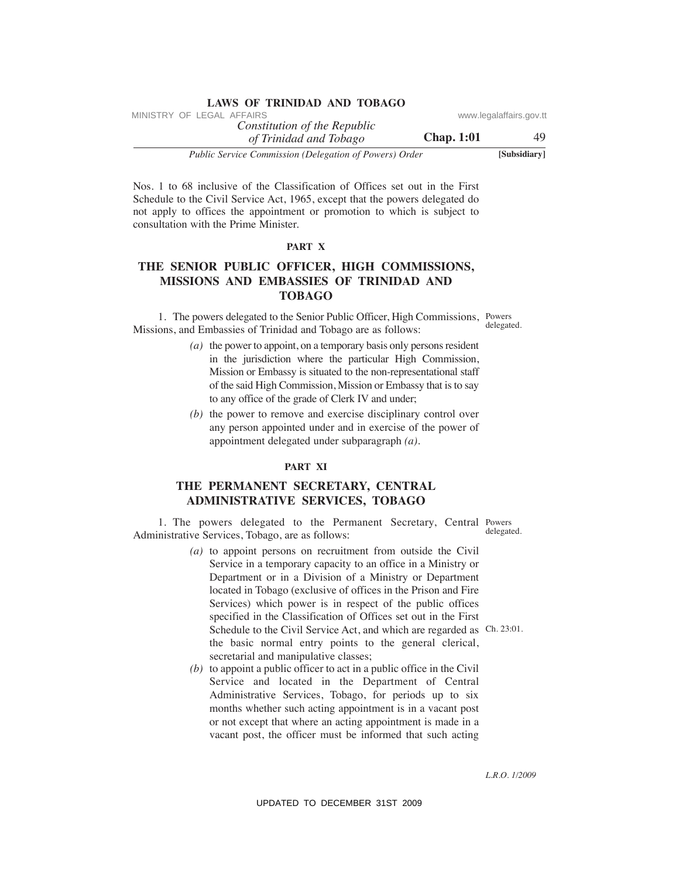| <i>Public Service Commission (Delegation of Powers) Order</i> | [Subsidiary]            |
|---------------------------------------------------------------|-------------------------|
| <b>Chap.</b> 1:01<br>of Trinidad and Tobago                   | 49                      |
| Constitution of the Republic                                  |                         |
| MINISTRY OF LEGAL AFFAIRS                                     | www.legalaffairs.gov.tt |

Nos. 1 to 68 inclusive of the Classification of Offices set out in the First Schedule to the Civil Service Act, 1965, except that the powers delegated do not apply to offices the appointment or promotion to which is subject to consultation with the Prime Minister.

### **PART X**

# **The SeNIOR PuBLIC OFFICeR, hIGh COMMISSIONS, MISSIONS AND eMBASSIeS OF TRINIDAD AND TOBAGO**

 1. The powers delegated to the Senior Public Officer, High Commissions, Powers Missions, and Embassies of Trinidad and Tobago are as follows:

- *(a)* the power to appoint, on a temporary basis only persons resident in the jurisdiction where the particular High Commission, Mission or Embassy is situated to the non-representational staff of the said High Commission, Mission or Embassy that is to say to any office of the grade of Clerk IV and under;
- *(b)* the power to remove and exercise disciplinary control over any person appointed under and in exercise of the power of appointment delegated under subparagraph *(a)*.

#### **PART XI**

# **The PeRMANeNT SeCReTARY, CeNTRAL ADMINISTRATIVe SeRVICeS, TOBAGO**

 1. The powers delegated to the Permanent Secretary, Central Powers Administrative Services, Tobago, are as follows:

- *(a)* to appoint persons on recruitment from outside the Civil Service in a temporary capacity to an office in a Ministry or Department or in a Division of a Ministry or Department located in Tobago (exclusive of offices in the Prison and Fire Services) which power is in respect of the public offices specified in the Classification of Offices set out in the First Schedule to the Civil Service Act, and which are regarded as Ch. 23:01. the basic normal entry points to the general clerical, secretarial and manipulative classes; VINESTRY OF LEGAL *CRIPATION CONTINUES* (someoning of the *Republic* of the *AFFAIRSON* Constitution of Three and Torhogon Chap. 11:01<br>
Note, 1 to 68 inclusive of the Classification of Offices set out in the First Schechk
	- *(b)* to appoint a public officer to act in a public office in the Civil Service and located in the Department of Central Administrative Services, Tobago, for periods up to six months whether such acting appointment is in a vacant post or not except that where an acting appointment is made in a vacant post, the officer must be informed that such acting

delegated.

*L.R.O. 1/2009*

delegated.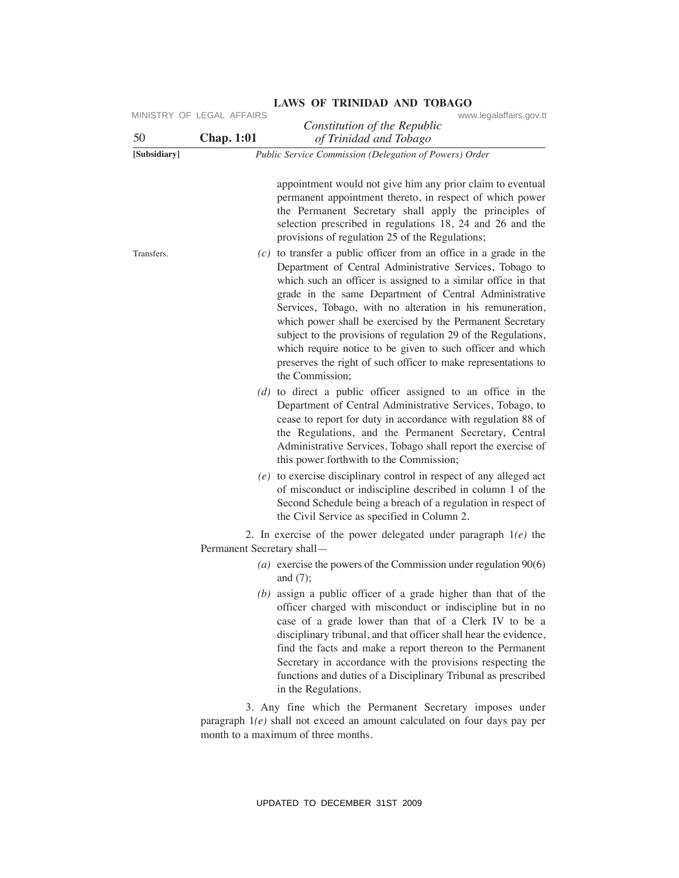| 50           | <b>Chap. 1:01</b>          | Constitution of the Republic<br>of Trinidad and Tobago                                                                                                                                                                                                                                                                                                                                                                                                                                                                                                                                                    |
|--------------|----------------------------|-----------------------------------------------------------------------------------------------------------------------------------------------------------------------------------------------------------------------------------------------------------------------------------------------------------------------------------------------------------------------------------------------------------------------------------------------------------------------------------------------------------------------------------------------------------------------------------------------------------|
| [Subsidiary] |                            | Public Service Commission (Delegation of Powers) Order                                                                                                                                                                                                                                                                                                                                                                                                                                                                                                                                                    |
|              |                            | appointment would not give him any prior claim to eventual<br>permanent appointment thereto, in respect of which power<br>the Permanent Secretary shall apply the principles of<br>selection prescribed in regulations 18, 24 and 26 and the<br>provisions of regulation 25 of the Regulations;                                                                                                                                                                                                                                                                                                           |
| Transfers.   |                            | $(c)$ to transfer a public officer from an office in a grade in the<br>Department of Central Administrative Services, Tobago to<br>which such an officer is assigned to a similar office in that<br>grade in the same Department of Central Administrative<br>Services, Tobago, with no alteration in his remuneration,<br>which power shall be exercised by the Permanent Secretary<br>subject to the provisions of regulation 29 of the Regulations,<br>which require notice to be given to such officer and which<br>preserves the right of such officer to make representations to<br>the Commission; |
|              |                            | $(d)$ to direct a public officer assigned to an office in the<br>Department of Central Administrative Services, Tobago, to<br>cease to report for duty in accordance with regulation 88 of<br>the Regulations, and the Permanent Secretary, Central<br>Administrative Services, Tobago shall report the exercise of<br>this power forthwith to the Commission;                                                                                                                                                                                                                                            |
|              |                            | (e) to exercise disciplinary control in respect of any alleged act<br>of misconduct or indiscipline described in column 1 of the<br>Second Schedule being a breach of a regulation in respect of<br>the Civil Service as specified in Column 2.                                                                                                                                                                                                                                                                                                                                                           |
|              | Permanent Secretary shall- | 2. In exercise of the power delegated under paragraph $1(e)$ the                                                                                                                                                                                                                                                                                                                                                                                                                                                                                                                                          |
|              |                            | (a) exercise the powers of the Commission under regulation $90(6)$<br>and $(7)$ ;                                                                                                                                                                                                                                                                                                                                                                                                                                                                                                                         |
|              |                            | $(b)$ assign a public officer of a grade higher than that of the<br>officer charged with misconduct or indiscipline but in no<br>case of a grade lower than that of a Clerk IV to be a<br>disciplinary tribunal, and that officer shall hear the evidence,<br>find the facts and make a report thereon to the Permanent<br>Secretary in accordance with the provisions respecting the<br>functions and duties of a Disciplinary Tribunal as prescribed<br>in the Regulations.                                                                                                                             |
|              |                            | 3. Any fine which the Permanent Secretary imposes under<br>paragraph $1(e)$ shall not exceed an amount calculated on four days pay per<br>month to a maximum of three months.                                                                                                                                                                                                                                                                                                                                                                                                                             |
|              |                            | UPDATED TO DECEMBER 31ST 2009                                                                                                                                                                                                                                                                                                                                                                                                                                                                                                                                                                             |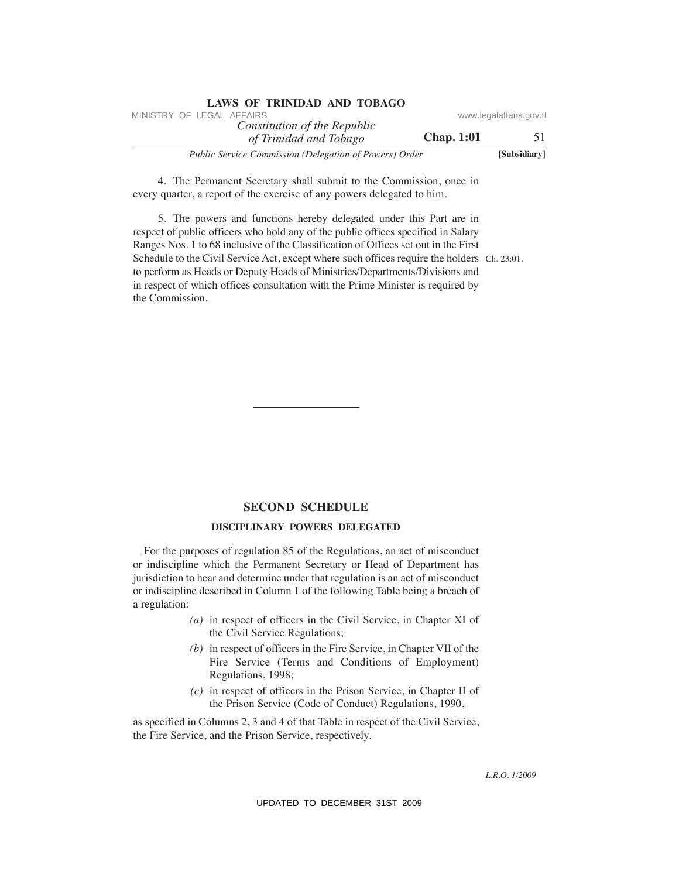| <b>LAWS OF TRINIDAD AND TOBAGO</b>                     |                   |                         |
|--------------------------------------------------------|-------------------|-------------------------|
| MINISTRY OF LEGAL AFFAIRS                              |                   | www.legalaffairs.gov.tt |
| Constitution of the Republic                           |                   |                         |
| of Trinidad and Tobago                                 | <b>Chap.</b> 1:01 | 51                      |
| Public Service Commission (Delegation of Powers) Order |                   | [Subsidiary]            |

 4. The Permanent Secretary shall submit to the Commission, once in every quarter, a report of the exercise of any powers delegated to him.

Schedule to the Civil Service Act, except where such offices require the holders Ch. 23:01. 5. The powers and functions hereby delegated under this Part are in respect of public officers who hold any of the public offices specified in Salary Ranges Nos. 1 to 68 inclusive of the Classification of Offices set out in the First to perform as Heads or Deputy Heads of Ministries/Departments/Divisions and in respect of which offices consultation with the Prime Minister is required by the Commission. VINESTRY OF LEGAL AFFAIRS of the Republic of the Republic conversion of the Republic and Thhoggo. Chap. 11:01<br>
Tublic Service Commission (Delegation of Powers) Order (Super-11:01 51<br>
every quarter, a super-to-the except o

# **SeCOND SCheDuLe**

#### **DISCIPLINARY POWeRS DeLeGATeD**

For the purposes of regulation 85 of the Regulations, an act of misconduct or indiscipline which the Permanent Secretary or Head of Department has jurisdiction to hear and determine under that regulation is an act of misconduct or indiscipline described in Column 1 of the following Table being a breach of a regulation:

- *(a)* in respect of officers in the Civil Service, in Chapter XI of the Civil Service Regulations;
- *(b)* in respect of officers in the Fire Service, in Chapter VII of the Fire Service (Terms and Conditions of Employment) Regulations, 1998;
- *(c)* in respect of officers in the Prison Service, in Chapter II of the Prison Service (Code of Conduct) Regulations, 1990,

as specified in Columns 2, 3 and 4 of that Table in respect of the Civil Service, the Fire Service, and the Prison Service, respectively.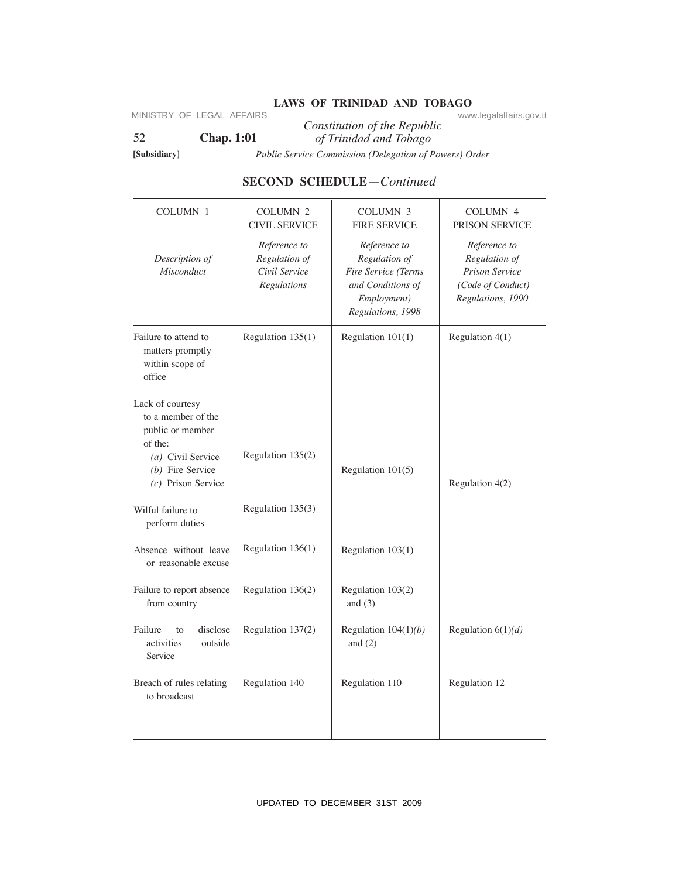# **LAWS OF TRINIDAD AND TOBAGO** www.legalaffairs.gov.tt

# **SeCOND SCheDuLe**—*Continued*

|                                                                       |                                                               | Public Service Commission (Delegation of Powers) Order                                                        |                                                                                                  |
|-----------------------------------------------------------------------|---------------------------------------------------------------|---------------------------------------------------------------------------------------------------------------|--------------------------------------------------------------------------------------------------|
|                                                                       |                                                               | <b>SECOND SCHEDULE-Continued</b>                                                                              |                                                                                                  |
|                                                                       |                                                               |                                                                                                               |                                                                                                  |
| COLUMN 1                                                              | <b>COLUMN 2</b><br><b>CIVIL SERVICE</b>                       | <b>COLUMN 3</b><br><b>FIRE SERVICE</b>                                                                        | COLUMN <sub>4</sub><br>PRISON SERVICE                                                            |
| Description of<br>Misconduct                                          | Reference to<br>Regulation of<br>Civil Service<br>Regulations | Reference to<br>Regulation of<br>Fire Service (Terms<br>and Conditions of<br>Employment)<br>Regulations, 1998 | Reference to<br>Regulation of<br><b>Prison Service</b><br>(Code of Conduct)<br>Regulations, 1990 |
| Failure to attend to<br>matters promptly<br>within scope of<br>office | Regulation $135(1)$                                           | Regulation $101(1)$                                                                                           | Regulation $4(1)$                                                                                |
| Lack of courtesy<br>to a member of the<br>public or member<br>of the: |                                                               |                                                                                                               |                                                                                                  |
| (a) Civil Service<br>(b) Fire Service<br>$(c)$ Prison Service         | Regulation 135(2)                                             | Regulation 101(5)                                                                                             | Regulation $4(2)$                                                                                |
| Wilful failure to<br>perform duties                                   | Regulation 135(3)                                             |                                                                                                               |                                                                                                  |
| Absence without leave<br>or reasonable excuse                         | Regulation 136(1)                                             | Regulation 103(1)                                                                                             |                                                                                                  |
| Failure to report absence<br>from country                             | Regulation 136(2)                                             | Regulation 103(2)<br>and $(3)$                                                                                |                                                                                                  |
| Failure<br>disclose<br>to<br>activities<br>outside<br>Service         | Regulation 137(2)                                             | Regulation $104(1)(b)$<br>and $(2)$                                                                           | Regulation $6(1)(d)$                                                                             |
| Breach of rules relating<br>to broadcast                              | Regulation 140                                                | Regulation 110                                                                                                | Regulation 12                                                                                    |
|                                                                       |                                                               |                                                                                                               |                                                                                                  |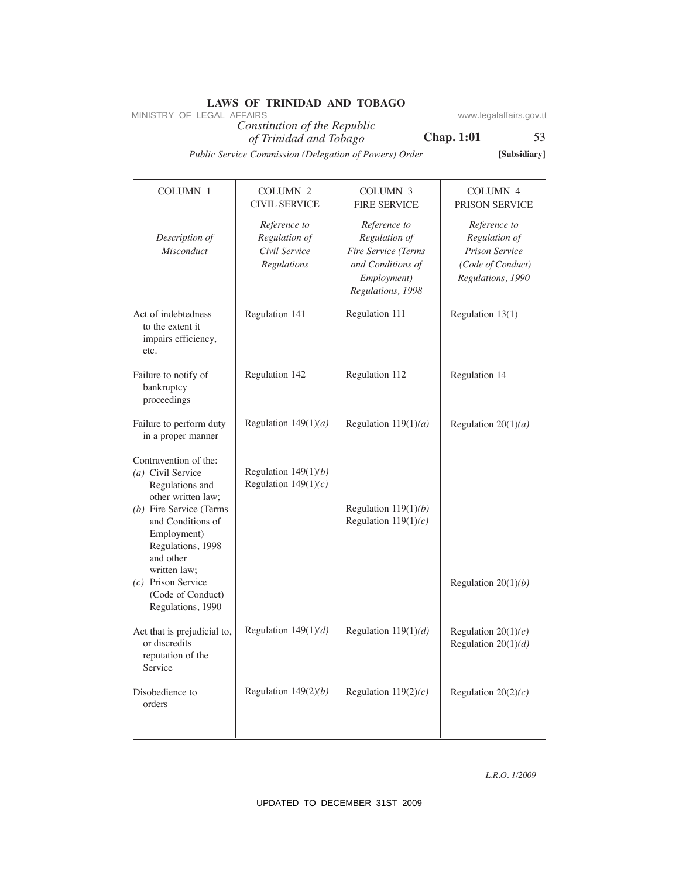|                                                                                                                                                                                                        | MINISTRY OF LEGAL AFFAIRS<br>Constitution of the Republic     |                                                                                                               | www.legalaffairs.gov.tt                                                                          |
|--------------------------------------------------------------------------------------------------------------------------------------------------------------------------------------------------------|---------------------------------------------------------------|---------------------------------------------------------------------------------------------------------------|--------------------------------------------------------------------------------------------------|
|                                                                                                                                                                                                        | of Trinidad and Tobago                                        |                                                                                                               | <b>Chap. 1:01</b><br>53                                                                          |
|                                                                                                                                                                                                        | Public Service Commission (Delegation of Powers) Order        |                                                                                                               | [Subsidiary]                                                                                     |
| <b>COLUMN 1</b>                                                                                                                                                                                        | COLUMN <sub>2</sub><br><b>CIVIL SERVICE</b>                   | <b>COLUMN 3</b><br><b>FIRE SERVICE</b>                                                                        | <b>COLUMN 4</b><br>PRISON SERVICE                                                                |
| Description of<br>Misconduct                                                                                                                                                                           | Reference to<br>Regulation of<br>Civil Service<br>Regulations | Reference to<br>Regulation of<br>Fire Service (Terms<br>and Conditions of<br>Employment)<br>Regulations, 1998 | Reference to<br>Regulation of<br><b>Prison Service</b><br>(Code of Conduct)<br>Regulations, 1990 |
| Act of indebtedness<br>to the extent it<br>impairs efficiency,<br>etc.                                                                                                                                 | Regulation 141                                                | Regulation 111                                                                                                | Regulation 13(1)                                                                                 |
| Failure to notify of<br>bankruptcy<br>proceedings                                                                                                                                                      | Regulation 142                                                | Regulation 112                                                                                                | Regulation 14                                                                                    |
| Failure to perform duty<br>in a proper manner                                                                                                                                                          | Regulation $149(1)(a)$                                        | Regulation $119(1)(a)$                                                                                        | Regulation $20(1)(a)$                                                                            |
| Contravention of the:<br>(a) Civil Service<br>Regulations and<br>other written law;<br>$(b)$ Fire Service (Terms<br>and Conditions of<br>Employment)<br>Regulations, 1998<br>and other<br>written law; | Regulation $149(1)(b)$<br>Regulation $149(1)(c)$              | Regulation $119(1)(b)$<br>Regulation $119(1)(c)$                                                              |                                                                                                  |
| $(c)$ Prison Service<br>(Code of Conduct)<br>Regulations, 1990                                                                                                                                         |                                                               |                                                                                                               | Regulation $20(1)(b)$                                                                            |
| Act that is prejudicial to,<br>or discredits<br>reputation of the<br>Service                                                                                                                           | Regulation $149(1)(d)$                                        | Regulation $119(1)(d)$                                                                                        | Regulation $20(1)(c)$<br>Regulation $20(1)(d)$                                                   |
| Disobedience to<br>orders                                                                                                                                                                              | Regulation $149(2)(b)$                                        | Regulation $119(2)(c)$                                                                                        | Regulation $20(2)(c)$                                                                            |
|                                                                                                                                                                                                        |                                                               |                                                                                                               | L.R.O. 1/2009                                                                                    |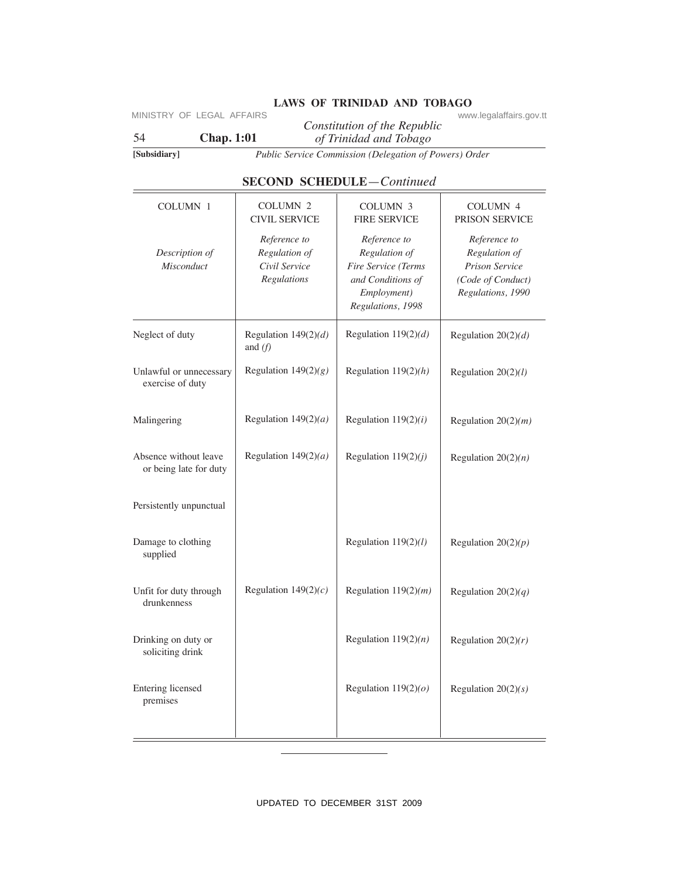# **LAWS OF TRINIDAD AND TOBAGO** www.legalaffairs.gov.tt

| [Subsidiary]                                    |                                                               | Public Service Commission (Delegation of Powers) Order                                                        |                                                                                           |
|-------------------------------------------------|---------------------------------------------------------------|---------------------------------------------------------------------------------------------------------------|-------------------------------------------------------------------------------------------|
|                                                 |                                                               |                                                                                                               |                                                                                           |
|                                                 |                                                               | <b>SECOND SCHEDULE</b> -Continued                                                                             |                                                                                           |
| <b>COLUMN 1</b>                                 | COLUMN <sub>2</sub><br><b>CIVIL SERVICE</b>                   | COLUMN 3<br><b>FIRE SERVICE</b>                                                                               | COLUMN 4<br>PRISON SERVICE                                                                |
| Description of<br>Misconduct                    | Reference to<br>Regulation of<br>Civil Service<br>Regulations | Reference to<br>Regulation of<br>Fire Service (Terms<br>and Conditions of<br>Employment)<br>Regulations, 1998 | Reference to<br>Regulation of<br>Prison Service<br>(Code of Conduct)<br>Regulations, 1990 |
| Neglect of duty                                 | Regulation $149(2)(d)$<br>and $(f)$                           | Regulation $119(2)(d)$                                                                                        | Regulation $20(2)(d)$                                                                     |
| Unlawful or unnecessary<br>exercise of duty     | Regulation $149(2)(g)$                                        | Regulation $119(2)(h)$                                                                                        | Regulation $20(2)(l)$                                                                     |
| Malingering                                     | Regulation $149(2)(a)$                                        | Regulation $119(2)(i)$                                                                                        | Regulation $20(2)(m)$                                                                     |
| Absence without leave<br>or being late for duty | Regulation $149(2)(a)$                                        | Regulation $119(2)(j)$                                                                                        | Regulation $20(2)(n)$                                                                     |
| Persistently unpunctual                         |                                                               |                                                                                                               |                                                                                           |
| Damage to clothing<br>supplied                  |                                                               | Regulation $119(2)(l)$                                                                                        | Regulation $20(2)(p)$                                                                     |
| Unfit for duty through<br>drunkenness           | Regulation $149(2)(c)$                                        | Regulation $119(2)(m)$                                                                                        | Regulation $20(2)(q)$                                                                     |
| Drinking on duty or<br>soliciting drink         |                                                               | Regulation $119(2)(n)$                                                                                        | Regulation $20(2)(r)$                                                                     |
| Entering licensed<br>premises                   |                                                               | Regulation $119(2)(o)$                                                                                        | Regulation $20(2)(s)$                                                                     |
|                                                 |                                                               |                                                                                                               |                                                                                           |

# **SECOND SCHEDULE**—*Continued*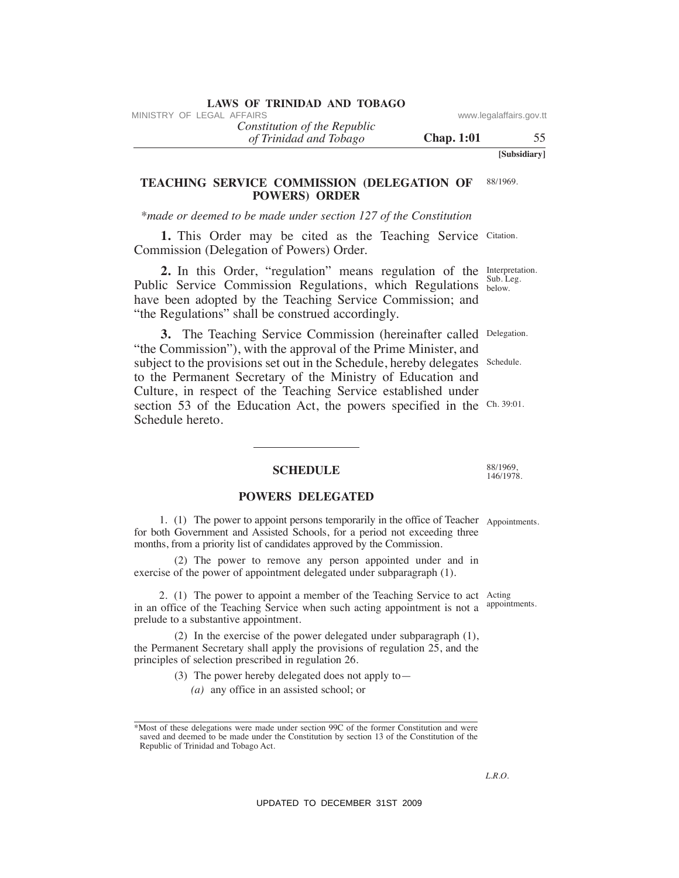*Constitution of the Republic*

*of Trinidad and Tobago*

**Chap. 1:01** 55

**[Subsidiary]**

#### **TeAChING SeRVICe COMMISSION (DeLeGATION OF POWeRS) ORDeR** 88/1969.

*\*made or deemed to be made under section 127 of the Constitution*

1. This Order may be cited as the Teaching Service Citation. Commission (Delegation of Powers) Order.

**2.** In this Order, "regulation" means regulation of the Interpretation. Public Service Commission Regulations, which Regulations below. have been adopted by the Teaching Service Commission; and "the Regulations" shall be construed accordingly. Sub. Leg.

3. The Teaching Service Commission (hereinafter called Delegation. "the Commission"), with the approval of the Prime Minister, and subject to the provisions set out in the Schedule, hereby delegates Schedule. to the Permanent Secretary of the Ministry of Education and Culture, in respect of the Teaching Service established under section 53 of the Education Act, the powers specified in the Ch. 39:01. Schedule hereto. VINESTRY OF LEGAL *CHARTED*<br>
(*If Trinidad and Tabago*<br>
(*If Trinidad and Tabago*<br>
(*UP)* WINESS ONDIESION OPELEGATION OF SSUS99.<br>
<sup>2</sup> Mode or deened to be made under section 127 of the Constitution<br>
1. This Order may be

### **SCheDuLe**

### **POWeRS DeLeGATeD**

 1. (1) The power to appoint persons temporarily in the office of Teacher Appointments. for both Government and Assisted Schools, for a period not exceeding three months, from a priority list of candidates approved by the Commission.

 (2) The power to remove any person appointed under and in exercise of the power of appointment delegated under subparagraph (1).

 2. (1) The power to appoint a member of the Teaching Service to act Acting in an office of the Teaching Service when such acting appointment is not a <sup>appointments.</sup> prelude to a substantive appointment.

 (2) In the exercise of the power delegated under subparagraph (1), the Permanent Secretary shall apply the provisions of regulation 25, and the principles of selection prescribed in regulation 26.

> (3) The power hereby delegated does not apply to— *(a)* any office in an assisted school; or

88/1969, 146/1978.

*L.R.O.* 

<sup>\*</sup>Most of these delegations were made under section 99C of the former Constitution and were saved and deemed to be made under the Constitution by section 13 of the Constitution of the Republic of Trinidad and Tobago Act.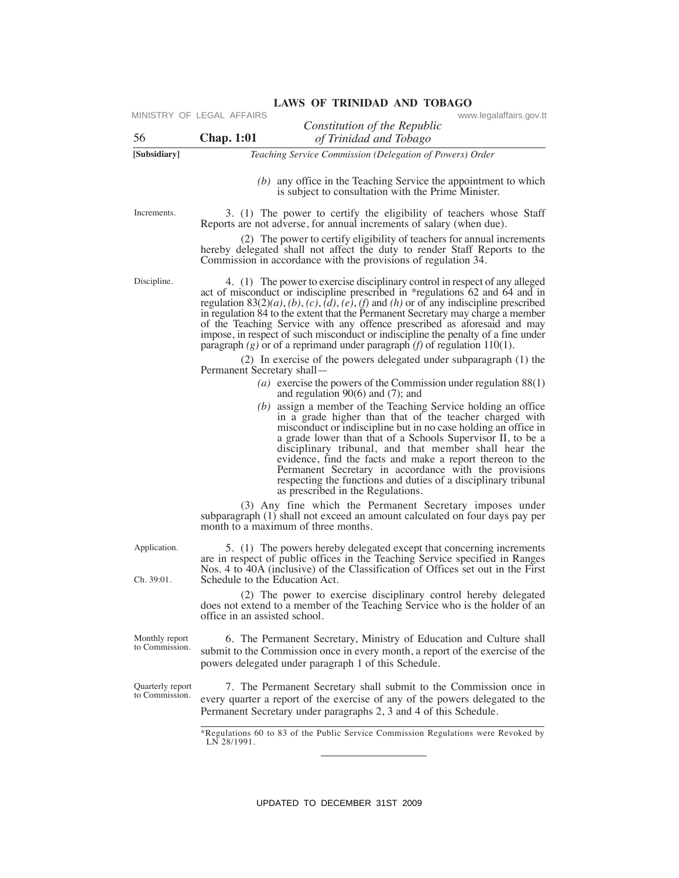| 56                                 | <b>Chap.</b> 1:01                                                             | Constitution of the Republic<br>of Trinidad and Tobago                                                                                                                                                                                                                                                                                                                                                                                                                                                                        |
|------------------------------------|-------------------------------------------------------------------------------|-------------------------------------------------------------------------------------------------------------------------------------------------------------------------------------------------------------------------------------------------------------------------------------------------------------------------------------------------------------------------------------------------------------------------------------------------------------------------------------------------------------------------------|
| [Subsidiary]                       |                                                                               | Teaching Service Commission (Delegation of Powers) Order                                                                                                                                                                                                                                                                                                                                                                                                                                                                      |
|                                    |                                                                               | $(b)$ any office in the Teaching Service the appointment to which<br>is subject to consultation with the Prime Minister.                                                                                                                                                                                                                                                                                                                                                                                                      |
| Increments.                        | Reports are not adverse, for annual increments of salary (when due).          | 3. (1) The power to certify the eligibility of teachers whose Staff                                                                                                                                                                                                                                                                                                                                                                                                                                                           |
|                                    | Commission in accordance with the provisions of regulation 34.                | (2) The power to certify eligibility of teachers for annual increments<br>hereby delegated shall not affect the duty to render Staff Reports to the                                                                                                                                                                                                                                                                                                                                                                           |
| Discipline.                        | paragraph $(g)$ or of a reprimand under paragraph $(f)$ of regulation 110(1). | 4. (1) The power to exercise disciplinary control in respect of any alleged<br>act of misconduct or indiscipline prescribed in *regulations 62 and 64 and in<br>regulation $83(2)(a)$ , $(b)$ , $(c)$ , $(d)$ , $(e)$ , $(f)$ and $(h)$ or of any indiscipline prescribed<br>in regulation 84 to the extent that the Permanent Secretary may charge a member<br>of the Teaching Service with any offence prescribed as aforesaid and may<br>impose, in respect of such misconduct or indiscipline the penalty of a fine under |
|                                    | Permanent Secretary shall-                                                    | (2) In exercise of the powers delegated under subparagraph (1) the                                                                                                                                                                                                                                                                                                                                                                                                                                                            |
|                                    | and regulation $90(6)$ and $(7)$ ; and                                        | ( <i>a</i> ) exercise the powers of the Commission under regulation $88(1)$                                                                                                                                                                                                                                                                                                                                                                                                                                                   |
|                                    | as prescribed in the Regulations.                                             | $(b)$ assign a member of the Teaching Service holding an office<br>in a grade higher than that of the teacher charged with<br>misconduct or indiscipline but in no case holding an office in<br>a grade lower than that of a Schools Supervisor II, to be a<br>disciplinary tribunal, and that member shall hear the<br>evidence, find the facts and make a report thereon to the<br>Permanent Secretary in accordance with the provisions<br>respecting the functions and duties of a disciplinary tribunal                  |
|                                    | month to a maximum of three months.                                           | (3) Any fine which the Permanent Secretary imposes under<br>subparagraph (1) shall not exceed an amount calculated on four days pay per                                                                                                                                                                                                                                                                                                                                                                                       |
| Application.<br>Ch. 39:01.         | Schedule to the Education Act.                                                | 5. (1) The powers hereby delegated except that concerning increments<br>are in respect of public offices in the Teaching Service specified in Ranges<br>Nos. 4 to 40A (inclusive) of the Classification of Offices set out in the First                                                                                                                                                                                                                                                                                       |
|                                    | office in an assisted school.                                                 | (2) The power to exercise disciplinary control hereby delegated<br>does not extend to a member of the Teaching Service who is the holder of an                                                                                                                                                                                                                                                                                                                                                                                |
| Monthly report<br>to Commission.   | powers delegated under paragraph 1 of this Schedule.                          | 6. The Permanent Secretary, Ministry of Education and Culture shall<br>submit to the Commission once in every month, a report of the exercise of the                                                                                                                                                                                                                                                                                                                                                                          |
| Quarterly report<br>to Commission. | Permanent Secretary under paragraphs 2, 3 and 4 of this Schedule.             | 7. The Permanent Secretary shall submit to the Commission once in<br>every quarter a report of the exercise of any of the powers delegated to the                                                                                                                                                                                                                                                                                                                                                                             |
|                                    | LN 28/1991.                                                                   | *Regulations 60 to 83 of the Public Service Commission Regulations were Revoked by                                                                                                                                                                                                                                                                                                                                                                                                                                            |
|                                    |                                                                               |                                                                                                                                                                                                                                                                                                                                                                                                                                                                                                                               |
|                                    |                                                                               |                                                                                                                                                                                                                                                                                                                                                                                                                                                                                                                               |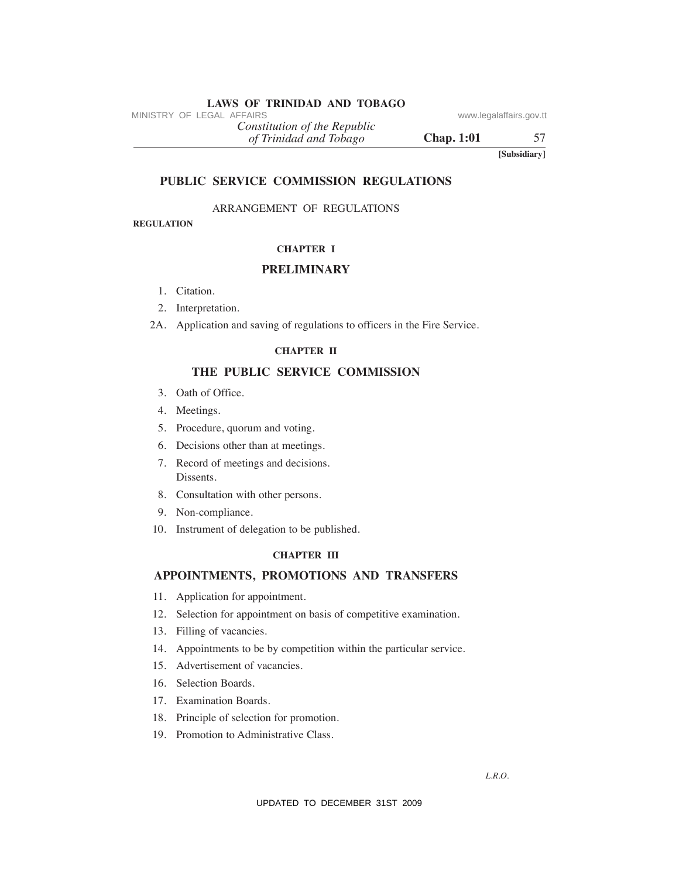*of Trinidad and Tobago Constitution of the Republic* MINISTRY OF LEGAL AFFAIRS<br>
(a) Trinidad and Tabago<br>
(a) Trinidad and Tabago<br>
(a) Termidad and Tabago<br>
TEBLIC SERVICE COMMISSION REGULATIONS<br>
REGULATIONS<br>
REGULATION<br>
REGULATION ARRANGEMENT OF REGULATIONS<br>
CHAPTER 1<br>
PRELI

**Chap. 1:01** 57

**[Subsidiary]**

### **PuBLIC SeRVICe COMMISSION ReGuLATIONS**

ARRANGEMENT OF REGULATIONS

**ReGuLATION**

### **ChAPTeR I**

### **PReLIMINARY**

- 1. Citation.
- 2. Interpretation.
- 2A. Application and saving of regulations to officers in the Fire Service.

### **ChAPTeR II**

### **The PuBLIC SeRVICe COMMISSION**

- 3. Oath of Office.
- 4. Meetings.
- 5. Procedure, quorum and voting.
- 6. Decisions other than at meetings.
- 7. Record of meetings and decisions. Dissents.
- 8. Consultation with other persons.
- 9. Non-compliance.
- 10. Instrument of delegation to be published.

### **ChAPTeR III**

# **APPOINTMeNTS, PROMOTIONS AND TRANSFeRS**

- 11. Application for appointment.
- 12. Selection for appointment on basis of competitive examination.
- 13. Filling of vacancies.
- 14. Appointments to be by competition within the particular service.
- 15. Advertisement of vacancies.
- 16. Selection Boards.
- 17. Examination Boards.
- 18. Principle of selection for promotion.
- 19. Promotion to Administrative Class.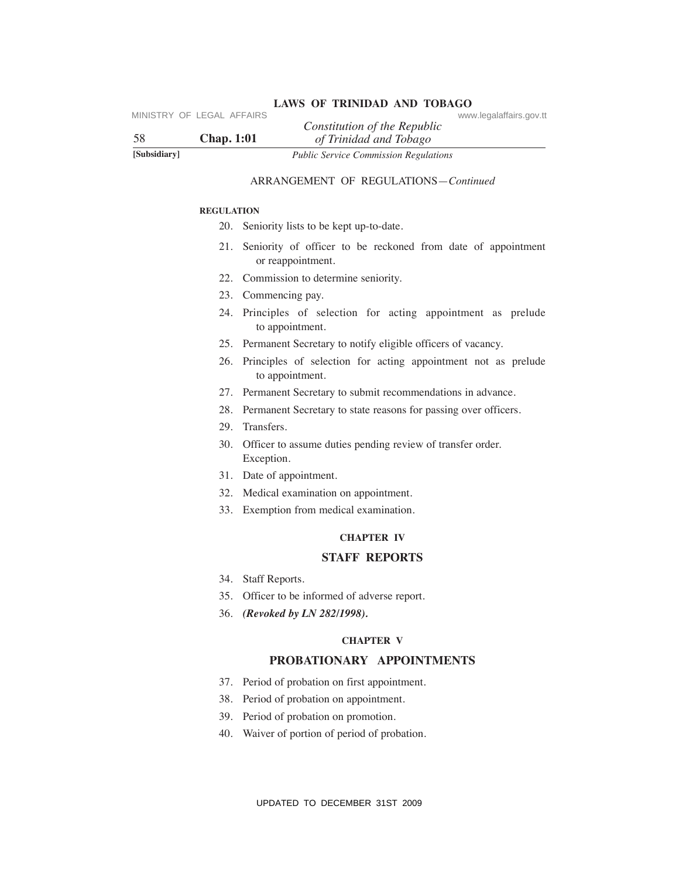| 58           | MINISTRY OF LEGAL AFFAIRS<br>www.legalaffairs.gov.tt<br>Constitution of the Republic<br><b>Chap.</b> 1:01<br>of Trinidad and Tobago |
|--------------|-------------------------------------------------------------------------------------------------------------------------------------|
| [Subsidiary] | <b>Public Service Commission Regulations</b>                                                                                        |
|              | ARRANGEMENT OF REGULATIONS-Continued                                                                                                |
|              | <b>REGULATION</b>                                                                                                                   |
|              | 20. Seniority lists to be kept up-to-date.                                                                                          |
|              | 21. Seniority of officer to be reckoned from date of appointment<br>or reappointment.                                               |
|              | 22. Commission to determine seniority.                                                                                              |
|              | 23. Commencing pay.                                                                                                                 |
|              | 24. Principles of selection for acting appointment as prelude<br>to appointment.                                                    |
|              | 25. Permanent Secretary to notify eligible officers of vacancy.                                                                     |
|              | Principles of selection for acting appointment not as prelude<br>26.<br>to appointment.                                             |
|              | 27. Permanent Secretary to submit recommendations in advance.                                                                       |
|              | 28. Permanent Secretary to state reasons for passing over officers.                                                                 |
|              | 29. Transfers.                                                                                                                      |
|              | 30.<br>Officer to assume duties pending review of transfer order.<br>Exception.                                                     |
|              | 31. Date of appointment.                                                                                                            |
|              | 32. Medical examination on appointment.                                                                                             |
|              | 33. Exemption from medical examination.                                                                                             |
|              | <b>CHAPTER IV</b>                                                                                                                   |
|              | <b>STAFF REPORTS</b>                                                                                                                |
|              | 34. Staff Reports.                                                                                                                  |
|              | 35. Officer to be informed of adverse report.                                                                                       |
|              | 36. (Revoked by LN 282/1998).                                                                                                       |
|              | <b>CHAPTER V</b>                                                                                                                    |
|              | PROBATIONARY APPOINTMENTS                                                                                                           |
|              | Period of probation on first appointment.<br>37.                                                                                    |
|              | Period of probation on appointment.<br>38.                                                                                          |
|              | Period of probation on promotion.<br>39.                                                                                            |
|              | Waiver of portion of period of probation.<br>40.                                                                                    |
|              |                                                                                                                                     |
|              | UPDATED TO DECEMBER 31ST 2009                                                                                                       |

### ARRANGEMENT OF REGULATIONS—*Continued*

#### **ReGuLATION**

- 20. Seniority lists to be kept up-to-date.
- 21. Seniority of officer to be reckoned from date of appointment or reappointment.
- 22. Commission to determine seniority.
- 23. Commencing pay.
- 24. Principles of selection for acting appointment as prelude to appointment.
- 25. Permanent Secretary to notify eligible officers of vacancy.
- 26. Principles of selection for acting appointment not as prelude to appointment.
- 27. Permanent Secretary to submit recommendations in advance.
- 28. Permanent Secretary to state reasons for passing over officers.
- 29. Transfers.
- 30. Officer to assume duties pending review of transfer order. Exception.
- 31. Date of appointment.
- 32. Medical examination on appointment.
- 33. Exemption from medical examination.

# **ChAPTeR IV**

### **STAFF RePORTS**

- 34. Staff Reports.
- 35. Officer to be informed of adverse report.
- 36. *(Revoked by LN 282/1998).*

### **ChAPTeR V**

### **PROBATIONARY APPOINTMeNTS**

- 37. Period of probation on first appointment.
- 38. Period of probation on appointment.
- 39. Period of probation on promotion.
- 40. Waiver of portion of period of probation.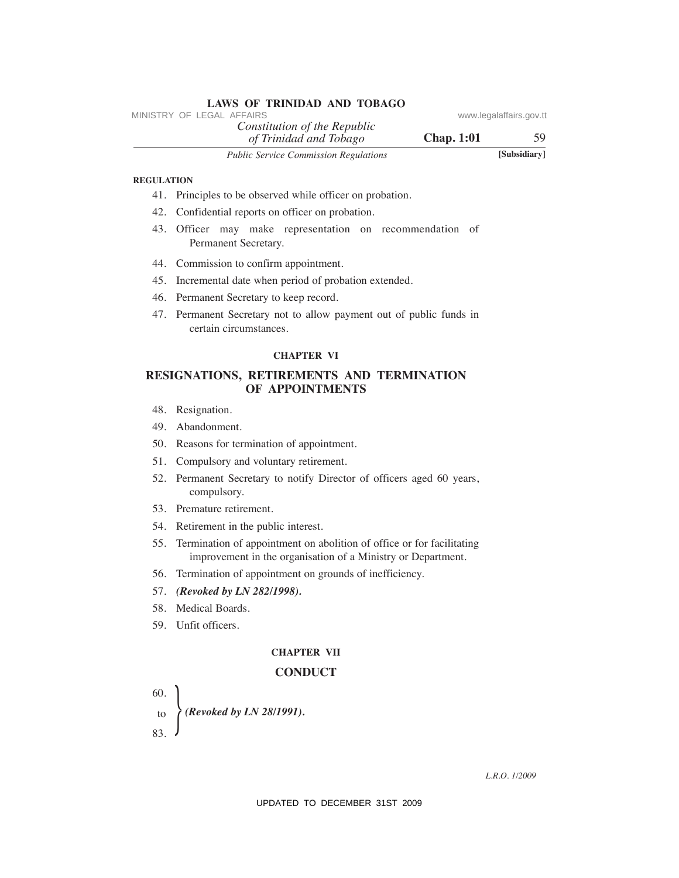|                   | <b>LAWS OF TRINIDAD AND TOBAGO</b><br>MINISTRY OF LEGAL AFFAIRS                                                                       | www.legalaffairs.gov.tt |
|-------------------|---------------------------------------------------------------------------------------------------------------------------------------|-------------------------|
|                   | Constitution of the Republic                                                                                                          |                         |
|                   | <b>Chap.</b> 1:01<br>of Trinidad and Tobago                                                                                           | 59.                     |
|                   | Public Service Commission Regulations                                                                                                 | [Subsidiary]            |
| <b>REGULATION</b> |                                                                                                                                       |                         |
|                   | 41. Principles to be observed while officer on probation.                                                                             |                         |
| 42.               | Confidential reports on officer on probation.                                                                                         |                         |
|                   | 43. Officer may make representation on recommendation of<br>Permanent Secretary.                                                      |                         |
|                   | 44. Commission to confirm appointment.                                                                                                |                         |
|                   | 45. Incremental date when period of probation extended.                                                                               |                         |
|                   | 46. Permanent Secretary to keep record.                                                                                               |                         |
|                   | 47. Permanent Secretary not to allow payment out of public funds in<br>certain circumstances.                                         |                         |
|                   | <b>CHAPTER VI</b>                                                                                                                     |                         |
|                   | RESIGNATIONS, RETIREMENTS AND TERMINATION<br>OF APPOINTMENTS                                                                          |                         |
|                   | 48. Resignation.                                                                                                                      |                         |
| 49.               | Abandonment.                                                                                                                          |                         |
|                   | 50. Reasons for termination of appointment.                                                                                           |                         |
| 51.               | Compulsory and voluntary retirement.                                                                                                  |                         |
| 52.               | Permanent Secretary to notify Director of officers aged 60 years,<br>compulsory.                                                      |                         |
|                   | 53. Premature retirement.                                                                                                             |                         |
|                   | 54. Retirement in the public interest.                                                                                                |                         |
| 55.               | Termination of appointment on abolition of office or for facilitating<br>improvement in the organisation of a Ministry or Department. |                         |
|                   | 56. Termination of appointment on grounds of inefficiency.                                                                            |                         |
|                   | 57. (Revoked by LN 282/1998).                                                                                                         |                         |
|                   | 58. Medical Boards.                                                                                                                   |                         |
|                   | 59. Unfit officers.                                                                                                                   |                         |
|                   | <b>CHAPTER VII</b>                                                                                                                    |                         |
|                   | <b>CONDUCT</b>                                                                                                                        |                         |
| 60.               |                                                                                                                                       |                         |
| to                | $\Theta$ (Revoked by LN 28/1991).                                                                                                     |                         |
| 83.               |                                                                                                                                       |                         |
|                   |                                                                                                                                       |                         |
|                   |                                                                                                                                       | L.R.O. 1/2009           |
|                   | UPDATED TO DECEMBER 31ST 2009                                                                                                         |                         |

### **ReGuLATION**

- 41. Principles to be observed while officer on probation.
- 42. Confidential reports on officer on probation.
- 43. Officer may make representation on recommendation of Permanent Secretary.
- 44. Commission to confirm appointment.
- 45. Incremental date when period of probation extended.
- 46. Permanent Secretary to keep record.
- 47. Permanent Secretary not to allow payment out of public funds in certain circumstances.

### **ChAPTeR VI**

# **ReSIGNATIONS, ReTIReMeNTS AND TeRMINATION OF APPOINTMeNTS**

- 48. Resignation.
- 49. Abandonment.
- 50. Reasons for termination of appointment.
- 51. Compulsory and voluntary retirement.
- 52. Permanent Secretary to notify Director of officers aged 60 years, compulsory.
- 53. Premature retirement.
- 54. Retirement in the public interest.
- 55. Termination of appointment on abolition of office or for facilitating improvement in the organisation of a Ministry or Department.
- 56. Termination of appointment on grounds of inefficiency.
- 57. *(Revoked by LN 282/1998).*
- 58. Medical Boards.
- 59. Unfit officers.

### **ChAPTeR VII**

### **CONDuCT**

- } *(Revoked by LN 28/1991).* 60. to
- 83.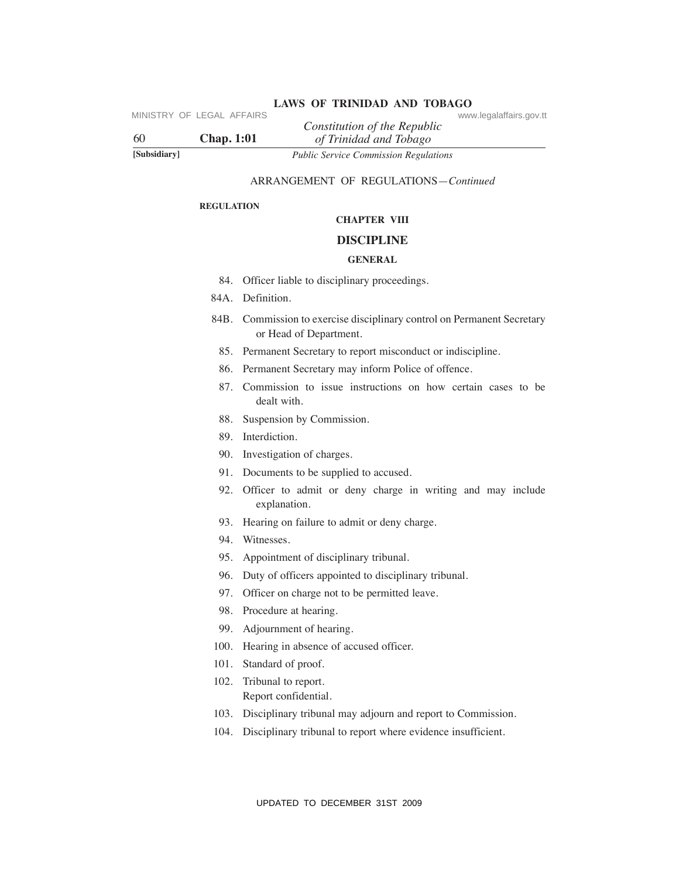| MINISTRY OF LEGAL AFFAIRS<br>60 | <b>Chap.</b> 1:01 | www.legalaffairs.gov.tt<br>Constitution of the Republic<br>of Trinidad and Tobago                 |
|---------------------------------|-------------------|---------------------------------------------------------------------------------------------------|
| [Subsidiary]                    |                   | <b>Public Service Commission Regulations</b>                                                      |
|                                 |                   | ARRANGEMENT OF REGULATIONS-Continued                                                              |
|                                 | <b>REGULATION</b> |                                                                                                   |
|                                 |                   | <b>CHAPTER VIII</b>                                                                               |
|                                 |                   | <b>DISCIPLINE</b>                                                                                 |
|                                 |                   | <b>GENERAL</b>                                                                                    |
|                                 |                   | 84. Officer liable to disciplinary proceedings.                                                   |
|                                 |                   | 84A. Definition.                                                                                  |
|                                 |                   | 84B. Commission to exercise disciplinary control on Permanent Secretary<br>or Head of Department. |
|                                 |                   | 85. Permanent Secretary to report misconduct or indiscipline.                                     |
|                                 | 86.               | Permanent Secretary may inform Police of offence.                                                 |
|                                 | 87.               | Commission to issue instructions on how certain cases to be<br>dealt with.                        |
|                                 | 88.               | Suspension by Commission.                                                                         |
|                                 | 89.               | Interdiction.                                                                                     |
|                                 | 90.               | Investigation of charges.                                                                         |
|                                 |                   | 91. Documents to be supplied to accused.                                                          |
|                                 | 92.               | Officer to admit or deny charge in writing and may include<br>explanation.                        |
|                                 | 93.               | Hearing on failure to admit or deny charge.                                                       |
|                                 |                   | 94. Witnesses.                                                                                    |
|                                 | 95.               | Appointment of disciplinary tribunal.                                                             |
|                                 | 96.               | Duty of officers appointed to disciplinary tribunal.                                              |
|                                 | 97.               | Officer on charge not to be permitted leave.                                                      |
|                                 |                   | 98. Procedure at hearing.                                                                         |
|                                 | 99.               | Adjournment of hearing.                                                                           |
|                                 | 100.              | Hearing in absence of accused officer.                                                            |
|                                 | 101.              | Standard of proof.                                                                                |
|                                 | 102.              | Tribunal to report.<br>Report confidential.                                                       |
|                                 | 103.              | Disciplinary tribunal may adjourn and report to Commission.                                       |
|                                 | 104.              | Disciplinary tribunal to report where evidence insufficient.                                      |
|                                 |                   |                                                                                                   |
|                                 |                   | UPDATED TO DECEMBER 31ST 2009                                                                     |

# **LAWS OF TRINIDAD AND TOBAGO** www.legalaffairs.gov.tt

# ARRANGEMENT OF REGULATIONS—*Continued*

### **ReGuLATION**

# **ChAPTeR VIII**

### **DISCIPLINe**

### **GeNeRAL**

- 84. Officer liable to disciplinary proceedings.
- 84A. Definition.
- 84B. Commission to exercise disciplinary control on Permanent Secretary or Head of Department.
	- 85. Permanent Secretary to report misconduct or indiscipline.
	- 86. Permanent Secretary may inform Police of offence.
	- 87. Commission to issue instructions on how certain cases to be dealt with.
	- 88. Suspension by Commission.
	- 89. Interdiction.
	- 90. Investigation of charges.
	- 91. Documents to be supplied to accused.
	- 92. Officer to admit or deny charge in writing and may include explanation.
	- 93. Hearing on failure to admit or deny charge.
	- 94. Witnesses.
	- 95. Appointment of disciplinary tribunal.
	- 96. Duty of officers appointed to disciplinary tribunal.
	- 97. Officer on charge not to be permitted leave.
	- 98. Procedure at hearing.
	- 99. Adjournment of hearing.
- 100. Hearing in absence of accused officer.
- 101. Standard of proof.
- 102. Tribunal to report. Report confidential.
- 103. Disciplinary tribunal may adjourn and report to Commission.
- 104. Disciplinary tribunal to report where evidence insufficient.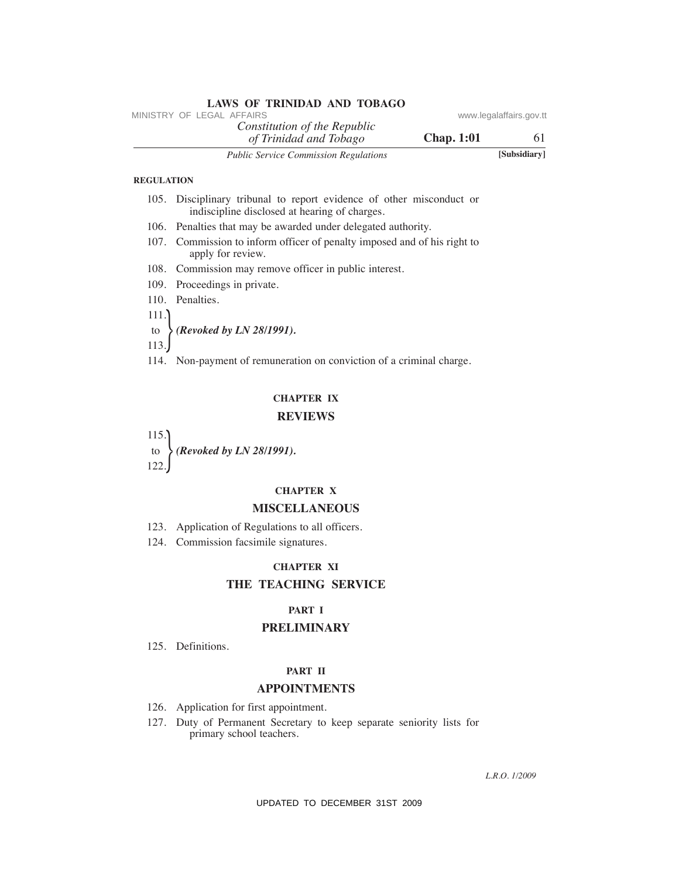|                   | <b>LAWS OF TRINIDAD AND TOBAGO</b><br>MINISTRY OF LEGAL AFFAIRS                                                       | www.legalaffairs.gov.tt |
|-------------------|-----------------------------------------------------------------------------------------------------------------------|-------------------------|
|                   | Constitution of the Republic<br><b>Chap. 1:01</b><br>of Trinidad and Tobago                                           | 61                      |
|                   | <b>Public Service Commission Regulations</b>                                                                          | [Subsidiary]            |
| <b>REGULATION</b> |                                                                                                                       |                         |
|                   | 105. Disciplinary tribunal to report evidence of other misconduct or<br>indiscipline disclosed at hearing of charges. |                         |
|                   | 106. Penalties that may be awarded under delegated authority.                                                         |                         |
|                   | 107. Commission to inform officer of penalty imposed and of his right to<br>apply for review.                         |                         |
|                   | 108. Commission may remove officer in public interest.                                                                |                         |
|                   | 109. Proceedings in private.                                                                                          |                         |
|                   | 110. Penalties.                                                                                                       |                         |
| 111.              |                                                                                                                       |                         |
| to                | (Revoked by LN 28/1991).                                                                                              |                         |
| 113.              |                                                                                                                       |                         |
|                   | 114. Non-payment of remuneration on conviction of a criminal charge.                                                  |                         |
|                   | <b>CHAPTER IX</b>                                                                                                     |                         |
|                   | <b>REVIEWS</b>                                                                                                        |                         |
| 115.              |                                                                                                                       |                         |
|                   | (Revoked by LN 28/1991).                                                                                              |                         |
| 122               |                                                                                                                       |                         |
|                   | <b>CHAPTER X</b>                                                                                                      |                         |
|                   | <b>MISCELLANEOUS</b>                                                                                                  |                         |
|                   | 123. Application of Regulations to all officers.                                                                      |                         |
|                   | 124. Commission facsimile signatures.                                                                                 |                         |
|                   | <b>CHAPTER XI</b>                                                                                                     |                         |
|                   | THE TEACHING SERVICE                                                                                                  |                         |
|                   | <b>PART I</b>                                                                                                         |                         |
|                   | <b>PRELIMINARY</b>                                                                                                    |                         |
|                   | 125. Definitions.                                                                                                     |                         |
|                   | PART II                                                                                                               |                         |
|                   | <b>APPOINTMENTS</b>                                                                                                   |                         |
|                   | 126. Application for first appointment.                                                                               |                         |
|                   | 127. Duty of Permanent Secretary to keep separate seniority lists for<br>primary school teachers.                     |                         |
|                   |                                                                                                                       | L.R.O. 1/2009           |
|                   | UPDATED TO DECEMBER 31ST 2009                                                                                         |                         |

### **ReGuLATION**

- 105. Disciplinary tribunal to report evidence of other misconduct or indiscipline disclosed at hearing of charges.
- 106. Penalties that may be awarded under delegated authority.
- 107. Commission to inform officer of penalty imposed and of his right to apply for review.
- 108. Commission may remove officer in public interest.
- 109. Proceedings in private.
- 110. Penalties.
- 111.
- to *(Revoked by LN 28/1991).*
- $\int_{113}^{10}$ 
	- 114. Non-payment of remuneration on conviction of a criminal charge.

### **ChAPTeR IX**

### **ReVIeWS**

### **ChAPTeR X**

### **MISCeLLANeOuS**

# **ChAPTeR XI**

# **The TeAChING SeRVICe**

### **PART I**

## **PReLIMINARY**

# **PART II**

# **APPOINTMeNTS**

- 126. Application for first appointment.
- 127. Duty of Permanent Secretary to keep separate seniority lists for primary school teachers.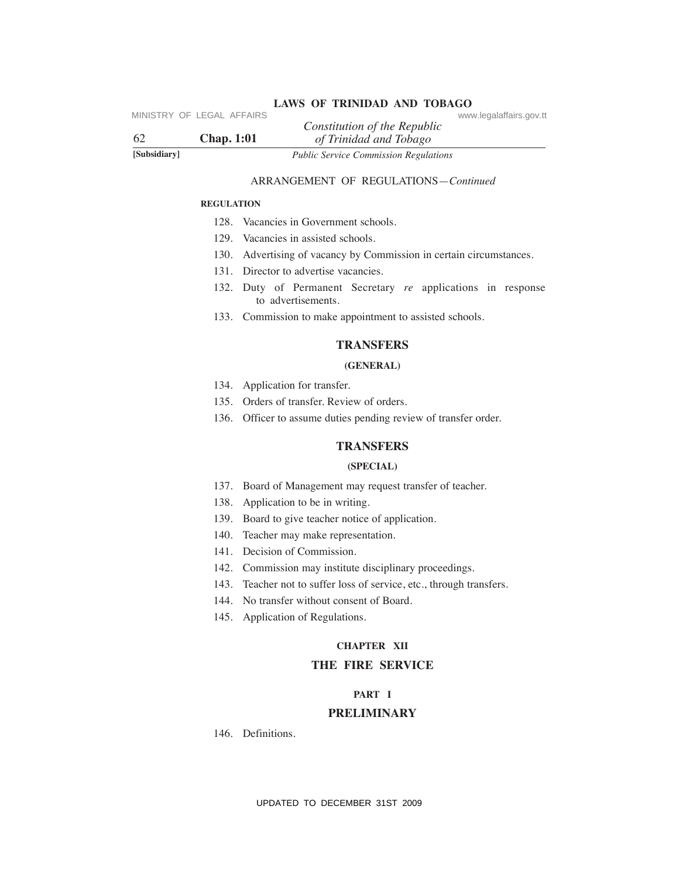| Public Service Commission Regulations<br>[Subsidiary]<br><b>ARRANGEMENT OF REGULATIONS-Continued</b><br><b>REGULATION</b><br>128. Vacancies in Government schools.<br>129. Vacancies in assisted schools.<br>130. Advertising of vacancy by Commission in certain circumstances.<br>131. Director to advertise vacancies.<br>132. Duty of Permanent Secretary re applications in response<br>to advertisements.<br>133. Commission to make appointment to assisted schools.<br><b>TRANSFERS</b><br>(GENERAL)<br>134. Application for transfer.<br>135. Orders of transfer. Review of orders.<br>136. Officer to assume duties pending review of transfer order.<br><b>TRANSFERS</b><br>(SPECIAL)<br>137. Board of Management may request transfer of teacher.<br>138. Application to be in writing. |
|-----------------------------------------------------------------------------------------------------------------------------------------------------------------------------------------------------------------------------------------------------------------------------------------------------------------------------------------------------------------------------------------------------------------------------------------------------------------------------------------------------------------------------------------------------------------------------------------------------------------------------------------------------------------------------------------------------------------------------------------------------------------------------------------------------|
|                                                                                                                                                                                                                                                                                                                                                                                                                                                                                                                                                                                                                                                                                                                                                                                                     |
|                                                                                                                                                                                                                                                                                                                                                                                                                                                                                                                                                                                                                                                                                                                                                                                                     |
|                                                                                                                                                                                                                                                                                                                                                                                                                                                                                                                                                                                                                                                                                                                                                                                                     |
|                                                                                                                                                                                                                                                                                                                                                                                                                                                                                                                                                                                                                                                                                                                                                                                                     |
|                                                                                                                                                                                                                                                                                                                                                                                                                                                                                                                                                                                                                                                                                                                                                                                                     |
|                                                                                                                                                                                                                                                                                                                                                                                                                                                                                                                                                                                                                                                                                                                                                                                                     |
|                                                                                                                                                                                                                                                                                                                                                                                                                                                                                                                                                                                                                                                                                                                                                                                                     |
|                                                                                                                                                                                                                                                                                                                                                                                                                                                                                                                                                                                                                                                                                                                                                                                                     |
|                                                                                                                                                                                                                                                                                                                                                                                                                                                                                                                                                                                                                                                                                                                                                                                                     |
|                                                                                                                                                                                                                                                                                                                                                                                                                                                                                                                                                                                                                                                                                                                                                                                                     |
|                                                                                                                                                                                                                                                                                                                                                                                                                                                                                                                                                                                                                                                                                                                                                                                                     |
|                                                                                                                                                                                                                                                                                                                                                                                                                                                                                                                                                                                                                                                                                                                                                                                                     |
|                                                                                                                                                                                                                                                                                                                                                                                                                                                                                                                                                                                                                                                                                                                                                                                                     |
|                                                                                                                                                                                                                                                                                                                                                                                                                                                                                                                                                                                                                                                                                                                                                                                                     |
|                                                                                                                                                                                                                                                                                                                                                                                                                                                                                                                                                                                                                                                                                                                                                                                                     |
|                                                                                                                                                                                                                                                                                                                                                                                                                                                                                                                                                                                                                                                                                                                                                                                                     |
|                                                                                                                                                                                                                                                                                                                                                                                                                                                                                                                                                                                                                                                                                                                                                                                                     |
|                                                                                                                                                                                                                                                                                                                                                                                                                                                                                                                                                                                                                                                                                                                                                                                                     |
| 139. Board to give teacher notice of application.                                                                                                                                                                                                                                                                                                                                                                                                                                                                                                                                                                                                                                                                                                                                                   |
| 140. Teacher may make representation.                                                                                                                                                                                                                                                                                                                                                                                                                                                                                                                                                                                                                                                                                                                                                               |
| 141. Decision of Commission.                                                                                                                                                                                                                                                                                                                                                                                                                                                                                                                                                                                                                                                                                                                                                                        |
| 142. Commission may institute disciplinary proceedings.                                                                                                                                                                                                                                                                                                                                                                                                                                                                                                                                                                                                                                                                                                                                             |
| 143. Teacher not to suffer loss of service, etc., through transfers.                                                                                                                                                                                                                                                                                                                                                                                                                                                                                                                                                                                                                                                                                                                                |
| 144. No transfer without consent of Board.                                                                                                                                                                                                                                                                                                                                                                                                                                                                                                                                                                                                                                                                                                                                                          |
| 145. Application of Regulations.                                                                                                                                                                                                                                                                                                                                                                                                                                                                                                                                                                                                                                                                                                                                                                    |
| <b>CHAPTER XII</b>                                                                                                                                                                                                                                                                                                                                                                                                                                                                                                                                                                                                                                                                                                                                                                                  |
| THE FIRE SERVICE                                                                                                                                                                                                                                                                                                                                                                                                                                                                                                                                                                                                                                                                                                                                                                                    |
| PART I                                                                                                                                                                                                                                                                                                                                                                                                                                                                                                                                                                                                                                                                                                                                                                                              |
| <b>PRELIMINARY</b>                                                                                                                                                                                                                                                                                                                                                                                                                                                                                                                                                                                                                                                                                                                                                                                  |
| 146. Definitions.                                                                                                                                                                                                                                                                                                                                                                                                                                                                                                                                                                                                                                                                                                                                                                                   |
|                                                                                                                                                                                                                                                                                                                                                                                                                                                                                                                                                                                                                                                                                                                                                                                                     |
| UPDATED TO DECEMBER 31ST 2009                                                                                                                                                                                                                                                                                                                                                                                                                                                                                                                                                                                                                                                                                                                                                                       |

### ARRANGEMENT OF REGULATIONS—*Continued*

### **ReGuLATION**

- 128. Vacancies in Government schools.
- 129. Vacancies in assisted schools.
- 130. Advertising of vacancy by Commission in certain circumstances.
- 131. Director to advertise vacancies.
- 132. Duty of Permanent Secretary *re* applications in response to advertisements.
- 133. Commission to make appointment to assisted schools.

### **TRANSFeRS**

### **(GeNeRAL)**

- 134. Application for transfer.
- 135. Orders of transfer. Review of orders.
- 136. Officer to assume duties pending review of transfer order.

# **TRANSFeRS**

### **(SPeCIAL)**

- 137. Board of Management may request transfer of teacher.
- 138. Application to be in writing.
- 139. Board to give teacher notice of application.
- 140. Teacher may make representation.
- 141. Decision of Commission.
- 142. Commission may institute disciplinary proceedings.
- 143. Teacher not to suffer loss of service, etc., through transfers.
- 144. No transfer without consent of Board.
- 145. Application of Regulations.

# **ChAPTeR XII**

# **The FIRe SeRVICe**

### **PART I**

### **PReLIMINARY**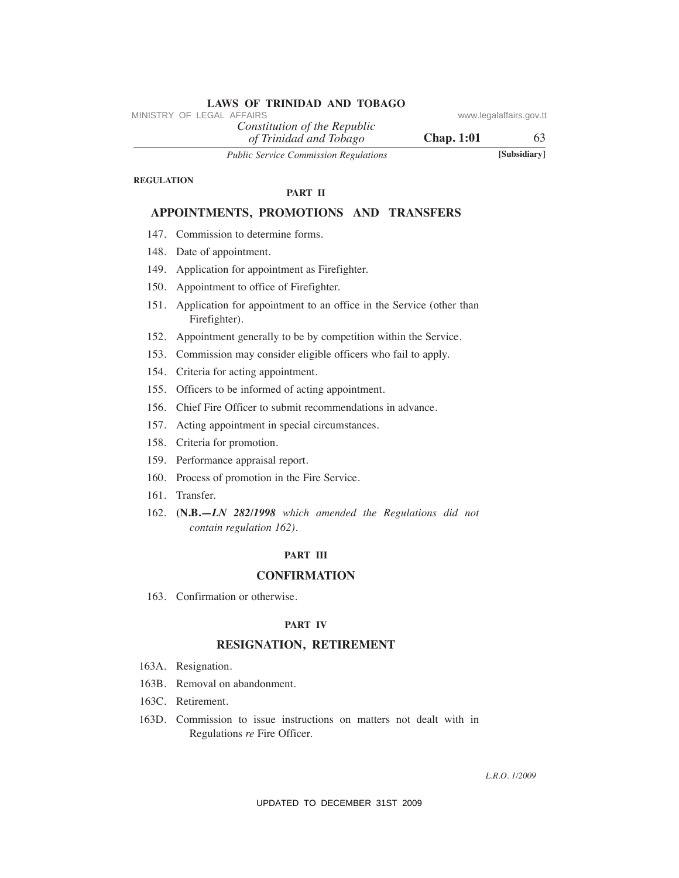*Constitution of the Republic*

*of Trinidad and Tobago Public Service Commission Regulations* **[Subsidiary]**

**Chap. 1:01** 63

### **ReGuLATION**

#### **PART II**

# **APPOINTMeNTS, PROMOTIONS AND TRANSFeRS**

- 147. Commission to determine forms.
- 148. Date of appointment.
- 149. Application for appointment as Firefighter.
- 150. Appointment to office of Firefighter.
- 151. Application for appointment to an office in the Service (other than Firefighter).
- 152. Appointment generally to be by competition within the Service.
- 153. Commission may consider eligible officers who fail to apply.
- 154. Criteria for acting appointment.
- 155. Officers to be informed of acting appointment.
- 156. Chief Fire Officer to submit recommendations in advance.
- 157. Acting appointment in special circumstances.
- 158. Criteria for promotion.
- 159. Performance appraisal report.
- 160. Process of promotion in the Fire Service.
- 161. Transfer.
- 162. **(N.B.—***LN 282/1998 which amended the Regulations did not contain regulation 162).*

### **PART III**

### **CONFIRMATION**

163. Confirmation or otherwise.

### **PART IV**

### **ReSIGNATION, ReTIReMeNT**

- 163A. Resignation.
- 163B. Removal on abandonment.
- 163C. Retirement.
- 163D. Commission to issue instructions on matters not dealt with in Regulations *re* Fire Officer. MINISTRY OF LEGAL AFFAIRS<br>
CONSILITATION of The Regulation of The Regulation Control Construction of The Constrainer Control Constrainers (Separation of The Constrainer Control Constrainers (Separation of the RAMSFERS 147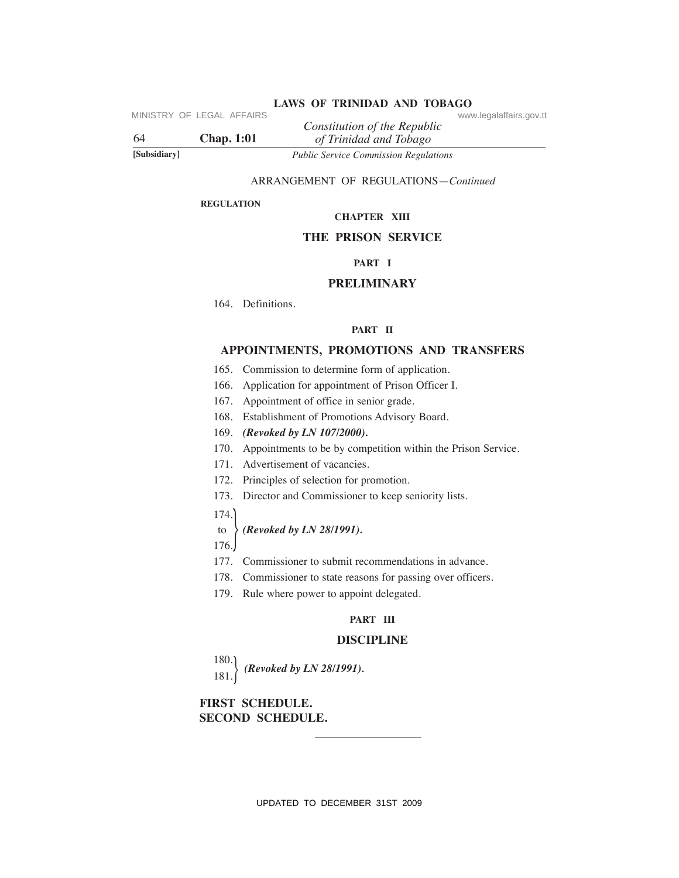| 64           | MINISTRY OF LEGAL AFFAIRS<br><b>Chap.</b> 1:01 | www.legalaffairs.gov.tt<br>Constitution of the Republic<br>of Trinidad and Tobago |  |  |
|--------------|------------------------------------------------|-----------------------------------------------------------------------------------|--|--|
| [Subsidiary] |                                                | Public Service Commission Regulations                                             |  |  |
|              |                                                | ARRANGEMENT OF REGULATIONS-Continued                                              |  |  |
|              | <b>REGULATION</b>                              |                                                                                   |  |  |
|              |                                                | <b>CHAPTER XIII</b>                                                               |  |  |
|              |                                                | <b>THE PRISON SERVICE</b>                                                         |  |  |
|              |                                                | PART I                                                                            |  |  |
|              |                                                | <b>PRELIMINARY</b>                                                                |  |  |
|              | 164. Definitions.                              |                                                                                   |  |  |
|              |                                                | PART II                                                                           |  |  |
|              |                                                | APPOINTMENTS, PROMOTIONS AND TRANSFERS                                            |  |  |
|              |                                                | 165. Commission to determine form of application.                                 |  |  |
|              | 166.                                           | Application for appointment of Prison Officer I.                                  |  |  |
|              | 167.                                           | Appointment of office in senior grade.                                            |  |  |
|              |                                                | 168. Establishment of Promotions Advisory Board.                                  |  |  |
|              |                                                | 169. (Revoked by LN 107/2000).                                                    |  |  |
|              |                                                | 170. Appointments to be by competition within the Prison Service.                 |  |  |
|              |                                                | 171. Advertisement of vacancies.                                                  |  |  |
|              |                                                | 172. Principles of selection for promotion.                                       |  |  |
|              |                                                | 173. Director and Commissioner to keep seniority lists.                           |  |  |
|              | 174.                                           |                                                                                   |  |  |
|              | to                                             | (Revoked by LN 28/1991).                                                          |  |  |
|              | 176.                                           |                                                                                   |  |  |
|              |                                                | 177. Commissioner to submit recommendations in advance.                           |  |  |
|              |                                                | 178. Commissioner to state reasons for passing over officers.                     |  |  |
|              |                                                | 179. Rule where power to appoint delegated.                                       |  |  |
|              | PART III                                       |                                                                                   |  |  |
|              | <b>DISCIPLINE</b>                              |                                                                                   |  |  |
|              | 180.<br>181.                                   | (Revoked by LN 28/1991).                                                          |  |  |
|              | FIRST SCHEDULE.<br><b>SECOND SCHEDULE.</b>     |                                                                                   |  |  |
|              |                                                |                                                                                   |  |  |
|              |                                                |                                                                                   |  |  |
|              |                                                |                                                                                   |  |  |
|              |                                                | UPDATED TO DECEMBER 31ST 2009                                                     |  |  |

# LAWS OF TRINIDAD AND TOBAGO<br>www.legalaffairs.gov.tt

### ARRANGEMENT OF REGULATIONS—*Continued*

#### **ReGuLATION**

### **ChAPTeR XIII**

# **The PRISON SeRVICe**

# **PART I**

### **PReLIMINARY**

### **PART II**

# **APPOINTMeNTS, PROMOTIONS AND TRANSFeRS**

- 165. Commission to determine form of application.
- 166. Application for appointment of Prison Officer I.
- 167. Appointment of office in senior grade.
- 168. Establishment of Promotions Advisory Board.
- 169. *(Revoked by LN 107/2000).*
- 170. Appointments to be by competition within the Prison Service.
- 171. Advertisement of vacancies.
- 172. Principles of selection for promotion.
- 173. Director and Commissioner to keep seniority lists.
- 174.

### to *(Revoked by LN 28/1991).*

- 177. Commissioner to submit recommendations in advance.
- 178. Commissioner to state reasons for passing over officers.
- 179. Rule where power to appoint delegated.

### **PART III**

### **DISCIPLINe**

# **FIRST SCheDuLe. SeCOND SCheDuLe.**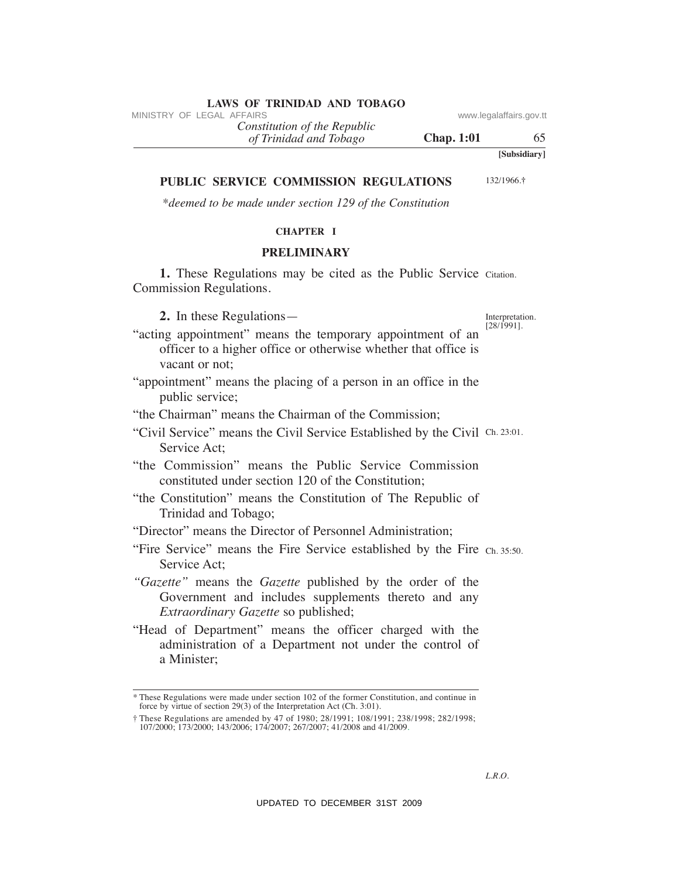*of Trinidad and Tobago Constitution of the Republic*

**Chap. 1:01** 65

**PuBLIC SeRVICe COMMISSION ReGuLATIONS**

132/1966.**†**

**[Subsidiary]**

*\*deemed to be made under section 129 of the Constitution*

# **ChAPTeR I**

### **PReLIMINARY**

1. These Regulations may be cited as the Public Service Citation. Commission Regulations.

 **2.** In these Regulations—

Interpretation. [28/1991].

- "acting appointment" means the temporary appointment of an officer to a higher office or otherwise whether that office is vacant or not; VINESTRY OF LEGAL AFFAIRS<br>
(*If Trinidad and Tabago*<br>
(*If Trinidad and Tabago*<br>
(*UPBLIC SERVICE COMMISSION REGULATIONS*<br>
TUBLIC SERVICE COMMISSION REGULATIONS<br>
TRELIMINARY<br>
TRELIMINARY<br>
CRETE TRINIFIC SERVICE COMMISSION
- "appointment" means the placing of a person in an office in the public service;

"the Chairman" means the Chairman of the Commission;

- "Civil Service" means the Civil Service Established by the Civil Ch. 23:01. Service Act;
- "the Commission" means the Public Service Commission constituted under section 120 of the Constitution;
- "the Constitution" means the Constitution of The Republic of Trinidad and Tobago;
- "Director" means the Director of Personnel Administration;
- "Fire Service" means the Fire Service established by the Fire Ch. 35:50. Service Act;
- *"Gazette"* means the *Gazette* published by the order of the Government and includes supplements thereto and any *Extraordinary Gazette* so published;
- "Head of Department" means the officer charged with the administration of a Department not under the control of a Minister;

<sup>\*</sup> These Regulations were made under section 102 of the former Constitution, and continue in force by virtue of section 29(3) of the Interpretation Act (Ch. 3:01).

<sup>†</sup> These Regulations are amended by 47 of 1980; 28/1991; 108/1991; 238/1998; 282/1998; 107/2000; 173/2000; 143/2006; 174/2007; 267/2007; 41/2008 and 41/2009.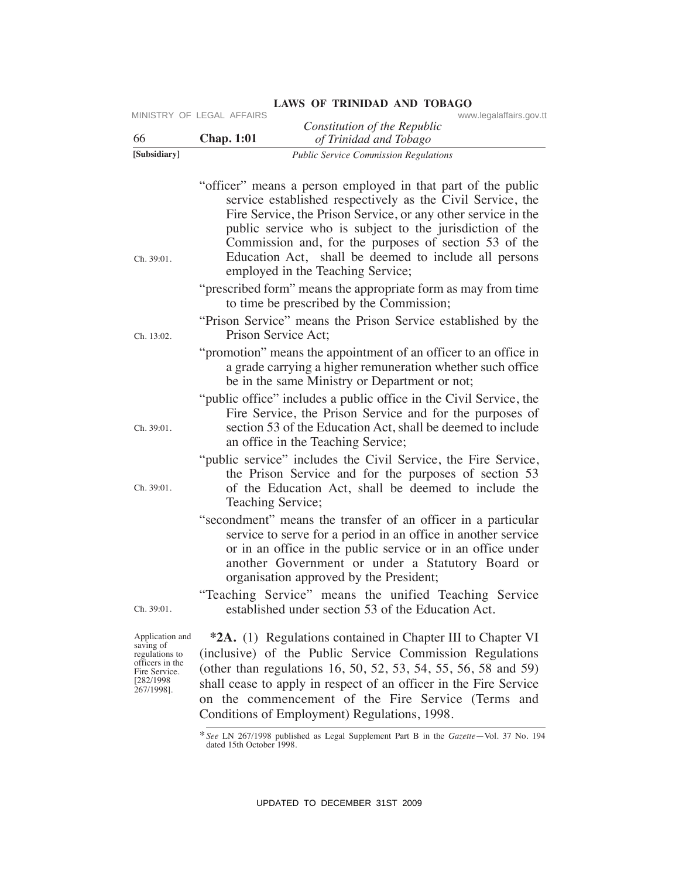| [Subsidiary]<br>Ch. 39:01.<br>Ch. 13:02.                                                                       | <b>Chap. 1:01</b><br>of Trinidad and Tobago<br><b>Public Service Commission Regulations</b><br>"officer" means a person employed in that part of the public<br>service established respectively as the Civil Service, the<br>Fire Service, the Prison Service, or any other service in the<br>public service who is subject to the jurisdiction of the<br>Commission and, for the purposes of section 53 of the<br>Education Act, shall be deemed to include all persons<br>employed in the Teaching Service;<br>"prescribed form" means the appropriate form as may from time<br>to time be prescribed by the Commission;<br>"Prison Service" means the Prison Service established by the<br>Prison Service Act;<br>"promotion" means the appointment of an officer to an office in |
|----------------------------------------------------------------------------------------------------------------|--------------------------------------------------------------------------------------------------------------------------------------------------------------------------------------------------------------------------------------------------------------------------------------------------------------------------------------------------------------------------------------------------------------------------------------------------------------------------------------------------------------------------------------------------------------------------------------------------------------------------------------------------------------------------------------------------------------------------------------------------------------------------------------|
|                                                                                                                |                                                                                                                                                                                                                                                                                                                                                                                                                                                                                                                                                                                                                                                                                                                                                                                      |
|                                                                                                                |                                                                                                                                                                                                                                                                                                                                                                                                                                                                                                                                                                                                                                                                                                                                                                                      |
|                                                                                                                |                                                                                                                                                                                                                                                                                                                                                                                                                                                                                                                                                                                                                                                                                                                                                                                      |
|                                                                                                                |                                                                                                                                                                                                                                                                                                                                                                                                                                                                                                                                                                                                                                                                                                                                                                                      |
|                                                                                                                | a grade carrying a higher remuneration whether such office<br>be in the same Ministry or Department or not;                                                                                                                                                                                                                                                                                                                                                                                                                                                                                                                                                                                                                                                                          |
| Ch. 39:01.                                                                                                     | "public office" includes a public office in the Civil Service, the<br>Fire Service, the Prison Service and for the purposes of<br>section 53 of the Education Act, shall be deemed to include<br>an office in the Teaching Service;                                                                                                                                                                                                                                                                                                                                                                                                                                                                                                                                                  |
| Ch. 39:01.                                                                                                     | "public service" includes the Civil Service, the Fire Service,<br>the Prison Service and for the purposes of section 53<br>of the Education Act, shall be deemed to include the<br>Teaching Service;                                                                                                                                                                                                                                                                                                                                                                                                                                                                                                                                                                                 |
|                                                                                                                | "secondment" means the transfer of an officer in a particular<br>service to serve for a period in an office in another service<br>or in an office in the public service or in an office under<br>another Government or under a Statutory Board or<br>organisation approved by the President;<br>"Teaching Service" means the unified Teaching Service                                                                                                                                                                                                                                                                                                                                                                                                                                |
| Ch. 39:01.                                                                                                     | established under section 53 of the Education Act.                                                                                                                                                                                                                                                                                                                                                                                                                                                                                                                                                                                                                                                                                                                                   |
| Application and<br>saving of<br>regulations to<br>officers in the<br>Fire Service.<br>[282/1998]<br>267/1998]. | <b>*2A.</b> (1) Regulations contained in Chapter III to Chapter VI<br>(inclusive) of the Public Service Commission Regulations<br>(other than regulations 16, 50, 52, 53, 54, 55, 56, 58 and 59)<br>shall cease to apply in respect of an officer in the Fire Service<br>on the commencement of the Fire Service (Terms and<br>Conditions of Employment) Regulations, 1998.                                                                                                                                                                                                                                                                                                                                                                                                          |
|                                                                                                                | * See LN 267/1998 published as Legal Supplement Part B in the Gazette-Vol. 37 No. 194<br>dated 15th October 1998.                                                                                                                                                                                                                                                                                                                                                                                                                                                                                                                                                                                                                                                                    |

<sup>\*</sup>*See* LN 267/1998 published as Legal Supplement Part B in the *Gazette*—Vol. 37 No. 194 dated 15th October 1998.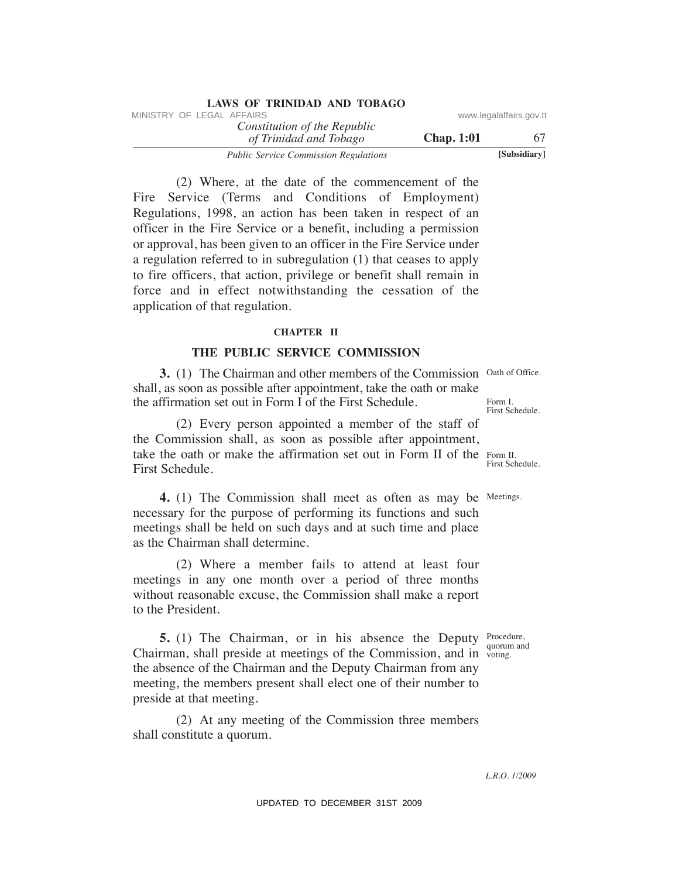|                         |                   | LAWS OF IKINIDAD AND TODAGO                            |
|-------------------------|-------------------|--------------------------------------------------------|
| www.legalaffairs.gov.tt |                   | MINISTRY OF LEGAL AFFAIRS                              |
| 67.                     | <b>Chap.</b> 1:01 | Constitution of the Republic<br>of Trinidad and Tobago |
| [Subsidiary]            |                   | <b>Public Service Commission Regulations</b>           |

 (2) Where, at the date of the commencement of the Fire Service (Terms and Conditions of Employment) Regulations, 1998, an action has been taken in respect of an officer in the Fire Service or a benefit, including a permission or approval, has been given to an officer in the Fire Service under a regulation referred to in subregulation (1) that ceases to apply to fire officers, that action, privilege or benefit shall remain in force and in effect notwithstanding the cessation of the application of that regulation. VINESTRY OF LEGAL AFFAIRS.<br>
The Constitution of The Repubblic consumements of the Constitution of The Constitution of The Constitution of Temploysium.<br>
(2) Where, at the date of the commencement of the Service (Terms and

**LAWS OF TRINIDAD AND TOBAGO**

### **ChAPTeR II**

### **The PuBLIC SeRVICe COMMISSION**

**3.** (1) The Chairman and other members of the Commission Oath of Office. shall, as soon as possible after appointment, take the oath or make the affirmation set out in Form I of the First Schedule.

take the oath or make the affirmation set out in Form II of the Form II. (2) Every person appointed a member of the staff of the Commission shall, as soon as possible after appointment, First Schedule.

**4.** (1) The Commission shall meet as often as may be Meetings. necessary for the purpose of performing its functions and such meetings shall be held on such days and at such time and place as the Chairman shall determine.

 (2) Where a member fails to attend at least four meetings in any one month over a period of three months without reasonable excuse, the Commission shall make a report to the President.

**5.** (1) The Chairman, or in his absence the Deputy Procedure, Chairman, shall preside at meetings of the Commission, and in voting. the absence of the Chairman and the Deputy Chairman from any meeting, the members present shall elect one of their number to preside at that meeting.

 (2) At any meeting of the Commission three members shall constitute a quorum.

Form I. First Schedule.

First Schedule.

quorum and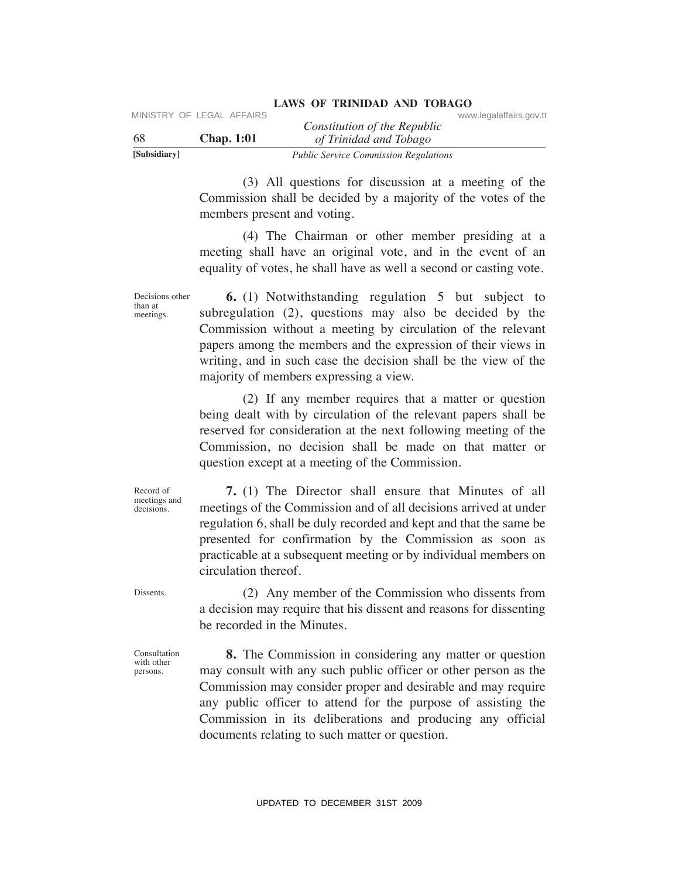| [Subsidiary] |                           | <b>Public Service Commission Regulations</b> |                         |
|--------------|---------------------------|----------------------------------------------|-------------------------|
| -68          | <b>Chap.</b> 1:01         | of Trinidad and Tobago                       |                         |
|              | MINISTRY OF LEGAL AFFAIRS | Constitution of the Republic                 | www.legalaffairs.gov.tt |

 (3) All questions for discussion at a meeting of the Commission shall be decided by a majority of the votes of the members present and voting.

 (4) The Chairman or other member presiding at a meeting shall have an original vote, and in the event of an equality of votes, he shall have as well a second or casting vote.

Decisions other  **6.** (1) Notwithstanding regulation 5 but subject to subregulation (2), questions may also be decided by the Commission without a meeting by circulation of the relevant papers among the members and the expression of their views in writing, and in such case the decision shall be the view of the majority of members expressing a view. VIESTRY OF LEGAL AFFAIRS<br>
VAN UP Traintind of the Repubblic<br>
Samisting (3) All questions for discussion at a meeting of the<br>
Samisting (3) All questions for discussion at a meeting of the<br>
commission share and voting.<br>
(4

 (2) If any member requires that a matter or question being dealt with by circulation of the relevant papers shall be reserved for consideration at the next following meeting of the Commission, no decision shall be made on that matter or question except at a meeting of the Commission.

 **7.** (1) The Director shall ensure that Minutes of all meetings of the Commission and of all decisions arrived at under regulation 6, shall be duly recorded and kept and that the same be presented for confirmation by the Commission as soon as practicable at a subsequent meeting or by individual members on circulation thereof.

Dissents.

Record of meetings and decisions.

than at meetings.

> (2) Any member of the Commission who dissents from a decision may require that his dissent and reasons for dissenting be recorded in the Minutes.

Consultation with other persons.

 **8.** The Commission in considering any matter or question may consult with any such public officer or other person as the Commission may consider proper and desirable and may require any public officer to attend for the purpose of assisting the Commission in its deliberations and producing any official documents relating to such matter or question.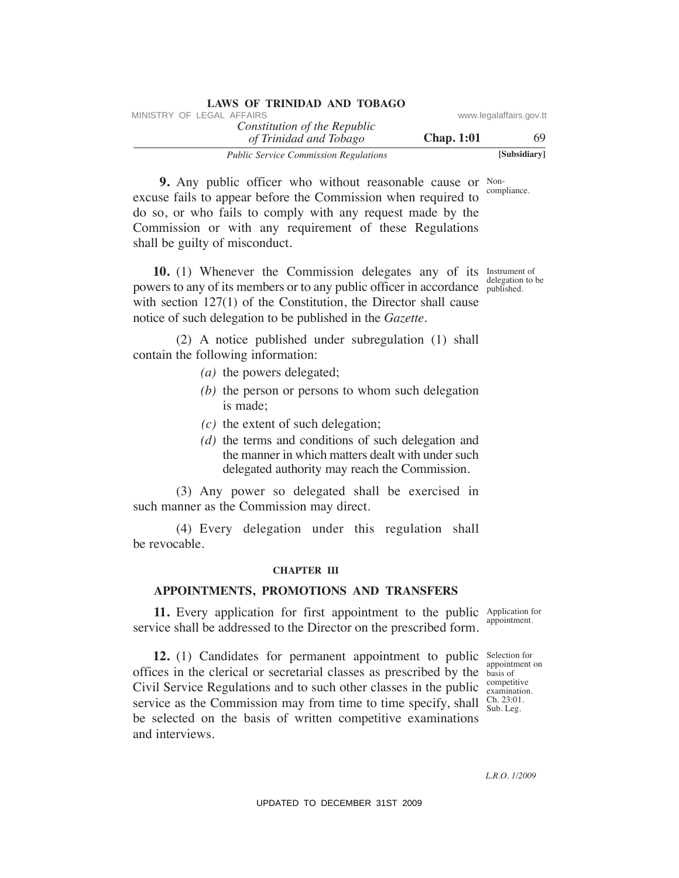| LAWS OF TRINIDAD AND TOBAGO                  |                   |                         |
|----------------------------------------------|-------------------|-------------------------|
| MINISTRY OF LEGAL AFFAIRS                    |                   | www.legalaffairs.gov.tt |
| Constitution of the Republic                 |                   |                         |
| of Trinidad and Tobago                       | <b>Chap.</b> 1:01 | 69                      |
| <b>Public Service Commission Regulations</b> |                   | [Subsidiary]            |

**9.** Any public officer who without reasonable cause or Noncompliance. excuse fails to appear before the Commission when required to do so, or who fails to comply with any request made by the Commission or with any requirement of these Regulations shall be guilty of misconduct.

**10.** (1) Whenever the Commission delegates any of its Instrument of powers to any of its members or to any public officer in accordance published. with section 127(1) of the Constitution, the Director shall cause notice of such delegation to be published in the *Gazette.*

 (2) A notice published under subregulation (1) shall contain the following information:

- *(a)* the powers delegated;
- *(b)* the person or persons to whom such delegation is made;
- *(c)* the extent of such delegation;
- *(d)* the terms and conditions of such delegation and the manner in which matters dealt with under such delegated authority may reach the Commission.

 (3) Any power so delegated shall be exercised in such manner as the Commission may direct.

 (4) Every delegation under this regulation shall be revocable.

### **ChAPTeR III**

### **APPOINTMeNTS, PROMOTIONS AND TRANSFeRS**

**11.** Every application for first appointment to the public Application for service shall be addressed to the Director on the prescribed form.

**12.** (1) Candidates for permanent appointment to public Selection for offices in the clerical or secretarial classes as prescribed by the basis of Civil Service Regulations and to such other classes in the public  $\frac{\text{compleutive}}{\text{examination}}$ . service as the Commission may from time to time specify, shall  $\frac{Ch. 23:01}{Sub. Leg.}$ be selected on the basis of written competitive examinations and interviews. VINETRY OF LEGAL AFFAIRS (Somethed out Tothese one Constitution of the Republic Constrainers of the Constrainers of the Constrainers of the Constrainers of the Constrainers of the Constrainers of the Constrainers of the C

appointment.

appointment on competitive Ch. 23:01.

*L.R.O. 1/2009*

delegation to be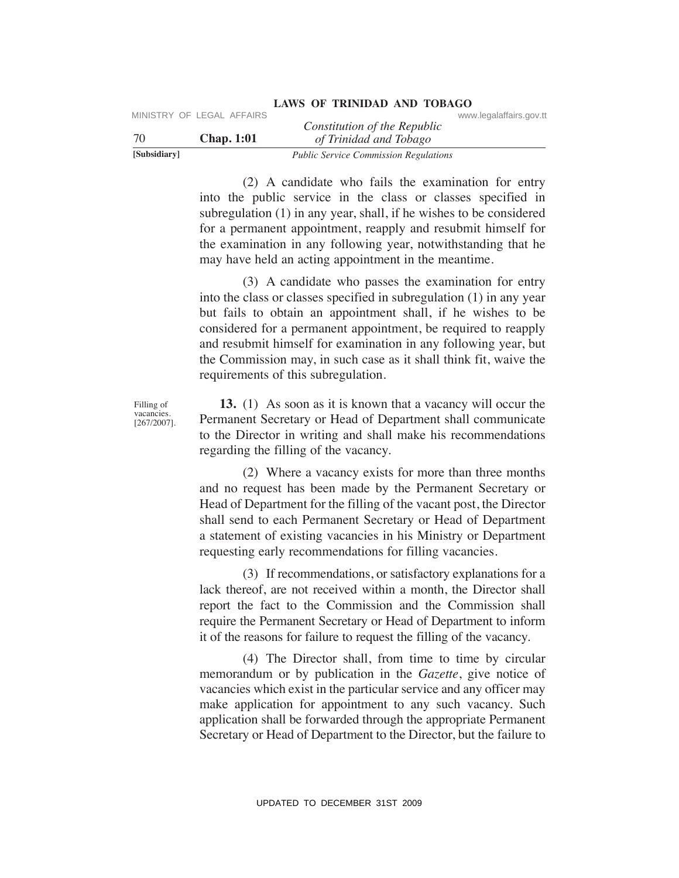|              |                   | Constitution of the Republic                 |  |
|--------------|-------------------|----------------------------------------------|--|
| 70           | <b>Chap.</b> 1:01 | of Trinidad and Tobago                       |  |
| [Subsidiary] |                   | <b>Public Service Commission Regulations</b> |  |

 (2) A candidate who fails the examination for entry into the public service in the class or classes specified in subregulation (1) in any year, shall, if he wishes to be considered for a permanent appointment, reapply and resubmit himself for the examination in any following year, notwithstanding that he may have held an acting appointment in the meantime.

 (3) A candidate who passes the examination for entry into the class or classes specified in subregulation (1) in any year but fails to obtain an appointment shall, if he wishes to be considered for a permanent appointment, be required to reapply and resubmit himself for examination in any following year, but the Commission may, in such case as it shall think fit, waive the requirements of this subregulation. VPDE LEGAL AFFAIRS Constitution of the Republic Constitution of the Republic Constitution of the Hydron Holongy Tradition of the Hydron Holongy CD A candidate who fails the examination for entry into the public scritce in

 **13.** (1) As soon as it is known that a vacancy will occur the Permanent Secretary or Head of Department shall communicate to the Director in writing and shall make his recommendations regarding the filling of the vacancy.

 (2) Where a vacancy exists for more than three months and no request has been made by the Permanent Secretary or Head of Department for the filling of the vacant post, the Director shall send to each Permanent Secretary or Head of Department a statement of existing vacancies in his Ministry or Department requesting early recommendations for filling vacancies.

 (3) If recommendations, or satisfactory explanations for a lack thereof, are not received within a month, the Director shall report the fact to the Commission and the Commission shall require the Permanent Secretary or Head of Department to inform it of the reasons for failure to request the filling of the vacancy.

 (4) The Director shall, from time to time by circular memorandum or by publication in the *Gazette*, give notice of vacancies which exist in the particular service and any officer may make application for appointment to any such vacancy. Such application shall be forwarded through the appropriate Permanent Secretary or Head of Department to the Director, but the failure to

Filling of vacancies. [267/2007].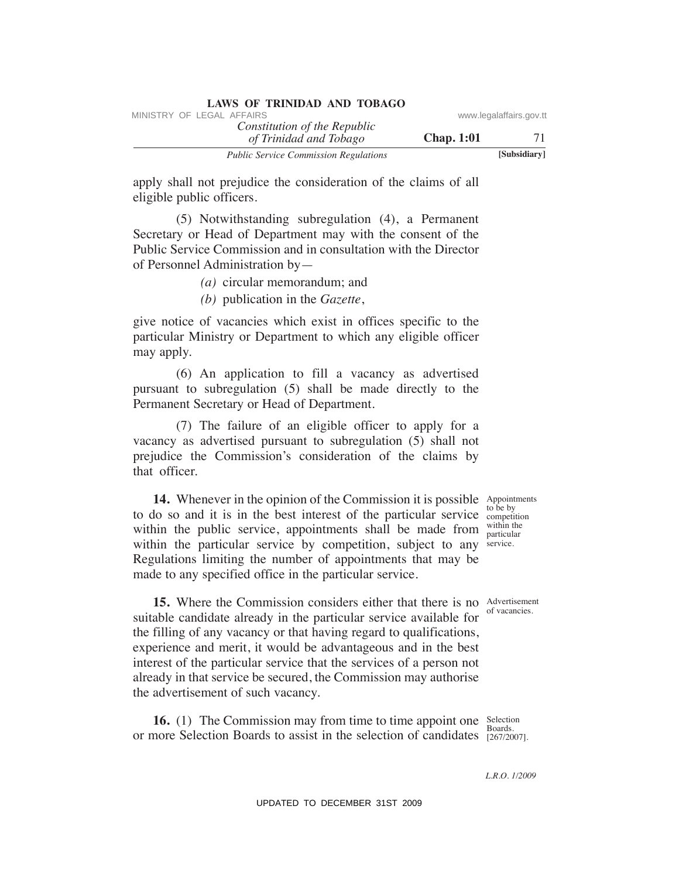| LAND OF INFIDED AND TODAUV                             |                   |                         |
|--------------------------------------------------------|-------------------|-------------------------|
| MINISTRY OF LEGAL AFFAIRS                              |                   | www.legalaffairs.gov.tt |
| Constitution of the Republic<br>of Trinidad and Tobago | <b>Chap.</b> 1:01 | 71                      |
| <b>Public Service Commission Regulations</b>           |                   | [Subsidiary]            |

apply shall not prejudice the consideration of the claims of all eligible public officers.

 (5) Notwithstanding subregulation (4), a Permanent Secretary or Head of Department may with the consent of the Public Service Commission and in consultation with the Director of Personnel Administration by—

*(a)* circular memorandum; and

*(b)* publication in the *Gazette*,

give notice of vacancies which exist in offices specific to the particular Ministry or Department to which any eligible officer may apply.

 (6) An application to fill a vacancy as advertised pursuant to subregulation (5) shall be made directly to the Permanent Secretary or Head of Department.

 (7) The failure of an eligible officer to apply for a vacancy as advertised pursuant to subregulation (5) shall not prejudice the Commission's consideration of the claims by that officer.

within the public service, appointments shall be made from  $\frac{W}{\text{particular}}$ within the particular service by competition, subject to any service.  **14.** Whenever in the opinion of the Commission it is possible to do so and it is in the best interest of the particular service Regulations limiting the number of appointments that may be made to any specified office in the particular service.

Appointments to be by competition within the

of vacancies.

**15.** Where the Commission considers either that there is no Advertisement suitable candidate already in the particular service available for the filling of any vacancy or that having regard to qualifications, experience and merit, it would be advantageous and in the best interest of the particular service that the services of a person not already in that service be secured, the Commission may authorise the advertisement of such vacancy. VINESTRY OF LEGAL AFFAIRS:<br>
The Constitution of the Republic<br>
The Constitution of the Constitution Chapp. 1:01<br>
The Constitution of the constant are also as the constant and Talgeble orbits of the constant and  $(5)$  Notwi

Selection **16.** (1) The Commission may from time to time appoint one Selectic or more Selection Boards to assist in the selection of candidates [267/2007].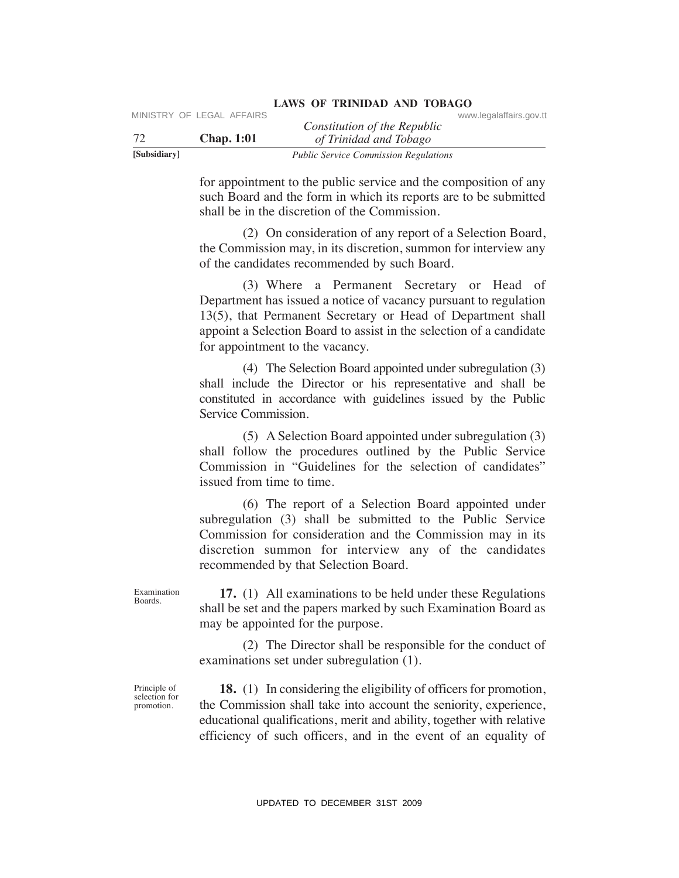|              | MINISTRY OF LEGAL AFFAIRS |                                              | www.legalaffairs.gov.tt |
|--------------|---------------------------|----------------------------------------------|-------------------------|
|              |                           | Constitution of the Republic                 |                         |
| -72          | <b>Chap.</b> 1:01         | of Trinidad and Tobago                       |                         |
| [Subsidiary] |                           | <b>Public Service Commission Regulations</b> |                         |

for appointment to the public service and the composition of any such Board and the form in which its reports are to be submitted shall be in the discretion of the Commission.

 (2) On consideration of any report of a Selection Board, the Commission may, in its discretion, summon for interview any of the candidates recommended by such Board.

 (3) Where a Permanent Secretary or Head of Department has issued a notice of vacancy pursuant to regulation 13(5), that Permanent Secretary or Head of Department shall appoint a Selection Board to assist in the selection of a candidate for appointment to the vacancy. VERENT CONSULTERT CONSULTERT CONSULTERT CONSULTERT CONSULTERT CONSULTERT TO THE CONSULTERT THE CONSULTERT CONSULTERT CONSULTERT CONSULTERT CONSULTERT CONSULTERT (2) O CONSULTERT (and the form in which is reported as the s

 (4) The Selection Board appointed under subregulation (3) shall include the Director or his representative and shall be constituted in accordance with guidelines issued by the Public Service Commission.

 (5) A Selection Board appointed under subregulation (3) shall follow the procedures outlined by the Public Service Commission in "Guidelines for the selection of candidates" issued from time to time.

 (6) The report of a Selection Board appointed under subregulation (3) shall be submitted to the Public Service Commission for consideration and the Commission may in its discretion summon for interview any of the candidates recommended by that Selection Board.

Examination Boards.

 **17.** (1) All examinations to be held under these Regulations shall be set and the papers marked by such Examination Board as may be appointed for the purpose.

 (2) The Director shall be responsible for the conduct of examinations set under subregulation (1).

Principle of selection for promotion.

 **18.** (1) In considering the eligibility of officers for promotion, the Commission shall take into account the seniority, experience, educational qualifications, merit and ability, together with relative efficiency of such officers, and in the event of an equality of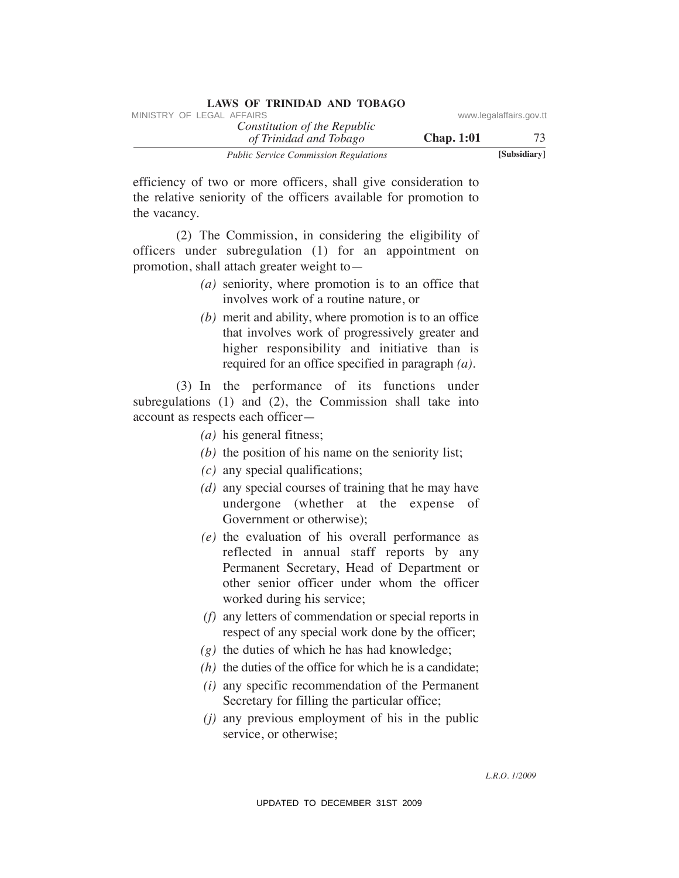| LAND OF TIMINAL AND TODING                             |                   |                         |
|--------------------------------------------------------|-------------------|-------------------------|
| MINISTRY OF LEGAL AFFAIRS                              |                   | www.legalaffairs.gov.tt |
| Constitution of the Republic<br>of Trinidad and Tobago | <b>Chap.</b> 1:01 | 73                      |
| <b>Public Service Commission Regulations</b>           |                   | [Subsidiary]            |

efficiency of two or more officers, shall give consideration to the relative seniority of the officers available for promotion to the vacancy.

 (2) The Commission, in considering the eligibility of officers under subregulation (1) for an appointment on promotion, shall attach greater weight to—

- *(a)* seniority, where promotion is to an office that involves work of a routine nature, or
- *(b)* merit and ability, where promotion is to an office that involves work of progressively greater and higher responsibility and initiative than is required for an office specified in paragraph *(a)*.

 (3) In the performance of its functions under subregulations (1) and (2), the Commission shall take into account as respects each officer—

- *(a)* his general fitness;
- *(b)* the position of his name on the seniority list;
- *(c)* any special qualifications;
- *(d)* any special courses of training that he may have undergone (whether at the expense of Government or otherwise);
- *(e)* the evaluation of his overall performance as reflected in annual staff reports by any Permanent Secretary, Head of Department or other senior officer under whom the officer worked during his service; VINESTRY OF LEGAL AFFAIRS of the Repubblic of the Repubblic of The Halanton of The Halanton To the Chapter of The Theorem and Theorem and Theorem and The Chapter and The Chapter of the Chapter of the Chapter of the Chapte
	- *(f)* any letters of commendation or special reports in respect of any special work done by the officer;
	- *(g)* the duties of which he has had knowledge;
	- *(h)* the duties of the office for which he is a candidate;
	- *(i)* any specific recommendation of the Permanent Secretary for filling the particular office;
	- *(j)* any previous employment of his in the public service, or otherwise;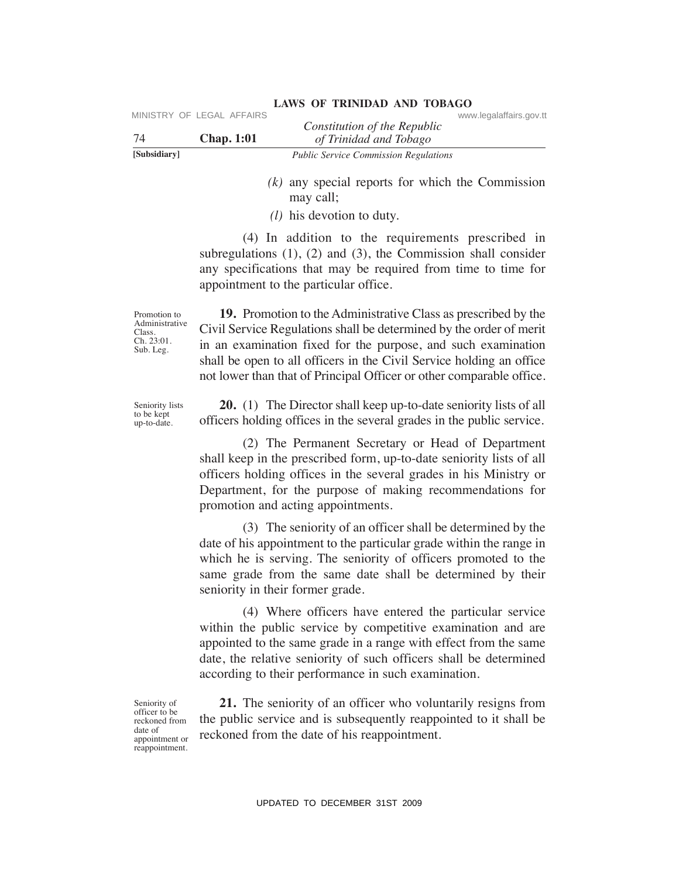|              | MINISTRY OF LEGAL AFFAIRS |                                              | www.legalaffairs.gov.tt |
|--------------|---------------------------|----------------------------------------------|-------------------------|
|              |                           | Constitution of the Republic                 |                         |
| 74           | <b>Chap.</b> 1:01         | of Trinidad and Tobago                       |                         |
| [Subsidiary] |                           | <b>Public Service Commission Regulations</b> |                         |

- *(k)* any special reports for which the Commission may call;
- *(l)* his devotion to duty.

 (4) In addition to the requirements prescribed in subregulations (1), (2) and (3), the Commission shall consider any specifications that may be required from time to time for appointment to the particular office.

Promotion to Administrative Class.  $\operatorname{Ch.} 23:01.$ Sub. Leg.

Seniority lists to be kept up-to-date.

 **19.** Promotion to the Administrative Class as prescribed by the Civil Service Regulations shall be determined by the order of merit in an examination fixed for the purpose, and such examination shall be open to all officers in the Civil Service holding an office not lower than that of Principal Officer or other comparable office.

 **20.** (1) The Director shall keep up-to-date seniority lists of all officers holding offices in the several grades in the public service.

 (2) The Permanent Secretary or Head of Department shall keep in the prescribed form, up-to-date seniority lists of all officers holding offices in the several grades in his Ministry or Department, for the purpose of making recommendations for promotion and acting appointments. VERENCE CONDUCT THE CONDUCT CONSULTER CONSULTER CONSULTER CONSULTER THE CONDUCT THE CONDUCT THE CONDUCT THE CONDUCT THE CONDUCT THE CONDUCT ((*b*) in advantage of (*b*) in advantage of (*b*) in advantage of (*b*) in a dva

 (3) The seniority of an officer shall be determined by the date of his appointment to the particular grade within the range in which he is serving. The seniority of officers promoted to the same grade from the same date shall be determined by their seniority in their former grade.

 (4) Where officers have entered the particular service within the public service by competitive examination and are appointed to the same grade in a range with effect from the same date, the relative seniority of such officers shall be determined according to their performance in such examination.

Seniority of officer to be reckoned from date of appointment or reappointment.

 **21.** The seniority of an officer who voluntarily resigns from the public service and is subsequently reappointed to it shall be reckoned from the date of his reappointment.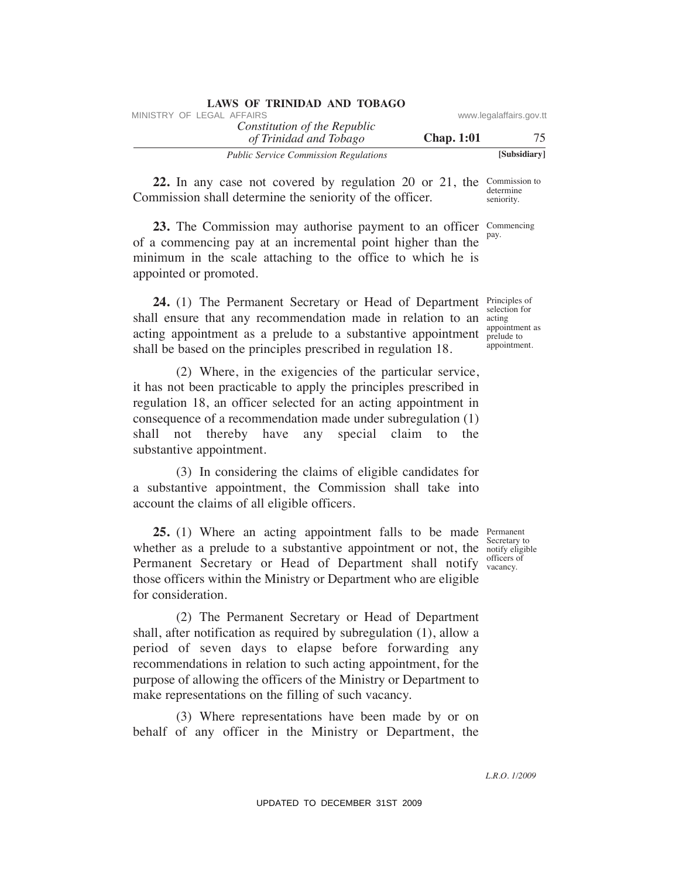| LAWS OF ININIDAD AND TODAGO                            |                   |                         |
|--------------------------------------------------------|-------------------|-------------------------|
| MINISTRY OF LEGAL AFFAIRS                              |                   | www.legalaffairs.gov.tt |
| Constitution of the Republic<br>of Trinidad and Tobago | <b>Chap.</b> 1:01 | 75                      |
| <b>Public Service Commission Regulations</b>           |                   | [Subsidiary]            |

**22.** In any case not covered by regulation 20 or 21, the Commission to determine seniority. Commission shall determine the seniority of the officer.

Commencing **23.** The Commission may authorise payment to an officer Com of a commencing pay at an incremental point higher than the minimum in the scale attaching to the office to which he is appointed or promoted.

 **24.** (1) The Permanent Secretary or Head of Department shall ensure that any recommendation made in relation to an acting appointment as a prelude to a substantive appointment shall be based on the principles prescribed in regulation 18.

 (2) Where, in the exigencies of the particular service, it has not been practicable to apply the principles prescribed in regulation 18, an officer selected for an acting appointment in consequence of a recommendation made under subregulation (1) shall not thereby have any special claim to the substantive appointment.

 (3) In considering the claims of eligible candidates for a substantive appointment, the Commission shall take into account the claims of all eligible officers.

**25.** (1) Where an acting appointment falls to be made Permanent whether as a prelude to a substantive appointment or not, the  $\frac{1}{\text{notify}}$  eligible Permanent Secretary or Head of Department shall notify vacancy. those officers within the Ministry or Department who are eligible for consideration.

 (2) The Permanent Secretary or Head of Department shall, after notification as required by subregulation (1), allow a period of seven days to elapse before forwarding any recommendations in relation to such acting appointment, for the purpose of allowing the officers of the Ministry or Department to make representations on the filling of such vacancy. WHETHY OF LEGAL AFFAIRS of the Repubblic convertisement control of the Repubblic control To the Constitution of The Repubblic control To The Constitution of The Constitution of The Constitution of The Constitution of The

 (3) Where representations have been made by or on behalf of any officer in the Ministry or Department, the

Secretary to officers of

*L.R.O. 1/2009*

#### **LAWS OF TRINIDAD AND TOBAGO**

Principles of selection for acting appointment as prelude to appointment.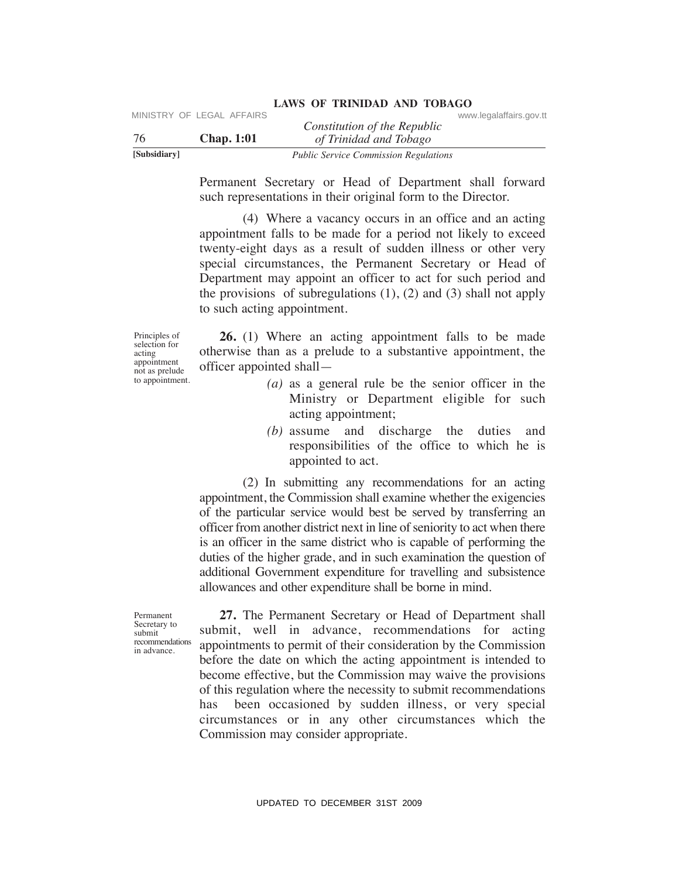| [Subsidiary] |                           | <b>Public Service Commission Regulations</b> |                         |  |
|--------------|---------------------------|----------------------------------------------|-------------------------|--|
| -76          | <b>Chap.</b> 1:01         | of Trinidad and Tobago                       |                         |  |
|              |                           | Constitution of the Republic                 |                         |  |
|              | MINISTRY OF LEGAL AFFAIRS |                                              | www.legalaffairs.gov.tt |  |

Permanent Secretary or Head of Department shall forward such representations in their original form to the Director.

 (4) Where a vacancy occurs in an office and an acting appointment falls to be made for a period not likely to exceed twenty-eight days as a result of sudden illness or other very special circumstances, the Permanent Secretary or Head of Department may appoint an officer to act for such period and the provisions of subregulations  $(1)$ ,  $(2)$  and  $(3)$  shall not apply to such acting appointment.

Principles of selection for acting appointment not as prelude to appointment.

 **26.** (1) Where an acting appointment falls to be made otherwise than as a prelude to a substantive appointment, the officer appointed shall—

- *(a)* as a general rule be the senior officer in the Ministry or Department eligible for such acting appointment;
- *(b)* assume and discharge the duties and responsibilities of the office to which he is appointed to act.

 (2) In submitting any recommendations for an acting appointment, the Commission shall examine whether the exigencies of the particular service would best be served by transferring an officer from another district next in line of seniority to act when there is an officer in the same district who is capable of performing the duties of the higher grade, and in such examination the question of additional Government expenditure for travelling and subsistence allowances and other expenditure shall be borne in mind.

 **27.** The Permanent Secretary or Head of Department shall submit, well in advance, recommendations for acting appointments to permit of their consideration by the Commission before the date on which the acting appointment is intended to become effective, but the Commission may waive the provisions of this regulation where the necessity to submit recommendations has been occasioned by sudden illness, or very special circumstances or in any other circumstances which the Commission may consider appropriate. VERTRIX Constitution of the Republic<br>
To Chap. 1:01 ( $\frac{1}{10}$  Traiding on The Constraine Specifically<br>
To Chap. 1:01 ( $\frac{1}{10}$  Traiding of Traiding and the respectively<br>
Demnanent Secretary or Read of Department shall

Permanent Secretary to submit recommendations in advance.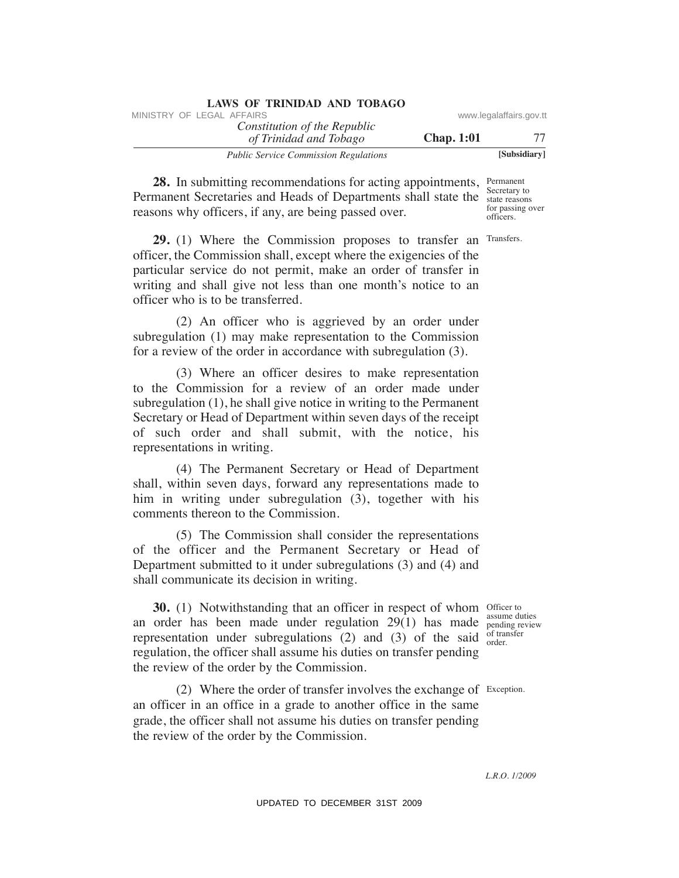| <b>LAWS OF TRINIDAD AND TOBAGO</b>           |                         |              |
|----------------------------------------------|-------------------------|--------------|
| MINISTRY OF LEGAL AFFAIRS                    | www.legalaffairs.gov.tt |              |
| Constitution of the Republic                 |                         |              |
| of Trinidad and Tobago                       | <b>Chap.</b> 1:01       | 77           |
| <b>Public Service Commission Regulations</b> |                         | [Subsidiary] |

**28.** In submitting recommendations for acting appointments, Permanent Secretary to Permanent Secretaries and Heads of Departments shall state the state reasons for passing over officers. reasons why officers, if any, are being passed over.

**29.** (1) Where the Commission proposes to transfer an Transfers. officer, the Commission shall, except where the exigencies of the particular service do not permit, make an order of transfer in writing and shall give not less than one month's notice to an officer who is to be transferred.

 (2) An officer who is aggrieved by an order under subregulation (1) may make representation to the Commission for a review of the order in accordance with subregulation (3).

 (3) Where an officer desires to make representation to the Commission for a review of an order made under subregulation (1), he shall give notice in writing to the Permanent Secretary or Head of Department within seven days of the receipt of such order and shall submit, with the notice, his representations in writing. WHETEV OF LEGAL AFFAIRS of the Repubblic of the Repubblic of the Repubblic constrained and Tobles on the community communications for acting appointments, because the properties and the distance of the relations of the co

 (4) The Permanent Secretary or Head of Department shall, within seven days, forward any representations made to him in writing under subregulation (3), together with his comments thereon to the Commission.

 (5) The Commission shall consider the representations of the officer and the Permanent Secretary or Head of Department submitted to it under subregulations (3) and (4) and shall communicate its decision in writing.

**30.** (1) Notwithstanding that an officer in respect of whom officer to an order has been made under regulation  $29(1)$  has made  $_{\text{pending review}}^{\text{assume values}}$ representation under subregulations (2) and (3) of the said  $_{\text{order}}^{\text{of tra}}$ regulation, the officer shall assume his duties on transfer pending the review of the order by the Commission.

 $(2)$  Where the order of transfer involves the exchange of Exception. an officer in an office in a grade to another office in the same grade, the officer shall not assume his duties on transfer pending the review of the order by the Commission.

assume duties of transfer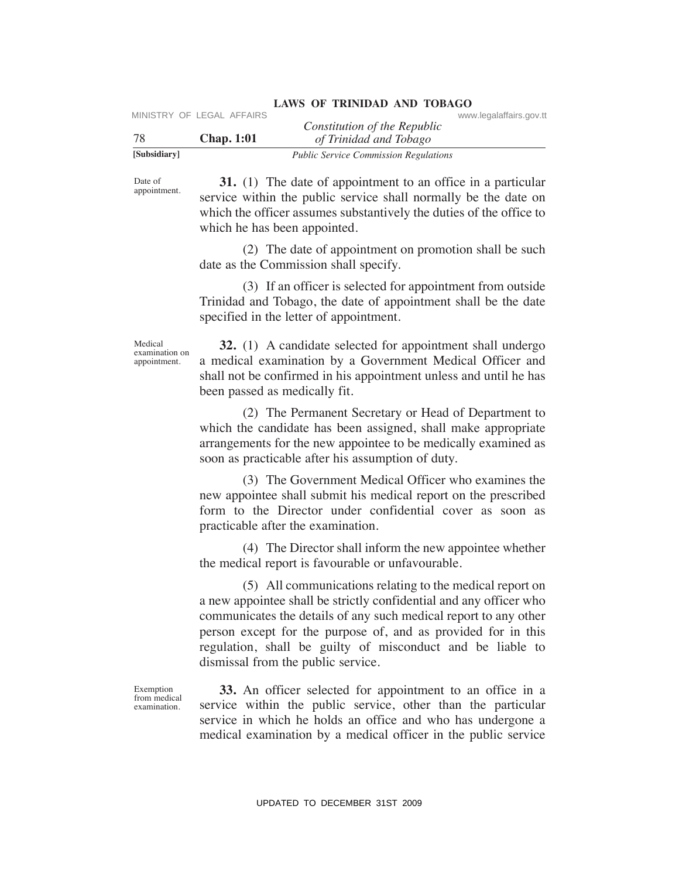|              | MINISTRY OF LEGAL AFFAIRS |                                                        | www.legalaffairs.gov.tt |
|--------------|---------------------------|--------------------------------------------------------|-------------------------|
| 78           | <b>Chap.</b> 1:01         | Constitution of the Republic<br>of Trinidad and Tobago |                         |
| [Subsidiary] |                           | <b>Public Service Commission Regulations</b>           |                         |

Date of appointment.

 **31.** (1) The date of appointment to an office in a particular service within the public service shall normally be the date on which the officer assumes substantively the duties of the office to which he has been appointed.

 (2) The date of appointment on promotion shall be such date as the Commission shall specify.

 (3) If an officer is selected for appointment from outside Trinidad and Tobago, the date of appointment shall be the date specified in the letter of appointment.

Medical examination on appointment.

**32.** (1) A candidate selected for appointment shall undergo a medical examination by a Government Medical Officer and shall not be confirmed in his appointment unless and until he has been passed as medically fit.

 (2) The Permanent Secretary or Head of Department to which the candidate has been assigned, shall make appropriate arrangements for the new appointee to be medically examined as soon as practicable after his assumption of duty.

 (3) The Government Medical Officer who examines the new appointee shall submit his medical report on the prescribed form to the Director under confidential cover as soon as practicable after the examination.

 (4) The Director shall inform the new appointee whether the medical report is favourable or unfavourable.

 (5) All communications relating to the medical report on a new appointee shall be strictly confidential and any officer who communicates the details of any such medical report to any other person except for the purpose of, and as provided for in this regulation, shall be guilty of misconduct and be liable to dismissal from the public service. VIESTRY OF LEGAL AFFAIRS<br>
Your *Hy Treindam Tholinger*<br>
2009 (*Hy Treindam Tholinger*<br>
31. (1) The date of appointment to an office in a particular<br>
spreading and  $\frac{1}{2}$  and  $\frac{1}{2}$  and  $\frac{1}{2}$  and  $\frac{1}{2}$  and  $\$ 

Exemption from medical examination.

 **33.** An officer selected for appointment to an office in a service within the public service, other than the particular service in which he holds an office and who has undergone a medical examination by a medical officer in the public service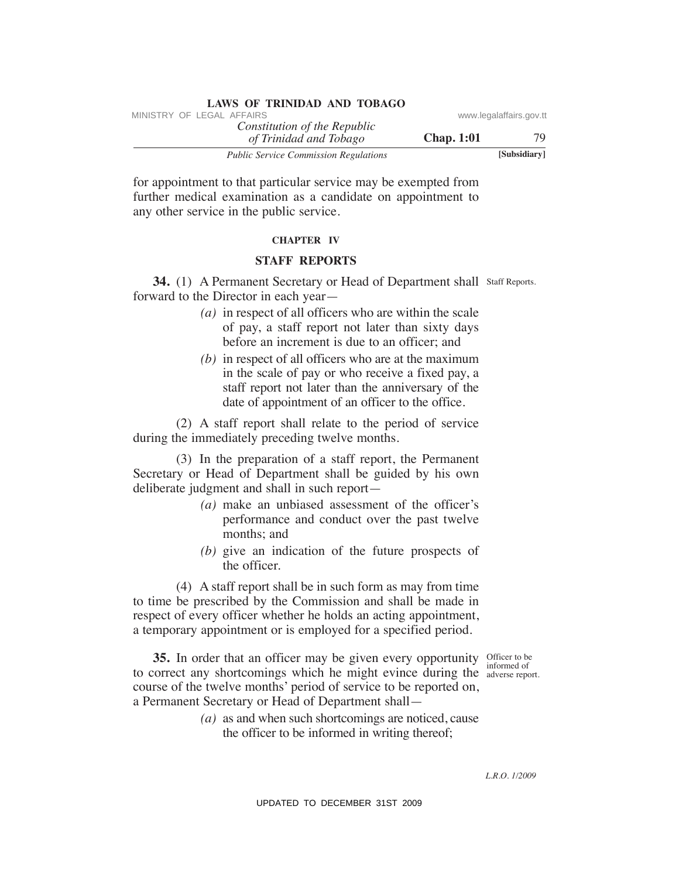| *************<br>MINISTRY OF LEGAL AFFAIRS                                                                                                                                                                                                                                                                                                                                                                                                                                                                    | www.legalaffairs.gov.tt        |
|---------------------------------------------------------------------------------------------------------------------------------------------------------------------------------------------------------------------------------------------------------------------------------------------------------------------------------------------------------------------------------------------------------------------------------------------------------------------------------------------------------------|--------------------------------|
| Constitution of the Republic<br><b>Chap. 1:01</b><br>of Trinidad and Tobago                                                                                                                                                                                                                                                                                                                                                                                                                                   | 79                             |
| <b>Public Service Commission Regulations</b>                                                                                                                                                                                                                                                                                                                                                                                                                                                                  | [Subsidiary]                   |
| for appointment to that particular service may be exempted from<br>further medical examination as a candidate on appointment to<br>any other service in the public service.                                                                                                                                                                                                                                                                                                                                   |                                |
| <b>CHAPTER IV</b>                                                                                                                                                                                                                                                                                                                                                                                                                                                                                             |                                |
| <b>STAFF REPORTS</b>                                                                                                                                                                                                                                                                                                                                                                                                                                                                                          |                                |
| 34. (1) A Permanent Secretary or Head of Department shall Staff Reports.<br>forward to the Director in each year—<br>$(a)$ in respect of all officers who are within the scale<br>of pay, a staff report not later than sixty days<br>before an increment is due to an officer; and<br>$(b)$ in respect of all officers who are at the maximum<br>in the scale of pay or who receive a fixed pay, a<br>staff report not later than the anniversary of the<br>date of appointment of an officer to the office. |                                |
| (2) A staff report shall relate to the period of service<br>during the immediately preceding twelve months.                                                                                                                                                                                                                                                                                                                                                                                                   |                                |
| (3) In the preparation of a staff report, the Permanent<br>Secretary or Head of Department shall be guided by his own<br>deliberate judgment and shall in such report-<br>$(a)$ make an unbiased assessment of the officer's<br>performance and conduct over the past twelve<br>months; and<br>$(b)$ give an indication of the future prospects of<br>the officer.                                                                                                                                            |                                |
| (4) A staff report shall be in such form as may from time<br>to time be prescribed by the Commission and shall be made in<br>respect of every officer whether he holds an acting appointment,<br>a temporary appointment or is employed for a specified period.                                                                                                                                                                                                                                               |                                |
| 35. In order that an officer may be given every opportunity Officer to be<br>to correct any shortcomings which he might evince during the<br>course of the twelve months' period of service to be reported on,<br>a Permanent Secretary or Head of Department shall-<br>$(a)$ as and when such shortcomings are noticed, cause<br>the officer to be informed in writing thereof;                                                                                                                              | informed of<br>adverse report. |
|                                                                                                                                                                                                                                                                                                                                                                                                                                                                                                               | L.R.O. 1/2009                  |
| UPDATED TO DECEMBER 31ST 2009                                                                                                                                                                                                                                                                                                                                                                                                                                                                                 |                                |

**LAWS OF TRINIDAD AND TOBAGO**

#### **ChAPTeR IV**

#### **STAFF RePORTS**

- *(a)* in respect of all officers who are within the scale of pay, a staff report not later than sixty days before an increment is due to an officer; and
- *(b)* in respect of all officers who are at the maximum in the scale of pay or who receive a fixed pay, a staff report not later than the anniversary of the date of appointment of an officer to the office.

- *(a)* make an unbiased assessment of the officer's performance and conduct over the past twelve months; and
- *(b)* give an indication of the future prospects of the officer.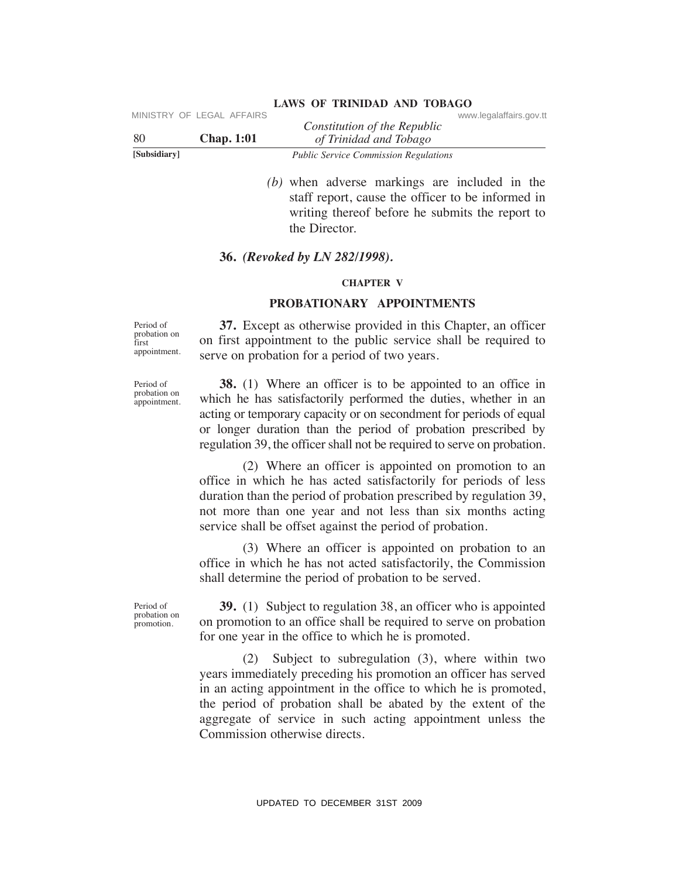| [Subsidiary] |                           | <b>Public Service Commission Regulations</b> |                         |  |
|--------------|---------------------------|----------------------------------------------|-------------------------|--|
| -80          | <b>Chap.</b> 1:01         | of Trinidad and Tobago                       |                         |  |
|              |                           | Constitution of the Republic                 |                         |  |
|              | MINISTRY OF LEGAL AFFAIRS |                                              | www.legalaffairs.gov.tt |  |

 *(b)* when adverse markings are included in the staff report, cause the officer to be informed in writing thereof before he submits the report to the Director.

#### **36.** *(Revoked by LN 282/1998).*

#### **ChAPTeR V**

#### **PROBATIONARY APPOINTMeNTS**

Period of probation on first appointment.

Period of probation on appointment.

 **37.** Except as otherwise provided in this Chapter, an officer on first appointment to the public service shall be required to serve on probation for a period of two years.

 **38.** (1) Where an officer is to be appointed to an office in which he has satisfactorily performed the duties, whether in an acting or temporary capacity or on secondment for periods of equal or longer duration than the period of probation prescribed by regulation 39, the officer shall not be required to serve on probation.

 (2) Where an officer is appointed on promotion to an office in which he has acted satisfactorily for periods of less duration than the period of probation prescribed by regulation 39, not more than one year and not less than six months acting service shall be offset against the period of probation.

 (3) Where an officer is appointed on probation to an office in which he has not acted satisfactorily, the Commission shall determine the period of probation to be served.

Period of probation on promotion.

 **39.** (1) Subject to regulation 38, an officer who is appointed on promotion to an office shall be required to serve on probation for one year in the office to which he is promoted.

 (2) Subject to subregulation (3), where within two years immediately preceding his promotion an officer has served in an acting appointment in the office to which he is promoted, the period of probation shall be abated by the extent of the aggregate of service in such acting appointment unless the Commission otherwise directs. VIRTERY OF LEGAL AFFAIRS<br>
WESTERV OF LEGAL AFFAIRS<br>
Constitution of the Repubbic<br>
Shabilitary<br>
Thin and Trip (Trintind on The diverse is consistent as position<br>
starf proper, consistent as positions of the interpret in th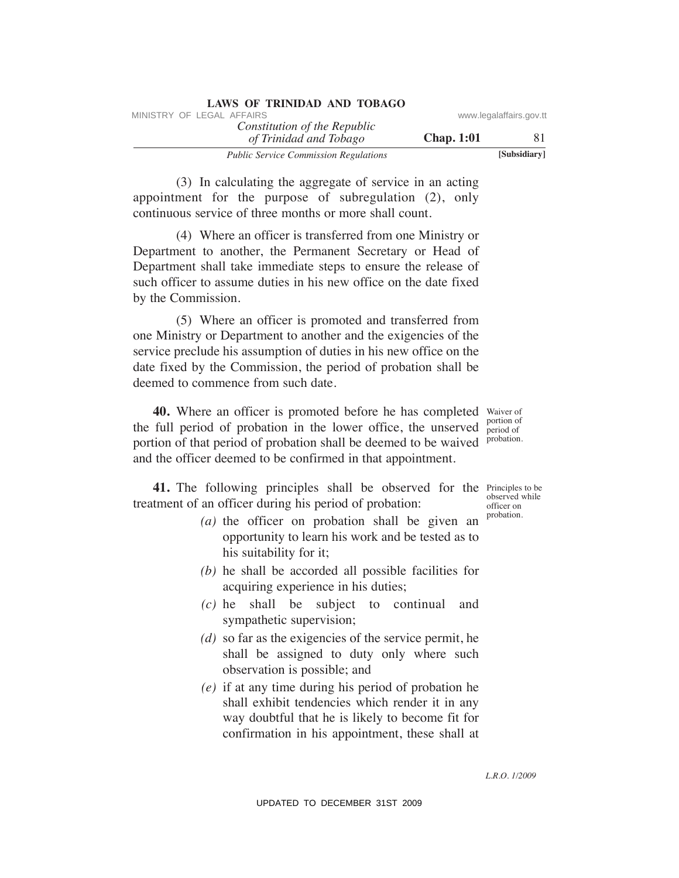| <b>LAWS OF TRINIDAD AND TOBAGO</b>           |                   |                         |
|----------------------------------------------|-------------------|-------------------------|
| MINISTRY OF LEGAL AFFAIRS                    |                   | www.legalaffairs.gov.tt |
| Constitution of the Republic                 |                   |                         |
| of Trinidad and Tobago                       | <b>Chap.</b> 1:01 | 81                      |
| <b>Public Service Commission Regulations</b> |                   | [Subsidiary]            |

 (3) In calculating the aggregate of service in an acting appointment for the purpose of subregulation (2), only continuous service of three months or more shall count.

 (4) Where an officer is transferred from one Ministry or Department to another, the Permanent Secretary or Head of Department shall take immediate steps to ensure the release of such officer to assume duties in his new office on the date fixed by the Commission. WHETENY OF LEGAL AFFAIRS of the Republic www.legalaffairs.gov.ttps://www.legalaffairs.gov.ttps://web/stational Toblegov.ttp://web/stational/2.0. only<br>
(3) In calculating the aggregate of service in an acting<br>
continuous s

 (5) Where an officer is promoted and transferred from one Ministry or Department to another and the exigencies of the service preclude his assumption of duties in his new office on the date fixed by the Commission, the period of probation shall be deemed to commence from such date.

**40.** Where an officer is promoted before he has completed Waiver of portion of period of probation. the full period of probation in the lower office, the unserved portion of that period of probation shall be deemed to be waived and the officer deemed to be confirmed in that appointment.

**41.** The following principles shall be observed for the Principles to be treatment of an officer during his period of probation:

- *(a)* the officer on probation shall be given an opportunity to learn his work and be tested as to his suitability for it;
- *(b)* he shall be accorded all possible facilities for acquiring experience in his duties;
- *(c)* he shall be subject to continual and sympathetic supervision;
- *(d)* so far as the exigencies of the service permit, he shall be assigned to duty only where such observation is possible; and
- *(e)* if at any time during his period of probation he shall exhibit tendencies which render it in any way doubtful that he is likely to become fit for confirmation in his appointment, these shall at

observed while officer on probation.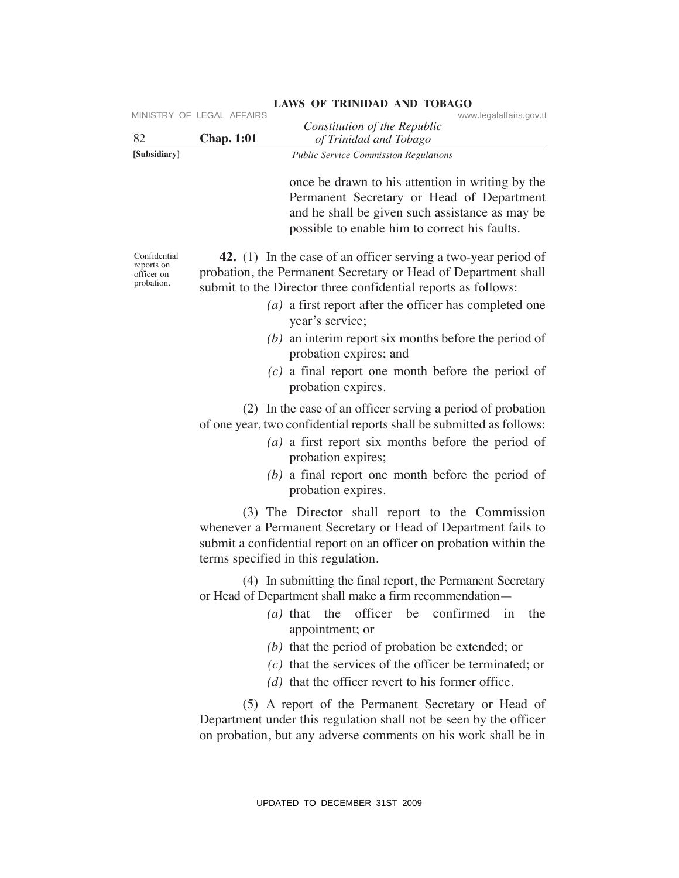| 82                                                     | <b>Chap. 1:01</b> | www.legalaffairs.gov.tt<br>Constitution of the Republic<br>of Trinidad and Tobago                                                                                                                                                                                                                                                                                            |
|--------------------------------------------------------|-------------------|------------------------------------------------------------------------------------------------------------------------------------------------------------------------------------------------------------------------------------------------------------------------------------------------------------------------------------------------------------------------------|
| [Subsidiary]                                           |                   | <b>Public Service Commission Regulations</b>                                                                                                                                                                                                                                                                                                                                 |
|                                                        |                   | once be drawn to his attention in writing by the<br>Permanent Secretary or Head of Department<br>and he shall be given such assistance as may be<br>possible to enable him to correct his faults.                                                                                                                                                                            |
| Confidential<br>reports on<br>officer on<br>probation. |                   | <b>42.</b> (1) In the case of an officer serving a two-year period of<br>probation, the Permanent Secretary or Head of Department shall<br>submit to the Director three confidential reports as follows:<br>$(a)$ a first report after the officer has completed one<br>year's service;                                                                                      |
|                                                        |                   | $(b)$ an interim report six months before the period of<br>probation expires; and                                                                                                                                                                                                                                                                                            |
|                                                        |                   | $(c)$ a final report one month before the period of<br>probation expires.                                                                                                                                                                                                                                                                                                    |
|                                                        |                   | (2) In the case of an officer serving a period of probation<br>of one year, two confidential reports shall be submitted as follows:<br>$(a)$ a first report six months before the period of<br>probation expires;<br>$(b)$ a final report one month before the period of<br>probation expires.                                                                               |
|                                                        |                   | (3) The Director shall report to the Commission<br>whenever a Permanent Secretary or Head of Department fails to<br>submit a confidential report on an officer on probation within the<br>terms specified in this regulation.                                                                                                                                                |
|                                                        |                   | (4) In submitting the final report, the Permanent Secretary<br>or Head of Department shall make a firm recommendation-<br>officer be<br>confirmed<br>$(a)$ that the<br>the<br>1n<br>appointment; or<br>$(b)$ that the period of probation be extended; or<br>$(c)$ that the services of the officer be terminated; or<br>$(d)$ that the officer revert to his former office. |
|                                                        |                   | (5) A report of the Permanent Secretary or Head of<br>Department under this regulation shall not be seen by the officer<br>on probation, but any adverse comments on his work shall be in                                                                                                                                                                                    |
|                                                        |                   | UPDATED TO DECEMBER 31ST 2009                                                                                                                                                                                                                                                                                                                                                |

- *(a)* a first report after the officer has completed one year's service;
- *(b)* an interim report six months before the period of probation expires; and
- *(c)* a final report one month before the period of probation expires.

- *(a)* a first report six months before the period of probation expires;
- *(b)* a final report one month before the period of probation expires.

- *(a)* that the officer be confirmed in the appointment; or
- *(b)* that the period of probation be extended; or
- *(c)* that the services of the officer be terminated; or
- *(d)* that the officer revert to his former office.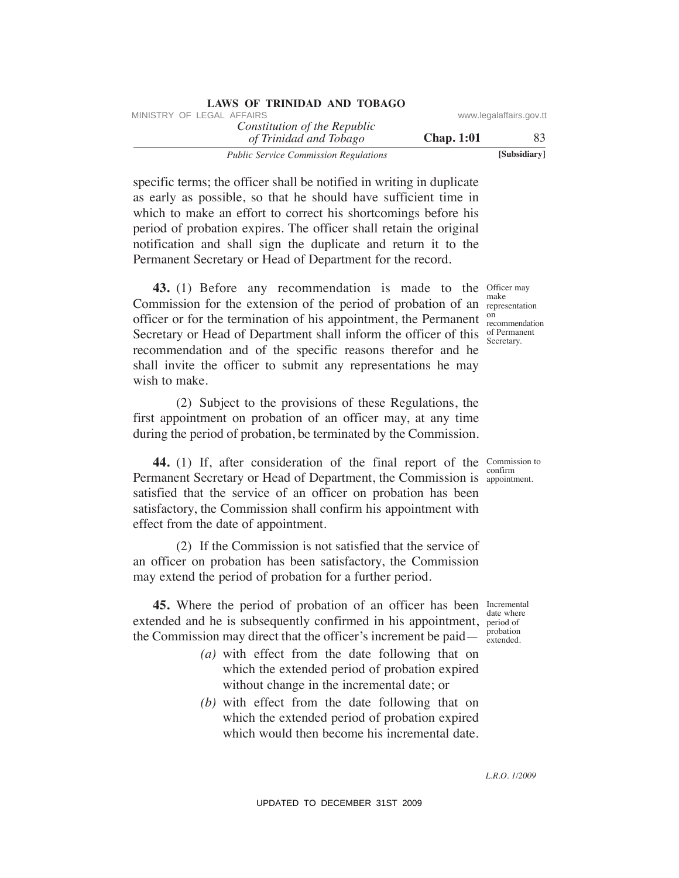| LAWS OF INIMIDAD AND TODAUO                            |                   |                         |
|--------------------------------------------------------|-------------------|-------------------------|
| MINISTRY OF LEGAL AFFAIRS                              |                   | www.legalaffairs.gov.tt |
| Constitution of the Republic<br>of Trinidad and Tobago | <b>Chap.</b> 1:01 | 83                      |
| <b>Public Service Commission Regulations</b>           |                   | [Subsidiary]            |

specific terms; the officer shall be notified in writing in duplicate as early as possible, so that he should have sufficient time in which to make an effort to correct his shortcomings before his period of probation expires. The officer shall retain the original notification and shall sign the duplicate and return it to the Permanent Secretary or Head of Department for the record.

**LAWS OF TRINIDAD AND TOBAGO**

**43.** (1) Before any recommendation is made to the Officer may Commission for the extension of the period of probation of an *representation* officer or for the termination of his appointment, the Permanent  $_{\rm recommendation}^{\rm on}$ Secretary or Head of Department shall inform the officer of this  $S_{\text{scortary}}$ recommendation and of the specific reasons therefor and he shall invite the officer to submit any representations he may wish to make. When the Commission of the Republic www.legalaffairs.gov.ttps://www.legalaffairs.gov.ttps://www.legalaffairs.gov.ttps://www.legalaffairs.gov.ttps://www.legalaffairs.gov.ttps://www.legalaffairs.gov.ttps://www.legalaffairs.

 (2) Subject to the provisions of these Regulations, the first appointment on probation of an officer may, at any time during the period of probation, be terminated by the Commission.

**44.** (1) If, after consideration of the final report of the Commission to Permanent Secretary or Head of Department, the Commission is appointment. satisfied that the service of an officer on probation has been satisfactory, the Commission shall confirm his appointment with effect from the date of appointment.

 (2) If the Commission is not satisfied that the service of an officer on probation has been satisfactory, the Commission may extend the period of probation for a further period.

**45.** Where the period of probation of an officer has been Incremental extended and he is subsequently confirmed in his appointment, period of the Commission may direct that the officer's increment be paid— $\frac{1}{\text{extended}}$ 

- *(a)* with effect from the date following that on which the extended period of probation expired without change in the incremental date; or
- *(b)* with effect from the date following that on which the extended period of probation expired which would then become his incremental date.

make on Secretary.

confirm

date where probation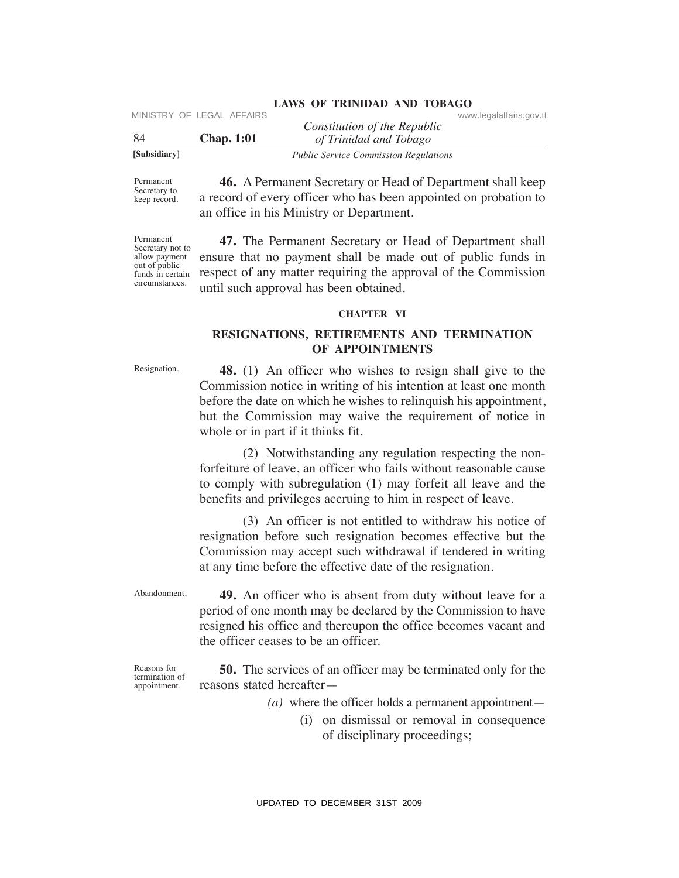| www.legalaffairs.gov.tt |
|-------------------------|

Permanent Secretary to keep record.

 **46.** A Permanent Secretary or Head of Department shall keep a record of every officer who has been appointed on probation to an office in his Ministry or Department.

Permanent Secretary not to allow payment out of public funds in certain circumstances.

 **47.** The Permanent Secretary or Head of Department shall ensure that no payment shall be made out of public funds in respect of any matter requiring the approval of the Commission until such approval has been obtained.

#### **ChAPTeR VI**

## **ReSIGNATIONS, ReTIReMeNTS AND TeRMINATION OF APPOINTMeNTS**

Resignation.

 **48.** (1) An officer who wishes to resign shall give to the Commission notice in writing of his intention at least one month before the date on which he wishes to relinquish his appointment, but the Commission may waive the requirement of notice in whole or in part if it thinks fit. VIVENTIX Constitution of the Republic<br>
Statistics of Constitution of the Republic<br>
Statistics of Corears of Transition of the Republic<br>
Statistics of Corears of Corears of Corears of Corears of Corears of Corears of Corea

 (2) Notwithstanding any regulation respecting the nonforfeiture of leave, an officer who fails without reasonable cause to comply with subregulation (1) may forfeit all leave and the benefits and privileges accruing to him in respect of leave.

 (3) An officer is not entitled to withdraw his notice of resignation before such resignation becomes effective but the Commission may accept such withdrawal if tendered in writing at any time before the effective date of the resignation.

Abandonment.

 **49.** An officer who is absent from duty without leave for a period of one month may be declared by the Commission to have resigned his office and thereupon the office becomes vacant and the officer ceases to be an officer.

Reasons for termination of appointment.

 **50.** The services of an officer may be terminated only for the reasons stated hereafter—

*(a)* where the officer holds a permanent appointment—

 (i) on dismissal or removal in consequence of disciplinary proceedings;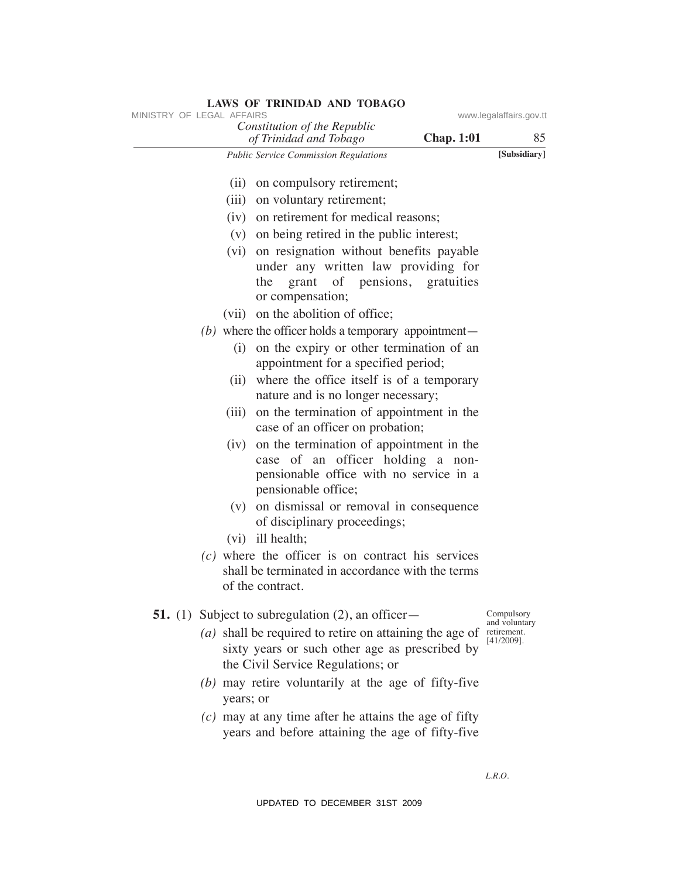| MINISTRY OF LEGAL AFFAIRS |           | Constitution of the Republic                                                                                                                            | www.legalaffairs.gov.tt      |
|---------------------------|-----------|---------------------------------------------------------------------------------------------------------------------------------------------------------|------------------------------|
|                           |           | <b>Chap. 1:01</b><br>of Trinidad and Tobago                                                                                                             | 85                           |
|                           |           | Public Service Commission Regulations                                                                                                                   | [Subsidiary]                 |
|                           |           | (ii) on compulsory retirement;                                                                                                                          |                              |
|                           |           | (iii) on voluntary retirement;                                                                                                                          |                              |
|                           |           | (iv) on retirement for medical reasons;                                                                                                                 |                              |
|                           |           | (v) on being retired in the public interest;                                                                                                            |                              |
|                           |           | (vi) on resignation without benefits payable<br>under any written law providing for<br>grant of pensions, gratuities<br>the<br>or compensation;         |                              |
|                           |           | (vii) on the abolition of office;                                                                                                                       |                              |
|                           |           | $(b)$ where the officer holds a temporary appointment—                                                                                                  |                              |
|                           | (i)       | on the expiry or other termination of an<br>appointment for a specified period;                                                                         |                              |
|                           |           | (ii) where the office itself is of a temporary<br>nature and is no longer necessary;                                                                    |                              |
|                           |           | (iii) on the termination of appointment in the<br>case of an officer on probation;                                                                      |                              |
|                           | (iv)      | on the termination of appointment in the<br>case of an officer holding a non-<br>pensionable office with no service in a<br>pensionable office;         |                              |
|                           |           | (v) on dismissal or removal in consequence<br>of disciplinary proceedings;                                                                              |                              |
|                           |           | (vi) ill health;                                                                                                                                        |                              |
|                           |           | $(c)$ where the officer is on contract his services<br>shall be terminated in accordance with the terms<br>of the contract.                             |                              |
|                           |           | <b>51.</b> (1) Subject to subregulation $(2)$ , an officer-                                                                                             | Compulsory<br>and voluntary  |
|                           |           | ( <i>a</i> ) shall be required to retire on attaining the age of<br>sixty years or such other age as prescribed by<br>the Civil Service Regulations; or | retirement.<br>$[41/2009]$ . |
|                           | years; or | $(b)$ may retire voluntarily at the age of fifty-five                                                                                                   |                              |
|                           |           | $(c)$ may at any time after he attains the age of fifty<br>years and before attaining the age of fifty-five                                             |                              |
|                           |           |                                                                                                                                                         | L.R.O.                       |
|                           |           | UPDATED TO DECEMBER 31ST 2009                                                                                                                           |                              |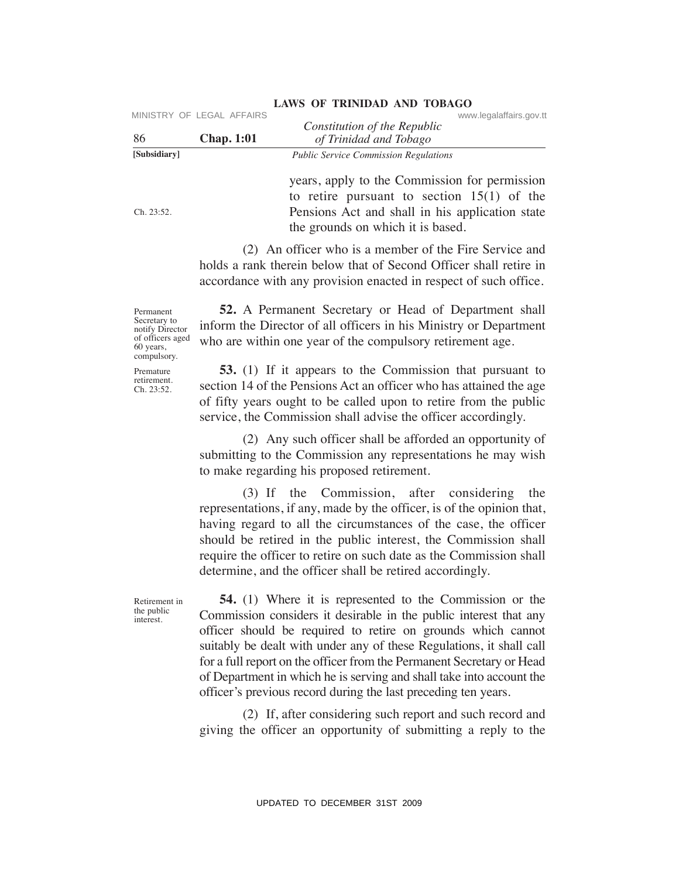| 86                                                                                           | MINISTRY OF LEGAL AFFAIRS<br><b>Chap. 1:01</b> | www.legalaffairs.gov.tt<br>Constitution of the Republic<br>of Trinidad and Tobago                                                                                                                                                                                                                                                                                                                                                                                                               |
|----------------------------------------------------------------------------------------------|------------------------------------------------|-------------------------------------------------------------------------------------------------------------------------------------------------------------------------------------------------------------------------------------------------------------------------------------------------------------------------------------------------------------------------------------------------------------------------------------------------------------------------------------------------|
| [Subsidiary]                                                                                 |                                                | <b>Public Service Commission Regulations</b>                                                                                                                                                                                                                                                                                                                                                                                                                                                    |
| Ch. 23:52.                                                                                   |                                                | years, apply to the Commission for permission<br>to retire pursuant to section $15(1)$ of the<br>Pensions Act and shall in his application state<br>the grounds on which it is based.                                                                                                                                                                                                                                                                                                           |
|                                                                                              |                                                | (2) An officer who is a member of the Fire Service and<br>holds a rank therein below that of Second Officer shall retire in<br>accordance with any provision enacted in respect of such office.                                                                                                                                                                                                                                                                                                 |
| Permanent<br>Secretary to<br>notify Director<br>of officers aged<br>60 years,<br>compulsory. |                                                | <b>52.</b> A Permanent Secretary or Head of Department shall<br>inform the Director of all officers in his Ministry or Department<br>who are within one year of the compulsory retirement age.                                                                                                                                                                                                                                                                                                  |
| Premature<br>retirement.<br>Ch. 23:52.                                                       |                                                | <b>53.</b> (1) If it appears to the Commission that pursuant to<br>section 14 of the Pensions Act an officer who has attained the age<br>of fifty years ought to be called upon to retire from the public<br>service, the Commission shall advise the officer accordingly.                                                                                                                                                                                                                      |
|                                                                                              |                                                | (2) Any such officer shall be afforded an opportunity of<br>submitting to the Commission any representations he may wish<br>to make regarding his proposed retirement.                                                                                                                                                                                                                                                                                                                          |
|                                                                                              |                                                | (3) If the Commission, after considering<br>the<br>representations, if any, made by the officer, is of the opinion that,<br>having regard to all the circumstances of the case, the officer<br>should be retired in the public interest, the Commission shall<br>require the officer to retire on such date as the Commission shall<br>determine, and the officer shall be retired accordingly.                                                                                                 |
| Retirement in<br>the public<br>interest.                                                     |                                                | <b>54.</b> (1) Where it is represented to the Commission or the<br>Commission considers it desirable in the public interest that any<br>officer should be required to retire on grounds which cannot<br>suitably be dealt with under any of these Regulations, it shall call<br>for a full report on the officer from the Permanent Secretary or Head<br>of Department in which he is serving and shall take into account the<br>officer's previous record during the last preceding ten years. |
|                                                                                              |                                                | (2) If, after considering such report and such record and<br>giving the officer an opportunity of submitting a reply to the                                                                                                                                                                                                                                                                                                                                                                     |
|                                                                                              |                                                | UPDATED TO DECEMBER 31ST 2009                                                                                                                                                                                                                                                                                                                                                                                                                                                                   |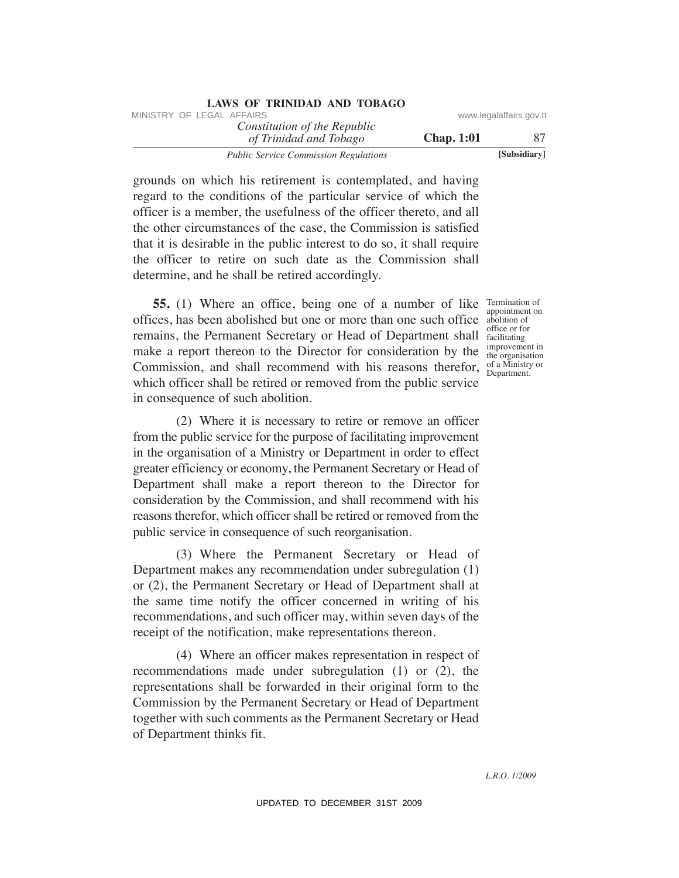| LAWS OF INIMIDAD AND TODAUD                            |                   |                         |
|--------------------------------------------------------|-------------------|-------------------------|
| MINISTRY OF LEGAL AFFAIRS                              |                   | www.legalaffairs.gov.tt |
| Constitution of the Republic<br>of Trinidad and Tobago | <b>Chap.</b> 1:01 | 87                      |
| <b>Public Service Commission Regulations</b>           |                   | [Subsidiary]            |

grounds on which his retirement is contemplated, and having regard to the conditions of the particular service of which the officer is a member, the usefulness of the officer thereto, and all the other circumstances of the case, the Commission is satisfied that it is desirable in the public interest to do so, it shall require the officer to retire on such date as the Commission shall determine, and he shall be retired accordingly.

**LAWS OF TRINIDAD AND TOBAGO**

**55.** (1) Where an office, being one of a number of like Termination of offices, has been abolished but one or more than one such office abolition of make a report thereon to the Director for consideration by the  $\frac{mprovement in}{the organisation}$ Commission, and shall recommend with his reasons therefor,  $_{\text{Department}}^{\text{of a Ministr}}$ remains, the Permanent Secretary or Head of Department shall which officer shall be retired or removed from the public service in consequence of such abolition.

 (2) Where it is necessary to retire or remove an officer from the public service for the purpose of facilitating improvement in the organisation of a Ministry or Department in order to effect greater efficiency or economy, the Permanent Secretary or Head of Department shall make a report thereon to the Director for consideration by the Commission, and shall recommend with his reasons therefor, which officer shall be retired or removed from the public service in consequence of such reorganisation. WHETHY OF LEGAL AFFAIRS or *COMMission of the Republic* www.legalaffairs.gov.<br>
Transformation and Tohion and Tohion and Tohion and Tohion and Tohion and Tohion and Tohion and Tohion and Tohion and Tohion and the political

 (3) Where the Permanent Secretary or Head of Department makes any recommendation under subregulation (1) or (2), the Permanent Secretary or Head of Department shall at the same time notify the officer concerned in writing of his recommendations, and such officer may, within seven days of the receipt of the notification, make representations thereon.

 (4) Where an officer makes representation in respect of recommendations made under subregulation (1) or (2), the representations shall be forwarded in their original form to the Commission by the Permanent Secretary or Head of Department together with such comments as the Permanent Secretary or Head of Department thinks fit.

appointment on abolition of facilitating improvement in of a Ministry or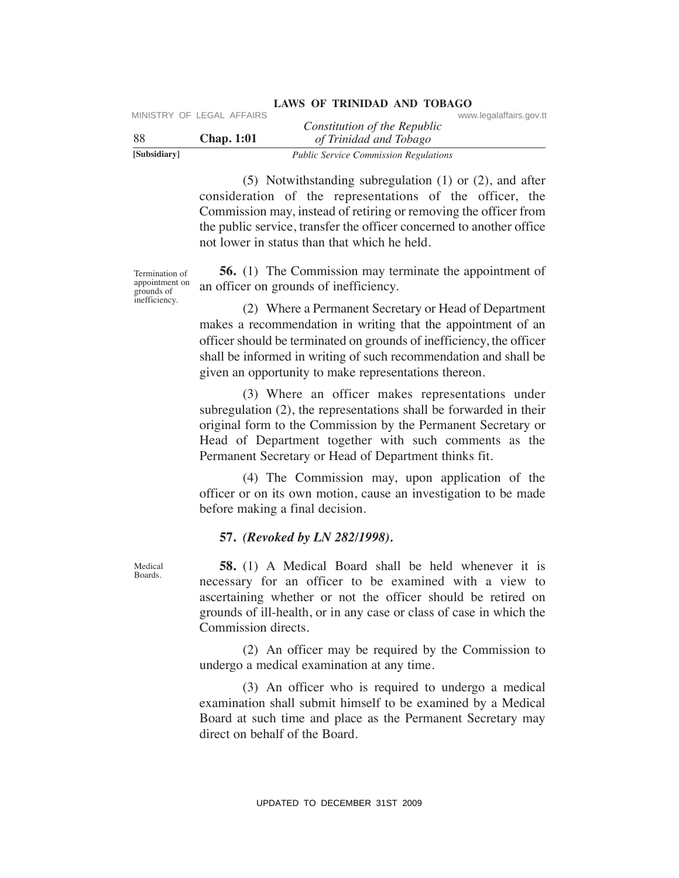| [Subsidiary] |                           | <b>Public Service Commission Regulations</b> |                         |  |
|--------------|---------------------------|----------------------------------------------|-------------------------|--|
| -88          | <b>Chap.</b> 1:01         | of Trinidad and Tobago                       |                         |  |
|              |                           | Constitution of the Republic                 |                         |  |
|              | MINISTRY OF LEGAL AFFAIRS |                                              | www.legalaffairs.gov.tt |  |

 (5) Notwithstanding subregulation (1) or (2), and after consideration of the representations of the officer, the Commission may, instead of retiring or removing the officer from the public service, transfer the officer concerned to another office not lower in status than that which he held.

Termination of appointment on grounds of inefficiency.

 **56.** (1) The Commission may terminate the appointment of an officer on grounds of inefficiency.

 (2) Where a Permanent Secretary or Head of Department makes a recommendation in writing that the appointment of an officer should be terminated on grounds of inefficiency, the officer shall be informed in writing of such recommendation and shall be given an opportunity to make representations thereon. We strate the control of the Republic<br>
SINGRIFY OF LEGAL AFFAIRS<br>
SINGRIFY CONSTRAINED TO THE CONSTRAINED TO THE CONSTRAINED TO THE CONSTRAINED TO THE CONSTRAINED TO THE CONSTRAINED CONSTRAINED CONSTRAINED CONSTRAINED CON

 (3) Where an officer makes representations under subregulation (2), the representations shall be forwarded in their original form to the Commission by the Permanent Secretary or Head of Department together with such comments as the Permanent Secretary or Head of Department thinks fit.

 (4) The Commission may, upon application of the officer or on its own motion, cause an investigation to be made before making a final decision.

#### **57.** *(Revoked by LN 282/1998).*

 **58.** (1) A Medical Board shall be held whenever it is necessary for an officer to be examined with a view to ascertaining whether or not the officer should be retired on grounds of ill-health, or in any case or class of case in which the Commission directs.

 (2) An officer may be required by the Commission to undergo a medical examination at any time.

 (3) An officer who is required to undergo a medical examination shall submit himself to be examined by a Medical Board at such time and place as the Permanent Secretary may direct on behalf of the Board.

Medical Boards.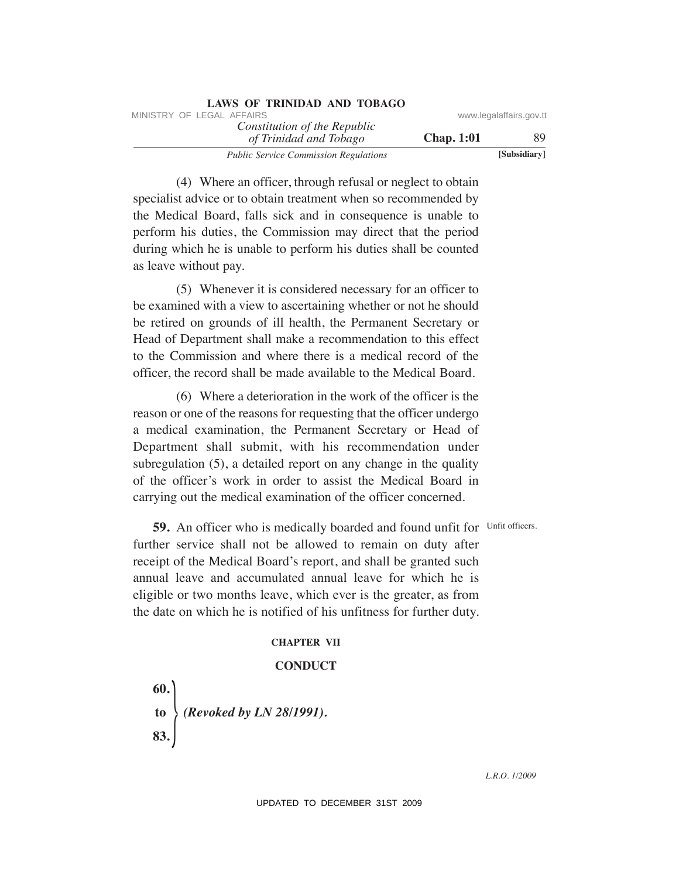| <b>LAWS OF TRINIDAD AND TOBAGO</b>                     |                   |                         |
|--------------------------------------------------------|-------------------|-------------------------|
| MINISTRY OF LEGAL AFFAIRS                              |                   | www.legalaffairs.gov.tt |
| Constitution of the Republic<br>of Trinidad and Tobago | <b>Chap.</b> 1:01 | 89                      |
| <b>Public Service Commission Regulations</b>           |                   | [Subsidiary]            |

 (4) Where an officer, through refusal or neglect to obtain specialist advice or to obtain treatment when so recommended by the Medical Board, falls sick and in consequence is unable to perform his duties, the Commission may direct that the period during which he is unable to perform his duties shall be counted as leave without pay.

 (5) Whenever it is considered necessary for an officer to be examined with a view to ascertaining whether or not he should be retired on grounds of ill health, the Permanent Secretary or Head of Department shall make a recommendation to this effect to the Commission and where there is a medical record of the officer, the record shall be made available to the Medical Board.

 (6) Where a deterioration in the work of the officer is the reason or one of the reasons for requesting that the officer undergo a medical examination, the Permanent Secretary or Head of Department shall submit, with his recommendation under subregulation (5), a detailed report on any change in the quality of the officer's work in order to assist the Medical Board in carrying out the medical examination of the officer concerned. WHETENY OF LEGAL AFFAIRS or *CONSIDENCIA CONSIDENCIA* (*Sympholical and Thriego* **Chap. 1:01**<br>
Transfor *Consideration de Thriego* **Chap. 1:01**<br>
(4) Where an officer, through refusal or neglect to obtain<br>
specialist activ

**59.** An officer who is medically boarded and found unfit for Unfit officers. further service shall not be allowed to remain on duty after receipt of the Medical Board's report, and shall be granted such annual leave and accumulated annual leave for which he is eligible or two months leave, which ever is the greater, as from the date on which he is notified of his unfitness for further duty.

#### **ChAPTeR VII**

#### **CONDuCT**

 **60. to** *(Revoked by LN 28/1991).*  **83.**}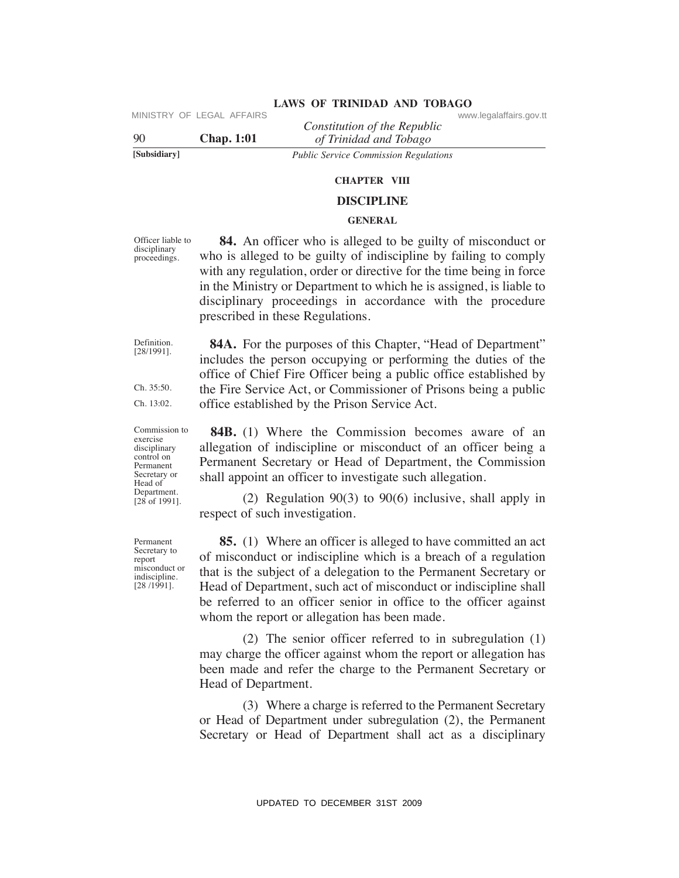|              | IVIIIND IIN UI LLUAL AI LAINU | Constitution of the Republic                 | www.icyalallallo.yuv.u |
|--------------|-------------------------------|----------------------------------------------|------------------------|
| 90           | <b>Chap.</b> 1:01             | of Trinidad and Tobago                       |                        |
| [Subsidiary] |                               | <b>Public Service Commission Regulations</b> |                        |

**ChAPTeR VIII**

#### **DISCIPLINe**

#### **GeNeRAL**

Officer liable to disciplinary proceedings.

 **84.** An officer who is alleged to be guilty of misconduct or who is alleged to be guilty of indiscipline by failing to comply with any regulation, order or directive for the time being in force in the Ministry or Department to which he is assigned, is liable to disciplinary proceedings in accordance with the procedure prescribed in these Regulations. VIRTENTIFY OF LEGAL AFFAIRS<br>
UPDATE:  $\frac{1}{12}$  Thridtin don't for the *Properties*<br>
1990<br>
Similatiney<br>
Toolic Service Commission Regalations<br>
Toolic Service Commission Regalations<br>
Toolic Service Commission Regalations<br>

Definition. [28/1991].

Ch. 35:50. Ch. 13:02. includes the person occupying or performing the duties of the office of Chief Fire Officer being a public office established by the Fire Service Act, or Commissioner of Prisons being a public office established by the Prison Service Act.

**84A.** For the purposes of this Chapter, "Head of Department"

Commission to exercise disciplinary control on Permanent Secretary or Head of Department. [28 of 1991].

 **84B.** (1) Where the Commission becomes aware of an allegation of indiscipline or misconduct of an officer being a Permanent Secretary or Head of Department, the Commission shall appoint an officer to investigate such allegation.

 (2) Regulation 90(3) to 90(6) inclusive, shall apply in respect of such investigation.

 **85.** (1) Where an officer is alleged to have committed an act of misconduct or indiscipline which is a breach of a regulation that is the subject of a delegation to the Permanent Secretary or Head of Department, such act of misconduct or indiscipline shall be referred to an officer senior in office to the officer against whom the report or allegation has been made.

 (2) The senior officer referred to in subregulation (1) may charge the officer against whom the report or allegation has been made and refer the charge to the Permanent Secretary or Head of Department.

 (3) Where a charge is referred to the Permanent Secretary or Head of Department under subregulation (2), the Permanent Secretary or Head of Department shall act as a disciplinary

Permanent Secretary to report misconduct or indiscipline. [28 /1991].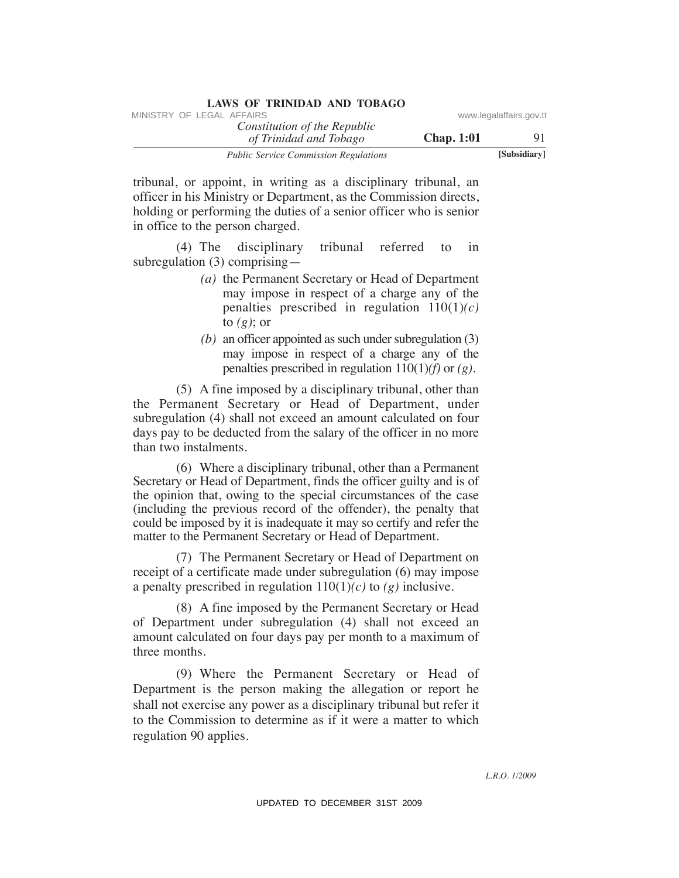| LAWS OF INIMIDAD AND TODAUO                            |                   |                         |
|--------------------------------------------------------|-------------------|-------------------------|
| MINISTRY OF LEGAL AFFAIRS                              |                   | www.legalaffairs.gov.tt |
| Constitution of the Republic<br>of Trinidad and Tobago | <b>Chap.</b> 1:01 | 91                      |
| <b>Public Service Commission Regulations</b>           |                   | [Subsidiary]            |

tribunal, or appoint, in writing as a disciplinary tribunal, an officer in his Ministry or Department, as the Commission directs, holding or performing the duties of a senior officer who is senior in office to the person charged.

 (4) The disciplinary tribunal referred to in subregulation (3) comprising—

- *(a)* the Permanent Secretary or Head of Department may impose in respect of a charge any of the penalties prescribed in regulation 110(1)*(c)* to *(g)*; or
- *(b)* an officer appointed as such under subregulation (3) may impose in respect of a charge any of the penalties prescribed in regulation 110(1)*(f)* or *(g)*.

 (5) A fine imposed by a disciplinary tribunal, other than the Permanent Secretary or Head of Department, under subregulation (4) shall not exceed an amount calculated on four days pay to be deducted from the salary of the officer in no more than two instalments.

 (6) Where a disciplinary tribunal, other than a Permanent Secretary or Head of Department, finds the officer guilty and is of the opinion that, owing to the special circumstances of the case (including the previous record of the offender), the penalty that could be imposed by it is inadequate it may so certify and refer the matter to the Permanent Secretary or Head of Department. VINESTRY OF LEGAL AFFAIRS:<br>
Constitution of The Republic constrains government and Thrigon Chap. 1:01<br>
Tribunal, or appoint, in witting as a disciplinary tribunal, an<br>
officer in his Ministry or Department, as the Commiss

 (7) The Permanent Secretary or Head of Department on receipt of a certificate made under subregulation (6) may impose a penalty prescribed in regulation 110(1)*(c)* to *(g)* inclusive.

 (8) A fine imposed by the Permanent Secretary or Head of Department under subregulation (4) shall not exceed an amount calculated on four days pay per month to a maximum of three months.

 (9) Where the Permanent Secretary or Head of Department is the person making the allegation or report he shall not exercise any power as a disciplinary tribunal but refer it to the Commission to determine as if it were a matter to which regulation 90 applies.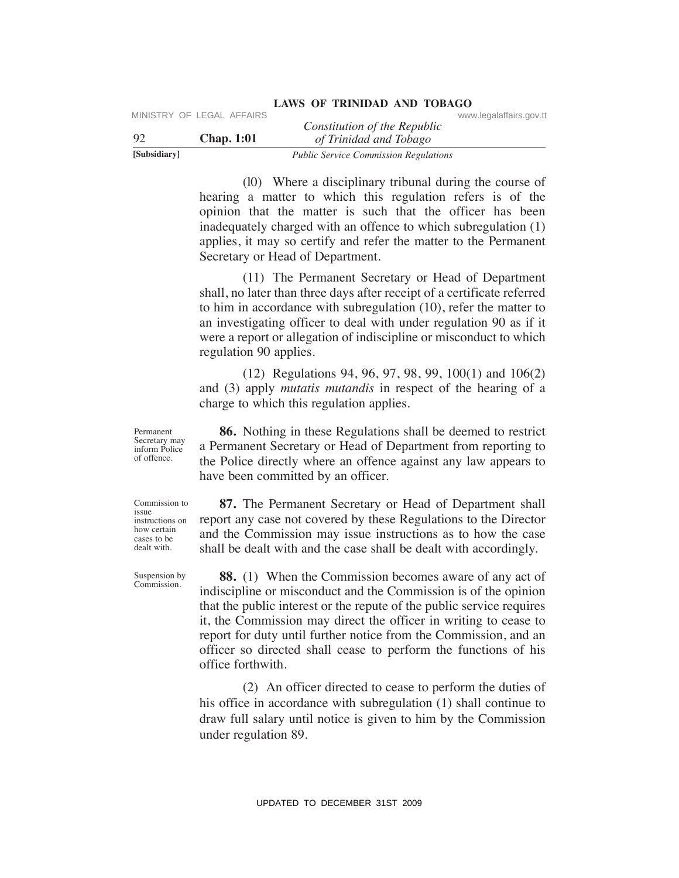|              | MINISTRY OF LEGAL AFFAIRS |                                              | www.legalaffairs.gov.tt |
|--------------|---------------------------|----------------------------------------------|-------------------------|
|              |                           | Constitution of the Republic                 |                         |
| -92          | <b>Chap.</b> 1:01         | of Trinidad and Tobago                       |                         |
| [Subsidiary] |                           | <b>Public Service Commission Regulations</b> |                         |

 (l0) Where a disciplinary tribunal during the course of hearing a matter to which this regulation refers is of the opinion that the matter is such that the officer has been inadequately charged with an offence to which subregulation (1) applies, it may so certify and refer the matter to the Permanent Secretary or Head of Department.

**LAWS OF TRINIDAD AND TOBAGO**

 (11) The Permanent Secretary or Head of Department shall, no later than three days after receipt of a certificate referred to him in accordance with subregulation (10), refer the matter to an investigating officer to deal with under regulation 90 as if it were a report or allegation of indiscipline or misconduct to which regulation 90 applies.

 (12) Regulations 94, 96, 97, 98, 99, 100(1) and 106(2) and (3) apply *mutatis mutandis* in respect of the hearing of a charge to which this regulation applies.

 **86.** Nothing in these Regulations shall be deemed to restrict a Permanent Secretary or Head of Department from reporting to the Police directly where an offence against any law appears to have been committed by an officer.

 **87.** The Permanent Secretary or Head of Department shall report any case not covered by these Regulations to the Director and the Commission may issue instructions as to how the case shall be dealt with and the case shall be dealt with accordingly.

 **88.** (1) When the Commission becomes aware of any act of indiscipline or misconduct and the Commission is of the opinion that the public interest or the repute of the public service requires it, the Commission may direct the officer in writing to cease to report for duty until further notice from the Commission, and an officer so directed shall cease to perform the functions of his office forthwith. VIE SEAL AFFAIRS Constitution of the Republic Constitution of the Republic Constitution of the Hongy Trindial on This regulation region (0) Where a disciplinary tribunal during the course of beating a matter to which this

 (2) An officer directed to cease to perform the duties of his office in accordance with subregulation (1) shall continue to draw full salary until notice is given to him by the Commission under regulation 89.

of offence.

Permanent Secretary may inform Police

Commission to issue instructions on how certain cases to be dealt with.

Suspension by Commission.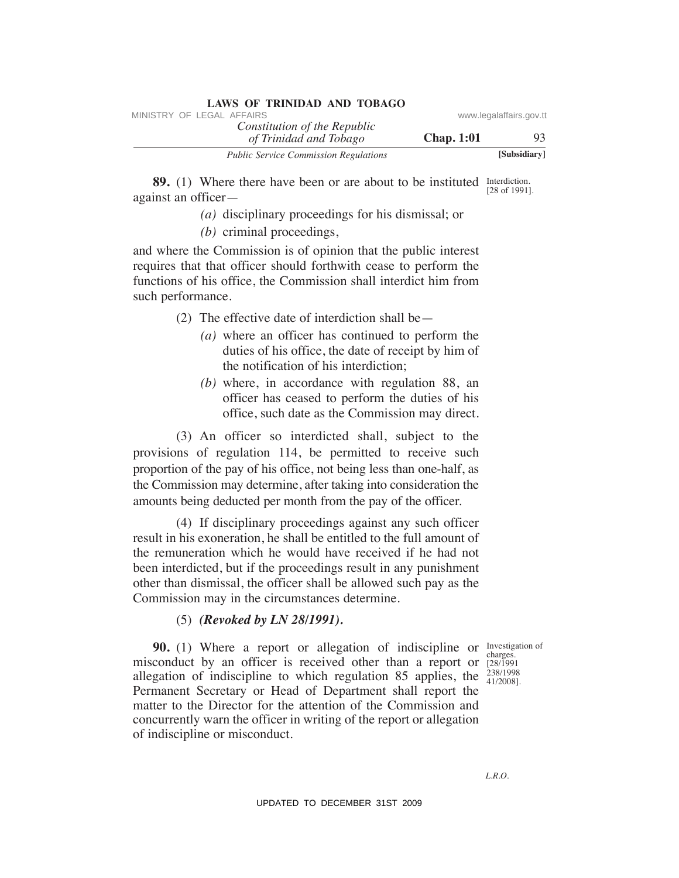| LAWS OF INIMIDAD AND TODAUD                            |                   |                         |
|--------------------------------------------------------|-------------------|-------------------------|
| MINISTRY OF LEGAL AFFAIRS                              |                   | www.legalaffairs.gov.tt |
| Constitution of the Republic<br>of Trinidad and Tobago | <b>Chap.</b> 1:01 | 93                      |
| <b>Public Service Commission Regulations</b>           |                   | [Subsidiary]            |

Interdiction. **89.** (1) Where there have been or are about to be instituted Interdiction.<br>[28 of 1991]. against an officer—

*(a)* disciplinary proceedings for his dismissal; or

*(b)* criminal proceedings,

and where the Commission is of opinion that the public interest requires that that officer should forthwith cease to perform the functions of his office, the Commission shall interdict him from such performance.

(2) The effective date of interdiction shall be—

- *(a)* where an officer has continued to perform the duties of his office, the date of receipt by him of the notification of his interdiction;
- *(b)* where, in accordance with regulation 88, an officer has ceased to perform the duties of his office, such date as the Commission may direct.

 (3) An officer so interdicted shall, subject to the provisions of regulation 114, be permitted to receive such proportion of the pay of his office, not being less than one-half, as the Commission may determine, after taking into consideration the amounts being deducted per month from the pay of the officer.

 (4) If disciplinary proceedings against any such officer result in his exoneration, he shall be entitled to the full amount of the remuneration which he would have received if he had not been interdicted, but if the proceedings result in any punishment other than dismissal, the officer shall be allowed such pay as the Commission may in the circumstances determine.

#### (5) *(Revoked by LN 28/1991).*

charges. [28/1991 238/1998

**90.** (1) Where a report or allegation of indiscipline or Investigation of allegation of indiscipline to which regulation 85 applies, the  $\frac{238/1998}{41/2008}$ misconduct by an officer is received other than a report or Permanent Secretary or Head of Department shall report the matter to the Director for the attention of the Commission and concurrently warn the officer in writing of the report or allegation of indiscipline or misconduct. WHETERY OF LEGAL AFFAIRS of the Republic www.legalaffairs.gov.ttps://www.legalaffairs.gov.ttps://www.legalaffairs.gov.ttps://www.legalaffairs.gov.ttps://www.legalaffairs.gov.ttps://www.legalaffairs.gov.ttps://www.legalaff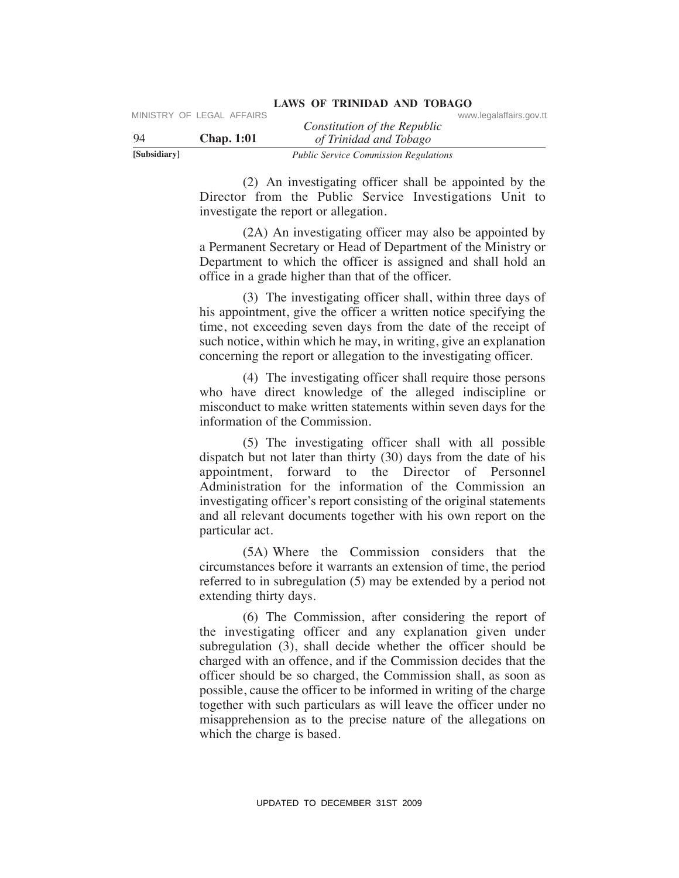| www.legalaffairs.gov.tt |
|-------------------------|
|                         |

 (2) An investigating officer shall be appointed by the Director from the Public Service Investigations Unit to investigate the report or allegation.

 (2A) An investigating officer may also be appointed by a Permanent Secretary or Head of Department of the Ministry or Department to which the officer is assigned and shall hold an office in a grade higher than that of the officer.

 (3) The investigating officer shall, within three days of his appointment, give the officer a written notice specifying the time, not exceeding seven days from the date of the receipt of such notice, within which he may, in writing, give an explanation concerning the report or allegation to the investigating officer.

 (4) The investigating officer shall require those persons who have direct knowledge of the alleged indiscipline or misconduct to make written statements within seven days for the information of the Commission.

 (5) The investigating officer shall with all possible dispatch but not later than thirty (30) days from the date of his appointment, forward to the Director of Personnel Administration for the information of the Commission an investigating officer's report consisting of the original statements and all relevant documents together with his own report on the particular act.

 (5A) Where the Commission considers that the circumstances before it warrants an extension of time, the period referred to in subregulation (5) may be extended by a period not extending thirty days.

 (6) The Commission, after considering the report of the investigating officer and any explanation given under subregulation (3), shall decide whether the officer should be charged with an offence, and if the Commission decides that the officer should be so charged, the Commission shall, as soon as possible, cause the officer to be informed in writing of the charge together with such particulars as will leave the officer under no misapprehension as to the precise nature of the allegations on which the charge is based. VERENCE CALC AFFAIRS Constitution of the Republic Constitution of the Republic Constitution of the Republic Constitution of the Britist Constitution of the Britist Constitution (2). An investigation of the Republic Syric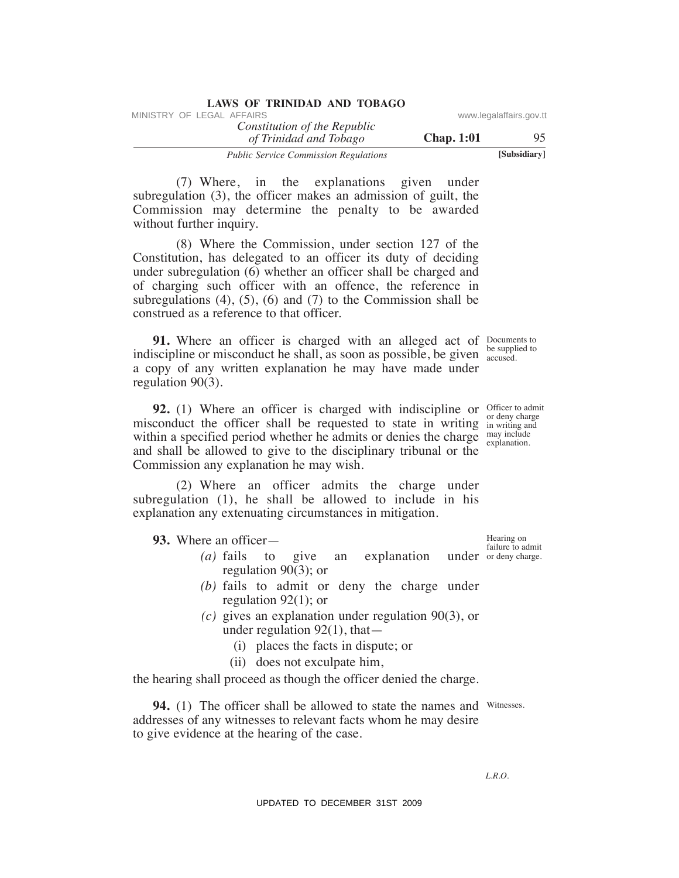| <b>LAWS OF TRINIDAD AND TOBAGO</b>           |                   |                         |
|----------------------------------------------|-------------------|-------------------------|
| MINISTRY OF LEGAL AFFAIRS                    |                   | www.legalaffairs.gov.tt |
| Constitution of the Republic                 |                   |                         |
| of Trinidad and Tobago                       | <b>Chap.</b> 1:01 | 95                      |
| <b>Public Service Commission Regulations</b> |                   | [Subsidiary]            |

 (7) Where, in the explanations given under subregulation (3), the officer makes an admission of guilt, the Commission may determine the penalty to be awarded without further inquiry.

 (8) Where the Commission, under section 127 of the Constitution, has delegated to an officer its duty of deciding under subregulation (6) whether an officer shall be charged and of charging such officer with an offence, the reference in subregulations  $(4)$ ,  $(5)$ ,  $(6)$  and  $(7)$  to the Commission shall be construed as a reference to that officer. Whistricy or LEGAL AFFAIRS or  $\alpha f$  are *Considitation of the Republic* or www.legalaffairs.gov.<br>
The consideration of Horizon common agents of the common agents and Thristogen and Thristogen and The explanation (3), the

**91.** Where an officer is charged with an alleged act of Documents to indiscipline or misconduct he shall, as soon as possible, be given  $\frac{1}{\text{accused}}$ a copy of any written explanation he may have made under regulation 90(3).

**92.** (1) Where an officer is charged with indiscipline or officer to admit misconduct the officer shall be requested to state in writing  $\frac{d}{dx}$  in writing and within a specified period whether he admits or denies the charge  $\frac{may\ include}{ex}$ explanation. and shall be allowed to give to the disciplinary tribunal or the Commission any explanation he may wish.

 (2) Where an officer admits the charge under subregulation (1), he shall be allowed to include in his explanation any extenuating circumstances in mitigation.

 **93.** Where an officer—

- (a) fails to give an explanation under ordeny charge. regulation 90(3); or
	- *(b)* fails to admit or deny the charge under regulation 92(1); or
	- *(c)* gives an explanation under regulation 90(3), or under regulation  $92(1)$ , that
		- (i) places the facts in dispute; or
		- (ii) does not exculpate him,

the hearing shall proceed as though the officer denied the charge.

**94.** (1) The officer shall be allowed to state the names and Witnesses. addresses of any witnesses to relevant facts whom he may desire to give evidence at the hearing of the case.

Hearing on failure to admit

be supplied to

or deny charge

*L.R.O.*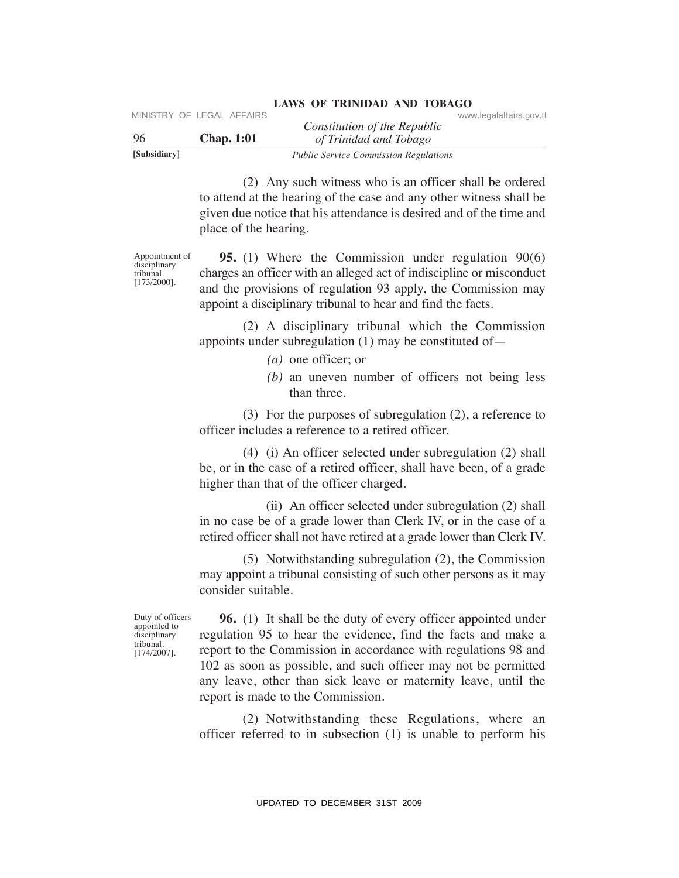| [Subsidiary] |                           | <b>Public Service Commission Regulations</b> |                         |
|--------------|---------------------------|----------------------------------------------|-------------------------|
| -96          | <b>Chap.</b> 1:01         | of Trinidad and Tobago                       |                         |
|              |                           | Constitution of the Republic                 |                         |
|              | MINISTRY OF LEGAL AFFAIRS |                                              | www.legalaffairs.gov.tt |

 (2) Any such witness who is an officer shall be ordered to attend at the hearing of the case and any other witness shall be given due notice that his attendance is desired and of the time and place of the hearing.

Appointment of disciplinary tribunal. [173/2000].

 **95.** (1) Where the Commission under regulation 90(6) charges an officer with an alleged act of indiscipline or misconduct and the provisions of regulation 93 apply, the Commission may appoint a disciplinary tribunal to hear and find the facts.

 (2) A disciplinary tribunal which the Commission appoints under subregulation (1) may be constituted of—

- *(a)* one officer; or
- *(b)* an uneven number of officers not being less than three.

 (3) For the purposes of subregulation (2), a reference to officer includes a reference to a retired officer.

 (4) (i) An officer selected under subregulation (2) shall be, or in the case of a retired officer, shall have been, of a grade higher than that of the officer charged.

 (ii) An officer selected under subregulation (2) shall in no case be of a grade lower than Clerk IV, or in the case of a retired officer shall not have retired at a grade lower than Clerk IV.

 (5) Notwithstanding subregulation (2), the Commission may appoint a tribunal consisting of such other persons as it may consider suitable.

Duty of officers appointed to disciplinary tribunal. [174/2007].

 **96.** (1) It shall be the duty of every officer appointed under regulation 95 to hear the evidence, find the facts and make a report to the Commission in accordance with regulations 98 and 102 as soon as possible, and such officer may not be permitted any leave, other than sick leave or maternity leave, until the report is made to the Commission. VPLEVION. AFFAIRS Constitution of the Republic<br>
Solution of the Republic<br>
Solutions<br>
Solutions<br>
(2) Any such witness who is an officer shall be ordered<br>
to attend at the bearing of the chest commission regulations<br>
(2) A

 (2) Notwithstanding these Regulations, where an officer referred to in subsection (1) is unable to perform his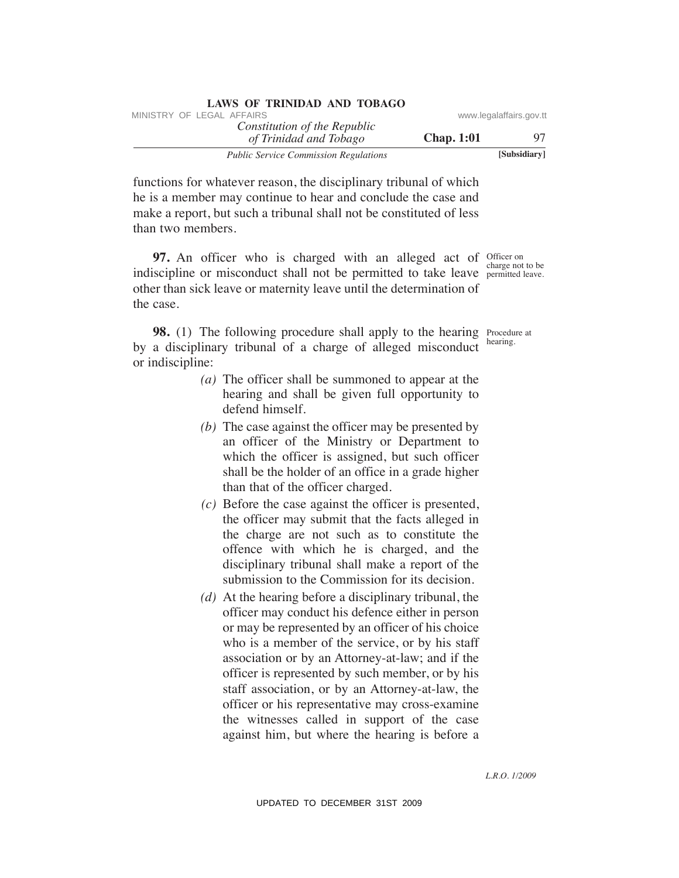| LAWS OF INIMIDAD AND TODAGO                            |                   |                         |
|--------------------------------------------------------|-------------------|-------------------------|
| MINISTRY OF LEGAL AFFAIRS                              |                   | www.legalaffairs.gov.tt |
| Constitution of the Republic<br>of Trinidad and Tobago | <b>Chap.</b> 1:01 | 97                      |
| <b>Public Service Commission Regulations</b>           |                   | [Subsidiary]            |

functions for whatever reason, the disciplinary tribunal of which he is a member may continue to hear and conclude the case and make a report, but such a tribunal shall not be constituted of less than two members.

**LAWS OF TRINIDAD AND TOBAGO**

**97.** An officer who is charged with an alleged act of officer on indiscipline or misconduct shall not be permitted to take leave permitted leave. other than sick leave or maternity leave until the determination of the case.

**98.** (1) The following procedure shall apply to the hearing Procedure at by a disciplinary tribunal of a charge of alleged misconduct or indiscipline:

- *(a)* The officer shall be summoned to appear at the hearing and shall be given full opportunity to defend himself.
- *(b)* The case against the officer may be presented by an officer of the Ministry or Department to which the officer is assigned, but such officer shall be the holder of an office in a grade higher than that of the officer charged.
- *(c)* Before the case against the officer is presented, the officer may submit that the facts alleged in the charge are not such as to constitute the offence with which he is charged, and the disciplinary tribunal shall make a report of the submission to the Commission for its decision.
- *(d)* At the hearing before a disciplinary tribunal, the officer may conduct his defence either in person or may be represented by an officer of his choice who is a member of the service, or by his staff association or by an Attorney-at-law; and if the officer is represented by such member, or by his staff association, or by an Attorney-at-law, the officer or his representative may cross-examine the witnesses called in support of the case against him, but where the hearing is before a WHETEX' OF LEGAL AFFAIRS www.legalaffairs.gov.ttm<br>  $\frac{\partial f}{\partial t}$  Translation of The Regulation Chap. 1:01<br>
Translation Theorem can also a Total Constituted order and the Constituted order and constituted order and constitu

charge not to be

hearing.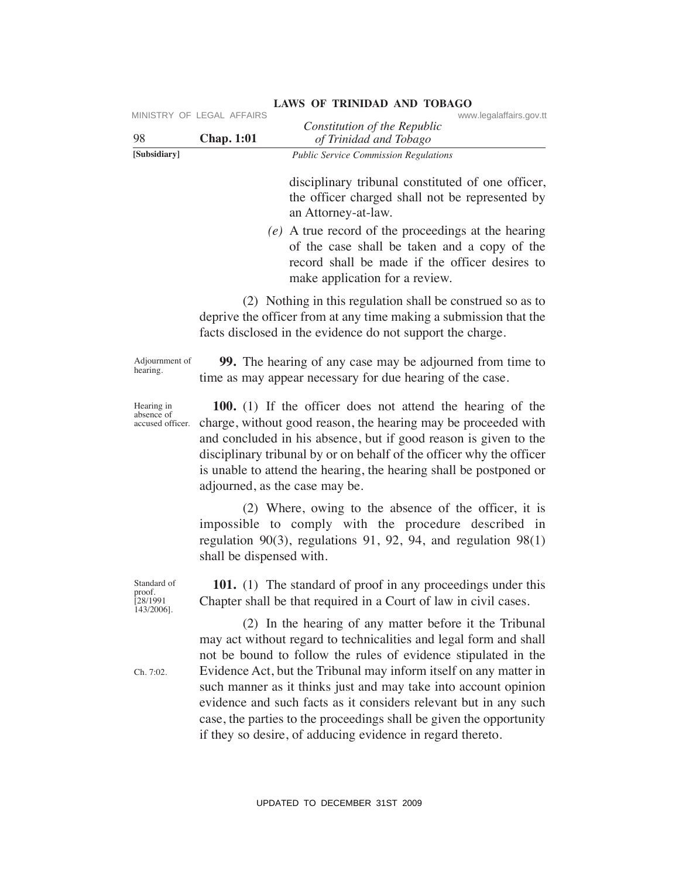| 98                                              | MINISTRY OF LEGAL AFFAIRS<br><b>Chap. 1:01</b> | www.legalaffairs.gov.tt<br>Constitution of the Republic<br>of Trinidad and Tobago                                                                                                                                                                                                                                                                                                                                                                                                                                                               |
|-------------------------------------------------|------------------------------------------------|-------------------------------------------------------------------------------------------------------------------------------------------------------------------------------------------------------------------------------------------------------------------------------------------------------------------------------------------------------------------------------------------------------------------------------------------------------------------------------------------------------------------------------------------------|
| [Subsidiary]                                    |                                                | <b>Public Service Commission Regulations</b>                                                                                                                                                                                                                                                                                                                                                                                                                                                                                                    |
|                                                 |                                                | disciplinary tribunal constituted of one officer,<br>the officer charged shall not be represented by<br>an Attorney-at-law.                                                                                                                                                                                                                                                                                                                                                                                                                     |
|                                                 |                                                | (e) A true record of the proceedings at the hearing<br>of the case shall be taken and a copy of the<br>record shall be made if the officer desires to<br>make application for a review.                                                                                                                                                                                                                                                                                                                                                         |
|                                                 |                                                | (2) Nothing in this regulation shall be construed so as to<br>deprive the officer from at any time making a submission that the<br>facts disclosed in the evidence do not support the charge.                                                                                                                                                                                                                                                                                                                                                   |
| Adjournment of<br>hearing.                      |                                                | 99. The hearing of any case may be adjourned from time to<br>time as may appear necessary for due hearing of the case.                                                                                                                                                                                                                                                                                                                                                                                                                          |
| Hearing in<br>absence of<br>accused officer.    | adjourned, as the case may be.                 | 100. (1) If the officer does not attend the hearing of the<br>charge, without good reason, the hearing may be proceeded with<br>and concluded in his absence, but if good reason is given to the<br>disciplinary tribunal by or on behalf of the officer why the officer<br>is unable to attend the hearing, the hearing shall be postponed or                                                                                                                                                                                                  |
|                                                 | shall be dispensed with.                       | (2) Where, owing to the absence of the officer, it is<br>impossible to comply with the procedure described in<br>regulation $90(3)$ , regulations 91, 92, 94, and regulation $98(1)$                                                                                                                                                                                                                                                                                                                                                            |
| Standard of<br>proof.<br>[28/1991<br>143/2006]. |                                                | <b>101.</b> (1) The standard of proof in any proceedings under this<br>Chapter shall be that required in a Court of law in civil cases.                                                                                                                                                                                                                                                                                                                                                                                                         |
| Ch. 7:02.                                       |                                                | (2) In the hearing of any matter before it the Tribunal<br>may act without regard to technicalities and legal form and shall<br>not be bound to follow the rules of evidence stipulated in the<br>Evidence Act, but the Tribunal may inform itself on any matter in<br>such manner as it thinks just and may take into account opinion<br>evidence and such facts as it considers relevant but in any such<br>case, the parties to the proceedings shall be given the opportunity<br>if they so desire, of adducing evidence in regard thereto. |
|                                                 |                                                | UPDATED TO DECEMBER 31ST 2009                                                                                                                                                                                                                                                                                                                                                                                                                                                                                                                   |

# **LAWS OF TRINIDAD AND TOBAGO**<br>www.legalaffairs.gov.tt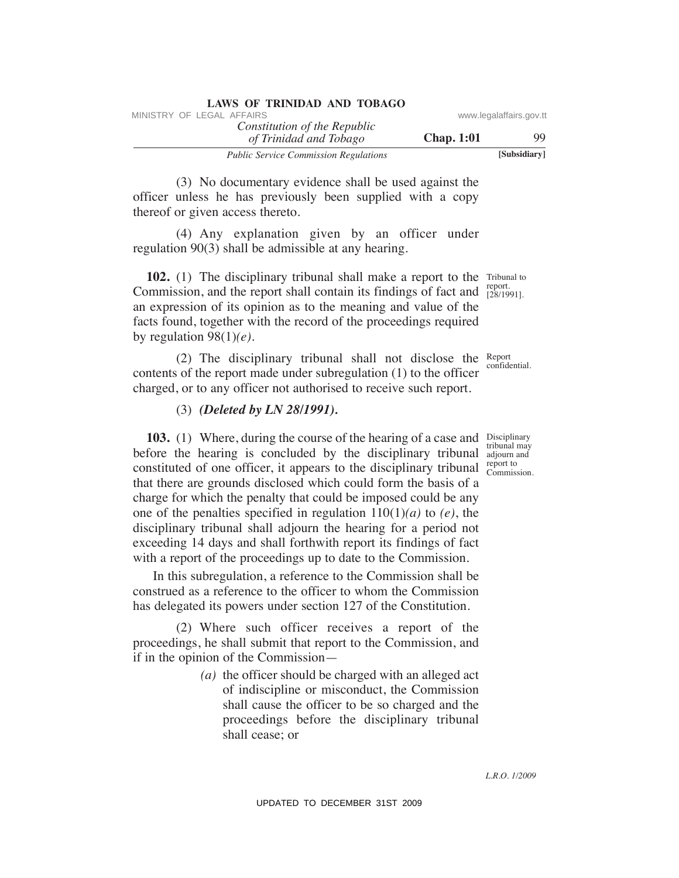| <b>LAWS OF TRINIDAD AND TOBAGO</b>                     |                   |                         |
|--------------------------------------------------------|-------------------|-------------------------|
| MINISTRY OF LEGAL AFFAIRS                              |                   | www.legalaffairs.gov.tt |
| Constitution of the Republic<br>of Trinidad and Tobago | <b>Chap.</b> 1:01 | 99                      |
| <b>Public Service Commission Regulations</b>           |                   | [Subsidiary]            |

 (3) No documentary evidence shall be used against the officer unless he has previously been supplied with a copy thereof or given access thereto.

 (4) Any explanation given by an officer under regulation 90(3) shall be admissible at any hearing.

**102.** (1) The disciplinary tribunal shall make a report to the Tribunal to Commission, and the report shall contain its findings of fact and  $\frac{128}{[28/1991]}$ . an expression of its opinion as to the meaning and value of the facts found, together with the record of the proceedings required by regulation 98(1)*(e)*.

(2) The disciplinary tribunal shall not disclose the  $R_{\text{epprt}}$ contents of the report made under subregulation (1) to the officer charged, or to any officer not authorised to receive such report.

## (3) *(Deleted by LN 28/1991).*

**103.** (1) Where, during the course of the hearing of a case and Disciplinary before the hearing is concluded by the disciplinary tribunal adjourn and constituted of one officer, it appears to the disciplinary tribunal  $\frac{1}{\text{Commission}}$ that there are grounds disclosed which could form the basis of a charge for which the penalty that could be imposed could be any one of the penalties specified in regulation 110(1)*(a)* to *(e)*, the disciplinary tribunal shall adjourn the hearing for a period not exceeding 14 days and shall forthwith report its findings of fact with a report of the proceedings up to date to the Commission. WHETRY OF LEGAL AFFAIRS of the Republic of the Republic of the Republic of Trinulad and Tablego **Chap. 1:01**<br>
(3) No documentary evidence shall be used against the thereof or given necess thereto.<br>
(3) No documentary evid

 In this subregulation, a reference to the Commission shall be construed as a reference to the officer to whom the Commission has delegated its powers under section 127 of the Constitution.

 (2) Where such officer receives a report of the proceedings, he shall submit that report to the Commission, and if in the opinion of the Commission—

> *(a)* the officer should be charged with an alleged act of indiscipline or misconduct, the Commission shall cause the officer to be so charged and the proceedings before the disciplinary tribunal shall cease; or

report.

confidential.

tribunal may report to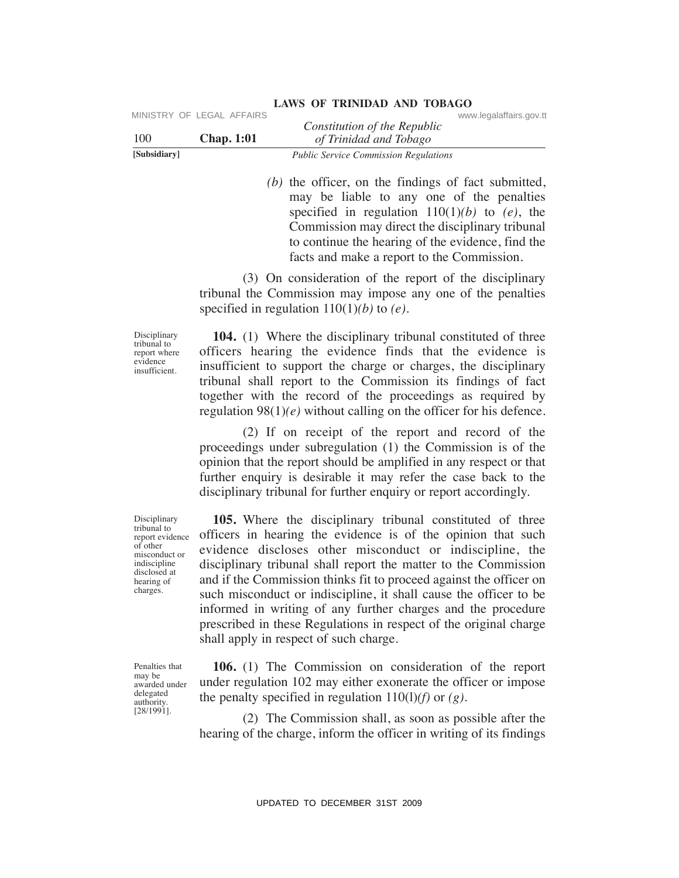| [Subsidiary] |                           | <b>Public Service Commission Regulations</b> |                         |
|--------------|---------------------------|----------------------------------------------|-------------------------|
| 100          | <b>Chap.</b> 1:01         | of Trinidad and Tobago                       |                         |
|              |                           | Constitution of the Republic                 |                         |
|              | MINISTRY OF LEGAL AFFAIRS |                                              | www.legalaffairs.gov.tt |

 *(b)* the officer, on the findings of fact submitted, may be liable to any one of the penalties specified in regulation 110(1)*(b)* to *(e)*, the Commission may direct the disciplinary tribunal to continue the hearing of the evidence, find the facts and make a report to the Commission.

 (3) On consideration of the report of the disciplinary tribunal the Commission may impose any one of the penalties specified in regulation 110(1)*(b)* to *(e)*.

Disciplinary tribunal to report where evidence insufficient.

 **104.** (1) Where the disciplinary tribunal constituted of three officers hearing the evidence finds that the evidence is insufficient to support the charge or charges, the disciplinary tribunal shall report to the Commission its findings of fact together with the record of the proceedings as required by regulation  $98(1)(e)$  without calling on the officer for his defence.

 (2) If on receipt of the report and record of the proceedings under subregulation (1) the Commission is of the opinion that the report should be amplified in any respect or that further enquiry is desirable it may refer the case back to the disciplinary tribunal for further enquiry or report accordingly.

 **105.** Where the disciplinary tribunal constituted of three officers in hearing the evidence is of the opinion that such evidence discloses other misconduct or indiscipline, the disciplinary tribunal shall report the matter to the Commission and if the Commission thinks fit to proceed against the officer on such misconduct or indiscipline, it shall cause the officer to be informed in writing of any further charges and the procedure prescribed in these Regulations in respect of the original charge shall apply in respect of such charge. VINESTRY OF LEGAL AFFAIRS Constitution of the Republic COMENSION CHAP ( $\frac{1}{2}$  Thredital on The Constrains and Thingy of Theodor Theodor Theodor Theodor Theodor Theodor Comension and the same of the penalties<br>signal to

Penalties that may be awarded under delegated authority. [28/1991].

 **106.** (1) The Commission on consideration of the report under regulation 102 may either exonerate the officer or impose the penalty specified in regulation  $110(1)$ *(f)* or *(g)*.

 (2) The Commission shall, as soon as possible after the hearing of the charge, inform the officer in writing of its findings

Disciplinary tribunal to report evidence of other misconduct or indiscipline disclosed at hearing of charges.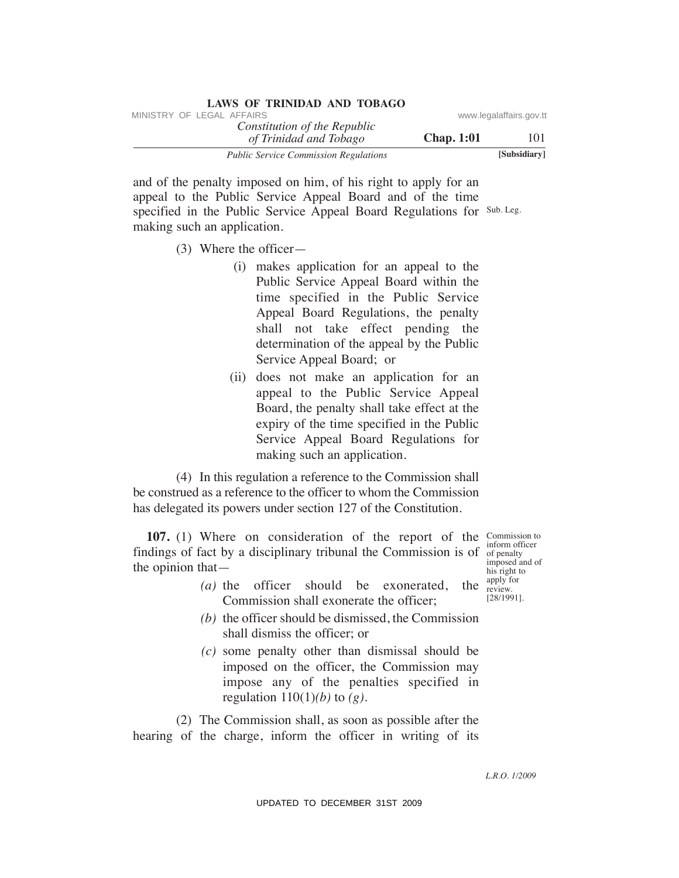| LAWS OF ININIDAD AND TODAGO                            |                   |                         |
|--------------------------------------------------------|-------------------|-------------------------|
| MINISTRY OF LEGAL AFFAIRS                              |                   | www.legalaffairs.gov.tt |
| Constitution of the Republic<br>of Trinidad and Tobago | <b>Chap.</b> 1:01 | 101                     |
| <b>Public Service Commission Regulations</b>           |                   | [Subsidiary]            |

specified in the Public Service Appeal Board Regulations for Sub. Leg. and of the penalty imposed on him, of his right to apply for an appeal to the Public Service Appeal Board and of the time making such an application.

**LAWS OF TRINIDAD AND TOBAGO**

- (3) Where the officer—
- (i) makes application for an appeal to the Public Service Appeal Board within the time specified in the Public Service Appeal Board Regulations, the penalty shall not take effect pending the determination of the appeal by the Public Service Appeal Board; or WHETEN' OF LEGAL AFFAIRS of the Repubblic convention of The Repubblic constrains government of The Trinulad and of the penalty imposed on him, of his right to apply for an specified in the Public Service Appeal Board Regu
	- (ii) does not make an application for an appeal to the Public Service Appeal Board, the penalty shall take effect at the expiry of the time specified in the Public Service Appeal Board Regulations for making such an application.

 (4) In this regulation a reference to the Commission shall be construed as a reference to the officer to whom the Commission has delegated its powers under section 127 of the Constitution.

**107.** (1) Where on consideration of the report of the Commission to findings of fact by a disciplinary tribunal the Commission is of  $\frac{1}{100}$  of penalty the opinion that—

- *(a)* the officer should be exonerated, the Commission shall exonerate the officer;
- *(b)* the officer should be dismissed, the Commission shall dismiss the officer; or
- *(c)* some penalty other than dismissal should be imposed on the officer, the Commission may impose any of the penalties specified in regulation  $110(1)(b)$  to  $(g)$ .

 (2) The Commission shall, as soon as possible after the hearing of the charge, inform the officer in writing of its

inform officer imposed and of his right to apply for review. [28/1991].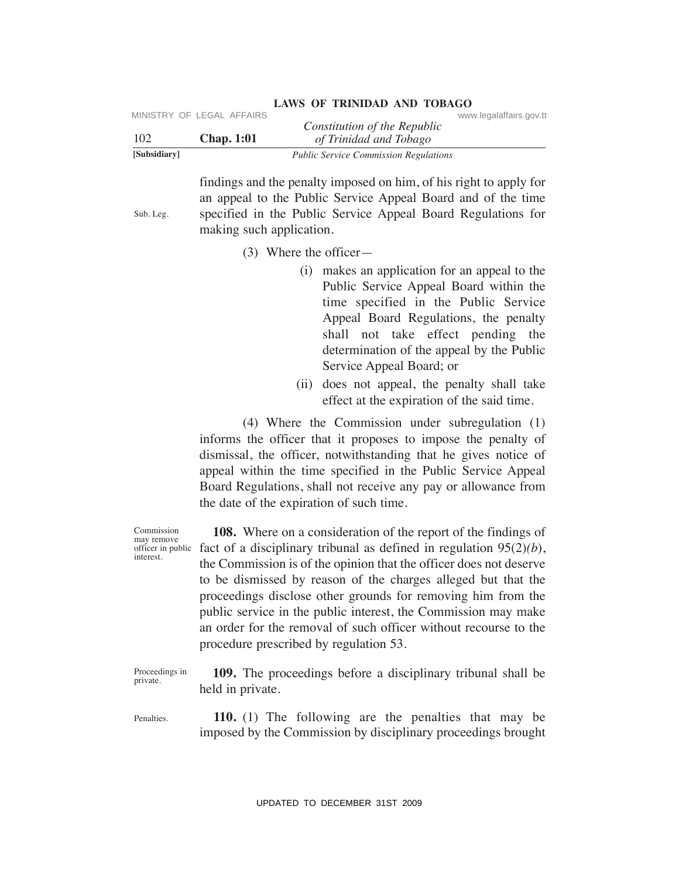|                | MINISTRY OF LEGAL AFFAIRS |                                              | www.legalaffairs.gov.tt |
|----------------|---------------------------|----------------------------------------------|-------------------------|
|                |                           | Constitution of the Republic                 |                         |
| <sup>102</sup> | <b>Chap.</b> 1:01         | of Trinidad and Tobago                       |                         |
| [Subsidiary]   |                           | <b>Public Service Commission Regulations</b> |                         |

findings and the penalty imposed on him, of his right to apply for an appeal to the Public Service Appeal Board and of the time specified in the Public Service Appeal Board Regulations for making such application.

(3) Where the officer—

Sub. Leg.

Commission may remove officer in public interest.

- (i) makes an application for an appeal to the Public Service Appeal Board within the time specified in the Public Service Appeal Board Regulations, the penalty shall not take effect pending the determination of the appeal by the Public Service Appeal Board; or
- (ii) does not appeal, the penalty shall take effect at the expiration of the said time.

 (4) Where the Commission under subregulation (1) informs the officer that it proposes to impose the penalty of dismissal, the officer, notwithstanding that he gives notice of appeal within the time specified in the Public Service Appeal Board Regulations, shall not receive any pay or allowance from the date of the expiration of such time.

 **108.** Where on a consideration of the report of the findings of fact of a disciplinary tribunal as defined in regulation 95(2)*(b*), the Commission is of the opinion that the officer does not deserve to be dismissed by reason of the charges alleged but that the proceedings disclose other grounds for removing him from the public service in the public interest, the Commission may make an order for the removal of such officer without recourse to the procedure prescribed by regulation 53. UPDATENT CONSULTERT CONSULTERT CONSULTERT CONSULTERT CONSULTERT CONSULTERT CONSULTERT THE CONSULTERT CONSULTERT THE CONSULTERT SIMULATION SIMULATION and appear to the Public Service Appear Road and the pair of the Consume

Proceedings in private. **109.** The proceedings before a disciplinary tribunal shall be held in private.

**Penalties 110.** (1) The following are the penalties that may be imposed by the Commission by disciplinary proceedings brought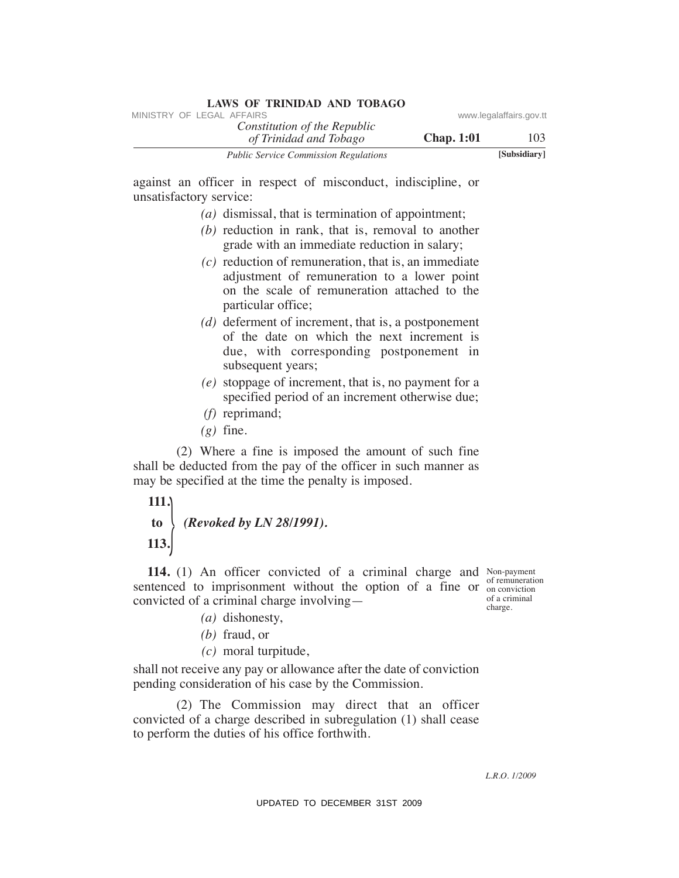| LAWS OF IMPORTUNITY RESERVED<br>MINISTRY OF LEGAL AFFAIRS                                                                                                                                                                   | www.legalaffairs.gov.tt                                      |
|-----------------------------------------------------------------------------------------------------------------------------------------------------------------------------------------------------------------------------|--------------------------------------------------------------|
| Constitution of the Republic<br><b>Chap. 1:01</b><br>of Trinidad and Tobago                                                                                                                                                 | 103                                                          |
| <b>Public Service Commission Regulations</b>                                                                                                                                                                                | [Subsidiary]                                                 |
| against an officer in respect of misconduct, indiscipline, or<br>unsatisfactory service:<br>$(a)$ dismissal, that is termination of appointment;<br>$(b)$ reduction in rank, that is, removal to another                    |                                                              |
| grade with an immediate reduction in salary;<br>$(c)$ reduction of remuneration, that is, an immediate<br>adjustment of remuneration to a lower point<br>on the scale of remuneration attached to the<br>particular office; |                                                              |
| $(d)$ deferment of increment, that is, a postponement<br>of the date on which the next increment is<br>due, with corresponding postponement in<br>subsequent years;                                                         |                                                              |
| $(e)$ stoppage of increment, that is, no payment for a<br>specified period of an increment otherwise due;<br>$(f)$ reprimand;<br>$(g)$ fine.                                                                                |                                                              |
| (2) Where a fine is imposed the amount of such fine<br>shall be deducted from the pay of the officer in such manner as<br>may be specified at the time the penalty is imposed.                                              |                                                              |
| 111.<br>(Revoked by LN 28/1991).<br>to<br>113.                                                                                                                                                                              |                                                              |
| 114. (1) An officer convicted of a criminal charge and Non-payment<br>sentenced to imprisonment without the option of a fine or<br>convicted of a criminal charge involving—<br>$(a)$ dishonesty,<br>$(b)$ fraud, or        | of remuneration<br>on conviction<br>of a criminal<br>charge. |
| $(c)$ moral turpitude,                                                                                                                                                                                                      |                                                              |
| shall not receive any pay or allowance after the date of conviction<br>pending consideration of his case by the Commission.                                                                                                 |                                                              |
| (2) The Commission may direct that an officer<br>convicted of a charge described in subregulation (1) shall cease<br>to perform the duties of his office forthwith.                                                         |                                                              |
|                                                                                                                                                                                                                             | <i>L.R.O. 1/2009</i>                                         |
| UPDATED TO DECEMBER 31ST 2009                                                                                                                                                                                               |                                                              |

- *(a)* dismissal, that is termination of appointment;
- *(b)* reduction in rank, that is, removal to another grade with an immediate reduction in salary;
- *(c)* reduction of remuneration, that is, an immediate adjustment of remuneration to a lower point on the scale of remuneration attached to the particular office;
- *(d)* deferment of increment, that is, a postponement of the date on which the next increment is due, with corresponding postponement in subsequent years;
- *(e)* stoppage of increment, that is, no payment for a specified period of an increment otherwise due;
- *(f)* reprimand;
- $(g)$  fine.

# **111.**

# **to** *(Revoked by LN 28/1991).*  **113.** }

- - *(a)* dishonesty,
	- *(b)* fraud, or
	- *(c)* moral turpitude,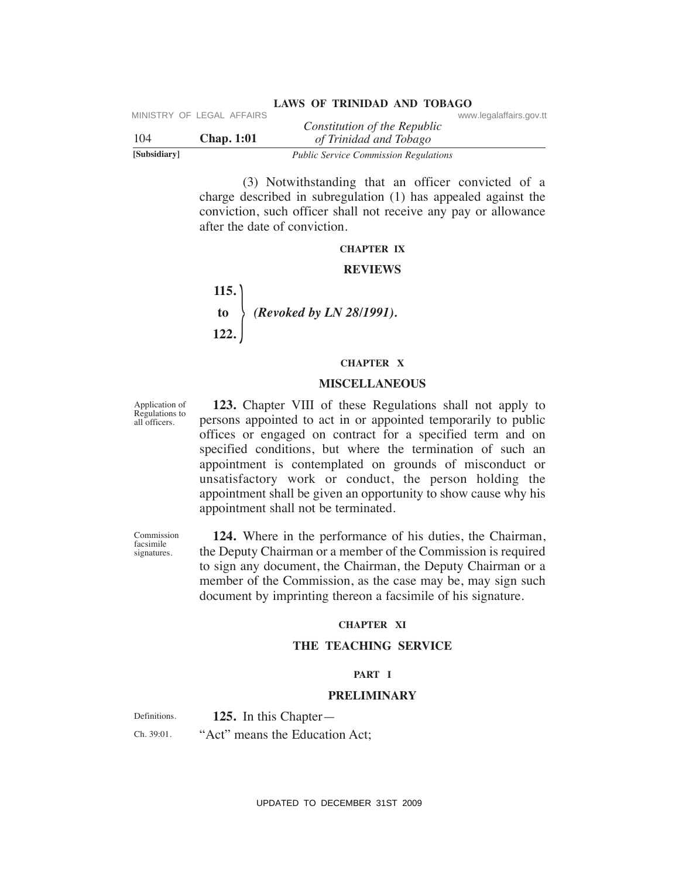|              | MINISTRY OF LEGAL AFFAIRS |                                                        | www.legalaffairs.gov.tt |
|--------------|---------------------------|--------------------------------------------------------|-------------------------|
| 104          | <b>Chap.</b> 1:01         | Constitution of the Republic<br>of Trinidad and Tobago |                         |
| [Subsidiary] |                           | <b>Public Service Commission Regulations</b>           |                         |

 (3) Notwithstanding that an officer convicted of a charge described in subregulation (1) has appealed against the conviction, such officer shall not receive any pay or allowance after the date of conviction.

#### **ChAPTeR IX**

#### **ReVIeWS**

 **115. to** *(Revoked by LN 28/1991).*  **122.**   $\frac{1}{2}$ 

#### **ChAPTeR X**

#### **MISCeLLANeOuS**

Application of Regulations to all officers.

 **123.** Chapter VIII of these Regulations shall not apply to persons appointed to act in or appointed temporarily to public offices or engaged on contract for a specified term and on specified conditions, but where the termination of such an appointment is contemplated on grounds of misconduct or unsatisfactory work or conduct, the person holding the appointment shall be given an opportunity to show cause why his appointment shall not be terminated. UPDATED TO DECEMBER 31ST 2009 MINISTRY OF LEGAL AFFAIRS www.legalaffairs.gov.tt

Commission facsimile signatures.

 **124.** Where in the performance of his duties, the Chairman, the Deputy Chairman or a member of the Commission is required to sign any document, the Chairman, the Deputy Chairman or a member of the Commission, as the case may be, may sign such document by imprinting thereon a facsimile of his signature.

#### **ChAPTeR XI**

#### **The TeAChING SeRVICe**

#### **PART I**

#### **PReLIMINARY**

Definitions. Ch. 39:01. **125.** In this Chapter— "Act" means the Education Act;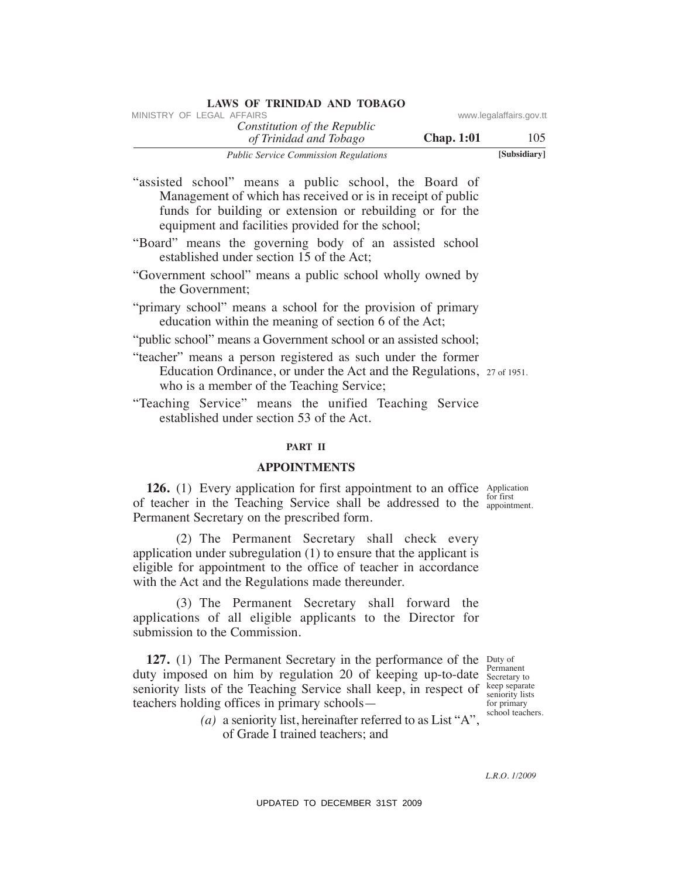| MINISTRY OF LEGAL AFFAIRS                              |                   | www.legalaffairs.gov.tt |
|--------------------------------------------------------|-------------------|-------------------------|
| Constitution of the Republic<br>of Trinidad and Tobago | <b>Chap.</b> 1:01 | 105                     |
| <b>Public Service Commission Regulations</b>           |                   | [Subsidiary]            |

"assisted school" means a public school, the Board of Management of which has received or is in receipt of public funds for building or extension or rebuilding or for the equipment and facilities provided for the school;

**LAWS OF TRINIDAD AND TOBAGO**

- "Board" means the governing body of an assisted school established under section 15 of the Act;
- "Government school" means a public school wholly owned by the Government;
- "primary school" means a school for the provision of primary education within the meaning of section 6 of the Act;
- "public school" means a Government school or an assisted school;
- Education Ordinance, or under the Act and the Regulations, 27 of 1951. "teacher" means a person registered as such under the former who is a member of the Teaching Service;
- "Teaching Service" means the unified Teaching Service established under section 53 of the Act.

#### **PART II**

#### **APPOINTMeNTS**

**126.** (1) Every application for first appointment to an office Application for first of teacher in the Teaching Service shall be addressed to the  $_{\text{appointment}}^{\text{tot}}$ Permanent Secretary on the prescribed form.

 (2) The Permanent Secretary shall check every application under subregulation (1) to ensure that the applicant is eligible for appointment to the office of teacher in accordance with the Act and the Regulations made thereunder.

 (3) The Permanent Secretary shall forward the applications of all eligible applicants to the Director for submission to the Commission.

**127.** (1) The Permanent Secretary in the performance of the Duty of duty imposed on him by regulation 20 of keeping up-to-date Secretary to seniority lists of the Teaching Service shall keep, in respect of keep separate teachers holding offices in primary schools— VINESTRY OF LEGAL *Constitution of the Republic* www.legalaffairs.gov.ttps://www.legalaffairs.gov.ttps://www.legalaffairs.gov.ttps://www.legalaffairs.gov.ttps://www.legalaffairs.gov.ttps://www.legalaffairs.gov.ttps://www.

 *(a)* a seniority list, hereinafter referred to as List "A", of Grade I trained teachers; and

Permanent keep separate for primary school teachers.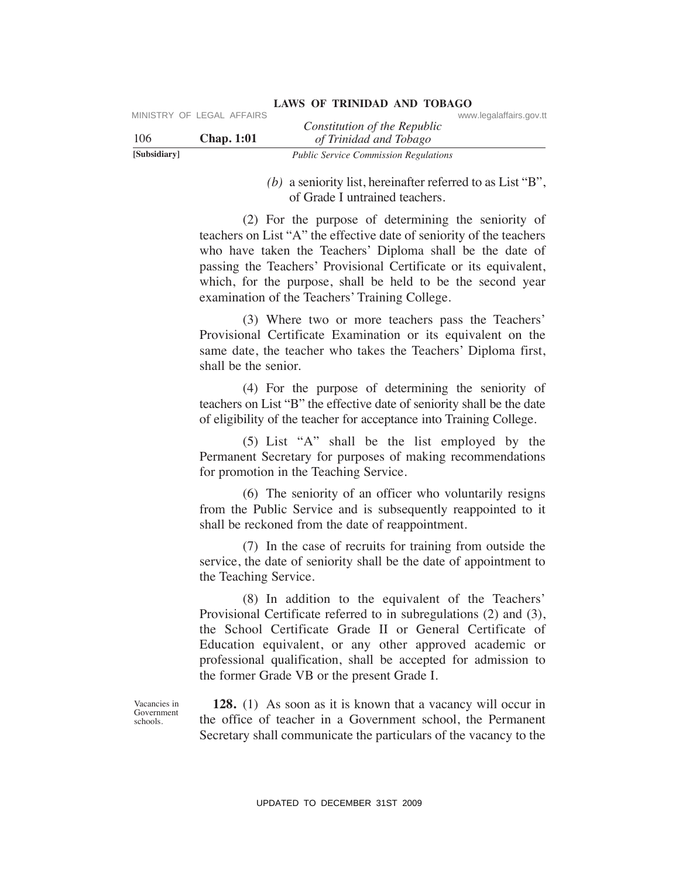| [Subsidiary] |                           | <b>Public Service Commission Regulations</b> |                         |
|--------------|---------------------------|----------------------------------------------|-------------------------|
| 106          | <b>Chap.</b> 1:01         | of Trinidad and Tobago                       |                         |
|              | MINISTRY OF LEGAL AFFAIRS | Constitution of the Republic                 | www.legalaffairs.gov.tt |

 *(b)* a seniority list, hereinafter referred to as List "B", of Grade I untrained teachers.

 (2) For the purpose of determining the seniority of teachers on List "A" the effective date of seniority of the teachers who have taken the Teachers' Diploma shall be the date of passing the Teachers' Provisional Certificate or its equivalent, which, for the purpose, shall be held to be the second year examination of the Teachers' Training College. UPDATENT CONSULTERT CONSULTERT CONSULTERT CONSULTERT CONSULTERT TO THE CONSULTERT THE CONSULTERT (b) a seniority itst, hereinafter referred to as List "B", (2) For the purpose of determining the seniority of Crack During

 (3) Where two or more teachers pass the Teachers' Provisional Certificate Examination or its equivalent on the same date, the teacher who takes the Teachers' Diploma first, shall be the senior.

 (4) For the purpose of determining the seniority of teachers on List "B" the effective date of seniority shall be the date of eligibility of the teacher for acceptance into Training College.

 (5) List "A" shall be the list employed by the Permanent Secretary for purposes of making recommendations for promotion in the Teaching Service.

 (6) The seniority of an officer who voluntarily resigns from the Public Service and is subsequently reappointed to it shall be reckoned from the date of reappointment.

 (7) In the case of recruits for training from outside the service, the date of seniority shall be the date of appointment to the Teaching Service.

 (8) In addition to the equivalent of the Teachers' Provisional Certificate referred to in subregulations (2) and (3), the School Certificate Grade II or General Certificate of Education equivalent, or any other approved academic or professional qualification, shall be accepted for admission to the former Grade VB or the present Grade I.

Vacancies in Government schools.

**128.** (1) As soon as it is known that a vacancy will occur in the office of teacher in a Government school, the Permanent Secretary shall communicate the particulars of the vacancy to the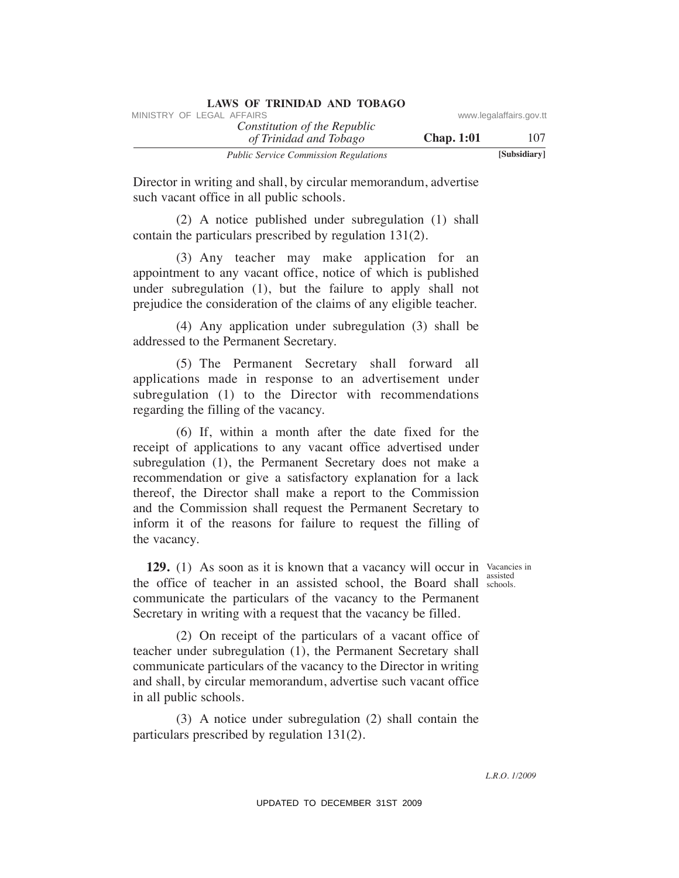| LAWS OF INIMIDIAL AND TODAYO                           |                   |                         |
|--------------------------------------------------------|-------------------|-------------------------|
| MINISTRY OF LEGAL AFFAIRS                              |                   | www.legalaffairs.gov.tt |
| Constitution of the Republic<br>of Trinidad and Tobago | <b>Chap.</b> 1:01 | 107                     |
| <b>Public Service Commission Regulations</b>           |                   | [Subsidiary]            |

Director in writing and shall, by circular memorandum, advertise such vacant office in all public schools.

 (2) A notice published under subregulation (1) shall contain the particulars prescribed by regulation 131(2).

 (3) Any teacher may make application for an appointment to any vacant office, notice of which is published under subregulation (1), but the failure to apply shall not prejudice the consideration of the claims of any eligible teacher.

 (4) Any application under subregulation (3) shall be addressed to the Permanent Secretary.

 (5) The Permanent Secretary shall forward all applications made in response to an advertisement under subregulation (1) to the Director with recommendations regarding the filling of the vacancy.

 (6) If, within a month after the date fixed for the receipt of applications to any vacant office advertised under subregulation (1), the Permanent Secretary does not make a recommendation or give a satisfactory explanation for a lack thereof, the Director shall make a report to the Commission and the Commission shall request the Permanent Secretary to inform it of the reasons for failure to request the filling of the vacancy. WHETEN' OF LEGAL AFFAIRS of the Republic www.legalaffairs.gov.ttps://www.legalaffairs.gov.ttps://web/stational Tobingon Chap. 1:01<br>
Transformation of The Constitution of Reception Chap. 1:01<br>
UPD<br>
UPS and the constant of

**129.** (1) As soon as it is known that a vacancy will occur in Vacancies in the office of teacher in an assisted school, the Board shall schools. communicate the particulars of the vacancy to the Permanent Secretary in writing with a request that the vacancy be filled.

assisted

 (2) On receipt of the particulars of a vacant office of teacher under subregulation (1), the Permanent Secretary shall communicate particulars of the vacancy to the Director in writing and shall, by circular memorandum, advertise such vacant office in all public schools.

 (3) A notice under subregulation (2) shall contain the particulars prescribed by regulation 131(2).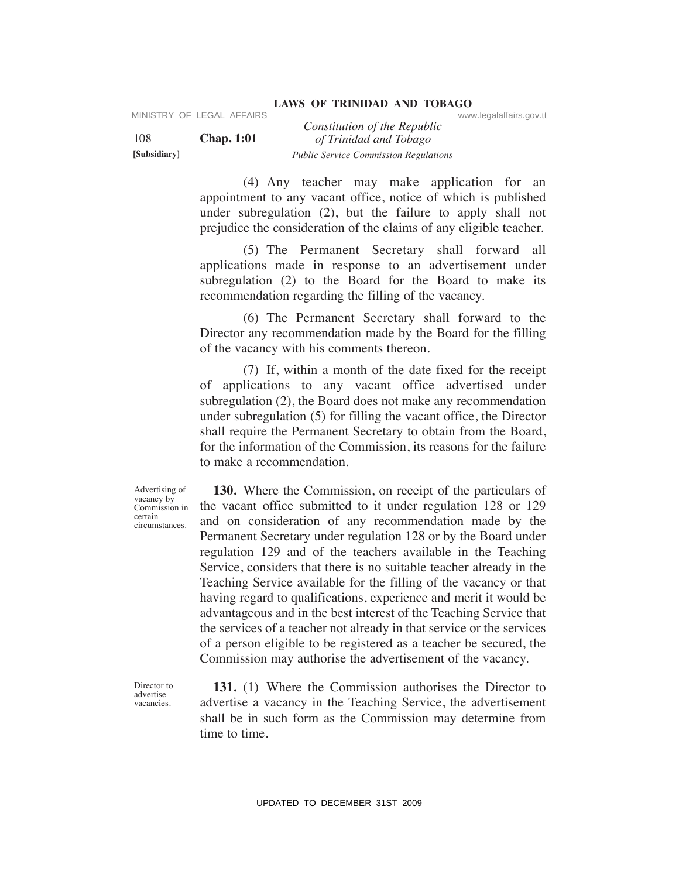|              | MINISTRY OF LEGAL AFFAIRS |                                              | www.legalaffairs.gov.tt |
|--------------|---------------------------|----------------------------------------------|-------------------------|
|              |                           | Constitution of the Republic                 |                         |
| 108          | <b>Chap.</b> 1:01         | of Trinidad and Tobago                       |                         |
| [Subsidiary] |                           | <b>Public Service Commission Regulations</b> |                         |

 (4) Any teacher may make application for an appointment to any vacant office, notice of which is published under subregulation (2), but the failure to apply shall not prejudice the consideration of the claims of any eligible teacher.

 (5) The Permanent Secretary shall forward all applications made in response to an advertisement under subregulation (2) to the Board for the Board to make its recommendation regarding the filling of the vacancy.

 (6) The Permanent Secretary shall forward to the Director any recommendation made by the Board for the filling of the vacancy with his comments thereon.

 (7) If, within a month of the date fixed for the receipt of applications to any vacant office advertised under subregulation (2), the Board does not make any recommendation under subregulation (5) for filling the vacant office, the Director shall require the Permanent Secretary to obtain from the Board, for the information of the Commission, its reasons for the failure to make a recommendation.

Advertising of vacancy by Commission in certain circumstances.

 **130.** Where the Commission, on receipt of the particulars of the vacant office submitted to it under regulation 128 or 129 and on consideration of any recommendation made by the Permanent Secretary under regulation 128 or by the Board under regulation 129 and of the teachers available in the Teaching Service, considers that there is no suitable teacher already in the Teaching Service available for the filling of the vacancy or that having regard to qualifications, experience and merit it would be advantageous and in the best interest of the Teaching Service that the services of a teacher not already in that service or the services of a person eligible to be registered as a teacher be secured, the Commission may authorise the advertisement of the vacancy. UPS<br>
UBS<br>
USBN Chap. 1:01 (Symbol of the Republic conveniences).<br>
USBN Chap. 1:01 (Symbol of the Newton Towns and only be the split control of the symbol respective to the constrained the constrained to the constrained th

Director to advertise vacancies.

 **131.** (1) Where the Commission authorises the Director to advertise a vacancy in the Teaching Service, the advertisement shall be in such form as the Commission may determine from time to time.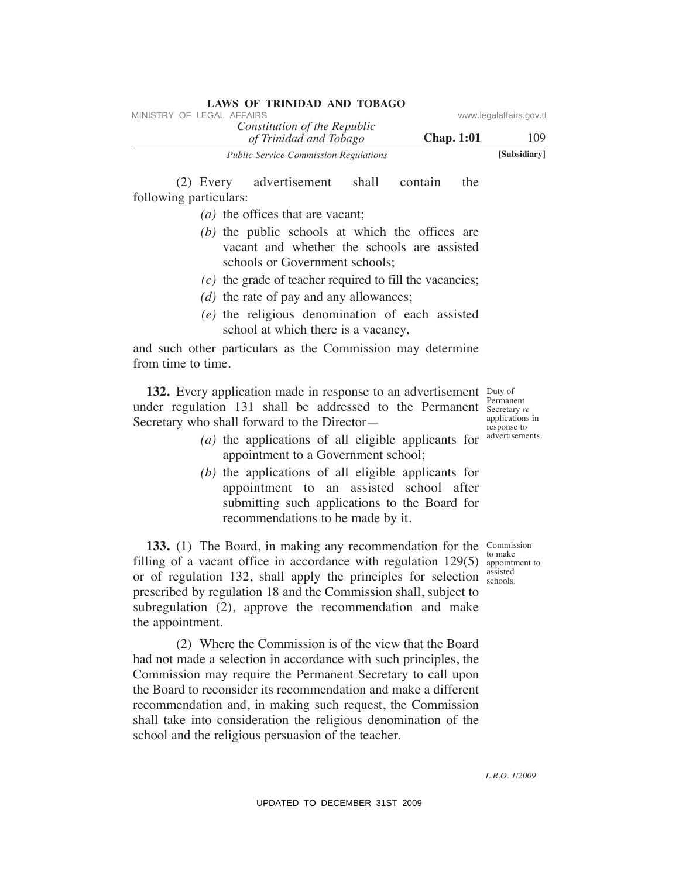| <b>LAWS OF TRINIDAD AND TOBAGO</b>                     |                   |                         |
|--------------------------------------------------------|-------------------|-------------------------|
| MINISTRY OF LEGAL AFFAIRS                              |                   | www.legalaffairs.gov.tt |
| Constitution of the Republic<br>of Trinidad and Tobago | <b>Chap.</b> 1:01 | 109                     |
| <b>Public Service Commission Regulations</b>           |                   | [Subsidiary]            |

 (2) Every advertisement shall contain the following particulars:

- *(a)* the offices that are vacant;
- *(b)* the public schools at which the offices are vacant and whether the schools are assisted schools or Government schools;
- *(c)* the grade of teacher required to fill the vacancies;
- *(d)* the rate of pay and any allowances;
- *(e)* the religious denomination of each assisted school at which there is a vacancy,

and such other particulars as the Commission may determine from time to time.

**132.** Every application made in response to an advertisement Duty of Permanent under regulation 131 shall be addressed to the Permanent Secretary re applications in response to Secretary who shall forward to the Director—

- $(a)$  the applications of all eligible applicants for  $a^{\text{dvertisements}}$ . appointment to a Government school;
	- *(b)* the applications of all eligible applicants for appointment to an assisted school after submitting such applications to the Board for recommendations to be made by it.

**133.** (1) The Board, in making any recommendation for the Commission filling of a vacant office in accordance with regulation  $129(5)$  appointment to or of regulation 132, shall apply the principles for selection prescribed by regulation 18 and the Commission shall, subject to subregulation (2), approve the recommendation and make the appointment.

 (2) Where the Commission is of the view that the Board had not made a selection in accordance with such principles, the Commission may require the Permanent Secretary to call upon the Board to reconsider its recommendation and make a different recommendation and, in making such request, the Commission shall take into consideration the religious denomination of the school and the religious persuasion of the teacher. VINESTRY OF LEGAL AFFAIRS:<br>
VINESTRY OF LEGAL AFFAIRS contributed and Tablegov.<br>
The particular and Tablegove Chap. 1:01<br>
(2) Every advertisement shall contain the<br>
following particulars:<br>
(b) the policic schools are assi

to make assisted schools.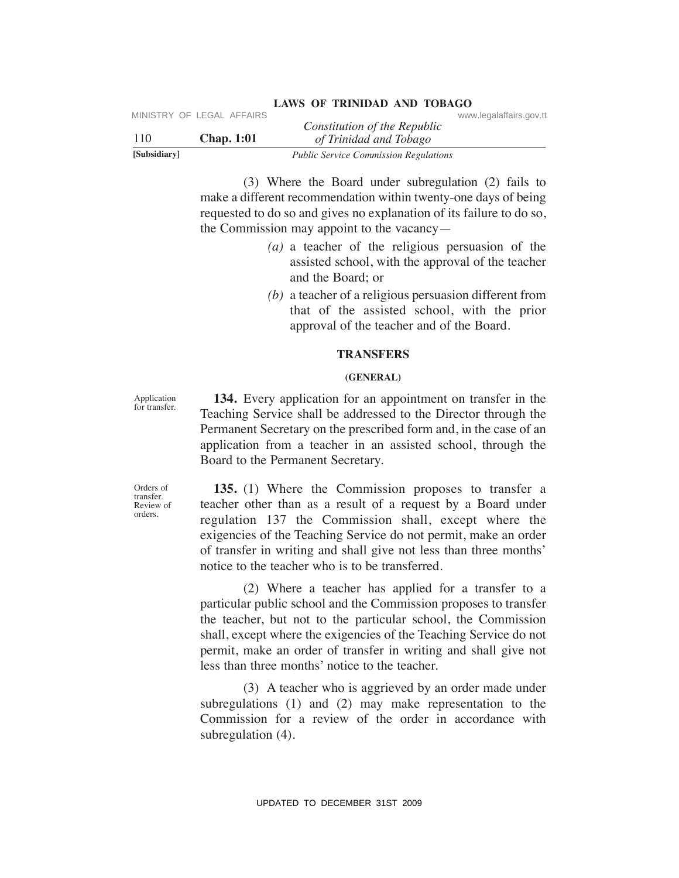| [Subsidiary] |                           | <b>Public Service Commission Regulations</b> |                         |  |
|--------------|---------------------------|----------------------------------------------|-------------------------|--|
| 110          | <b>Chap.</b> 1:01         | of Trinidad and Tobago                       |                         |  |
|              | MINISTRY OF LEGAL AFFAIRS | Constitution of the Republic                 | www.legalaffairs.gov.tt |  |

 (3) Where the Board under subregulation (2) fails to make a different recommendation within twenty-one days of being requested to do so and gives no explanation of its failure to do so, the Commission may appoint to the vacancy—

- *(a)* a teacher of the religious persuasion of the assisted school, with the approval of the teacher and the Board; or
- *(b)* a teacher of a religious persuasion different from that of the assisted school, with the prior approval of the teacher and of the Board.

# **TRANSFeRS**

# **(GeNeRAL)**

Application for transfer.

Orders of transfer. Review of orders.

 **134.** Every application for an appointment on transfer in the Teaching Service shall be addressed to the Director through the Permanent Secretary on the prescribed form and, in the case of an application from a teacher in an assisted school, through the Board to the Permanent Secretary.

 **135.** (1) Where the Commission proposes to transfer a teacher other than as a result of a request by a Board under regulation 137 the Commission shall, except where the exigencies of the Teaching Service do not permit, make an order of transfer in writing and shall give not less than three months' notice to the teacher who is to be transferred.

 (2) Where a teacher has applied for a transfer to a particular public school and the Commission proposes to transfer the teacher, but not to the particular school, the Commission shall, except where the exigencies of the Teaching Service do not permit, make an order of transfer in writing and shall give not less than three months' notice to the teacher. UPDATENT CONSULTERTY OF LEGAL AFFAIRS<br>
UPDATE:  $qTintutad$  of  $qTintud$  and  $Tbinud$  or  $qTintud$ <br>
Tools. Simulation of the Republic<br>
Tools. Simulation (3) falls to<br>
make a different recommendation within two root any of the<br>
make a d

 (3) A teacher who is aggrieved by an order made under subregulations (1) and (2) may make representation to the Commission for a review of the order in accordance with subregulation (4).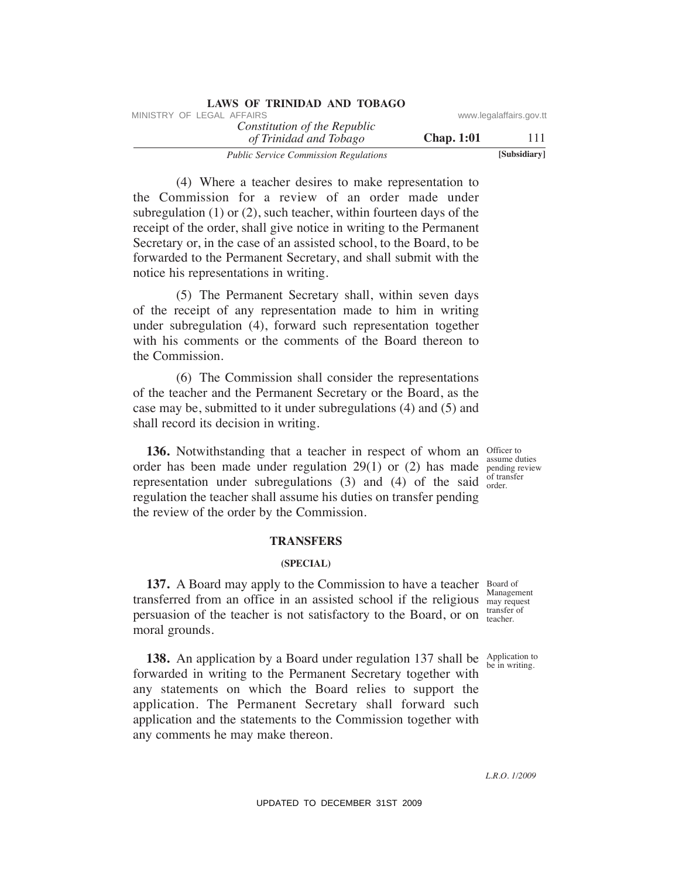| LAWS OF IKINIDAD AND TODAGO                            |                   |                         |
|--------------------------------------------------------|-------------------|-------------------------|
| MINISTRY OF LEGAL AFFAIRS                              |                   | www.legalaffairs.gov.tt |
| Constitution of the Republic<br>of Trinidad and Tobago | <b>Chap.</b> 1:01 | 111                     |
| <b>Public Service Commission Regulations</b>           |                   | [Subsidiary]            |

 (4) Where a teacher desires to make representation to the Commission for a review of an order made under subregulation (1) or (2), such teacher, within fourteen days of the receipt of the order, shall give notice in writing to the Permanent Secretary or, in the case of an assisted school, to the Board, to be forwarded to the Permanent Secretary, and shall submit with the notice his representations in writing. VINESTRY OF LEGAL AFFAIRS:<br>
Transformation of The Republic constraines government (The Constitution of The Region Chap. 1:01<br>
(4) Where a teacher desires to make representation to subsequent<br>
the Commission for a review o

**LAWS OF TRINIDAD AND TOBAGO**

 (5) The Permanent Secretary shall, within seven days of the receipt of any representation made to him in writing under subregulation (4), forward such representation together with his comments or the comments of the Board thereon to the Commission.

 (6) The Commission shall consider the representations of the teacher and the Permanent Secretary or the Board, as the case may be, submitted to it under subregulations (4) and (5) and shall record its decision in writing.

**136.** Notwithstanding that a teacher in respect of whom an Officer to order has been made under regulation  $29(1)$  or (2) has made pending review representation under subregulations (3) and (4) of the said  $_{\text{order}}^{\text{ortra}}$ regulation the teacher shall assume his duties on transfer pending the review of the order by the Commission.

assume duties of transfer

# **TRANSFeRS**

#### **(SPeCIAL)**

**137.** A Board may apply to the Commission to have a teacher Board of Management transferred from an office in an assisted school if the religious may request transfer of persuasion of the teacher is not satisfactory to the Board, or on transfer moral grounds.

**138.** An application by a Board under regulation 137 shall be Application to be in writing. forwarded in writing to the Permanent Secretary together with any statements on which the Board relies to support the application. The Permanent Secretary shall forward such application and the statements to the Commission together with any comments he may make thereon.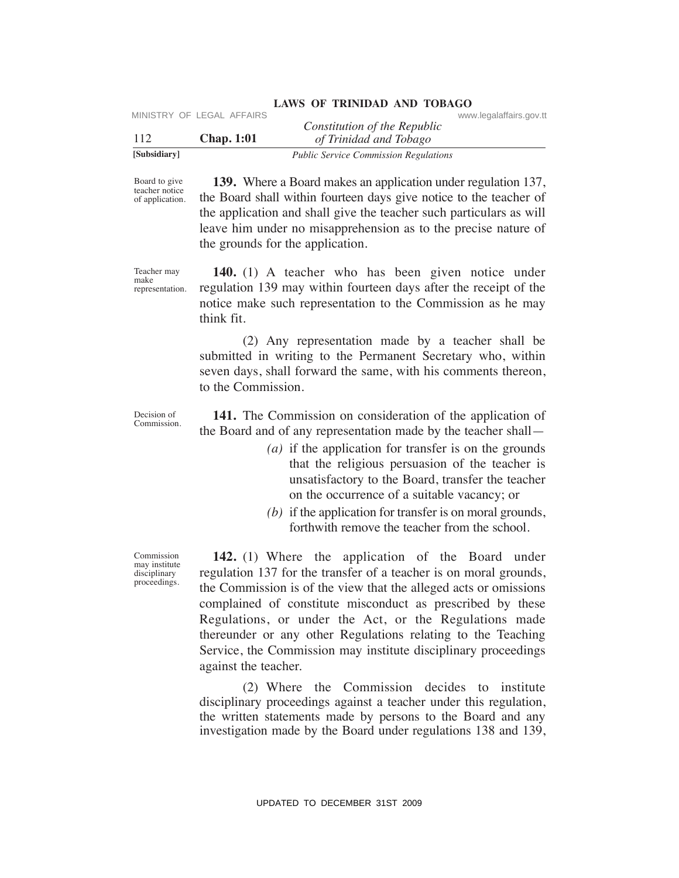| [Subsidiary] |                           | <b>Public Service Commission Regulations</b>           |                         |  |
|--------------|---------------------------|--------------------------------------------------------|-------------------------|--|
| 112          | <b>Chap.</b> 1:01         | Constitution of the Republic<br>of Trinidad and Tobago |                         |  |
|              | MINISTRY OF LEGAL AFFAIRS |                                                        | www.legalaffairs.gov.tt |  |

Board to give teacher notice of application.

 **139.** Where a Board makes an application under regulation 137, the Board shall within fourteen days give notice to the teacher of the application and shall give the teacher such particulars as will leave him under no misapprehension as to the precise nature of the grounds for the application.

Teacher may make representation.

 **140.** (1) A teacher who has been given notice under regulation 139 may within fourteen days after the receipt of the notice make such representation to the Commission as he may think fit.

 (2) Any representation made by a teacher shall be submitted in writing to the Permanent Secretary who, within seven days, shall forward the same, with his comments thereon, to the Commission.

Decision of Commission.

 **141.** The Commission on consideration of the application of the Board and of any representation made by the teacher shall—

- *(a)* if the application for transfer is on the grounds that the religious persuasion of the teacher is unsatisfactory to the Board, transfer the teacher on the occurrence of a suitable vacancy; or
- *(b)* if the application for transfer is on moral grounds, forthwith remove the teacher from the school.

 **142.** (1) Where the application of the Board under regulation 137 for the transfer of a teacher is on moral grounds, the Commission is of the view that the alleged acts or omissions complained of constitute misconduct as prescribed by these Regulations, or under the Act, or the Regulations made thereunder or any other Regulations relating to the Teaching Service, the Commission may institute disciplinary proceedings against the teacher. VERTRIX CONSULTERT CHECAL AFFAIRS CONSULTERT CHECAL AFFAIRS CONSULTERT TO  $\frac{112}{12}$  (Sambidiary)<br>
1922 Chap. 1:01 ( $\frac{1}{2}$  Thradital onel Tholorgy coince to the vector of the properties and the spectral material in t

 (2) Where the Commission decides to institute disciplinary proceedings against a teacher under this regulation, the written statements made by persons to the Board and any investigation made by the Board under regulations 138 and 139,

Commission may institute disciplinary proceedings.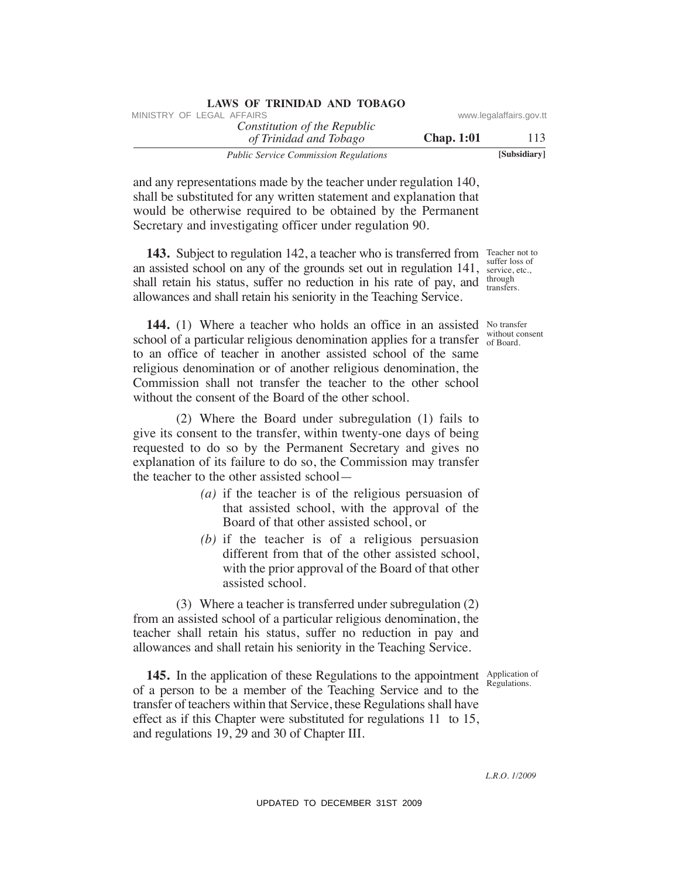| LAWS OF INIMIDAD AND TODAGO                            |                   |                         |
|--------------------------------------------------------|-------------------|-------------------------|
| MINISTRY OF LEGAL AFFAIRS                              |                   | www.legalaffairs.gov.tt |
| Constitution of the Republic<br>of Trinidad and Tobago | <b>Chap.</b> 1:01 | 113                     |
| <b>Public Service Commission Regulations</b>           |                   | [Subsidiary]            |

and any representations made by the teacher under regulation 140, shall be substituted for any written statement and explanation that would be otherwise required to be obtained by the Permanent Secretary and investigating officer under regulation 90.

**LAWS OF TRINIDAD AND TOBAGO**

**143.** Subject to regulation 142, a teacher who is transferred from Teacher not to an assisted school on any of the grounds set out in regulation 141, service, etc., shall retain his status, suffer no reduction in his rate of pay, and  $\frac{\text{through}}{\text{transfer}}$ allowances and shall retain his seniority in the Teaching Service.

**144.** (1) Where a teacher who holds an office in an assisted No transfer school of a particular religious denomination applies for a transfer  $\frac{0,00000}{0,00000}$ to an office of teacher in another assisted school of the same religious denomination or of another religious denomination, the Commission shall not transfer the teacher to the other school without the consent of the Board of the other school. WHETHY OF LEGAL AFFAIRS of the Republic on two seguentines gove that  $\frac{\partial f}{\partial t}$  and  $\frac{\partial f}{\partial t}$  and  $\frac{\partial f}{\partial t}$  and  $\frac{\partial f}{\partial t}$  and  $\frac{\partial f}{\partial t}$  and  $\frac{\partial f}{\partial t}$  and  $\frac{\partial f}{\partial t}$  and  $\frac{\partial f}{\partial t}$  and  $\frac{\partial f}{\partial t}$  and

 (2) Where the Board under subregulation (1) fails to give its consent to the transfer, within twenty-one days of being requested to do so by the Permanent Secretary and gives no explanation of its failure to do so, the Commission may transfer the teacher to the other assisted school—

- *(a)* if the teacher is of the religious persuasion of that assisted school, with the approval of the Board of that other assisted school, or
- *(b)* if the teacher is of a religious persuasion different from that of the other assisted school, with the prior approval of the Board of that other assisted school.

 (3) Where a teacher is transferred under subregulation (2) from an assisted school of a particular religious denomination, the teacher shall retain his status, suffer no reduction in pay and allowances and shall retain his seniority in the Teaching Service.

Regulations.

**145.** In the application of these Regulations to the appointment Application of of a person to be a member of the Teaching Service and to the transfer of teachers within that Service, these Regulations shall have effect as if this Chapter were substituted for regulations 11 to 15, and regulations 19, 29 and 30 of Chapter III.

suffer loss of transfers.

without consent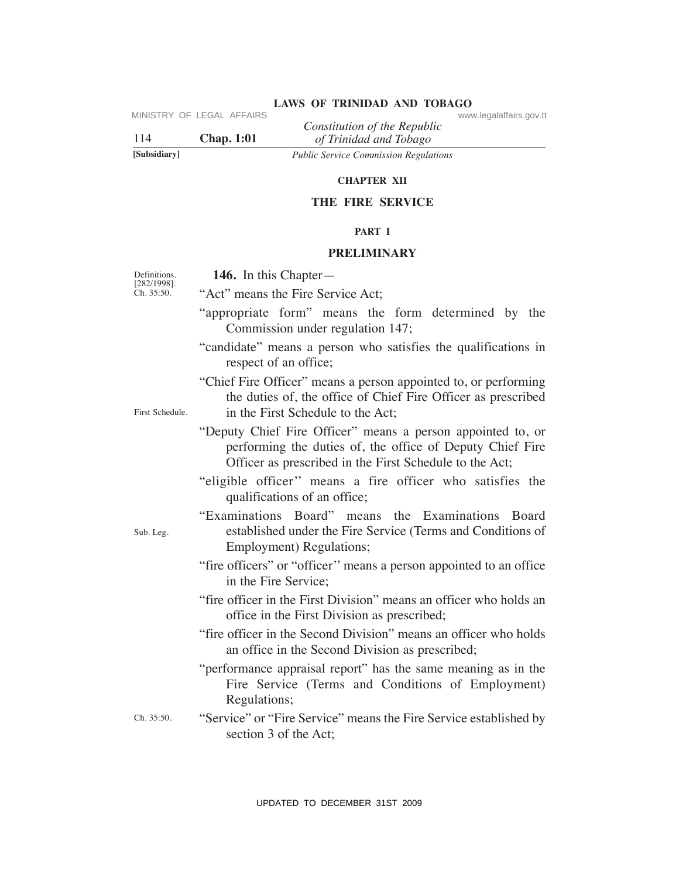|              | IVIIINIOTINT UF LEUAL AFFAINO | Constitution of the Republic                 |
|--------------|-------------------------------|----------------------------------------------|
| 114          | <b>Chap.</b> 1:01             | of Trinidad and Tobago                       |
| [Subsidiary] |                               | <b>Public Service Commission Regulations</b> |

#### **ChAPTeR XII**

# **The FIRe SeRVICe**

# **PART I**

# **PReLIMINARY**

| 114                       | MINISTRY OF LEGAL AFFAIRS<br><b>Chap. 1:01</b> | Constitution of the Republic<br>of Trinidad and Tobago                                                                                                                              | www.legalaffairs.gov.tt |
|---------------------------|------------------------------------------------|-------------------------------------------------------------------------------------------------------------------------------------------------------------------------------------|-------------------------|
| [Subsidiary]              |                                                | <b>Public Service Commission Regulations</b>                                                                                                                                        |                         |
|                           |                                                | <b>CHAPTER XII</b>                                                                                                                                                                  |                         |
|                           |                                                | THE FIRE SERVICE                                                                                                                                                                    |                         |
|                           |                                                | PART I                                                                                                                                                                              |                         |
|                           |                                                | <b>PRELIMINARY</b>                                                                                                                                                                  |                         |
| Definitions.              | 146. In this Chapter—                          |                                                                                                                                                                                     |                         |
| [282/1998].<br>Ch. 35:50. |                                                | "Act" means the Fire Service Act;                                                                                                                                                   |                         |
|                           |                                                | "appropriate form" means the form determined by the<br>Commission under regulation 147;                                                                                             |                         |
|                           | respect of an office;                          | "candidate" means a person who satisfies the qualifications in                                                                                                                      |                         |
| First Schedule.           |                                                | "Chief Fire Officer" means a person appointed to, or performing<br>the duties of, the office of Chief Fire Officer as prescribed<br>in the First Schedule to the Act;               |                         |
|                           |                                                | "Deputy Chief Fire Officer" means a person appointed to, or<br>performing the duties of, the office of Deputy Chief Fire<br>Officer as prescribed in the First Schedule to the Act; |                         |
|                           |                                                | "eligible officer" means a fire officer who satisfies the<br>qualifications of an office;                                                                                           |                         |
| Sub. Leg.                 |                                                | "Examinations Board" means the Examinations Board<br>established under the Fire Service (Terms and Conditions of<br>Employment) Regulations;                                        |                         |
|                           | in the Fire Service;                           | "fire officers" or "officer" means a person appointed to an office                                                                                                                  |                         |
|                           |                                                | "fire officer in the First Division" means an officer who holds an<br>office in the First Division as prescribed;                                                                   |                         |
|                           |                                                | "fire officer in the Second Division" means an officer who holds<br>an office in the Second Division as prescribed;                                                                 |                         |
|                           | Regulations;                                   | "performance appraisal report" has the same meaning as in the<br>Fire Service (Terms and Conditions of Employment)                                                                  |                         |
| Ch. 35:50.                | section 3 of the Act;                          | "Service" or "Fire Service" means the Fire Service established by                                                                                                                   |                         |
|                           |                                                |                                                                                                                                                                                     |                         |
|                           |                                                | UPDATED TO DECEMBER 31ST 2009                                                                                                                                                       |                         |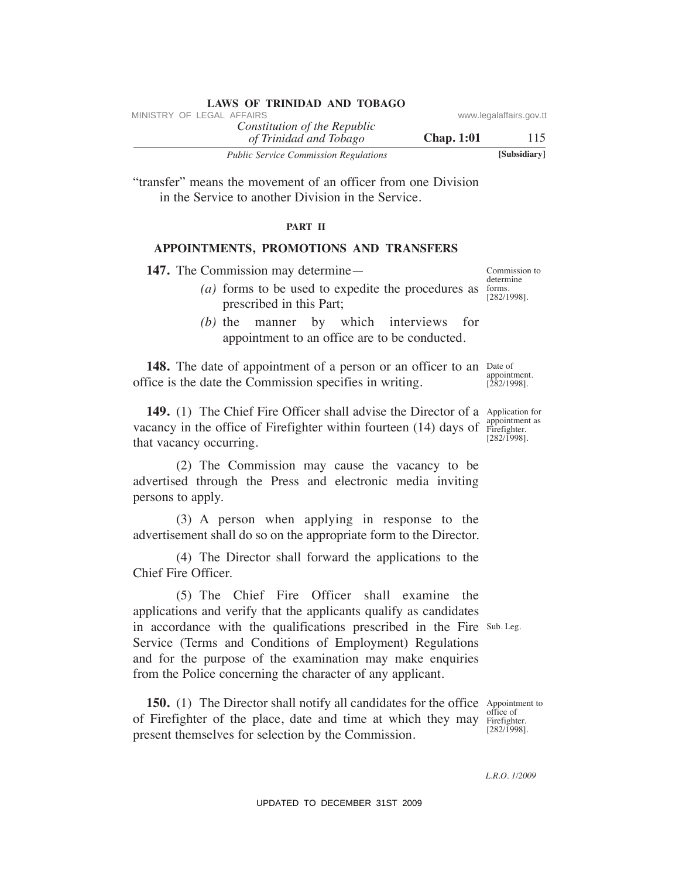| MINISTRY OF LEGAL AFFAIRS                              |                   | www.legalaffairs.gov.tt |
|--------------------------------------------------------|-------------------|-------------------------|
| Constitution of the Republic<br>of Trinidad and Tobago | <b>Chap.</b> 1:01 | 115                     |
| <b>Public Service Commission Regulations</b>           |                   | [Subsidiary]            |

"transfer" means the movement of an officer from one Division in the Service to another Division in the Service.

**LAWS OF TRINIDAD AND TOBAGO**

# **PART II**

# **APPOINTMeNTS, PROMOTIONS AND TRANSFeRS**

**147.** The Commission may determine—

- (*a*) forms to be used to expedite the procedures as  $\frac{1}{2}$ prescribed in this Part;
	- *(b)* the manner by which interviews for appointment to an office are to be conducted.

**148.** The date of appointment of a person or an officer to an Date of appointment. office is the date the Commission specifies in writing.

**149.** (1) The Chief Fire Officer shall advise the Director of a Application for appointment as vacancy in the office of Firefighter within fourteen  $(14)$  days of  $\frac{dp}{p}$  Firefighter. [282/1998]. that vacancy occurring.

 (2) The Commission may cause the vacancy to be advertised through the Press and electronic media inviting persons to apply.

 (3) A person when applying in response to the advertisement shall do so on the appropriate form to the Director.

 (4) The Director shall forward the applications to the Chief Fire Officer.

in accordance with the qualifications prescribed in the Fire Sub. Leg. (5) The Chief Fire Officer shall examine the applications and verify that the applicants qualify as candidates Service (Terms and Conditions of Employment) Regulations and for the purpose of the examination may make enquiries from the Police concerning the character of any applicant. VINETRY OF LEGAL AFFAIRS<br>
Transfer<sup>y</sup> means the movement of an officer from one Division<br>
Transfer<sup>y</sup> means the movement of an officer from one Division<br>
Transfer<sup>y</sup> means the movement of an officer from one Division<br>
in

**150.** (1) The Director shall notify all candidates for the office Appointment to of Firefighter of the place, date and time at which they may Firefighter. present themselves for selection by the Commission.

office of [282/1998].

*L.R.O. 1/2009*

determine [282/1998].

Commission to

[282/1998].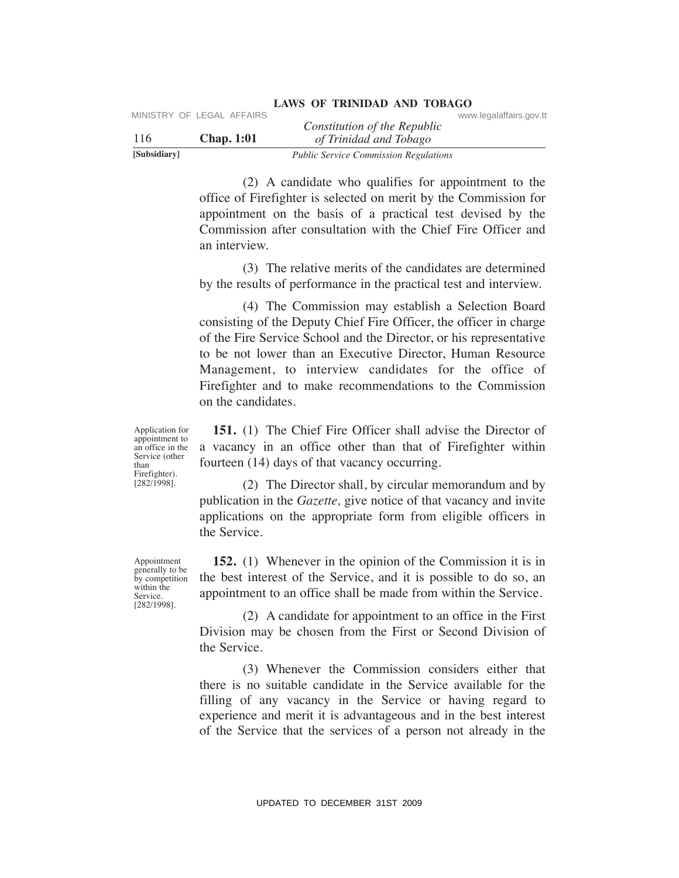|              | MINISTRY OF LEGAL AFFAIRS | Constitution of the Republic                 | www.legalaffairs.gov.tt |
|--------------|---------------------------|----------------------------------------------|-------------------------|
| 116          | <b>Chap.</b> 1:01         | of Trinidad and Tobago                       |                         |
| [Subsidiary] |                           | <b>Public Service Commission Regulations</b> |                         |

 (2) A candidate who qualifies for appointment to the office of Firefighter is selected on merit by the Commission for appointment on the basis of a practical test devised by the Commission after consultation with the Chief Fire Officer and an interview.

 (3) The relative merits of the candidates are determined by the results of performance in the practical test and interview.

 (4) The Commission may establish a Selection Board consisting of the Deputy Chief Fire Officer, the officer in charge of the Fire Service School and the Director, or his representative to be not lower than an Executive Director, Human Resource Management, to interview candidates for the office of Firefighter and to make recommendations to the Commission on the candidates. UPDATENT CONSIDENT CONSIDENT CONSIDENT CONSIDENT CONSIDENT CONSIDERATION ( $\frac{1}{2}$  Thredition of the Repubblic community the Communistant community the Communistant of Principle in sected to one in the principle metallit

Application for appointment to an office in the Service (other than Firefighter). [282/1998].

 **151.** (1) The Chief Fire Officer shall advise the Director of a vacancy in an office other than that of Firefighter within fourteen (14) days of that vacancy occurring.

 (2) The Director shall, by circular memorandum and by publication in the *Gazette,* give notice of that vacancy and invite applications on the appropriate form from eligible officers in the Service.

 **152.** (1) Whenever in the opinion of the Commission it is in the best interest of the Service, and it is possible to do so, an appointment to an office shall be made from within the Service.

 (2) A candidate for appointment to an office in the First Division may be chosen from the First or Second Division of the Service.

 (3) Whenever the Commission considers either that there is no suitable candidate in the Service available for the filling of any vacancy in the Service or having regard to experience and merit it is advantageous and in the best interest of the Service that the services of a person not already in the

Appointment generally to be by competition within the Service. [282/1998].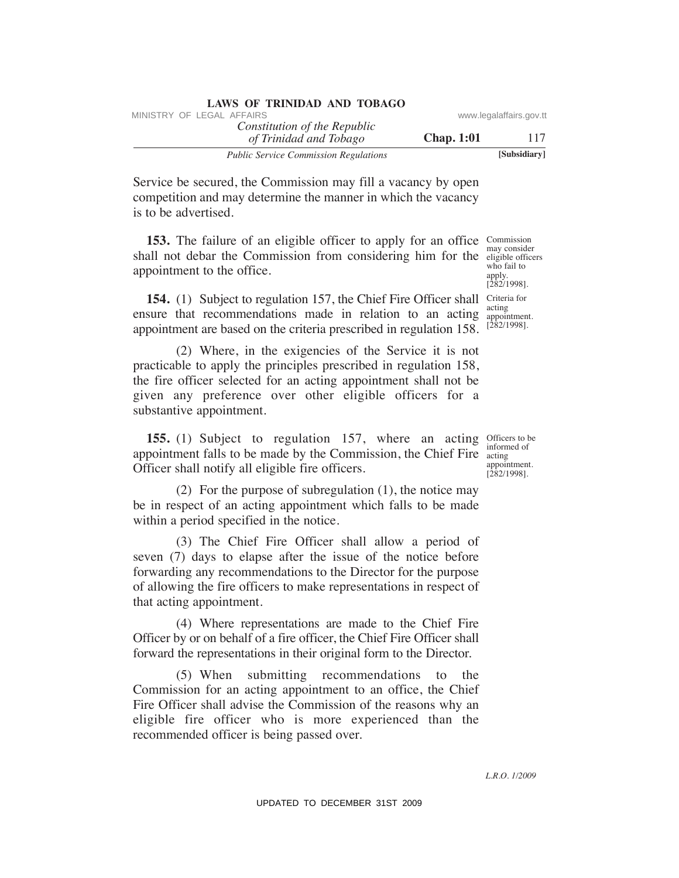| LAWS OF INIMIDAD AND TODAGO                            |                   |                         |
|--------------------------------------------------------|-------------------|-------------------------|
| MINISTRY OF LEGAL AFFAIRS                              |                   | www.legalaffairs.gov.tt |
| Constitution of the Republic<br>of Trinidad and Tobago | <b>Chap.</b> 1:01 | 117                     |
| <b>Public Service Commission Regulations</b>           |                   | [Subsidiary]            |

Service be secured, the Commission may fill a vacancy by open competition and may determine the manner in which the vacancy is to be advertised.

**LAWS OF TRINIDAD AND TOBAGO**

**153.** The failure of an eligible officer to apply for an office Commission shall not debar the Commission from considering him for the eligible officers appointment to the office.

**154.** (1) Subject to regulation 157, the Chief Fire Officer shall Criteria for ensure that recommendations made in relation to an acting appointment are based on the criteria prescribed in regulation 158.

 (2) Where, in the exigencies of the Service it is not practicable to apply the principles prescribed in regulation 158, the fire officer selected for an acting appointment shall not be given any preference over other eligible officers for a substantive appointment. WHETEV OF LEGAL AFFAIRS of the Republic of the Republic of the Republic of the Region of The Commission may fill a vacancy by open<br>
Service be secured, the Commission may fill a vacancy by open<br>
compution and may determin

**155.** (1) Subject to regulation 157, where an acting officers to be **155.** (1) Subject to regulation 157, where an acting appointment falls to be made by the Commission, the Chief Fire Officer shall notify all eligible fire officers.

 (2) For the purpose of subregulation (1), the notice may be in respect of an acting appointment which falls to be made within a period specified in the notice.

 (3) The Chief Fire Officer shall allow a period of seven (7) days to elapse after the issue of the notice before forwarding any recommendations to the Director for the purpose of allowing the fire officers to make representations in respect of that acting appointment.

 (4) Where representations are made to the Chief Fire Officer by or on behalf of a fire officer, the Chief Fire Officer shall forward the representations in their original form to the Director.

 (5) When submitting recommendations to the Commission for an acting appointment to an office, the Chief Fire Officer shall advise the Commission of the reasons why an eligible fire officer who is more experienced than the recommended officer is being passed over.

may consider who fail to apply. [282/1998]. acting

appointment. [282/1998].

informed of acting appointment.  $[282/1998]$ .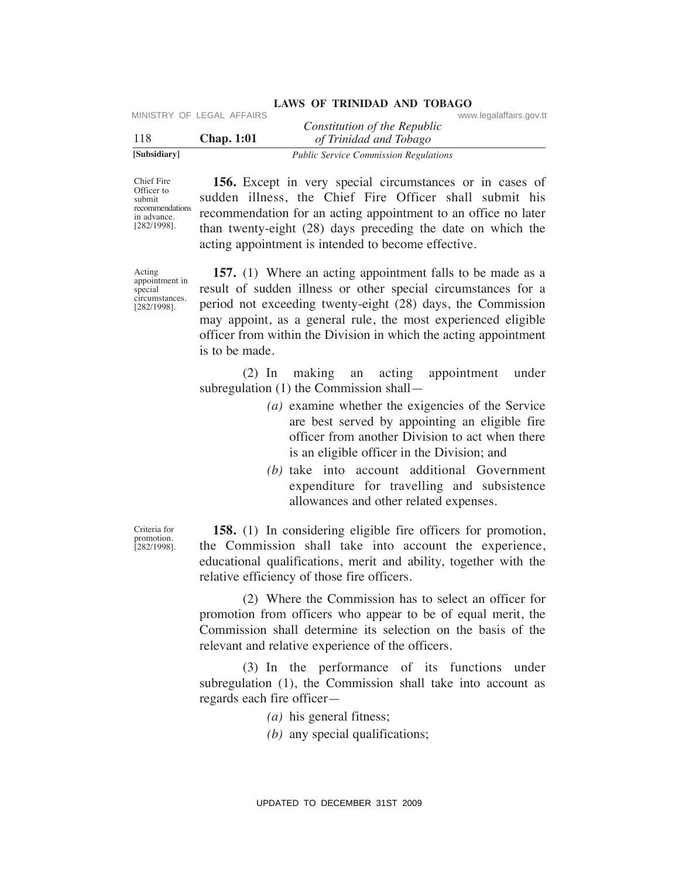|              | MINISTRY OF LEGAL AFFAIRS |                                              | www.legalaffairs.gov.tt |
|--------------|---------------------------|----------------------------------------------|-------------------------|
|              |                           | Constitution of the Republic                 |                         |
| 118          | <b>Chap.</b> 1:01         | of Trinidad and Tobago                       |                         |
| [Subsidiary] |                           | <b>Public Service Commission Regulations</b> |                         |

Chief Fire Officer to submit recommendations in advance. [282/1998].

 **156.** Except in very special circumstances or in cases of sudden illness, the Chief Fire Officer shall submit his recommendation for an acting appointment to an office no later than twenty-eight (28) days preceding the date on which the acting appointment is intended to become effective.

**LAWS OF TRINIDAD AND TOBAGO**

Acting appointment in special circumstances. [282/1998].

 **157.** (1) Where an acting appointment falls to be made as a result of sudden illness or other special circumstances for a period not exceeding twenty-eight (28) days, the Commission may appoint, as a general rule, the most experienced eligible officer from within the Division in which the acting appointment is to be made. VIESTRY OF LEGAL AFFAIRS<br>
USBN 2009 ( $\frac{1}{2}$  Thraidad on The Traiding of the Republic<br>
USBN 2009 ( $\frac{1}{2}$  Thraidad on Theories commension regards<br>
Online to the Chief First Officer Shall submit his states of the Chief

 (2) In making an acting appointment under subregulation (1) the Commission shall—

- *(a)* examine whether the exigencies of the Service are best served by appointing an eligible fire officer from another Division to act when there is an eligible officer in the Division; and
- *(b)* take into account additional Government expenditure for travelling and subsistence allowances and other related expenses.

Criteria for promotion. [282/1998].

 **158.** (1) In considering eligible fire officers for promotion, the Commission shall take into account the experience, educational qualifications, merit and ability, together with the relative efficiency of those fire officers.

 (2) Where the Commission has to select an officer for promotion from officers who appear to be of equal merit, the Commission shall determine its selection on the basis of the relevant and relative experience of the officers.

 (3) In the performance of its functions under subregulation (1), the Commission shall take into account as regards each fire officer—

*(a)* his general fitness;

*(b)* any special qualifications;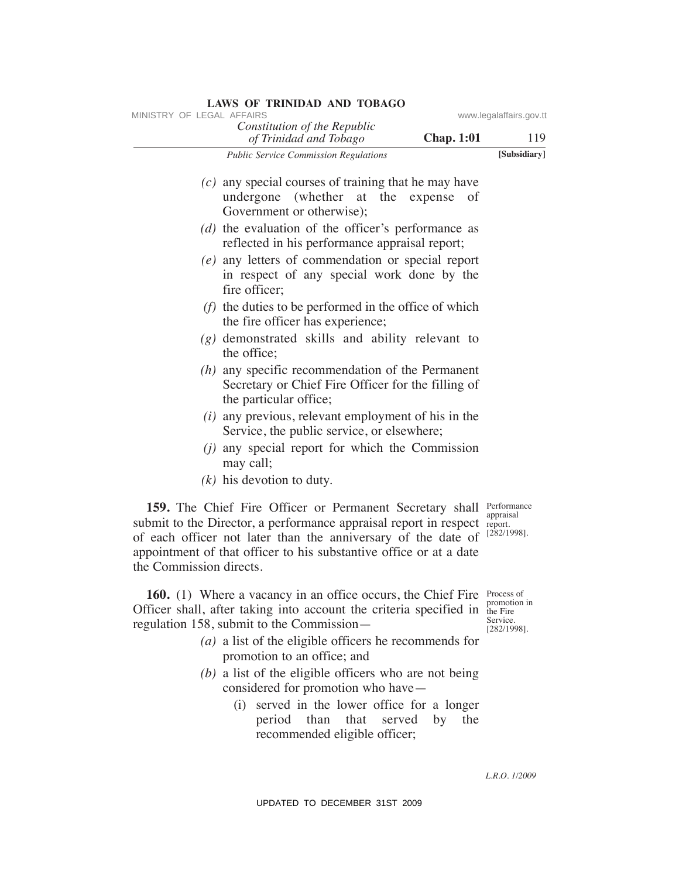| MINISTRY OF LEGAL AFFAIRS |                                                                                                                                                                                                                                                                      |                   | www.legalaffairs.gov.tt                                  |
|---------------------------|----------------------------------------------------------------------------------------------------------------------------------------------------------------------------------------------------------------------------------------------------------------------|-------------------|----------------------------------------------------------|
|                           | Constitution of the Republic<br>of Trinidad and Tobago                                                                                                                                                                                                               | <b>Chap. 1:01</b> | 119                                                      |
|                           | <b>Public Service Commission Regulations</b>                                                                                                                                                                                                                         |                   | [Subsidiary]                                             |
|                           | $(c)$ any special courses of training that he may have<br>undergone (whether at the expense of<br>Government or otherwise);                                                                                                                                          |                   |                                                          |
|                           | $(d)$ the evaluation of the officer's performance as<br>reflected in his performance appraisal report;                                                                                                                                                               |                   |                                                          |
|                           | $(e)$ any letters of commendation or special report<br>in respect of any special work done by the<br>fire officer;                                                                                                                                                   |                   |                                                          |
|                           | $(f)$ the duties to be performed in the office of which<br>the fire officer has experience;                                                                                                                                                                          |                   |                                                          |
|                           | $(g)$ demonstrated skills and ability relevant to<br>the office:                                                                                                                                                                                                     |                   |                                                          |
|                           | $(h)$ any specific recommendation of the Permanent<br>Secretary or Chief Fire Officer for the filling of<br>the particular office;                                                                                                                                   |                   |                                                          |
|                           | $(i)$ any previous, relevant employment of his in the<br>Service, the public service, or elsewhere;                                                                                                                                                                  |                   |                                                          |
|                           | $(i)$ any special report for which the Commission<br>may call;                                                                                                                                                                                                       |                   |                                                          |
|                           | $(k)$ his devotion to duty.                                                                                                                                                                                                                                          |                   |                                                          |
| the Commission directs.   | 159. The Chief Fire Officer or Permanent Secretary shall<br>submit to the Director, a performance appraisal report in respect<br>of each officer not later than the anniversary of the date of<br>appointment of that officer to his substantive office or at a date |                   | Performance<br>appraisal<br>report.<br>$[282/1998]$ .    |
|                           | <b>160.</b> (1) Where a vacancy in an office occurs, the Chief Fire<br>Officer shall, after taking into account the criteria specified in the Fire<br>regulation 158, submit to the Commission-                                                                      |                   | Process of<br>promotion in<br>Service.<br>$[282/1998]$ . |
|                           | $(a)$ a list of the eligible officers he recommends for<br>promotion to an office; and                                                                                                                                                                               |                   |                                                          |
|                           | $(b)$ a list of the eligible officers who are not being                                                                                                                                                                                                              |                   |                                                          |
|                           | considered for promotion who have—<br>(i) served in the lower office for a longer<br>that<br>than<br>served<br>period<br>recommended eligible officer;                                                                                                               | by<br>the         |                                                          |
|                           |                                                                                                                                                                                                                                                                      |                   | L.R.O. 1/2009                                            |
|                           | UPDATED TO DECEMBER 31ST 2009                                                                                                                                                                                                                                        |                   |                                                          |

- *(a)* a list of the eligible officers he recommends for promotion to an office; and
- *(b)* a list of the eligible officers who are not being considered for promotion who have—
	- (i) served in the lower office for a longer period than that served by the recommended eligible officer;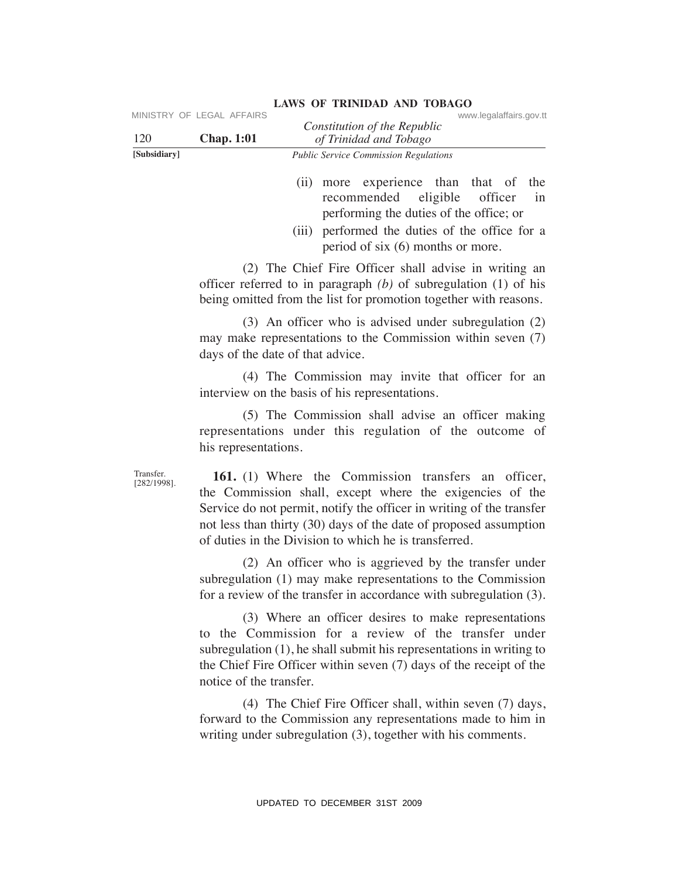| 120                         | MINISTRY OF LEGAL AFFAIRS<br><b>Chap. 1:01</b> | www.legalaffairs.gov.tt<br>Constitution of the Republic<br>of Trinidad and Tobago                                                                                                                                                                                                                                     |
|-----------------------------|------------------------------------------------|-----------------------------------------------------------------------------------------------------------------------------------------------------------------------------------------------------------------------------------------------------------------------------------------------------------------------|
| [Subsidiary]                |                                                | Public Service Commission Regulations                                                                                                                                                                                                                                                                                 |
|                             |                                                | (ii) more experience than that of<br>the<br>eligible<br>recommended<br>officer<br>in<br>performing the duties of the office; or<br>(iii) performed the duties of the office for a<br>period of six $(6)$ months or more.                                                                                              |
|                             |                                                | (2) The Chief Fire Officer shall advise in writing an<br>officer referred to in paragraph $(b)$ of subregulation $(1)$ of his<br>being omitted from the list for promotion together with reasons.                                                                                                                     |
|                             | days of the date of that advice.               | (3) An officer who is advised under subregulation (2)<br>may make representations to the Commission within seven (7)                                                                                                                                                                                                  |
|                             |                                                | (4) The Commission may invite that officer for an<br>interview on the basis of his representations.                                                                                                                                                                                                                   |
|                             | his representations.                           | (5) The Commission shall advise an officer making<br>representations under this regulation of the outcome of                                                                                                                                                                                                          |
| Transfer.<br>$[282/1998]$ . |                                                | 161. (1) Where the Commission transfers an officer,<br>the Commission shall, except where the exigencies of the<br>Service do not permit, notify the officer in writing of the transfer<br>not less than thirty (30) days of the date of proposed assumption<br>of duties in the Division to which he is transferred. |
|                             |                                                | (2) An officer who is aggrieved by the transfer under<br>subregulation (1) may make representations to the Commission<br>for a review of the transfer in accordance with subregulation (3).                                                                                                                           |
|                             | notice of the transfer.                        | (3) Where an officer desires to make representations<br>to the Commission for a review of the transfer under<br>subregulation (1), he shall submit his representations in writing to<br>the Chief Fire Officer within seven (7) days of the receipt of the                                                            |
|                             |                                                | (4) The Chief Fire Officer shall, within seven (7) days,<br>forward to the Commission any representations made to him in<br>writing under subregulation (3), together with his comments.                                                                                                                              |
|                             |                                                | UPDATED TO DECEMBER 31ST 2009                                                                                                                                                                                                                                                                                         |

- (ii) more experience than that of the recommended eligible officer in performing the duties of the office; or
- (iii) performed the duties of the office for a period of six (6) months or more.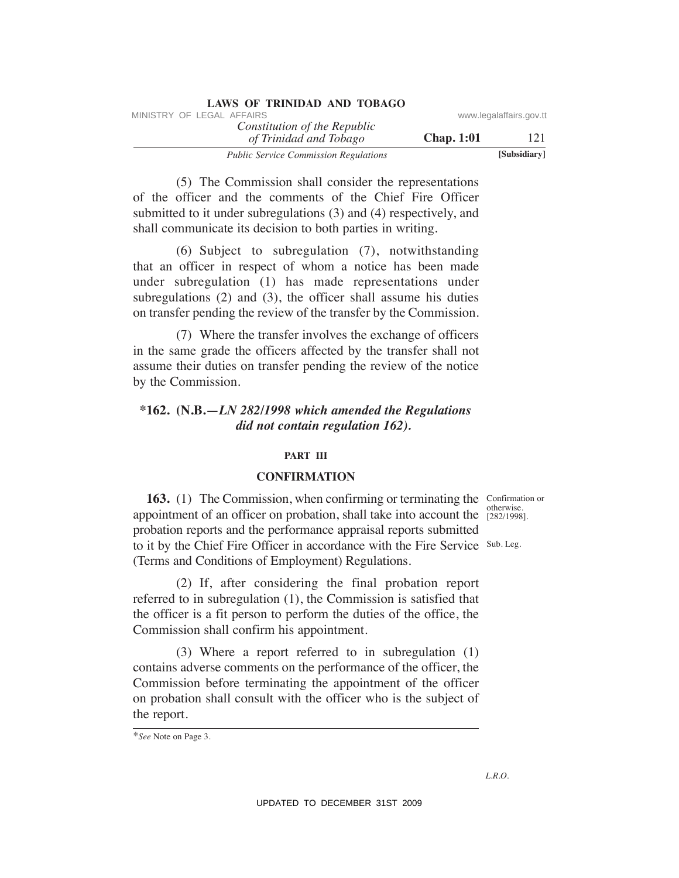| <b>LAWS OF TRINIDAD AND TOBAGO</b>           |                   |                         |
|----------------------------------------------|-------------------|-------------------------|
| MINISTRY OF LEGAL AFFAIRS                    |                   | www.legalaffairs.gov.tt |
| Constitution of the Republic                 |                   |                         |
| of Trinidad and Tobago                       | <b>Chap.</b> 1:01 | 121                     |
| <b>Public Service Commission Regulations</b> |                   | [Subsidiary]            |

 (5) The Commission shall consider the representations of the officer and the comments of the Chief Fire Officer submitted to it under subregulations (3) and (4) respectively, and shall communicate its decision to both parties in writing.

 (6) Subject to subregulation (7), notwithstanding that an officer in respect of whom a notice has been made under subregulation (1) has made representations under subregulations (2) and (3), the officer shall assume his duties on transfer pending the review of the transfer by the Commission.

 (7) Where the transfer involves the exchange of officers in the same grade the officers affected by the transfer shall not assume their duties on transfer pending the review of the notice by the Commission.

# **\*162. (N.B.—***LN 282/1998 which amended the Regulations did not contain regulation 162).*

#### **PART III**

# **CONFIRMATION**

**163.** (1) The Commission, when confirming or terminating the Confirmation or appointment of an officer on probation, shall take into account the  $\frac{6000 \text{ N}}{282/1998}$ . to it by the Chief Fire Officer in accordance with the Fire Service Sub. Leg. probation reports and the performance appraisal reports submitted (Terms and Conditions of Employment) Regulations. MHETHY OF LEGAL AFFAIRS of the Republic some summation of the Republic constraines por the Constitution of The Commission shall consider the representations of the Constrainer of the Constrainer and the commission of the

 (2) If, after considering the final probation report referred to in subregulation (1), the Commission is satisfied that the officer is a fit person to perform the duties of the office, the Commission shall confirm his appointment.

 (3) Where a report referred to in subregulation (1) contains adverse comments on the performance of the officer, the Commission before terminating the appointment of the officer on probation shall consult with the officer who is the subject of the report.

otherwise.

<sup>\*</sup>*See* Note on Page 3.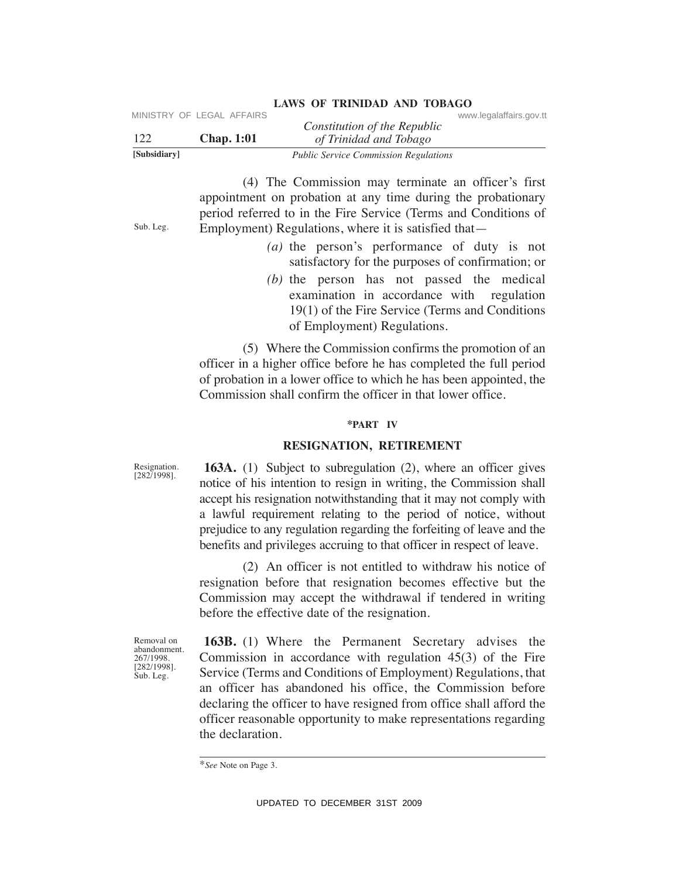| [Subsidiary] |                           | <b>Public Service Commission Regulations</b> |                         |
|--------------|---------------------------|----------------------------------------------|-------------------------|
| 122          | <b>Chap.</b> 1:01         | of Trinidad and Tobago                       |                         |
|              |                           | Constitution of the Republic                 |                         |
|              | MINISTRY OF LEGAL AFFAIRS |                                              | www.legalaffairs.gov.tt |

 (4) The Commission may terminate an officer's first appointment on probation at any time during the probationary period referred to in the Fire Service (Terms and Conditions of Employment) Regulations, where it is satisfied that—

- *(a)* the person's performance of duty is not satisfactory for the purposes of confirmation; or
- *(b)* the person has not passed the medical examination in accordance with regulation 19(1) of the Fire Service (Terms and Conditions of Employment) Regulations.

 (5) Where the Commission confirms the promotion of an officer in a higher office before he has completed the full period of probation in a lower office to which he has been appointed, the Commission shall confirm the officer in that lower office.

#### **\*PART IV**

# **ReSIGNATION, ReTIReMeNT**

**163A.** (1) Subject to subregulation (2), where an officer gives notice of his intention to resign in writing, the Commission shall accept his resignation notwithstanding that it may not comply with a lawful requirement relating to the period of notice, without prejudice to any regulation regarding the forfeiting of leave and the benefits and privileges accruing to that officer in respect of leave.

 (2) An officer is not entitled to withdraw his notice of resignation before that resignation becomes effective but the Commission may accept the withdrawal if tendered in writing before the effective date of the resignation.

Removal on abandonment. 267/1998. [282/1998]. Sub. Leg.

Resignation. [282/1998].

Sub. Leg.

**163B.** (1) Where the Permanent Secretary advises the Commission in accordance with regulation 45(3) of the Fire Service (Terms and Conditions of Employment) Regulations, that an officer has abandoned his office, the Commission before declaring the officer to have resigned from office shall afford the officer reasonable opportunity to make representations regarding the declaration. VERTICY CONDUCTER 1231 Constitution of the Republic Constitution of the Republic Constitution (4) The Commission may terminate an officer's first systems (4) The Commission may terminate an officer's first systems populat

<sup>\*</sup>*See* Note on Page 3.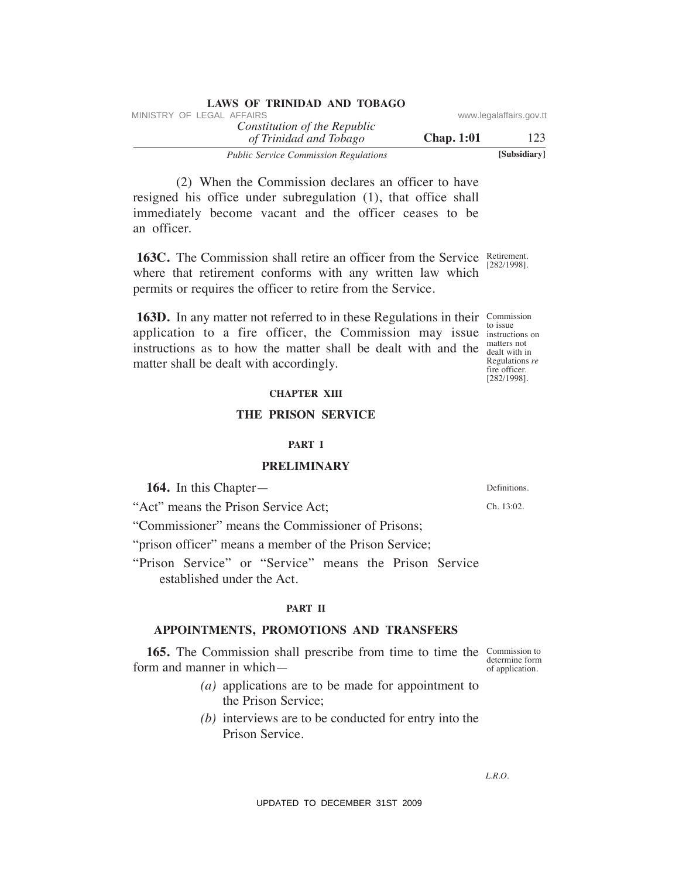|                         |                   | LAWS OF ININIDAD AND TODAGO                            |
|-------------------------|-------------------|--------------------------------------------------------|
| www.legalaffairs.gov.tt |                   | MINISTRY OF LEGAL AFFAIRS                              |
| 123                     | <b>Chap.</b> 1:01 | Constitution of the Republic<br>of Trinidad and Tobago |
| [Subsidiary]            |                   | <b>Public Service Commission Regulations</b>           |

 (2) When the Commission declares an officer to have resigned his office under subregulation (1), that office shall immediately become vacant and the officer ceases to be an officer.

**LAWS OF TRINIDAD AND TOBAGO**

**163C.** The Commission shall retire an officer from the Service Retirement. where that retirement conforms with any written law which permits or requires the officer to retire from the Service.

**163D.** In any matter not referred to in these Regulations in their Commission application to a fire officer, the Commission may issue instructions on instructions as to how the matter shall be dealt with and the  $\frac{\text{matter not}}{\text{death with in}}$ matter shall be dealt with accordingly. VINETRY OF LEGAL AFFAIRS<br>
Total drifthof ordination of The Republic<br>
The Constitution of The Registration<br>
(2) When the Commission declares an officer to have<br>
invariant commission declares an officer to have<br>
immediately

#### **ChAPTeR XIII**

#### **The PRISON SeRVICe**

#### **PART I**

# **PReLIMINARY**

**164.** In this Chapter—

"Act" means the Prison Service Act;

"Commissioner" means the Commissioner of Prisons;

"prison officer" means a member of the Prison Service;

"Prison Service" or "Service" means the Prison Service established under the Act.

#### **PART II**

# **APPOINTMeNTS, PROMOTIONS AND TRANSFeRS**

**165.** The Commission shall prescribe from time to time the Commission to determine form of application. form and manner in which—

- *(a)* applications are to be made for appointment to the Prison Service;
- *(b)* interviews are to be conducted for entry into the Prison Service.

*L.R.O.* 

to issue matters not Regulations *re* fire officer. [282/1998].

Definitions.

Ch. 13:02.

[282/1998].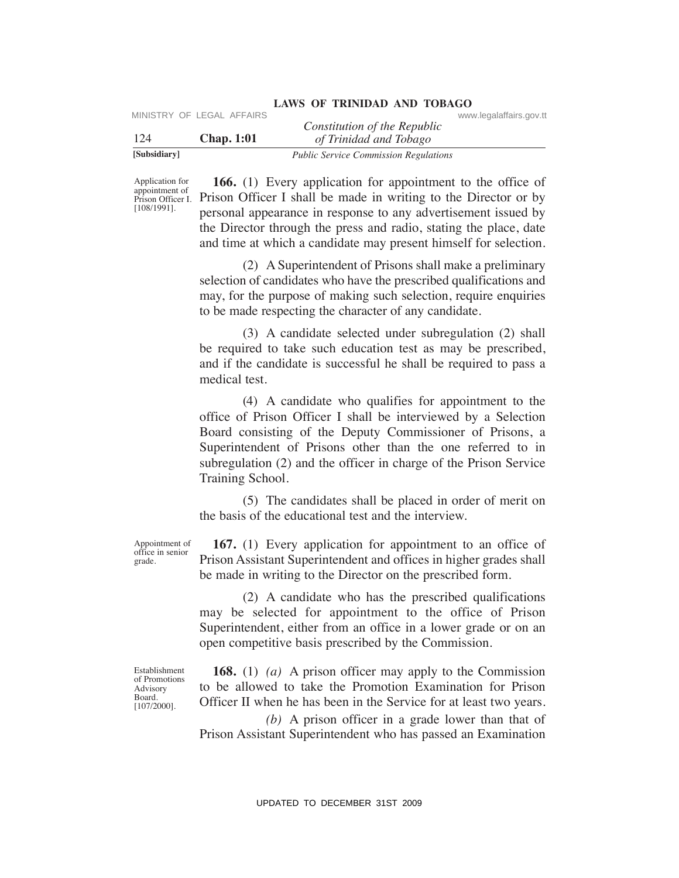| [Subsidiary] |                           | <b>Public Service Commission Regulations</b> |                         |  |
|--------------|---------------------------|----------------------------------------------|-------------------------|--|
| -124         | <b>Chap.</b> 1:01         | of Trinidad and Tobago                       |                         |  |
|              | MINISTRY OF LEGAL AFFAIRS | Constitution of the Republic                 | www.legalaffairs.gov.tt |  |

Application for appointment of [108/1991].

Prison Officer I. Prison Officer I shall be made in writing to the Director or by  **166.** (1) Every application for appointment to the office of personal appearance in response to any advertisement issued by the Director through the press and radio, stating the place, date and time at which a candidate may present himself for selection.

> (2) A Superintendent of Prisons shall make a preliminary selection of candidates who have the prescribed qualifications and may, for the purpose of making such selection, require enquiries to be made respecting the character of any candidate.

> (3) A candidate selected under subregulation (2) shall be required to take such education test as may be prescribed, and if the candidate is successful he shall be required to pass a medical test.

 (4) A candidate who qualifies for appointment to the office of Prison Officer I shall be interviewed by a Selection Board consisting of the Deputy Commissioner of Prisons, a Superintendent of Prisons other than the one referred to in subregulation (2) and the officer in charge of the Prison Service Training School. VERENCE CONCRET CONSULTER CONSULTERING CONSULTERING THE CONSULTERING THE CONSULTER CONSULTERING THE CONSULTER CONSULTERING THE CONSULTERING THE CONSULTERING THE CONSULTERING THE CONSULTERING THE CONSULTERING THE CONSULTER

 (5) The candidates shall be placed in order of merit on the basis of the educational test and the interview.

Appointment of office in senior  **167.** (1) Every application for appointment to an office of Prison Assistant Superintendent and offices in higher grades shall be made in writing to the Director on the prescribed form.

> (2) A candidate who has the prescribed qualifications may be selected for appointment to the office of Prison Superintendent, either from an office in a lower grade or on an open competitive basis prescribed by the Commission.

Establishment of Promotions Advisory Board. [107/2000].

grade.

 **168.** (1) *(a)* A prison officer may apply to the Commission to be allowed to take the Promotion Examination for Prison Officer II when he has been in the Service for at least two years.

 *(b)* A prison officer in a grade lower than that of Prison Assistant Superintendent who has passed an Examination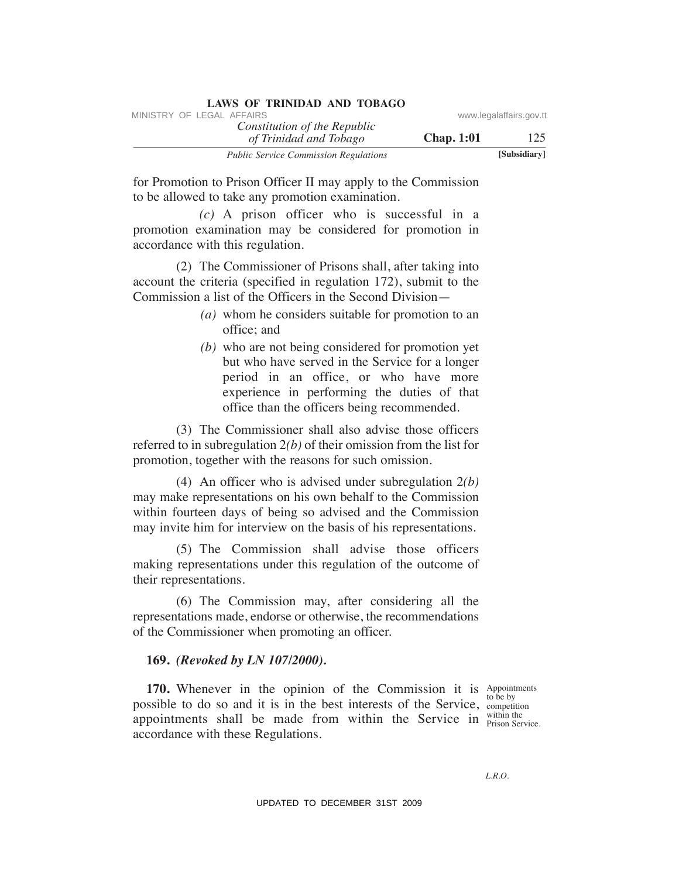| LAWS OF INIMIDAD AND TODAGO                            |                   |                         |
|--------------------------------------------------------|-------------------|-------------------------|
| MINISTRY OF LEGAL AFFAIRS                              |                   | www.legalaffairs.gov.tt |
| Constitution of the Republic<br>of Trinidad and Tobago | <b>Chap.</b> 1:01 | 125                     |
| <b>Public Service Commission Regulations</b>           |                   | [Subsidiary]            |

for Promotion to Prison Officer II may apply to the Commission to be allowed to take any promotion examination.

 *(c)* A prison officer who is successful in a promotion examination may be considered for promotion in accordance with this regulation.

 (2) The Commissioner of Prisons shall, after taking into account the criteria (specified in regulation 172), submit to the Commission a list of the Officers in the Second Division—

- *(a)* whom he considers suitable for promotion to an office; and
- *(b)* who are not being considered for promotion yet but who have served in the Service for a longer period in an office, or who have more experience in performing the duties of that office than the officers being recommended.

 (3) The Commissioner shall also advise those officers referred to in subregulation 2*(b)* of their omission from the list for promotion, together with the reasons for such omission.

 (4) An officer who is advised under subregulation 2*(b)* may make representations on his own behalf to the Commission within fourteen days of being so advised and the Commission may invite him for interview on the basis of his representations.

 (5) The Commission shall advise those officers making representations under this regulation of the outcome of their representations.

 (6) The Commission may, after considering all the representations made, endorse or otherwise, the recommendations of the Commissioner when promoting an officer.

# **169.** *(Revoked by LN 107/2000).*

**170.** Whenever in the opinion of the Commission it is Appointments to be by possible to do so and it is in the best interests of the Service, appointments shall be made from within the Service in accordance with these Regulations. VINESTRY OF LEGAL AFFAIRS:<br>
Constitution of The Republic<br>
Transforms Constitution of Reception<br>
Transforms (Constitution of The Region Chapter 11.12<br>
Transforms commonly the Commission<br>
for Promotion to Priseon Officer II

competition within the Prison Service.

*L.R.O.*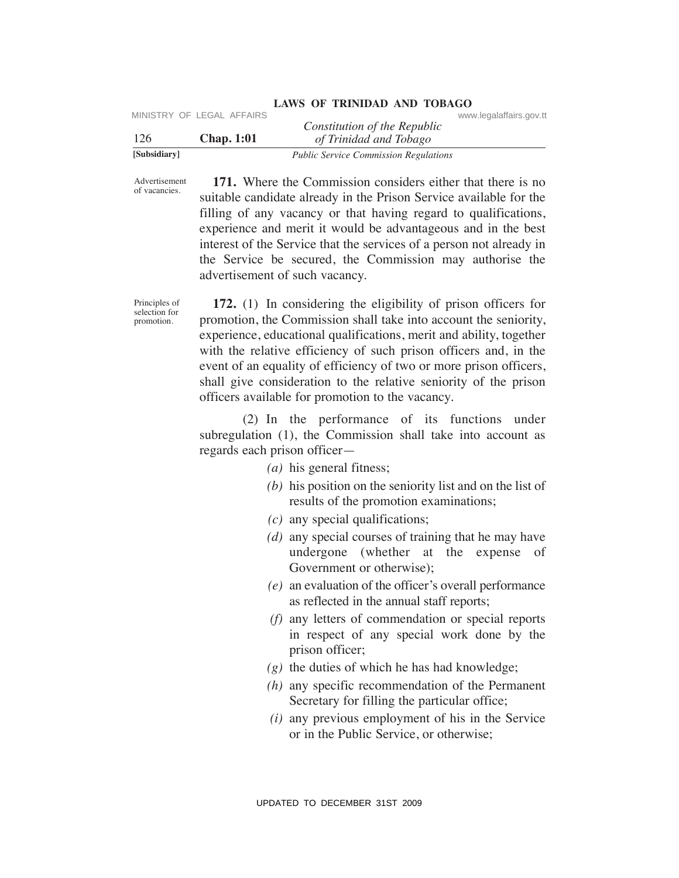| [Subsidiary] |                           | <b>Public Service Commission Regulations</b> |                         |
|--------------|---------------------------|----------------------------------------------|-------------------------|
| 126          | <b>Chap.</b> 1:01         | of Trinidad and Tobago                       |                         |
|              | MINISTRY OF LEGAL AFFAIRS | Constitution of the Republic                 | www.legalaffairs.gov.tt |

Advertisement of vacancies.

 **171.** Where the Commission considers either that there is no suitable candidate already in the Prison Service available for the filling of any vacancy or that having regard to qualifications, experience and merit it would be advantageous and in the best interest of the Service that the services of a person not already in the Service be secured, the Commission may authorise the advertisement of such vacancy.

Principles of selection for promotion.

 **172.** (1) In considering the eligibility of prison officers for promotion, the Commission shall take into account the seniority, experience, educational qualifications, merit and ability, together with the relative efficiency of such prison officers and, in the event of an equality of efficiency of two or more prison officers, shall give consideration to the relative seniority of the prison officers available for promotion to the vacancy. VIESTRY OF LEGAL AFFAIRS<br>
VIESTRO Constitution of the Repubblic<br>
TSubalitary<br>
Total of Traintin and Total regions<br>
of  $\sigma$ <br>
Standing Total regions Commission considers either that there is no<br>
systems.<br>
Standing cf any va

 (2) In the performance of its functions under subregulation (1), the Commission shall take into account as regards each prison officer—

- *(a)* his general fitness;
- *(b)* his position on the seniority list and on the list of results of the promotion examinations;
- *(c)* any special qualifications;
- *(d)* any special courses of training that he may have undergone (whether at the expense of Government or otherwise);
- *(e)* an evaluation of the officer's overall performance as reflected in the annual staff reports;
- *(f)* any letters of commendation or special reports in respect of any special work done by the prison officer;
- *(g)* the duties of which he has had knowledge;
- *(h)* any specific recommendation of the Permanent Secretary for filling the particular office;
- *(i)* any previous employment of his in the Service or in the Public Service, or otherwise;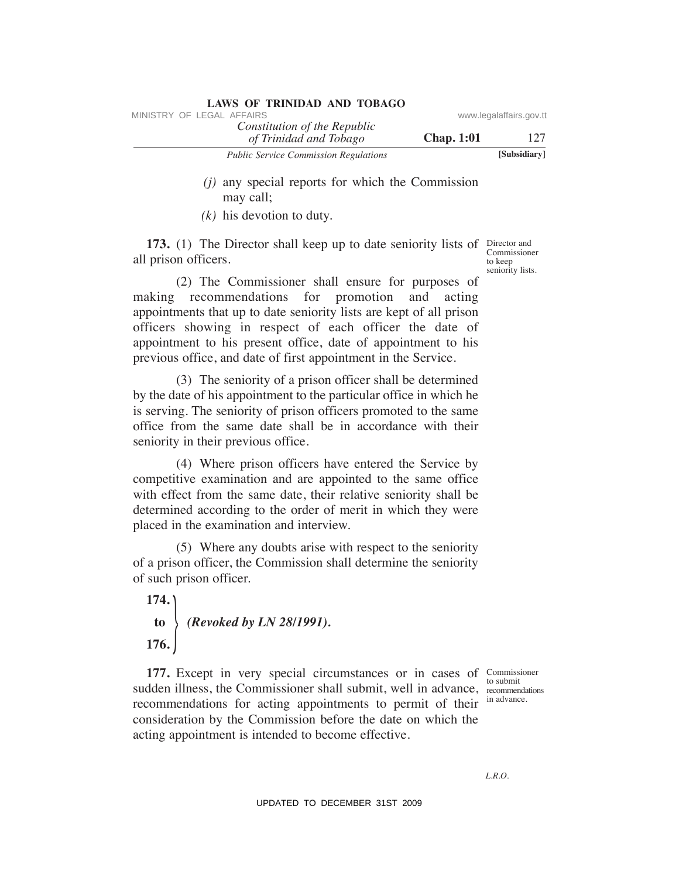| <b>LAWS OF TRINIDAD AND TOBAGO</b>                     |                   |                         |
|--------------------------------------------------------|-------------------|-------------------------|
| MINISTRY OF LEGAL AFFAIRS                              |                   | www.legalaffairs.gov.tt |
| Constitution of the Republic<br>of Trinidad and Tobago | <b>Chap.</b> 1:01 | 127                     |
| <b>Public Service Commission Regulations</b>           |                   | [Subsidiary]            |
|                                                        |                   |                         |

- *(j)* any special reports for which the Commission may call;
- *(k)* his devotion to duty.

**173.** (1) The Director shall keep up to date seniority lists of Director and Commissioner all prison officers.

 (2) The Commissioner shall ensure for purposes of making recommendations for promotion and acting appointments that up to date seniority lists are kept of all prison officers showing in respect of each officer the date of appointment to his present office, date of appointment to his previous office, and date of first appointment in the Service. VINESTRY OF LEGAL AFFAIRS:<br>
The Constitution of the Republic<br>
The Constitution of the Republic<br>
The Constitution of Registration<br>
(i) any special reports for which the Commission<br>
(i) any special reports for which the Com

 (3) The seniority of a prison officer shall be determined by the date of his appointment to the particular office in which he is serving. The seniority of prison officers promoted to the same office from the same date shall be in accordance with their seniority in their previous office.

 (4) Where prison officers have entered the Service by competitive examination and are appointed to the same office with effect from the same date, their relative seniority shall be determined according to the order of merit in which they were placed in the examination and interview.

 (5) Where any doubts arise with respect to the seniority of a prison officer, the Commission shall determine the seniority of such prison officer.

 **174. to** *(Revoked by LN 28/1991).*  $176.$ 

177. Except in very special circumstances or in cases of Commissioner sudden illness, the Commissioner shall submit, well in advance, recommendations recommendations for acting appointments to permit of their consideration by the Commission before the date on which the acting appointment is intended to become effective.

to submit in advance.

Director and to keep seniority lists.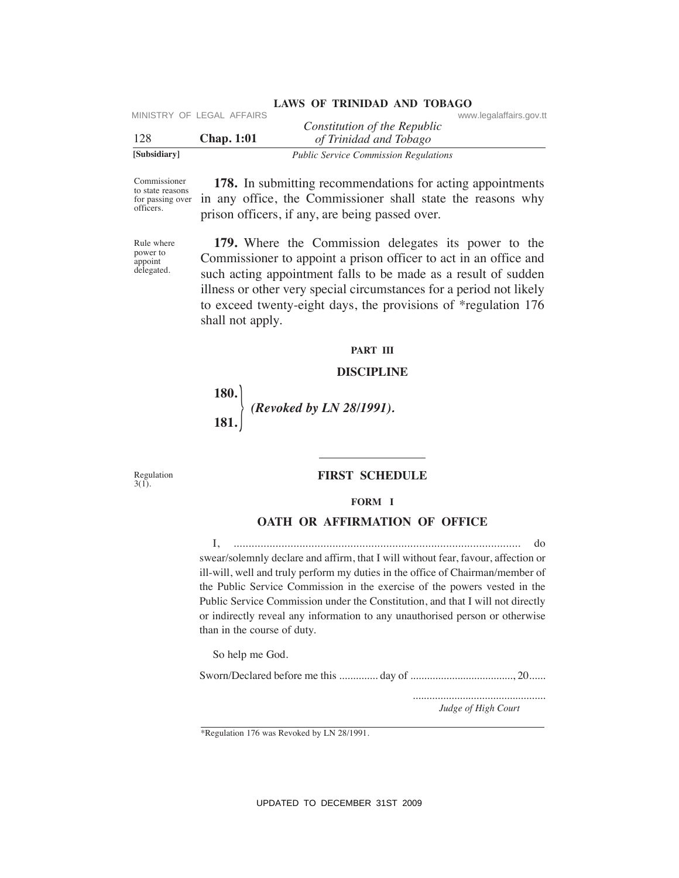| [Subsidiary] |                           | <b>Public Service Commission Regulations</b> |                         |
|--------------|---------------------------|----------------------------------------------|-------------------------|
| 128          | <b>Chap.</b> 1:01         | of Trinidad and Tobago                       |                         |
|              |                           | Constitution of the Republic                 |                         |
|              | MINISTRY OF LEGAL AFFAIRS |                                              | www.legalaffairs.gov.tt |

Commissioner to state reasons for passing over officers.

 **178.** In submitting recommendations for acting appointments in any office, the Commissioner shall state the reasons why prison officers, if any, are being passed over.

Rule where power to appoint delegated.

 **179.** Where the Commission delegates its power to the Commissioner to appoint a prison officer to act in an office and such acting appointment falls to be made as a result of sudden illness or other very special circumstances for a period not likely to exceed twenty-eight days, the provisions of \*regulation 176 shall not apply.

#### **PART III**

# **DISCIPLINe**

 **180. 181.**  } *(Revoked by LN 28/1991).*

Regulation  $3(1)$ .

# **FIRST SCheDuLe**

**FORM I**

# **OATH OR AFFIRMATION OF OFFICE**

 I, ................................................................................................ do swear/solemnly declare and affirm, that I will without fear, favour, affection or ill-will, well and truly perform my duties in the office of Chairman/member of the Public Service Commission in the exercise of the powers vested in the Public Service Commission under the Constitution, and that I will not directly or indirectly reveal any information to any unauthorised person or otherwise than in the course of duty. VIRTENT CONTINUESTRIP (Constitution of the Republic Constrains gov.tt<br>
128<br>
128<br>
128<br>
128<br>
129<br>
129<br>
129<br>
129<br>
129<br>
2008 Ministry recommendations for acting appointments<br>
commissions (TR. In authenting recommendations for

So help me God.

Sworn/Declared before me this .............. day of ....................................., 20......

*Judge of High Court* ................................................

\*Regulation 176 was Revoked by LN 28/1991.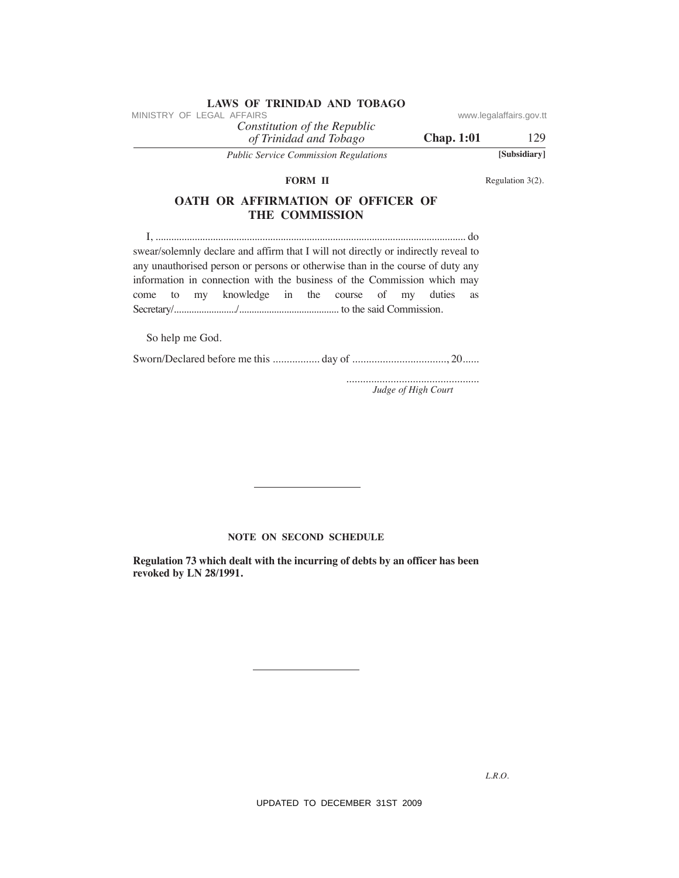|  |                     |  | <b>LAWS OF TRINIDAD AND TOBAGO</b> |          |
|--|---------------------|--|------------------------------------|----------|
|  | RY OF LEGAL AFFAIRS |  |                                    | www.lega |
|  |                     |  | Constitution of the Republic       |          |

**Chap. 1:01** 129

*of Trinidad and Tobago Public Service Commission Regulations* **[Subsidiary]**

#### **FORM II**

Regulation 3(2).

# **OATh OR AFFIRMATION OF OFFICeR OF The COMMISSION**

 I, ....................................................................................................................... do swear/solemnly declare and affirm that I will not directly or indirectly reveal to any unauthorised person or persons or otherwise than in the course of duty any information in connection with the business of the Commission which may come to my knowledge in the course of my duties as Secretary/........................./........................................ to the said Commission. VINESTRY OF LEGAL AFFAIRS of the Republic convention of the Republic convention of The Republic Constrains of The Constrains of Republic Constrains (2).<br>
The Republic Constrains of The Constrains of Republic Constrains (2

So help me God.

Sworn/Declared before me this ................. day of .................................., 20......

................................................ *Judge of High Court*

#### **NOTE ON SECOND SCHEDULE**

**Regulation 73 which dealt with the incurring of debts by an officer has been revoked by LN 28/1991.**

*L.R.O.*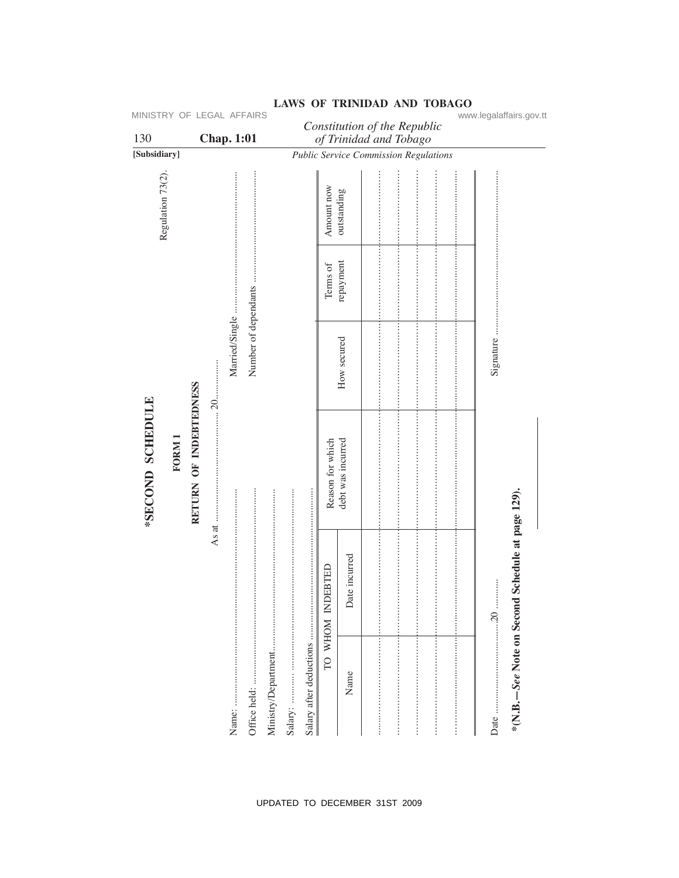| MINISTRY OF LEGAL AFFAIRS<br>130 |        |                        | <b>Chap. 1:01</b> |                |                      |                     |                         |                  | Constitution of the Republic<br>of Trinidad and Tobago |  |  | www.legalaffairs.gov.tt                          |  |
|----------------------------------|--------|------------------------|-------------------|----------------|----------------------|---------------------|-------------------------|------------------|--------------------------------------------------------|--|--|--------------------------------------------------|--|
| [Subsidiary]                     |        |                        |                   |                |                      |                     |                         |                  | <b>Public Service Commission Regulations</b>           |  |  |                                                  |  |
| Regulation 73(2).                |        |                        |                   |                |                      |                     |                         | Amount now       | outstanding                                            |  |  |                                                  |  |
|                                  |        |                        |                   |                |                      |                     |                         | Terms of         | repayment                                              |  |  |                                                  |  |
|                                  |        |                        |                   | Married/Single | Number of dependants |                     |                         |                  | How secured                                            |  |  | Signature                                        |  |
| *SECOND SCHEDULE                 | FORM 1 | RETURN OF INDEBTEDNESS | $\dots 20$ .      |                |                      |                     |                         | Reason for which | debt was incurred                                      |  |  |                                                  |  |
|                                  |        |                        | As at             |                |                      |                     |                         | TO WHOM INDEBTED | Date incurred                                          |  |  | *(N.B.-See Note on Second Schedule at page 129). |  |
|                                  |        |                        |                   |                | Office held:         | Ministry/Department | Salary after deductions |                  | Name                                                   |  |  |                                                  |  |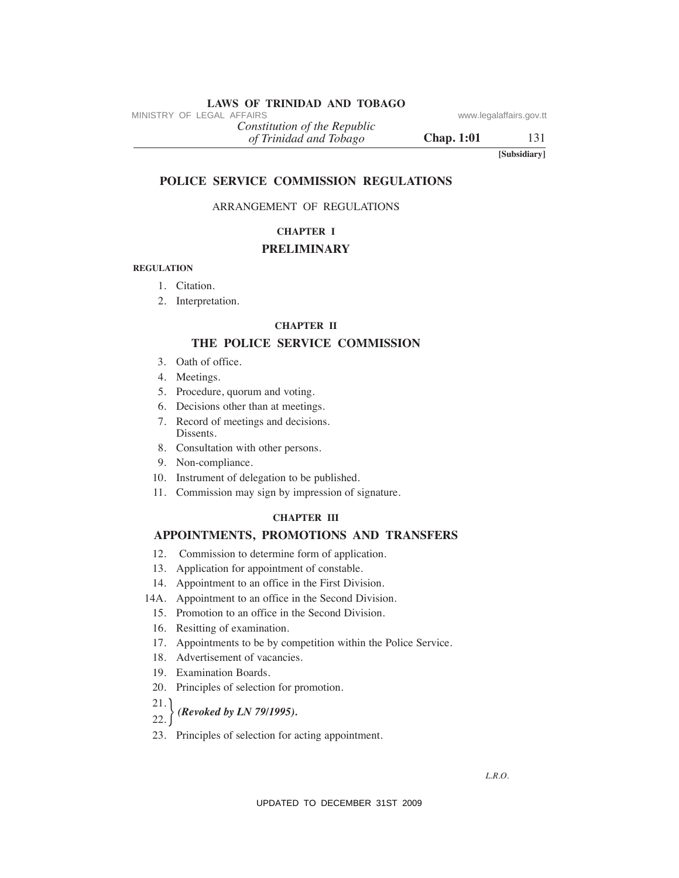# **LAWS OF TRINIDAD AND TOBAGO**<br>MINISTRY OF LEGAL AFFAIRS

*of Trinidad and Tobago Constitution of the Republic* MINISTRY OF LEGAL AFFAIRS<br>
(a) Trinidad and Tabago<br>
(a) Trinidad and Tabago<br>
(a) Trinidad and Tabago<br>
(B) Chap. 1:01<br>
TO LICE SERVICE COMMISSION REGULATIONS<br>
(B) Subsidium)<br>
POLICE SERVICE COMMISSION REGULATIONS<br>
(B) CHAP

**Chap. 1:01** 131

**[Subsidiary]**

#### **POLICe SeRVICe COMMISSION ReGuLATIONS**

# ARRANGEMENT OF REGULATIONS

# **ChAPTeR I**

# **PReLIMINARY**

#### **ReGuLATION**

- 1. Citation.
- 2. Interpretation.

#### **ChAPTeR II**

# **The POLICe SeRVICe COMMISSION**

- 3. Oath of office.
- 4. Meetings.
- 5. Procedure, quorum and voting.
- 6. Decisions other than at meetings.
- 7. Record of meetings and decisions. Dissents.
- 8. Consultation with other persons.
- 9. Non-compliance.
- 10. Instrument of delegation to be published.
- 11. Commission may sign by impression of signature.

#### **ChAPTeR III**

#### **APPOINTMeNTS, PROMOTIONS AND TRANSFeRS**

- 12. Commission to determine form of application.
- 13. Application for appointment of constable.
- 14. Appointment to an office in the First Division.
- 14A. Appointment to an office in the Second Division.
	- 15. Promotion to an office in the Second Division.
	- 16. Resitting of examination.
	- 17. Appointments to be by competition within the Police Service.
	- 18. Advertisement of vacancies.
	- 19. Examination Boards.
- 20. Principles of selection for promotion.
- 21.
- $22.$   $\int$ } *(Revoked by LN 79/1995).*
- 23. Principles of selection for acting appointment.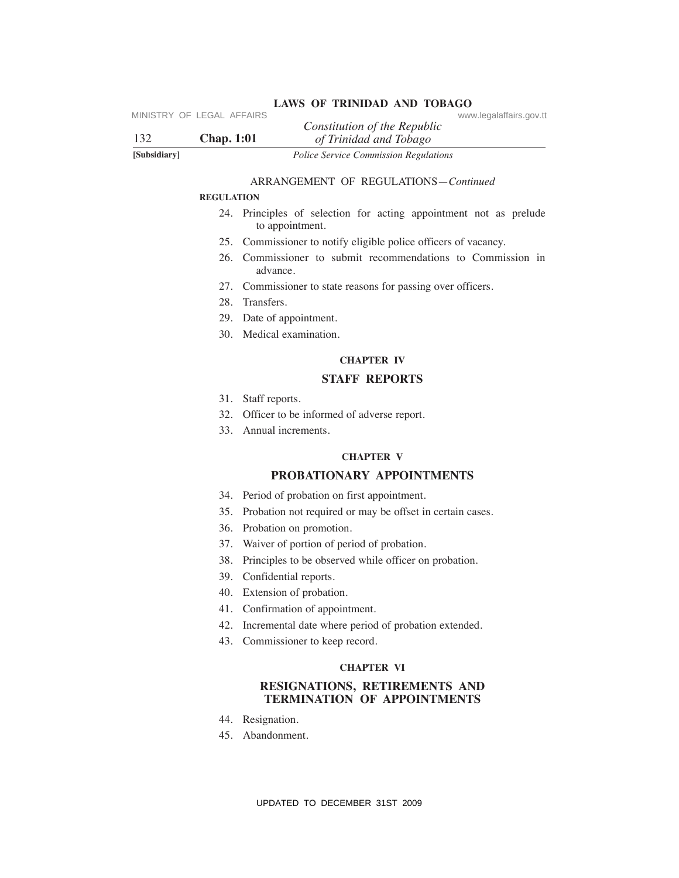| 132          | <b>Chap.</b> 1:01 | www.legalaffairs.gov.tt<br>Constitution of the Republic<br>of Trinidad and Tobago    |
|--------------|-------------------|--------------------------------------------------------------------------------------|
| [Subsidiary] |                   | Police Service Commission Regulations                                                |
|              |                   | ARRANGEMENT OF REGULATIONS-Continued                                                 |
|              | <b>REGULATION</b> |                                                                                      |
|              |                   | 24. Principles of selection for acting appointment not as prelude<br>to appointment. |
|              | 25.               | Commissioner to notify eligible police officers of vacancy.                          |
|              |                   | 26. Commissioner to submit recommendations to Commission in<br>advance.              |
|              |                   | 27. Commissioner to state reasons for passing over officers.                         |
|              |                   | 28. Transfers.                                                                       |
|              |                   | 29. Date of appointment.                                                             |
|              |                   | 30. Medical examination.                                                             |
|              |                   | <b>CHAPTER IV</b>                                                                    |
|              |                   | <b>STAFF REPORTS</b>                                                                 |
|              | 31.               | Staff reports.                                                                       |
|              | 32.               | Officer to be informed of adverse report.                                            |
|              |                   | 33. Annual increments.                                                               |
|              |                   | <b>CHAPTER V</b>                                                                     |
|              |                   | PROBATIONARY APPOINTMENTS                                                            |
|              |                   | 34. Period of probation on first appointment.                                        |
|              |                   | 35. Probation not required or may be offset in certain cases.                        |
|              |                   | 36. Probation on promotion.                                                          |
|              |                   | 37. Waiver of portion of period of probation.                                        |
|              | 38.               | Principles to be observed while officer on probation.                                |
|              |                   | 39. Confidential reports.                                                            |
|              |                   | 40. Extension of probation.                                                          |
|              |                   | 41. Confirmation of appointment.                                                     |
|              |                   | 42. Incremental date where period of probation extended.                             |
|              |                   | 43. Commissioner to keep record.                                                     |
|              |                   | <b>CHAPTER VI</b>                                                                    |
|              |                   | RESIGNATIONS, RETIREMENTS AND<br><b>TERMINATION OF APPOINTMENTS</b>                  |
|              |                   | 44. Resignation.                                                                     |
|              |                   | 45. Abandonment.                                                                     |
|              |                   |                                                                                      |
|              |                   | UPDATED TO DECEMBER 31ST 2009                                                        |

# ARRANGEMENT OF REGULATIONS—*Continued*

#### **ReGuLATION**

- 24. Principles of selection for acting appointment not as prelude to appointment.
- 25. Commissioner to notify eligible police officers of vacancy.
- 26. Commissioner to submit recommendations to Commission in advance.
- 27. Commissioner to state reasons for passing over officers.
- 28. Transfers.
- 29. Date of appointment.
- 30. Medical examination.

# **ChAPTeR IV**

# **STAFF RePORTS**

- 31. Staff reports.
- 32. Officer to be informed of adverse report.
- 33. Annual increments.

# **ChAPTeR V**

# **PROBATIONARY APPOINTMeNTS**

- 34. Period of probation on first appointment.
- 35. Probation not required or may be offset in certain cases.
- 36. Probation on promotion.
- 37. Waiver of portion of period of probation.
- 38. Principles to be observed while officer on probation.
- 39. Confidential reports.
- 40. Extension of probation.
- 41. Confirmation of appointment.
- 42. Incremental date where period of probation extended.
- 43. Commissioner to keep record.

#### **ChAPTeR VI**

#### **ReSIGNATIONS, ReTIReMeNTS AND TeRMINATION OF APPOINTMeNTS**

- 44. Resignation.
- 45. Abandonment.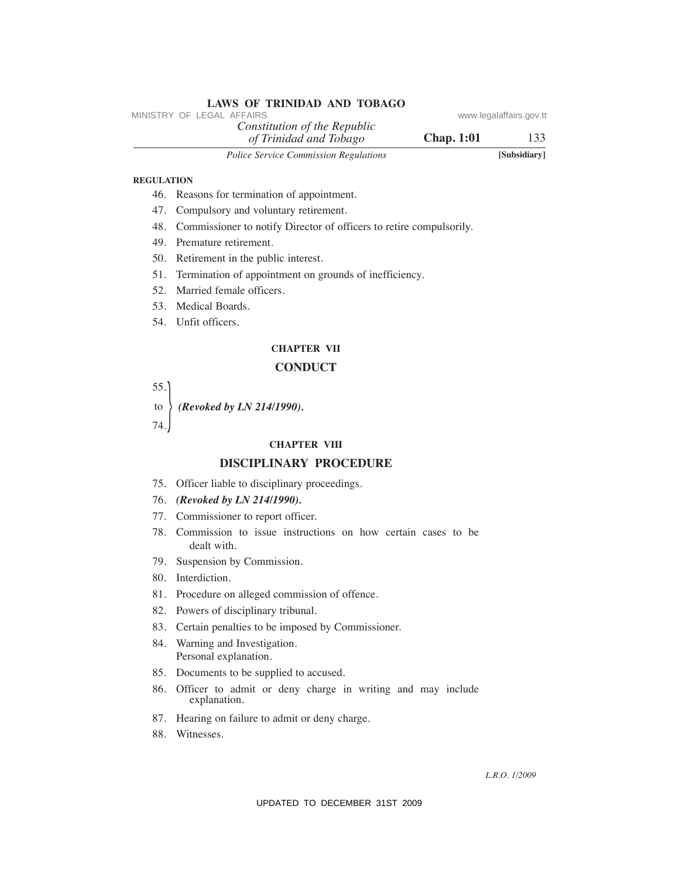|                   | LAWS OF INIMIDAD AND TODAGO<br>MINISTRY OF LEGAL AFFAIRS                       | www.legalaffairs.gov.tt |
|-------------------|--------------------------------------------------------------------------------|-------------------------|
|                   | Constitution of the Republic<br><b>Chap. 1:01</b><br>of Trinidad and Tobago    | 133                     |
|                   | Police Service Commission Regulations                                          | [Subsidiary]            |
| <b>REGULATION</b> |                                                                                |                         |
|                   | 46. Reasons for termination of appointment.                                    |                         |
|                   | 47. Compulsory and voluntary retirement.                                       |                         |
|                   | 48. Commissioner to notify Director of officers to retire compulsorily.        |                         |
|                   | 49. Premature retirement.                                                      |                         |
|                   | 50. Retirement in the public interest.                                         |                         |
| 51.               | Termination of appointment on grounds of inefficiency.                         |                         |
|                   | 52. Married female officers.                                                   |                         |
|                   | 53. Medical Boards.                                                            |                         |
|                   | 54. Unfit officers.                                                            |                         |
|                   | <b>CHAPTER VII</b>                                                             |                         |
|                   | <b>CONDUCT</b>                                                                 |                         |
| 55.               |                                                                                |                         |
| to                | (Revoked by LN 214/1990).                                                      |                         |
| 74.               |                                                                                |                         |
|                   | <b>CHAPTER VIII</b>                                                            |                         |
|                   | <b>DISCIPLINARY PROCEDURE</b>                                                  |                         |
|                   | 75. Officer liable to disciplinary proceedings.                                |                         |
|                   | 76. (Revoked by LN 214/1990).                                                  |                         |
|                   | 77. Commissioner to report officer.                                            |                         |
| 78.               | Commission to issue instructions on how certain cases to be<br>dealt with.     |                         |
|                   | 79. Suspension by Commission.                                                  |                         |
| 80.               | Interdiction.                                                                  |                         |
|                   | 81. Procedure on alleged commission of offence.                                |                         |
|                   | 82. Powers of disciplinary tribunal.                                           |                         |
| 83.               | Certain penalties to be imposed by Commissioner.                               |                         |
|                   | 84. Warning and Investigation.<br>Personal explanation.                        |                         |
|                   | 85. Documents to be supplied to accused.                                       |                         |
|                   | 86. Officer to admit or deny charge in writing and may include<br>explanation. |                         |
| 87.               | Hearing on failure to admit or deny charge.                                    |                         |
| 88.               | Witnesses.                                                                     |                         |
|                   |                                                                                |                         |
|                   |                                                                                | L.R.O. 1/2009           |
|                   | UPDATED TO DECEMBER 31ST 2009                                                  |                         |

# **ReGuLATION**

- 46. Reasons for termination of appointment.
- 47. Compulsory and voluntary retirement.
- 48. Commissioner to notify Director of officers to retire compulsorily.

**LAWS OF TRINIDAD AND TOBAGO**

- 51. Termination of appointment on grounds of inefficiency.
- 52. Married female officers.
- 53. Medical Boards.
- 54. Unfit officers.

# **ChAPTeR VII**

# **CONDuCT**

#### **ChAPTeR VIII**

# **DISCIPLINARY PROCeDuRe**

#### 76. *(Revoked by LN 214/1990).*

- 77. Commissioner to report officer.
- 78. Commission to issue instructions on how certain cases to be dealt with.
- 79. Suspension by Commission.
- 80. Interdiction.
- 81. Procedure on alleged commission of offence.
- 82. Powers of disciplinary tribunal.
- 83. Certain penalties to be imposed by Commissioner.
- 84. Warning and Investigation. Personal explanation.
- 85. Documents to be supplied to accused.
- 86. Officer to admit or deny charge in writing and may include explanation.
- 87. Hearing on failure to admit or deny charge.
- 88. Witnesses.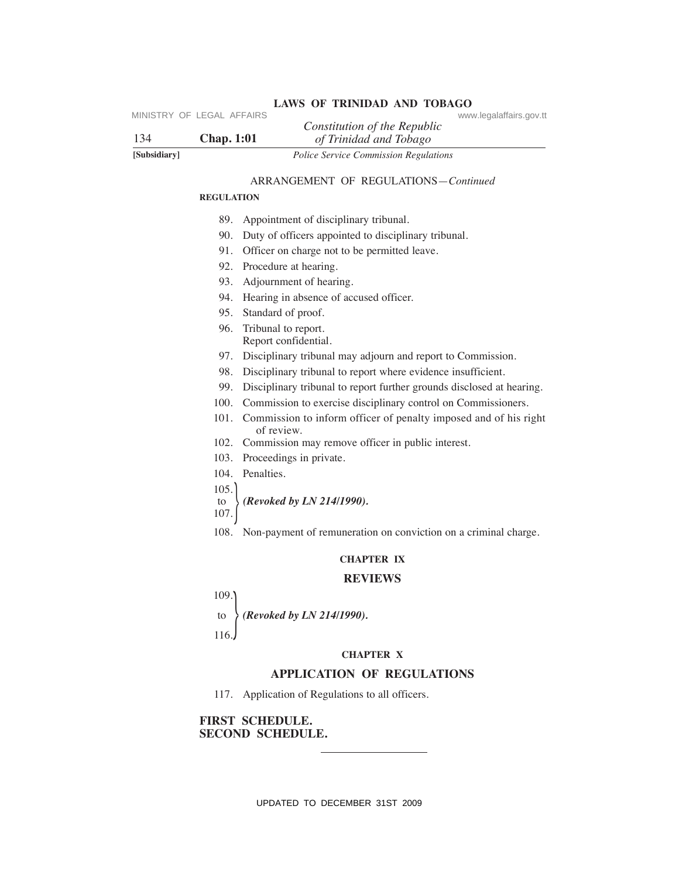| 134          | Constitution of the Republic<br><b>Chap.</b> 1:01<br>of Trinidad and Tobago         |
|--------------|-------------------------------------------------------------------------------------|
| [Subsidiary] | Police Service Commission Regulations                                               |
|              | ARRANGEMENT OF REGULATIONS-Continued                                                |
|              | <b>REGULATION</b>                                                                   |
|              |                                                                                     |
|              | Appointment of disciplinary tribunal.<br>89.                                        |
|              | 90. Duty of officers appointed to disciplinary tribunal.                            |
|              | 91. Officer on charge not to be permitted leave.                                    |
|              | Procedure at hearing.<br>92.                                                        |
|              | 93. Adjournment of hearing.                                                         |
|              | 94. Hearing in absence of accused officer.                                          |
|              | 95. Standard of proof.                                                              |
|              | 96. Tribunal to report.<br>Report confidential.                                     |
|              | 97. Disciplinary tribunal may adjourn and report to Commission.                     |
|              | 98. Disciplinary tribunal to report where evidence insufficient.                    |
|              | 99. Disciplinary tribunal to report further grounds disclosed at hearing.           |
|              | 100. Commission to exercise disciplinary control on Commissioners.                  |
|              | 101. Commission to inform officer of penalty imposed and of his right<br>of review. |
|              | 102. Commission may remove officer in public interest.                              |
|              | 103. Proceedings in private.                                                        |
|              | 104. Penalties.                                                                     |
|              | 105.                                                                                |
|              | (Revoked by LN 214/1990).<br>to<br>107.                                             |
|              | 108. Non-payment of remuneration on conviction on a criminal charge.                |
|              | <b>CHAPTER IX</b>                                                                   |
|              | <b>REVIEWS</b>                                                                      |
|              | 109.                                                                                |
|              | $\langle$ (Revoked by LN 214/1990).<br>to                                           |
|              | 116.                                                                                |
|              | <b>CHAPTER X</b>                                                                    |
|              | <b>APPLICATION OF REGULATIONS</b>                                                   |
|              | 117. Application of Regulations to all officers.                                    |
|              |                                                                                     |
|              | FIRST SCHEDULE.<br><b>SECOND SCHEDULE.</b>                                          |
|              |                                                                                     |
|              | UPDATED TO DECEMBER 31ST 2009                                                       |

#### ARRANGEMENT OF REGULATIONS—*Continued*

#### **ReGuLATION**

- 89. Appointment of disciplinary tribunal.
- 90. Duty of officers appointed to disciplinary tribunal.
- 91. Officer on charge not to be permitted leave.
- 92. Procedure at hearing.
- 93. Adjournment of hearing.
- 94. Hearing in absence of accused officer.
- 95. Standard of proof.
- 96. Tribunal to report. Report confidential.
- 97. Disciplinary tribunal may adjourn and report to Commission.
- 98. Disciplinary tribunal to report where evidence insufficient.
- 99. Disciplinary tribunal to report further grounds disclosed at hearing.
- 100. Commission to exercise disciplinary control on Commissioners.
- 101. Commission to inform officer of penalty imposed and of his right of review.
- 102. Commission may remove officer in public interest.
- 103. Proceedings in private.
- 104. Penalties.
- $105.$
- to *(Revoked by LN 214/1990).*
- $107.$ 
	- 108. Non-payment of remuneration on conviction on a criminal charge.

# **ChAPTeR IX**

#### **ReVIeWS**

#### **ChAPTeR X**

#### **APPLICATION OF ReGuLATIONS**

# **FIRST SCheDuLe. SECOND SCHEDULE.**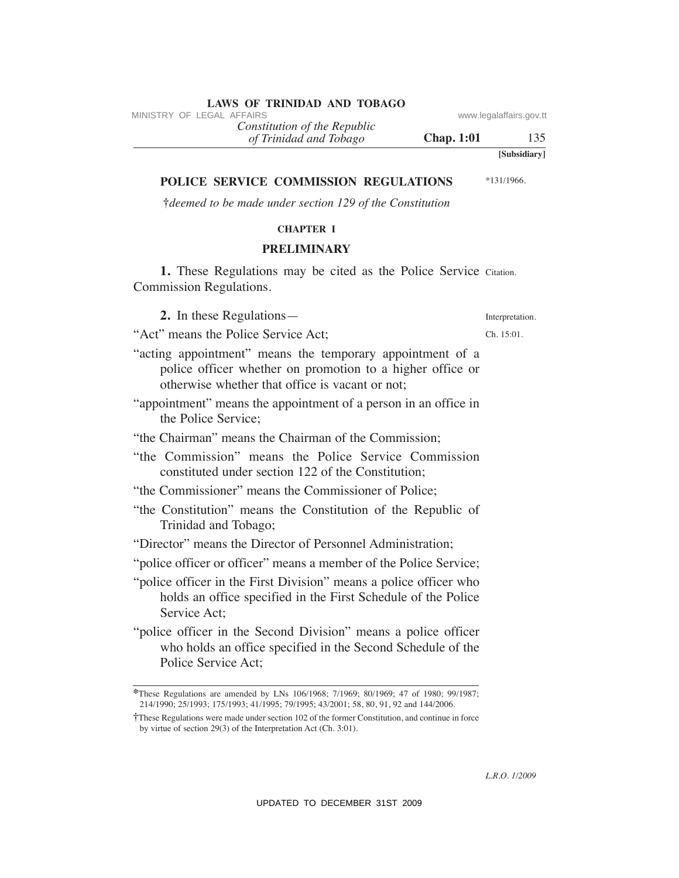"acting appointment" means the temporary appointment of a police officer whether on promotion to a higher office or

- "appointment" means the appointment of a person in an office in the Police Service;
- "the Chairman" means the Chairman of the Commission;

otherwise whether that office is vacant or not;

- "the Commission" means the Police Service Commission constituted under section 122 of the Constitution;
- "the Commissioner" means the Commissioner of Police;
- "the Constitution" means the Constitution of the Republic of Trinidad and Tobago;
- "Director" means the Director of Personnel Administration;
- "police officer or officer" means a member of the Police Service;
- "police officer in the First Division" means a police officer who holds an office specified in the First Schedule of the Police Service Act;
- "police officer in the Second Division" means a police officer who holds an office specified in the Second Schedule of the Police Service Act;

*of Trinidad and Tobago Constitution of the Republic*

**POLICe SeRVICe COMMISSION ReGuLATIONS †***deemed to be made under section 129 of the Constitution* **ChAPTeR I** VINESTRY OF LEGAL AFFAIRS<br>
(*If Trinidad and Tribago*<br>
(*If Trinidad and Tribago*<br>
(*UPDATEC COMMISSION REGULATIONS* via the properties of the constitution<br>
TOLICE SERVICE COMMISSION REGULATIONS via the properties of the

# **PReLIMINARY**

1. These Regulations may be cited as the Police Service Citation. Commission Regulations.

**2.** In these Regulations—

"Act" means the Police Service Act;

# **LAWS OF TRINIDAD AND TOBAGO**<br>MINISTRY OF LEGAL AFFAIRS

**Chap. 1:01** 135

\*131/1966.

**[Subsidiary]**

Interpretation. Ch. 15:01.

**<sup>\*</sup>**These Regulations are amended by LNs 106/1968; 7/1969; 80/1969; 47 of 1980; 99/1987; 214/1990; 25/1993; 175/1993; 41/1995; 79/1995; 43/2001; 58, 80, 91, 92 and 144/2006.

**<sup>†</sup>**These Regulations were made under section 102 of the former Constitution, and continue in force by virtue of section 29(3) of the Interpretation Act (Ch. 3:01).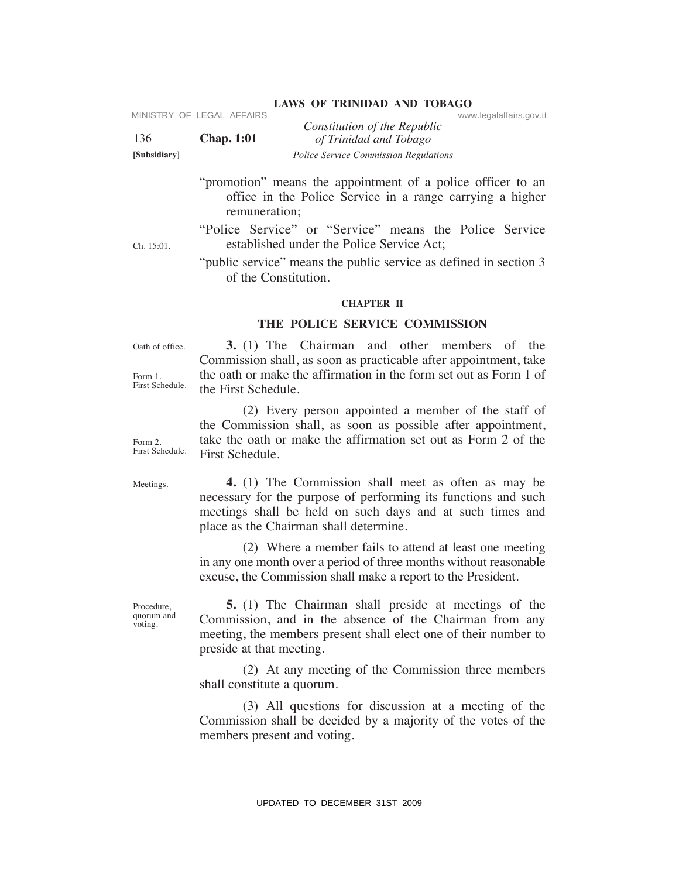| [Subsidiary] |                           | <b>Police Service Commission Regulations</b> |                         |
|--------------|---------------------------|----------------------------------------------|-------------------------|
| -136         | <b>Chap.</b> 1:01         | of Trinidad and Tobago                       |                         |
|              |                           | Constitution of the Republic                 |                         |
|              | MINISTRY OF LEGAL AFFAIRS |                                              | www.legalaffairs.gov.tt |

"promotion" means the appointment of a police officer to an office in the Police Service in a range carrying a higher remuneration;

**LAWS OF TRINIDAD AND TOBAGO**

"Police Service" or "Service" means the Police Service established under the Police Service Act;

"public service" means the public service as defined in section 3 of the Constitution.

#### **ChAPTeR II**

# **The POLICe SeRVICe COMMISSION**

Oath of office.

Ch. 15:01.

Form 1. First Schedule.

 **3.** (1) The Chairman and other members of the Commission shall, as soon as practicable after appointment, take the oath or make the affirmation in the form set out as Form 1 of the First Schedule.

 (2) Every person appointed a member of the staff of the Commission shall, as soon as possible after appointment, take the oath or make the affirmation set out as Form 2 of the First Schedule. VIESTRY OF LEGAL AFFAIRS<br>
VIESTRO Constitution of the Repubblic<br>
Total of Traited and Tobing or<br>
Total of Traited and Total of Traited and Total of Traited Service Communistance<br>
"promotion" means the appointment of a pol

Meetings.

Form 2. First Schedule.

> **4.** (1) The Commission shall meet as often as may be necessary for the purpose of performing its functions and such meetings shall be held on such days and at such times and place as the Chairman shall determine.

> (2) Where a member fails to attend at least one meeting in any one month over a period of three months without reasonable excuse, the Commission shall make a report to the President.

Procedure, quorum and voting.

 **5.** (1) The Chairman shall preside at meetings of the Commission, and in the absence of the Chairman from any meeting, the members present shall elect one of their number to preside at that meeting.

 (2) At any meeting of the Commission three members shall constitute a quorum.

 (3) All questions for discussion at a meeting of the Commission shall be decided by a majority of the votes of the members present and voting.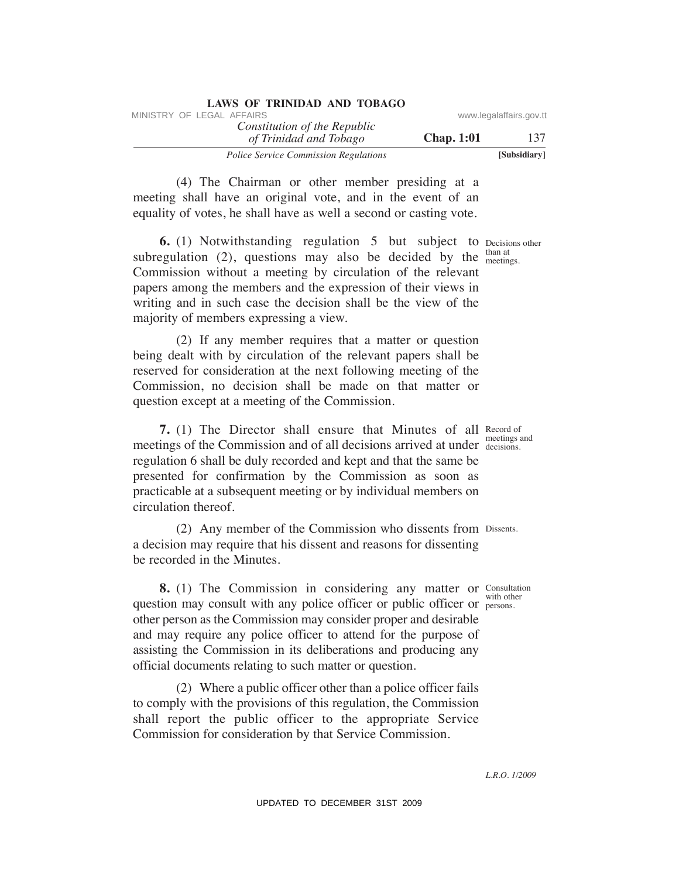| LAWS OF ININIDAD AND TODAGO                            |                   |                         |
|--------------------------------------------------------|-------------------|-------------------------|
| MINISTRY OF LEGAL AFFAIRS                              |                   | www.legalaffairs.gov.tt |
| Constitution of the Republic<br>of Trinidad and Tobago | <b>Chap.</b> 1:01 | 137                     |
| <b>Police Service Commission Regulations</b>           |                   | [Subsidiary]            |

 (4) The Chairman or other member presiding at a meeting shall have an original vote, and in the event of an equality of votes, he shall have as well a second or casting vote.

**LAWS OF TRINIDAD AND TOBAGO**

**6.** (1) Notwithstanding regulation 5 but subject to Decisions other subregulation (2), questions may also be decided by the  $t_{\text{meetin}}$ Commission without a meeting by circulation of the relevant papers among the members and the expression of their views in writing and in such case the decision shall be the view of the majority of members expressing a view.

 (2) If any member requires that a matter or question being dealt with by circulation of the relevant papers shall be reserved for consideration at the next following meeting of the Commission, no decision shall be made on that matter or question except at a meeting of the Commission.

**7.** (1) The Director shall ensure that Minutes of all Record of meetings of the Commission and of all decisions arrived at under decisions. regulation 6 shall be duly recorded and kept and that the same be presented for confirmation by the Commission as soon as practicable at a subsequent meeting or by individual members on circulation thereof.

 (2) Any member of the Commission who dissents from Dissents. a decision may require that his dissent and reasons for dissenting be recorded in the Minutes.

**8.** (1) The Commission in considering any matter or Consultation question may consult with any police officer or public officer or persons. other person as the Commission may consider proper and desirable and may require any police officer to attend for the purpose of assisting the Commission in its deliberations and producing any official documents relating to such matter or question. SINETRY OF LEGAL AFFAIRS:<br>
The Constitution of the Republic consumer presiding of the Republic and Thrigger<br>
7 Police Street Commission Regalators (4) The Chairman or other member presiding at a sequential and three an or

 (2) Where a public officer other than a police officer fails to comply with the provisions of this regulation, the Commission shall report the public officer to the appropriate Service Commission for consideration by that Service Commission.

meetings.

decisions.

persons.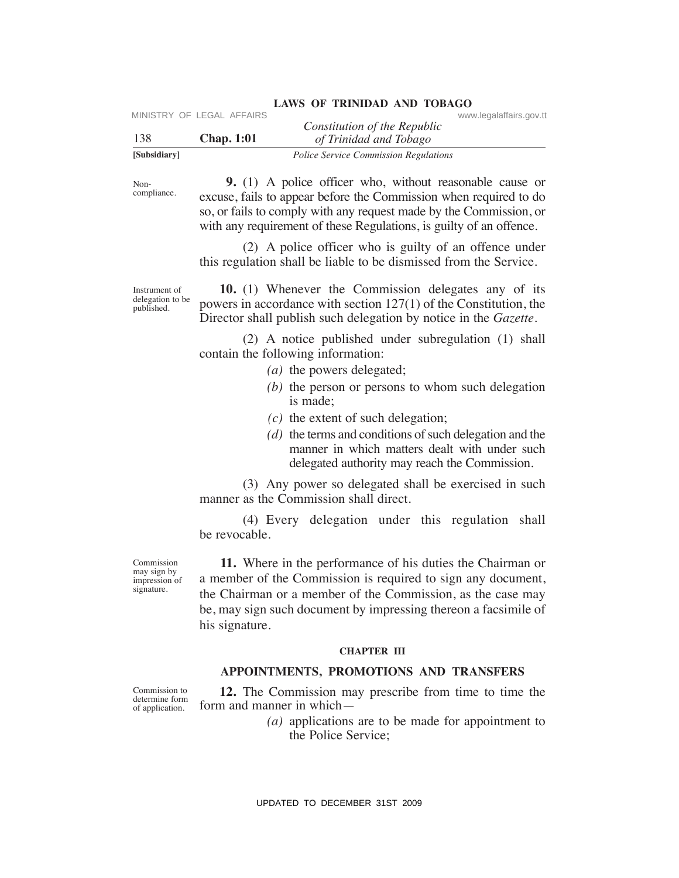| [Subsidiary] |                           | <i>Police Service Commission Regulations</i> |                         |
|--------------|---------------------------|----------------------------------------------|-------------------------|
| 138          | <b>Chap.</b> 1:01         | of Trinidad and Tobago                       |                         |
|              | MINISTRY OF LEGAL AFFAIRS | Constitution of the Republic                 | www.legalaffairs.gov.tt |

Noncompliance.

 **9.** (1) A police officer who, without reasonable cause or excuse, fails to appear before the Commission when required to do so, or fails to comply with any request made by the Commission, or with any requirement of these Regulations, is guilty of an offence.

 (2) A police officer who is guilty of an offence under this regulation shall be liable to be dismissed from the Service.

Instrument of delegation to be published.

 **10.** (1) Whenever the Commission delegates any of its powers in accordance with section 127(1) of the Constitution, the Director shall publish such delegation by notice in the *Gazette.* 

 (2) A notice published under subregulation (1) shall contain the following information:

- *(a)* the powers delegated;
- *(b)* the person or persons to whom such delegation is made;
- *(c)* the extent of such delegation;
- *(d)* the terms and conditions of such delegation and the manner in which matters dealt with under such delegated authority may reach the Commission.

 (3) Any power so delegated shall be exercised in such manner as the Commission shall direct.

 (4) Every delegation under this regulation shall be revocable.

Commission may sign by impression of signature.

 **11.** Where in the performance of his duties the Chairman or a member of the Commission is required to sign any document, the Chairman or a member of the Commission, as the case may be, may sign such document by impressing thereon a facsimile of his signature. VINETHY OF LEGAL AFFAIRS<br>
USBN 2008 Constitution of the Repubblic<br>
138<br>
ISBN 2008 Constrained Thinks to appear the commission Regulations<br>
New theorem (also Note of Hier Oromassion Negations) when required to do<br>
so, or f

#### **ChAPTeR III**

# **APPOINTMeNTS, PROMOTIONS AND TRANSFeRS**

Commission to determine form of application.

 **12.** The Commission may prescribe from time to time the form and manner in which—

> *(a)* applications are to be made for appointment to the Police Service;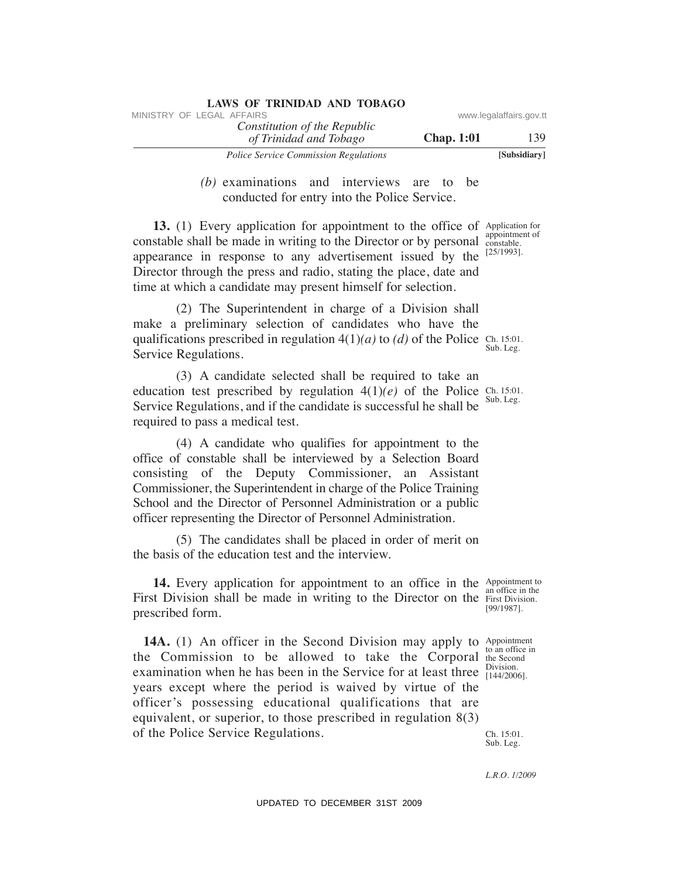| <b>LAWS OF TRINIDAD AND TOBAGO</b>                     |                   |                         |
|--------------------------------------------------------|-------------------|-------------------------|
| MINISTRY OF LEGAL AFFAIRS                              |                   | www.legalaffairs.gov.tt |
| Constitution of the Republic<br>of Trinidad and Tobago | <b>Chap.</b> 1:01 | 139                     |
| <b>Police Service Commission Regulations</b>           |                   | [Subsidiary]            |

 *(b)* examinations and interviews are to be conducted for entry into the Police Service.

**13.** (1) Every application for appointment to the office of Application for appearance in response to any advertisement issued by the  $[25/1993]$ . constable shall be made in writing to the Director or by personal Director through the press and radio, stating the place, date and time at which a candidate may present himself for selection.

qualifications prescribed in regulation  $4(1)(a)$  to *(d)* of the Police Ch. 15:01. Sub. Leg. (2) The Superintendent in charge of a Division shall make a preliminary selection of candidates who have the Service Regulations.

education test prescribed by regulation  $4(1)(e)$  of the Police Ch. 15:01. (3) A candidate selected shall be required to take an Service Regulations, and if the candidate is successful he shall be required to pass a medical test.

 (4) A candidate who qualifies for appointment to the office of constable shall be interviewed by a Selection Board consisting of the Deputy Commissioner, an Assistant Commissioner, the Superintendent in charge of the Police Training School and the Director of Personnel Administration or a public officer representing the Director of Personnel Administration.

 (5) The candidates shall be placed in order of merit on the basis of the education test and the interview.

**14.** Every application for appointment to an office in the Appointment to First Division shall be made in writing to the Director on the First Division. prescribed form.

**14A.** (1) An officer in the Second Division may apply to Appointment the Commission to be allowed to take the Corporal the Second examination when he has been in the Service for at least three  $\frac{\text{Division}}{\left[144/2006\right]}$ . Ch. 15:01. Sub. Leg. years except where the period is waived by virtue of the officer's possessing educational qualifications that are equivalent, or superior, to those prescribed in regulation 8(3) of the Police Service Regulations. VINESTRY OF LEGAL AFFAIRS:<br>
VINESTRY OF LEGAL AFFAIRS (THE CONSIDERATION (THE CONSIDERATION TO DESCRIPT THE TOWER STANDS (b) CARRIFINITION (b) CARRIFINITION (b) CARRIFINITION (b) CARRIFINITION (and the Consideration for a

an office in the [99/1987].

to an office in Division.

*L.R.O. 1/2009*

appointment of constable.

Sub. Leg.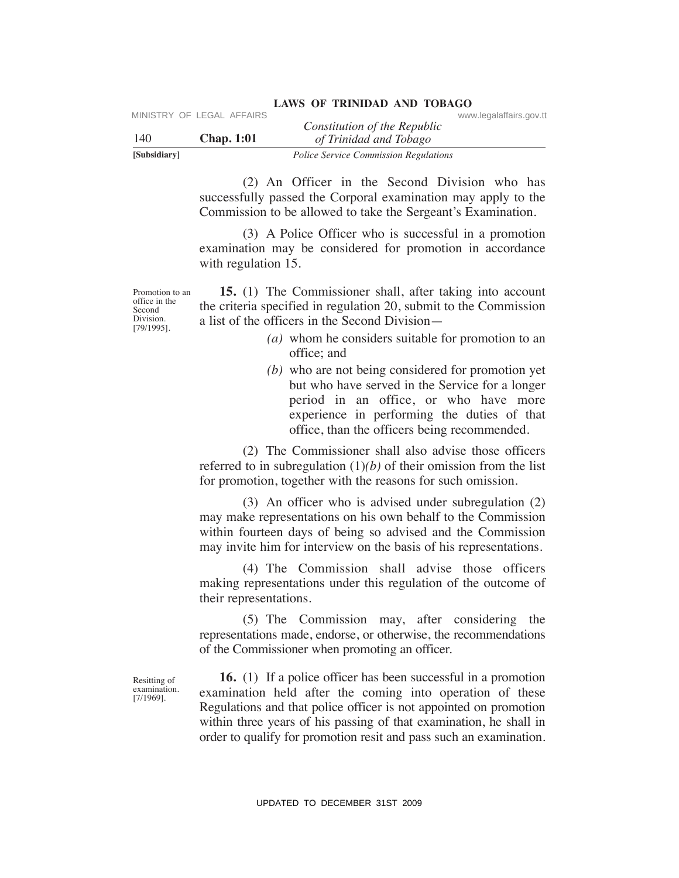| [Subsidiary] |                           | <i>Police Service Commission Regulations</i> |                         |  |
|--------------|---------------------------|----------------------------------------------|-------------------------|--|
| 140          | Chap. 1:01                | of Trinidad and Tobago                       |                         |  |
|              |                           | Constitution of the Republic                 |                         |  |
|              | MINISTRY OF LEGAL AFFAIRS |                                              | www.legalaffairs.gov.tt |  |

 (2) An Officer in the Second Division who has successfully passed the Corporal examination may apply to the Commission to be allowed to take the Sergeant's Examination.

 (3) A Police Officer who is successful in a promotion examination may be considered for promotion in accordance with regulation 15.

Promotion to an office in the Second Division. [79/1995].

 **15.** (1) The Commissioner shall, after taking into account the criteria specified in regulation 20, submit to the Commission a list of the officers in the Second Division—

- *(a)* whom he considers suitable for promotion to an office; and
- *(b)* who are not being considered for promotion yet but who have served in the Service for a longer period in an office, or who have more experience in performing the duties of that office, than the officers being recommended.

 (2) The Commissioner shall also advise those officers referred to in subregulation  $(1)(b)$  of their omission from the list for promotion, together with the reasons for such omission.

 (3) An officer who is advised under subregulation (2) may make representations on his own behalf to the Commission within fourteen days of being so advised and the Commission may invite him for interview on the basis of his representations.

 (4) The Commission shall advise those officers making representations under this regulation of the outcome of their representations.

 (5) The Commission may, after considering the representations made, endorse, or otherwise, the recommendations of the Commissioner when promoting an officer.

Resitting of examination. [7/1969].

 **16.** (1) If a police officer has been successful in a promotion examination held after the coming into operation of these Regulations and that police officer is not appointed on promotion within three years of his passing of that examination, he shall in order to qualify for promotion resit and pass such an examination. VIRETRY OF LEGAL AFFAIRS Constitution of the Republic Constitution of the Republic System (2) An Officer in the Second Division who has successfully passed the Corporate Systems and papel violine of the Second Division wa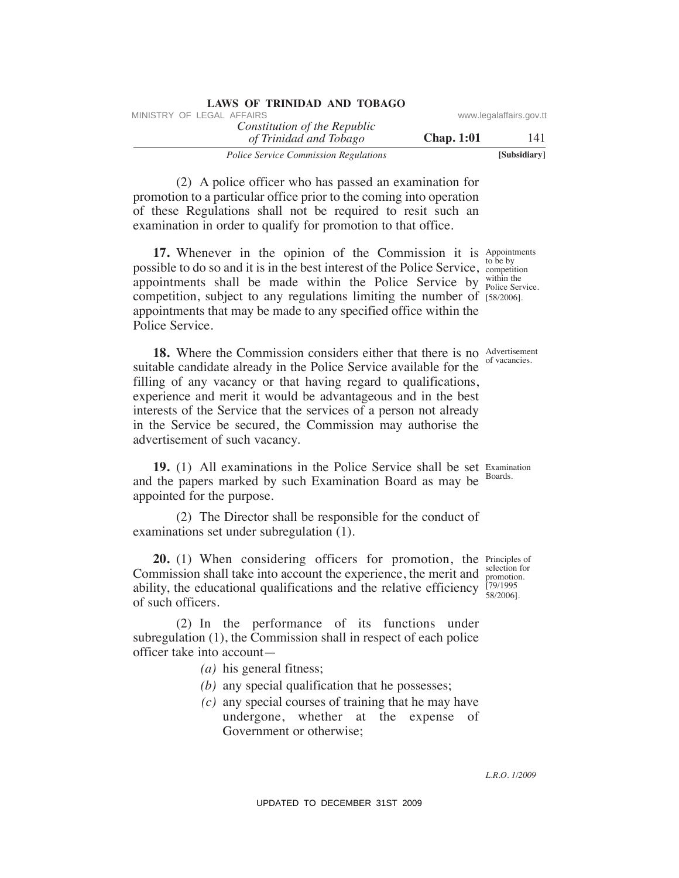| LAWS OF TRINIDAD AND TOBAGO                            |                   |                         |
|--------------------------------------------------------|-------------------|-------------------------|
| MINISTRY OF LEGAL AFFAIRS                              |                   | www.legalaffairs.gov.tt |
| Constitution of the Republic<br>of Trinidad and Tobago | <b>Chap.</b> 1:01 | 141                     |
| <b>Police Service Commission Regulations</b>           |                   | [Subsidiary]            |

 (2) A police officer who has passed an examination for promotion to a particular office prior to the coming into operation of these Regulations shall not be required to resit such an examination in order to qualify for promotion to that office.

**17.** Whenever in the opinion of the Commission it is Appointments possible to do so and it is in the best interest of the Police Service, competition appointments shall be made within the Police Service by  $\frac{\text{within the}}{\text{Policy Service}}$ competition, subject to any regulations limiting the number of [58/2006]. appointments that may be made to any specified office within the Police Service.

**18.** Where the Commission considers either that there is no Advertisement suitable candidate already in the Police Service available for the filling of any vacancy or that having regard to qualifications, experience and merit it would be advantageous and in the best interests of the Service that the services of a person not already in the Service be secured, the Commission may authorise the advertisement of such vacancy. WHETRY OF LEGAL AFFAIRS:<br>
The *Constitution of the Republic* www.legalaffairs.gov.<br>
The *Phindal and Thriego*<br>
22 A police offere who has passed an examination for<br>
141<br>
22 A police offere provide the police of the coming

**19.** (1) All examinations in the Police Service shall be set Examination and the papers marked by such Examination Board as may be Boards. appointed for the purpose.

 (2) The Director shall be responsible for the conduct of examinations set under subregulation (1).

**20.** (1) When considering officers for promotion, the Principles of Commission shall take into account the experience, the merit and  $\frac{\text{sec}(100)}{\text{promotion}}$ ability, the educational qualifications and the relative efficiency  $\frac{79/1995}{58/2006}$ . of such officers.

 (2) In the performance of its functions under subregulation (1), the Commission shall in respect of each police officer take into account—

- *(a)* his general fitness;
- *(b)* any special qualification that he possesses;
- *(c)* any special courses of training that he may have undergone, whether at the expense of Government or otherwise;

to be by within the

of vacancies.

selection for [79/1995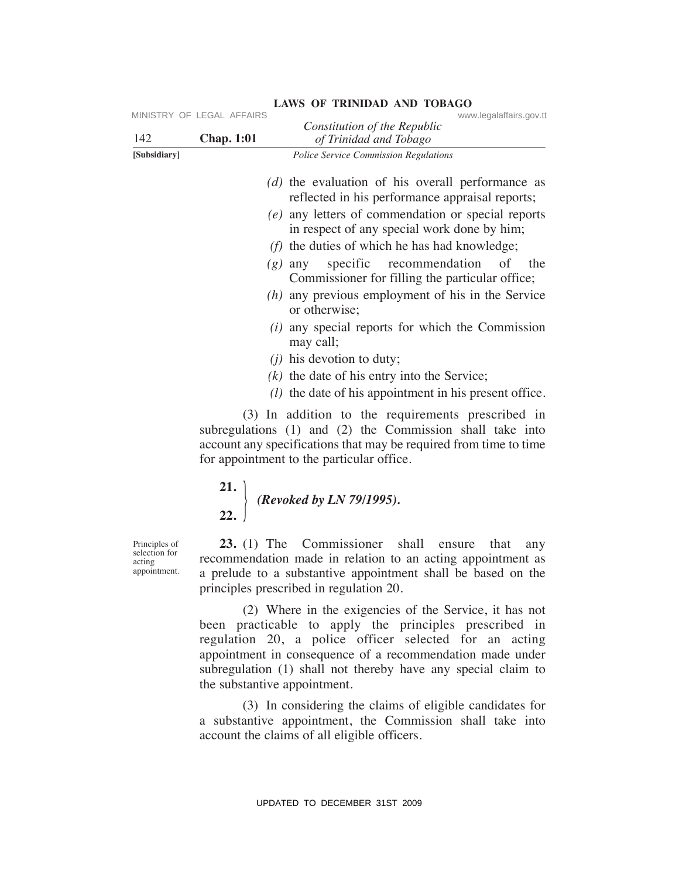| 142                                                      | MINISTRY OF LEGAL AFFAIRS<br><b>Chap. 1:01</b> | www.legalaffairs.gov.tt<br>Constitution of the Republic<br>of Trinidad and Tobago                                                                                                                                                                                                                                                                                                                                                                                                                                                                                                                                                                         |
|----------------------------------------------------------|------------------------------------------------|-----------------------------------------------------------------------------------------------------------------------------------------------------------------------------------------------------------------------------------------------------------------------------------------------------------------------------------------------------------------------------------------------------------------------------------------------------------------------------------------------------------------------------------------------------------------------------------------------------------------------------------------------------------|
| [Subsidiary]                                             |                                                | Police Service Commission Regulations                                                                                                                                                                                                                                                                                                                                                                                                                                                                                                                                                                                                                     |
|                                                          |                                                | $(d)$ the evaluation of his overall performance as<br>reflected in his performance appraisal reports;<br>(e) any letters of commendation or special reports<br>in respect of any special work done by him;<br>$(f)$ the duties of which he has had knowledge;<br>specific recommendation<br>of the<br>$(g)$ any<br>Commissioner for filling the particular office;<br>$(h)$ any previous employment of his in the Service<br>or otherwise;<br>$(i)$ any special reports for which the Commission<br>may call;<br>$(i)$ his devotion to duty;<br>$(k)$ the date of his entry into the Service;<br>$(l)$ the date of his appointment in his present office. |
|                                                          |                                                | (3) In addition to the requirements prescribed in<br>subregulations (1) and (2) the Commission shall take into<br>account any specifications that may be required from time to time<br>for appointment to the particular office.                                                                                                                                                                                                                                                                                                                                                                                                                          |
|                                                          |                                                | 21. (Revoked by LN 79/1995).<br>22.                                                                                                                                                                                                                                                                                                                                                                                                                                                                                                                                                                                                                       |
| Principles of<br>selection for<br>acting<br>appointment. |                                                | 23. (1) The Commissioner shall ensure<br>that<br>any<br>recommendation made in relation to an acting appointment as<br>a prelude to a substantive appointment shall be based on the<br>principles prescribed in regulation 20.                                                                                                                                                                                                                                                                                                                                                                                                                            |
|                                                          | the substantive appointment.                   | (2) Where in the exigencies of the Service, it has not<br>been practicable to apply the principles prescribed in<br>regulation 20, a police officer selected for an acting<br>appointment in consequence of a recommendation made under<br>subregulation (1) shall not thereby have any special claim to                                                                                                                                                                                                                                                                                                                                                  |
|                                                          |                                                | (3) In considering the claims of eligible candidates for<br>a substantive appointment, the Commission shall take into<br>account the claims of all eligible officers.                                                                                                                                                                                                                                                                                                                                                                                                                                                                                     |
|                                                          |                                                | UPDATED TO DECEMBER 31ST 2009                                                                                                                                                                                                                                                                                                                                                                                                                                                                                                                                                                                                                             |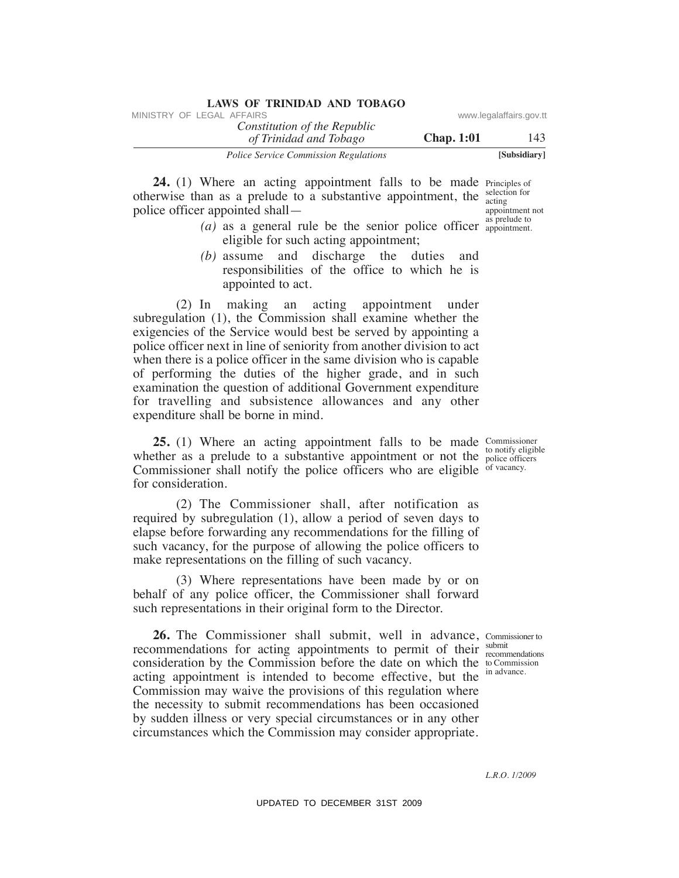| LAWS OF TRINIDAD AND TOBAGO                            |                   |                         |
|--------------------------------------------------------|-------------------|-------------------------|
| MINISTRY OF LEGAL AFFAIRS                              |                   | www.legalaffairs.gov.tt |
| Constitution of the Republic<br>of Trinidad and Tobago | <b>Chap.</b> 1:01 | 143                     |
| <b>Police Service Commission Regulations</b>           |                   | [Subsidiary]            |

**24.** (1) Where an acting appointment falls to be made Principles of otherwise than as a prelude to a substantive appointment, the selection for police officer appointed shall acting appointment not

- $(a)$  as a general rule be the senior police officer  $\frac{as\text{ prelude to}}{\text{appointment}}$ eligible for such acting appointment; appointment.
	- *(b)* assume and discharge the duties and responsibilities of the office to which he is appointed to act.

 (2) In making an acting appointment under subregulation (1), the Commission shall examine whether the exigencies of the Service would best be served by appointing a police officer next in line of seniority from another division to act when there is a police officer in the same division who is capable of performing the duties of the higher grade, and in such examination the question of additional Government expenditure for travelling and subsistence allowances and any other expenditure shall be borne in mind. VINESTRY OF LEGAL AFFAIRS:<br>
VINESTRY OF LEGAL AFFAIRS control Thristoger<br>
24. (1) Where sum section and Thristoger<br>
24. (1) Where an activation of the density of the mark of the simulation<br>
police offices than as a proble

**25.** (1) Where an acting appointment falls to be made Commissioner whether as a prelude to a substantive appointment or not the  $_{\text{policy}}$  of  $_{\text{noise}}$  of  $_{\text{noise}}$  of  $_{\text{noise}}$ Commissioner shall notify the police officers who are eligible of vacancy. for consideration.

 (2) The Commissioner shall, after notification as required by subregulation (1), allow a period of seven days to elapse before forwarding any recommendations for the filling of such vacancy, for the purpose of allowing the police officers to make representations on the filling of such vacancy.

 (3) Where representations have been made by or on behalf of any police officer, the Commissioner shall forward such representations in their original form to the Director.

26. The Commissioner shall submit, well in advance, Commissioner to recommendations for acting appointments to permit of their  $\frac{\text{submit}}{\text{recom}}$ consideration by the Commission before the date on which the to Commission acting appointment is intended to become effective, but the inadvance. Commission may waive the provisions of this regulation where the necessity to submit recommendations has been occasioned by sudden illness or very special circumstances or in any other circumstances which the Commission may consider appropriate.

police officers

recommendations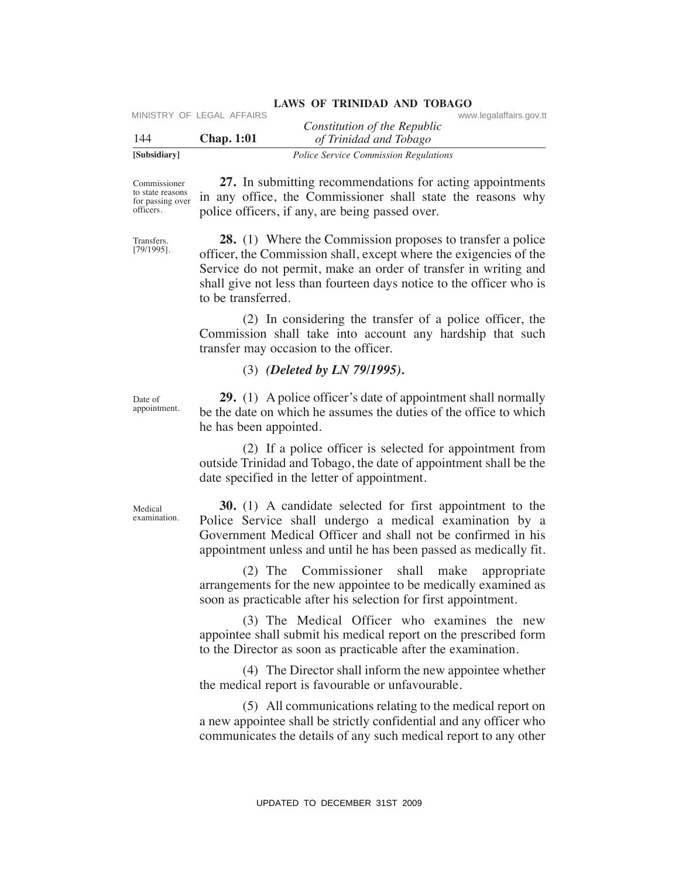| [Subsidiary] |                           | <i>Police Service Commission Regulations</i> |                         |
|--------------|---------------------------|----------------------------------------------|-------------------------|
| -144         | <b>Chap.</b> 1:01         | of Trinidad and Tobago                       |                         |
|              | MINISTRY OF LEGAL AFFAIRS | Constitution of the Republic                 | www.legalaffairs.gov.tt |

Commissioner to state reasons for passing over officers.

 **27.** In submitting recommendations for acting appointments in any office, the Commissioner shall state the reasons why police officers, if any, are being passed over.

Transfers. [79/1995].

 **28.** (1) Where the Commission proposes to transfer a police officer, the Commission shall, except where the exigencies of the Service do not permit, make an order of transfer in writing and shall give not less than fourteen days notice to the officer who is to be transferred. VERTRIXE CONSULTERTY OF LEGAL AFFAIRS Constitution of the Repubblic Constitution of the Hydron of Transition of the Hydron Tomonstown Regulation and Tomonstown and Northern Communistations for acting appointments<br>some and

 (2) In considering the transfer of a police officer, the Commission shall take into account any hardship that such transfer may occasion to the officer.

(3) *(Deleted by LN 79/1995).*

Date of appointment.

 **29.** (1) A police officer's date of appointment shall normally be the date on which he assumes the duties of the office to which he has been appointed.

 (2) If a police officer is selected for appointment from outside Trinidad and Tobago, the date of appointment shall be the date specified in the letter of appointment.

Medical examination.

 **30.** (1) A candidate selected for first appointment to the Police Service shall undergo a medical examination by a Government Medical Officer and shall not be confirmed in his appointment unless and until he has been passed as medically fit.

 (2) The Commissioner shall make appropriate arrangements for the new appointee to be medically examined as soon as practicable after his selection for first appointment.

 (3) The Medical Officer who examines the new appointee shall submit his medical report on the prescribed form to the Director as soon as practicable after the examination.

 (4) The Director shall inform the new appointee whether the medical report is favourable or unfavourable.

 (5) All communications relating to the medical report on a new appointee shall be strictly confidential and any officer who communicates the details of any such medical report to any other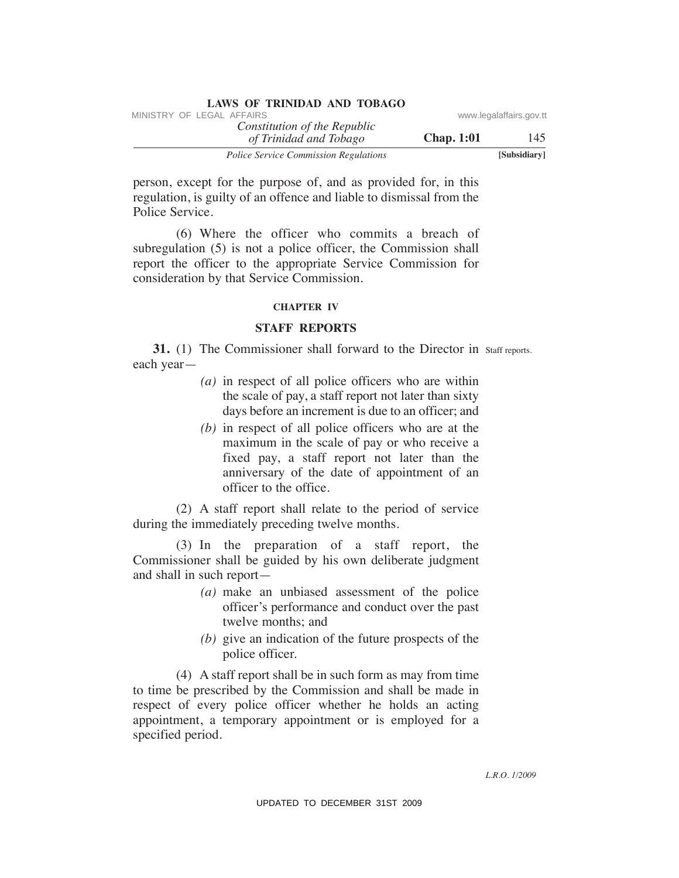| LAWS OF INIMIDAD AND TODAGO                            |                   |                         |
|--------------------------------------------------------|-------------------|-------------------------|
| MINISTRY OF LEGAL AFFAIRS                              |                   | www.legalaffairs.gov.tt |
| Constitution of the Republic<br>of Trinidad and Tobago | <b>Chap.</b> 1:01 | 145                     |
| <b>Police Service Commission Regulations</b>           |                   | [Subsidiary]            |

person, except for the purpose of, and as provided for, in this regulation, is guilty of an offence and liable to dismissal from the Police Service.

 (6) Where the officer who commits a breach of subregulation (5) is not a police officer, the Commission shall report the officer to the appropriate Service Commission for consideration by that Service Commission.

### **ChAPTeR IV**

### **STAFF RePORTS**

**31.** (1) The Commissioner shall forward to the Director in Staff reports. each year—

- *(a)* in respect of all police officers who are within the scale of pay, a staff report not later than sixty days before an increment is due to an officer; and
- *(b)* in respect of all police officers who are at the maximum in the scale of pay or who receive a fixed pay, a staff report not later than the anniversary of the date of appointment of an officer to the office.

 (2) A staff report shall relate to the period of service during the immediately preceding twelve months.

 (3) In the preparation of a staff report, the Commissioner shall be guided by his own deliberate judgment and shall in such report—

- *(a)* make an unbiased assessment of the police officer's performance and conduct over the past twelve months; and
- *(b)* give an indication of the future prospects of the police officer.

 (4) A staff report shall be in such form as may from time to time be prescribed by the Commission and shall be made in respect of every police officer whether he holds an acting appointment, a temporary appointment or is employed for a specified period. VINESTRY OF LEGAL AFFAIRS To the Repubblic convention of the Repubblic convention of Trindella and Tablegov.<br>
The particle of the purpose of, and as provided for, in this regulation, is guilty of an officine condition of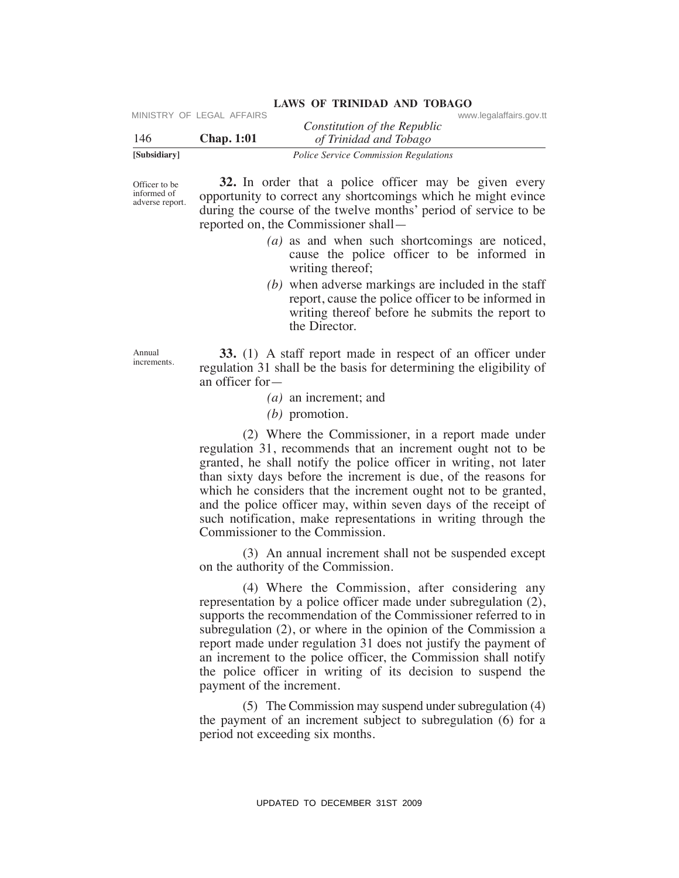| [Subsidiary] |                           | <b>Police Service Commission Regulations</b> |                         |
|--------------|---------------------------|----------------------------------------------|-------------------------|
| 146          | <b>Chap.</b> 1:01         | of Trinidad and Tobago                       |                         |
|              |                           | Constitution of the Republic                 |                         |
|              | MINISTRY OF LEGAL AFFAIRS |                                              | www.legalaffairs.gov.tt |

Officer to be informed of adverse report.

 **32.** In order that a police officer may be given every opportunity to correct any shortcomings which he might evince during the course of the twelve months' period of service to be reported on, the Commissioner shall—

- *(a)* as and when such shortcomings are noticed, cause the police officer to be informed in writing thereof;
- *(b)* when adverse markings are included in the staff report, cause the police officer to be informed in writing thereof before he submits the report to the Director.

Annual increments.

 **33.** (1) A staff report made in respect of an officer under regulation 31 shall be the basis for determining the eligibility of an officer for—

- *(a)* an increment; and
- *(b)* promotion.

 (2) Where the Commissioner, in a report made under regulation 31, recommends that an increment ought not to be granted, he shall notify the police officer in writing, not later than sixty days before the increment is due, of the reasons for which he considers that the increment ought not to be granted, and the police officer may, within seven days of the receipt of such notification, make representations in writing through the Commissioner to the Commission. UPDATED TO DECEMBER 31ST 2009 MINISTRY OF LEGAL AFFAIRS www.legalaffairs.gov.tt

 (3) An annual increment shall not be suspended except on the authority of the Commission.

 (4) Where the Commission, after considering any representation by a police officer made under subregulation (2), supports the recommendation of the Commissioner referred to in subregulation (2), or where in the opinion of the Commission a report made under regulation 31 does not justify the payment of an increment to the police officer, the Commission shall notify the police officer in writing of its decision to suspend the payment of the increment.

 (5) The Commission may suspend under subregulation (4) the payment of an increment subject to subregulation (6) for a period not exceeding six months.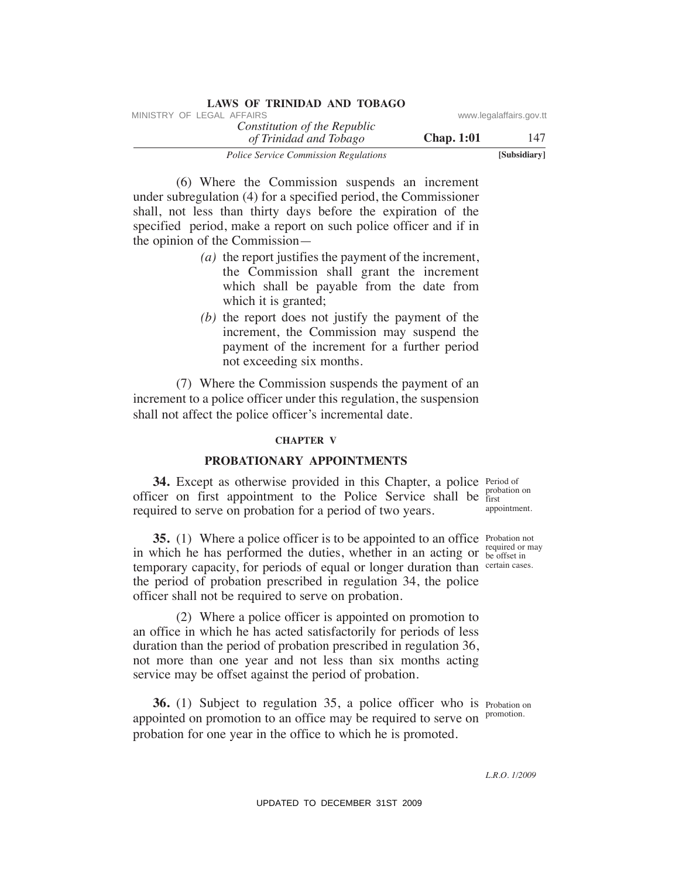| LAWS OF ININIDAD AND TODAGO                            |                   |                         |
|--------------------------------------------------------|-------------------|-------------------------|
| MINISTRY OF LEGAL AFFAIRS                              |                   | www.legalaffairs.gov.tt |
| Constitution of the Republic<br>of Trinidad and Tobago | <b>Chap.</b> 1:01 | 147                     |
| <b>Police Service Commission Regulations</b>           |                   | [Subsidiary]            |

 (6) Where the Commission suspends an increment under subregulation (4) for a specified period, the Commissioner shall, not less than thirty days before the expiration of the specified period, make a report on such police officer and if in the opinion of the Commission— VINESTRY OF LEGAL AFFAIRS To the Constitution of the Repubblic constraines government and Thrivegor Chap. 1:01<br>
Took of Survey Graniclear and Thrivegor Chap. 1:01<br>
(6) Where the Commission Regalators and incremental<br>
shal

**LAWS OF TRINIDAD AND TOBAGO**

- *(a)* the report justifies the payment of the increment, the Commission shall grant the increment which shall be payable from the date from which it is granted;
- *(b)* the report does not justify the payment of the increment, the Commission may suspend the payment of the increment for a further period not exceeding six months.

 (7) Where the Commission suspends the payment of an increment to a police officer under this regulation, the suspension shall not affect the police officer's incremental date.

### **ChAPTeR V**

### **PROBATIONARY APPOINTMeNTS**

**34.** Except as otherwise provided in this Chapter, a police Period of officer on first appointment to the Police Service shall be first required to serve on probation for a period of two years.

**35.** (1) Where a police officer is to be appointed to an office Probation not in which he has performed the duties, whether in an acting or required or may temporary capacity, for periods of equal or longer duration than certain cases. the period of probation prescribed in regulation 34, the police officer shall not be required to serve on probation.

 (2) Where a police officer is appointed on promotion to an office in which he has acted satisfactorily for periods of less duration than the period of probation prescribed in regulation 36, not more than one year and not less than six months acting service may be offset against the period of probation.

**36.** (1) Subject to regulation 35, a police officer who is Probation on appointed on promotion to an office may be required to serve on promotion. probation for one year in the office to which he is promoted.

first appointment.

be offset in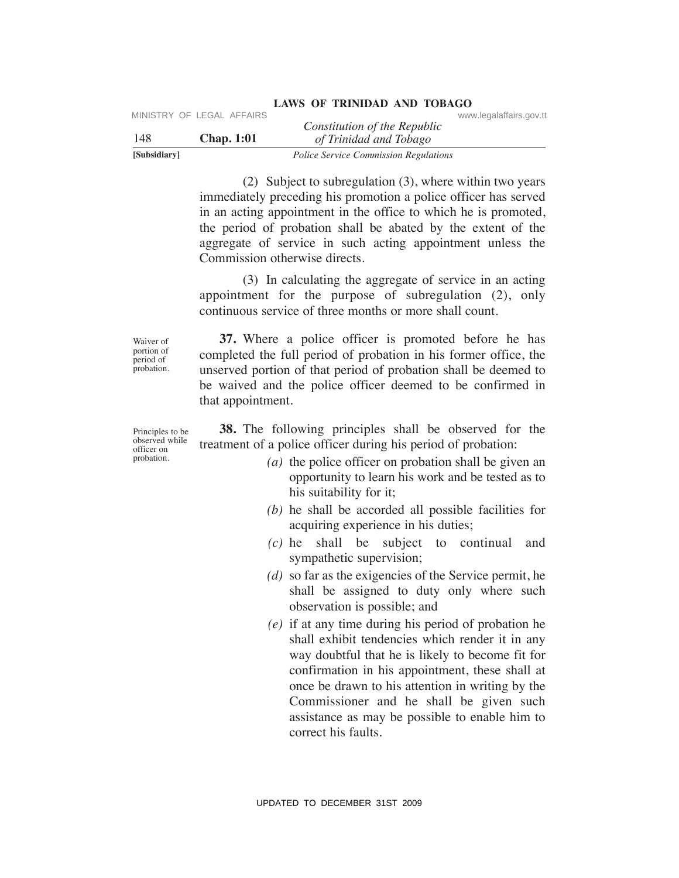| [Subsidiary] |                           | <i>Police Service Commission Regulations</i> |                         |
|--------------|---------------------------|----------------------------------------------|-------------------------|
| -148         | <b>Chap.</b> 1:01         | of Trinidad and Tobago                       |                         |
|              | MINISTRY OF LEGAL AFFAIRS | Constitution of the Republic                 | www.legalaffairs.gov.tt |

 (2) Subject to subregulation (3), where within two years immediately preceding his promotion a police officer has served in an acting appointment in the office to which he is promoted, the period of probation shall be abated by the extent of the aggregate of service in such acting appointment unless the Commission otherwise directs.

 (3) In calculating the aggregate of service in an acting appointment for the purpose of subregulation (2), only continuous service of three months or more shall count.

Waiver of portion of period of probation.

 **37.** Where a police officer is promoted before he has completed the full period of probation in his former office, the unserved portion of that period of probation shall be deemed to be waived and the police officer deemed to be confirmed in that appointment.

Principles to be observed while officer on probation.

 **38.** The following principles shall be observed for the treatment of a police officer during his period of probation:

- *(a)* the police officer on probation shall be given an opportunity to learn his work and be tested as to his suitability for it;
- *(b)* he shall be accorded all possible facilities for acquiring experience in his duties;
- *(c)* he shall be subject to continual and sympathetic supervision;
- *(d)* so far as the exigencies of the Service permit, he shall be assigned to duty only where such observation is possible; and
- *(e)* if at any time during his period of probation he shall exhibit tendencies which render it in any way doubtful that he is likely to become fit for confirmation in his appointment, these shall at once be drawn to his attention in writing by the Commissioner and he shall be given such assistance as may be possible to enable him to correct his faults. VIESTRY OF LEGAL AFFAIRS<br>
VIEWS Constitution of the Repubbic<br>
Standary<br>
Tote Service Commission Regulation<br>
(2) Subject to subregulation (3), where written this two years<br>
inmediately preceding this promotion a policie of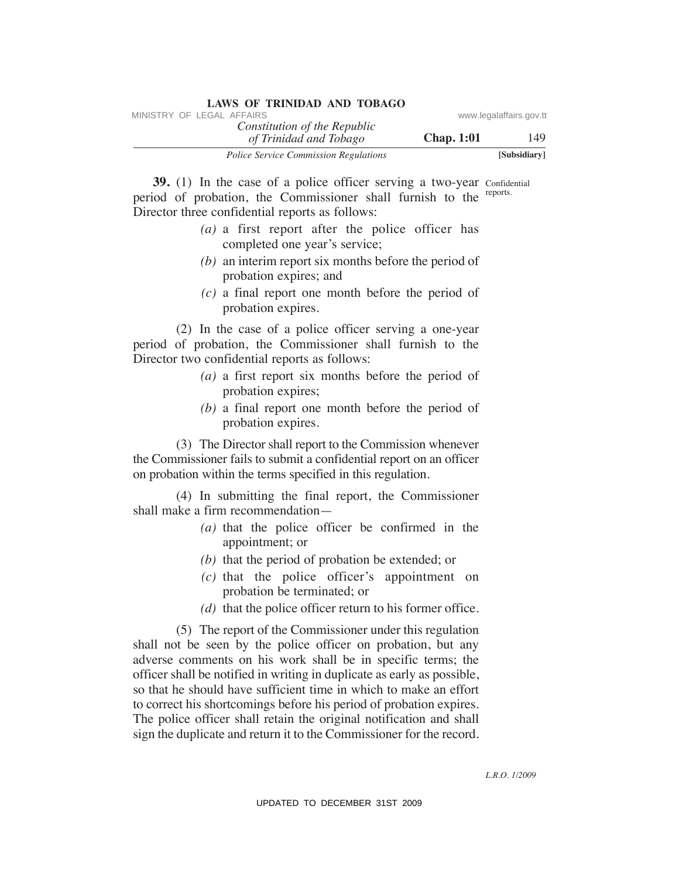| LAWS OF ININIDAD AND TODAGO                            |                   |                         |
|--------------------------------------------------------|-------------------|-------------------------|
| MINISTRY OF LEGAL AFFAIRS                              |                   | www.legalaffairs.gov.tt |
| Constitution of the Republic<br>of Trinidad and Tobago | <b>Chap.</b> 1:01 | 149                     |
| <b>Police Service Commission Regulations</b>           |                   | [Subsidiary]            |

**39.** (1) In the case of a police officer serving a two-year confidential parties of probability the Commissioner shall furnish to the reports. period of probation, the Commissioner shall furnish to the reports. Director three confidential reports as follows:

**LAWS OF TRINIDAD AND TOBAGO**

- *(a)* a first report after the police officer has completed one year's service;
- *(b)* an interim report six months before the period of probation expires; and
- *(c)* a final report one month before the period of probation expires.

 (2) In the case of a police officer serving a one-year period of probation, the Commissioner shall furnish to the Director two confidential reports as follows:

- *(a)* a first report six months before the period of probation expires;
- *(b)* a final report one month before the period of probation expires.

 (3) The Director shall report to the Commission whenever the Commissioner fails to submit a confidential report on an officer on probation within the terms specified in this regulation.

 (4) In submitting the final report, the Commissioner shall make a firm recommendation—

- *(a)* that the police officer be confirmed in the appointment; or
- *(b)* that the period of probation be extended; or
- *(c)* that the police officer's appointment on probation be terminated; or
- *(d)* that the police officer return to his former office.

 (5) The report of the Commissioner under this regulation shall not be seen by the police officer on probation, but any adverse comments on his work shall be in specific terms; the officer shall be notified in writing in duplicate as early as possible, so that he should have sufficient time in which to make an effort to correct his shortcomings before his period of probation expires. The police officer shall retain the original notification and shall sign the duplicate and return it to the Commissioner for the record. VINESTRY OF LEGAL AFFAIRS:<br>
VINESTRY OF LEGAL AFFAIRS (Toward Units (The Republic commission Regalators and Thinger<br>
39. (1) In the case of a police officer serving a two year consideration<br>
Director three confluction the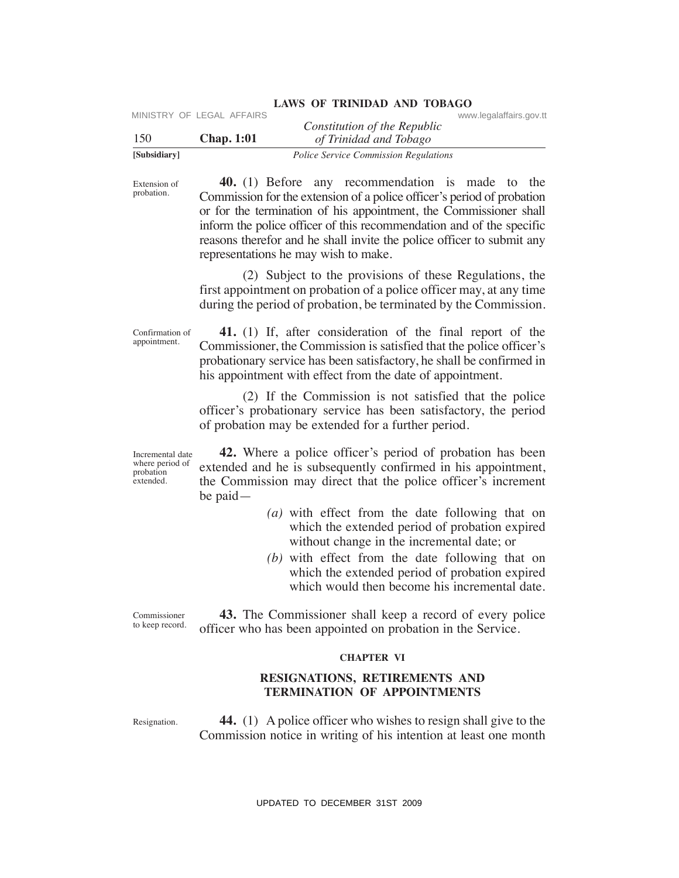|              | MINISTRY OF LEGAL AFFAIRS |                                              | www.legalaffairs.gov.tt |
|--------------|---------------------------|----------------------------------------------|-------------------------|
|              |                           | Constitution of the Republic                 |                         |
| 150          | <b>Chap.</b> 1:01         | of Trinidad and Tobago                       |                         |
| [Subsidiary] |                           | <i>Police Service Commission Regulations</i> |                         |

Extension of probation.

 **40.** (1) Before any recommendation is made to the Commission for the extension of a police officer's period of probation or for the termination of his appointment, the Commissioner shall inform the police officer of this recommendation and of the specific reasons therefor and he shall invite the police officer to submit any representations he may wish to make. VIRTERY OF LEGAL AFFAIRS<br>
USBN 2008 Chap. 1:01 (*Firtuida of the Republic*<br>
1500 Chap. 1:01 (*Firtuida of The Singer*) continentation is made to the<br>
Engine of the Commission for the extreme interval and the commission of

 (2) Subject to the provisions of these Regulations, the first appointment on probation of a police officer may, at any time during the period of probation, be terminated by the Commission.

Confirmation of appointment.

 **41.** (1) If, after consideration of the final report of the Commissioner, the Commission is satisfied that the police officer's probationary service has been satisfactory, he shall be confirmed in his appointment with effect from the date of appointment.

 (2) If the Commission is not satisfied that the police officer's probationary service has been satisfactory, the period of probation may be extended for a further period.

Incremental date where period of probation extended.

 **42.** Where a police officer's period of probation has been extended and he is subsequently confirmed in his appointment, the Commission may direct that the police officer's increment be paid—

- *(a)* with effect from the date following that on which the extended period of probation expired without change in the incremental date; or
- *(b)* with effect from the date following that on which the extended period of probation expired which would then become his incremental date.

Commissioner to keep record.

 **43.** The Commissioner shall keep a record of every police officer who has been appointed on probation in the Service.

### **ChAPTeR VI**

### **ReSIGNATIONS, ReTIReMeNTS AND TeRMINATION OF APPOINTMeNTS**

Resignation.

 **44.** (1) A police officer who wishes to resign shall give to the Commission notice in writing of his intention at least one month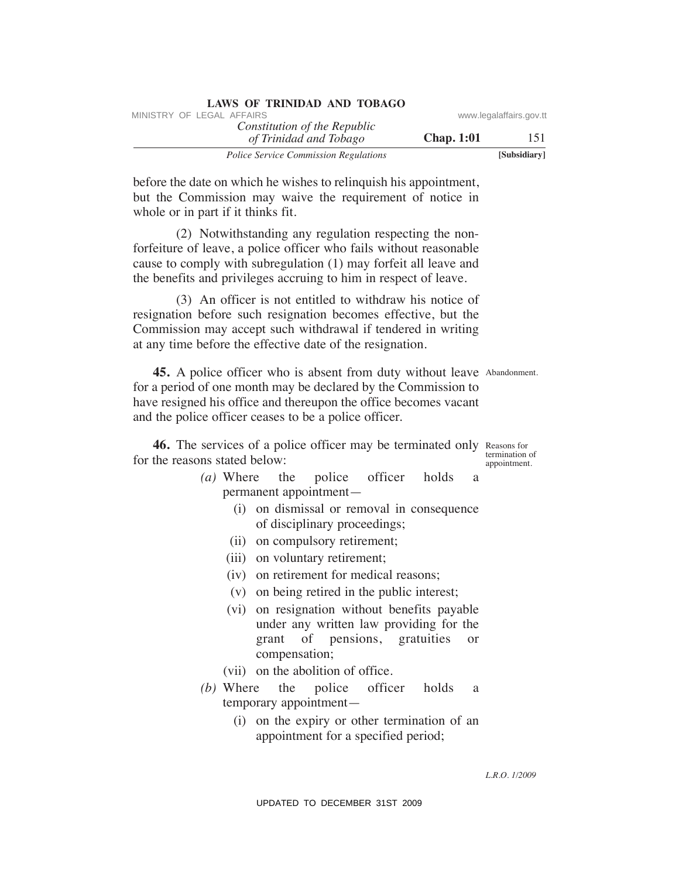| <b>LAWS OF TRINIDAD AND TOBAGO</b>           |                   |                         |
|----------------------------------------------|-------------------|-------------------------|
| MINISTRY OF LEGAL AFFAIRS                    |                   | www.legalaffairs.gov.tt |
| Constitution of the Republic                 |                   |                         |
| of Trinidad and Tobago                       | <b>Chap.</b> 1:01 | 151                     |
| <b>Police Service Commission Regulations</b> |                   | [Subsidiary]            |

before the date on which he wishes to relinquish his appointment, but the Commission may waive the requirement of notice in whole or in part if it thinks fit.

 (2) Notwithstanding any regulation respecting the nonforfeiture of leave, a police officer who fails without reasonable cause to comply with subregulation (1) may forfeit all leave and the benefits and privileges accruing to him in respect of leave.

 (3) An officer is not entitled to withdraw his notice of resignation before such resignation becomes effective, but the Commission may accept such withdrawal if tendered in writing at any time before the effective date of the resignation.

**45.** A police officer who is absent from duty without leave Abandonment. for a period of one month may be declared by the Commission to have resigned his office and thereupon the office becomes vacant and the police officer ceases to be a police officer. WHETEN' OF LEGAL AFFAIRS www.legalaffairs.gov.the model in the depublic consistence Consistence Consistence Consistence Consistence Consistence (S) Newton the Value of Consistence Consistence (S) Newton the Value of Consi

**46.** The services of a police officer may be terminated only Reasons for for the reasons stated below:

termination of appointment.

- *(a)* Where the police officer holds a permanent appointment—
	- (i) on dismissal or removal in consequence of disciplinary proceedings;
	- (ii) on compulsory retirement;
	- (iii) on voluntary retirement;
	- (iv) on retirement for medical reasons;
	- (v) on being retired in the public interest;
	- (vi) on resignation without benefits payable under any written law providing for the grant of pensions, gratuities or compensation;
	- (vii) on the abolition of office.
- *(b)* Where the police officer holds a temporary appointment—
	- (i) on the expiry or other termination of an appointment for a specified period;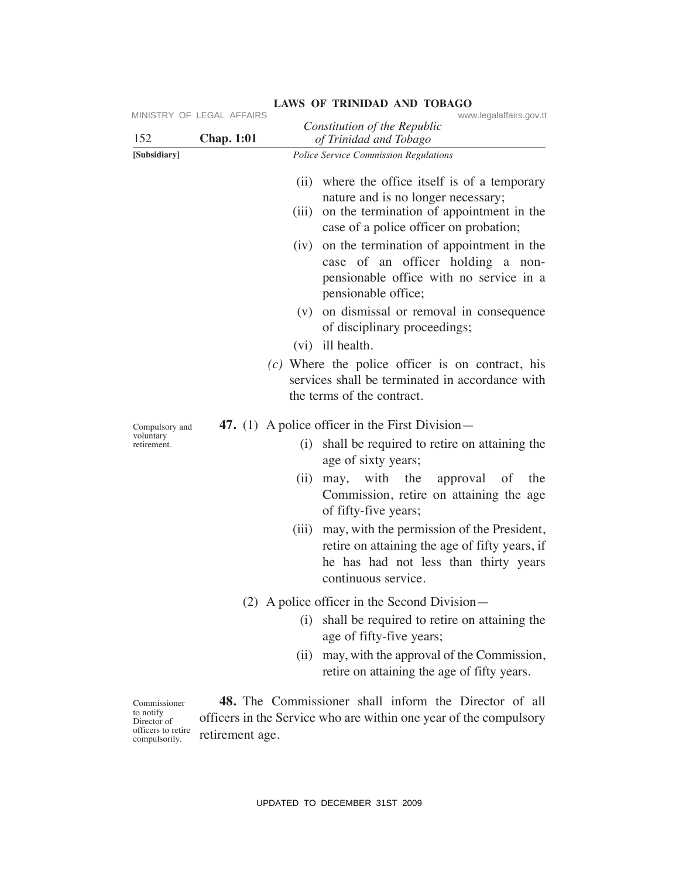| 152                                                                             | MINISTRY OF LEGAL AFFAIRS<br><b>Chap. 1:01</b> | www.legalaffairs.gov.tt<br>Constitution of the Republic<br>of Trinidad and Tobago                                                                                                                                                                                                                                                                                                                                     |
|---------------------------------------------------------------------------------|------------------------------------------------|-----------------------------------------------------------------------------------------------------------------------------------------------------------------------------------------------------------------------------------------------------------------------------------------------------------------------------------------------------------------------------------------------------------------------|
| [Subsidiary]                                                                    |                                                | Police Service Commission Regulations                                                                                                                                                                                                                                                                                                                                                                                 |
|                                                                                 |                                                | where the office itself is of a temporary<br>(ii)<br>nature and is no longer necessary;<br>on the termination of appointment in the<br>(iii)<br>case of a police officer on probation;                                                                                                                                                                                                                                |
|                                                                                 |                                                | (iv) on the termination of appointment in the<br>case of an officer holding a non-<br>pensionable office with no service in a<br>pensionable office;                                                                                                                                                                                                                                                                  |
|                                                                                 |                                                | (v) on dismissal or removal in consequence<br>of disciplinary proceedings;<br>(vi) ill health.                                                                                                                                                                                                                                                                                                                        |
|                                                                                 |                                                | $(c)$ Where the police officer is on contract, his<br>services shall be terminated in accordance with<br>the terms of the contract.                                                                                                                                                                                                                                                                                   |
| Compulsory and<br>voluntary<br>retirement.                                      |                                                | 47. (1) A police officer in the First Division—<br>shall be required to retire on attaining the<br>(i)<br>age of sixty years;<br>may, with the<br>approval of the<br>(ii)<br>Commission, retire on attaining the age<br>of fifty-five years;<br>may, with the permission of the President,<br>(iii)<br>retire on attaining the age of fifty years, if<br>he has had not less than thirty years<br>continuous service. |
|                                                                                 |                                                | $(2)$ A police officer in the Second Division—<br>shall be required to retire on attaining the<br>(i)<br>age of fifty-five years;<br>may, with the approval of the Commission,<br>(ii)                                                                                                                                                                                                                                |
| Commissioner<br>to notify<br>Director of<br>officers to retire<br>compulsorily. | retirement age.                                | retire on attaining the age of fifty years.<br><b>48.</b> The Commissioner shall inform the Director of all<br>officers in the Service who are within one year of the compulsory                                                                                                                                                                                                                                      |
|                                                                                 |                                                | UPDATED TO DECEMBER 31ST 2009                                                                                                                                                                                                                                                                                                                                                                                         |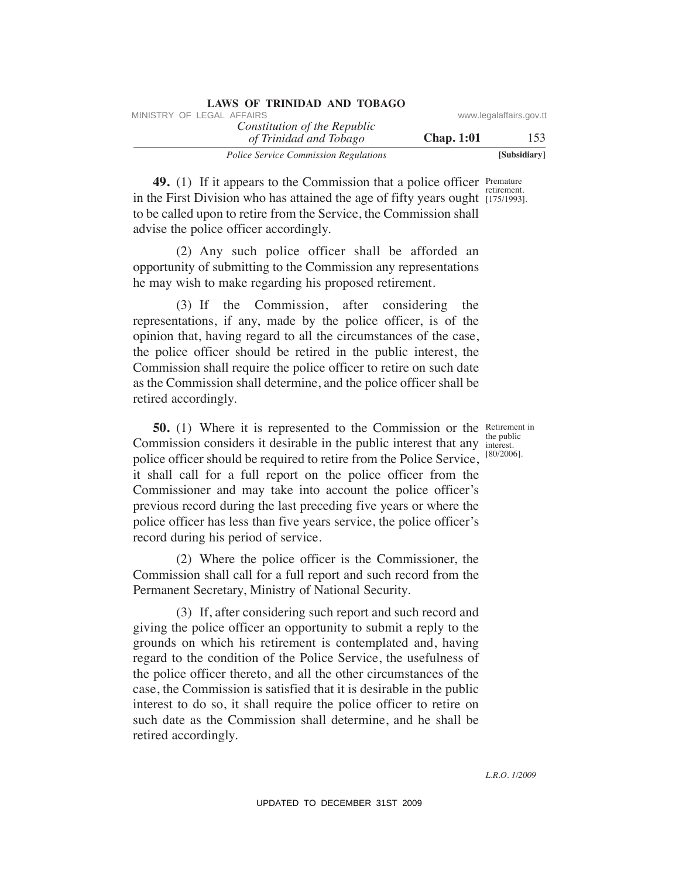| LAWS OF ININIDAD AND TODAGO                            |                   |                         |
|--------------------------------------------------------|-------------------|-------------------------|
| MINISTRY OF LEGAL AFFAIRS                              |                   | www.legalaffairs.gov.tt |
| Constitution of the Republic<br>of Trinidad and Tobago | <b>Chap.</b> 1:01 | 153                     |
| <b>Police Service Commission Regulations</b>           |                   | [Subsidiary]            |

**49.** (1) If it appears to the Commission that a police officer Premature retirement. in the First Division who has attained the age of fifty years ought  $(175/1993)$ . to be called upon to retire from the Service, the Commission shall advise the police officer accordingly.

 (2) Any such police officer shall be afforded an opportunity of submitting to the Commission any representations he may wish to make regarding his proposed retirement.

**LAWS OF TRINIDAD AND TOBAGO**

 (3) If the Commission, after considering the representations, if any, made by the police officer, is of the opinion that, having regard to all the circumstances of the case, the police officer should be retired in the public interest, the Commission shall require the police officer to retire on such date as the Commission shall determine, and the police officer shall be retired accordingly.

**50.** (1) Where it is represented to the Commission or the Retirement in Commission considers it desirable in the public interest that any police officer should be required to retire from the Police Service, it shall call for a full report on the police officer from the Commissioner and may take into account the police officer's previous record during the last preceding five years or where the police officer has less than five years service, the police officer's record during his period of service.

 (2) Where the police officer is the Commissioner, the Commission shall call for a full report and such record from the Permanent Secretary, Ministry of National Security.

 (3) If, after considering such report and such record and giving the police officer an opportunity to submit a reply to the grounds on which his retirement is contemplated and, having regard to the condition of the Police Service, the usefulness of the police officer thereto, and all the other circumstances of the case, the Commission is satisfied that it is desirable in the public interest to do so, it shall require the police officer to retire on such date as the Commission shall determine, and he shall be retired accordingly. WHETHY OF LEGAL AFFAIRS:<br>
YORKER AFFAIRS CONSIDERED TO THIMALED LOT THIMALED TO THE CONSIDERED TO THE CONSIDERED TO THE CONSIDERED TO THE CONSIDERED TO THE AFFAIRS DURING THE CONSIDERED TO THE CONSIDERED TO THE CONSIDERED

the public interest. [80/2006].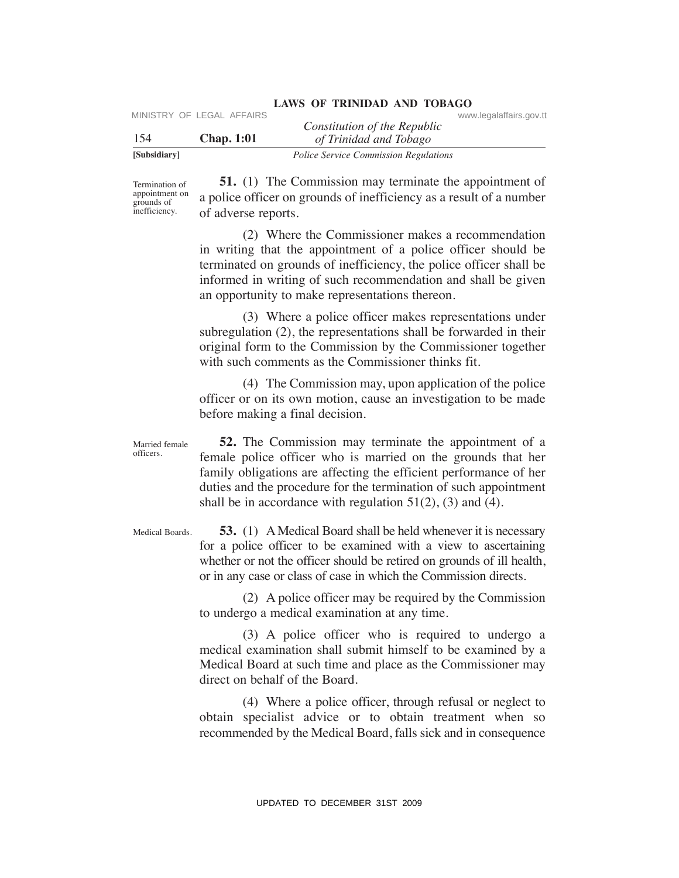| [Subsidiary] |                           | <i>Police Service Commission Regulations</i>           |                         |  |
|--------------|---------------------------|--------------------------------------------------------|-------------------------|--|
| 154          | <b>Chap.</b> 1:01         | Constitution of the Republic<br>of Trinidad and Tobago |                         |  |
|              | MINISTRY OF LEGAL AFFAIRS |                                                        | www.legalaffairs.gov.tt |  |

Termination of appointment on grounds of inefficiency.

 **51.** (1) The Commission may terminate the appointment of a police officer on grounds of inefficiency as a result of a number of adverse reports.

 (2) Where the Commissioner makes a recommendation in writing that the appointment of a police officer should be terminated on grounds of inefficiency, the police officer shall be informed in writing of such recommendation and shall be given an opportunity to make representations thereon.

 (3) Where a police officer makes representations under subregulation (2), the representations shall be forwarded in their original form to the Commission by the Commissioner together with such comments as the Commissioner thinks fit.

 (4) The Commission may, upon application of the police officer or on its own motion, cause an investigation to be made before making a final decision.

 **52.** The Commission may terminate the appointment of a female police officer who is married on the grounds that her family obligations are affecting the efficient performance of her duties and the procedure for the termination of such appointment shall be in accordance with regulation  $51(2)$ , (3) and (4). Married female officers. VERTRY OF LEGAL AFFAIRS<br>
USIN Constitution of the Republic conversion Results<br>
Scheduler)<br>
1541 (1) The Commission may terminate the appointment of<br>
Reminentor and Diverse for grounds of interficiency as a result of a num

 **53.** (1) A Medical Board shall be held whenever it is necessary for a police officer to be examined with a view to ascertaining whether or not the officer should be retired on grounds of ill health, or in any case or class of case in which the Commission directs. Medical Boards.

> (2) A police officer may be required by the Commission to undergo a medical examination at any time.

> (3) A police officer who is required to undergo a medical examination shall submit himself to be examined by a Medical Board at such time and place as the Commissioner may direct on behalf of the Board.

> (4) Where a police officer, through refusal or neglect to obtain specialist advice or to obtain treatment when so recommended by the Medical Board, falls sick and in consequence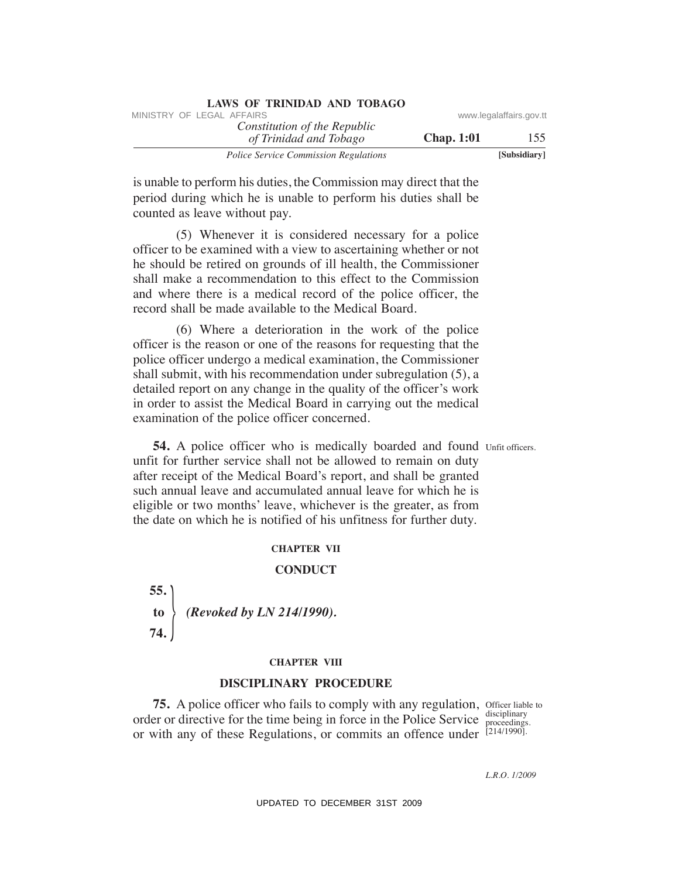|                         |                   | LAND OF TIMINADIAD INTO TODING                         |
|-------------------------|-------------------|--------------------------------------------------------|
| www.legalaffairs.gov.tt |                   | MINISTRY OF LEGAL AFFAIRS                              |
| 155                     | <b>Chap.</b> 1:01 | Constitution of the Republic<br>of Trinidad and Tobago |
| [Subsidiary]            |                   | <b>Police Service Commission Regulations</b>           |

is unable to perform his duties, the Commission may direct that the period during which he is unable to perform his duties shall be counted as leave without pay.

 (5) Whenever it is considered necessary for a police officer to be examined with a view to ascertaining whether or not he should be retired on grounds of ill health, the Commissioner shall make a recommendation to this effect to the Commission and where there is a medical record of the police officer, the record shall be made available to the Medical Board.

 (6) Where a deterioration in the work of the police officer is the reason or one of the reasons for requesting that the police officer undergo a medical examination, the Commissioner shall submit, with his recommendation under subregulation (5), a detailed report on any change in the quality of the officer's work in order to assist the Medical Board in carrying out the medical examination of the police officer concerned. Whistricy OF LEGAL AFFAIRS:<br>
The Constitution of the Republic<br>
The p. 1151<br>
The constrained and Thinger<br>
31 Sole of the commission Regalators<br>
is unable to perform his duties, the Commission may direct that the<br>
period du

**54.** A police officer who is medically boarded and found Unfit officers. unfit for further service shall not be allowed to remain on duty after receipt of the Medical Board's report, and shall be granted such annual leave and accumulated annual leave for which he is eligible or two months' leave, whichever is the greater, as from the date on which he is notified of his unfitness for further duty.

### **ChAPTeR VII**

### **CONDuCT**

 $\frac{1}{2}$ **55. to** *(Revoked by LN 214/1990).* **74.** 

### **ChAPTeR VIII**

### **DISCIPLINARY PROCeDuRe**

**75.** A police officer who fails to comply with any regulation, Officer liable to order or directive for the time being in force in the Police Service  $\frac{\text{discliff}}{\text{proceedings}}$ . or with any of these Regulations, or commits an offence under [214/1990].

disciplinary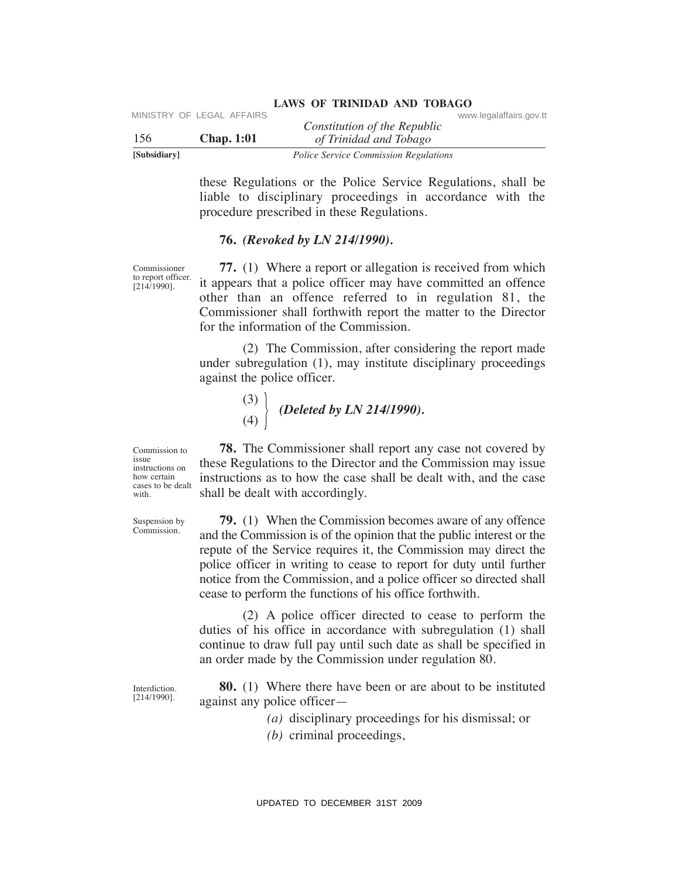| [Subsidiary] |                           | <b>Police Service Commission Regulations</b> |                         |
|--------------|---------------------------|----------------------------------------------|-------------------------|
| 156          | Chap. 1:01                | of Trinidad and Tobago                       |                         |
|              | MINISTRY OF LEGAL AFFAIRS | Constitution of the Republic                 | www.legalaffairs.gov.tt |

these Regulations or the Police Service Regulations, shall be liable to disciplinary proceedings in accordance with the procedure prescribed in these Regulations.

### **76.** *(Revoked by LN 214/1990).*

Commissioner to report officer.  $[214/1990]$ .

Commission to issue instructions on how certain cases to be dealt with.

Suspension by Commission.

 **77.** (1) Where a report or allegation is received from which it appears that a police officer may have committed an offence other than an offence referred to in regulation 81, the Commissioner shall forthwith report the matter to the Director for the information of the Commission.

 (2) The Commission, after considering the report made under subregulation (1), may institute disciplinary proceedings against the police officer.

$$
\begin{array}{c}\n (3) \\
 (4)\n \end{array}\n \bigg\{\n \text{Deleted by LN 214/1990.}
$$

 **78.** The Commissioner shall report any case not covered by these Regulations to the Director and the Commission may issue instructions as to how the case shall be dealt with, and the case shall be dealt with accordingly.

 **79.** (1) When the Commission becomes aware of any offence and the Commission is of the opinion that the public interest or the repute of the Service requires it, the Commission may direct the police officer in writing to cease to report for duty until further notice from the Commission, and a police officer so directed shall cease to perform the functions of his office forthwith. VERTRY OF LEGAL AFFAIRS<br>
VERTRIED Constitution of the Republic<br>
Samisdiary<br>
1505<br>
Samisdiary<br>
1606: Service Commission Regulations, shall be<br>
160ble to disciplinary proceedings in accordance with the<br>
1600-biology.ttp (Th

 (2) A police officer directed to cease to perform the duties of his office in accordance with subregulation (1) shall continue to draw full pay until such date as shall be specified in an order made by the Commission under regulation 80.

Interdiction. [214/1990].

 **80.** (1) Where there have been or are about to be instituted against any police officer—

 *(a)* disciplinary proceedings for his dismissal; or

 *(b)* criminal proceedings,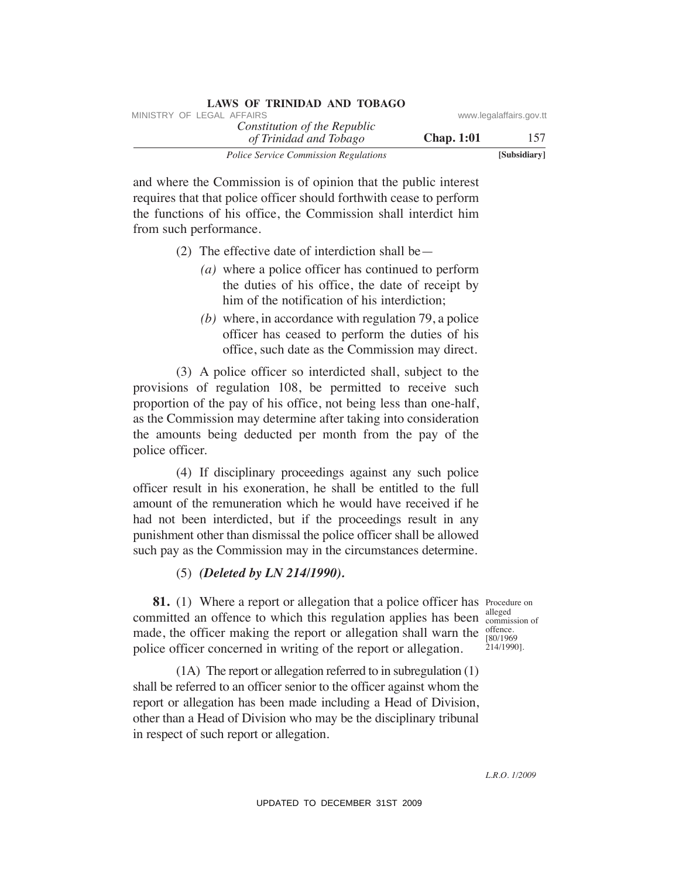| LAWS OF INIMIDIAL AND TODAYO                           |                   |                         |
|--------------------------------------------------------|-------------------|-------------------------|
| MINISTRY OF LEGAL AFFAIRS                              |                   | www.legalaffairs.gov.tt |
| Constitution of the Republic<br>of Trinidad and Tobago | <b>Chap.</b> 1:01 | 157                     |
| <b>Police Service Commission Regulations</b>           |                   | [Subsidiary]            |

and where the Commission is of opinion that the public interest requires that that police officer should forthwith cease to perform the functions of his office, the Commission shall interdict him from such performance.

- (2) The effective date of interdiction shall be—
	- *(a)* where a police officer has continued to perform the duties of his office, the date of receipt by him of the notification of his interdiction;
	- *(b)* where, in accordance with regulation 79, a police officer has ceased to perform the duties of his office, such date as the Commission may direct.

 (3) A police officer so interdicted shall, subject to the provisions of regulation 108, be permitted to receive such proportion of the pay of his office, not being less than one-half, as the Commission may determine after taking into consideration the amounts being deducted per month from the pay of the police officer. VINESTRY OF LEGAL *AFFAIRS*<br>
VINESTRY CONSITRATION of The Repubblic consistence Consistence Consistence Rows and where the Commission Regalators and where the Commission Regalators are to perform the fluctions of his offi

 (4) If disciplinary proceedings against any such police officer result in his exoneration, he shall be entitled to the full amount of the remuneration which he would have received if he had not been interdicted, but if the proceedings result in any punishment other than dismissal the police officer shall be allowed such pay as the Commission may in the circumstances determine.

### (5) *(Deleted by LN 214/1990).*

**81.** (1) Where a report or allegation that a police officer has Procedure on committed an offence to which this regulation applies has been alleged made, the officer making the report or allegation shall warn the police officer concerned in writing of the report or allegation.

commission of offence. [80/1969 214/1990].

 (1A) The report or allegation referred to in subregulation (1) shall be referred to an officer senior to the officer against whom the report or allegation has been made including a Head of Division, other than a Head of Division who may be the disciplinary tribunal in respect of such report or allegation.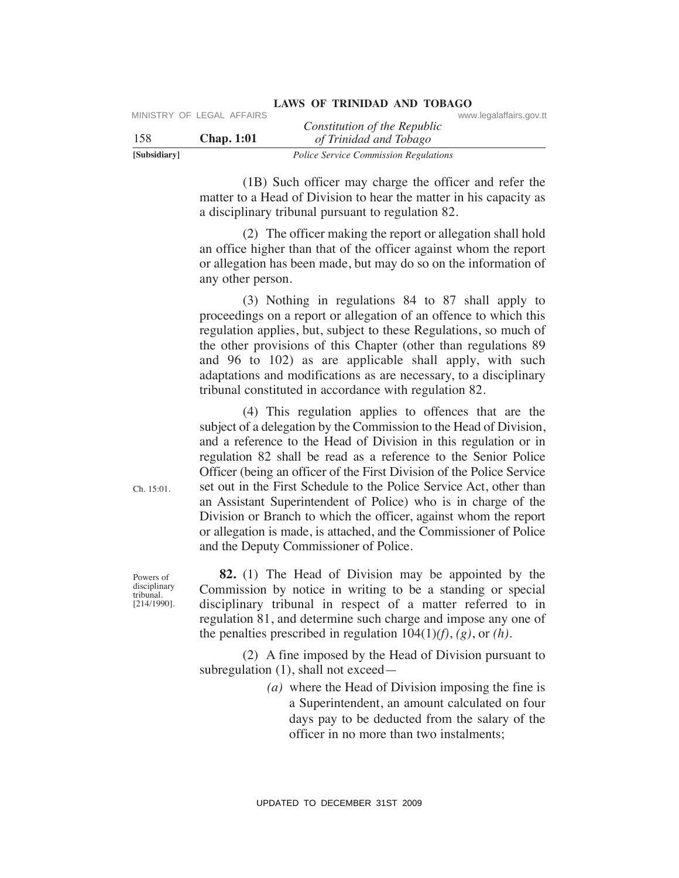| [Subsidiary] | <b>Police Service Commission Regulations</b> |                              |                         |
|--------------|----------------------------------------------|------------------------------|-------------------------|
| 158          | <b>Chap.</b> 1:01                            | of Trinidad and Tobago       |                         |
|              |                                              | Constitution of the Republic |                         |
|              | MINISTRY OF LEGAL AFFAIRS                    |                              | www.legalaffairs.gov.tt |

 (1B) Such officer may charge the officer and refer the matter to a Head of Division to hear the matter in his capacity as a disciplinary tribunal pursuant to regulation 82.

 (2) The officer making the report or allegation shall hold an office higher than that of the officer against whom the report or allegation has been made, but may do so on the information of any other person.

 (3) Nothing in regulations 84 to 87 shall apply to proceedings on a report or allegation of an offence to which this regulation applies, but, subject to these Regulations, so much of the other provisions of this Chapter (other than regulations 89 and 96 to 102) as are applicable shall apply, with such adaptations and modifications as are necessary, to a disciplinary tribunal constituted in accordance with regulation 82.

 (4) This regulation applies to offences that are the subject of a delegation by the Commission to the Head of Division, and a reference to the Head of Division in this regulation or in regulation 82 shall be read as a reference to the Senior Police Officer (being an officer of the First Division of the Police Service set out in the First Schedule to the Police Service Act, other than an Assistant Superintendent of Police) who is in charge of the Division or Branch to which the officer, against whom the report or allegation is made, is attached, and the Commissioner of Police and the Deputy Commissioner of Police. UPS<br>
USBN 2004 AFFAIRS Constitution of the Republic conversaments gov.tt<br>
ISBN 2004 of Trainind on This capacity<br>
Took Service Commission Regulations<br>
(B) Such officer may charge the officer and reler the<br>
matter to a Rea

 **82.** (1) The Head of Division may be appointed by the Commission by notice in writing to be a standing or special disciplinary tribunal in respect of a matter referred to in regulation 81, and determine such charge and impose any one of the penalties prescribed in regulation 104(1)*(f)*, *(g)*, or *(h)*.

 (2) A fine imposed by the Head of Division pursuant to subregulation (1), shall not exceed—

> *(a)* where the Head of Division imposing the fine is a Superintendent, an amount calculated on four days pay to be deducted from the salary of the officer in no more than two instalments;

Ch. 15:01.

Powers of disciplinary tribunal. [214/1990].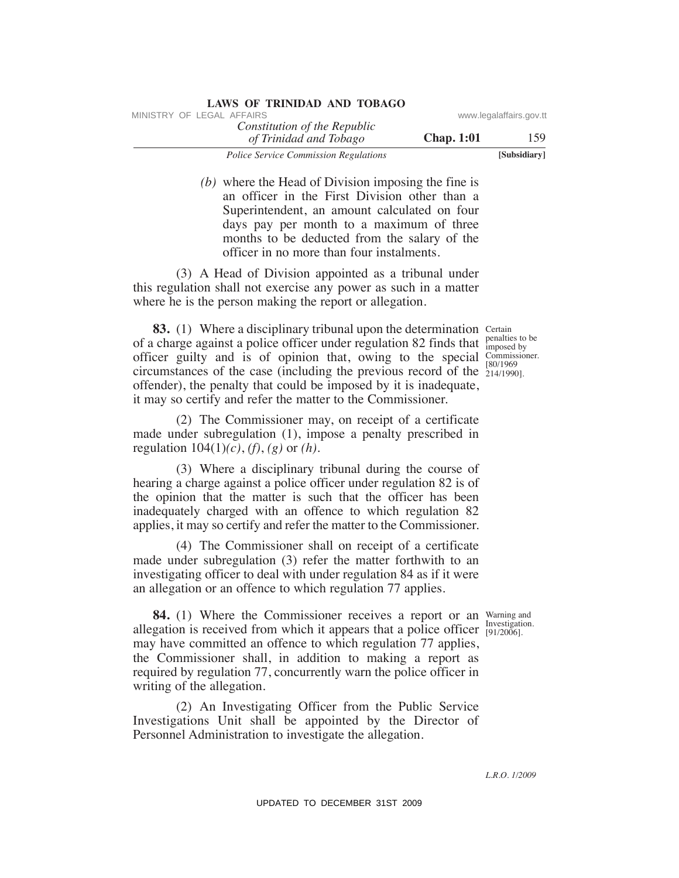| <b>LAWS OF TRINIDAD AND TOBAGO</b>                     |                   |                         |
|--------------------------------------------------------|-------------------|-------------------------|
| MINISTRY OF LEGAL AFFAIRS                              |                   | www.legalaffairs.gov.tt |
| Constitution of the Republic<br>of Trinidad and Tobago | <b>Chap.</b> 1:01 | 159                     |
| <i>Police Service Commission Regulations</i>           |                   | [Subsidiary]            |

 *(b)* where the Head of Division imposing the fine is an officer in the First Division other than a Superintendent, an amount calculated on four days pay per month to a maximum of three months to be deducted from the salary of the officer in no more than four instalments.

 (3) A Head of Division appointed as a tribunal under this regulation shall not exercise any power as such in a matter where he is the person making the report or allegation.

**83.** (1) Where a disciplinary tribunal upon the determination Certain of a charge against a police officer under regulation 82 finds that  $\frac{\text{penalties to be}}{\text{imposed by}}$ officer guilty and is of opinion that, owing to the special Commissioner. circumstances of the case (including the previous record of the  $\frac{607150}{214/1990}$ . offender), the penalty that could be imposed by it is inadequate, it may so certify and refer the matter to the Commissioner. VINESTRY OF LEGAL *CREATER CONSTRAINING of the Republic* www.legalaffairs.gov.ttps://www.legalaffairs.gov.ttps://www.legalaffairs.gov.ttps://www.legalaffairs.gov.ttps://www.legalaffairs.gov.ttps://www.legalaffairs.gov.ttp

imposed by [80/1969

 (2) The Commissioner may, on receipt of a certificate made under subregulation (1), impose a penalty prescribed in regulation 104(1)*(c)*, *(f)*, *(g)* or *(h)*.

 (3) Where a disciplinary tribunal during the course of hearing a charge against a police officer under regulation 82 is of the opinion that the matter is such that the officer has been inadequately charged with an offence to which regulation 82 applies, it may so certify and refer the matter to the Commissioner.

 (4) The Commissioner shall on receipt of a certificate made under subregulation (3) refer the matter forthwith to an investigating officer to deal with under regulation 84 as if it were an allegation or an offence to which regulation 77 applies.

**84.** (1) Where the Commissioner receives a report or an Warning and allegation is received from which it appears that a police officer  $\frac{Investigation}{[91/2006]}$ may have committed an offence to which regulation 77 applies, the Commissioner shall, in addition to making a report as required by regulation 77, concurrently warn the police officer in writing of the allegation.

 (2) An Investigating Officer from the Public Service Investigations Unit shall be appointed by the Director of Personnel Administration to investigate the allegation.

[91/2006].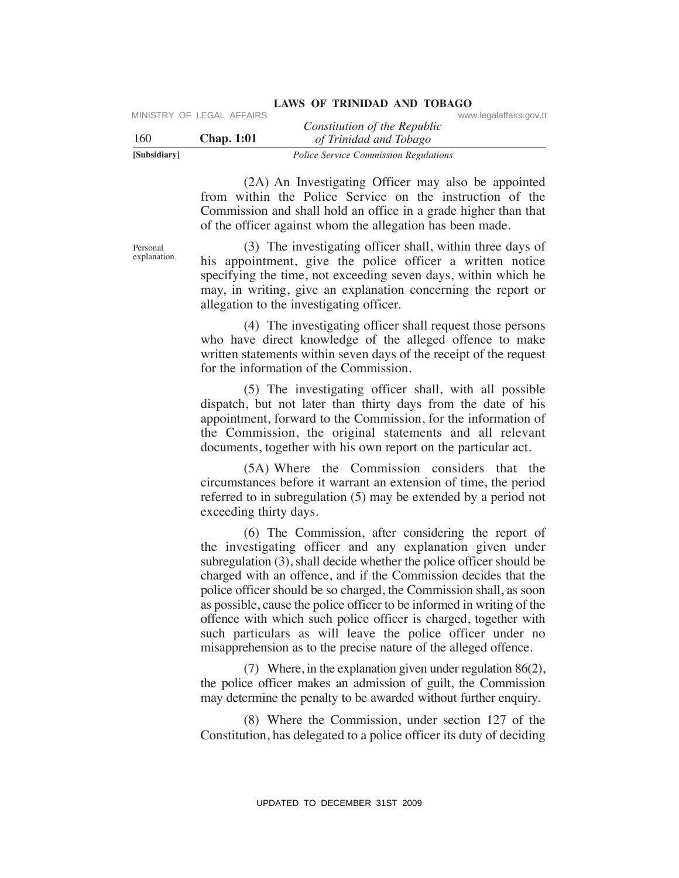| [Subsidiary] |                           | <i>Police Service Commission Regulations</i>           |                         |
|--------------|---------------------------|--------------------------------------------------------|-------------------------|
| 160          | <b>Chap.</b> 1:01         | Constitution of the Republic<br>of Trinidad and Tobago |                         |
|              | MINISTRY OF LEGAL AFFAIRS |                                                        | www.legalaffairs.gov.tt |

 (2A) An Investigating Officer may also be appointed from within the Police Service on the instruction of the Commission and shall hold an office in a grade higher than that of the officer against whom the allegation has been made.

 (3) The investigating officer shall, within three days of his appointment, give the police officer a written notice specifying the time, not exceeding seven days, within which he may, in writing, give an explanation concerning the report or allegation to the investigating officer.

 (4) The investigating officer shall request those persons who have direct knowledge of the alleged offence to make written statements within seven days of the receipt of the request for the information of the Commission.

 (5) The investigating officer shall, with all possible dispatch, but not later than thirty days from the date of his appointment, forward to the Commission, for the information of the Commission, the original statements and all relevant documents, together with his own report on the particular act.

 (5A) Where the Commission considers that the circumstances before it warrant an extension of time, the period referred to in subregulation (5) may be extended by a period not exceeding thirty days.

 (6) The Commission, after considering the report of the investigating officer and any explanation given under subregulation (3), shall decide whether the police officer should be charged with an offence, and if the Commission decides that the police officer should be so charged, the Commission shall, as soon as possible, cause the police officer to be informed in writing of the offence with which such police officer is charged, together with such particulars as will leave the police officer under no misapprehension as to the precise nature of the alleged offence. UPDATENT CONSULTERT CONSULTERT CONSULTERT CONSULTERT CONSULTERT TO THE TRANSFER 1000 THE TRANSFER 32 SUBAR INVESTIGATION TO THE TRANSFER 32 SUBAR IN THE TRANSFER 31 CONDITION TO THE TRANSFER SUBAR TO THE TRANSFER SUBAR TO

 (7) Where, in the explanation given under regulation 86(2), the police officer makes an admission of guilt, the Commission may determine the penalty to be awarded without further enquiry.

 (8) Where the Commission, under section 127 of the Constitution, has delegated to a police officer its duty of deciding

Personal explanation.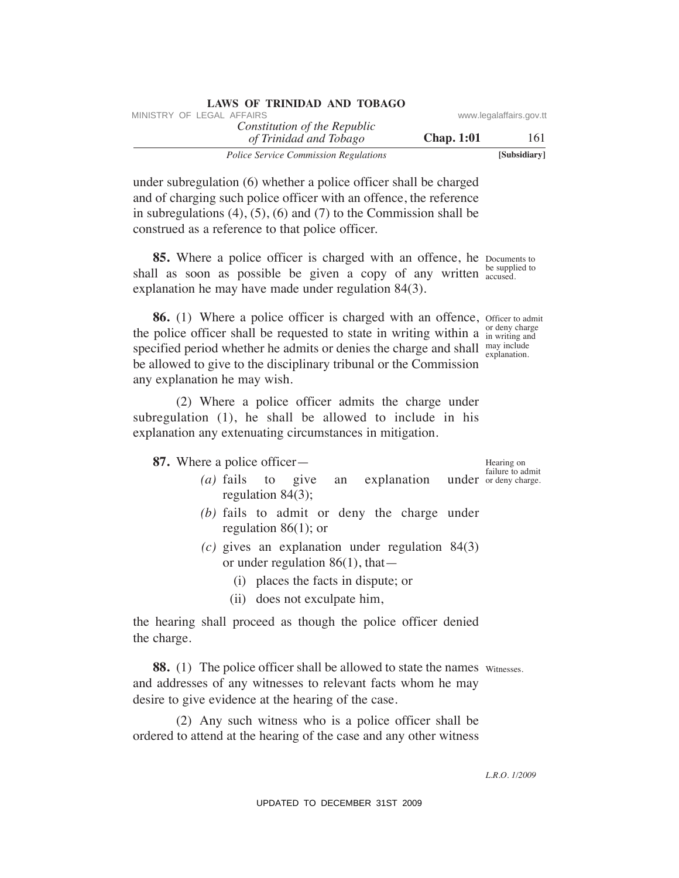| LAWS OF INIMIDAD AND TODAGO                            |                   |                         |
|--------------------------------------------------------|-------------------|-------------------------|
| MINISTRY OF LEGAL AFFAIRS                              |                   | www.legalaffairs.gov.tt |
| Constitution of the Republic<br>of Trinidad and Tobago | <b>Chap.</b> 1:01 | 161                     |
| <b>Police Service Commission Regulations</b>           |                   | [Subsidiary]            |

under subregulation (6) whether a police officer shall be charged and of charging such police officer with an offence, the reference in subregulations  $(4)$ ,  $(5)$ ,  $(6)$  and  $(7)$  to the Commission shall be construed as a reference to that police officer.

**LAWS OF TRINIDAD AND TOBAGO**

**85.** Where a police officer is charged with an offence, he Documents to shall as soon as possible be given a copy of any written **be supplied** to explanation he may have made under regulation 84(3). accused.

**86.** (1) Where a police officer is charged with an offence, officer to admit the police officer shall be requested to state in writing within a  $_{\text{in writing and}}^{\text{or deny charge}}$ specified period whether he admits or denies the charge and shall  $\frac{may\ include}{explanation}$ be allowed to give to the disciplinary tribunal or the Commission any explanation he may wish. in writing and explanation. WHETHY OF LEGAL AFFAIRS of the Republic<br>
Total and Tahtegor<br>
The constitution of the Republic<br>
Total and Tahtegor<br>
and of changing such policies of fiction and fit constrained constrained and the constrained and the const

 (2) Where a police officer admits the charge under subregulation (1), he shall be allowed to include in his explanation any extenuating circumstances in mitigation.

 **87.** Where a police officer—

- $(a)$  fails to give an explanation regulation 84(3);
- *(b)* fails to admit or deny the charge under regulation 86(1); or
- *(c)* gives an explanation under regulation 84(3) or under regulation 86(1), that—
	- (i) places the facts in dispute; or
	- (ii) does not exculpate him,

the hearing shall proceed as though the police officer denied the charge.

**88.** (1) The police officer shall be allowed to state the names witnesses. and addresses of any witnesses to relevant facts whom he may desire to give evidence at the hearing of the case.

 (2) Any such witness who is a police officer shall be ordered to attend at the hearing of the case and any other witness

failure to admit under or deny charge.

Hearing on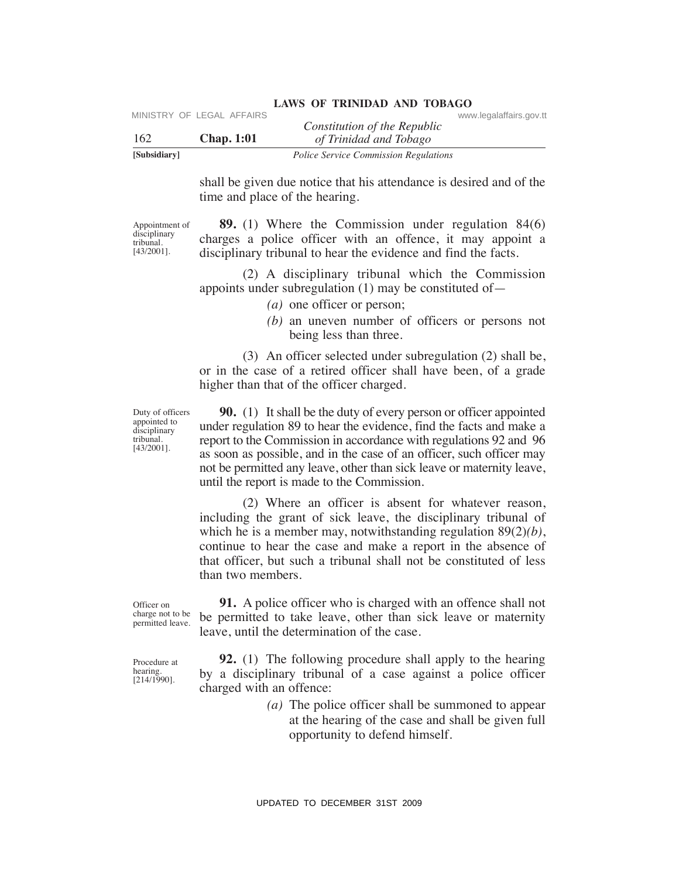| [Subsidiary] |                           | <i>Police Service Commission Regulations</i> |                         |
|--------------|---------------------------|----------------------------------------------|-------------------------|
| 162          | <b>Chap.</b> 1:01         | of Trinidad and Tobago                       |                         |
|              |                           | Constitution of the Republic                 |                         |
|              | MINISTRY OF LEGAL AFFAIRS |                                              | www.legalaffairs.gov.tt |

shall be given due notice that his attendance is desired and of the time and place of the hearing.

Appointment of disciplinary tribunal. [43/2001].

 **89.** (1) Where the Commission under regulation 84(6) charges a police officer with an offence, it may appoint a disciplinary tribunal to hear the evidence and find the facts.

 (2) A disciplinary tribunal which the Commission appoints under subregulation (1) may be constituted of—

- *(a)* one officer or person;
- *(b)* an uneven number of officers or persons not being less than three.

 (3) An officer selected under subregulation (2) shall be, or in the case of a retired officer shall have been, of a grade higher than that of the officer charged.

Duty of officers appointed to disciplinary tribunal. [43/2001].

 **90.** (1) It shall be the duty of every person or officer appointed under regulation 89 to hear the evidence, find the facts and make a report to the Commission in accordance with regulations 92 and 96 as soon as possible, and in the case of an officer, such officer may not be permitted any leave, other than sick leave or maternity leave, until the report is made to the Commission.

 (2) Where an officer is absent for whatever reason, including the grant of sick leave, the disciplinary tribunal of which he is a member may, notwithstanding regulation 89(2)*(b)*, continue to hear the case and make a report in the absence of that officer, but such a tribunal shall not be constituted of less than two members. VERTRY OF LEGAL AFFAIRS<br>
VERTRIED Constitution of the Republic<br>
Similatory<br>
USD<br>
Similatory<br>
USD<br>
Similatory<br>
USD<br>
Similatory<br>
Similatory<br>
Similatory<br>
Similator commission and phice of the leading:<br>
Architectro-<br>
Architec

Officer on charge not to be permitted leave.

Procedure at hearing. [214/1990].

 **91.** A police officer who is charged with an offence shall not be permitted to take leave, other than sick leave or maternity leave, until the determination of the case.

 **92.** (1) The following procedure shall apply to the hearing by a disciplinary tribunal of a case against a police officer charged with an offence:

> *(a)* The police officer shall be summoned to appear at the hearing of the case and shall be given full opportunity to defend himself.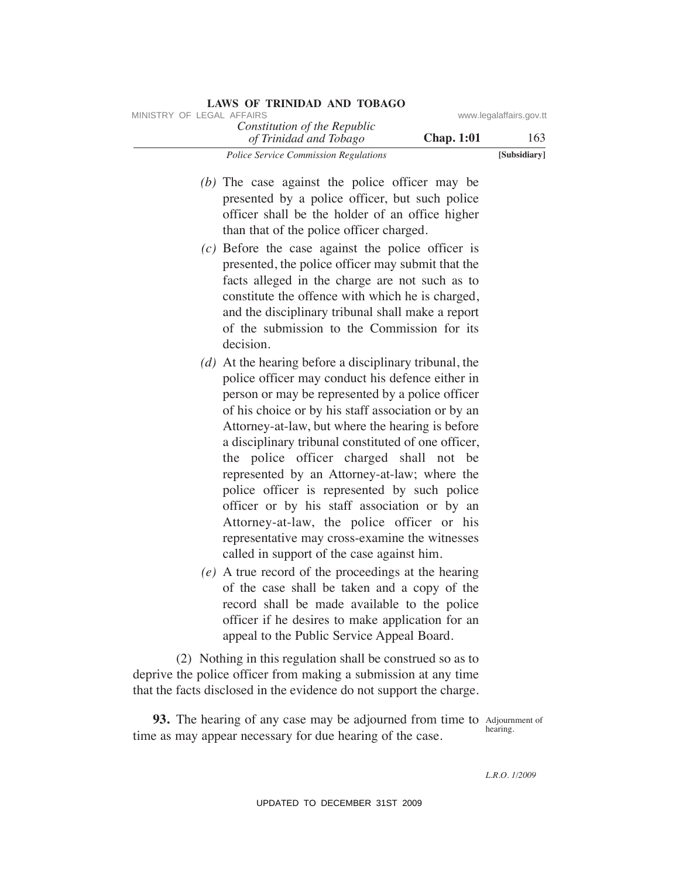| <b>LAWS OF TRINIDAD AND TOBAGO</b>                     |                   |                         |
|--------------------------------------------------------|-------------------|-------------------------|
| MINISTRY OF LEGAL AFFAIRS                              |                   | www.legalaffairs.gov.tt |
| Constitution of the Republic<br>of Trinidad and Tobago | <b>Chap.</b> 1:01 | 163                     |
| <i>Police Service Commission Regulations</i>           |                   | [Subsidiary]            |

- *(b)* The case against the police officer may be presented by a police officer, but such police officer shall be the holder of an office higher than that of the police officer charged.
- *(c)* Before the case against the police officer is presented, the police officer may submit that the facts alleged in the charge are not such as to constitute the offence with which he is charged, and the disciplinary tribunal shall make a report of the submission to the Commission for its decision.
- *(d)* At the hearing before a disciplinary tribunal, the police officer may conduct his defence either in person or may be represented by a police officer of his choice or by his staff association or by an Attorney-at-law, but where the hearing is before a disciplinary tribunal constituted of one officer, the police officer charged shall not be represented by an Attorney-at-law; where the police officer is represented by such police officer or by his staff association or by an Attorney-at-law, the police officer or his representative may cross-examine the witnesses called in support of the case against him. SINESTRY OF LEGAL AFFAIRS of the Republic sources and Tablego **Chap. 1:01**<br> *UPDATE Trimidal and Tablego* **Chap. 1:01**<br> *UPDATE Trimidal and Tablego Chap. Experiment Constantine Constant Affect the police officer and b* 
	- *(e)* A true record of the proceedings at the hearing of the case shall be taken and a copy of the record shall be made available to the police officer if he desires to make application for an appeal to the Public Service Appeal Board.

 (2) Nothing in this regulation shall be construed so as to deprive the police officer from making a submission at any time that the facts disclosed in the evidence do not support the charge.

**93.** The hearing of any case may be adjourned from time to Adjournment of time as may appear necessary for due hearing of the case.

hearing.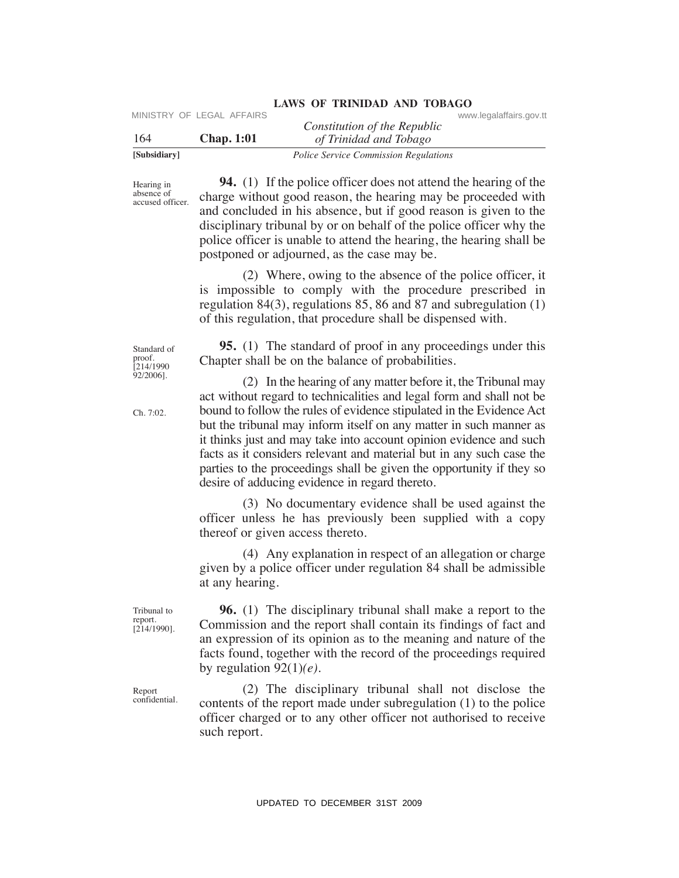| [Subsidiary] |                           | <i>Police Service Commission Regulations</i> |                         |
|--------------|---------------------------|----------------------------------------------|-------------------------|
| 164          | <b>Chap.</b> 1:01         | of Trinidad and Tobago                       |                         |
|              | MINISTRY OF LEGAL AFFAIRS | Constitution of the Republic                 | www.legalaffairs.gov.tt |

Hearing in absence of accused officer.

 **94.** (1) If the police officer does not attend the hearing of the charge without good reason, the hearing may be proceeded with and concluded in his absence, but if good reason is given to the disciplinary tribunal by or on behalf of the police officer why the police officer is unable to attend the hearing, the hearing shall be postponed or adjourned, as the case may be. UPDATE TO ELGAL AFFAIRS Constitution of the Republic Constitution of the Republic Constitution of the Trainties of Trainties of The points of the Constraine of Hamilton Constraine and The points of Hamilton Total (and the

 (2) Where, owing to the absence of the police officer, it is impossible to comply with the procedure prescribed in regulation 84(3), regulations 85, 86 and 87 and subregulation (1) of this regulation, that procedure shall be dispensed with.

**95.** (1) The standard of proof in any proceedings under this

act without regard to technicalities and legal form and shall not be bound to follow the rules of evidence stipulated in the Evidence Act but the tribunal may inform itself on any matter in such manner as it thinks just and may take into account opinion evidence and such facts as it considers relevant and material but in any such case the parties to the proceedings shall be given the opportunity if they so

(2) In the hearing of any matter before it, the Tribunal may

(3) No documentary evidence shall be used against the

(4) Any explanation in respect of an allegation or charge

Chapter shall be on the balance of probabilities.

desire of adducing evidence in regard thereto.

thereof or given access thereto.

at any hearing.

Standard of proof. press.<br>[214/1990 92/2006].

Ch. 7:02.

Tribunal to report. [214/1990].

Report confidential.

 **96.** (1) The disciplinary tribunal shall make a report to the Commission and the report shall contain its findings of fact and an expression of its opinion as to the meaning and nature of the facts found, together with the record of the proceedings required by regulation 92(1)*(e)*.

officer unless he has previously been supplied with a copy

given by a police officer under regulation 84 shall be admissible

 (2) The disciplinary tribunal shall not disclose the contents of the report made under subregulation (1) to the police officer charged or to any other officer not authorised to receive such report.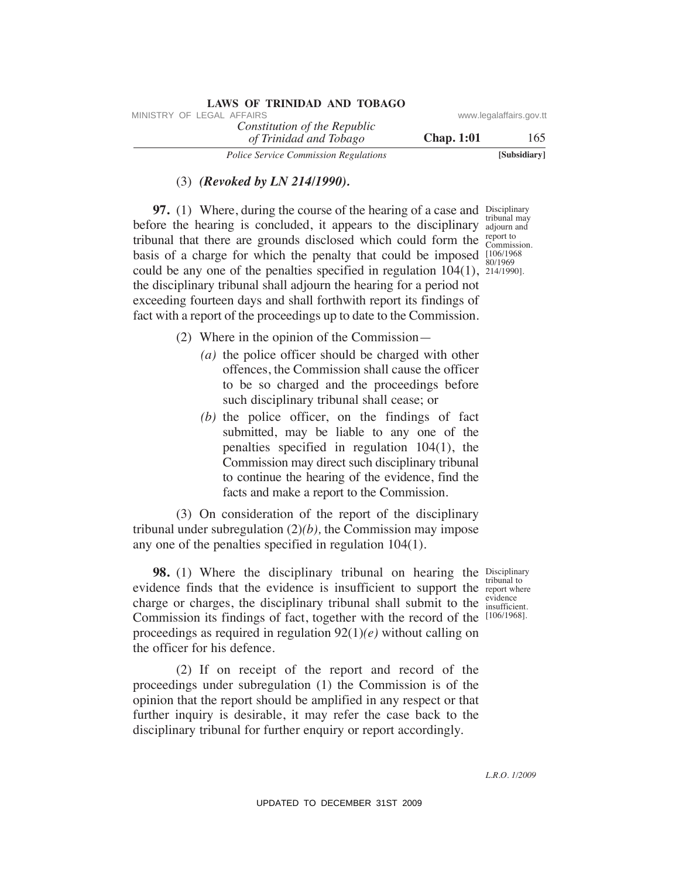| <b>LAWS OF TRINIDAD AND TOBAGO</b>           |                   |                         |
|----------------------------------------------|-------------------|-------------------------|
| MINISTRY OF LEGAL AFFAIRS                    |                   | www.legalaffairs.gov.tt |
| Constitution of the Republic                 |                   |                         |
| of Trinidad and Tobago                       | <b>Chap.</b> 1:01 | 165                     |
| <b>Police Service Commission Regulations</b> |                   | [Subsidiary]            |

### (3) *(Revoked by LN 214/1990).*

**97.** (1) Where, during the course of the hearing of a case and Disciplinary before the hearing is concluded, it appears to the disciplinary adjourn and tribunal that there are grounds disclosed which could form the  $_{\text{Commis}}^{\text{report to}}$ basis of a charge for which the penalty that could be imposed  $\frac{[106/1968]}{80/1060}$ could be any one of the penalties specified in regulation  $104(1)$ ,  $\frac{214}{1990}$ . the disciplinary tribunal shall adjourn the hearing for a period not exceeding fourteen days and shall forthwith report its findings of fact with a report of the proceedings up to date to the Commission. VINESTRY OF LEGAL AFFAIRS:<br>
The Constitution of the Republic<br>
Total and Thirlogov<br>
The Constitution Region Club, 1:01<br>
Total and Thirlogov<br>
97. (1) Where, during the courses of the behavior of energy of the<br>
Heffer the he

tribunal may Commission. 80/1969

- (2) Where in the opinion of the Commission—
	- *(a)* the police officer should be charged with other offences, the Commission shall cause the officer to be so charged and the proceedings before such disciplinary tribunal shall cease; or
	- *(b)* the police officer, on the findings of fact submitted, may be liable to any one of the penalties specified in regulation 104(1), the Commission may direct such disciplinary tribunal to continue the hearing of the evidence, find the facts and make a report to the Commission.

 (3) On consideration of the report of the disciplinary tribunal under subregulation (2)*(b),* the Commission may impose any one of the penalties specified in regulation 104(1).

**98.** (1) Where the disciplinary tribunal on hearing the Disciplinary evidence finds that the evidence is insufficient to support the report where charge or charges, the disciplinary tribunal shall submit to the  $\frac{\text{evidence}}{\text{insufficie}}$ Commission its findings of fact, together with the record of the [106/1968]. proceedings as required in regulation 92(1)*(e)* without calling on the officer for his defence.

 (2) If on receipt of the report and record of the proceedings under subregulation (1) the Commission is of the opinion that the report should be amplified in any respect or that further inquiry is desirable, it may refer the case back to the disciplinary tribunal for further enquiry or report accordingly.

tribunal to insufficient.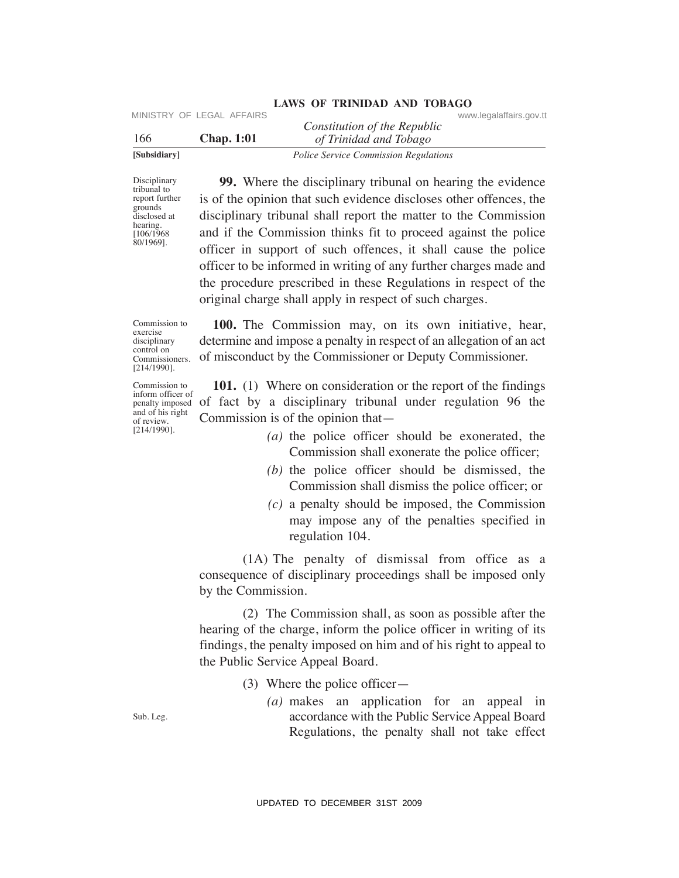| [Subsidiary] |                           | <i>Police Service Commission Regulations</i> |                         |  |
|--------------|---------------------------|----------------------------------------------|-------------------------|--|
| 166          | <b>Chap.</b> 1:01         | of Trinidad and Tobago                       |                         |  |
|              |                           | Constitution of the Republic                 |                         |  |
|              | MINISTRY OF LEGAL AFFAIRS |                                              | www.legalaffairs.gov.tt |  |

Disciplinary tribunal to report further grounds disclosed at hearing. [106/1968 80/1969].

 **99.** Where the disciplinary tribunal on hearing the evidence is of the opinion that such evidence discloses other offences, the disciplinary tribunal shall report the matter to the Commission and if the Commission thinks fit to proceed against the police officer in support of such offences, it shall cause the police officer to be informed in writing of any further charges made and the procedure prescribed in these Regulations in respect of the original charge shall apply in respect of such charges. UPDATED TO UPDATED Consideration of the Republic<br>
Using Training of the Republic<br>
Using Training Training Theorem and The Distribution of the Norganital and The Corresponding Theorem and is of the optimization<br>
December a

Commission to exercise disciplinary control on Commissioners. [214/1990].

Commission to inform officer of penalty imposed and of his right of review. [214/1990].

 **100.** The Commission may, on its own initiative, hear, determine and impose a penalty in respect of an allegation of an act of misconduct by the Commissioner or Deputy Commissioner.

 **101.** (1) Where on consideration or the report of the findings of fact by a disciplinary tribunal under regulation 96 the Commission is of the opinion that—

- *(a)* the police officer should be exonerated, the Commission shall exonerate the police officer;
- *(b)* the police officer should be dismissed, the Commission shall dismiss the police officer; or
- *(c)* a penalty should be imposed, the Commission may impose any of the penalties specified in regulation 104.

 (1A) The penalty of dismissal from office as a consequence of disciplinary proceedings shall be imposed only by the Commission.

 (2) The Commission shall, as soon as possible after the hearing of the charge, inform the police officer in writing of its findings, the penalty imposed on him and of his right to appeal to the Public Service Appeal Board.

- (3) Where the police officer—
	- *(a)* makes an application for an appeal in accordance with the Public Service Appeal Board Regulations, the penalty shall not take effect

Sub. Leg.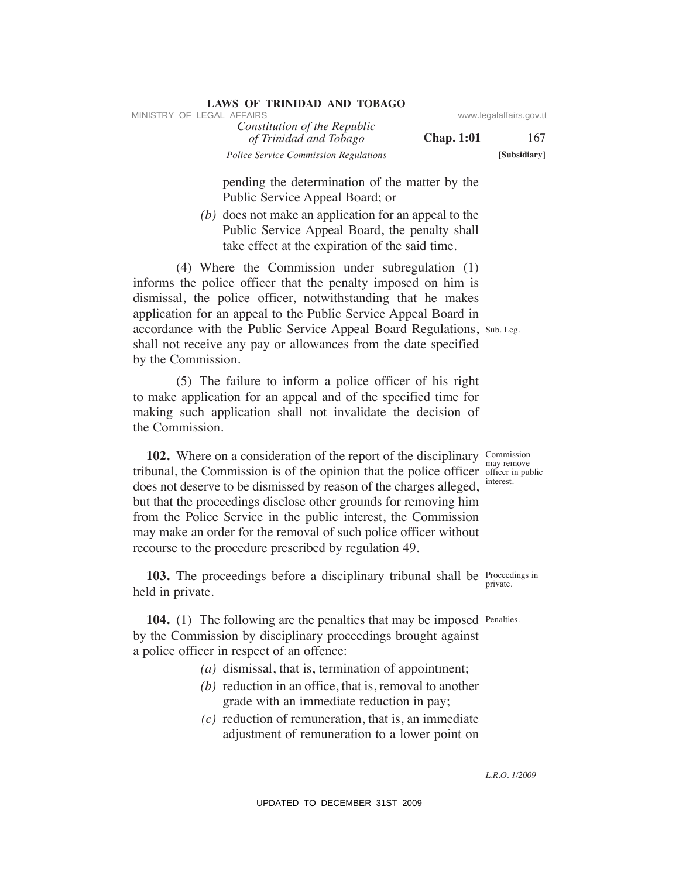| <b>LAWS OF TRINIDAD AND TOBAGO</b>                     |                   |                         |
|--------------------------------------------------------|-------------------|-------------------------|
| MINISTRY OF LEGAL AFFAIRS                              |                   | www.legalaffairs.gov.tt |
| Constitution of the Republic<br>of Trinidad and Tobago | <b>Chap.</b> 1:01 | 167                     |
| <b>Police Service Commission Regulations</b>           |                   | [Subsidiary]            |

pending the determination of the matter by the Public Service Appeal Board; or

 *(b)* does not make an application for an appeal to the Public Service Appeal Board, the penalty shall take effect at the expiration of the said time.

accordance with the Public Service Appeal Board Regulations, Sub. Leg. (4) Where the Commission under subregulation (1) informs the police officer that the penalty imposed on him is dismissal, the police officer, notwithstanding that he makes application for an appeal to the Public Service Appeal Board in shall not receive any pay or allowances from the date specified by the Commission. VINESTRY OF LEGAL AFFAIRS of the Repubblic convention of the Repubblic convention of the matter by the primition of the matter by the Photo Service Appeal Monti. or the matter by the Cho does not make a application for an

 (5) The failure to inform a police officer of his right to make application for an appeal and of the specified time for making such application shall not invalidate the decision of the Commission.

**102.** Where on a consideration of the report of the disciplinary Commission tribunal, the Commission is of the opinion that the police officer officer in public does not deserve to be dismissed by reason of the charges alleged, but that the proceedings disclose other grounds for removing him from the Police Service in the public interest, the Commission may make an order for the removal of such police officer without recourse to the procedure prescribed by regulation 49.

**103.** The proceedings before a disciplinary tribunal shall be Proceedings in private. held in private.

**104.** (1) The following are the penalties that may be imposed Penalties. by the Commission by disciplinary proceedings brought against a police officer in respect of an offence:

- *(a)* dismissal, that is, termination of appointment;
- *(b)* reduction in an office, that is, removal to another grade with an immediate reduction in pay;
- *(c)* reduction of remuneration, that is, an immediate adjustment of remuneration to a lower point on

may remove interest.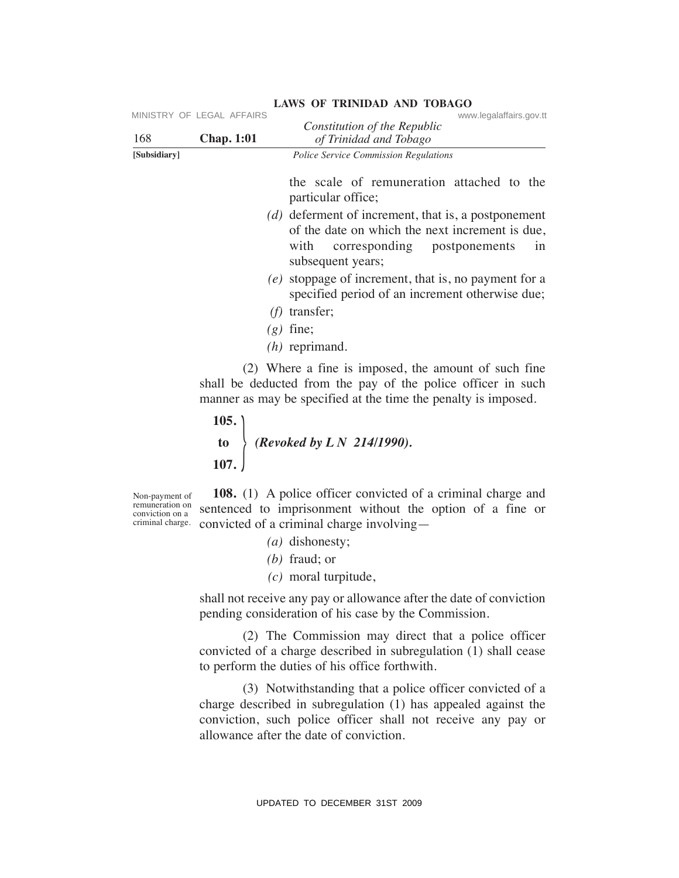|                                                                          | MINISTRY OF LEGAL AFFAIRS | www.legalaffairs.gov.tt<br>Constitution of the Republic                                                                                                                                                                                                                                                                                                                                                                                                                                                                                  |
|--------------------------------------------------------------------------|---------------------------|------------------------------------------------------------------------------------------------------------------------------------------------------------------------------------------------------------------------------------------------------------------------------------------------------------------------------------------------------------------------------------------------------------------------------------------------------------------------------------------------------------------------------------------|
| 168<br>[Subsidiary]                                                      | <b>Chap. 1:01</b>         | of Trinidad and Tobago<br>Police Service Commission Regulations                                                                                                                                                                                                                                                                                                                                                                                                                                                                          |
|                                                                          |                           | the scale of remuneration attached to the<br>particular office;<br>$(d)$ deferment of increment, that is, a postponement<br>of the date on which the next increment is due,<br>corresponding postponements<br>with<br>1n<br>subsequent years;<br>$(e)$ stoppage of increment, that is, no payment for a<br>specified period of an increment otherwise due;<br>$(f)$ transfer;<br>$(g)$ fine;<br>$(h)$ reprimand.<br>(2) Where a fine is imposed, the amount of such fine<br>shall be deducted from the pay of the police officer in such |
|                                                                          | 105.                      | manner as may be specified at the time the penalty is imposed.                                                                                                                                                                                                                                                                                                                                                                                                                                                                           |
|                                                                          | 107.                      | to $\left\{\n \begin{array}{c}\n (Revoked by L N 214/1990).\n \end{array}\n \right.$                                                                                                                                                                                                                                                                                                                                                                                                                                                     |
| Non-payment of<br>remuneration on<br>conviction on a<br>criminal charge. |                           | <b>108.</b> (1) A police officer convicted of a criminal charge and<br>sentenced to imprisonment without the option of a fine or<br>convicted of a criminal charge involving—<br>$(a)$ dishonesty;<br>$(b)$ fraud; or<br>$(c)$ moral turpitude,                                                                                                                                                                                                                                                                                          |
|                                                                          |                           | shall not receive any pay or allowance after the date of conviction<br>pending consideration of his case by the Commission.                                                                                                                                                                                                                                                                                                                                                                                                              |
|                                                                          |                           | (2) The Commission may direct that a police officer<br>convicted of a charge described in subregulation (1) shall cease<br>to perform the duties of his office forthwith.                                                                                                                                                                                                                                                                                                                                                                |
|                                                                          |                           | (3) Notwithstanding that a police officer convicted of a<br>charge described in subregulation (1) has appealed against the<br>conviction, such police officer shall not receive any pay or<br>allowance after the date of conviction.                                                                                                                                                                                                                                                                                                    |
|                                                                          |                           | UPDATED TO DECEMBER 31ST 2009                                                                                                                                                                                                                                                                                                                                                                                                                                                                                                            |

- *(a)* dishonesty;
- *(b)* fraud; or
- *(c)* moral turpitude,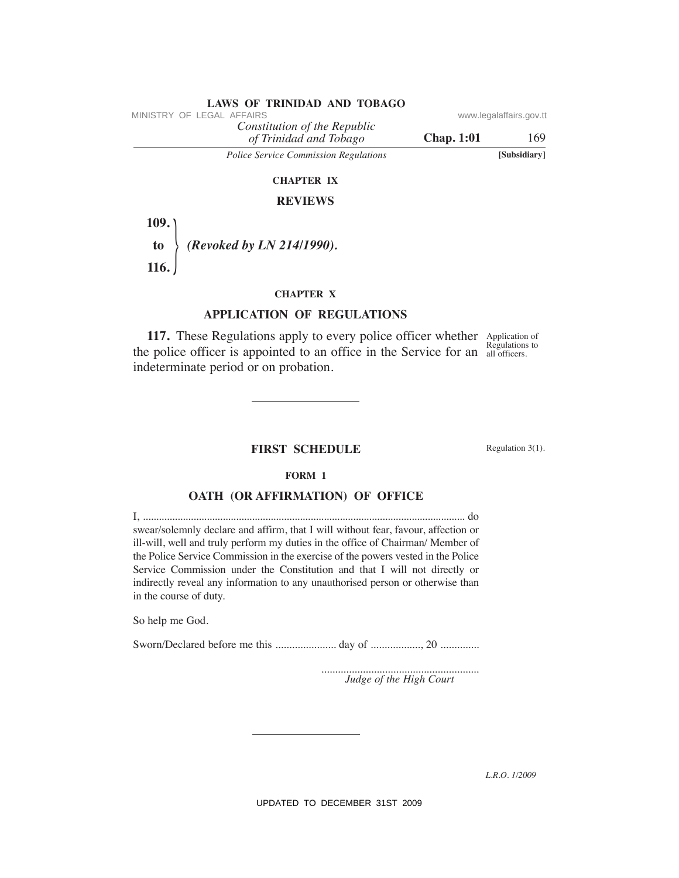### *of Trinidad and Tobago Constitution of the Republic* **Chap. 1:01** 169 **LAWS OF TRINIDAD AND TOBAGO**<br>MINISTRY OF LEGAL AFFAIRS *Police Service Commission Regulations* **[Subsidiary]**

### **ChAPTeR IX**

### **ReVIeWS**

 $\frac{1}{2}$  **109. to** *(Revoked by LN 214/1990).*  **116.** 

### **ChAPTeR X**

### **APPLICATION OF ReGuLATIONS**

**117.** These Regulations apply to every police officer whether Application of the police officer is appointed to an office in the Service for an  $\frac{1}{all \text{ officers}}$ . indeterminate period or on probation.

Regulations to

### **FIRST SCheDuLe**

Regulation 3(1).

### **FORM 1**

### **OATh (OR AFFIRMATION) OF OFFICe**

I, ......................................................................................................................... do swear/solemnly declare and affirm, that I will without fear, favour, affection or ill-will, well and truly perform my duties in the office of Chairman/ Member of the Police Service Commission in the exercise of the powers vested in the Police Service Commission under the Constitution and that I will not directly or indirectly reveal any information to any unauthorised person or otherwise than in the course of duty. VINESTRY OF LEGAL AFFAIRS.<br>
The *UP constitution of the Repubblic* constant Theogovernor Chap. 1:01<br> *Police Service Commission Regalations*<br>
CHAPTER X<br> **AFFLE X**<br> **AFFLE X**<br> **APFLICATION OF REGULATIONS**<br> **CHAPTER X**<br> **AP** 

So help me God.

Sworn/Declared before me this ...................... day of .................., 20 ..............

......................................................... *Judge of the High Court*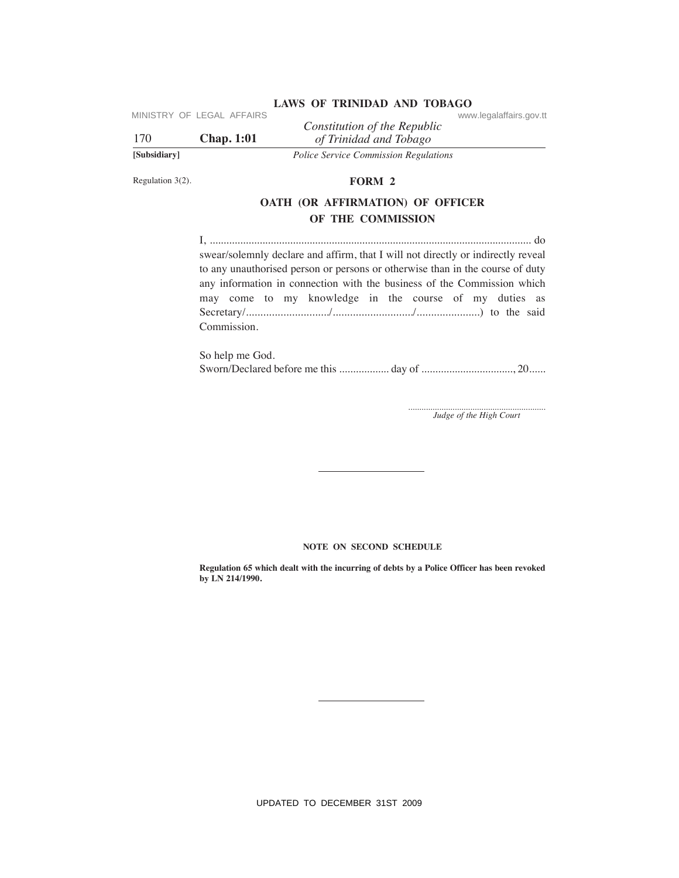| [Subsidiary] |                             | <b>Police Service Commission Regulations</b>           |                         |
|--------------|-----------------------------|--------------------------------------------------------|-------------------------|
| 170          | <b>Chap.</b> 1:01           | Constitution of the Republic<br>of Trinidad and Tobago |                         |
|              | IVIING INT UF LEGAL AFFAING |                                                        | www.iegalalialis.gov.tt |

Regulation 3(2).

### **FORM 2**

### **OATh (OR AFFIRMATION) OF OFFICeR OF The COMMISSION**

I, .................................................................................................................... do swear/solemnly declare and affirm, that I will not directly or indirectly reveal to any unauthorised person or persons or otherwise than in the course of duty any information in connection with the business of the Commission which may come to my knowledge in the course of my duties as Secretary/............................./............................/......................) to the said Commission. UPDATED TO DECEMBER 31ST 2009<br>
UPDATED TO DECEMBER 31ST 2009<br>
UPDATED TO DECEMBER 31ST 2009<br>
UPDATED TO DECEMBER 31ST 2009<br>
UPDATED TO APPENDATED SURFAIRS OF STREET CONDUCTS OF OPERATIONS OF OPERATIONS<br>
UPDATED TO APPENDA

So help me God. Sworn/Declared before me this .................. day of ................................., 20......

.............................................................. *Judge of the High Court*

### **NOTE ON SECOND SCHEDULE**

**Regulation 65 which dealt with the incurring of debts by a Police Officer has been revoked by LN 214/1990.**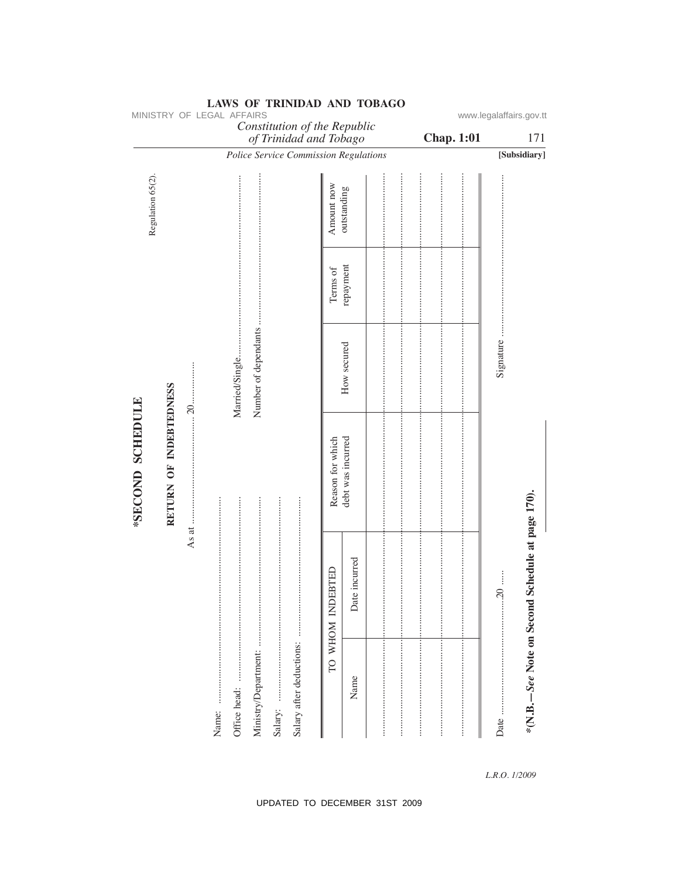|                                            |                    |     | MINISTRY OF LEGAL AFFAIRS |                  |                      |                                                        |                  |               |  |                   | www.legalaffairs.gov.tt |                                                  |
|--------------------------------------------|--------------------|-----|---------------------------|------------------|----------------------|--------------------------------------------------------|------------------|---------------|--|-------------------|-------------------------|--------------------------------------------------|
|                                            |                    |     |                           |                  |                      | Constitution of the Republic<br>of Trinidad and Tobago |                  |               |  | <b>Chap. 1:01</b> |                         | 171                                              |
|                                            |                    |     |                           |                  |                      | Police Service Commission Regulations                  |                  |               |  |                   |                         | [Subsidiary]                                     |
| Regulation 65(2).                          |                    |     |                           |                  |                      |                                                        | Amount now       | outstanding   |  |                   |                         |                                                  |
|                                            |                    |     |                           |                  |                      |                                                        | Terms of         | repayment     |  |                   |                         |                                                  |
|                                            |                    | 20. |                           | Married/Single   | Number of dependants |                                                        |                  | How secured   |  |                   | Signature               |                                                  |
| RETURN OF INDEBTEDNESS<br>*SECOND SCHEDULE | As at $\dots\dots$ |     |                           | Reason for which | debt was incurred    |                                                        |                  |               |  |                   |                         |                                                  |
|                                            |                    |     |                           |                  |                      |                                                        | TO WHOM INDEBTED | Date incurred |  |                   | .20                     | *(N.B.-See Note on Second Schedule at page 170). |
|                                            |                    |     |                           |                  | Ministry/Department: | Salary after deductions:                               |                  | Name          |  |                   |                         |                                                  |

MINISTRY OF LEGAL AFFAIRS

L.R.O. 1/2009

### UPDATED TO DECEMBER 31ST 2009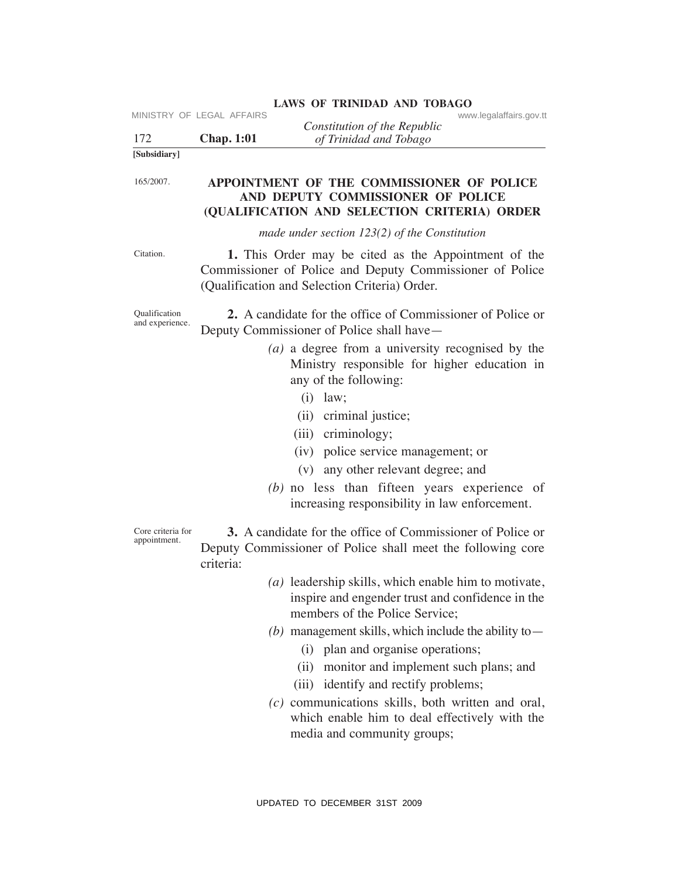|                                         | MINISTRY OF LEGAL AFFAIRS | <b>LAWS OF TRINIDAD AND TOBAGO</b><br>www.legalaffairs.gov.tt                                                                                                                                                                                                                                                                |
|-----------------------------------------|---------------------------|------------------------------------------------------------------------------------------------------------------------------------------------------------------------------------------------------------------------------------------------------------------------------------------------------------------------------|
| 172                                     | <b>Chap.</b> 1:01         | Constitution of the Republic<br>of Trinidad and Tobago                                                                                                                                                                                                                                                                       |
| [Subsidiary]                            |                           |                                                                                                                                                                                                                                                                                                                              |
| 165/2007.                               |                           | APPOINTMENT OF THE COMMISSIONER OF POLICE<br>AND DEPUTY COMMISSIONER OF POLICE<br>(QUALIFICATION AND SELECTION CRITERIA) ORDER                                                                                                                                                                                               |
|                                         |                           | made under section $123(2)$ of the Constitution                                                                                                                                                                                                                                                                              |
| Citation.                               |                           | 1. This Order may be cited as the Appointment of the<br>Commissioner of Police and Deputy Commissioner of Police<br>(Qualification and Selection Criteria) Order.                                                                                                                                                            |
| <b>Qualification</b><br>and experience. |                           | 2. A candidate for the office of Commissioner of Police or<br>Deputy Commissioner of Police shall have—<br>$(a)$ a degree from a university recognised by the<br>Ministry responsible for higher education in                                                                                                                |
|                                         |                           | any of the following:<br>$(i)$ law;<br>(ii) criminal justice;<br>(iii) criminology;<br>(iv) police service management; or<br>(v) any other relevant degree; and<br>$(b)$ no less than fifteen years experience of<br>increasing responsibility in law enforcement.                                                           |
| Core criteria for<br>appointment.       | criteria:                 | 3. A candidate for the office of Commissioner of Police or<br>Deputy Commissioner of Police shall meet the following core                                                                                                                                                                                                    |
|                                         |                           | $(a)$ leadership skills, which enable him to motivate,<br>inspire and engender trust and confidence in the<br>members of the Police Service;                                                                                                                                                                                 |
|                                         |                           | (b) management skills, which include the ability to $-$<br>(i) plan and organise operations;<br>monitor and implement such plans; and<br>(ii)<br>(iii) identify and rectify problems;<br>$(c)$ communications skills, both written and oral,<br>which enable him to deal effectively with the<br>media and community groups; |
|                                         |                           | UPDATED TO DECEMBER 31ST 2009                                                                                                                                                                                                                                                                                                |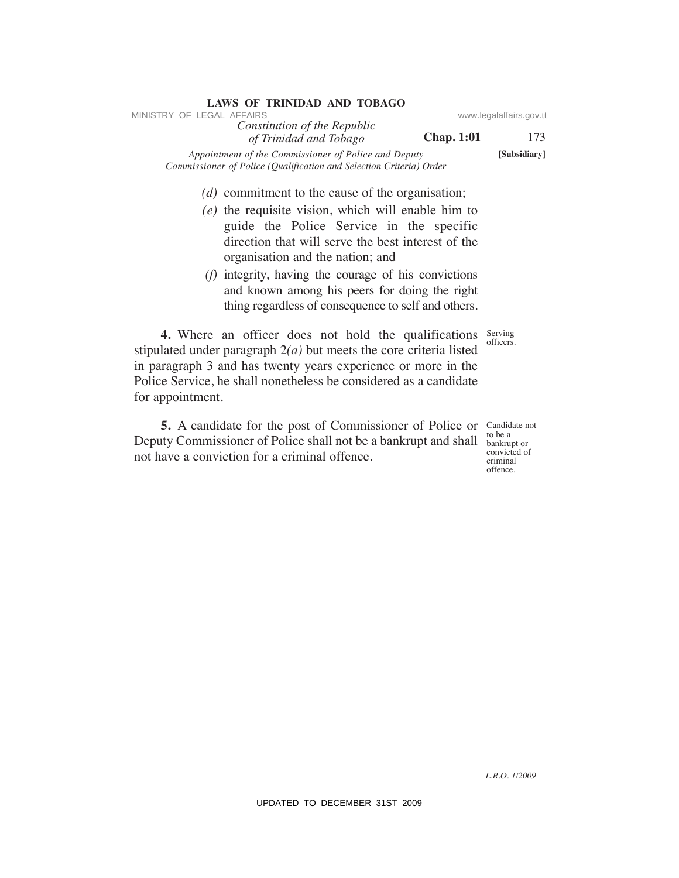| <b>LAWS OF TRINIDAD AND TOBAGO</b><br>MINISTRY OF LEGAL AFFAIRS                                                                                                                                                                                                                        |                                                                     |
|----------------------------------------------------------------------------------------------------------------------------------------------------------------------------------------------------------------------------------------------------------------------------------------|---------------------------------------------------------------------|
| Constitution of the Republic<br><b>Chap. 1:01</b>                                                                                                                                                                                                                                      | www.legalaffairs.gov.tt<br>173                                      |
| of Trinidad and Tobago<br>Appointment of the Commissioner of Police and Deputy                                                                                                                                                                                                         | [Subsidiary]                                                        |
| Commissioner of Police (Qualification and Selection Criteria) Order                                                                                                                                                                                                                    |                                                                     |
| $(d)$ commitment to the cause of the organisation;                                                                                                                                                                                                                                     |                                                                     |
| $(e)$ the requisite vision, which will enable him to                                                                                                                                                                                                                                   |                                                                     |
| guide the Police Service in the specific<br>direction that will serve the best interest of the                                                                                                                                                                                         |                                                                     |
| organisation and the nation; and                                                                                                                                                                                                                                                       |                                                                     |
| $(f)$ integrity, having the courage of his convictions                                                                                                                                                                                                                                 |                                                                     |
| and known among his peers for doing the right                                                                                                                                                                                                                                          |                                                                     |
| thing regardless of consequence to self and others.                                                                                                                                                                                                                                    |                                                                     |
| 4. Where an officer does not hold the qualifications<br>stipulated under paragraph $2(a)$ but meets the core criteria listed<br>in paragraph 3 and has twenty years experience or more in the<br>Police Service, he shall nonetheless be considered as a candidate<br>for appointment. | Serving<br>officers.                                                |
| 5. A candidate for the post of Commissioner of Police or<br>Deputy Commissioner of Police shall not be a bankrupt and shall<br>not have a conviction for a criminal offence.                                                                                                           | Candidate not<br>to be a<br>bankrupt or<br>convicted of<br>criminal |
|                                                                                                                                                                                                                                                                                        | offence.                                                            |
|                                                                                                                                                                                                                                                                                        |                                                                     |
|                                                                                                                                                                                                                                                                                        |                                                                     |
|                                                                                                                                                                                                                                                                                        |                                                                     |
|                                                                                                                                                                                                                                                                                        |                                                                     |
|                                                                                                                                                                                                                                                                                        |                                                                     |
|                                                                                                                                                                                                                                                                                        |                                                                     |
|                                                                                                                                                                                                                                                                                        |                                                                     |
|                                                                                                                                                                                                                                                                                        |                                                                     |
|                                                                                                                                                                                                                                                                                        |                                                                     |
|                                                                                                                                                                                                                                                                                        |                                                                     |
|                                                                                                                                                                                                                                                                                        |                                                                     |
|                                                                                                                                                                                                                                                                                        |                                                                     |
|                                                                                                                                                                                                                                                                                        |                                                                     |
|                                                                                                                                                                                                                                                                                        | L.R.O. 1/2009                                                       |
| UPDATED TO DECEMBER 31ST 2009                                                                                                                                                                                                                                                          |                                                                     |

- guide the Police Service in the specific direction that will serve the best interest of the organisation and the nation; and
- *(f)* integrity, having the courage of his convictions and known among his peers for doing the right thing regardless of consequence to self and others.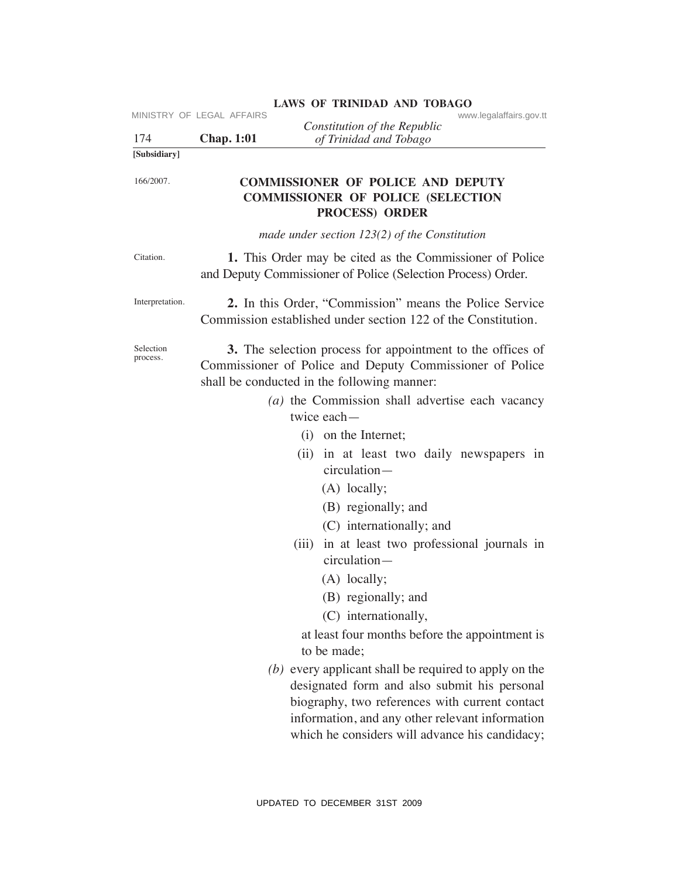| 174                   | MINISTRY OF LEGAL AFFAIRS<br><b>Chap. 1:01</b> | www.legalaffairs.gov.tt<br>Constitution of the Republic<br>of Trinidad and Tobago                                                                                     |
|-----------------------|------------------------------------------------|-----------------------------------------------------------------------------------------------------------------------------------------------------------------------|
| [Subsidiary]          |                                                |                                                                                                                                                                       |
| 166/2007.             |                                                | <b>COMMISSIONER OF POLICE AND DEPUTY</b><br><b>COMMISSIONER OF POLICE (SELECTION</b><br><b>PROCESS) ORDER</b>                                                         |
|                       |                                                | made under section $123(2)$ of the Constitution                                                                                                                       |
| Citation.             |                                                | 1. This Order may be cited as the Commissioner of Police<br>and Deputy Commissioner of Police (Selection Process) Order.                                              |
| Interpretation.       |                                                | 2. In this Order, "Commission" means the Police Service<br>Commission established under section 122 of the Constitution.                                              |
| Selection<br>process. |                                                | 3. The selection process for appointment to the offices of<br>Commissioner of Police and Deputy Commissioner of Police<br>shall be conducted in the following manner: |
|                       |                                                | (a) the Commission shall advertise each vacancy                                                                                                                       |
|                       |                                                | twice each-                                                                                                                                                           |
|                       |                                                | (i) on the Internet;                                                                                                                                                  |
|                       |                                                | (ii) in at least two daily newspapers in<br>circulation-                                                                                                              |
|                       |                                                | $(A)$ locally;                                                                                                                                                        |
|                       |                                                | (B) regionally; and                                                                                                                                                   |
|                       |                                                | (C) internationally; and                                                                                                                                              |
|                       |                                                | (iii) in at least two professional journals in<br>circulation-                                                                                                        |
|                       |                                                | $(A)$ locally;                                                                                                                                                        |
|                       |                                                | (B) regionally; and                                                                                                                                                   |
|                       |                                                | (C) internationally,                                                                                                                                                  |
|                       |                                                | at least four months before the appointment is<br>to be made;                                                                                                         |
|                       |                                                | $(b)$ every applicant shall be required to apply on the<br>designated form and also submit his personal                                                               |
|                       |                                                | biography, two references with current contact<br>information, and any other relevant information<br>which he considers will advance his candidacy;                   |
|                       |                                                | UPDATED TO DECEMBER 31ST 2009                                                                                                                                         |

# LAWS OF TRINIDAD AND TOBAGO<br>www.legalaffairs.gov.tt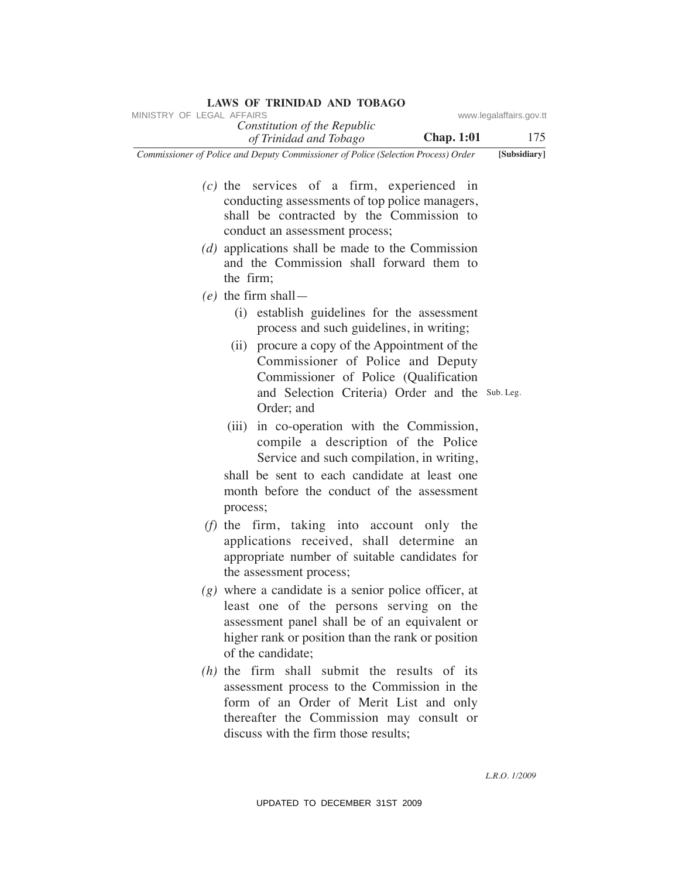| MINISTRY OF LEGAL AFFAIRS                                                                                                                                                                                                          | www.legalaffairs.gov.tt |
|------------------------------------------------------------------------------------------------------------------------------------------------------------------------------------------------------------------------------------|-------------------------|
| Constitution of the Republic<br><b>Chap. 1:01</b><br>of Trinidad and Tobago                                                                                                                                                        | 175                     |
| Commissioner of Police and Deputy Commissioner of Police (Selection Process) Order                                                                                                                                                 | [Subsidiary]            |
| $(c)$ the services of a firm, experienced in<br>conducting assessments of top police managers,<br>shall be contracted by the Commission to<br>conduct an assessment process;<br>$(d)$ applications shall be made to the Commission |                         |
| and the Commission shall forward them to<br>the firm;                                                                                                                                                                              |                         |
| $(e)$ the firm shall —                                                                                                                                                                                                             |                         |
| establish guidelines for the assessment<br>(i)<br>process and such guidelines, in writing;                                                                                                                                         |                         |
| (ii) procure a copy of the Appointment of the<br>Commissioner of Police and Deputy<br>Commissioner of Police (Qualification<br>and Selection Criteria) Order and the Sub Leg.<br>Order; and                                        |                         |
| in co-operation with the Commission,<br>(iii)<br>compile a description of the Police<br>Service and such compilation, in writing,                                                                                                  |                         |
| shall be sent to each candidate at least one<br>month before the conduct of the assessment<br>process;                                                                                                                             |                         |
| (f) the firm, taking into account only the<br>applications received, shall determine<br>an<br>appropriate number of suitable candidates for<br>the assessment process;                                                             |                         |
| $(g)$ where a candidate is a senior police officer, at<br>least one of the persons serving on the<br>assessment panel shall be of an equivalent or<br>higher rank or position than the rank or position<br>of the candidate;       |                         |
| $(h)$ the firm shall submit the results of its<br>assessment process to the Commission in the<br>form of an Order of Merit List and only<br>thereafter the Commission may consult or<br>discuss with the firm those results;       |                         |
|                                                                                                                                                                                                                                    | L.R.O. 1/2009           |
| UPDATED TO DECEMBER 31ST 2009                                                                                                                                                                                                      |                         |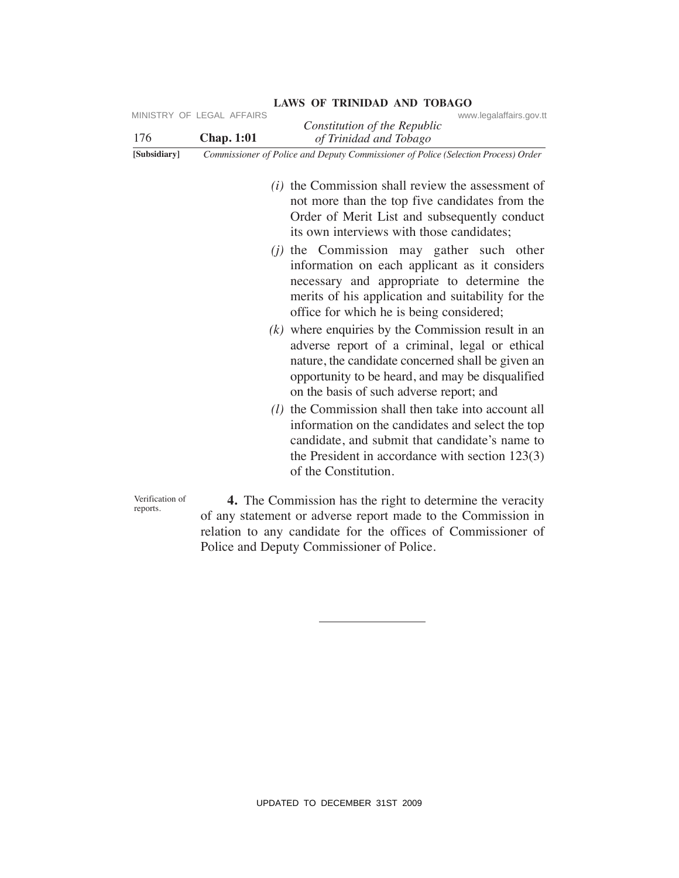| 176                         | MINISTRY OF LEGAL AFFAIRS<br><b>Chap. 1:01</b> | www.legalaffairs.gov.tt<br>Constitution of the Republic<br>of Trinidad and Tobago                                                                                                                                                                                                                                                                                                                                                                                                                                                                                                                                                                                                                                                                                                                                                                                                                                                                           |
|-----------------------------|------------------------------------------------|-------------------------------------------------------------------------------------------------------------------------------------------------------------------------------------------------------------------------------------------------------------------------------------------------------------------------------------------------------------------------------------------------------------------------------------------------------------------------------------------------------------------------------------------------------------------------------------------------------------------------------------------------------------------------------------------------------------------------------------------------------------------------------------------------------------------------------------------------------------------------------------------------------------------------------------------------------------|
| [Subsidiary]                |                                                | Commissioner of Police and Deputy Commissioner of Police (Selection Process) Order                                                                                                                                                                                                                                                                                                                                                                                                                                                                                                                                                                                                                                                                                                                                                                                                                                                                          |
|                             |                                                | $(i)$ the Commission shall review the assessment of<br>not more than the top five candidates from the<br>Order of Merit List and subsequently conduct<br>its own interviews with those candidates;<br>$(j)$ the Commission may gather such other<br>information on each applicant as it considers<br>necessary and appropriate to determine the<br>merits of his application and suitability for the<br>office for which he is being considered;<br>$(k)$ where enquiries by the Commission result in an<br>adverse report of a criminal, legal or ethical<br>nature, the candidate concerned shall be given an<br>opportunity to be heard, and may be disqualified<br>on the basis of such adverse report; and<br>$(l)$ the Commission shall then take into account all<br>information on the candidates and select the top<br>candidate, and submit that candidate's name to<br>the President in accordance with section $123(3)$<br>of the Constitution. |
| Verification of<br>reports. |                                                | 4. The Commission has the right to determine the veracity<br>of any statement or adverse report made to the Commission in<br>relation to any candidate for the offices of Commissioner of<br>Police and Deputy Commissioner of Police.                                                                                                                                                                                                                                                                                                                                                                                                                                                                                                                                                                                                                                                                                                                      |
|                             |                                                |                                                                                                                                                                                                                                                                                                                                                                                                                                                                                                                                                                                                                                                                                                                                                                                                                                                                                                                                                             |
|                             |                                                | UPDATED TO DECEMBER 31ST 2009                                                                                                                                                                                                                                                                                                                                                                                                                                                                                                                                                                                                                                                                                                                                                                                                                                                                                                                               |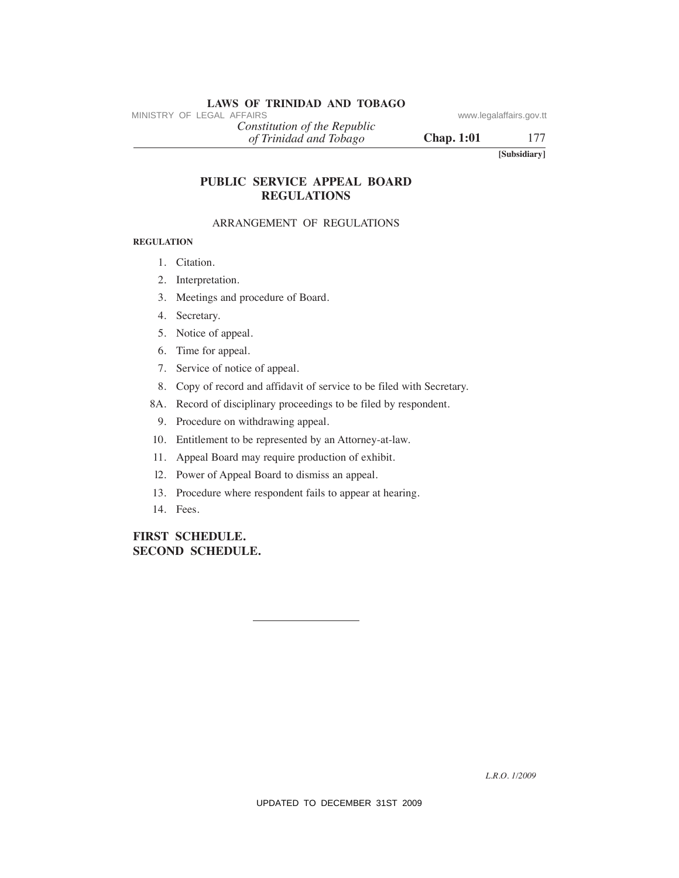# **LAWS OF TRINIDAD AND TOBAGO**<br>MINISTRY OF LEGAL AFFAIRS

*of Trinidad and Tobago Constitution of the Republic*

**Chap. 1:01** 177

**[Subsidiary]**

# **PuBLIC SeRVICe APPeAL BOARD ReGuLATIONS** MINISTRY OF LEGAL AFFAIRS:<br>
(a) Trinidad and Tabago<br>
(a) Trinidad and Tabago<br>
(B) Chap. 1:01<br>
TOBLIC SERVICE APPEAL BOARD<br>
NRANGEMENTONS<br>
ARRANGEMENT OF REGULATIONS<br>
REGULATION<br>
1. Cataion.<br>
2. Interpretation.<br>
3. Mecitar

### ARRANGEMENT OF REGULATIONS

### **ReGuLATION**

- 1. Citation.
- 2. Interpretation.
- 3. Meetings and procedure of Board.
- 4. Secretary.
- 5. Notice of appeal.
- 6. Time for appeal.
- 7. Service of notice of appeal.
- 8. Copy of record and affidavit of service to be filed with Secretary.
- 8A. Record of disciplinary proceedings to be filed by respondent.
	- 9. Procedure on withdrawing appeal.
- 10. Entitlement to be represented by an Attorney-at-law.
- 11. Appeal Board may require production of exhibit.
- l2. Power of Appeal Board to dismiss an appeal.
- 13. Procedure where respondent fails to appear at hearing.
- 14. Fees.

### **FIRST SCheDuLe. SeCOND SCheDuLe.**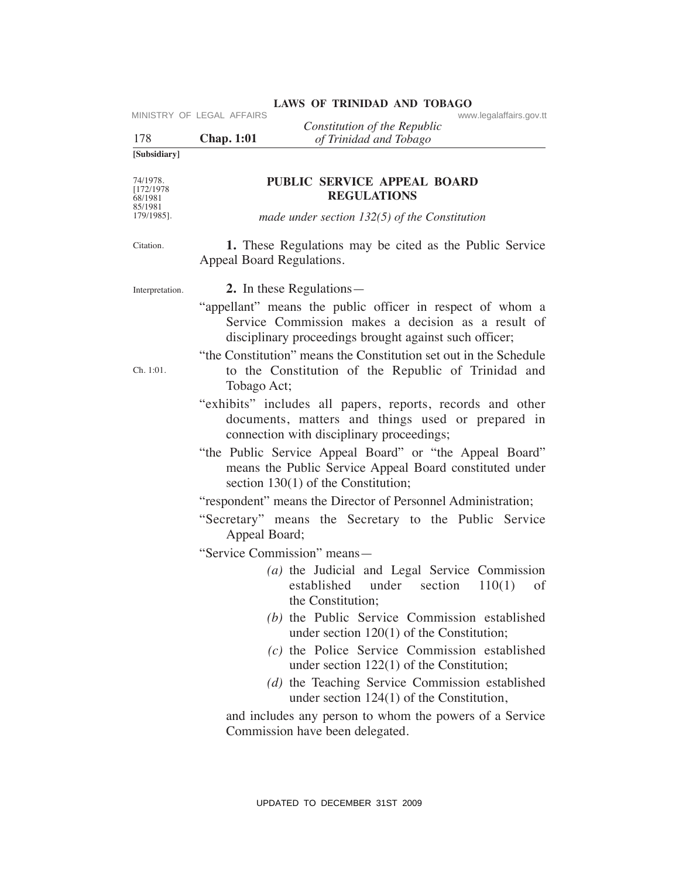| 178                               | MINISTRY OF LEGAL AFFAIRS<br><b>Chap. 1:01</b>                                       | www.legalaffairs.gov.tt<br>Constitution of the Republic<br>of Trinidad and Tobago                                                                                         |  |  |  |  |
|-----------------------------------|--------------------------------------------------------------------------------------|---------------------------------------------------------------------------------------------------------------------------------------------------------------------------|--|--|--|--|
| [Subsidiary]                      |                                                                                      |                                                                                                                                                                           |  |  |  |  |
| 74/1978.<br>[172/1978]<br>68/1981 |                                                                                      | PUBLIC SERVICE APPEAL BOARD<br><b>REGULATIONS</b>                                                                                                                         |  |  |  |  |
| 85/1981<br>179/1985].             |                                                                                      | made under section $132(5)$ of the Constitution                                                                                                                           |  |  |  |  |
| Citation.                         | 1. These Regulations may be cited as the Public Service<br>Appeal Board Regulations. |                                                                                                                                                                           |  |  |  |  |
| Interpretation.                   |                                                                                      | 2. In these Regulations—                                                                                                                                                  |  |  |  |  |
|                                   |                                                                                      | "appellant" means the public officer in respect of whom a<br>Service Commission makes a decision as a result of<br>disciplinary proceedings brought against such officer; |  |  |  |  |
| Ch. 1:01.                         | Tobago Act;                                                                          | "the Constitution" means the Constitution set out in the Schedule<br>to the Constitution of the Republic of Trinidad and                                                  |  |  |  |  |
|                                   |                                                                                      | "exhibits" includes all papers, reports, records and other<br>documents, matters and things used or prepared in<br>connection with disciplinary proceedings;              |  |  |  |  |
|                                   |                                                                                      | "the Public Service Appeal Board" or "the Appeal Board"<br>means the Public Service Appeal Board constituted under<br>section $130(1)$ of the Constitution;               |  |  |  |  |
|                                   |                                                                                      | "respondent" means the Director of Personnel Administration;                                                                                                              |  |  |  |  |
|                                   | Appeal Board;                                                                        | "Secretary" means the Secretary to the Public Service                                                                                                                     |  |  |  |  |
|                                   |                                                                                      | "Service Commission" means-                                                                                                                                               |  |  |  |  |
|                                   |                                                                                      | $(a)$ the Judicial and Legal Service Commission<br>established under<br>section<br>110(1)<br>of<br>the Constitution;                                                      |  |  |  |  |
|                                   |                                                                                      | (b) the Public Service Commission established<br>under section $120(1)$ of the Constitution;                                                                              |  |  |  |  |
|                                   |                                                                                      | (c) the Police Service Commission established<br>under section $122(1)$ of the Constitution;                                                                              |  |  |  |  |
|                                   |                                                                                      | (d) the Teaching Service Commission established<br>under section $124(1)$ of the Constitution,                                                                            |  |  |  |  |
|                                   |                                                                                      | and includes any person to whom the powers of a Service<br>Commission have been delegated.                                                                                |  |  |  |  |
|                                   |                                                                                      | UPDATED TO DECEMBER 31ST 2009                                                                                                                                             |  |  |  |  |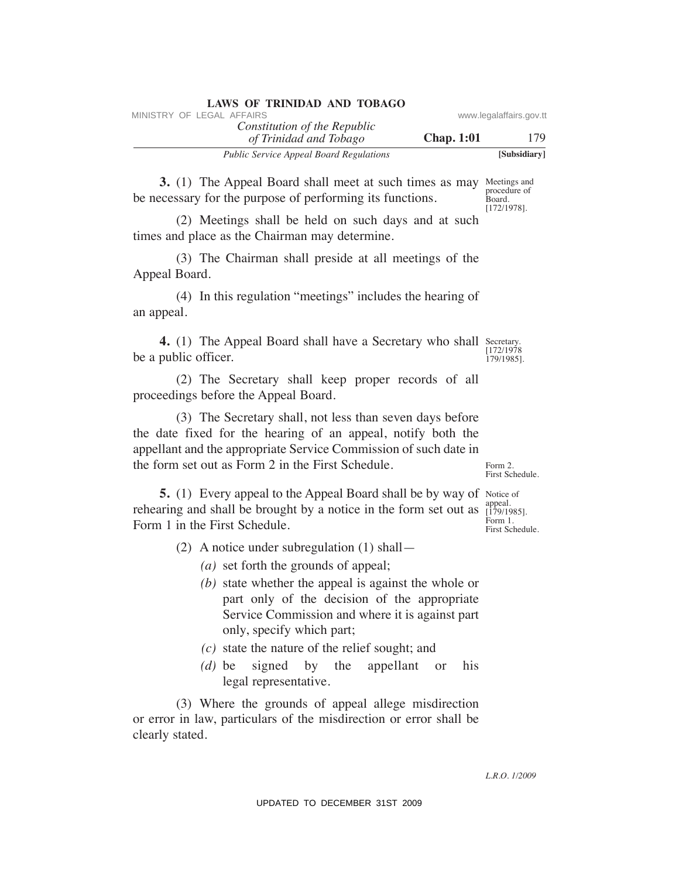| LAWS OF IMMODIAL AND TODAYO<br>MINISTRY OF LEGAL AFFAIRS                                                                                                                                                                                                                                                                                                                                                                                                                                                                                                         | www.legalaffairs.gov.tt                                  |
|------------------------------------------------------------------------------------------------------------------------------------------------------------------------------------------------------------------------------------------------------------------------------------------------------------------------------------------------------------------------------------------------------------------------------------------------------------------------------------------------------------------------------------------------------------------|----------------------------------------------------------|
| Constitution of the Republic<br><b>Chap. 1:01</b><br>of Trinidad and Tobago                                                                                                                                                                                                                                                                                                                                                                                                                                                                                      | 179                                                      |
| Public Service Appeal Board Regulations                                                                                                                                                                                                                                                                                                                                                                                                                                                                                                                          | [Subsidiary]                                             |
| <b>3.</b> (1) The Appeal Board shall meet at such times as may<br>be necessary for the purpose of performing its functions.                                                                                                                                                                                                                                                                                                                                                                                                                                      | Meetings and<br>procedure of<br>Board.<br>$[172/1978]$ . |
| (2) Meetings shall be held on such days and at such<br>times and place as the Chairman may determine.                                                                                                                                                                                                                                                                                                                                                                                                                                                            |                                                          |
| (3) The Chairman shall preside at all meetings of the<br>Appeal Board.                                                                                                                                                                                                                                                                                                                                                                                                                                                                                           |                                                          |
| (4) In this regulation "meetings" includes the hearing of<br>an appeal.                                                                                                                                                                                                                                                                                                                                                                                                                                                                                          |                                                          |
| <b>4.</b> (1) The Appeal Board shall have a Secretary who shall Secretary.<br>be a public officer.                                                                                                                                                                                                                                                                                                                                                                                                                                                               | [172/1978]<br>179/1985].                                 |
| (2) The Secretary shall keep proper records of all<br>proceedings before the Appeal Board.                                                                                                                                                                                                                                                                                                                                                                                                                                                                       |                                                          |
| (3) The Secretary shall, not less than seven days before<br>the date fixed for the hearing of an appeal, notify both the<br>appellant and the appropriate Service Commission of such date in<br>the form set out as Form 2 in the First Schedule.                                                                                                                                                                                                                                                                                                                | Form 2.<br>First Schedule.                               |
| 5. (1) Every appeal to the Appeal Board shall be by way of Notice of<br>rehearing and shall be brought by a notice in the form set out as $\frac{ap}{[179/1985]}$ .<br>Form 1 in the First Schedule.                                                                                                                                                                                                                                                                                                                                                             | appeal.<br>Form 1.<br>First Schedule.                    |
| $(2)$ A notice under subregulation $(1)$ shall —<br>(a) set forth the grounds of appeal;<br>$(b)$ state whether the appeal is against the whole or<br>part only of the decision of the appropriate<br>Service Commission and where it is against part<br>only, specify which part;<br>$(c)$ state the nature of the relief sought; and<br>signed by the appellant or<br>$(d)$ be<br>his<br>legal representative.<br>(3) Where the grounds of appeal allege misdirection<br>or error in law, particulars of the misdirection or error shall be<br>clearly stated. |                                                          |
|                                                                                                                                                                                                                                                                                                                                                                                                                                                                                                                                                                  | L.R.O. 1/2009                                            |
| UPDATED TO DECEMBER 31ST 2009                                                                                                                                                                                                                                                                                                                                                                                                                                                                                                                                    |                                                          |

- *(b)* state whether the appeal is against the whole or part only of the decision of the appropriate Service Commission and where it is against part only, specify which part;
- *(c)* state the nature of the relief sought; and
- *(d)* be signed by the appellant or his legal representative.

### **LAWS OF TRINIDAD AND TOBAGO**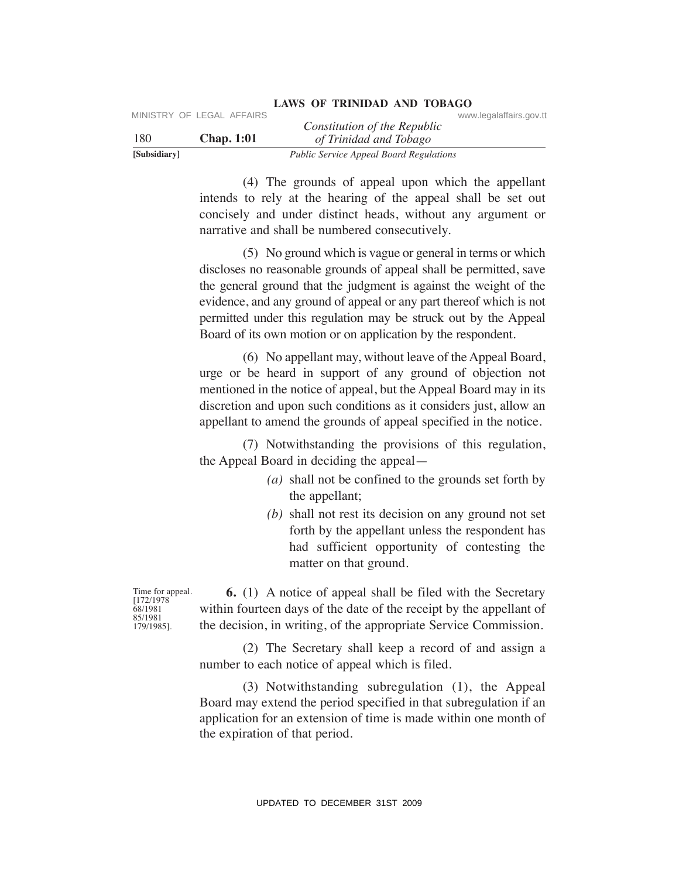|              | MINISTRY OF LEGAL AFFAIRS |                                                | www.legalaffairs.gov.tt |
|--------------|---------------------------|------------------------------------------------|-------------------------|
|              |                           | Constitution of the Republic                   |                         |
| 180          | <b>Chap.</b> 1:01         | of Trinidad and Tobago                         |                         |
| [Subsidiary] |                           | <b>Public Service Appeal Board Regulations</b> |                         |

 (4) The grounds of appeal upon which the appellant intends to rely at the hearing of the appeal shall be set out concisely and under distinct heads, without any argument or narrative and shall be numbered consecutively.

 (5) No ground which is vague or general in terms or which discloses no reasonable grounds of appeal shall be permitted, save the general ground that the judgment is against the weight of the evidence, and any ground of appeal or any part thereof which is not permitted under this regulation may be struck out by the Appeal Board of its own motion or on application by the respondent. UPDATE CONSULTERT CONSULTERT CONSULTERT CONSULTERT CONSULTERT THE SURFAIRS CONSULTERT THE SURFAIRS (4) The grounds of appeal tupon which the appellant intends to rely at the hearing of the appeal stand to sell our and sta

 (6) No appellant may, without leave of the Appeal Board, urge or be heard in support of any ground of objection not mentioned in the notice of appeal, but the Appeal Board may in its discretion and upon such conditions as it considers just, allow an appellant to amend the grounds of appeal specified in the notice.

 (7) Notwithstanding the provisions of this regulation, the Appeal Board in deciding the appeal—

- *(a)* shall not be confined to the grounds set forth by the appellant;
- *(b)* shall not rest its decision on any ground not set forth by the appellant unless the respondent has had sufficient opportunity of contesting the matter on that ground.

Time for appeal. [172/1978 68/1981 85/1981 179/1985].

 **6.** (1) A notice of appeal shall be filed with the Secretary within fourteen days of the date of the receipt by the appellant of the decision, in writing, of the appropriate Service Commission.

 (2) The Secretary shall keep a record of and assign a number to each notice of appeal which is filed.

 (3) Notwithstanding subregulation (1), the Appeal Board may extend the period specified in that subregulation if an application for an extension of time is made within one month of the expiration of that period.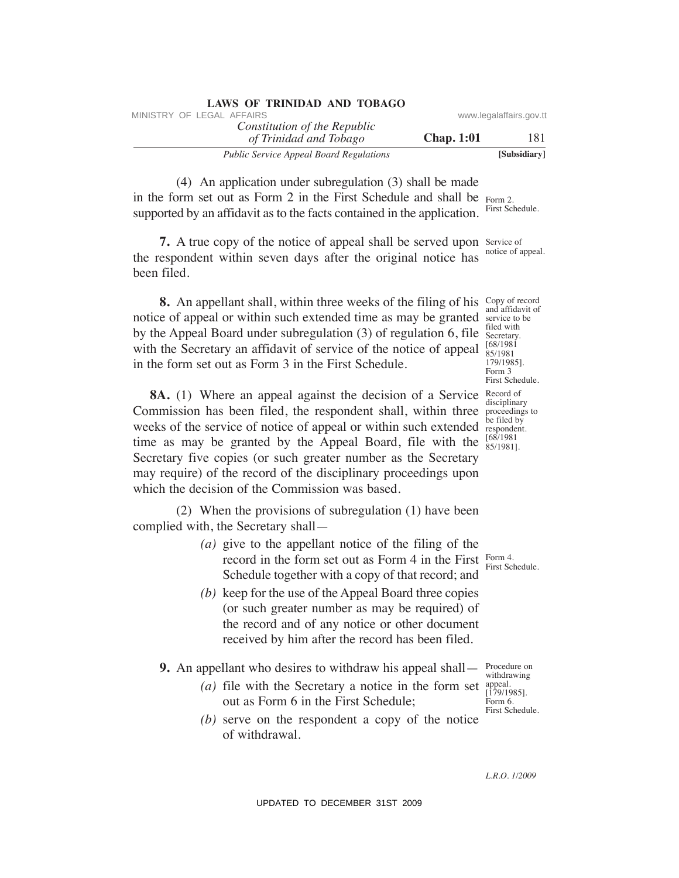| LAND OF INIMIDIAL AND TODAYOU                          |                   |                         |
|--------------------------------------------------------|-------------------|-------------------------|
| MINISTRY OF LEGAL AFFAIRS                              |                   | www.legalaffairs.gov.tt |
| Constitution of the Republic<br>of Trinidad and Tobago | <b>Chap.</b> 1:01 | 181                     |
| <b>Public Service Appeal Board Regulations</b>         |                   | [Subsidiary]            |

 (4) An application under subregulation (3) shall be made in the form set out as Form 2 in the First Schedule and shall be Form 2. supported by an affidavit as to the facts contained in the application. First Schedule.

**7.** A true copy of the notice of appeal shall be served upon Service of the respondent within seven days after the original notice has been filed. notice of appeal.

**8.** An appellant shall, within three weeks of the filing of his Copy of record notice of appeal or within such extended time as may be granted service to be by the Appeal Board under subregulation (3) of regulation 6, file with the Secretary an affidavit of service of the notice of appeal in the form set out as Form 3 in the First Schedule.

and affidavit of filed with Secretary. [68/1981 85/1981 179/1985]. Form 3 First Schedule. disciplinary be filed by 85/1981].

**8A.** (1) Where an appeal against the decision of a Service Record of Commission has been filed, the respondent shall, within three proceedings to weeks of the service of notice of appeal or within such extended respondent. time as may be granted by the Appeal Board, file with the  $\frac{68/1981}{85/19811}$ Secretary five copies (or such greater number as the Secretary may require) of the record of the disciplinary proceedings upon which the decision of the Commission was based. WHETEV OF LEGAL AFFAIRS of the Republic<br>
The Constitution of The Republic<br>
The Constitution and Theorem and The Proposition (3) shall be made<br>
(4) An application under subregulation (3) shall be made<br>
supported by an affi

 (2) When the provisions of subregulation (1) have been complied with, the Secretary shall—

- *(a)* give to the appellant notice of the filing of the record in the form set out as Form 4 in the First Schedule together with a copy of that record; and Form 4.
- *(b)* keep for the use of the Appeal Board three copies (or such greater number as may be required) of the record and of any notice or other document received by him after the record has been filed.
- **9.** An appellant who desires to withdraw his appeal shall—
	- *(a)* file with the Secretary a notice in the form set out as Form 6 in the First Schedule;
	- *(b)* serve on the respondent a copy of the notice of withdrawal.

Procedure on withdrawing appeal. [179/1985]. Form 6. First Schedule.

First Schedule.

*L.R.O. 1/2009*

**LAWS OF TRINIDAD AND TOBAGO**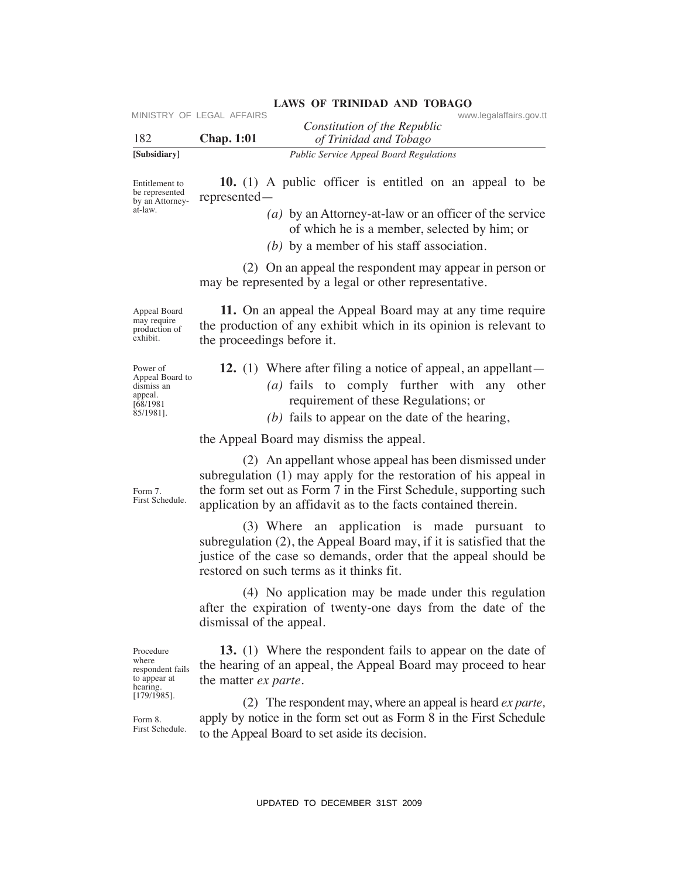| 182                                                                           | MINISTRY OF LEGAL AFFAIRS<br><b>Chap. 1:01</b> | www.legalaffairs.gov.tt<br>Constitution of the Republic<br>of Trinidad and Tobago                                                                                                                                                                                 |
|-------------------------------------------------------------------------------|------------------------------------------------|-------------------------------------------------------------------------------------------------------------------------------------------------------------------------------------------------------------------------------------------------------------------|
| [Subsidiary]                                                                  |                                                | Public Service Appeal Board Regulations                                                                                                                                                                                                                           |
| Entitlement to<br>be represented<br>by an Attorney-<br>at-law.                | represented-                                   | <b>10.</b> (1) A public officer is entitled on an appeal to be<br>(a) by an Attorney-at-law or an officer of the service                                                                                                                                          |
|                                                                               |                                                | of which he is a member, selected by him; or<br>$(b)$ by a member of his staff association.                                                                                                                                                                       |
|                                                                               |                                                | (2) On an appeal the respondent may appear in person or<br>may be represented by a legal or other representative.                                                                                                                                                 |
| Appeal Board<br>may require<br>production of<br>exhibit.                      | the proceedings before it.                     | 11. On an appeal the Appeal Board may at any time require<br>the production of any exhibit which in its opinion is relevant to                                                                                                                                    |
| Power of<br>Appeal Board to<br>dismiss an<br>appeal.<br>[68/1981<br>85/1981]. |                                                | <b>12.</b> (1) Where after filing a notice of appeal, an appellant—<br>(a) fails to comply further with any<br>other<br>requirement of these Regulations; or<br>$(b)$ fails to appear on the date of the hearing,                                                 |
|                                                                               |                                                | the Appeal Board may dismiss the appeal.                                                                                                                                                                                                                          |
| Form 7.<br>First Schedule.                                                    |                                                | (2) An appellant whose appeal has been dismissed under<br>subregulation (1) may apply for the restoration of his appeal in<br>the form set out as Form 7 in the First Schedule, supporting such<br>application by an affidavit as to the facts contained therein. |
|                                                                               |                                                | (3) Where an application is made pursuant to<br>subregulation (2), the Appeal Board may, if it is satisfied that the<br>justice of the case so demands, order that the appeal should be<br>restored on such terms as it thinks fit.                               |
|                                                                               | dismissal of the appeal.                       | (4) No application may be made under this regulation<br>after the expiration of twenty-one days from the date of the                                                                                                                                              |
| Procedure<br>where<br>respondent fails<br>to appear at<br>hearing.            | the matter <i>ex parte</i> .                   | <b>13.</b> (1) Where the respondent fails to appear on the date of<br>the hearing of an appeal, the Appeal Board may proceed to hear                                                                                                                              |
| $[179/1985]$ .<br>Form 8.<br>First Schedule.                                  |                                                | (2) The respondent may, where an appeal is heard <i>ex parte</i> ,<br>apply by notice in the form set out as Form 8 in the First Schedule<br>to the Appeal Board to set aside its decision.                                                                       |
|                                                                               |                                                |                                                                                                                                                                                                                                                                   |
|                                                                               |                                                | UPDATED TO DECEMBER 31ST 2009                                                                                                                                                                                                                                     |

- **12.** (1) Where after filing a notice of appeal, an appellant—
	- *(a)* fails to comply further with any other requirement of these Regulations; or
	- *(b)* fails to appear on the date of the hearing,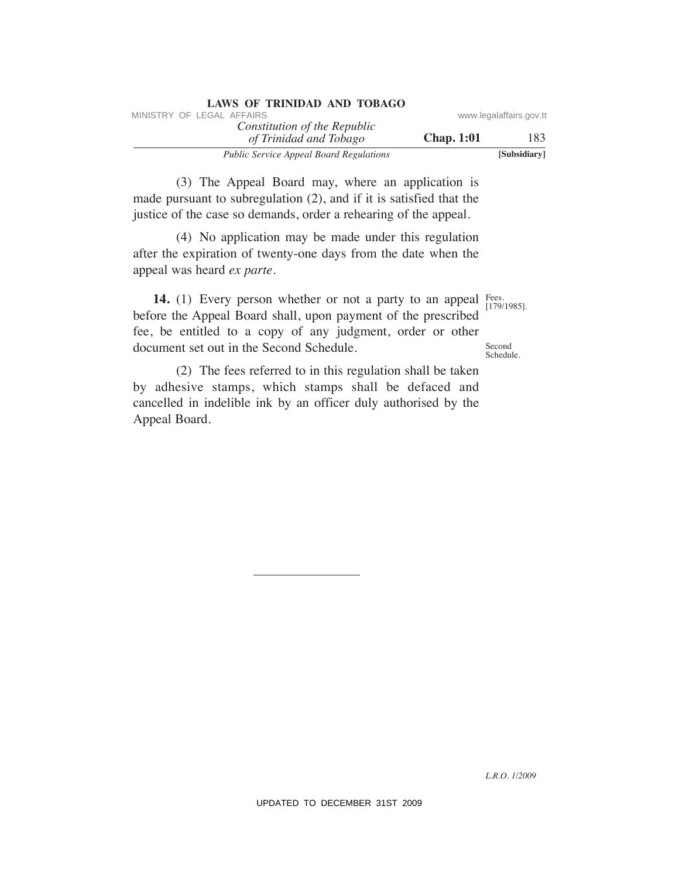| LAWS OF INIMIDAD AND TODAUD                            |                   |                         |
|--------------------------------------------------------|-------------------|-------------------------|
| MINISTRY OF LEGAL AFFAIRS                              |                   | www.legalaffairs.gov.tt |
| Constitution of the Republic<br>of Trinidad and Tobago | <b>Chap.</b> 1:01 | 183                     |
| <b>Public Service Appeal Board Regulations</b>         |                   | [Subsidiary]            |

 (3) The Appeal Board may, where an application is made pursuant to subregulation (2), and if it is satisfied that the justice of the case so demands, order a rehearing of the appeal.

**LAWS OF TRINIDAD AND TOBAGO**

 (4) No application may be made under this regulation after the expiration of twenty-one days from the date when the appeal was heard *ex parte.*

**14.** (1) Every person whether or not a party to an appeal Fees. before the Appeal Board shall, upon payment of the prescribed fee, be entitled to a copy of any judgment, order or other document set out in the Second Schedule. MINISTRY OF LEGAL AFFAIRS of the Republic convention of The Republic constrained and Tableau and Tableau and Tableau and Tableau and Tableau and Tableau and Tableau and Tableau and the pixel and its pixel of the case so d

 (2) The fees referred to in this regulation shall be taken by adhesive stamps, which stamps shall be defaced and cancelled in indelible ink by an officer duly authorised by the Appeal Board.

[179/1985].

**Second** Schedule.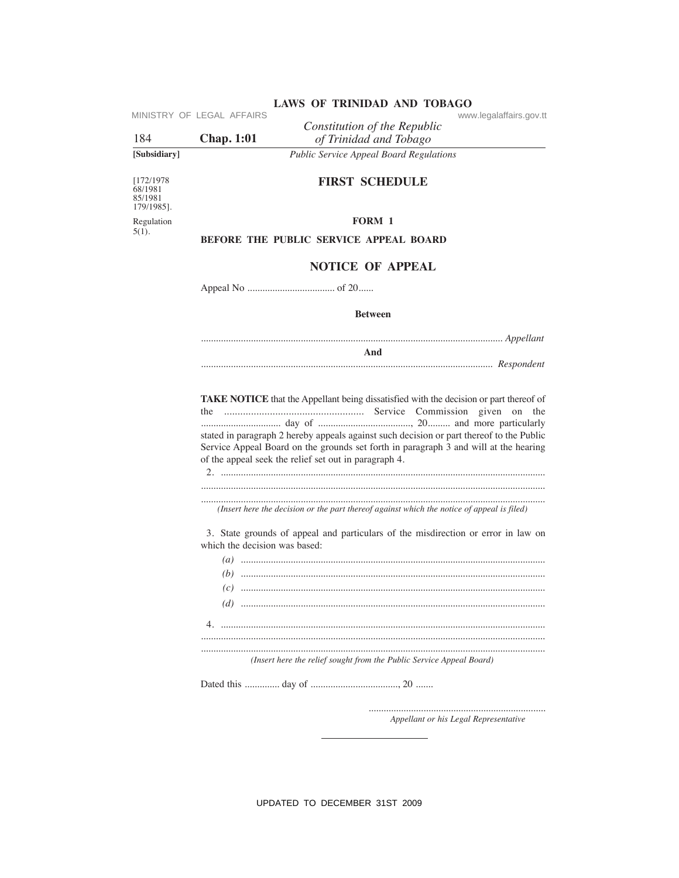| 184                                            | MINISTRY OF LEGAL AFFAIRS<br><b>Chap.</b> 1:01                       | www.legalaffairs.gov.tt<br>Constitution of the Republic<br>of Trinidad and Tobago                                                                                                                                                         |  |  |  |
|------------------------------------------------|----------------------------------------------------------------------|-------------------------------------------------------------------------------------------------------------------------------------------------------------------------------------------------------------------------------------------|--|--|--|
| [Subsidiary]                                   |                                                                      | <b>Public Service Appeal Board Regulations</b>                                                                                                                                                                                            |  |  |  |
| [172/1978]<br>68/1981<br>85/1981<br>179/1985]. |                                                                      | <b>FIRST SCHEDULE</b>                                                                                                                                                                                                                     |  |  |  |
| Regulation                                     |                                                                      | FORM 1                                                                                                                                                                                                                                    |  |  |  |
| $5(1)$ .                                       |                                                                      | <b>BEFORE THE PUBLIC SERVICE APPEAL BOARD</b>                                                                                                                                                                                             |  |  |  |
|                                                |                                                                      | <b>NOTICE OF APPEAL</b>                                                                                                                                                                                                                   |  |  |  |
|                                                |                                                                      |                                                                                                                                                                                                                                           |  |  |  |
|                                                |                                                                      | <b>Between</b>                                                                                                                                                                                                                            |  |  |  |
|                                                |                                                                      |                                                                                                                                                                                                                                           |  |  |  |
|                                                |                                                                      | And                                                                                                                                                                                                                                       |  |  |  |
|                                                |                                                                      | stated in paragraph 2 hereby appeals against such decision or part thereof to the Public<br>Service Appeal Board on the grounds set forth in paragraph 3 and will at the hearing<br>of the appeal seek the relief set out in paragraph 4. |  |  |  |
|                                                |                                                                      | (Insert here the decision or the part thereof against which the notice of appeal is filed)                                                                                                                                                |  |  |  |
|                                                | which the decision was based:                                        | 3. State grounds of appeal and particulars of the misdirection or error in law on                                                                                                                                                         |  |  |  |
|                                                |                                                                      |                                                                                                                                                                                                                                           |  |  |  |
|                                                |                                                                      |                                                                                                                                                                                                                                           |  |  |  |
|                                                | 4.                                                                   |                                                                                                                                                                                                                                           |  |  |  |
|                                                | (Insert here the relief sought from the Public Service Appeal Board) |                                                                                                                                                                                                                                           |  |  |  |
|                                                |                                                                      |                                                                                                                                                                                                                                           |  |  |  |
|                                                |                                                                      |                                                                                                                                                                                                                                           |  |  |  |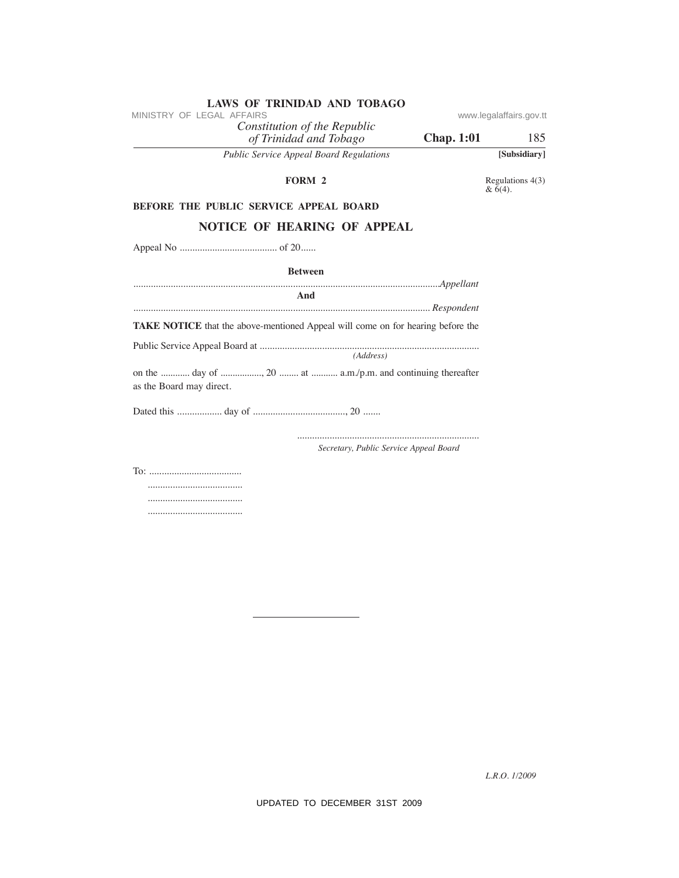| MINISTRY OF LEGAL AFFAIRS                                                                |                   | www.legalaffairs.gov.tt     |
|------------------------------------------------------------------------------------------|-------------------|-----------------------------|
| Constitution of the Republic<br>of Trinidad and Tobago                                   | <b>Chap. 1:01</b> | 185                         |
| Public Service Appeal Board Regulations                                                  |                   | [Subsidiary]                |
| FORM 2                                                                                   |                   | Regulations 4(3)<br>& 6(4). |
| BEFORE THE PUBLIC SERVICE APPEAL BOARD                                                   |                   |                             |
| NOTICE OF HEARING OF APPEAL                                                              |                   |                             |
|                                                                                          |                   |                             |
| <b>Between</b>                                                                           |                   |                             |
| And                                                                                      |                   |                             |
| TAKE NOTICE that the above-mentioned Appeal will come on for hearing before the          |                   |                             |
|                                                                                          |                   |                             |
| (Address)                                                                                |                   |                             |
| on the  day of , 20  at  a.m./p.m. and continuing thereafter<br>as the Board may direct. |                   |                             |
|                                                                                          |                   |                             |
| Secretary, Public Service Appeal Board                                                   |                   |                             |
|                                                                                          |                   |                             |
|                                                                                          |                   | L.R.O. 1/2009               |
| UPDATED TO DECEMBER 31ST 2009                                                            |                   |                             |

*Constitution of the Republic* **LAWS OF TRINIDAD AND TOBAGO**<br>MINISTRY OF LEGAL AFFAIRS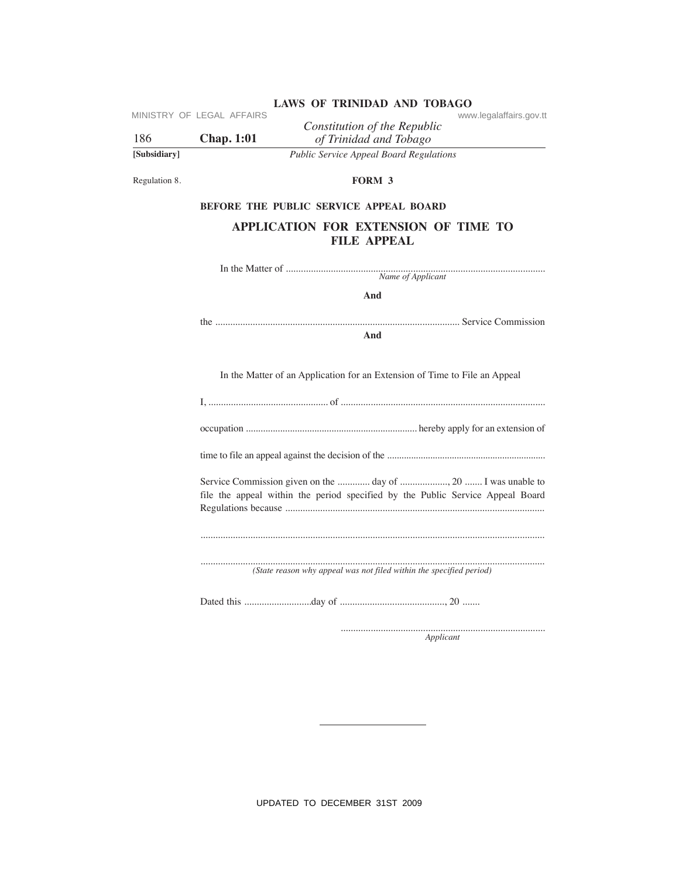| 186           | MINISTRY OF LEGAL AFFAIRS<br><b>Chap. 1:01</b> | www.legalaffairs.gov.tt<br>Constitution of the Republic<br>of Trinidad and Tobago                                                              |
|---------------|------------------------------------------------|------------------------------------------------------------------------------------------------------------------------------------------------|
| [Subsidiary]  |                                                | Public Service Appeal Board Regulations                                                                                                        |
| Regulation 8. |                                                | FORM 3                                                                                                                                         |
|               |                                                | BEFORE THE PUBLIC SERVICE APPEAL BOARD                                                                                                         |
|               |                                                | APPLICATION FOR EXTENSION OF TIME TO<br><b>FILE APPEAL</b>                                                                                     |
|               |                                                |                                                                                                                                                |
|               |                                                | And                                                                                                                                            |
|               |                                                | And                                                                                                                                            |
|               |                                                | In the Matter of an Application for an Extension of Time to File an Appeal                                                                     |
|               |                                                |                                                                                                                                                |
|               |                                                |                                                                                                                                                |
|               |                                                |                                                                                                                                                |
|               |                                                | Service Commission given on the  day of  20  I was unable to<br>file the appeal within the period specified by the Public Service Appeal Board |
|               |                                                |                                                                                                                                                |
|               |                                                | (State reason why appeal was not filed within the specified period)                                                                            |
|               |                                                |                                                                                                                                                |
|               |                                                | Applicant                                                                                                                                      |
|               |                                                |                                                                                                                                                |
|               |                                                |                                                                                                                                                |
|               |                                                |                                                                                                                                                |
|               |                                                |                                                                                                                                                |
|               |                                                |                                                                                                                                                |
|               |                                                |                                                                                                                                                |
|               |                                                | UPDATED TO DECEMBER 31ST 2009                                                                                                                  |

# **BeFORe The PuBLIC SeRVICe APPeAL BOARD**

# **APPLICATION FOR eXTeNSION OF TIMe TO FILe APPeAL**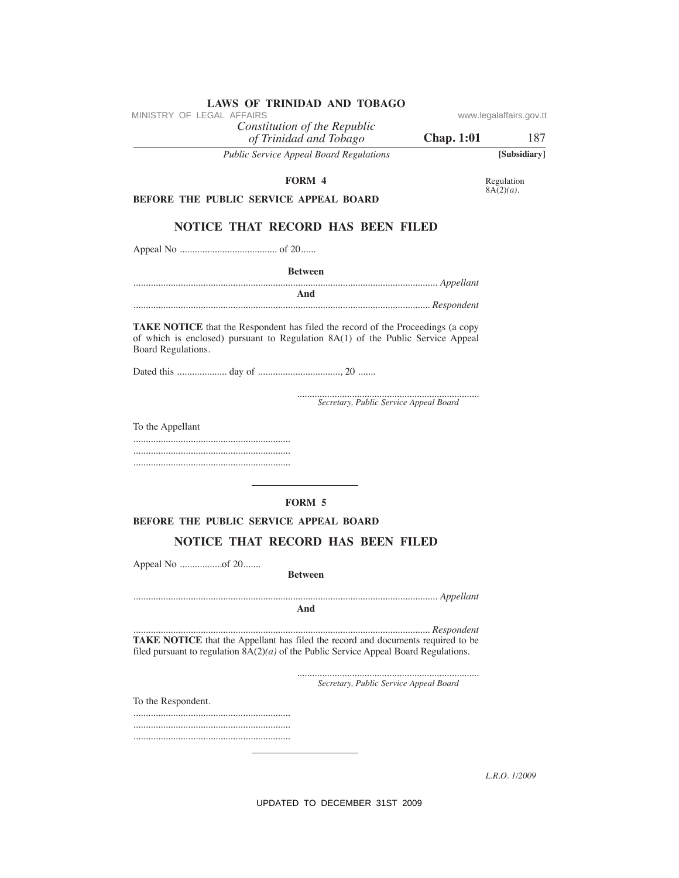| Public Service Appeal Board Regulations                                                                                                                                                  | [Subsidial    |
|------------------------------------------------------------------------------------------------------------------------------------------------------------------------------------------|---------------|
| <b>FORM 4</b>                                                                                                                                                                            | Regulation    |
| <b>BEFORE THE PUBLIC SERVICE APPEAL BOARD</b>                                                                                                                                            | $8A(2)(a)$ .  |
| <b>NOTICE THAT RECORD HAS BEEN FILED</b>                                                                                                                                                 |               |
|                                                                                                                                                                                          |               |
|                                                                                                                                                                                          |               |
| <b>Between</b>                                                                                                                                                                           |               |
| And                                                                                                                                                                                      |               |
| TAKE NOTICE that the Respondent has filed the record of the Proceedings (a copy<br>of which is enclosed) pursuant to Regulation 8A(1) of the Public Service Appeal<br>Board Regulations. |               |
|                                                                                                                                                                                          |               |
| Secretary, Public Service Appeal Board                                                                                                                                                   |               |
| To the Appellant                                                                                                                                                                         |               |
|                                                                                                                                                                                          |               |
|                                                                                                                                                                                          |               |
|                                                                                                                                                                                          |               |
| <b>FORM 5</b>                                                                                                                                                                            |               |
| <b>BEFORE THE PUBLIC SERVICE APPEAL BOARD</b>                                                                                                                                            |               |
| <b>NOTICE THAT RECORD HAS BEEN FILED</b>                                                                                                                                                 |               |
|                                                                                                                                                                                          |               |
| <b>Between</b>                                                                                                                                                                           |               |
| And                                                                                                                                                                                      |               |
|                                                                                                                                                                                          |               |
| TAKE NOTICE that the Appellant has filed the record and documents required to be<br>filed pursuant to regulation $8A(2)(a)$ of the Public Service Appeal Board Regulations.              |               |
| Secretary, Public Service Appeal Board                                                                                                                                                   |               |
| To the Respondent.                                                                                                                                                                       |               |
|                                                                                                                                                                                          |               |
|                                                                                                                                                                                          |               |
|                                                                                                                                                                                          |               |
|                                                                                                                                                                                          | L.R.O. 1/2009 |
|                                                                                                                                                                                          |               |

MINISTRY OF LEGAL AFFAIRS

Constitution of the Republic<br>of Trinidad and Tobago<br>Public Service Appeal Board Requlation  $\overline{R}$ 

 $\mathbf{r}$ 

UPDATED TO DECEMBER 31ST 2009

www.legalaffairs.gov.tt

**Chap. 1:01** 187

[Subsidiary]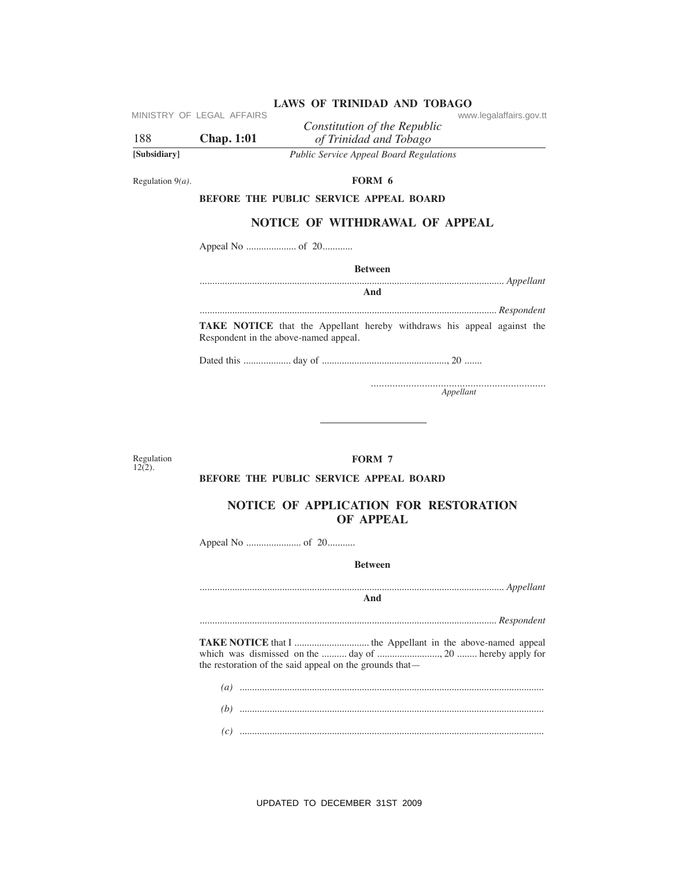|              |                           | LAND OF TIME HOLD AND TODAYOU                  |                         |
|--------------|---------------------------|------------------------------------------------|-------------------------|
|              | MINISTRY OF LEGAL AFFAIRS |                                                | www.legalaffairs.gov.tt |
|              |                           | Constitution of the Republic                   |                         |
| 188          | <b>Chap.</b> 1:01         | of Trinidad and Tobago                         |                         |
| [Subsidiary] |                           | <b>Public Service Appeal Board Regulations</b> |                         |

Regulation  $9(a)$ .

FORM 6

## BEFORE THE PUBLIC SERVICE APPEAL BOARD

# **NOTICE OF WITHDRAWAL OF APPEAL**

**Between** 

And

TAKE NOTICE that the Appellant hereby withdraws his appeal against the Respondent in the above-named appeal.

Appellant

Regulation<br> $12(2)$ .

### FORM 7

# BEFORE THE PUBLIC SERVICE APPEAL BOARD

# NOTICE OF APPLICATION FOR RESTORATION OF APPEAL

**Between** 

And

the restoration of the said appeal on the grounds that-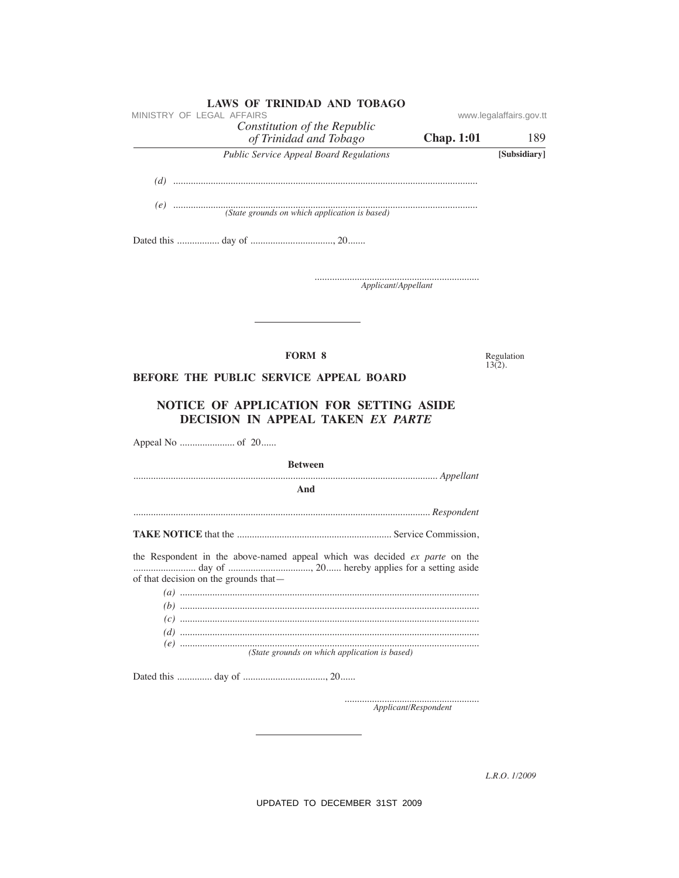| <b>LAWS OF TRINIDAD AND TOBAGO</b><br>MINISTRY OF LEGAL AFFAIRS              |                         |
|------------------------------------------------------------------------------|-------------------------|
| Constitution of the Republic                                                 | www.legalaffairs.gov.tt |
| <b>Chap. 1:01</b><br>of Trinidad and Tobago                                  | 189                     |
| <b>Public Service Appeal Board Regulations</b>                               | [Subsidiary]            |
|                                                                              |                         |
|                                                                              |                         |
|                                                                              |                         |
|                                                                              |                         |
|                                                                              |                         |
| Applicant/Appellant                                                          |                         |
|                                                                              |                         |
| <b>FORM 8</b>                                                                | Regulation              |
| <b>BEFORE THE PUBLIC SERVICE APPEAL BOARD</b>                                | $13(2)$ .               |
| NOTICE OF APPLICATION FOR SETTING ASIDE<br>DECISION IN APPEAL TAKEN EX PARTE |                         |
| <b>Between</b>                                                               |                         |
|                                                                              |                         |
| And                                                                          |                         |
|                                                                              |                         |
|                                                                              |                         |
| the Respondent in the above-named appeal which was decided ex parte on the   |                         |
| of that decision on the grounds that—                                        |                         |
|                                                                              |                         |
|                                                                              |                         |
|                                                                              |                         |
| (State grounds on which application is based)                                |                         |
|                                                                              |                         |

L.R.O. 1/2009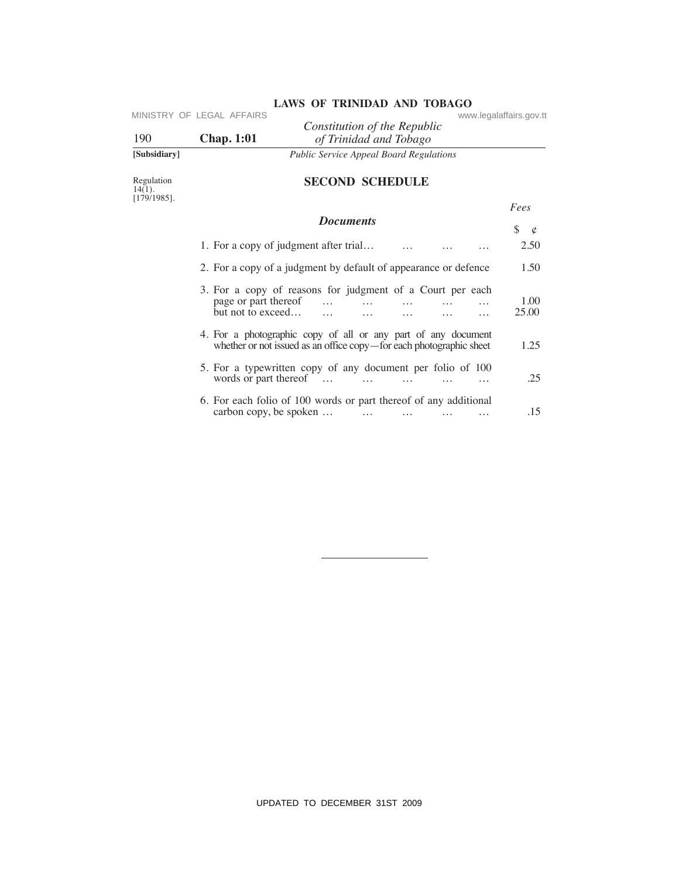| [Subsidiary] |                           | <b>Public Service Appeal Board Regulations</b>         |                         |
|--------------|---------------------------|--------------------------------------------------------|-------------------------|
| 190          | <b>Chap.</b> 1:01         | Constitution of the Republic<br>of Trinidad and Tobago |                         |
|              |                           |                                                        |                         |
|              | MINISTRY OF LEGAL AFFAIRS |                                                        | www.legalaffairs.gov.tt |

# **SeCOND SCheDuLe**

| 190                                       | MINISTRY OF LEGAL AFFAIRS<br><b>Chap. 1:01</b>                                                         | Constitution of the Republic                                        | of Trinidad and Tobago    |                             |                      | www.legalaffairs.gov.tt |
|-------------------------------------------|--------------------------------------------------------------------------------------------------------|---------------------------------------------------------------------|---------------------------|-----------------------------|----------------------|-------------------------|
| [Subsidiary]                              |                                                                                                        | <b>Public Service Appeal Board Regulations</b>                      |                           |                             |                      |                         |
| Regulation<br>$14(1)$ .<br>$[179/1985]$ . |                                                                                                        | <b>SECOND SCHEDULE</b>                                              |                           |                             |                      |                         |
|                                           |                                                                                                        |                                                                     |                           |                             |                      | Fees                    |
|                                           |                                                                                                        | <b>Documents</b>                                                    |                           |                             |                      | \$<br>$\mathfrak{\phi}$ |
|                                           | 1. For a copy of judgment after trial                                                                  |                                                                     |                           |                             |                      | 2.50                    |
|                                           | 2. For a copy of a judgment by default of appearance or defence                                        |                                                                     |                           |                             |                      | 1.50                    |
|                                           | 3. For a copy of reasons for judgment of a Court per each<br>page or part thereof<br>but not to exceed | $\ddotsc$<br>$\cdots$                                               | $\cdots$                  | .                           | .<br>$\cdots$        | 1.00<br>25.00           |
|                                           | 4. For a photographic copy of all or any part of any document                                          | whether or not issued as an office copy-for each photographic sheet |                           |                             |                      | 1.25                    |
|                                           | 5. For a typewritten copy of any document per folio of 100<br>words or part thereof                    |                                                                     | $\sim$ 100 $\sim$         | $\mathbf{1}$ , $\mathbf{1}$ | $\cdots$             | .25                     |
|                                           | 6. For each folio of 100 words or part thereof of any additional<br>carbon copy, be spoken             |                                                                     | $\sim 100$ and $\sim 100$ | $\ldots$                    | $\cdots$<br>$\cdots$ | .15                     |
|                                           |                                                                                                        |                                                                     |                           |                             |                      |                         |
|                                           |                                                                                                        |                                                                     |                           |                             |                      |                         |
|                                           |                                                                                                        |                                                                     |                           |                             |                      |                         |
|                                           |                                                                                                        |                                                                     |                           |                             |                      |                         |
|                                           |                                                                                                        |                                                                     |                           |                             |                      |                         |
|                                           |                                                                                                        |                                                                     |                           |                             |                      |                         |
|                                           |                                                                                                        |                                                                     |                           |                             |                      |                         |
|                                           |                                                                                                        |                                                                     |                           |                             |                      |                         |
|                                           |                                                                                                        |                                                                     |                           |                             |                      |                         |
|                                           |                                                                                                        | UPDATED TO DECEMBER 31ST 2009                                       |                           |                             |                      |                         |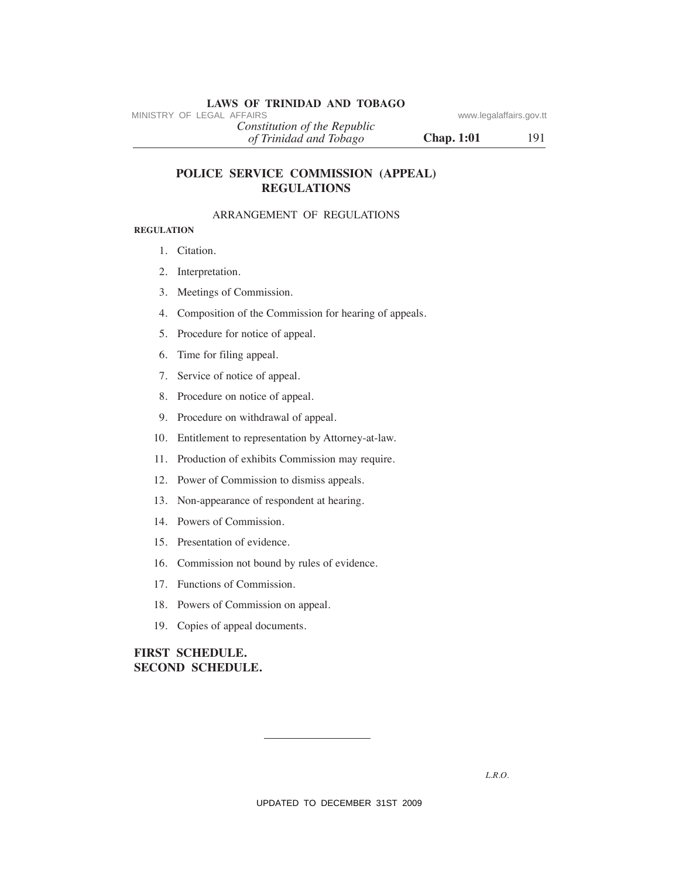# **LAWS OF TRINIDAD AND TOBAGO**<br>MINISTRY OF LEGAL AFFAIRS

*of Trinidad and Tobago Constitution of the Republic*

**Chap. 1:01** 191

# **POLICe SeRVICe COMMISSION (APPeAL) ReGuLATIONS** MINISTRY OF LEGAL AFFAIRS<br>
(*of Trindad and Tabago*<br>
(*HT midad and Tabago*<br>
(*HT midad and Tabago*<br> **Chap. 1:01**<br> **POLICE SERVICE COMMISSION (APPEAL)**<br> **REGULATIONS**<br> **REGULATIONS**<br> **REGULATIONS**<br> **REGULATIONS**<br> **REGULAT**

# ARRANGEMENT OF REGULATIONS

# **ReGuLATION**

- 1. Citation.
- 2. Interpretation.
- 3. Meetings of Commission.
- 4. Composition of the Commission for hearing of appeals.
- 5. Procedure for notice of appeal.
- 6. Time for filing appeal.
- 7. Service of notice of appeal.
- 8. Procedure on notice of appeal.
- 9. Procedure on withdrawal of appeal.
- 10. Entitlement to representation by Attorney-at-law.
- 11. Production of exhibits Commission may require.
- 12. Power of Commission to dismiss appeals.
- 13. Non-appearance of respondent at hearing.
- 14. Powers of Commission.
- 15. Presentation of evidence.
- 16. Commission not bound by rules of evidence.
- 17. Functions of Commission.
- 18. Powers of Commission on appeal.
- 19. Copies of appeal documents.

# **FIRST SCheDuLe. SeCOND SCheDuLe.**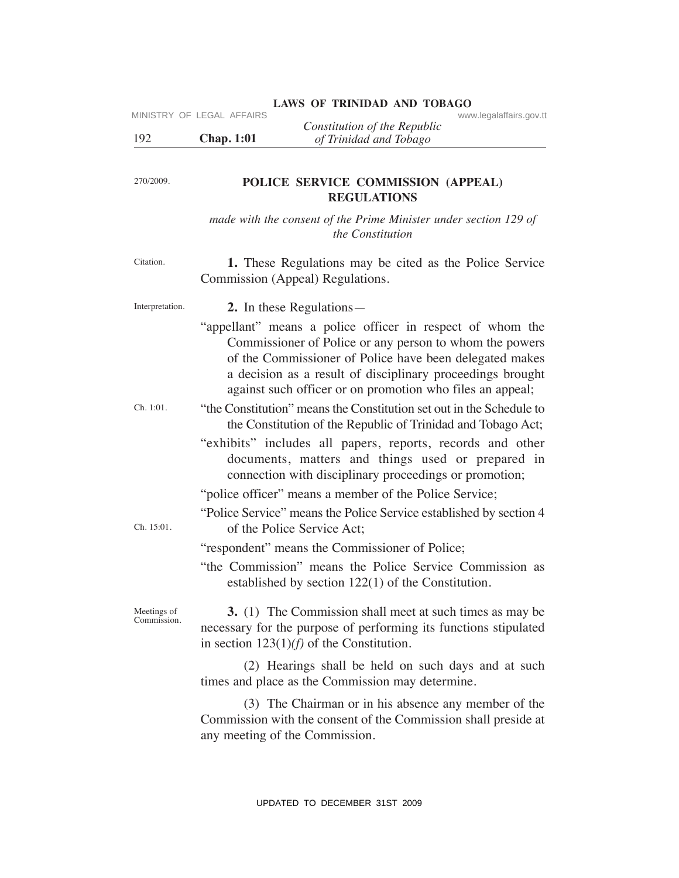# LAWS OF TRINIDAD AND TOBAGO<br>www.legalaffairs.gov.tt

|     |                   | Constitution of the Republic |
|-----|-------------------|------------------------------|
| 192 | <b>Chap. 1:01</b> | of Trinidad and Tobago       |

# **POLICe SeRVICe COMMISSION (APPeAL) ReGuLATIONS**

*made with the consent of the Prime Minister under section 129 of the Constitution*

Citation. **1.** These Regulations may be cited as the Police Service Commission (Appeal) Regulations.

Interpretation. **2.** In these Regulations—

- "appellant" means a police officer in respect of whom the Commissioner of Police or any person to whom the powers of the Commissioner of Police have been delegated makes a decision as a result of disciplinary proceedings brought against such officer or on promotion who files an appeal; MINISTRY OF LEGAL AFFAIRS<br>
UPDATE UPDATE COMMISSION (APPEAL)<br>
2713076.<br>
Chap. 1:01 of Trinidad and Tologo<br>
2713076.<br>
POLICE SERVICE COMMISSION (APPEAL)<br>
made with the consent of the Prime Minister under vection 129 of<br>
th
- Ch. 1:01. "the Constitution" means the Constitution set out in the Schedule to the Constitution of the Republic of Trinidad and Tobago Act;
	- "exhibits" includes all papers, reports, records and other documents, matters and things used or prepared in connection with disciplinary proceedings or promotion;

"police officer" means a member of the Police Service;

"Police Service" means the Police Service established by section 4 of the Police Service Act;

"respondent" means the Commissioner of Police;

"the Commission" means the Police Service Commission as established by section 122(1) of the Constitution.

Meetings of Commission.

Ch. 15:01.

270/2009.

 **3.** (1) The Commission shall meet at such times as may be necessary for the purpose of performing its functions stipulated in section 123(1)*(f)* of the Constitution.

 (2) Hearings shall be held on such days and at such times and place as the Commission may determine.

 (3) The Chairman or in his absence any member of the Commission with the consent of the Commission shall preside at any meeting of the Commission.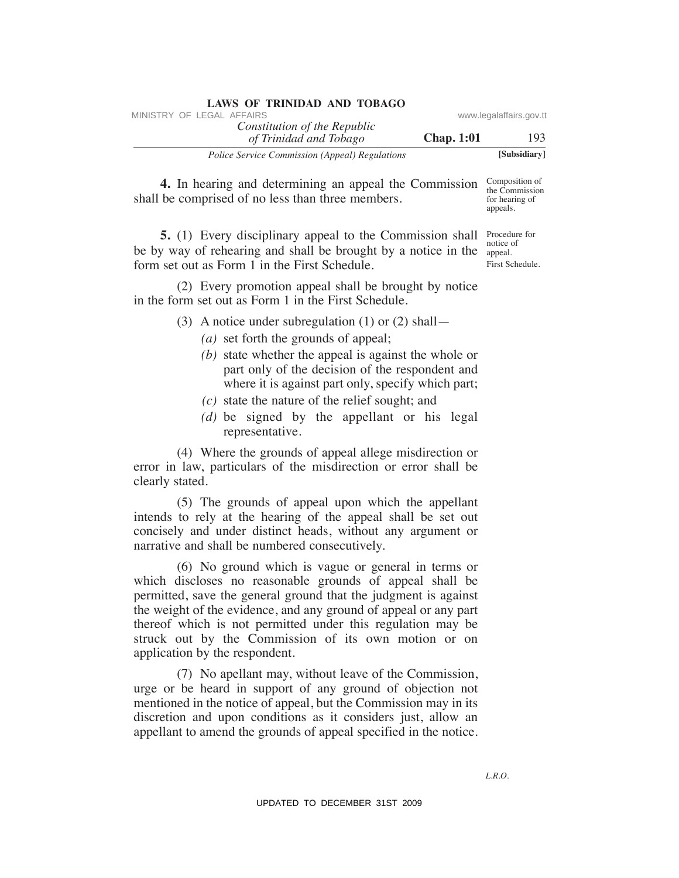| <b>LAWS OF TRINIDAD AND TOBAGO</b>                     |                   |                         |
|--------------------------------------------------------|-------------------|-------------------------|
| MINISTRY OF LEGAL AFFAIRS                              |                   | www.legalaffairs.gov.tt |
| Constitution of the Republic<br>of Trinidad and Tobago | <b>Chap.</b> 1:01 | 193                     |
| <i>Police Service Commission (Appeal) Regulations</i>  |                   | [Subsidiary]            |

**4.** In hearing and determining an appeal the Commission Composition of the Commission shall be comprised of no less than three members.

**5.** (1) Every disciplinary appeal to the Commission shall Procedure for be by way of rehearing and shall be brought by a notice in the  $\frac{1}{\text{append}}$ form set out as Form 1 in the First Schedule.

 (2) Every promotion appeal shall be brought by notice in the form set out as Form 1 in the First Schedule.

- (3) A notice under subregulation (1) or (2) shall—
	- *(a)* set forth the grounds of appeal;
	- *(b)* state whether the appeal is against the whole or part only of the decision of the respondent and where it is against part only, specify which part;
	- *(c)* state the nature of the relief sought; and
	- *(d)* be signed by the appellant or his legal representative.

 (4) Where the grounds of appeal allege misdirection or error in law, particulars of the misdirection or error shall be clearly stated.

 (5) The grounds of appeal upon which the appellant intends to rely at the hearing of the appeal shall be set out concisely and under distinct heads, without any argument or narrative and shall be numbered consecutively.

 (6) No ground which is vague or general in terms or which discloses no reasonable grounds of appeal shall be permitted, save the general ground that the judgment is against the weight of the evidence, and any ground of appeal or any part thereof which is not permitted under this regulation may be struck out by the Commission of its own motion or on application by the respondent. VINESTRY OF LEGAL AFFAIRS:<br>
VINESTRY OF LEGAL AFFAIRS constitution of The Republic<br>
Theore System Commission Argonal Argonstone<br>
4. In hearing and determining an appeal the Commission Sug Commission<br>
4. In hearing and det

 (7) No apellant may, without leave of the Commission, urge or be heard in support of any ground of objection not mentioned in the notice of appeal, but the Commission may in its discretion and upon conditions as it considers just, allow an appellant to amend the grounds of appeal specified in the notice.

Composition of for hearing of appeals.

notice of First Schedule.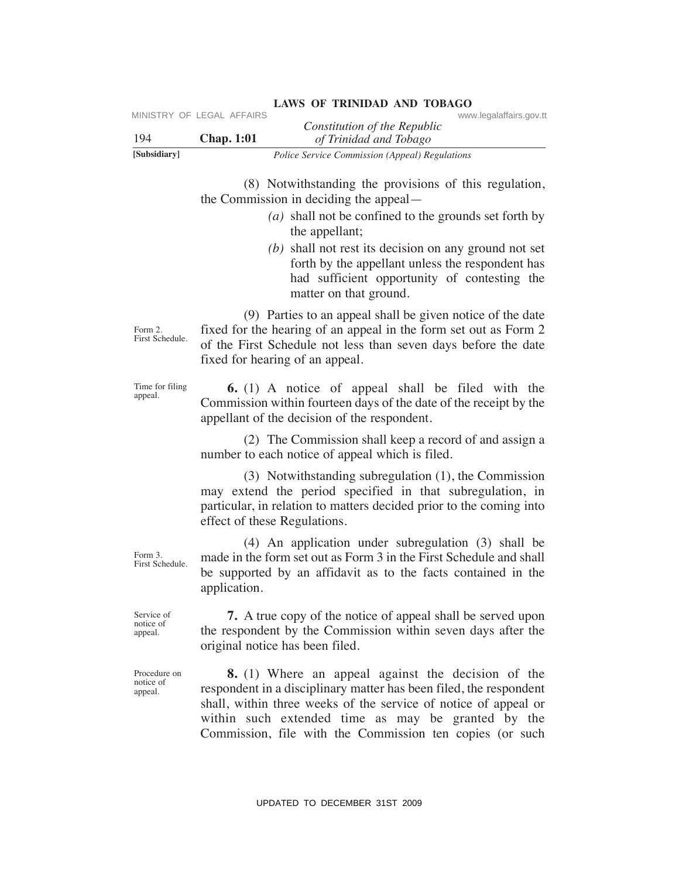| 194                                  | MINISTRY OF LEGAL AFFAIRS<br><b>Chap. 1:01</b>                                                                                                                 | www.legalaffairs.gov.tt<br>Constitution of the Republic<br>of Trinidad and Tobago                                                                                                                                                                                                                                    |
|--------------------------------------|----------------------------------------------------------------------------------------------------------------------------------------------------------------|----------------------------------------------------------------------------------------------------------------------------------------------------------------------------------------------------------------------------------------------------------------------------------------------------------------------|
| [Subsidiary]                         |                                                                                                                                                                | Police Service Commission (Appeal) Regulations                                                                                                                                                                                                                                                                       |
|                                      |                                                                                                                                                                | (8) Notwithstanding the provisions of this regulation,<br>the Commission in deciding the appeal—<br>$(a)$ shall not be confined to the grounds set forth by<br>the appellant;                                                                                                                                        |
|                                      |                                                                                                                                                                | $(b)$ shall not rest its decision on any ground not set<br>forth by the appellant unless the respondent has<br>had sufficient opportunity of contesting the<br>matter on that ground.                                                                                                                                |
| Form 2.<br>First Schedule.           |                                                                                                                                                                | (9) Parties to an appeal shall be given notice of the date<br>fixed for the hearing of an appeal in the form set out as Form 2<br>of the First Schedule not less than seven days before the date<br>fixed for hearing of an appeal.                                                                                  |
| Time for filing<br>appeal.           |                                                                                                                                                                | 6. (1) A notice of appeal shall be filed with the<br>Commission within fourteen days of the date of the receipt by the<br>appellant of the decision of the respondent.                                                                                                                                               |
|                                      |                                                                                                                                                                | (2) The Commission shall keep a record of and assign a<br>number to each notice of appeal which is filed.                                                                                                                                                                                                            |
|                                      | effect of these Regulations.                                                                                                                                   | $(3)$ Notwithstanding subregulation $(1)$ , the Commission<br>may extend the period specified in that subregulation, in<br>particular, in relation to matters decided prior to the coming into                                                                                                                       |
| Form 3.<br>First Schedule.           | application.                                                                                                                                                   | $(4)$ An application under subregulation $(3)$ shall be<br>made in the form set out as Form 3 in the First Schedule and shall<br>be supported by an affidavit as to the facts contained in the                                                                                                                       |
| Service of<br>notice of<br>appeal.   | 7. A true copy of the notice of appeal shall be served upon<br>the respondent by the Commission within seven days after the<br>original notice has been filed. |                                                                                                                                                                                                                                                                                                                      |
| Procedure on<br>notice of<br>appeal. |                                                                                                                                                                | <b>8.</b> (1) Where an appeal against the decision of the<br>respondent in a disciplinary matter has been filed, the respondent<br>shall, within three weeks of the service of notice of appeal or<br>within such extended time as may be granted by the<br>Commission, file with the Commission ten copies (or such |
|                                      |                                                                                                                                                                | UPDATED TO DECEMBER 31ST 2009                                                                                                                                                                                                                                                                                        |

# **LAWS OF TRINIDAD AND TOBAGO**<br>www.legalaffairs.gov.tt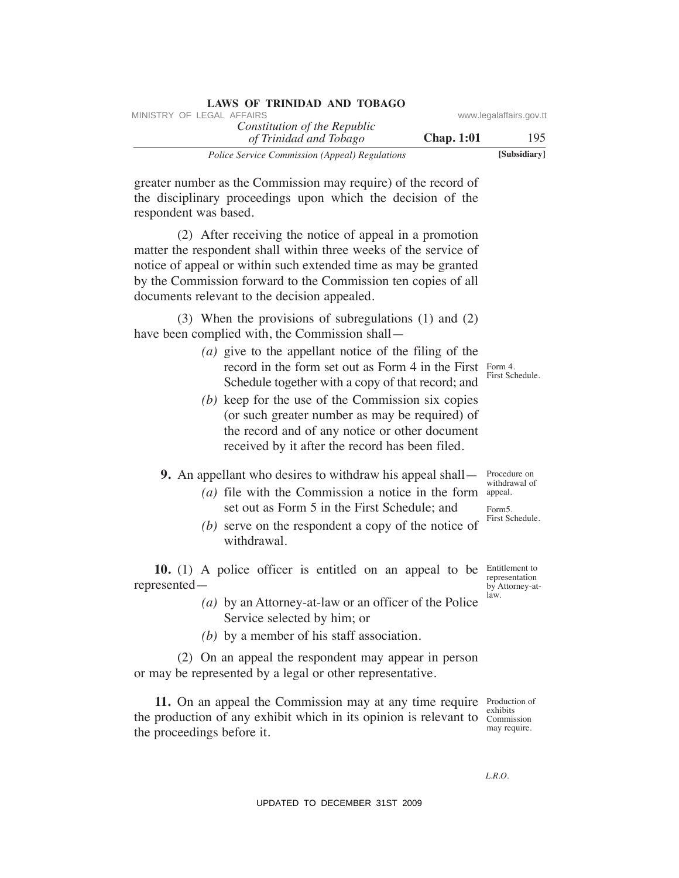| <b>LAWS OF TRINIDAD AND TOBAGO</b>                    |                   |                         |
|-------------------------------------------------------|-------------------|-------------------------|
| MINISTRY OF LEGAL AFFAIRS                             |                   | www.legalaffairs.gov.tt |
| Constitution of the Republic                          |                   |                         |
| of Trinidad and Tobago                                | <b>Chap.</b> 1:01 | 195                     |
| <i>Police Service Commission (Appeal) Regulations</i> |                   | [Subsidiary]            |

greater number as the Commission may require) of the record of

the disciplinary proceedings upon which the decision of the respondent was based.

 (2) After receiving the notice of appeal in a promotion matter the respondent shall within three weeks of the service of notice of appeal or within such extended time as may be granted by the Commission forward to the Commission ten copies of all documents relevant to the decision appealed. WHETEV OF LEGAL AFFAIRS of the Repubblic of the Repubblic of the Repubblic of Thinklogor<br>
The record of Thinklogor<br>
The receiving the procedure of the Schematical and Thinklogor<br>
greater number as the Commission may requi

 (3) When the provisions of subregulations (1) and (2) have been complied with, the Commission shall—

- record in the form set out as Form 4 in the First  $\frac{F_{\text{form}}}{F_{\text{cm}}}$  *(a)* give to the appellant notice of the filing of the Schedule together with a copy of that record; and
- *(b)* keep for the use of the Commission six copies (or such greater number as may be required) of the record and of any notice or other document received by it after the record has been filed.

# **9.** An appellant who desires to withdraw his appeal shall—

- *(a)* file with the Commission a notice in the form set out as Form 5 in the First Schedule; and
	- *(b)* serve on the respondent a copy of the notice of withdrawal.

**10.** (1) A police officer is entitled on an appeal to be Entitlement to represented—

- *(a)* by an Attorney-at-law or an officer of the Police Service selected by him; or
- *(b)* by a member of his staff association.

 (2) On an appeal the respondent may appear in person or may be represented by a legal or other representative.

**11.** On an appeal the Commission may at any time require Production of the production of any exhibit which in its opinion is relevant to Commission the proceedings before it.

exhibits may require.

*L.R.O.* 

First Schedule.

Procedure on withdrawal of appeal.

Form5. First Schedule.

representation by Attorney-atlaw.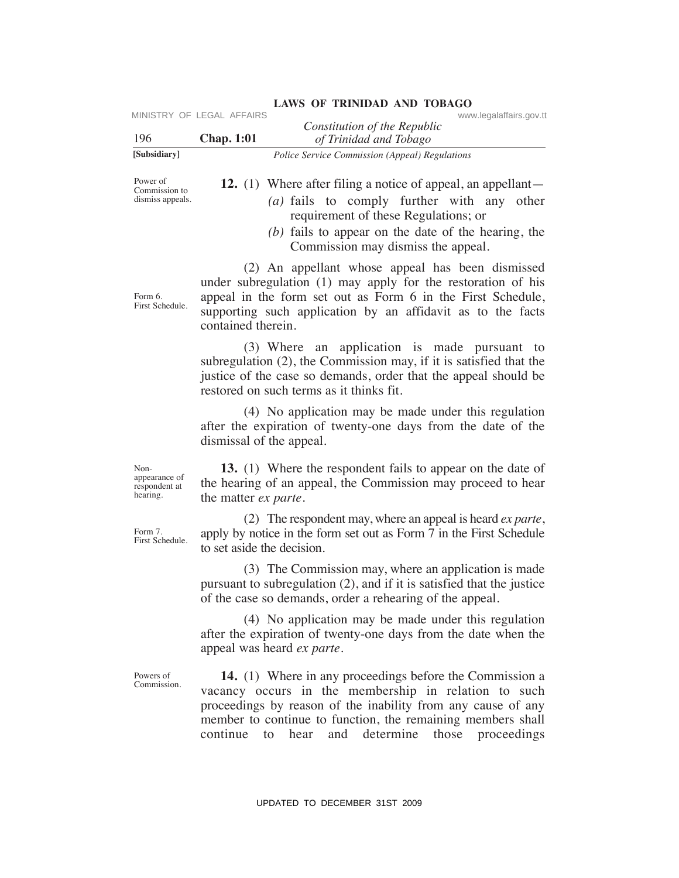| 196                                                | MINISTRY OF LEGAL AFFAIRS<br><b>Chap. 1:01</b> | www.legalaffairs.gov.tt<br>Constitution of the Republic<br>of Trinidad and Tobago                                                                                                                                                                                                                             |
|----------------------------------------------------|------------------------------------------------|---------------------------------------------------------------------------------------------------------------------------------------------------------------------------------------------------------------------------------------------------------------------------------------------------------------|
| [Subsidiary]                                       |                                                | Police Service Commission (Appeal) Regulations                                                                                                                                                                                                                                                                |
| Power of<br>Commission to<br>dismiss appeals.      |                                                | <b>12.</b> (1) Where after filing a notice of appeal, an appellant—<br>$(a)$ fails to comply further with any other<br>requirement of these Regulations; or<br>$(b)$ fails to appear on the date of the hearing, the<br>Commission may dismiss the appeal.                                                    |
| Form 6.<br>First Schedule.                         | contained therein.                             | (2) An appellant whose appeal has been dismissed<br>under subregulation (1) may apply for the restoration of his<br>appeal in the form set out as Form 6 in the First Schedule,<br>supporting such application by an affidavit as to the facts                                                                |
|                                                    |                                                | (3) Where an application is made pursuant to<br>subregulation (2), the Commission may, if it is satisfied that the<br>justice of the case so demands, order that the appeal should be<br>restored on such terms as it thinks fit.                                                                             |
|                                                    | dismissal of the appeal.                       | (4) No application may be made under this regulation<br>after the expiration of twenty-one days from the date of the                                                                                                                                                                                          |
| Non-<br>appearance of<br>respondent at<br>hearing. | the matter <i>ex parte</i> .                   | 13. (1) Where the respondent fails to appear on the date of<br>the hearing of an appeal, the Commission may proceed to hear                                                                                                                                                                                   |
| Form 7.<br>First Schedule.                         | to set aside the decision.                     | (2) The respondent may, where an appeal is heard <i>ex parte</i> ,<br>apply by notice in the form set out as Form 7 in the First Schedule                                                                                                                                                                     |
|                                                    |                                                | (3) The Commission may, where an application is made<br>pursuant to subregulation $(2)$ , and if it is satisfied that the justice<br>of the case so demands, order a rehearing of the appeal.                                                                                                                 |
|                                                    |                                                | (4) No application may be made under this regulation<br>after the expiration of twenty-one days from the date when the<br>appeal was heard ex parte.                                                                                                                                                          |
| Powers of<br>Commission.                           | continue                                       | <b>14.</b> (1) Where in any proceedings before the Commission a<br>vacancy occurs in the membership in relation to such<br>proceedings by reason of the inability from any cause of any<br>member to continue to function, the remaining members shall<br>and determine<br>those<br>proceedings<br>to<br>hear |
|                                                    |                                                | UPDATED TO DECEMBER 31ST 2009                                                                                                                                                                                                                                                                                 |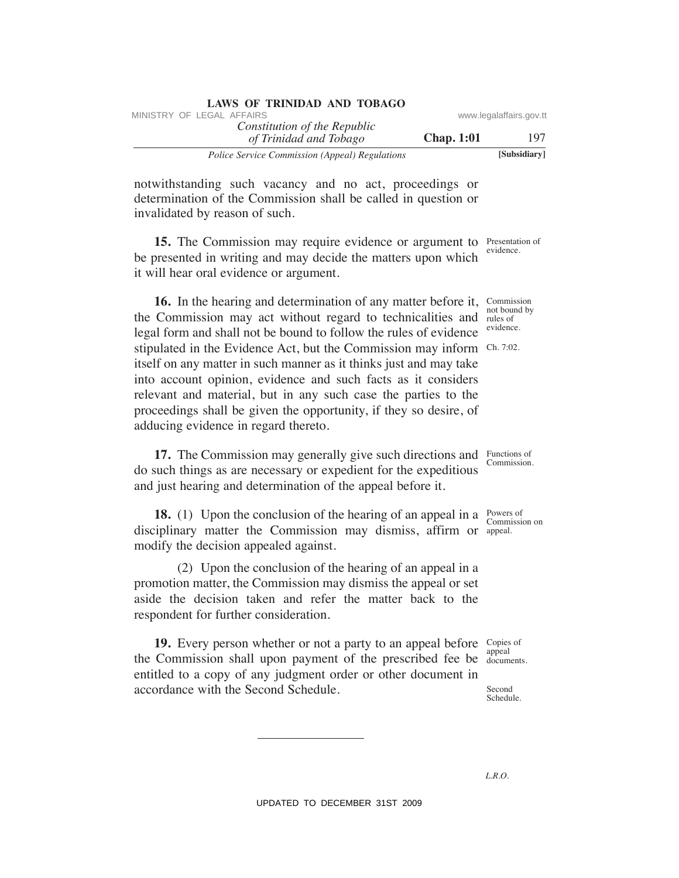| <b>LAWS OF TRINIDAD AND TOBAGO</b>                    |                   |                         |
|-------------------------------------------------------|-------------------|-------------------------|
| MINISTRY OF LEGAL AFFAIRS                             |                   | www.legalaffairs.gov.tt |
| Constitution of the Republic                          |                   |                         |
| of Trinidad and Tobago                                | <b>Chap.</b> 1:01 | 197                     |
| <i>Police Service Commission (Appeal) Regulations</i> |                   | [Subsidiary]            |

notwithstanding such vacancy and no act, proceedings or determination of the Commission shall be called in question or invalidated by reason of such.

**15.** The Commission may require evidence or argument to Presentation of evidence. be presented in writing and may decide the matters upon which it will hear oral evidence or argument.

**16.** In the hearing and determination of any matter before it, Commission not bound by the Commission may act without regard to technicalities and rules of stipulated in the Evidence Act, but the Commission may inform Ch. 7:02. legal form and shall not be bound to follow the rules of evidence itself on any matter in such manner as it thinks just and may take into account opinion, evidence and such facts as it considers relevant and material, but in any such case the parties to the proceedings shall be given the opportunity, if they so desire, of adducing evidence in regard thereto. WHETEN' OF LEGAL AFFAIRS of the Republic www.legalaffairs.gov.ttp://www.legalaffairs.gov.ttp://www.legalaffairs.gov.ttps://www.legalaffairs.gov.ttps://www.legalaffairs.gov.ttps://www.legalaffairs.gov.ttps://www.legalaffai

**17.** The Commission may generally give such directions and Functions of do such things as are necessary or expedient for the expeditious and just hearing and determination of the appeal before it.

**18.** (1) Upon the conclusion of the hearing of an appeal in a  $\frac{P_{\text{owers of}}}{\text{Commission on}}$ disciplinary matter the Commission may dismiss, affirm or appeal. modify the decision appealed against.

 (2) Upon the conclusion of the hearing of an appeal in a promotion matter, the Commission may dismiss the appeal or set aside the decision taken and refer the matter back to the respondent for further consideration.

**19.** Every person whether or not a party to an appeal before Copies of the Commission shall upon payment of the prescribed fee be documents. entitled to a copy of any judgment order or other document in accordance with the Second Schedule.

evidence.

Commission.

Powers of

appeal

Second Schedule.

*L.R.O.*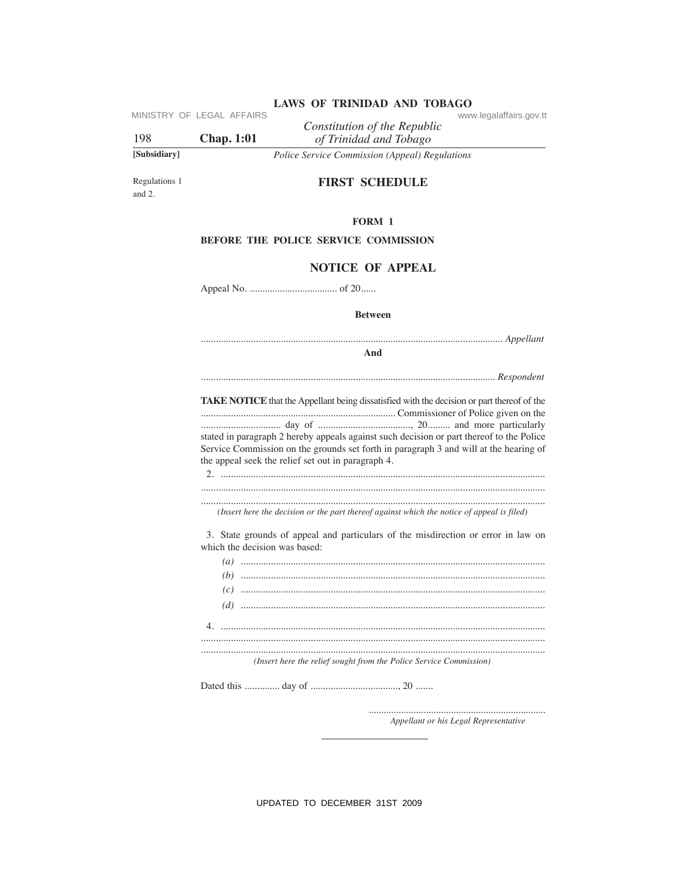MINISTRY OF LEGAL AFFAIRS

198 **Chap. 1:01** 

[Subsidiary]

of Trinidad and Tobago Police Service Commission (Appeal) Regulations

Constitution of the Republic

Regulations 1 and  $2$ .

# **FIRST SCHEDULE**

## FORM 1

# BEFORE THE POLICE SERVICE COMMISSION

# **NOTICE OF APPEAL**

**Between** 

And

TAKE NOTICE that the Appellant being dissatisfied with the decision or part thereof of the stated in paragraph 2 hereby appeals against such decision or part thereof to the Police Service Commission on the grounds set forth in paragraph 3 and will at the hearing of the appeal seek the relief set out in paragraph 4.

(Insert here the decision or the part thereof against which the notice of appeal is filed)

3. State grounds of appeal and particulars of the misdirection or error in law on which the decision was based:

| $(c) \hspace{0.2cm} \ldots \hspace{0.2cm} \ldots \hspace{0.2cm} \ldots \hspace{0.2cm} \ldots \hspace{0.2cm} \ldots \hspace{0.2cm} \ldots \hspace{0.2cm} \ldots \hspace{0.2cm} \ldots \hspace{0.2cm} \ldots \hspace{0.2cm} \ldots \hspace{0.2cm} \ldots \hspace{0.2cm} \ldots \hspace{0.2cm} \ldots \hspace{0.2cm} \ldots \hspace{0.2cm} \ldots \hspace{0.2cm} \ldots \hspace{0.2cm} \ldots \hspace{0.2cm} \ldots \hs$ |
|-----------------------------------------------------------------------------------------------------------------------------------------------------------------------------------------------------------------------------------------------------------------------------------------------------------------------------------------------------------------------------------------------------------------------|
|                                                                                                                                                                                                                                                                                                                                                                                                                       |
|                                                                                                                                                                                                                                                                                                                                                                                                                       |
|                                                                                                                                                                                                                                                                                                                                                                                                                       |
|                                                                                                                                                                                                                                                                                                                                                                                                                       |
| ( <i>Incort have the valiet cought from the Police Campion Commission</i> )                                                                                                                                                                                                                                                                                                                                           |

(Insert here the relief sought from the Police Service Commission)

Appellant or his Legal Representative

UPDATED TO DECEMBER 31ST 2009

www.legalaffairs.gov.tt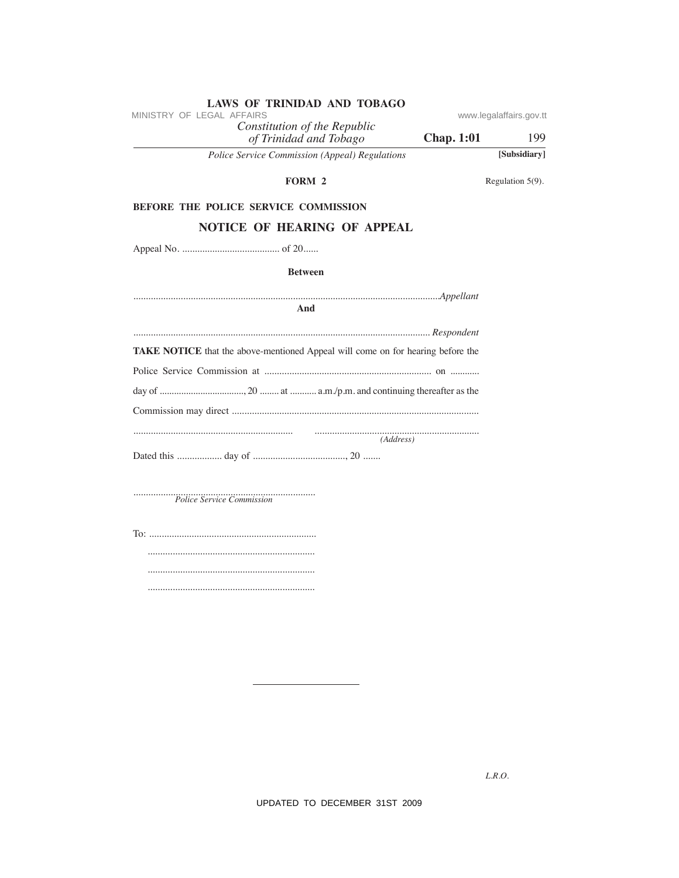| MINISTRY OF LEGAL AFFAIRS                                                       | www.legalaffairs.gov.tt |                  |
|---------------------------------------------------------------------------------|-------------------------|------------------|
| Constitution of the Republic<br>of Trinidad and Tobago                          | <b>Chap. 1:01</b>       | 199              |
| Police Service Commission (Appeal) Regulations                                  |                         | [Subsidiary]     |
| FORM 2                                                                          |                         | Regulation 5(9). |
| BEFORE THE POLICE SERVICE COMMISSION                                            |                         |                  |
| <b>NOTICE OF HEARING OF APPEAL</b>                                              |                         |                  |
|                                                                                 |                         |                  |
| <b>Between</b>                                                                  |                         |                  |
| And                                                                             |                         |                  |
|                                                                                 |                         |                  |
| TAKE NOTICE that the above-mentioned Appeal will come on for hearing before the |                         |                  |
|                                                                                 |                         |                  |
|                                                                                 |                         |                  |
|                                                                                 |                         |                  |
| (Address)                                                                       |                         |                  |
|                                                                                 |                         |                  |
| Police Service Commission                                                       |                         |                  |
|                                                                                 |                         |                  |
|                                                                                 |                         |                  |
|                                                                                 |                         |                  |
|                                                                                 |                         |                  |
|                                                                                 |                         |                  |

ov.tt

 $L.R.O.$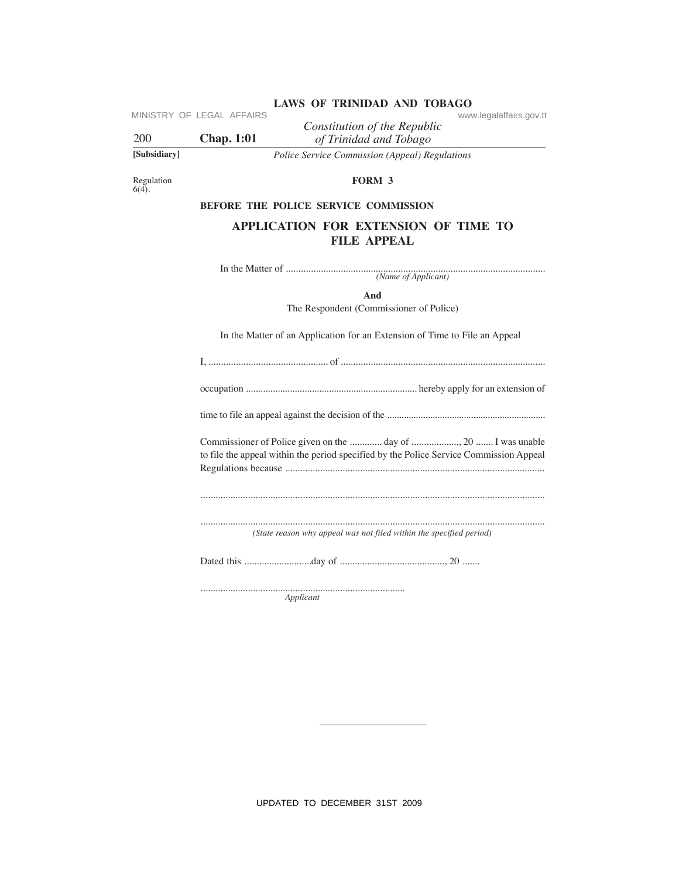|              | MINISTRY OF LEGAL AFFAIRS | LAWS OF IKINIDAD AND TODAGO<br>www.legalaffairs.gov.tt |  |
|--------------|---------------------------|--------------------------------------------------------|--|
| 200          | <b>Chap.</b> 1:01         | Constitution of the Republic<br>of Trinidad and Tobago |  |
| [Subsidiary] |                           | Police Service Commission (Appeal) Regulations         |  |

Regulation  $6(4)$ .

FORM 3

# BEFORE THE POLICE SERVICE COMMISSION

# APPLICATION FOR EXTENSION OF TIME TO **FILE APPEAL**

And

The Respondent (Commissioner of Police)

In the Matter of an Application for an Extension of Time to File an Appeal

| to file the appeal within the period specified by the Police Service Commission Appeal |
|----------------------------------------------------------------------------------------|
|                                                                                        |
| (State reason why appeal was not filed within the specified period)                    |
|                                                                                        |

Applicant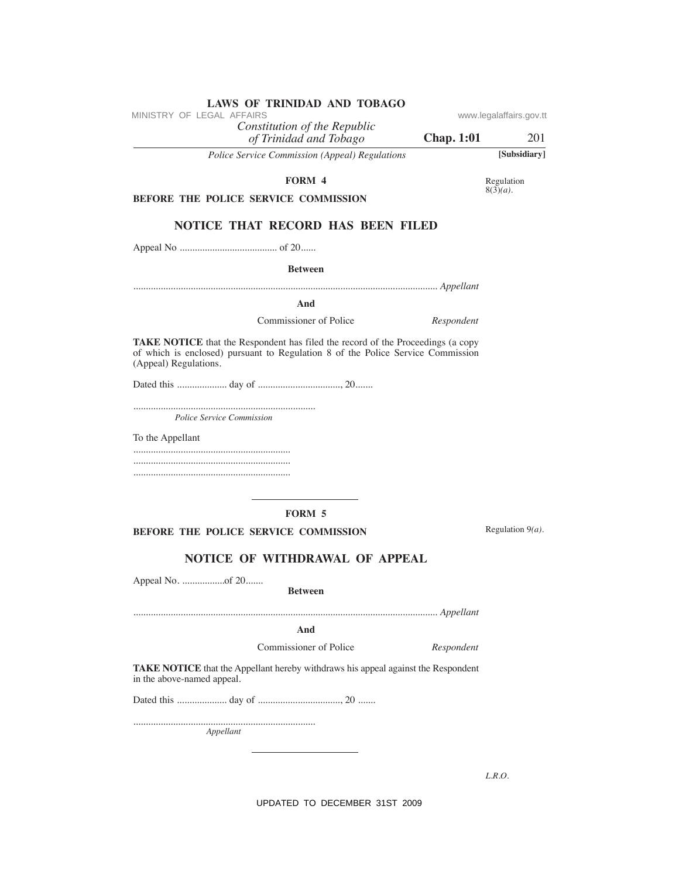| FORM 4                                                                                                                                                                                             | Regulation          |
|----------------------------------------------------------------------------------------------------------------------------------------------------------------------------------------------------|---------------------|
| BEFORE THE POLICE SERVICE COMMISSION                                                                                                                                                               | $8(3)(a)$ .         |
|                                                                                                                                                                                                    |                     |
| <b>NOTICE THAT RECORD HAS BEEN FILED</b>                                                                                                                                                           |                     |
|                                                                                                                                                                                                    |                     |
| <b>Between</b>                                                                                                                                                                                     |                     |
|                                                                                                                                                                                                    |                     |
| And                                                                                                                                                                                                |                     |
| Commissioner of Police<br>Respondent                                                                                                                                                               |                     |
| <b>TAKE NOTICE</b> that the Respondent has filed the record of the Proceedings (a copy<br>of which is enclosed) pursuant to Regulation 8 of the Police Service Commission<br>(Appeal) Regulations. |                     |
|                                                                                                                                                                                                    |                     |
|                                                                                                                                                                                                    |                     |
| Police Service Commission                                                                                                                                                                          |                     |
| To the Appellant                                                                                                                                                                                   |                     |
|                                                                                                                                                                                                    |                     |
|                                                                                                                                                                                                    |                     |
|                                                                                                                                                                                                    |                     |
| <b>FORM 5</b>                                                                                                                                                                                      |                     |
|                                                                                                                                                                                                    | Regulation $9(a)$ . |
| <b>BEFORE THE POLICE SERVICE COMMISSION</b>                                                                                                                                                        |                     |
| NOTICE OF WITHDRAWAL OF APPEAL                                                                                                                                                                     |                     |
|                                                                                                                                                                                                    |                     |
| <b>Between</b>                                                                                                                                                                                     |                     |
|                                                                                                                                                                                                    |                     |
| And                                                                                                                                                                                                |                     |
| Commissioner of Police<br>Respondent                                                                                                                                                               |                     |
| TAKE NOTICE that the Appellant hereby withdraws his appeal against the Respondent<br>in the above-named appeal.                                                                                    |                     |
|                                                                                                                                                                                                    |                     |
|                                                                                                                                                                                                    |                     |

 $L.R.O.$ 

UPDATED TO DECEMBER 31ST 2009

www.legalaffairs.gov.tt

**Chap. 1:01** 201

**Police Service Commission (Appeal) Regulations** 

LAWS OF TRINIDAD AND TOBAGO

Constitution of the Republic<br>of Trinidad and Tobago

MINISTRY OF LEGAL AFFAIRS

 $\ddot{\phantom{0}}$ 

Appellant

[Subsidiary]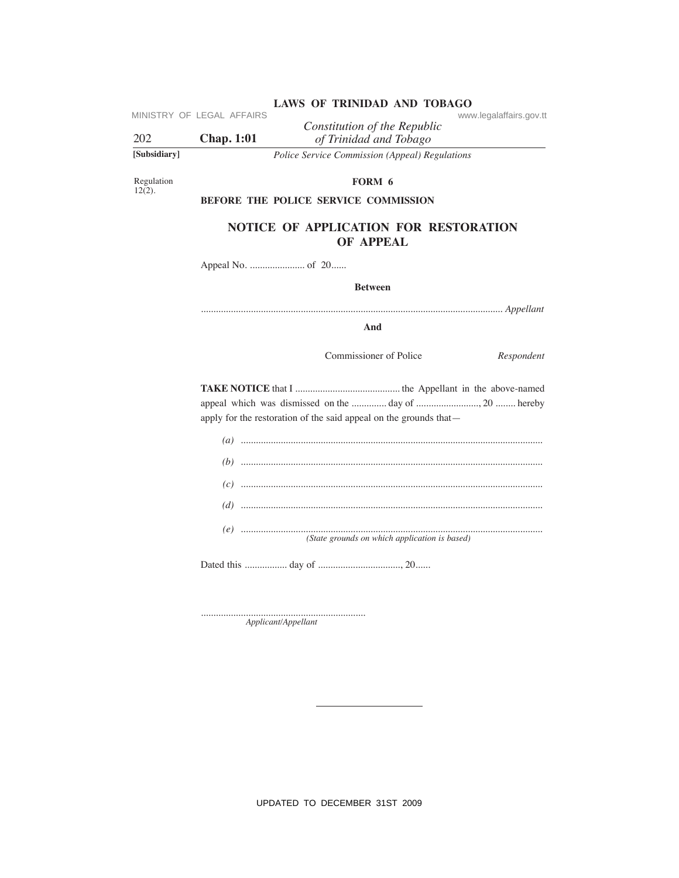|  | LAWS OF TRINIDAD AND TOBAGO |                         |
|--|-----------------------------|-------------------------|
|  |                             | www.legalaffairs.gov.tt |

MINISTRY OF LEGAL AFFAIRS

202 **Chap. 1:01** 

Constitution of the Republic of Trinidad and Tobago Police Service Commission (Appeal) Regulations

[Subsidiary]

Regulation<br>12(2).

# FORM 6

BEFORE THE POLICE SERVICE COMMISSION

# NOTICE OF APPLICATION FOR RESTORATION OF APPEAL

**Between** 

And

Commissioner of Police

Respondent

apply for the restoration of the said appeal on the grounds that—

| (State grounds on which application is based) |
|-----------------------------------------------|

 ${\bf Application} (A pplicant)$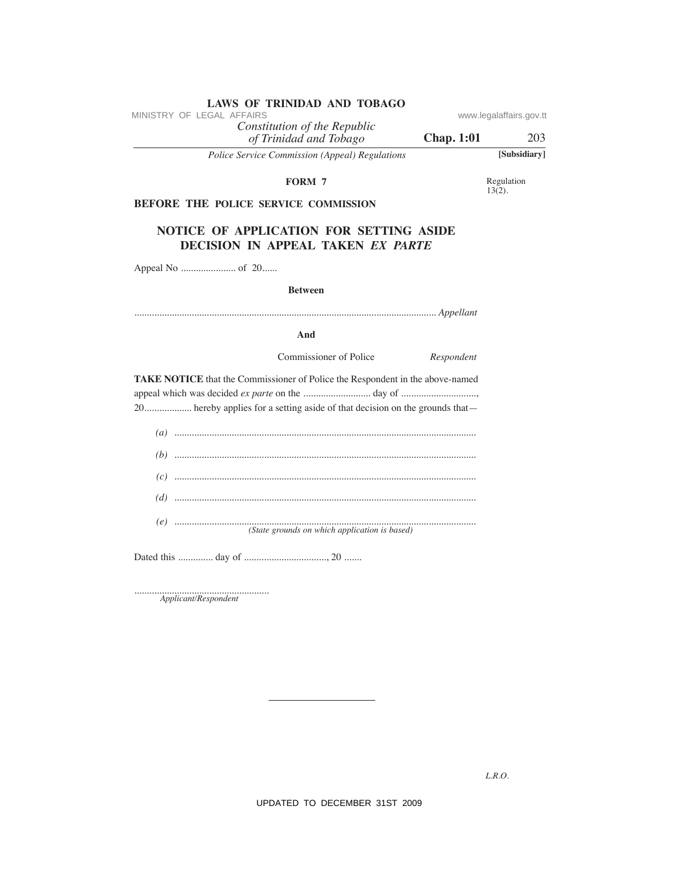| LAWS OF INIMIDAD AND TODAGO<br>MINISTRY OF LEGAL AFFAIRS                      |                   | www.legalaffairs.gov.tt |
|-------------------------------------------------------------------------------|-------------------|-------------------------|
| Constitution of the Republic<br>of Trinidad and Tobago                        | <b>Chap. 1:01</b> | 203                     |
| Police Service Commission (Appeal) Regulations                                |                   | [Subsidiary]            |
| FORM 7                                                                        |                   | Regulation<br>$13(2)$ . |
| BEFORE THE POLICE SERVICE COMMISSION                                          |                   |                         |
| NOTICE OF APPLICATION FOR SETTING ASIDE<br>DECISION IN APPEAL TAKEN EX PARTE  |                   |                         |
|                                                                               |                   |                         |
| <b>Between</b>                                                                |                   |                         |
|                                                                               |                   |                         |
| And                                                                           |                   |                         |
| Commissioner of Police                                                        | Respondent        |                         |
| TAKE NOTICE that the Commissioner of Police the Respondent in the above-named |                   |                         |
|                                                                               |                   |                         |
| 20 hereby applies for a setting aside of that decision on the grounds that-   |                   |                         |
|                                                                               |                   |                         |
|                                                                               |                   |                         |
|                                                                               |                   |                         |
|                                                                               |                   |                         |
| (State grounds on which application is based)                                 |                   |                         |
|                                                                               |                   |                         |
|                                                                               |                   |                         |

 ${\begin{minipage}{0.9\linewidth} Aplicant/Respondent} \end{minipage}$ 

 $L.R.O.$